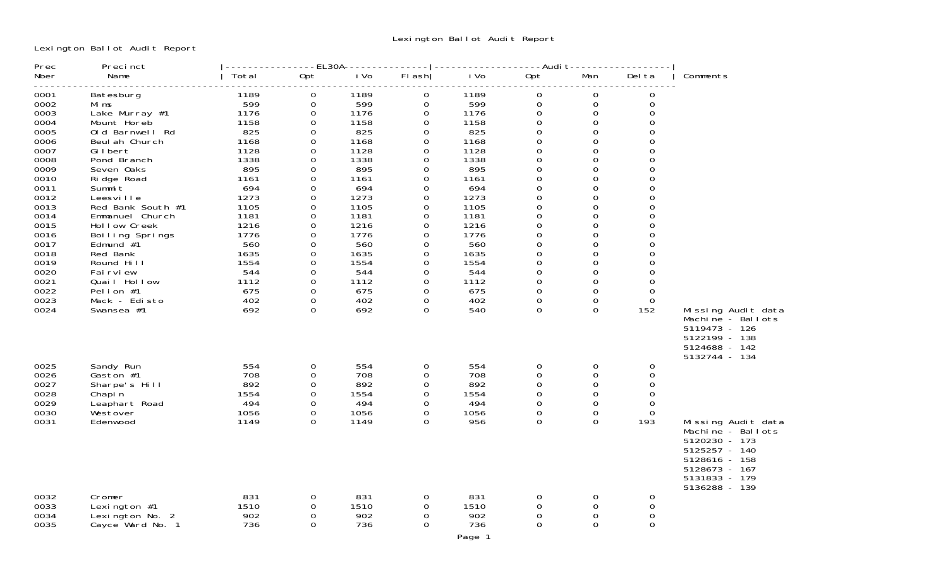Lexington Ballot Audit Report

| Prec         | Precinct                          |              |               | ----EL30A------- |                         |              |                     | ----Audi t-------    |                         |                                |
|--------------|-----------------------------------|--------------|---------------|------------------|-------------------------|--------------|---------------------|----------------------|-------------------------|--------------------------------|
| Nber         | Name                              | Total        | Opt           | i Vo             | FI ash                  | i Vo         | Opt                 | Man                  | Del ta                  | Comments                       |
| 0001         | Batesburg                         | 1189         | $\Omega$      | 1189             | $\mathbf 0$             | 1189         | $\mathbf 0$         | $\Omega$             | $\Omega$                |                                |
| 0002         | Mi ms                             | 599          | $\Omega$      | 599              | $\mathbf 0$             | 599          | $\mathbf 0$         | $\mathbf{O}$         | $\Omega$                |                                |
| 0003         | Lake Murray #1                    | 1176         | $\Omega$      | 1176             | $\mathbf 0$             | 1176         | 0                   | $\Omega$             | $\Omega$                |                                |
| 0004         | Mount Horeb                       | 1158         | 0             | 1158             | 0                       | 1158         | $\mathbf 0$         | $\mathbf 0$          | $\Omega$                |                                |
| 0005         | Old Barnwell Rd                   | 825          | $\Omega$      | 825              | $\mathbf 0$             | 825          | $\mathbf 0$         | $\Omega$             | $\Omega$                |                                |
| 0006         | Beul ah Church                    | 1168         | $\Omega$      | 1168             | 0                       | 1168         | 0                   | $\Omega$             | $\Omega$                |                                |
| 0007<br>0008 | Gilbert                           | 1128<br>1338 | $\Omega$      | 1128<br>1338     | $\Omega$                | 1128<br>1338 | $\mathbf 0$         | $\Omega$<br>$\Omega$ | $\Omega$<br>$\Omega$    |                                |
| 0009         | Pond Branch<br>Seven Oaks         | 895          | 0<br>0        | 895              | $\mathbf 0$<br>0        | 895          | 0<br>$\mathbf 0$    | $\Omega$             | $\Omega$                |                                |
| 0010         | Ri dge Road                       | 1161         | 0             | 1161             | 0                       | 1161         | $\mathsf{O}\xspace$ | $\Omega$             | 0                       |                                |
| 0011         | Summi t                           | 694          | $\Omega$      | 694              | 0                       | 694          | $\mathsf{O}\xspace$ | $\Omega$             | $\Omega$                |                                |
| 0012         | Leesville                         | 1273         | $\Omega$      | 1273             | 0                       | 1273         | $\mathbf 0$         | $\Omega$             | $\Omega$                |                                |
| 0013         | Red Bank South #1                 | 1105         | $\Omega$      | 1105             | $\Omega$                | 1105         | $\mathbf 0$         | $\Omega$             | $\Omega$                |                                |
| 0014         | Emmanuel Church                   | 1181         | 0             | 1181             | 0                       | 1181         | $\mathsf{O}\xspace$ | $\Omega$             | $\Omega$                |                                |
| 0015         | Hollow Creek                      | 1216         | $\Omega$      | 1216             | 0                       | 1216         | $\mathbf 0$         | $\Omega$             | $\Omega$                |                                |
| 0016         | Boiling Springs                   | 1776         | $\Omega$      | 1776             | 0                       | 1776         | $\mathbf 0$         | $\Omega$             | $\Omega$                |                                |
| 0017         | Edmund $#1$                       | 560          | $\Omega$      | 560              | $\Omega$                | 560          | $\mathbf{O}$        | $\Omega$             | $\Omega$                |                                |
| 0018         | Red Bank                          | 1635         | $\Omega$      | 1635             | $\Omega$                | 1635         | $\mathbf 0$         | $\Omega$             | $\Omega$                |                                |
| 0019         | Round Hill                        | 1554         | 0             | 1554             | $\mathbf 0$             | 1554         | $\mathbf 0$         | $\Omega$             | $\Omega$                |                                |
| 0020         | Fai rvi ew                        | 544          | 0             | 544              | 0                       | 544          | $\mathbf 0$         | $\Omega$             | $\Omega$                |                                |
| 0021         | Quail Hollow                      | 1112         | $\Omega$      | 1112             | $\mathbf 0$             | 1112         | 0                   | $\Omega$             | $\Omega$                |                                |
| 0022         | Pelion #1                         | 675          | 0             | 675              | $\mathbf 0$             | 675          | $\mathbf 0$         | $\Omega$             | $\Omega$                |                                |
| 0023         | Mack - Edisto                     | 402          | $\Omega$      | 402              | 0                       | 402          | $\mathbf 0$         | $\Omega$             | $\Omega$                |                                |
| 0024         | Swansea #1                        | 692          | $\Omega$      | 692              | $\Omega$                | 540          | $\Omega$            | $\Omega$             | 152                     | Missing Audit data             |
|              |                                   |              |               |                  |                         |              |                     |                      |                         | Machine - Ballots              |
|              |                                   |              |               |                  |                         |              |                     |                      |                         | 5119473 - 126<br>5122199 - 138 |
|              |                                   |              |               |                  |                         |              |                     |                      |                         | 5124688 - 142                  |
|              |                                   |              |               |                  |                         |              |                     |                      |                         | 5132744 - 134                  |
| 0025         | Sandy Run                         | 554          | $\Omega$      | 554              | $\mathbf 0$             | 554          | 0                   | 0                    | $\Omega$                |                                |
| 0026         | Gaston #1                         | 708          | $\Omega$      | 708              | 0                       | 708          | 0                   | $\Omega$             | $\Omega$                |                                |
| 0027         | Sharpe's Hill                     | 892          | $\Omega$      | 892              | $\mathbf 0$             | 892          | 0                   | $\Omega$             | $\Omega$                |                                |
| 0028         | Chapi n                           | 1554         | $\mathbf{0}$  | 1554             | 0                       | 1554         | $\mathsf O$         | $\mathbf 0$          | $\Omega$                |                                |
| 0029         | Leaphart Road                     | 494          | $\Omega$      | 494              | $\mathbf 0$             | 494          | $\mathbf 0$         | $\Omega$             | $\Omega$                |                                |
| 0030         | Westover                          | 1056         | $\Omega$      | 1056             | 0                       | 1056         | 0                   | 0                    | $\Omega$                |                                |
| 0031         | Edenwood                          | 1149         | $\Omega$      | 1149             | $\Omega$                | 956          | $\Omega$            | $\Omega$             | 193                     | Missing Audit data             |
|              |                                   |              |               |                  |                         |              |                     |                      |                         | Machine - Ballots              |
|              |                                   |              |               |                  |                         |              |                     |                      |                         | 5120230 - 173                  |
|              |                                   |              |               |                  |                         |              |                     |                      |                         | 5125257 - 140                  |
|              |                                   |              |               |                  |                         |              |                     |                      |                         | 5128616 - 158                  |
|              |                                   |              |               |                  |                         |              |                     |                      |                         | 5128673 - 167                  |
|              |                                   |              |               |                  |                         |              |                     |                      |                         | 5131833 - 179                  |
|              |                                   |              |               |                  |                         |              |                     |                      |                         | 5136288 - 139                  |
| 0032         | Cromer                            | 831<br>1510  | $\mathbf{0}$  | 831<br>1510      | $\Omega$                | 831          | $\mathbf 0$         | 0<br>$\Omega$        | $\mathbf{O}$            |                                |
| 0033<br>0034 | Lexington $#1$<br>Lexington No. 2 | 902          | 0<br>$\Omega$ | 902              | $\mathbf 0$<br>$\Omega$ | 1510<br>902  | 0<br>0              | $\Omega$             | $\mathbf 0$<br>$\Omega$ |                                |
| 0035         | Cayce Ward No. 1                  | 736          | $\Omega$      | 736              | $\mathbf 0$             | 736          | $\mathbf 0$         | $\Omega$             | $\Omega$                |                                |
|              |                                   |              |               |                  |                         |              |                     |                      |                         |                                |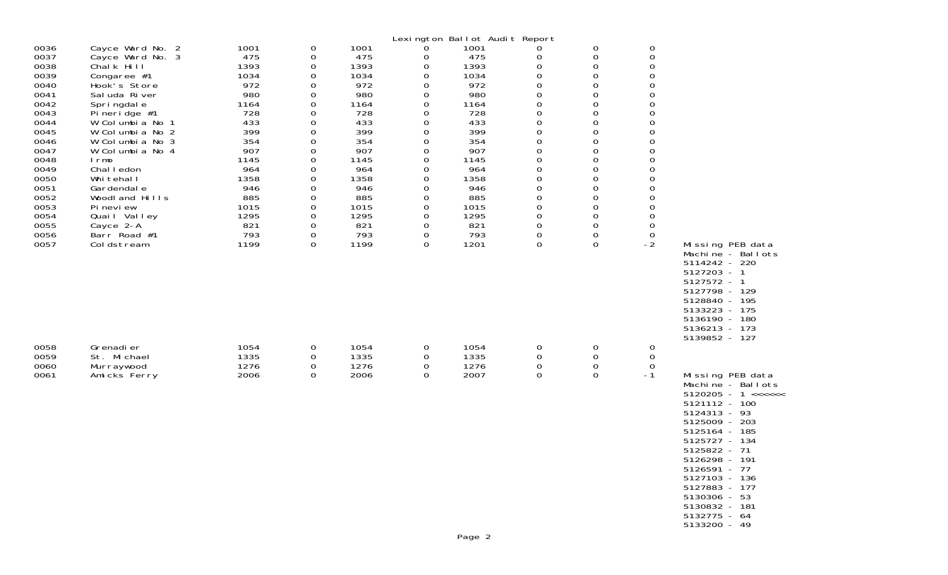|                                                                                                                                                                              |                                                                                                                                                                                                                                                                                                                                                                  |                                                                                                                                                                 |                                                                                                                                                                                                                       |                                                                                                                                                                 |                                                                                                                                                                                                 | Lexington Ballot Audit Report                                                                                                                                   |                                                                                                                                                                                                                                                            |                                                                                                                                                                                                                                                                                                                     |                                                                                                                                                                                                                                                                                       |                                                                                                                                                                                                                                                                                                          |
|------------------------------------------------------------------------------------------------------------------------------------------------------------------------------|------------------------------------------------------------------------------------------------------------------------------------------------------------------------------------------------------------------------------------------------------------------------------------------------------------------------------------------------------------------|-----------------------------------------------------------------------------------------------------------------------------------------------------------------|-----------------------------------------------------------------------------------------------------------------------------------------------------------------------------------------------------------------------|-----------------------------------------------------------------------------------------------------------------------------------------------------------------|-------------------------------------------------------------------------------------------------------------------------------------------------------------------------------------------------|-----------------------------------------------------------------------------------------------------------------------------------------------------------------|------------------------------------------------------------------------------------------------------------------------------------------------------------------------------------------------------------------------------------------------------------|---------------------------------------------------------------------------------------------------------------------------------------------------------------------------------------------------------------------------------------------------------------------------------------------------------------------|---------------------------------------------------------------------------------------------------------------------------------------------------------------------------------------------------------------------------------------------------------------------------------------|----------------------------------------------------------------------------------------------------------------------------------------------------------------------------------------------------------------------------------------------------------------------------------------------------------|
| 0036<br>0037<br>0038<br>0039<br>0040<br>0041<br>0042<br>0043<br>0044<br>0045<br>0046<br>0047<br>0048<br>0049<br>0050<br>0051<br>0052<br>0053<br>0054<br>0055<br>0056<br>0057 | Cayce Ward No. 2<br>Cayce Ward No. 3<br>Chalk Hill<br>Congaree #1<br>Hook's Store<br>Sal uda River<br>Springdale<br>Pineridge $#1$<br>W Columbia No 1<br>W Columbia No 2<br>W Columbia No 3<br>W Columbia No 4<br>I rmo<br>Chal I edon<br>Whi tehal I<br>Gardendal e<br>Woodl and Hills<br>Pi nevi ew<br>Quail Valley<br>Cayce 2-A<br>Barr Road #1<br>Coldstream | 1001<br>475<br>1393<br>1034<br>972<br>980<br>1164<br>728<br>433<br>399<br>354<br>907<br>1145<br>964<br>1358<br>946<br>885<br>1015<br>1295<br>821<br>793<br>1199 | $\mathbf 0$<br>0<br>$\mathbf 0$<br>$\Omega$<br>0<br>0<br>$\boldsymbol{0}$<br>0<br>$\mathbf 0$<br>$\mathbf 0$<br>0<br>$\mathsf{O}\xspace$<br>$\Omega$<br>0<br>0<br>0<br>0<br>$\mathbf 0$<br>0<br>0<br>$\mathbf 0$<br>0 | 1001<br>475<br>1393<br>1034<br>972<br>980<br>1164<br>728<br>433<br>399<br>354<br>907<br>1145<br>964<br>1358<br>946<br>885<br>1015<br>1295<br>821<br>793<br>1199 | 0<br>0<br>0<br>0<br>0<br>0<br>$\mathbf 0$<br>0<br>$\mathbf 0$<br>$\mathbf 0$<br>0<br>$\mathsf{O}\xspace$<br>0<br>0<br>0<br>0<br>0<br>$\mathbf 0$<br>$\mathbf 0$<br>0<br>$\mathbf 0$<br>$\Omega$ | 1001<br>475<br>1393<br>1034<br>972<br>980<br>1164<br>728<br>433<br>399<br>354<br>907<br>1145<br>964<br>1358<br>946<br>885<br>1015<br>1295<br>821<br>793<br>1201 | 0<br>0<br>0<br>$\Omega$<br>$\mathbf 0$<br>$\overline{0}$<br>0<br>0<br>0<br>$\mathsf{O}\xspace$<br>0<br>$\boldsymbol{0}$<br>$\overline{0}$<br>$\mathsf{O}\xspace$<br>$\overline{0}$<br>0<br>0<br>0<br>$\mathsf{O}\xspace$<br>0<br>$\mbox{O}$<br>$\mathbf 0$ | 0<br>0<br>$\boldsymbol{0}$<br>$\Omega$<br>$\mathbf 0$<br>$\mathbf 0$<br>$\mathbf 0$<br>$\mathbf 0$<br>$\mathbf 0$<br>$\mathbf 0$<br>$\mathbf 0$<br>$\boldsymbol{0}$<br>$\Omega$<br>$\mathbf 0$<br>$\mathbf 0$<br>$\mathbf 0$<br>$\mathbf 0$<br>$\mathbf 0$<br>$\mathbf 0$<br>$\mathbf 0$<br>$\mathbf 0$<br>$\Omega$ | $\mathbf 0$<br>$\mathbf 0$<br>$\mathbf 0$<br>$\Omega$<br>0<br>$\mathbf 0$<br>$\Omega$<br>$\mathbf 0$<br>$\mathbf 0$<br>$\mathbf 0$<br>$\Omega$<br>$\mathbf 0$<br>$\Omega$<br>0<br>$\mathbf 0$<br>$\mathbf 0$<br>$\mathbf 0$<br>$\mathbf 0$<br>$\mathbf 0$<br>0<br>$\mathbf 0$<br>$-2$ | Missing PEB data<br>Machine - Ballots<br>5114242 - 220<br>$5127203 - 1$<br>5127572 - 1<br>5127798 - 129<br>5128840 - 195<br>5133223 - 175<br>5136190 - 180<br>5136213 - 173                                                                                                                              |
| 0058<br>0059<br>0060<br>0061                                                                                                                                                 | Grenadi er<br>St. Michael<br>Murraywood<br>Amicks Ferry                                                                                                                                                                                                                                                                                                          | 1054<br>1335<br>1276<br>2006                                                                                                                                    | 0<br>$\mathbf 0$<br>0<br>0                                                                                                                                                                                            | 1054<br>1335<br>1276<br>2006                                                                                                                                    | 0<br>$\mathbf 0$<br>0<br>$\Omega$                                                                                                                                                               | 1054<br>1335<br>1276<br>2007                                                                                                                                    | 0<br>$\mathsf{O}\xspace$<br>$\mathsf{O}\xspace$<br>$\mathbf 0$                                                                                                                                                                                             | 0<br>$\mathbf 0$<br>$\mathbf 0$<br>$\Omega$                                                                                                                                                                                                                                                                         | $\mathbf 0$<br>$\mathbf 0$<br>$\mathbf 0$<br>$-1$                                                                                                                                                                                                                                     | 5139852 - 127<br>Missing PEB data<br>Machine - Ballots<br>$5120205 - 1 \leq \leq \leq \leq \leq$<br>5121112 - 100<br>5124313 - 93<br>5125009 - 203<br>5125164 - 185<br>5125727 - 134<br>5125822 - 71<br>5126298 - 191<br>5126591 - 77<br>5127103 - 136<br>5127883 - 177<br>5130306 - 53<br>5130832 - 181 |

5133200 - 49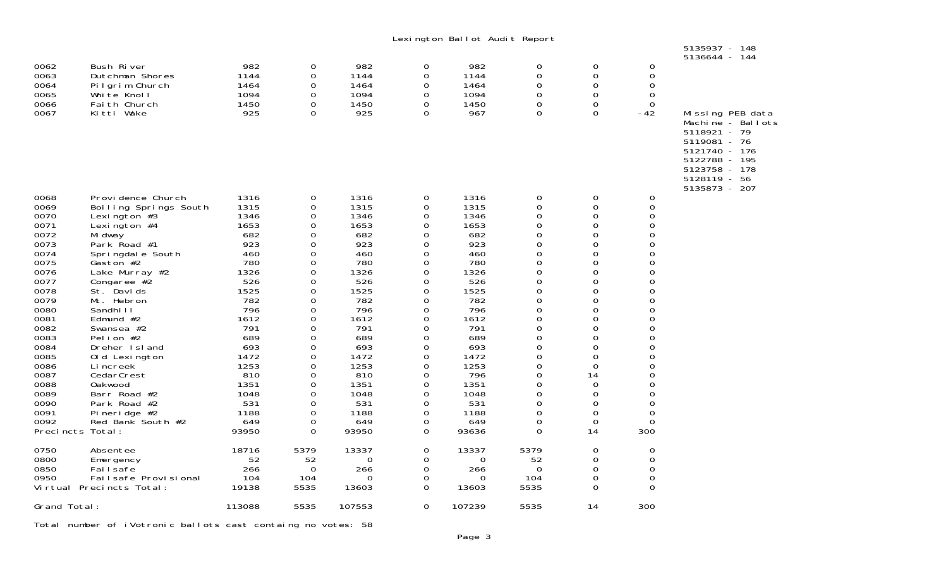|                   |                                          |              |                      |              |                  | Lexington Ballot Audit Report |                |                            |                            | 5135937 - 148                                                                                                                         |
|-------------------|------------------------------------------|--------------|----------------------|--------------|------------------|-------------------------------|----------------|----------------------------|----------------------------|---------------------------------------------------------------------------------------------------------------------------------------|
|                   |                                          |              |                      |              |                  |                               |                |                            |                            | 5136644 - 144                                                                                                                         |
| 0062<br>0063      | Bush River<br>Dutchman Shores            | 982<br>1144  | 0<br>0               | 982<br>1144  | 0<br>0           | 982<br>1144                   | 0<br>0         | 0<br>0                     | 0<br>$\mathsf{O}\xspace$   |                                                                                                                                       |
| 0064              | Pilgrim Church                           | 1464         | 0                    | 1464         | 0                | 1464                          | $\Omega$       | $\Omega$                   | $\mathbf 0$                |                                                                                                                                       |
| 0065              | White Knoll                              | 1094         | 0                    | 1094         | 0                | 1094                          | 0              | 0                          | $\mathbf 0$                |                                                                                                                                       |
| 0066<br>0067      | Fai th Church<br>Kitti Wake              | 1450<br>925  | $\Omega$<br>0        | 1450<br>925  | 0<br>$\Omega$    | 1450<br>967                   | 0<br>$\Omega$  | $\Omega$<br>$\Omega$       | $\Omega$<br>$-42$          | Missing PEB data                                                                                                                      |
|                   |                                          |              |                      |              |                  |                               |                |                            |                            | Machine - Ballots<br>5118921 - 79<br>5119081 - 76<br>5121740 - 176<br>5122788 - 195<br>5123758 - 178<br>5128119 - 56<br>5135873 - 207 |
| 0068              | Provi dence Church                       | 1316         | 0                    | 1316         | 0                | 1316                          | 0              | $\mathbf 0$                | 0                          |                                                                                                                                       |
| 0069<br>0070      | Boiling Springs South<br>Lexi ngton $#3$ | 1315<br>1346 | $\Omega$<br>$\Omega$ | 1315<br>1346 | 0<br>0           | 1315<br>1346                  | 0<br>0         | $\Omega$<br>$\Omega$       | 0<br>$\Omega$              |                                                                                                                                       |
| 0071              | Lexi ngton $#4$                          | 1653         | 0                    | 1653         | 0                | 1653                          | 0              | 0                          | $\mathbf 0$                |                                                                                                                                       |
| 0072              | Mi dway                                  | 682          | 0                    | 682          | 0                | 682                           | 0              | $\mathbf 0$                | $\mathbf 0$                |                                                                                                                                       |
| 0073              | Park Road #1                             | 923<br>460   | 0<br>$\Omega$        | 923<br>460   | 0                | 923<br>460                    | 0<br>$\Omega$  | 0<br>$\Omega$              | 0<br>$\Omega$              |                                                                                                                                       |
| 0074<br>0075      | Springdale South<br>Gaston #2            | 780          | 0                    | 780          | 0<br>0           | 780                           | 0              | 0                          | $\mathbf 0$                |                                                                                                                                       |
| 0076              | Lake Murray #2                           | 1326         | 0                    | 1326         | $\mathbf 0$      | 1326                          | 0              | 0                          | $\mathbf 0$                |                                                                                                                                       |
| 0077              | Congaree $#2$                            | 526          | 0                    | 526          | $\mathbf 0$      | 526                           | 0              | 0                          | 0                          |                                                                                                                                       |
| 0078<br>0079      | St. Davids<br>Mt. Hebron                 | 1525<br>782  | $\Omega$<br>0        | 1525<br>782  | 0<br>$\mathbf 0$ | 1525<br>782                   | 0<br>0         | $\Omega$<br>0              | 0<br>$\mathbf 0$           |                                                                                                                                       |
| 0080              | Sandhi I I                               | 796          | $\Omega$             | 796          | 0                | 796                           | 0              | 0                          | $\mathbf 0$                |                                                                                                                                       |
| 0081              | Edmund $#2$                              | 1612         | $\Omega$             | 1612         | $\Omega$         | 1612                          | 0              | $\Omega$                   | $\Omega$                   |                                                                                                                                       |
| 0082              | Swansea #2                               | 791          | $\Omega$             | 791          | $\Omega$         | 791                           | 0              | $\Omega$                   | $\Omega$                   |                                                                                                                                       |
| 0083<br>0084      | Pelion #2<br>Dreher Island               | 689<br>693   | 0<br>0               | 689<br>693   | 0<br>0           | 689<br>693                    | 0<br>0         | $\mathbf 0$<br>$\mathbf 0$ | $\mathbf 0$<br>$\mathbf 0$ |                                                                                                                                       |
| 0085              | Old Lexington                            | 1472         | $\Omega$             | 1472         | 0                | 1472                          | 0              | $\Omega$                   | $\Omega$                   |                                                                                                                                       |
| 0086              | Li ncreek                                | 1253         | 0                    | 1253         | 0                | 1253                          | 0              | 0                          | $\mathbf 0$                |                                                                                                                                       |
| 0087<br>0088      | CedarCrest                               | 810<br>1351  | 0<br>0               | 810<br>1351  | 0<br>0           | 796<br>1351                   | $\Omega$<br>0  | 14<br>0                    | $\overline{0}$<br>0        |                                                                                                                                       |
| 0089              | <b>Oakwood</b><br>Barr Road #2           | 1048         | $\Omega$             | 1048         | 0                | 1048                          | 0              | 0                          | 0                          |                                                                                                                                       |
| 0090              | Park Road #2                             | 531          | 0                    | 531          | $\mathbf 0$      | 531                           | 0              | 0                          | $\mathbf 0$                |                                                                                                                                       |
| 0091              | Pi neri dge #2                           | 1188         | $\Omega$             | 1188         | 0                | 1188                          | 0              | $\Omega$                   | 0                          |                                                                                                                                       |
| 0092<br>Precincts | Red Bank South #2<br>Total:              | 649<br>93950 | 0<br>$\Omega$        | 649<br>93950 | 0<br>0           | 649<br>93636                  | 0<br>$\Omega$  | 0<br>14                    | 0<br>300                   |                                                                                                                                       |
| 0750              | Absentee                                 | 18716        | 5379                 | 13337        | 0                | 13337                         | 5379           | 0                          | 0                          |                                                                                                                                       |
| 0800<br>0850      | Emergency<br>Failsafe                    | 52<br>266    | 52<br>$\Omega$       | 0<br>266     | 0<br>0           | $\Omega$<br>266               | 52<br>$\Omega$ | 0<br>$\Omega$              | 0<br>$\mathbf 0$           |                                                                                                                                       |
| 0950              | Failsafe Provisional                     | 104          | 104                  | 0            | 0                | 0                             | 104            | 0                          | $\mathbf 0$                |                                                                                                                                       |
|                   | Virtual Precincts Total:                 | 19138        | 5535                 | 13603        | 0                | 13603                         | 5535           | 0                          | $\Omega$                   |                                                                                                                                       |
| Grand Total:      |                                          | 113088       | 5535                 | 107553       | 0                | 107239                        | 5535           | 14                         | 300                        |                                                                                                                                       |

Total number of iVotronic ballots cast containg no votes: 58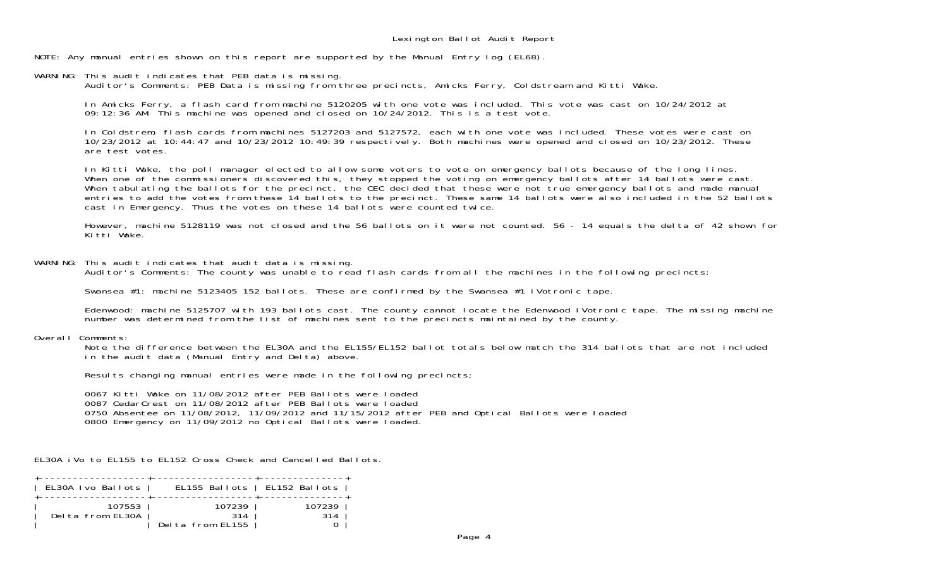NOTE: Any manual entries shown on this report are supported by the Manual Entry log (EL68).

WARNING: This audit indicates that PEB data is missing. Auditor's Comments: PEB Data is missing from three precincts, Amicks Ferry, Coldstream and Kitti Wake.

 In Amicks Ferry, a flash card from machine 5120205 with one vote was included. This vote was cast on 10/24/2012 at 09:12:36 AM. This machine was opened and closed on 10/24/2012. This is a test vote.

 In Coldstrem, flash cards from machines 5127203 and 5127572, each with one vote was included. These votes were cast on 10/23/2012 at 10:44:47 and 10/23/2012 10:49:39 respectively. Both machines were opened and closed on 10/23/2012. These are test votes.

 In Kitti Wake, the poll manager elected to allow some voters to vote on emergency ballots because of the long lines. When one of the commissioners discovered this, they stopped the voting on emergency ballots after 14 ballots were cast. When tabulating the ballots for the precinct, the CEC decided that these were not true emergency ballots and made manual entries to add the votes from these 14 ballots to the precinct. These same 14 ballots were also included in the 52 ballots cast in Emergency. Thus the votes on these 14 ballots were counted twice.

 However, machine 5128119 was not closed and the 56 ballots on it were not counted. 56 - 14 equals the delta of 42 shown for Kitti Wake.

WARNING: This audit indicates that audit data is missing.

Auditor's Comments: The county was unable to read flash cards from all the machines in the following precincts;

Swansea #1: machine 5123405 152 ballots. These are confirmed by the Swansea #1 iVotronic tape.

 Edenwood: machine 5125707 with 193 ballots cast. The county cannot locate the Edenwood iVotronic tape. The missing machine number was determined from the list of machines sent to the precincts maintained by the county.

## Overall Comments:

Note the difference between the EL30A and the EL155/EL152 ballot totals below match the 314 ballots that are not included in the audit data (Manual Entry and Delta) above.

Results changing manual entries were made in the following precincts;

 0067 Kitti Wake on 11/08/2012 after PEB Ballots were loaded 0087 CedarCrest on 11/08/2012 after PEB Ballots were loaded 0750 Absentee on 11/08/2012, 11/09/2012 and 11/15/2012 after PEB and Optical Ballots were loaded 0800 Emergency on 11/09/2012 no Optical Ballots were loaded.

EL30A iVo to EL155 to EL152 Cross Check and Cancelled Ballots.

| EL30A Ivo Ballots          |                                   | EL155 Ballots   EL152 Ballots  <br>--------------+---------------+ |  |
|----------------------------|-----------------------------------|--------------------------------------------------------------------|--|
| 107553<br>Delta from EL30A | 107239<br>314<br>Delta from EL155 | 107239<br>314                                                      |  |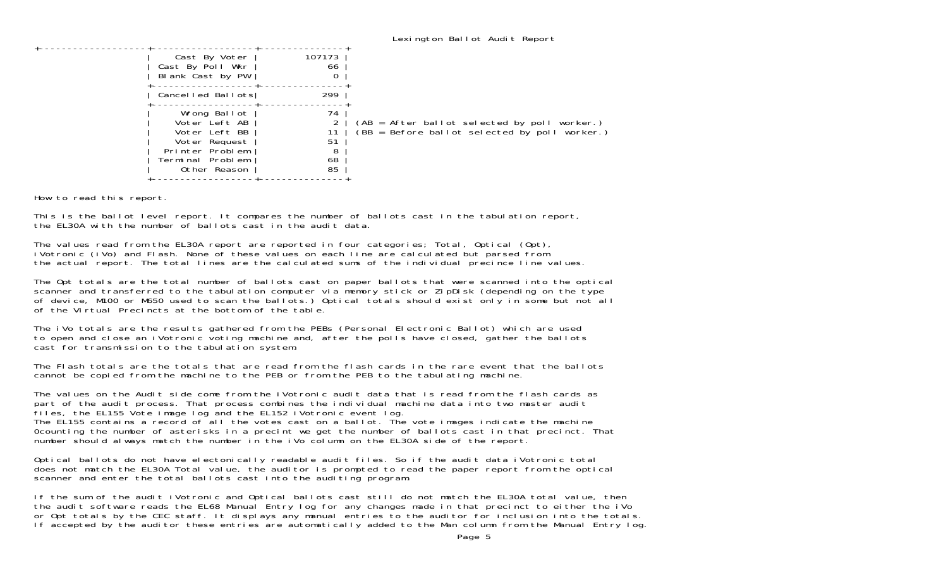| Cast By Voter<br>Cast By Poll Wkr<br>Blank Cast by PW<br>Cancelled Ballots                                             | 107173<br>66<br>299             |                                                                                               |
|------------------------------------------------------------------------------------------------------------------------|---------------------------------|-----------------------------------------------------------------------------------------------|
| Wrong Ballot<br>Voter Left AB<br>Voter Left BB<br>Voter Request<br>Printer Problem<br>Terminal Problem<br>Other Reason | 74<br>11<br>51<br>8<br>68<br>85 | (AB = After ballot selected by poll worker.)<br>(BB = Before ballot selected by poll worker.) |

How to read this report.

This is the ballot level report. It compares the number of ballots cast in the tabulation report, the EL30A with the number of ballots cast in the audit data.

The values read from the EL30A report are reported in four categories; Total, Optical (Opt), iVotronic (iVo) and Flash. None of these values on each line are calculated but parsed from the actual report. The total lines are the calculated sums of the individual precince line values.

The Opt totals are the total number of ballots cast on paper ballots that were scanned into the optical<br>scanner and transferred to the tabulation computer via memory stick or ZipDisk (depending on the type of device, M100 or M650 used to scan the ballots.) Optical totals should exist only in some but not all of the Virtual Precincts at the bottom of the table.

The iVo totals are the results gathered from the PEBs (Personal Electronic Ballot) which are used to open and close an iVotronic voting machine and, after the polls have closed, gather the ballots cast for transmission to the tabulation system.

The Flash totals are the totals that are read from the flash cards in the rare event that the ballotscannot be copied from the machine to the PEB or from the PEB to the tabulating machine.

The values on the Audit side come from the iVotronic audit data that is read from the flash cards as part of the audit process. That process combines the individual machine data into two master audit files, the EL155 Vote image log and the EL152 iVotronic event log. The EL155 contains a record of all the votes cast on a ballot. The vote images indicate the machine 0counting the number of asterisks in a precint we get the number of ballots cast in that precinct. That number should always match the number in the iVo column on the EL30A side of the report.

Optical ballots do not have electonically readable audit files. So if the audit data iVotronic total does not match the EL30A Total value, the auditor is prompted to read the paper report from the optical scanner and enter the total ballots cast into the auditing program.

If the sum of the audit iVotronic and Optical ballots cast still do not match the EL30A total value, then the audit software reads the EL68 Manual Entry log for any changes made in that precinct to either the iVo or Opt totals by the CEC staff. It displays any manual entries to the auditor for inclusion into the totals. If accepted by the auditor these entries are automatically added to the Man column from the Manual Entry log.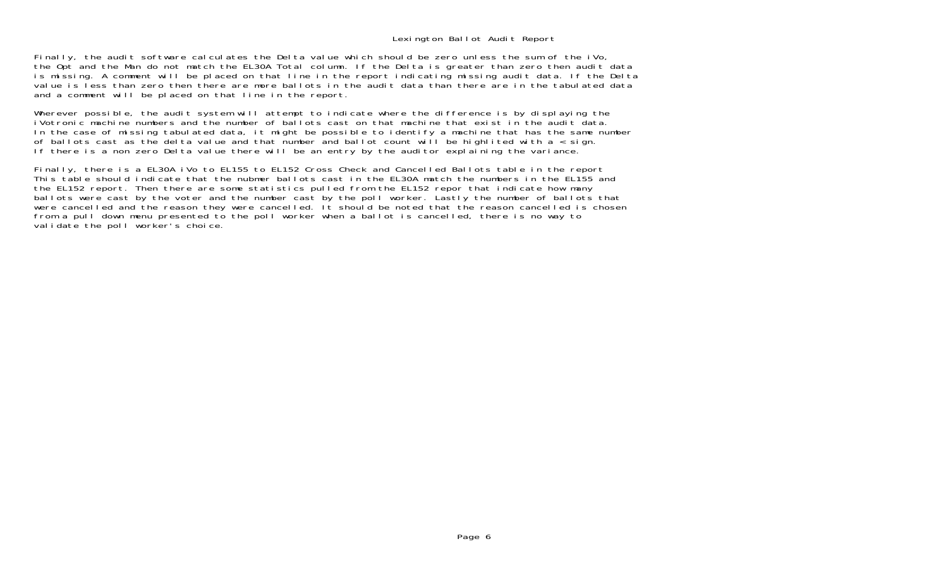## Lexington Ballot Audit Report

Finally, the audit software calculates the Delta value which should be zero unless the sum of the iVo, the Opt and the Man do not match the EL30A Total column. If the Delta is greater than zero then audit data is missing. A comment will be placed on that line in the report indicating missing audit data. If the Delta value is less than zero then there are more ballots in the audit data than there are in the tabulated data and a comment will be placed on that line in the report.

Wherever possible, the audit system will attempt to indicate where the difference is by displaying the iVotronic machine numbers and the number of ballots cast on that machine that exist in the audit data.In the case of missing tabulated data, it might be possible to identify a machine that has the same number of ballots cast as the delta value and that number and ballot count will be highlited with  $a <$  sign. If there is a non zero Delta value there will be an entry by the auditor explaining the variance.

Finally, there is a EL30A iVo to EL155 to EL152 Cross Check and Cancelled Ballots table in the report This table should indicate that the nubmer ballots cast in the EL30A match the numbers in the EL155 and the EL152 report. Then there are some statistics pulled from the EL152 repor that indicate how many ballots were cast by the voter and the number cast by the poll worker. Lastly the number of ballots that were cancelled and the reason they were cancelled. It should be noted that the reason cancelled is chosen from a pull down menu presented to the poll worker when a ballot is cancelled, there is no way to validate the poll worker's choice.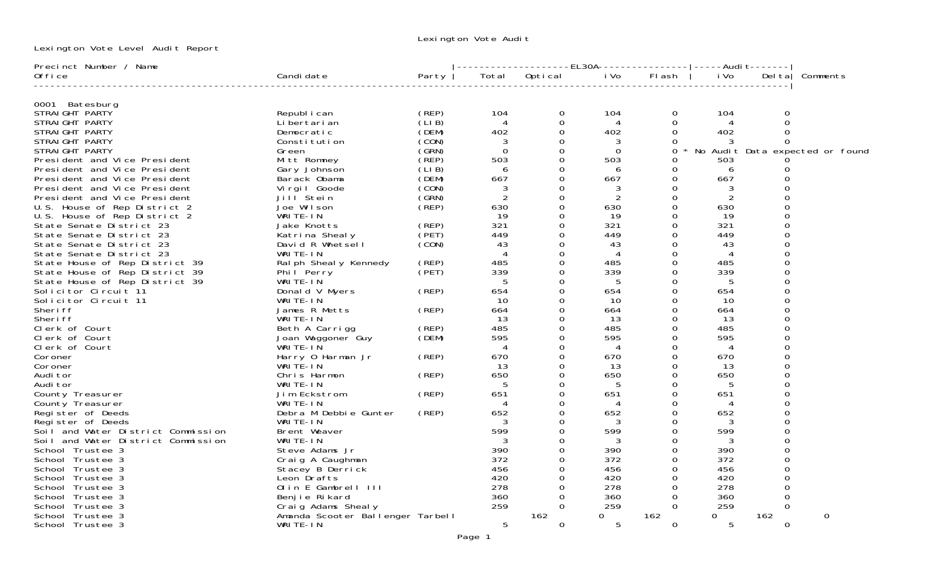Lexington Vote Audit

Lexington Vote Level Audit Report

| Precinct Number / Name                                 |                                    |       |                |               | --EL30A---------------- |               |                | -----Audi t------- |                                 |
|--------------------------------------------------------|------------------------------------|-------|----------------|---------------|-------------------------|---------------|----------------|--------------------|---------------------------------|
| 0ffi ce                                                | Candi date                         | Party | Total          | Optical       | i Vo                    | FI ash        | i Vo           | Del ta             | Comments                        |
| 0001 Batesburg                                         |                                    |       |                |               |                         |               |                |                    |                                 |
| STRAIGHT PARTY                                         | Republ i can                       | (REP) | 104            | 0             | 104                     | 0             | 104            | ∩                  |                                 |
| STRAIGHT PARTY                                         | Li bertari an                      | (LIB) | $\overline{A}$ | 0             | 4                       | $\Omega$      | $\overline{A}$ | ∩                  |                                 |
| STRAIGHT PARTY                                         | Democratic                         | (DEM) | 402            | $\Omega$      | 402                     | $\Omega$      | 402            |                    |                                 |
| STRAIGHT PARTY                                         | Constitution                       | (CON) | 3              | 0             | 3                       | 0             |                |                    |                                 |
| STRAIGHT PARTY                                         | Green                              | (GRN) | $\Omega$       | $\Omega$      | $\Omega$                | $\Omega$      |                |                    | No Audit Data expected or found |
| President and Vice President                           | Mitt Romney                        | (REP) | 503            | $\Omega$      | 503                     | 0             | 503            |                    |                                 |
| President and Vice President                           | Gary Johnson                       | (LIB) | 6              | $\Omega$      | 6                       | 0             | 6              |                    |                                 |
| President and Vice President                           | Barack Obama                       | (DEM) | 667            | $\Omega$      | 667                     | $\Omega$      | 667            | $\Omega$           |                                 |
| President and Vice President                           | Vi rgi I Goode                     | (CON) | 3              | $\Omega$      | 3                       | $\Omega$      |                |                    |                                 |
| President and Vice President                           | Jill <sup>Stein</sup>              | (SRN) | $\overline{2}$ | $\Omega$      | $\overline{2}$          | $\Omega$      | 2              |                    |                                 |
| U.S. House of Rep District 2                           | Joe Wilson                         | (REP) | 630            | $\Omega$      | 630                     | $\Omega$      | 630            |                    |                                 |
| U.S. House of Rep District 2                           | WRITE-IN                           |       | 19             | $\Omega$      | 19                      | $\Omega$      | -19            |                    |                                 |
| State Senate District 23                               | Jake Knotts                        | (REP) | 321            | $\Omega$      | 321                     | $\Omega$      | 321            |                    |                                 |
| State Senate District 23                               | Katrina Shealy                     | (PET) | 449            | $\Omega$      | 449                     | $\Omega$      | 449            |                    |                                 |
| State Senate District 23                               | David R Whetsell                   | (CON) | 43             | 0             | 43                      | $\Omega$      | 43             |                    |                                 |
| State Senate District 23                               | WRITE-IN                           |       | $\overline{4}$ | $\Omega$      | 4                       | $\Omega$      | 4              |                    |                                 |
| State House of Rep District 39                         |                                    | (REP) | 485            | 0             | 485                     | 0             | 485            | ∩                  |                                 |
|                                                        | Ralph Shealy Kennedy<br>Phil Perry | (PET) | 339            | $\Omega$      | 339                     | $\Omega$      | 339            |                    |                                 |
| State House of Rep District 39                         | WRITE-IN                           |       | 5              | $\Omega$      | 5                       | $\Omega$      | 5              | $\Omega$           |                                 |
| State House of Rep District 39<br>Solicitor Circuit 11 | Donald V Myers                     | (REP) | 654            | $\Omega$      | 654                     | $\Omega$      | 654            |                    |                                 |
|                                                        |                                    |       | 10             |               |                         |               |                | ∩                  |                                 |
| Solicitor Circuit 11                                   | WRITE-IN<br>James R Metts          |       |                | 0<br>$\Omega$ | 10                      | 0<br>0        | 10             | ∩                  |                                 |
| Sheri ff                                               |                                    | (REP) | 664            |               | 664                     |               | 664            | ∩                  |                                 |
| Sheri ff                                               | WRITE-IN                           |       | 13<br>485      | 0<br>$\Omega$ | 13                      | 0<br>$\Omega$ | 13<br>485      | $\Omega$           |                                 |
| Clerk of Court                                         | Beth A Carrigg                     | (REP) |                |               | 485                     |               |                | ∩                  |                                 |
| Clerk of Court                                         | Joan Waggoner Guy                  | (DEM) | 595            | $\Omega$      | 595                     | 0             | 595            |                    |                                 |
| Clerk of Court                                         | WRITE-IN                           |       | 4              | $\Omega$      | 4                       | 0             | 4              |                    |                                 |
| Coroner                                                | Harry 0 Harman Jr                  | (REP) | 670            | 0             | 670                     | 0             | 670            | ∩                  |                                 |
| Coroner                                                | WRITE-IN                           |       | 13             | 0             | 13                      | 0             | -13            |                    |                                 |
| Audi tor                                               | Chris Harmon                       | (REP) | 650            | 0             | 650                     | 0             | 650            |                    |                                 |
| Audi tor                                               | WRITE-IN                           |       | 5              | $\Omega$      | 5                       | $\Omega$      | .5             |                    |                                 |
| County Treasurer                                       | Jim Eckstrom                       | (REP) | 651            | 0             | 651                     | 0             | 651            | ∩                  |                                 |
| County Treasurer                                       | WRITE-IN                           |       | 4              | $\Omega$      | 4                       | 0             | 4              | ∩                  |                                 |
| Register of Deeds                                      | Debra M Debbie Gunter              | (REP) | 652            | 0             | 652                     | 0             | 652            |                    |                                 |
| Register of Deeds                                      | WRITE-IN                           |       |                | $\Omega$      |                         | $\Omega$      |                | $\Omega$           |                                 |
| Soil and Water District Commission                     | Brent Weaver                       |       | 599            | 0             | 599                     | 0             | 599            |                    |                                 |
| Soil and Water District Commission                     | WRITE-IN                           |       | 3              | $\Omega$      | 3                       | 0             |                |                    |                                 |
| School Trustee 3                                       | Steve Adams Jr                     |       | 390            | 0             | 390                     | 0             | 390            |                    |                                 |
| School Trustee 3                                       | Craig A Caughman                   |       | 372            | $\Omega$      | 372                     | $\Omega$      | 372            |                    |                                 |
| School Trustee 3                                       | Stacey B Derrick                   |       | 456            | $\Omega$      | 456                     | 0             | 456            |                    |                                 |
| School Trustee 3                                       | Leon Drafts                        |       | 420            | $\Omega$      | 420                     | $\Omega$      | 420            | $\Omega$           |                                 |
| School Trustee 3                                       | Olin E Gambrell III                |       | 278            | $\Omega$      | 278                     | $\Omega$      | 278            |                    |                                 |
| School Trustee 3                                       | Benjie Rikard                      |       | 360            | $\Omega$      | 360                     | $\Omega$      | 360            | ∩                  |                                 |
| School Trustee 3                                       | Craig Adams Shealy                 |       | 259            | $\Omega$      | 259                     | $\Omega$      | 259            | 0                  |                                 |
| School Trustee 3                                       | Amanda Scooter Ballenger Tarbell   |       |                | 162           | $\Omega$                | 162           | 0              | 162                | $\Omega$                        |
| School Trustee 3                                       | WRITE-IN                           |       | 5              | $\Omega$      | 5                       | $\Omega$      | 5              | 0                  |                                 |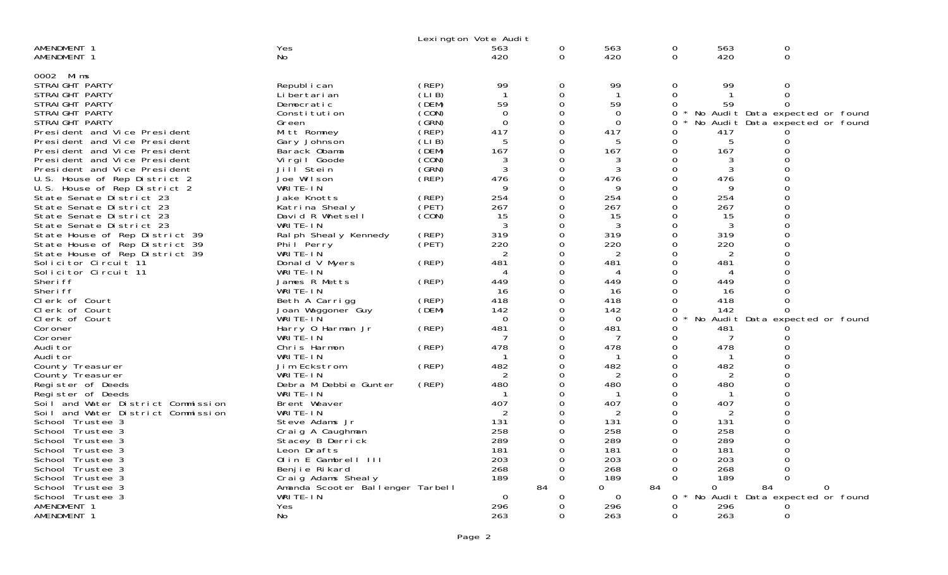|                                    |                                              |       | Lexington Vote Audit     |               |                 |               |              |                                       |   |  |
|------------------------------------|----------------------------------------------|-------|--------------------------|---------------|-----------------|---------------|--------------|---------------------------------------|---|--|
| AMENDMENT 1<br>AMENDMENT 1         | Yes<br>No                                    |       | 563<br>420               | 0<br>$\Omega$ | 563<br>420      | 0<br>$\Omega$ | 563<br>420   | 0<br>$\mathbf 0$                      |   |  |
|                                    |                                              |       |                          |               |                 |               |              |                                       |   |  |
| 0002 Mims<br>STRAIGHT PARTY        | Republ i can                                 | (REP) | 99                       | $\Omega$      | 99              | $\Omega$      | 99           | $\Omega$                              |   |  |
| STRAIGHT PARTY                     | Li bertari an                                | CLIB) | $\mathbf{1}$             | $\Omega$      |                 | $\Omega$      |              | $\Omega$                              |   |  |
| STRAIGHT PARTY                     | Democratic                                   | (DEM) | 59                       |               | 59              |               | 59           | 0                                     |   |  |
| STRAIGHT PARTY                     | Constitution                                 | (CON) | $\Omega$                 | 0             | $\Omega$        | 0             |              | No Audit Data expected or found       |   |  |
| STRAIGHT PARTY                     | Green                                        | (SRN) | $\Omega$                 | $\Omega$      | $\Omega$        |               |              | No Audit Data expected or found       |   |  |
| President and Vice President       | Mitt Romney                                  | (REP) | 417                      | $\Omega$      | 417             | O             | 417          |                                       |   |  |
| President and Vice President       | Gary Johnson                                 | (LIB) | 5                        | $\Omega$      | 5               | 0             | 5            | 0                                     |   |  |
| President and Vice President       | Barack Obama                                 | (DEM) | 167                      | 0             | 167             | 0             | 167          |                                       |   |  |
| President and Vice President       | Virgil Goode                                 | (CON) | 3                        | 0             | 3               | 0             | 3            |                                       |   |  |
| President and Vice President       | Jill Stein                                   | (GRN) | 3                        | 0             | 3               | $\Omega$      | 3            |                                       |   |  |
| U.S. House of Rep District 2       | Joe Wilson                                   | (REP) | 476                      | 0             | 476             | 0             | 476          | $\Omega$                              |   |  |
| U.S. House of Rep District 2       | WRITE-IN                                     |       |                          |               | 9               |               | 9            |                                       |   |  |
| State Senate District 23           | Jake Knotts                                  | (REP) | 254                      | 0             | 254             | 0             | 254          | 0                                     |   |  |
| State Senate District 23           | Katrina Shealy                               | (PET) | 267                      | $\Omega$      | 267             |               | 267          |                                       |   |  |
| State Senate District 23           | David R Whetsell                             | (CON) | 15                       | 0             | 15              | 0             | 15           |                                       |   |  |
| State Senate District 23           | WRITE-IN                                     |       | 3                        | 0             | 3               | $\Omega$      | 3            |                                       |   |  |
| State House of Rep District 39     | Ral ph Sheal y Kennedy                       | (REP) | 319                      | 0             | 319             | $\Omega$      | 319          |                                       |   |  |
| State House of Rep District 39     | Phil Perry                                   | (PET) | 220                      | 0             | 220             | $\Omega$      | 220          |                                       |   |  |
| State House of Rep District 39     | WRITE-IN                                     |       | 2                        | 0             | 2               |               | 2            |                                       |   |  |
| Solicitor Circuit 11               | Donald V Myers                               | (REP) | 481                      | 0             | 481             | 0             | 481          |                                       |   |  |
| Solicitor Circuit 11               | WRITE-IN                                     |       | $\boldsymbol{\varDelta}$ | 0             | 4               |               | 4            |                                       |   |  |
| Sheri ff                           | James R Metts                                | (REP) | 449                      | $\Omega$      | 449             |               | 449          |                                       |   |  |
| Sheri ff                           | WRITE-IN                                     |       | 16                       | $\Omega$      | 16              |               | 16           |                                       |   |  |
| Clerk of Court                     | Beth A Carrigg                               | (REP) | 418                      | 0             | 418             | $\Omega$      | 418          |                                       |   |  |
| Clerk of Court                     | Joan Waggoner Guy                            | (DEM) | 142                      | $\Omega$      | 142             | 0             | 142          |                                       |   |  |
| Clerk of Court                     | WRITE-IN                                     |       | $\Omega$                 | 0             | $\Omega$        | 0             |              | No Audit Data expected or found       |   |  |
| Coroner                            | Harry 0 Harman Jr                            | (REP) | 481                      | 0             | 481             | 0             | 481          |                                       |   |  |
| Coroner                            | WRITE-IN                                     |       |                          |               | -7              | 0             | 7            |                                       |   |  |
| Audi tor                           | Chris Harmon                                 | (REP) | 478                      | 0             | 478             | 0             | 478          |                                       |   |  |
| Audi tor                           | WRITE-IN                                     |       |                          | $\Omega$      |                 |               |              |                                       |   |  |
| County Treasurer                   | Jim Eckstrom                                 | (REP) | 482                      | $\Omega$      | 482             |               | 482          |                                       |   |  |
| County Treasurer                   | WRITE-IN                                     |       | 2                        | $\Omega$      | 2               |               | 2            |                                       |   |  |
| Register of Deeds                  | Debra M Debbie Gunter                        | (REP) | 480                      |               | 480             |               | 480          |                                       |   |  |
| Register of Deeds                  | WRITE-IN                                     |       |                          | 0             |                 |               |              |                                       |   |  |
| Soil and Water District Commission | Brent Weaver                                 |       | 407                      |               | 407             |               | 407          |                                       |   |  |
| Soil and Water District Commission | WRITE-IN                                     |       | 2                        | 0             | 2               | 0             | 2            |                                       |   |  |
| School Trustee 3                   | Steve Adams Jr                               |       | 131                      |               | 131             |               | 131          |                                       |   |  |
| School Trustee 3                   | Craig A Caughman                             |       | 258                      | 0             | 258             |               | 258          |                                       |   |  |
| School Trustee 3                   | Stacey B Derrick                             |       | 289                      |               | 289             |               | 289          |                                       |   |  |
| School Trustee 3                   | Leon Drafts                                  |       | 181                      | $\Omega$      | 181             |               | 181          |                                       |   |  |
| School Trustee 3                   | Olin E Gambrell III                          |       | 203                      |               | 203             |               | 203          |                                       |   |  |
| School Trustee 3                   | Benjie Rikard                                |       | 268                      | 0             | 268             | $\Omega$      | 268          | ∩                                     |   |  |
| School Trustee 3                   | Craig Adams Shealy                           |       | 189                      | 0<br>84       | 189<br>$\Omega$ | 84            | 189          |                                       |   |  |
| School Trustee 3                   | Amanda Scooter Ballenger Tarbell<br>WRITE-IN |       | -0                       |               | $\Omega$        | $\mathbf{0}$  | 0<br>$\star$ | 84<br>No Audit Data expected or found | 0 |  |
| School Trustee 3<br>AMENDMENT 1    | <b>Yes</b>                                   |       | 296                      | 0<br>0        | 296             | 0             | 296          |                                       |   |  |
| AMENDMENT 1                        | No                                           |       | 263                      | 0             | 263             | 0             | 263          | 0                                     |   |  |
|                                    |                                              |       |                          |               |                 |               |              |                                       |   |  |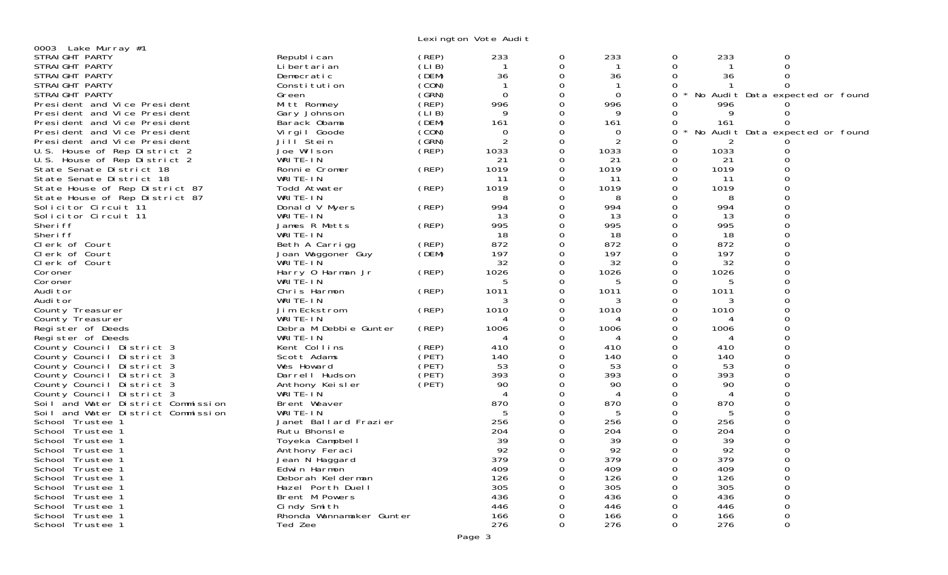Lexington Vote Audit

| 0003 Lake Murray #1                |                             |        |                          |          |                |          |      |                                 |  |
|------------------------------------|-----------------------------|--------|--------------------------|----------|----------------|----------|------|---------------------------------|--|
| STRAIGHT PARTY                     | Republ i can                | (REP)  | 233                      | 0        | 233            | 0        | 233  | 0                               |  |
| STRAIGHT PARTY                     | Li bertari an               | (LIB)  |                          | $\Omega$ |                | $\Omega$ |      | $\Omega$                        |  |
| STRAIGHT PARTY                     | Democratic                  | (DEM)  | 36                       | 0        | 36             | 0        | 36   | $\Omega$                        |  |
| STRAIGHT PARTY                     | Constitution                | (CON)  | $\mathbf{1}$             | 0        | $\overline{1}$ | 0        |      |                                 |  |
| STRAIGHT PARTY                     | Green                       | (GRN)  | $\Omega$                 | $\Omega$ | $\Omega$       | 0        |      | No Audit Data expected or found |  |
|                                    |                             | (REP)  | 996                      | $\Omega$ | 996            | 0        | 996  |                                 |  |
| President and Vice President       | Mitt Romney                 |        |                          | 0        |                |          |      |                                 |  |
| President and Vice President       | Gary Johnson                | (LI B) | 9                        |          | 9              | $\Omega$ | 9    | 0                               |  |
| President and Vice President       | Barack Obama                | (DEM)  | 161                      | 0        | 161            | 0        | 161  | 0                               |  |
| President and Vice President       | Vi rgi I Goode              | (CON)  | $\Omega$                 | $\Omega$ | 0              | $\Omega$ |      | No Audit Data expected or found |  |
| President and Vice President       | Jill Stein                  | (SRN)  | $\overline{2}$           | $\Omega$ | 2              | $\Omega$ |      |                                 |  |
| U.S. House of Rep District 2       | Joe Wilson                  | (REP)  | 1033                     | $\Omega$ | 1033           | 0        | 1033 | Ω                               |  |
| U.S. House of Rep District 2       | WRITE-IN                    |        | 21                       | $\Omega$ | 21             | $\Omega$ | 21   | $\Omega$                        |  |
| State Senate District 18           | Ronnie Cromer               | (REP)  | 1019                     | 0        | 1019           | 0        | 1019 | $\Omega$                        |  |
| State Senate District 18           | WRITE-IN                    |        | 11                       | $\Omega$ | -11            | $\Omega$ | 11   | $\Omega$                        |  |
| State House of Rep District 87     | Todd Atwater                | (REP)  | 1019                     | 0        | 1019           | 0        | 1019 | $\Omega$                        |  |
| State House of Rep District 87     | WRITE-IN                    |        | 8                        | 0        | 8              | 0        | 8    | $\Omega$                        |  |
| Solicitor Circuit 11               | Donald V Myers              | (REP)  | 994                      | 0        | 994            | 0        | 994  | $\Omega$                        |  |
| Solicitor Circuit 11               | WRITE-IN                    |        | 13                       | $\Omega$ | 13             | $\Omega$ | 13   | $\Omega$                        |  |
| Sheri ff                           | James R Metts               | (REP)  | 995                      | 0        | 995            | 0        | 995  | $\Omega$                        |  |
| Sheri ff                           | WRITE-IN                    |        | 18                       | $\Omega$ | 18             | 0        | 18   | $\Omega$                        |  |
|                                    |                             | (REP)  | 872                      | 0        | 872            | $\Omega$ | 872  | $\Omega$                        |  |
| Clerk of Court                     | Beth A Carrigg              |        |                          |          |                |          |      |                                 |  |
| Clerk of Court                     | Joan Waggoner Guy           | (DEM)  | 197                      | 0        | 197            | 0        | 197  | $\Omega$                        |  |
| Clerk of Court                     | WRITE-IN                    |        | 32                       | 0        | 32             | 0        | 32   | $\Omega$                        |  |
| Coroner                            | Harry 0 Harman Jr           | (REP)  | 1026                     | 0        | 1026           | 0        | 1026 | 0                               |  |
| Coroner                            | WRITÉ-IN                    |        | 5                        | $\Omega$ | 5              | 0        | 5    | $\Omega$                        |  |
| Audi tor                           | Chris Harmon                | (REP)  | 1011                     | $\Omega$ | 1011           | 0        | 1011 | $\Omega$                        |  |
| Audi tor                           | WRITE-IN                    |        | 3                        | $\Omega$ | 3              | $\Omega$ | 3    | $\Omega$                        |  |
| County Treasurer                   | Jim Eckstrom                | (REP)  | 1010                     | $\Omega$ | 1010           | 0        | 1010 | $\Omega$                        |  |
| County Treasurer                   | WRITE-IN                    |        | 4                        | 0        | 4              | 0        | 4    | $\Omega$                        |  |
| Register of Deeds                  | Debra M Debbie Gunter       | (REP)  | 1006                     | 0        | 1006           | $\Omega$ | 1006 | $\Omega$                        |  |
| Register of Deeds                  | WRITE-IN                    |        | $\boldsymbol{\varDelta}$ | O        | 4              | $\Omega$ | 4    | $\Omega$                        |  |
| County Council District 3          | Kent Collins                | (REP)  | 410                      | 0        | 410            | 0        | 410  | $\Omega$                        |  |
| County Council District 3          | Scott Adams                 | (PET)  | 140                      | 0        | 140            | 0        | 140  | 0                               |  |
| County Council District 3          | Wes Howard                  | (PET)  | 53                       | $\Omega$ | 53             | 0        | 53   | $\Omega$                        |  |
| County Council District 3          | Darrell Hudson              | (PET)  | 393                      | $\Omega$ | 393            | $\Omega$ | 393  | $\Omega$                        |  |
| County Council District 3          |                             | (PET)  | 90                       | $\Omega$ | 90             | 0        | 90   | $\Omega$                        |  |
| County Council District 3          | Anthony Keisler<br>WRITE-IN |        | 4                        | $\Omega$ | 4              | 0        | 4    | $\Omega$                        |  |
| Soil and Water District Commission | Brent Weaver                |        | 870                      | 0        | 870            | $\Omega$ | 870  | $\Omega$                        |  |
| Soil and Water District Commission | WRITE-IN                    |        | 5                        | 0        | 5              | $\Omega$ | 5    | $\Omega$                        |  |
|                                    |                             |        |                          | 0        |                |          |      | $\Omega$                        |  |
| School Trustee 1                   | Janet Ballard Frazier       |        | 256                      |          | 256            | 0        | 256  | $\Omega$                        |  |
| School Trustee 1                   | Rutu Bhonsle                |        | 204                      | $\Omega$ | 204            | $\Omega$ | 204  |                                 |  |
| School Trustee 1                   | Toyeka Campbell             |        | 39                       | 0        | 39             | 0        | 39   | 0                               |  |
| School Trustee 1                   | Anthony Feraci              |        | 92                       | $\Omega$ | 92             | $\Omega$ | 92   | $\Omega$                        |  |
| School Trustee 1                   | Jean N Haggard              |        | 379                      | $\Omega$ | 379            | $\Omega$ | 379  | $\Omega$                        |  |
| School Trustee 1                   | Edwin Harmon                |        | 409                      | 0        | 409            | 0        | 409  | $\Omega$                        |  |
| School Trustee 1                   | Deborah Kelderman           |        | 126                      | $\Omega$ | 126            | $\Omega$ | 126  | $\Omega$                        |  |
| School Trustee 1                   | Hazel Porth Duell           |        | 305                      | 0        | 305            | 0        | 305  | $\Omega$                        |  |
| School Trustee 1                   | Brent M Powers              |        | 436                      | $\Omega$ | 436            | 0        | 436  | $\Omega$                        |  |
| School Trustee 1                   | Cindy Smith                 |        | 446                      | 0        | 446            | 0        | 446  | 0                               |  |
| School Trustee 1                   | Rhonda Wannamaker Gunter    |        | 166                      | $\Omega$ | 166            | 0        | 166  | 0                               |  |
| School Trustee 1                   | Ted Zee                     |        | 276                      | $\Omega$ | 276            | $\Omega$ | 276  | $\Omega$                        |  |
|                                    |                             |        |                          |          |                |          |      |                                 |  |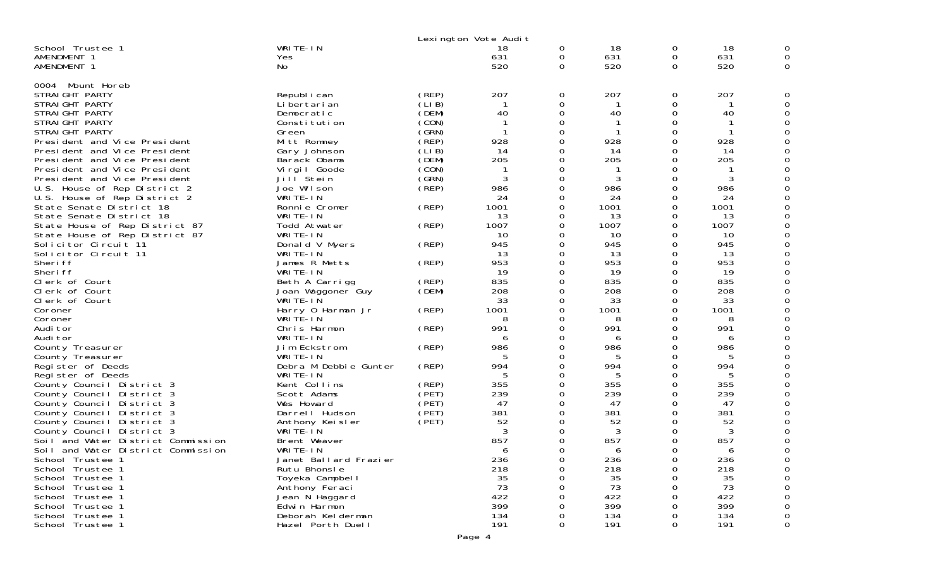|                                    |                       |        | Lexington Vote Audit |          |      |          |      |          |
|------------------------------------|-----------------------|--------|----------------------|----------|------|----------|------|----------|
| School Trustee 1                   | WRITE-IN              |        | 18                   | 0        | 18   | 0        | 18   | 0        |
| AMENDMENT 1                        | Yes                   |        | 631                  | 0        | 631  | 0        | 631  | 0        |
| AMENDMENT 1                        | No.                   |        | 520                  | 0        | 520  | 0        | 520  | 0        |
|                                    |                       |        |                      |          |      |          |      |          |
| Mount Horeb<br>0004                |                       |        |                      |          |      |          |      |          |
| STRAIGHT PARTY                     | Republ i can          | (REP)  | 207                  | 0        | 207  | 0        | 207  | 0        |
| STRAIGHT PARTY                     | Li bertari an         | (LI B) |                      | 0        | -1   | 0        |      |          |
| STRAIGHT PARTY                     | Democratic            | (DEM)  | 40                   | 0        | 40   | 0        | 40   | O        |
| STRAIGHT PARTY                     | Constitution          | (CON)  |                      | 0        |      | 0        |      | 0        |
| STRAIGHT PARTY                     | Green                 | (GRN)  |                      | 0        | -1   | 0        | -1   | 0        |
| President and Vice President       | Mitt Romney           | (REP)  | 928                  | $\Omega$ | 928  | 0        | 928  | $\Omega$ |
| President and Vice President       | Gary Johnson          | (LIB)  | 14                   | $\Omega$ | 14   | 0        | 14   | 0        |
| President and Vice President       | Barack Obama          | (DEM)  | 205                  | 0        | 205  | 0        | 205  | 0        |
| President and Vice President       | Vi rgi I Goode        | (CON)  |                      | 0        |      | 0        |      | $\Omega$ |
| President and Vice President       | Jill <sup>Stein</sup> | (GRN)  | 3                    | 0        | 3    | 0        | 3    |          |
| U.S. House of Rep District 2       | Joe Wilson            | (REP)  | 986                  | 0        | 986  | 0        | 986  |          |
| U.S. House of Rep District 2       | WRITE-IN              |        | 24                   | $\Omega$ | 24   | 0        | 24   | O        |
| State Senate District 18           | Ronnie Cromer         | (REP)  | 1001                 | $\Omega$ | 1001 | 0        | 1001 | 0        |
| State Senate District 18           | WRITE-IN              |        | 13                   | 0        | 13   | 0        | 13   |          |
| State House of Rep District 87     | Todd Atwater          | (REP)  | 1007                 | $\Omega$ | 1007 | 0        | 1007 | O        |
| State House of Rep District 87     | WRITE-IN              |        | 10                   | 0        | 10   | 0        | 10   |          |
| Solicitor Circuit 11               | Donald V Myers        | (REP)  | 945                  | 0        | 945  | 0        | 945  | 0        |
| Solicitor Circuit 11               | WRITE-IN              |        | 13                   | $\Omega$ | 13   | 0        | 13   | O        |
| Sheri ff                           | James R Metts         | (REP)  | 953                  | 0        | 953  | 0        | 953  | 0        |
| Sheri ff                           | WRITE-IN              |        | 19                   | 0        | 19   | 0        | 19   | 0        |
| Clerk of Court                     | Beth A Carrigg        | (REP)  | 835                  | 0        | 835  | 0        | 835  | O        |
| Clerk of Court                     | Joan Waggoner Guy     | (DEM)  | 208                  | 0        | 208  | 0        | 208  |          |
| Clerk of Court                     | WRITE-IN              |        | 33                   | 0        | 33   | 0        | 33   | 0        |
| Coroner                            | Harry 0 Harman Jr     | (REP)  | 1001                 | 0        | 1001 | 0        | 1001 | O        |
| Coroner                            | WRITE-IN              |        | 8                    | $\Omega$ | 8    | 0        | 8    |          |
| Audi tor                           | Chris Harmon          | (REP)  | 991                  | 0        | 991  | 0        | 991  | 0        |
| Audi tor                           | WRITE-IN              |        | 6                    | 0        | 6    | 0        | 6    | 0        |
| County Treasurer                   | Jim Eckstrom          | (REP)  | 986                  | 0        | 986  | 0        | 986  | 0        |
| County Treasurer                   | WRITE-IN              |        | 5                    | 0        | 5    | 0        | 5    | 0        |
| Register of Deeds                  | Debra M Debbie Gunter | (REP)  | 994                  | 0        | 994  | 0        | 994  | O        |
| Register of Deeds                  | WRITE-IN              |        | 5                    | 0        | 5    | 0        | 5    | 0        |
| County Council District 3          | Kent Collins          | (REP)  | 355                  | 0        | 355  | 0        | 355  | O        |
| County Council District 3          | Scott Adams           | (PET)  | 239                  | $\Omega$ | 239  | 0        | 239  | 0        |
| County Council District 3          | Wes Howard            | (PET)  | 47                   | 0        | 47   | $\Omega$ | 47   |          |
| County Council District 3          | Darrel I Hudson       | (PET)  | 381                  | 0        | 381  | 0        | 381  |          |
| County Council District 3          | Anthony Keisler       | (PET)  | 52                   | $\Omega$ | 52   | 0        | 52   | 0        |
| County Council District 3          | WRITE-IN              |        | 3                    | 0        | 3    | 0        | 3    |          |
| Soil and Water District Commission | Brent Weaver          |        | 857                  | 0        | 857  | 0        | 857  | 0        |
| Soil and Water District Commission | WRITE-IN              |        | 6                    | 0        | 6    | 0        | 6    | 0        |
| School Trustee 1                   | Janet Ballard Frazier |        | 236                  | 0        | 236  | 0        | 236  |          |
| School Trustee 1                   | Rutu Bhonsle          |        | 218                  | 0        | 218  | 0        | 218  | 0        |
| School Trustee 1                   | Toyeka Campbell       |        | 35                   | 0        | 35   | 0        | 35   | 0        |
| School Trustee 1                   | Anthony Feraci        |        | 73                   | 0        | 73   | 0        | 73   | 0        |
| School Trustee 1                   | Jean N Haggard        |        | 422                  | 0        | 422  | 0        | 422  | 0        |
| School Trustee 1                   | Edwin Harmon          |        | 399                  | 0        | 399  | 0        | 399  | 0        |
| School Trustee 1                   | Deborah Kelderman     |        | 134                  | 0        | 134  | 0        | 134  | 0        |
| School Trustee 1                   | Hazel Porth Duell     |        | 191                  | 0        | 191  | 0        | 191  | 0        |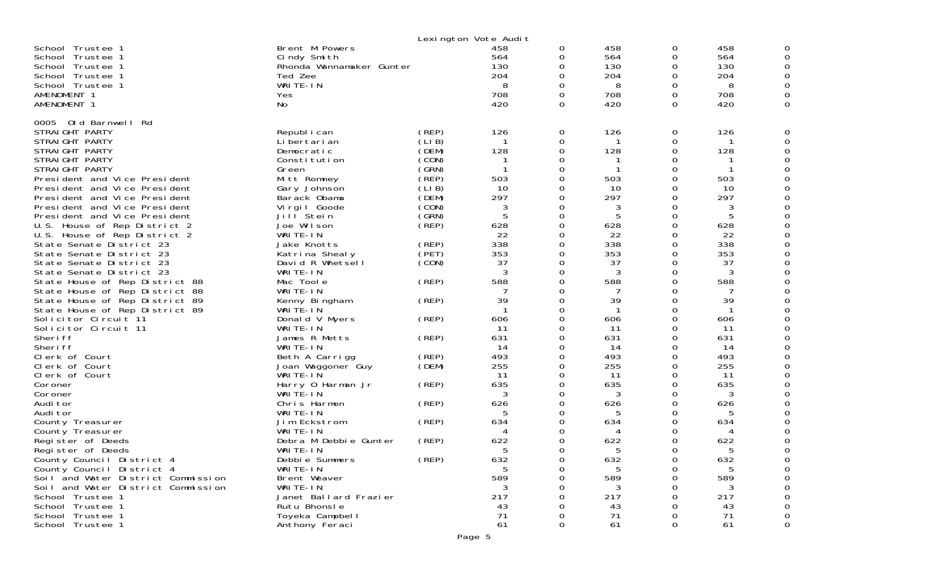|                                                                                                                                                                                                                                                                                                                                                                                                                                                                                                                                                                                                                                                                                                                                                                                                                                                                                                                                                                                                                                                                           |                                                                                                                                                                                                                                                                                                                                                                                                                                                                                                                                                                                                                                                                      | Lexington Vote Audit                                                                                                                                                                                                           |                                                                                                                                                                                                                                       |                                                                                                                                                                                                                                                                 |                                                                                                                                                                                                                                      |                                                                                                                                                                                                                              |                                                                                                                                                                                                                                      |                                                                                                                                                                                                                |
|---------------------------------------------------------------------------------------------------------------------------------------------------------------------------------------------------------------------------------------------------------------------------------------------------------------------------------------------------------------------------------------------------------------------------------------------------------------------------------------------------------------------------------------------------------------------------------------------------------------------------------------------------------------------------------------------------------------------------------------------------------------------------------------------------------------------------------------------------------------------------------------------------------------------------------------------------------------------------------------------------------------------------------------------------------------------------|----------------------------------------------------------------------------------------------------------------------------------------------------------------------------------------------------------------------------------------------------------------------------------------------------------------------------------------------------------------------------------------------------------------------------------------------------------------------------------------------------------------------------------------------------------------------------------------------------------------------------------------------------------------------|--------------------------------------------------------------------------------------------------------------------------------------------------------------------------------------------------------------------------------|---------------------------------------------------------------------------------------------------------------------------------------------------------------------------------------------------------------------------------------|-----------------------------------------------------------------------------------------------------------------------------------------------------------------------------------------------------------------------------------------------------------------|--------------------------------------------------------------------------------------------------------------------------------------------------------------------------------------------------------------------------------------|------------------------------------------------------------------------------------------------------------------------------------------------------------------------------------------------------------------------------|--------------------------------------------------------------------------------------------------------------------------------------------------------------------------------------------------------------------------------------|----------------------------------------------------------------------------------------------------------------------------------------------------------------------------------------------------------------|
| School Trustee 1<br>School Trustee 1<br>School Trustee 1<br>School Trustee 1<br>School Trustee 1<br>AMENDMENT 1<br>AMENDMENT 1                                                                                                                                                                                                                                                                                                                                                                                                                                                                                                                                                                                                                                                                                                                                                                                                                                                                                                                                            | Brent M Powers<br>Cindy Smith<br>Rhonda Wannamaker Gunter<br>Ted Zee<br>WRITE-IN<br>Yes<br>No                                                                                                                                                                                                                                                                                                                                                                                                                                                                                                                                                                        |                                                                                                                                                                                                                                | 458<br>564<br>130<br>204<br>8<br>708<br>420                                                                                                                                                                                           | 0<br>0<br>O<br>0<br>O<br>0<br>0                                                                                                                                                                                                                                 | 458<br>564<br>130<br>204<br>8<br>708<br>420                                                                                                                                                                                          | 0<br>0<br>0<br>0<br>0<br>0<br>0                                                                                                                                                                                              | 458<br>564<br>130<br>204<br>8<br>708<br>420                                                                                                                                                                                          | 0<br>0<br>0<br>0<br>0<br>0<br>0                                                                                                                                                                                |
| Old Barnwell Rd<br>0005<br>STRAIGHT PARTY<br>STRAIGHT PARTY<br>STRAIGHT PARTY<br>STRAIGHT PARTY<br>STRAIGHT PARTY<br>President and Vice President<br>President and Vice President<br>President and Vice President<br>President and Vice President<br>President and Vice President<br>U.S. House of Rep District 2<br>U.S. House of Rep District 2<br>State Senate District 23<br>State Senate District 23<br>State Senate District 23<br>State Senate District 23<br>State House of Rep District 88<br>State House of Rep District 88<br>State House of Rep District 89<br>State House of Rep District 89<br>Solicitor Circuit 11<br>Solicitor Circuit 11<br>Sheri ff<br>Sheri ff<br>Clerk of Court<br>Clerk of Court<br>Clerk of Court<br>Coroner<br>Coroner<br>Audi tor<br>Audi tor<br>County Treasurer<br>County Treasurer<br>Register of Deeds<br>Register of Deeds<br>County Council District 4<br>County Council District 4<br>Soil and Water District Commission<br>Soil and Water District Commission<br>School Trustee 1<br>School Trustee 1<br>School Trustee 1 | Republ i can<br>Li bertari an<br>Democratic<br>Constitution<br>Green<br>Mitt Romney<br>Gary Johnson<br>Barack Obama<br>Virgil Goode<br>Jill Stein<br>Joe Wilson<br>WRITE-IN<br>Jake Knotts<br>Katrina Shealy<br>David R Whetsell<br>WRITE-IN<br>Mac Toole<br>WRITE-IN<br>Kenny Bingham<br>WRITE-IN<br>Donald V Myers<br>WRITE-IN<br>James R Metts<br>WRITE-IN<br>Beth A Carrigg<br>Joan Waggoner Guy<br>WRITE-IN<br>Harry 0 Harman Jr<br>WRITE-IN<br>Chris Harmon<br>WRITE-IN<br>Jim Eckstrom<br>WRITE-IN<br>Debra M Debbie Gunter<br>WRITE-IN<br>Debbie Summers<br>WRITE-IN<br>Brent Weaver<br>WRITE-IN<br>Janet Ballard Frazier<br>Rutu Bhonsle<br>Toyeka Campbell | (REP)<br>(LI B)<br>(DEM)<br>(CON)<br>(GRN)<br>(REP)<br>(LIB)<br>(DEM)<br>(CON)<br>(GRN)<br>(REP)<br>(REP)<br>(PET)<br>(CON)<br>(REP)<br>(REP)<br>(REP)<br>(REP)<br>(REP)<br>(DEM)<br>(REP)<br>(REP)<br>(REP)<br>(REP)<br>(REP) | 126<br>128<br>503<br>10<br>297<br>3<br>5<br>628<br>22<br>338<br>353<br>37<br>3<br>588<br>7<br>39<br>606<br>-11<br>631<br>14<br>493<br>255<br>11<br>635<br>3<br>626<br>5<br>634<br>4<br>622<br>632<br>5<br>589<br>3<br>217<br>43<br>71 | 0<br>0<br>0<br>0<br>$\Omega$<br>0<br>$\Omega$<br>O<br>0<br>0<br>0<br>0<br>O<br>O<br>0<br>$\Omega$<br>O<br>0<br>ი<br>$\Omega$<br>0<br>O<br>$\Omega$<br>0<br>0<br>O<br>0<br>0<br>$\Omega$<br>0<br>0<br>ი<br>0<br>0<br>$\Omega$<br>0<br>0<br>0<br>0<br>0<br>0<br>0 | 126<br>128<br>503<br>10<br>297<br>3<br>5<br>628<br>22<br>338<br>353<br>37<br>3<br>588<br>7<br>39<br>606<br>11<br>631<br>14<br>493<br>255<br>11<br>635<br>3<br>626<br>5<br>634<br>4<br>622<br>632<br>5<br>589<br>3<br>217<br>43<br>71 | 0<br>0<br>0<br>0<br>0<br>0<br>0<br>0<br>0<br>0<br>0<br>0<br>0<br>0<br>0<br>$\Omega$<br>0<br>0<br>O<br>0<br>0<br>0<br>O<br>0<br>0<br>0<br>0<br>0<br>0<br>0<br>0<br>0<br>Ω<br>0<br>$\Omega$<br>0<br>0<br>Ω<br>0<br>ი<br>ი<br>0 | 126<br>128<br>503<br>10<br>297<br>3<br>5<br>628<br>22<br>338<br>353<br>37<br>3<br>588<br>7<br>39<br>606<br>11<br>631<br>14<br>493<br>255<br>11<br>635<br>3<br>626<br>5<br>634<br>4<br>622<br>632<br>5<br>589<br>3<br>217<br>43<br>71 | 0<br>0<br>0<br>0<br>0<br>0<br>0<br>0<br>0<br>0<br>0<br>0<br>0<br>0<br>0<br>0<br>0<br>0<br>0<br>0<br>0<br>0<br>0<br>0<br>0<br>0<br>0<br>0<br>0<br>0<br>0<br>0<br>0<br>0<br>0<br>0<br>0<br>0<br>0<br>0<br>0<br>0 |
| School Trustee 1                                                                                                                                                                                                                                                                                                                                                                                                                                                                                                                                                                                                                                                                                                                                                                                                                                                                                                                                                                                                                                                          | Anthony Feraci                                                                                                                                                                                                                                                                                                                                                                                                                                                                                                                                                                                                                                                       |                                                                                                                                                                                                                                | 61                                                                                                                                                                                                                                    | 0                                                                                                                                                                                                                                                               | 61                                                                                                                                                                                                                                   | 0                                                                                                                                                                                                                            | 61                                                                                                                                                                                                                                   | 0                                                                                                                                                                                                              |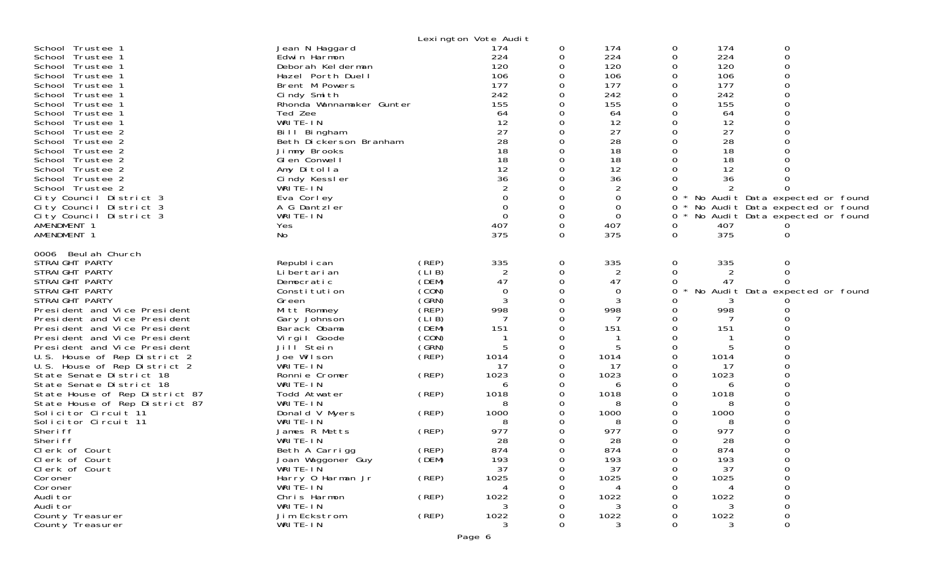|                                |                          |       | Lexington Vote Audit |          |                |   |      |                                 |  |
|--------------------------------|--------------------------|-------|----------------------|----------|----------------|---|------|---------------------------------|--|
| School Trustee 1               | Jean N Haggard           |       | 174                  | 0        | 174            | 0 | 174  | 0                               |  |
| School Trustee 1               | Edwin Harmon             |       | 224                  | 0        | 224            | 0 | 224  | $\Omega$                        |  |
| School Trustee 1               | Deborah Kelderman        |       | 120                  |          | 120            |   | 120  | $\Omega$                        |  |
| School Trustee 1               | Hazel Porth Duell        |       | 106                  |          | 106            |   | 106  | $\Omega$                        |  |
| School Trustee 1               | Brent M Powers           |       | 177                  |          | 177            |   | 177  |                                 |  |
| School Trustee 1               | Cindy Smith              |       | 242                  | 0        | 242            | 0 | 242  |                                 |  |
| School Trustee 1               | Rhonda Wannamaker Gunter |       | 155                  | 0        | 155            |   | 155  |                                 |  |
| School Trustee 1               | Ted Zee                  |       | 64                   | 0        | 64             | 0 | 64   |                                 |  |
| School Trustee 1               | WRITE-IN                 |       | 12                   | 0        | 12             | 0 | 12   |                                 |  |
| School Trustee 2               | Bill Bingham             |       | 27                   | 0        | 27             | 0 | 27   |                                 |  |
| School Trustee 2               | Beth Dickerson Branham   |       | 28                   | 0        | 28             | 0 | 28   |                                 |  |
| School Trustee 2               | Jimmy Brooks             |       | 18                   | $\Omega$ | 18             | 0 | 18   |                                 |  |
| School Trustee 2               | GI en Conwell            |       | 18                   | 0        | 18             |   | 18   |                                 |  |
| School Trustee 2               | Amy Ditolla              |       | 12                   |          | 12             |   | 12   |                                 |  |
| School Trustee 2               | Cindy Kessler            |       | 36                   | $\Omega$ | 36             |   | 36   |                                 |  |
| School Trustee 2               | WRITE-IN                 |       | 2                    |          | $\overline{2}$ |   | 2    |                                 |  |
| City Council District 3        | Eva Corley               |       |                      |          | 0              | 0 |      | No Audit Data expected or found |  |
| City Council District 3        | A G Dantzler             |       | $\Omega$             | $\Omega$ | 0              | 0 |      | No Audit Data expected or found |  |
| City Council District 3        | WRITE-IN                 |       | $\Omega$             | 0        | $\mathbf 0$    | 0 |      | No Audit Data expected or found |  |
| AMENDMENT 1                    | Yes                      |       | 407                  | 0        | 407            | 0 | 407  |                                 |  |
| AMENDMENT 1                    | No                       |       | 375                  | $\Omega$ | 375            | 0 | 375  | 0                               |  |
|                                |                          |       |                      |          |                |   |      |                                 |  |
| 0006 Beul ah Church            |                          |       |                      |          |                |   |      |                                 |  |
| STRAIGHT PARTY                 | Republ i can             | (REP) | 335                  | 0        | 335            | 0 | 335  | 0                               |  |
| STRAIGHT PARTY                 | Li bertari an            | (LIB) | 2                    | 0        | 2              | 0 | 2    | 0                               |  |
| STRAIGHT PARTY                 | Democratic               | (DEM) | 47                   | 0        | 47             | 0 | 47   | 0                               |  |
| STRAIGHT PARTY                 | Constitution             | (CON) | $\Omega$             | $\Omega$ | 0              | 0 |      | No Audit Data expected or found |  |
| STRAIGHT PARTY                 | Green                    | (GRN) | 3                    | 0        | 3              |   |      |                                 |  |
| President and Vice President   | Mitt Romney              | (REP) | 998                  | 0        | 998            | 0 | 998  |                                 |  |
| President and Vice President   | Gary Johnson             | (LIB) |                      | $\Omega$ |                |   |      |                                 |  |
| President and Vice President   | Barack Obama             | (DEM) | 151                  | 0        | 151            |   | 151  |                                 |  |
| President and Vice President   | Virgil Goode             | (CON) |                      |          |                |   |      |                                 |  |
| President and Vice President   | Jill <sup>Stein</sup>    | (GRN) |                      | 0        | 5              | 0 | 5    |                                 |  |
| U.S. House of Rep District 2   | Joe Wilson               | (REP) | 1014                 | 0        | 1014           | 0 | 1014 |                                 |  |
| U.S. House of Rep District 2   | WRITE-IN                 |       | 17                   | 0        | 17             |   | -17  |                                 |  |
| State Senate District 18       | Ronnie Cromer            | (REP) | 1023                 | 0        | 1023           | 0 | 1023 |                                 |  |
| State Senate District 18       | WRITE-IN                 |       | 6                    | 0        | 6              |   | 6    |                                 |  |
| State House of Rep District 87 | Todd Atwater             | (REP) | 1018                 |          | 1018           |   | 1018 |                                 |  |
| State House of Rep District 87 | WRITE-IN                 |       |                      |          | 8              |   | 8    |                                 |  |
| Solicitor Circuit 11           | Donald V Myers           | (REP) | 1000                 | 0        | 1000           |   | 1000 |                                 |  |
| Solicitor Circuit 11           | WRITE-IN                 |       | 8                    |          | 8              |   | 8    |                                 |  |
| Sheri ff                       | James R Metts            | (REP) | 977                  |          | 977            |   | 977  |                                 |  |
| Sheri ff                       | WRITE-IN                 |       | 28                   |          | 28             |   | 28   |                                 |  |
| Clerk of Court                 | Beth A Carrigg           | (REP) | 874                  |          | 874            |   | 874  |                                 |  |
| Clerk of Court                 | Joan Waggoner Guy        | (DEM) | 193                  | Ü        | 193            | Ü | 193  |                                 |  |
| Clerk of Court                 | WRITE-IN                 |       | 37                   | 0        | 37             | 0 | 37   |                                 |  |
| Coroner                        | Harry 0 Harman Jr        | (REP) | 1025                 | 0        | 1025           |   | 1025 | $\Omega$                        |  |
| Coroner                        | WRITE-IN                 |       | 4                    |          |                |   |      |                                 |  |
| Audi tor                       | Chris Harmon             | (REP) | 1022                 |          | 1022           |   | 1022 |                                 |  |
| Audi tor                       | WRITE-IN                 |       | 3                    |          | 3              |   | 3    |                                 |  |
| County Treasurer               | Jim Eckstrom             | (REP) | 1022                 |          | 1022           |   | 1022 | 0                               |  |
| County Treasurer               | WRITE-IN                 |       | 3                    |          | 3              |   | 3    | $\Omega$                        |  |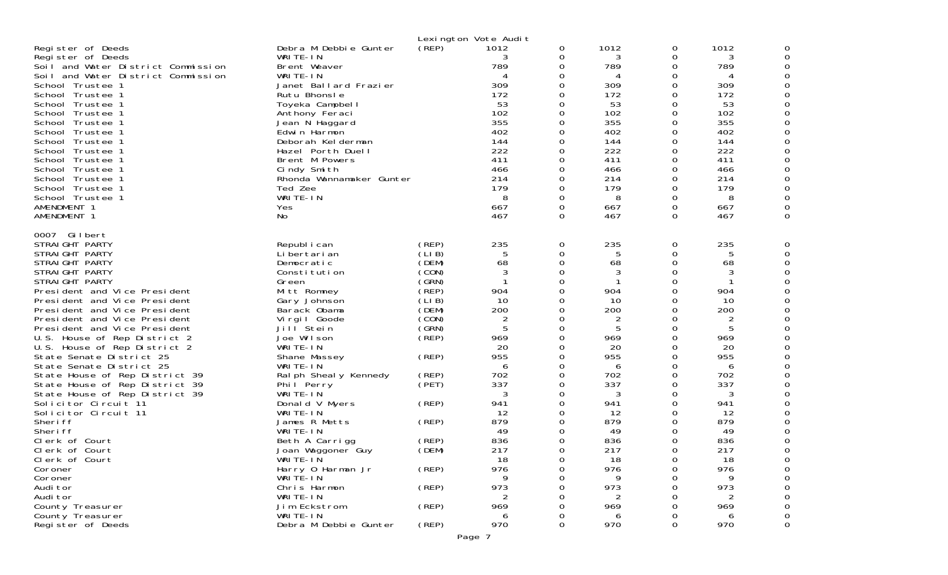| Register of Deeds<br>Register of Deeds<br>Soil and Water District Commission<br>Soil and Water District Commission<br>School Trustee 1<br>School Trustee 1<br>School Trustee 1<br>School Trustee 1<br>School Trustee 1<br>School Trustee 1<br>School Trustee 1<br>School Trustee 1<br>School Trustee 1<br>School Trustee 1<br>School Trustee 1<br>School Trustee 1<br>School Trustee 1<br>AMENDMENT 1<br>AMENDMENT 1                                                                                                                                                                                                                                                             | Debra M Debbie Gunter<br>WRITE-IN<br>Brent Weaver<br>WRITE-IN<br>Janet Ballard Frazier<br>Rutu Bhonsle<br>Toyeka Campbell<br>Anthony Feraci<br>Jean N Haggard<br>Edwin Harmon<br>Deborah Kelderman<br>Hazel Porth Duell<br>Brent M Powers<br>Cindy Smith<br>Rhonda Wannamaker Gunter<br>Ted Zee<br>WRITE-IN<br>Yes<br><b>No</b>                                                                                                                   | (REP)                                                                                                                                                                               | Lexington Vote Audit<br>1012<br>3<br>789<br>4<br>309<br>172<br>53<br>102<br>355<br>402<br>144<br>222<br>411<br>466<br>214<br>179<br>8<br>667<br>467                 | 0<br>0<br>0<br>0<br>0<br>0<br>0<br>0<br>0<br>0<br>0<br>0<br>0<br>0<br>0<br>0<br>$\Omega$<br>0<br>0                                              | 1012<br>3<br>789<br>4<br>309<br>172<br>53<br>102<br>355<br>402<br>144<br>222<br>411<br>466<br>214<br>179<br>8<br>667<br>467                                                      | 0<br>0<br>$\Omega$<br>0<br>0<br>0<br>0<br>0<br>0<br>0<br>$\Omega$<br>0<br>0<br>0<br>0<br>0<br>$\Omega$<br>0<br>0            | 1012<br>3<br>789<br>4<br>309<br>172<br>53<br>102<br>355<br>402<br>144<br>222<br>411<br>466<br>214<br>179<br>8<br>667<br>467                                         |   |
|----------------------------------------------------------------------------------------------------------------------------------------------------------------------------------------------------------------------------------------------------------------------------------------------------------------------------------------------------------------------------------------------------------------------------------------------------------------------------------------------------------------------------------------------------------------------------------------------------------------------------------------------------------------------------------|---------------------------------------------------------------------------------------------------------------------------------------------------------------------------------------------------------------------------------------------------------------------------------------------------------------------------------------------------------------------------------------------------------------------------------------------------|-------------------------------------------------------------------------------------------------------------------------------------------------------------------------------------|---------------------------------------------------------------------------------------------------------------------------------------------------------------------|-------------------------------------------------------------------------------------------------------------------------------------------------|----------------------------------------------------------------------------------------------------------------------------------------------------------------------------------|-----------------------------------------------------------------------------------------------------------------------------|---------------------------------------------------------------------------------------------------------------------------------------------------------------------|---|
| 0007 Gilbert<br>STRAIGHT PARTY<br>STRAIGHT PARTY<br>STRAIGHT PARTY<br>STRAIGHT PARTY<br>STRAIGHT PARTY<br>President and Vice President<br>President and Vice President<br>President and Vice President<br>President and Vice President<br>President and Vice President<br>U.S. House of Rep District 2<br>U.S. House of Rep District 2<br>State Senate District 25<br>State Senate District 25<br>State House of Rep District 39<br>State House of Rep District 39<br>State House of Rep District 39<br>Solicitor Circuit 11<br>Solicitor Circuit 11<br>Sheri ff<br>Sheri ff<br>Clerk of Court<br>Clerk of Court<br>Clerk of Court<br>Coroner<br>Coroner<br>Audi tor<br>Audi tor | Republ i can<br>Li bertari an<br>Democratic<br>Constitution<br>Green<br>Mitt Romney<br>Gary Johnson<br>Barack Obama<br>Virgil Goode<br>Jill <sup>Stein</sup><br>Joe Wilson<br>WRITE-IN<br>Shane Massey<br>WRITE-IN<br>Ral ph Sheal y Kennedy<br>Phil Perry<br>WRITE-IN<br>Donald V Myers<br>WRITE-IN<br>James R Metts<br>WRITE-IN<br>Beth A Carrigg<br>Joan Waggoner Guy<br>WRITE-IN<br>Harry 0 Harman Jr<br>WRITE-IN<br>Chris Harmon<br>WRITE-IN | (REP)<br>(LIB)<br>(DEM)<br>(CON)<br>(GRN)<br>(REP)<br>(LIB)<br>(DEM)<br>(CON)<br>(GRN)<br>$($ REP)<br>(REP)<br>(REP)<br>(PET)<br>(REP)<br>(REP)<br>(REP)<br>(DEM)<br>(REP)<br>(REP) | 235<br>5<br>68<br>3<br>904<br>10<br>200<br>2<br>5<br>969<br>20<br>955<br>6<br>702<br>337<br>3<br>941<br>12<br>879<br>49<br>836<br>217<br>18<br>976<br>9<br>973<br>2 | 0<br>0<br>0<br>0<br>0<br>0<br>0<br>0<br>0<br>0<br>0<br>0<br>0<br>0<br>0<br>0<br>0<br>0<br>0<br>0<br>0<br>0<br>$\Omega$<br>0<br>0<br>0<br>0<br>0 | 235<br>5<br>68<br>3<br>904<br>10<br>200<br>$\overline{2}$<br>5<br>969<br>20<br>955<br>6<br>702<br>337<br>3<br>941<br>12<br>879<br>49<br>836<br>217<br>18<br>976<br>9<br>973<br>2 | 0<br>0<br>0<br>0<br>0<br>0<br>0<br>0<br>0<br>0<br>0<br>0<br>0<br>0<br>0<br>0<br>0<br>0<br>0<br>0<br>0<br>0<br>$\Omega$<br>0 | 235<br>5<br>68<br>3<br>904<br>10<br>200<br>2<br>5<br>969<br>20<br>955<br>6<br>702<br>337<br>3<br>941<br>12<br>879<br>49<br>836<br>217<br>18<br>976<br>9<br>973<br>2 |   |
| County Treasurer<br>County Treasurer<br>Register of Deeds                                                                                                                                                                                                                                                                                                                                                                                                                                                                                                                                                                                                                        | Jim Eckstrom<br>WRITE-IN<br>Debra M Debbie Gunter                                                                                                                                                                                                                                                                                                                                                                                                 | (REP)<br>(REP)                                                                                                                                                                      | 969<br>6<br>970                                                                                                                                                     | 0<br>0<br>0                                                                                                                                     | 969<br>6<br>970                                                                                                                                                                  | 0<br>0                                                                                                                      | 969<br>6<br>970                                                                                                                                                     | 0 |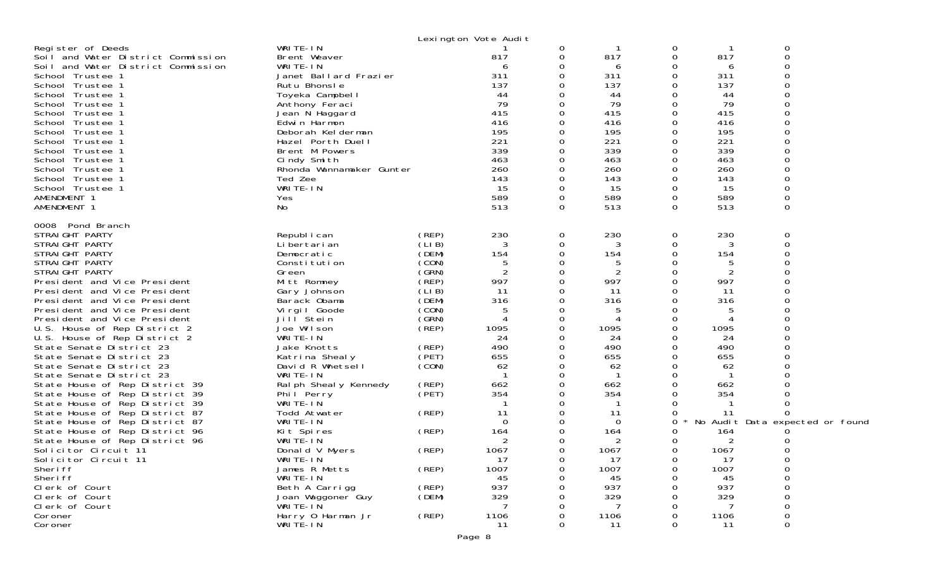|                                                                  |                                     |                | Lexington Vote Audit             |          |            |               |            |                                 |  |
|------------------------------------------------------------------|-------------------------------------|----------------|----------------------------------|----------|------------|---------------|------------|---------------------------------|--|
| Register of Deeds<br>Soil and Water District Commission          | WRITE-IN<br>Brent Weaver            |                | 817                              | 0<br>0   | 817        | 0<br>0        | 817        | 0<br>$\mathbf 0$                |  |
| Soil and Water District Commission<br>School Trustee 1           | WRITE-IN<br>Janet Ballard Frazier   |                | 6<br>311                         | 0<br>Ω   | 6<br>311   | 0<br>0        | 6<br>311   |                                 |  |
| School Trustee 1                                                 | Rutu Bhonsle                        |                | 137                              |          | 137        | $\Omega$      | 137        |                                 |  |
| School Trustee 1                                                 | Toyeka Campbell                     |                | 44                               |          | 44         | $\Omega$      | 44         |                                 |  |
| School Trustee 1                                                 | Anthony Feraci                      |                | 79                               | Ω        | 79         | 0             | 79         |                                 |  |
| School Trustee 1                                                 | Jean N Haggard                      |                | 415                              |          | 415        | 0             | 415        |                                 |  |
| School Trustee 1                                                 | Edwin Harmon                        |                | 416                              |          | 416        | 0             | 416        |                                 |  |
| School Trustee 1                                                 | Deborah Kelderman                   |                | 195                              | Ω        | 195        | 0             | 195        |                                 |  |
| School Trustee 1                                                 | Hazel Porth Duell<br>Brent M Powers |                | 221<br>339                       | O        | 221<br>339 | $\Omega$<br>0 | 221<br>339 |                                 |  |
| School Trustee 1<br>School Trustee 1                             | Cindy Smith                         |                | 463                              | 0        | 463        | 0             | 463        |                                 |  |
| School Trustee 1                                                 | Rhonda Wannamaker Gunter            |                | 260                              |          | 260        | $\Omega$      | 260        |                                 |  |
| School Trustee 1                                                 | Ted Zee                             |                | 143                              | $\Omega$ | 143        | $\Omega$      | 143        |                                 |  |
| School Trustee 1                                                 | WRITE-IN                            |                | 15                               | 0        | 15         | 0             | 15         | $\Omega$                        |  |
| AMENDMENT 1                                                      | Yes                                 |                | 589                              | 0        | 589        | 0             | 589        |                                 |  |
| AMENDMENT 1                                                      | No                                  |                | 513                              | $\Omega$ | 513        | $\Omega$      | 513        | $\Omega$                        |  |
| 0008 Pond Branch                                                 |                                     |                |                                  |          |            |               |            |                                 |  |
| STRAIGHT PARTY                                                   | Republ i can                        | (REP)<br>(LIB) | 230                              | 0        | 230        | 0             | 230        | 0                               |  |
| STRAIGHT PARTY<br>STRAIGHT PARTY                                 | Li bertari an<br>Democratic         | (DEM)          | 3<br>154                         | 0<br>0   | 3<br>154   | 0<br>0        | 3<br>154   | $\mathbf 0$                     |  |
| STRAIGHT PARTY                                                   | Constitution                        | (CON)          | 5                                | 0        | 5          | $\Omega$      |            |                                 |  |
| STRAIGHT PARTY                                                   | Green                               | (SRN)          | $\overline{2}$                   | 0        | 2          | 0             | 2          |                                 |  |
| President and Vice President                                     | Mitt Romney                         | (REP)          | 997                              | 0        | 997        | $\Omega$      | 997        |                                 |  |
| President and Vice President                                     | Gary Johnson                        | (LIB)          | 11                               | Ω        | 11         | O             | 11         |                                 |  |
| President and Vice President                                     | Barack Obama                        | (DEM)          | 316                              | 0        | 316        | 0             | 316        |                                 |  |
| President and Vice President                                     | Virgil Goode                        | (CON)          | 5                                | 0        | 5          | 0             | 5          |                                 |  |
| President and Vice President<br>U.S. House of Rep District 2     | Jill Stein<br>Joe Wilson            | (GRN)<br>(REP) | $\boldsymbol{\varDelta}$<br>1095 | 0<br>0   | 1095       | $\Omega$<br>0 | 1095       |                                 |  |
| U.S. House of Rep District 2                                     | WRITE-IN                            |                | 24                               | 0        | 24         | 0             | 24         |                                 |  |
| State Senate District 23                                         | Jake Knotts                         | (REP)          | 490                              | 0        | 490        | 0             | 490        |                                 |  |
| State Senate District 23                                         | Katrina Shealy                      | (PET)          | 655                              | 0        | 655        | 0             | 655        |                                 |  |
| State Senate District 23                                         | David R Whetsell                    | (CON)          | 62                               | 0        | 62         | 0             | 62         |                                 |  |
| State Senate District 23                                         | WRITE-IN                            |                |                                  | O        |            | $\Omega$      |            |                                 |  |
| State House of Rep District 39                                   | Ral ph Sheal y Kennedy              | (REP)          | 662                              | 0        | 662        | 0             | 662        |                                 |  |
| State House of Rep District 39                                   | Phil Perry                          | (PET)          | 354                              | Ω        | 354        | 0             | 354        |                                 |  |
| State House of Rep District 39<br>State House of Rep District 87 | WRITE-IN<br>Todd Atwater            | (REP)          | 11                               | 0        | 11         | 0             | 11         |                                 |  |
| State House of Rep District 87                                   | WRITE-IN                            |                | $\Omega$                         |          | $\Omega$   | 0             |            | No Audit Data expected or found |  |
| State House of Rep District 96                                   | Kit Spires                          | (REP)          | 164                              | Ω        | 164        | $\Omega$      | 164        |                                 |  |
| State House of Rep District 96                                   | WRITE-IN                            |                | 2                                | 0        | 2          | 0             | 2          |                                 |  |
| Solicitor Circuit 11                                             | Donald V Myers                      | (REP)          | 1067                             | 0        | 1067       | 0             | 1067       |                                 |  |
| Solicitor Circuit 11                                             | WRITE-IN                            |                | 17                               | 0        | 17         | 0             | 17         |                                 |  |
| Sheri ff                                                         | James R Metts                       | (REP)          | 1007                             | 0        | 1007       | 0             | 1007       | 0                               |  |
| Sheri ff                                                         | WRITE-IN                            |                | 45                               |          | 45         |               | 45         |                                 |  |
| Clerk of Court<br>Clerk of Court                                 | Beth A Carrigg<br>Joan Waggoner Guy | (REP)<br>(DEM) | 937<br>329                       |          | 937<br>329 |               | 937<br>329 | $\Omega$<br>0                   |  |
| Clerk of Court                                                   | $WRITE-I\ N$                        |                | -7                               |          |            | $\Omega$      |            | $\mathbf 0$                     |  |
| Coroner                                                          | Harry 0 Harman Jr                   | (REP)          | 1106                             |          | 1106       |               | 1106       | $\Omega$                        |  |
| Coroner                                                          | WRITÉ-IN                            |                | 11                               | Ω        | 11         | 0             | 11         | 0                               |  |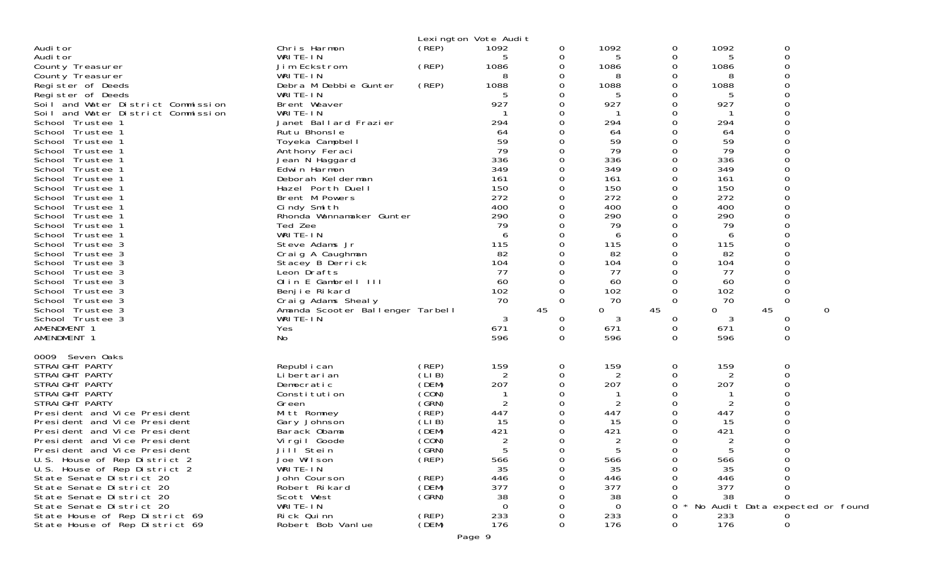|                                                              |                                   | Lexington Vote Audit |                |               |                |               |            |                                 |   |
|--------------------------------------------------------------|-----------------------------------|----------------------|----------------|---------------|----------------|---------------|------------|---------------------------------|---|
| Audi tor                                                     | Chris Harmon                      | (REP)                | 1092           | 0             | 1092           | 0             | 1092       | 0                               |   |
| Audi tor                                                     | WRITE-IN                          |                      | 5              | 0             | 5              | 0             | 5          | 0                               |   |
| County Treasurer                                             | Jim Eckstrom                      | (REP)                | 1086           | 0             | 1086           | 0             | 1086       | $\Omega$                        |   |
| County Treasurer                                             | WRITE-IN                          |                      | 8              | 0             | 8              | 0             | 8          |                                 |   |
| Register of Deeds                                            | Debra M Debbie Gunter             | (REP)                | 1088           | 0             | 1088           | 0             | 1088       |                                 |   |
| Register of Deeds                                            | WRITE-IN                          |                      |                | 0             | 5              | 0             |            |                                 |   |
| Soil and Water District Commission                           | Brent Weaver                      |                      | 927            | 0             | 927            | 0             | 927        |                                 |   |
| Soil and Water District Commission                           | WRITE-IN                          |                      |                | 0             |                | 0             |            |                                 |   |
| School Trustee 1                                             | Janet Ballard Frazier             |                      | 294            | $\Omega$      | 294            | $\Omega$      | 294        |                                 |   |
| School Trustee 1                                             | Rutu Bhonsle                      |                      | 64             | 0             | 64             | Ω             | 64         |                                 |   |
| School Trustee 1                                             | Toyeka Campbell                   |                      | 59             |               | 59             |               | 59         |                                 |   |
| School<br>Trustee 1                                          | Anthony Feraci                    |                      | 79             | $\Omega$      | 79             | 0             | 79         |                                 |   |
| Trustee 1<br>School                                          | Jean N Haggard                    |                      | 336            | 0<br>0        | 336<br>349     | 0<br>0        | 336<br>349 |                                 |   |
| School<br>Trustee 1<br>School<br>Trustee 1                   | Edwin Harmon<br>Deborah Kelderman |                      | 349<br>161     | $\Omega$      | 161            | 0             | 161        | ∩                               |   |
| Trustee 1<br>School                                          | Hazel Porth Duell                 |                      | 150            | 0             | 150            | 0             | 150        |                                 |   |
| School<br>Trustee 1                                          | Brent M Powers                    |                      | 272            | 0             | 272            | 0             | 272        |                                 |   |
| School<br>Trustee 1                                          | Cindy Smith                       |                      | 400            | 0             | 400            | 0             | 400        |                                 |   |
| Trustee 1<br>School                                          | Rhonda Wannamaker Gunter          |                      | 290            | 0             | 290            | 0             | 290        |                                 |   |
| School<br>Trustee 1                                          | Ted Zee                           |                      | -79            | 0             | 79             | 0             | 79         |                                 |   |
| School<br>Trustee 1                                          | WRITE-IN                          |                      | 6              | 0             | 6              | 0             | 6          |                                 |   |
| School<br>Trustee 3                                          | Steve Adams Jr                    |                      | 115            | 0             | 115            | 0             | 115        |                                 |   |
| School<br>Trustee 3                                          | Craig A Caughman                  |                      | 82             | 0             | 82             | 0             | 82         |                                 |   |
| School<br>Trustee 3                                          | Stacey B Derrick                  |                      | 104            | $\Omega$      | 104            | 0             | 104        |                                 |   |
| School<br>Trustee 3                                          | Leon Drafts                       |                      | 77             | 0             | 77             | 0             | 77         |                                 |   |
| School Trustee 3                                             | Olin E Gambrell III               |                      | 60             | 0             | 60             | 0             | 60         |                                 |   |
| School<br>Trustee 3                                          | Benjie Rikard                     |                      | 102            | $\Omega$      | 102            | 0             | 102        | $\Omega$                        |   |
| School<br>Trustee 3                                          | Craig Adams Shealy                |                      | 70             | 0             | 70             | $\Omega$      | 70         | $\Omega$                        |   |
| School Trustee 3                                             | Amanda Scooter Ballenger Tarbell  |                      |                | 45            | 0              | 45            | 0          | 45                              | 0 |
| School Trustee 3                                             | WRITE-IN                          |                      | 3              | 0             | 3              | 0             | 3          | 0                               |   |
| AMENDMENT 1                                                  | Yes                               |                      | 671<br>596     | 0<br>$\Omega$ | 671<br>596     | 0<br>$\Omega$ | 671        | 0<br>$\Omega$                   |   |
| AMENDMENT 1                                                  | No                                |                      |                |               |                |               | 596        |                                 |   |
| 0009<br>Seven Oaks                                           |                                   |                      |                |               |                |               |            |                                 |   |
| STRAIGHT PARTY                                               | Republ i can                      | (REP)                | 159            | 0             | 159            | 0             | 159        | 0                               |   |
| STRAIGHT PARTY                                               | Li bertari an                     | (LIB)                | 2              | 0             | 2              | 0             | 2          | $\Omega$                        |   |
| STRAIGHT PARTY                                               | Democratic                        | (DEM)                | 207            | 0             | 207            | 0             | 207        |                                 |   |
| STRAIGHT PARTY                                               | Constitution                      | (CON)                |                | 0             |                | 0             |            |                                 |   |
| STRAIGHT PARTY                                               | Green                             | (GRN)                | $\overline{2}$ | $\Omega$      | $\overline{2}$ | 0             | 2          |                                 |   |
| President and Vice President                                 | Mitt Romney                       | (REP)                | 447            | 0             | 447            | 0             | 447        |                                 |   |
| President and Vice President                                 | Gary Johnson                      | (LIB)                | 15             | 0             | 15             | Ω             | 15         |                                 |   |
| President and Vice President                                 | Barack Obama                      | (DEM)                | 421            | 0             | 421            | 0             | 421        |                                 |   |
| President and Vice President                                 | Virgil Goode                      | (CON)                | $\overline{c}$ | 0<br>$\Omega$ | 2<br>片         | 0             |            | $\cap$                          |   |
| President and Vice President                                 | Jilľ Stein                        | (GRN)<br>(REP)       | 566            | 0             | 566            | 0<br>0        | 566        |                                 |   |
| U.S. House of Rep District 2<br>U.S. House of Rep District 2 | Joe Wilson<br>WRITE-IN            |                      | 35             |               | 35             |               | 35         |                                 |   |
| State Senate District 20                                     | John Courson                      | (REP)                | 446            |               | 446            |               | 446        |                                 |   |
| State Senate District 20                                     | Robert Rikard                     | (DEM)                | 377            |               | 377            |               | 377        |                                 |   |
| State Senate District 20                                     | Scott West                        | (GRN)                | 38             |               | 38             |               | 38         | $\Omega$                        |   |
| State Senate District 20                                     | WRITE-IN                          |                      | 0              |               | 0              |               |            | No Audit Data expected or found |   |
| State House of Rep District 69                               | Rick Quinn                        | (REP)                | 233            |               | 233            |               | 233        |                                 |   |
| State House of Rep District 69                               | Robert Bob Vanlue                 | (DEM)                | 176            | 0             | 176            | 0             | 176        | 0                               |   |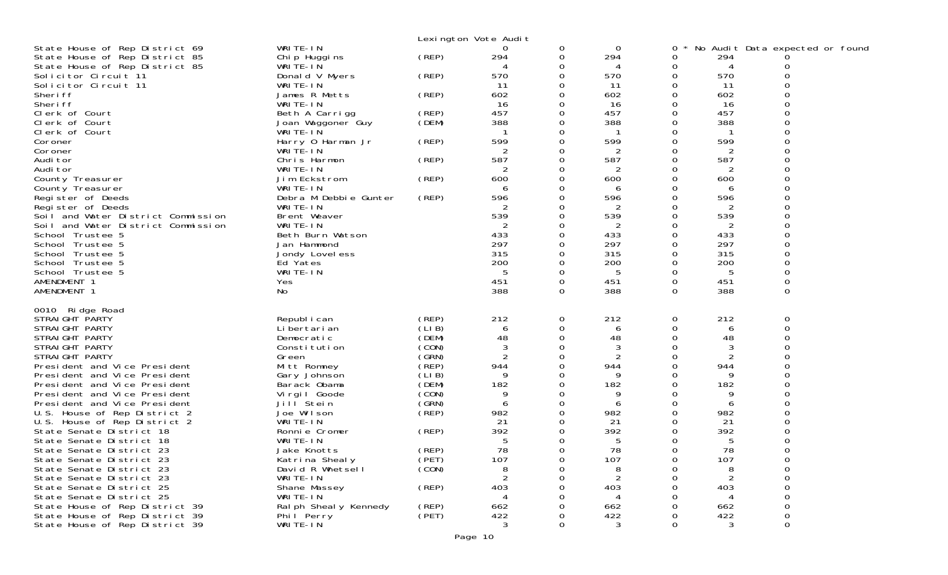|                                                                          |                               |       | Lexington Vote Audit |               |                |               |                |                                 |  |
|--------------------------------------------------------------------------|-------------------------------|-------|----------------------|---------------|----------------|---------------|----------------|---------------------------------|--|
| State House of Rep District 69                                           | WRITE-IN                      |       | 0                    | 0             | $\mathbf 0$    | 0             |                | No Audit Data expected or found |  |
| State House of Rep District 85                                           | Chip Huggins                  | (REP) | 294                  | 0             | 294            | 0             | 294            |                                 |  |
| State House of Rep District 85                                           | WRITE-IN                      |       |                      | 0             |                | 0             | 4              |                                 |  |
| Solicitor Circuit 11                                                     | Donald V Myers                | (REP) | 570                  | 0             | 570            | 0             | 570            |                                 |  |
| Solicitor Circuit 11<br>Sheri ff                                         | WRITE-IN<br>James R Metts     |       | 11<br>602            | 0<br>0        | -11<br>602     | 0<br>0        | 11<br>602      |                                 |  |
| Sheri ff                                                                 | WRITE-IN                      | (REP) | 16                   | 0             | 16             | 0             | 16             |                                 |  |
| Clerk of Court                                                           | Beth A Carrigg                | (REP) | 457                  | 0             | 457            | 0             | 457            |                                 |  |
| Clerk of Court                                                           | Joan Waggoner Guy             | (DEM) | 388                  | 0             | 388            | 0             | 388            |                                 |  |
| Clerk of Court                                                           | WRITE-IN                      |       |                      | 0             |                | 0             |                |                                 |  |
| Coroner                                                                  | Harry 0 Harman Jr             | (REP) | 599                  | 0             | 599            | 0             | 599            |                                 |  |
| Coroner                                                                  | WRITE-IN                      |       | 2                    | 0             | 2              | 0             | 2              |                                 |  |
| Audi tor                                                                 | Chris Harmon                  | (REP) | 587                  | 0             | 587            | 0             | 587            |                                 |  |
| Audi tor                                                                 | WRITE-IN                      |       | 2                    | 0             | 2              | 0             | 2              |                                 |  |
| County Treasurer                                                         | Jim Eckstrom                  | (REP) | 600                  | 0             | 600            | 0             | 600            | 0                               |  |
| County Treasurer                                                         | WRITE-IN                      |       | 6                    | 0             | 6              | 0             | 6              |                                 |  |
| Register of Deeds                                                        | Debra M Debbie Gunter         | (REP) | 596                  | 0             | 596            | 0             | 596            |                                 |  |
| Register of Deeds                                                        | WRITE-IN                      |       | 2                    | 0             | 2              | 0             | 2              |                                 |  |
| Soil and Water District Commission<br>Soil and Water District Commission | Brent Weaver<br>WRITE-IN      |       | 539                  | 0<br>0        | 539<br>2       | 0<br>0        | 539<br>2       | ∩                               |  |
| School Trustee 5                                                         | Beth Burn Watson              |       | 433                  | 0             | 433            | $\mathbf 0$   | 433            |                                 |  |
| School Trustee 5                                                         | Jan Hammond                   |       | 297                  | 0             | 297            | 0             | 297            |                                 |  |
| School Trustee 5                                                         | Jondy Lovel ess               |       | 315                  | 0             | 315            | 0             | 315            |                                 |  |
| School Trustee 5                                                         | Ed Yates                      |       | 200                  | 0             | 200            | 0             | 200            | 0                               |  |
| School Trustee 5                                                         | WRITE-IN                      |       | 5                    | 0             | 5              | 0             | 5              |                                 |  |
| AMENDMENT 1                                                              | Yes                           |       | 451                  | 0             | 451            | $\mathbf 0$   | 451            | 0                               |  |
| AMENDMENT 1                                                              | No.                           |       | 388                  | 0             | 388            | $\mathbf 0$   | 388            | 0                               |  |
|                                                                          |                               |       |                      |               |                |               |                |                                 |  |
| 0010 Ridge Road<br>STRAIGHT PARTY                                        |                               | (REP) | 212                  |               | 212            |               | 212            | $\mathbf 0$                     |  |
| STRAIGHT PARTY                                                           | Republ i can<br>Li bertari an | (LIB) | 6                    | 0<br>0        | 6              | 0<br>0        | 6              | 0                               |  |
| STRAIGHT PARTY                                                           | Democratic                    | (DEM) | 48                   | $\Omega$      | 48             | 0             | 48             | ∩                               |  |
| STRAIGHT PARTY                                                           | Constitution                  | (CON) | 3                    | 0             | 3              | 0             | 3              | ი                               |  |
| STRAIGHT PARTY                                                           | Green                         | (GRN) | $\overline{c}$       | 0             | $\overline{2}$ | 0             | $\overline{2}$ |                                 |  |
| President and Vice President                                             | Mitt Romney                   | (REP) | 944                  | 0             | 944            | 0             | 944            |                                 |  |
| President and Vice President                                             | Gary Johnson                  | (LIB) | 9                    | 0             | 9              | 0             | 9              |                                 |  |
| President and Vice President                                             | Barack Obama                  | (DEM) | 182                  | 0             | 182            | 0             | 182            |                                 |  |
| President and Vice President                                             | Virgil Goode                  | (CON) | 9                    | 0             | 9              | 0             | 9              |                                 |  |
| President and Vice President                                             | Jill <sup>Stein</sup>         | (GRN) | 6                    | 0             | 6              | 0             | 6              |                                 |  |
| U.S. House of Rep District 2                                             | Joe Wilson                    | (REP) | 982                  | 0             | 982            | 0             | 982            |                                 |  |
| U.S. House of Rep District 2                                             | WRITE-IN                      |       | 21                   | 0             | 21             | 0             | 21             |                                 |  |
| State Senate District 18<br>State Senate District 18                     | Ronnie Cromer<br>WRITE-IN     | (REP) | 392<br>5             | 0             | 392            | 0             | 392            |                                 |  |
| State Senate District 23                                                 | Jake Knotts                   | (REP) | 78                   | 0<br>$\Omega$ | 5<br>78        | 0<br>$\Omega$ | 5<br>78        |                                 |  |
| State Senate District 23                                                 | Katrina Shealy                | (PET) | 107                  | 0             | 107            | 0             | 107            | 0                               |  |
| State Senate District 23                                                 | David R Whetsell              | (CON) | 8                    | 0             | 8              | 0             | 8              | 0                               |  |
| State Senate District 23                                                 | WRITE-IN                      |       | 2                    | 0             | $\overline{2}$ | 0             | $\overline{2}$ | 0                               |  |
| State Senate District 25                                                 | Shane Massey                  | (REP) | 403                  |               | 403            | Ω             | 403            | 0                               |  |
| State Senate District 25                                                 | WRITE-IN                      |       |                      |               | 4              |               | 4              | 0                               |  |
| State House of Rep District 39                                           | Ral ph Sheal y Kennedy        | (REP) | 662                  |               | 662            | 0             | 662            | 0                               |  |
| State House of Rep District 39                                           | Phil Perry                    | (PET) | 422                  | O             | 422            | 0             | 422            | 0                               |  |
| State House of Rep District 39                                           | WRITE-IN                      |       | 3                    | 0             | $\mathbf{3}$   | 0             | 3              | 0                               |  |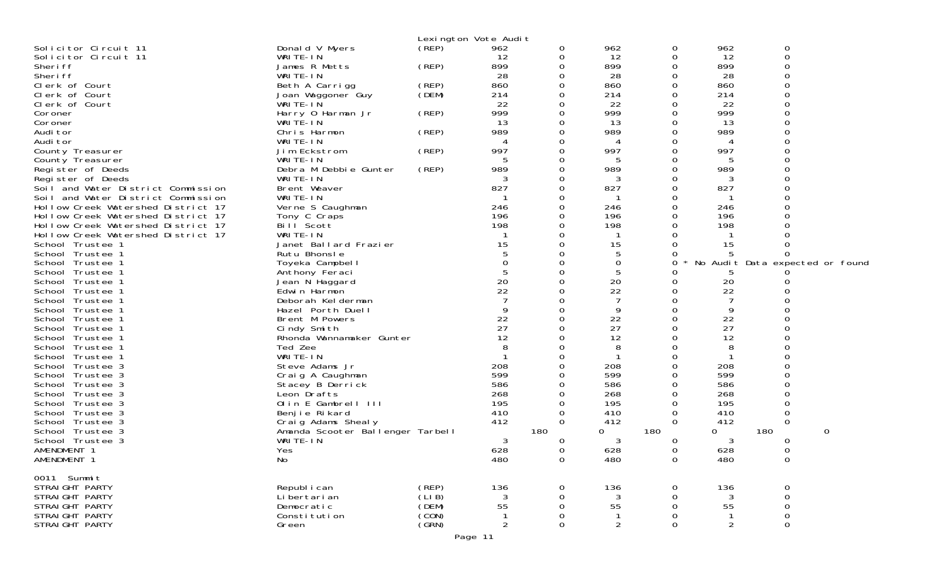|                                      |                                         |       | Lexington Vote Audit |                      |                |                  |                      |                     |                                 |
|--------------------------------------|-----------------------------------------|-------|----------------------|----------------------|----------------|------------------|----------------------|---------------------|---------------------------------|
| Solicitor Circuit 11                 | Donald V Myers                          | (REP) | 962                  | 0                    | 962            | 0                | 962                  | 0                   |                                 |
| Solicitor Circuit 11                 | WRITE-IN                                |       | 12                   | 0                    | 12             | 0                | 12                   | $\mathbf 0$         |                                 |
| Sheri ff                             | James R Metts                           | (REP) | 899                  | 0                    | 899            | 0                | 899                  | $\Omega$            |                                 |
| Sheri ff                             | WRITE-IN                                |       | 28                   | 0                    | 28             | 0                | 28                   |                     |                                 |
| Clerk of Court                       | Beth A Carrigg                          | (REP) | 860                  | 0                    | 860            | 0                | 860                  |                     |                                 |
| Clerk of Court                       | Joan Waggoner Guy                       | (DEM) | 214                  | $\Omega$             | 214            | $\Omega$         | 214                  |                     |                                 |
| Clerk of Court<br>Coroner            | WRITE-IN<br>Harry 0 Harman Jr           | (REP) | 22<br>999            | $\Omega$<br>$\Omega$ | 22<br>999      | $\Omega$<br>0    | 22<br>999            |                     |                                 |
| Coroner                              | WRITE-IN                                |       | 13                   | $\Omega$             | 13             | ∩                | 13                   |                     |                                 |
| Audi tor                             | Chris Harmon                            | (REP) | 989                  | $\Omega$             | 989            | 0                | 989                  |                     |                                 |
| Audi tor                             | WRITE-IN                                |       | 4                    | 0                    | 4              | 0                | 4                    |                     |                                 |
| County Treasurer                     | Jim Eckstrom                            | (REP) | 997                  | $\Omega$             | 997            | $\Omega$         | 997                  |                     |                                 |
| County Treasurer                     | WRITE-IN                                |       | 5                    | $\Omega$             | 5              | 0                | 5                    |                     |                                 |
| Register of Deeds                    | Debra M Debbie Gunter                   | (REP) | 989                  | $\Omega$             | 989            | 0                | 989                  |                     |                                 |
| Register of Deeds                    | WRITE-IN                                |       | 3                    | 0                    |                | ∩                |                      |                     |                                 |
| Soil and Water District Commission   | Brent Weaver                            |       | 827                  | 0                    | 827            | 0                | 827                  |                     |                                 |
| Soil and Water District Commission   | WRITE-IN                                |       |                      | $\Omega$             |                | $\Omega$         |                      |                     |                                 |
| Hollow Creek Watershed District 17   | Verne S Caughman                        |       | 246                  | $\Omega$             | 246            | $\Omega$         | 246                  |                     |                                 |
| Hollow Creek Watershed District 17   | Tony C Craps                            |       | 196                  | 0                    | 196            | 0                | 196                  |                     |                                 |
| Hollow Creek Watershed District 17   | Bill Scott                              |       | 198                  | ∩                    | 198            | O                | 198                  |                     |                                 |
| Hollow Creek Watershed District 17   | WRITE-IN                                |       |                      |                      |                |                  |                      |                     |                                 |
| School Trustee 1                     | Janet Ballard Frazier                   |       | 15                   | $\Omega$             | 15             |                  | 15                   |                     |                                 |
| School Trustee 1                     | Rutu Bhonsle                            |       |                      |                      | 5              |                  |                      |                     |                                 |
| School Trustee 1                     | Toyeka Campbell                         |       | 0                    | ∩                    | 0              | $\Omega$         |                      |                     | No Audit Data expected or found |
| School Trustee 1                     | Anthony Feraci                          |       |                      | $\Omega$             | 5              |                  | 5                    |                     |                                 |
| School Trustee 1                     | Jean N Haggard                          |       | 20<br>22             |                      | 20             |                  | 20                   |                     |                                 |
| School Trustee 1                     | Edwin Harmon                            |       |                      | $\Omega$<br>$\Omega$ | 22<br>7        | 0                | 22<br>$\overline{7}$ |                     |                                 |
| School Trustee 1<br>School Trustee 1 | Deborah Kel derman<br>Hazel Porth Duell |       | 9                    | $\Omega$             | 9              | O                | 9                    |                     |                                 |
| School Trustee 1                     | Brent M Powers                          |       | 22                   | $\Omega$             | 22             | $\Omega$         | 22                   |                     |                                 |
| School Trustee 1                     | Cindy Smith                             |       | 27                   | $\Omega$             | 27             | 0                | 27                   |                     |                                 |
| School Trustee 1                     | Rhonda Wannamaker Gunter                |       | 12                   |                      | 12             |                  | 12                   |                     |                                 |
| School Trustee 1                     | Ted Zee                                 |       | 8                    | ∩                    | 8              | ∩                | 8                    |                     |                                 |
| School Trustee 1                     | WRITE-IN                                |       |                      | $\Omega$             | $\mathbf 1$    | 0                | -1                   |                     |                                 |
| School Trustee 3                     | Steve Adams Jr                          |       | 208                  |                      | 208            | 0                | 208                  |                     |                                 |
| School Trustee 3                     | Craig A Caughman                        |       | 599                  | ∩                    | 599            | O                | 599                  |                     |                                 |
| School Trustee 3                     | Stacey B Derrick                        |       | 586                  |                      | 586            | 0                | 586                  |                     |                                 |
| School Trustee 3                     | Leon Drafts                             |       | 268                  |                      | 268            | 0                | 268                  |                     |                                 |
| School Trustee 3                     | Olin E Gambrell III                     |       | 195                  | $\Omega$             | 195            | $\Omega$         | 195                  |                     |                                 |
| School Trustee 3                     | Benjie Rikard                           |       | 410                  | 0                    | 410            | 0                | 410                  | 0                   |                                 |
| School Trustee 3                     | Craig Adams Shealy                      |       | 412                  | $\Omega$             | 412            | 0                | 412                  | 0                   |                                 |
| School Trustee 3                     | Amanda Scooter Ballenger Tarbell        |       |                      | 180                  | 0              | 180              | 0                    | 180                 | $\Omega$                        |
| School Trustee 3                     | WRITE-IN                                |       | 3                    | 0                    | 3              | 0                | 3                    | O                   |                                 |
| AMENDMENT 1                          | Yes                                     |       | 628                  | $\Omega$             | 628            | 0                | 628                  | $\Omega$            |                                 |
| AMENDMENT 1                          | No                                      |       | 480                  | 0                    | 480            | $\sigma$         | 480                  | $\sigma$            |                                 |
| 0011 Summit                          |                                         |       |                      |                      |                |                  |                      |                     |                                 |
| STRAIGHT PARTY                       | Republ i can                            | (REP) | 136                  | $\mathbf 0$          | 136            | 0                | 136                  | 0                   |                                 |
| STRAIGHT PARTY                       | Li bertari an                           | (LIB) | 3                    | 0                    | 3              | $\mathbf 0$      | 3                    | $\mathbf 0$         |                                 |
| STRAIGHT PARTY                       | Democratic                              | (DEM) | 55                   | 0                    | 55             | $\mathbf 0$      | 55                   | $\boldsymbol{0}$    |                                 |
| STRAIGHT PARTY                       | Constitution                            | (CON) |                      | $\Omega$             | -1             | 0                | -1                   | $\mathsf{O}\xspace$ |                                 |
| STRAIGHT PARTY                       | Green                                   | (SRN) | $\overline{2}$       | 0                    | $\overline{2}$ | $\boldsymbol{0}$ | 2                    | $\mathsf{O}\xspace$ |                                 |
|                                      |                                         |       |                      |                      |                |                  |                      |                     |                                 |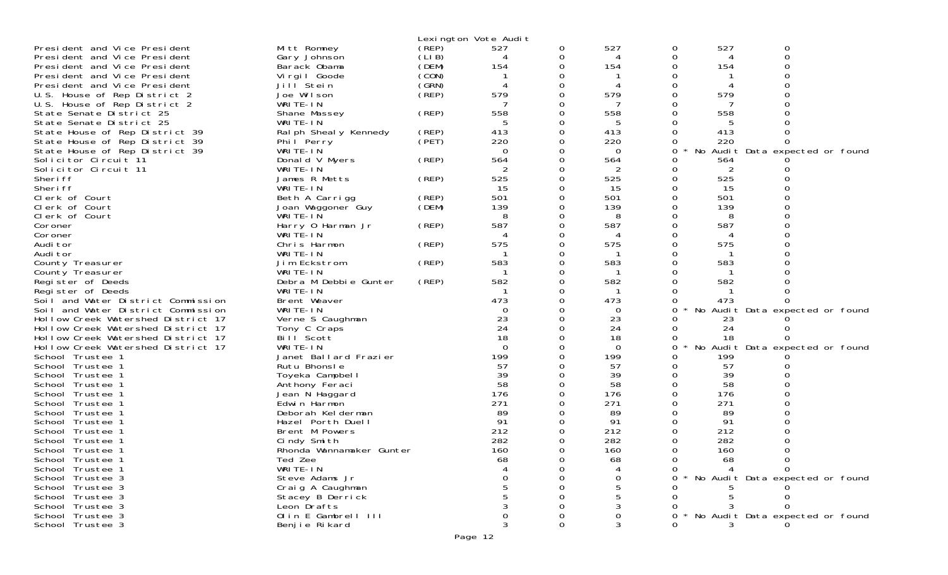|                                    |                          |       | Lexington Vote Audit |   |          |   |     |                                 |
|------------------------------------|--------------------------|-------|----------------------|---|----------|---|-----|---------------------------------|
| President and Vice President       | Mitt Romney              | (REP) | 527                  | 0 | 527      | 0 | 527 | 0                               |
| President and Vice President       | Gary Johnson             | (LIB) |                      |   |          | 0 |     | $\Omega$                        |
| President and Vice President       | Barack Obama             | (DEM) | 154                  |   | 154      |   | 154 |                                 |
| President and Vice President       | Virgil Goode             | (CON) |                      |   |          |   |     |                                 |
| President and Vice President       | Jill Stein               | (GRN) |                      |   |          |   |     |                                 |
| U.S. House of Rep District 2       | Joe Wilson               | (REP) | 579                  |   | 579      |   | 579 |                                 |
| U.S. House of Rep District 2       | WRITE-IN                 |       |                      |   |          | 0 |     |                                 |
| State Senate District 25           | Shane Massey             | (REP) | 558                  |   | 558      |   | 558 |                                 |
| State Senate District 25           | WRITE-IN                 |       |                      |   |          |   |     |                                 |
| State House of Rep District 39     | Ral ph Sheal y Kennedy   | (REP) | 413                  | 0 | 413      | 0 | 413 |                                 |
| State House of Rep District 39     | Phil Perry               | (PET) | 220                  |   | 220      |   | 220 |                                 |
| State House of Rep District 39     | WRITE-IN                 |       | 0                    |   | $\Omega$ | 0 |     | No Audit Data expected or found |
| Solicitor Circuit 11               | Donald V Myers           | (REP) | 564                  |   | 564      | 0 | 564 |                                 |
| Solicitor Circuit 11               | WRITE-IN                 |       |                      |   | 2        | 0 | 2   |                                 |
| Sheri ff                           | James R Metts            | (REP) | 525                  | 0 | 525      |   | 525 |                                 |
| Sheri ff                           | WRITE-IN                 |       | 15                   |   | 15       | 0 | 15  |                                 |
| Clerk of Court                     | Beth A Carrigg           | (REP) | 501                  |   | 501      |   | 501 |                                 |
| Clerk of Court                     | Joan Waggoner Guy        | (DEM) | 139                  |   | 139      |   | 139 |                                 |
| Clerk of Court                     | WRITE-IN                 |       | 8                    | 0 | 8        |   | 8   |                                 |
| Coroner                            | Harry 0 Harman Jr        | (REP) | 587                  |   | 587      |   | 587 |                                 |
| Coroner                            | WRITE-IN                 |       |                      |   |          |   |     |                                 |
| Audi tor                           | Chris Harmon             | (REP) | 575                  |   | 575      |   | 575 |                                 |
| Audi tor                           | WRITE-IN                 |       |                      |   |          |   |     |                                 |
| County Treasurer                   | Jim Eckstrom             | (REP) | 583                  |   | 583      |   | 583 |                                 |
| County Treasurer                   | WRITE-IN                 |       |                      |   |          |   |     |                                 |
| Register of Deeds                  | Debra M Debbie Gunter    | (REP) | 582                  |   | 582      |   | 582 |                                 |
| Register of Deeds                  | WRITE-IN                 |       |                      |   |          |   |     |                                 |
| Soil and Water District Commission | Brent Weaver             |       | 473                  |   | 473      |   | 473 |                                 |
| Soil and Water District Commission | WRITE-IN                 |       | 0                    |   | 0        | 0 |     | No Audit Data expected or found |
| Hollow Creek Watershed District 17 | Verne S Caughman         |       | 23                   |   | 23       |   | 23  |                                 |
| Hollow Creek Watershed District 17 | Tony C Craps             |       | 24                   |   | 24       | 0 | 24  |                                 |
| Hollow Creek Watershed District 17 | Bill Scott               |       | 18                   |   | 18       |   | 18  |                                 |
| Hollow Creek Watershed District 17 | WRITE-IN                 |       | $\Omega$             |   | $\Omega$ | 0 |     | No Audit Data expected or found |
| School Trustee 1                   | Janet Ballard Frazier    |       | 199                  |   | 199      | 0 | 199 |                                 |
| School Trustee 1                   | Rutu Bhonsle             |       | 57                   |   | 57       | 0 | 57  |                                 |
| School Trustee 1                   | Toyeka Campbell          |       | 39                   |   | 39       | 0 | 39  |                                 |
| School Trustee 1                   | Anthony Feraci           |       | 58                   |   | 58       |   | 58  |                                 |
| School Trustee 1                   | Jean N Haggard           |       | 176                  |   | 176      |   | 176 |                                 |
| School Trustee 1                   | Edwin Harmon             |       | 271                  |   | 271      |   | 271 |                                 |
| School Trustee 1                   | Deborah Kelderman        |       | 89                   |   | 89       |   | 89  |                                 |
| School Trustee 1                   | Hazel Porth Duell        |       | 91                   |   | 91       |   | 91  |                                 |
| School Trustee 1                   | Brent M Powers           |       | 212                  |   | 212      |   | 212 |                                 |
| School<br>Trustee 1                | Cindy Smith              |       | 282                  |   | 282      |   | 282 |                                 |
| School Trustee 1                   | Rhonda Wannamaker Gunter |       | 160                  |   | 160      | 0 | 160 |                                 |
| School Trustee                     | Ted Zee                  |       | 68                   |   | 68       |   | 68  |                                 |
| School Trustee 1                   | WRITE-IN                 |       |                      |   |          |   |     |                                 |
| School Trustee 3                   | Steve Adams Jr           |       |                      |   |          |   |     | No Audit Data expected or found |
| School Trustee 3                   | Craig A Caughman         |       |                      |   |          |   |     |                                 |
| School Trustee 3                   | Stacey B Derrick         |       |                      |   |          |   |     |                                 |
| School Trustee 3                   | Leon Drafts              |       |                      |   | 3        |   |     |                                 |
| School Trustee 3                   | Olin E Gambrell III      |       |                      |   |          |   |     | No Audit Data expected or found |
| School Trustee 3                   | Benjie Rikard            |       |                      | 0 |          |   |     |                                 |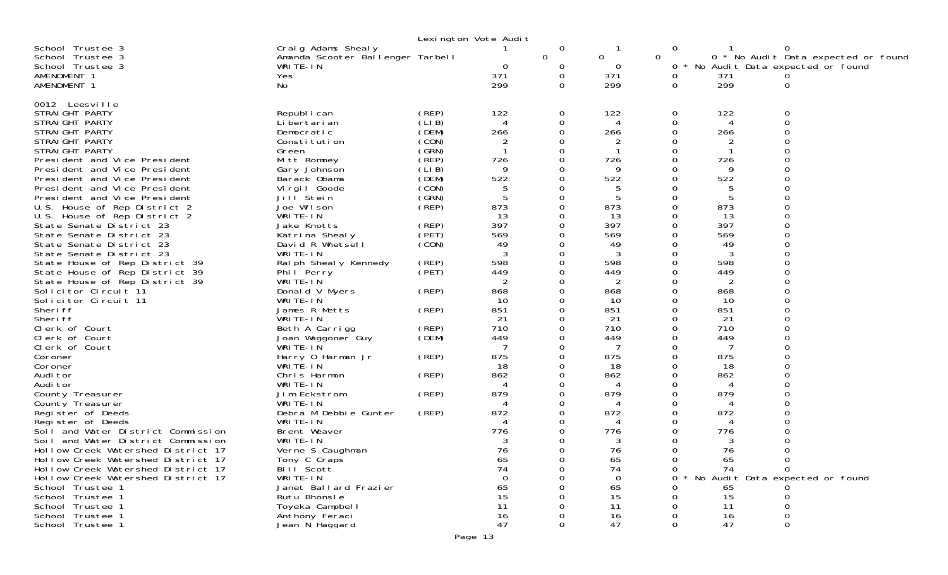|                                                                                                    |                                  | Lexington Vote Audit |   |                |               |                |                                     |
|----------------------------------------------------------------------------------------------------|----------------------------------|----------------------|---|----------------|---------------|----------------|-------------------------------------|
| School Trustee 3<br>Craig Adams Shealy                                                             |                                  |                      | 0 |                | 0             |                | 0                                   |
| School Trustee 3                                                                                   | Amanda Scooter Ballenger Tarbell |                      | 0 | $\overline{0}$ | 0             |                | 0 * No Audit Data expected or found |
| School Trustee 3<br>WRITE-IN                                                                       |                                  | 0                    | 0 | 0              | 0             |                | No Audit Data expected or found     |
| AMENDMENT 1<br>Yes                                                                                 |                                  | 371                  | 0 | 371            | 0             | 371            |                                     |
| AMENDMENT 1<br>No                                                                                  |                                  | 299                  | 0 | 299            | 0             | 299            | 0                                   |
| 0012 Leesville                                                                                     |                                  |                      |   |                |               |                |                                     |
| STRAIGHT PARTY<br>Republ i can                                                                     | (REP)                            | 122                  | 0 | 122            | 0             | 122            |                                     |
| STRAIGHT PARTY<br>Li bertari an                                                                    | (LIB)                            | 4                    | 0 |                | 0             |                | 0                                   |
| STRAIGHT PARTY<br>Democratic                                                                       | (DEM)                            | 266                  |   | 266            | O             | 266            |                                     |
| STRAIGHT PARTY<br>Constitution                                                                     | (CON)                            |                      |   |                | 0             |                |                                     |
| STRAIGHT PARTY<br>Green                                                                            | (GRN)                            |                      | 0 |                | 0             |                |                                     |
| President and Vice President<br>Mitt Romney                                                        | (REP)                            | 726                  |   | 726            | 0             | 726            |                                     |
| President and Vice President<br>Gary Johnson                                                       | (LIB)                            | 9                    |   | q              | 0             | q              |                                     |
| President and Vice President<br>Barack Obama                                                       | (DEM)                            | 522                  |   | 522            | 0             | 522            |                                     |
| President and Vice President<br>Virgil Goode                                                       | (CON)                            |                      |   |                | 0             | .5             |                                     |
| President and Vice President<br>Jill Stein                                                         | (GRN)                            | 5                    |   |                | 0             | -5             |                                     |
| U.S. House of Rep District 2<br>Joe Wilson                                                         | (REP)                            | 873                  |   | 873            | O             | 873            |                                     |
| U.S. House of Rep District 2<br>WRITE-IN                                                           |                                  | 13                   |   | 13             | $\Omega$      | 13             |                                     |
| State Senate District 23<br>Jake Knotts                                                            | (REP)                            | 397                  |   | 397            | O             | 397            |                                     |
| State Senate District 23<br>Katrina Shealy                                                         | (PET)                            | 569                  |   | 569            | 0             | 569            |                                     |
| State Senate District 23<br>David R Whetsell                                                       | (CON)                            | 49                   |   | 49             | O             | 49             |                                     |
| WRITE-IN<br>State Senate District 23                                                               |                                  | 3                    |   | 3              | 0             | 3              |                                     |
| State House of Rep District 39<br>Ral ph Sheal y Kennedy                                           | (REP)                            | 598                  |   | 598            | $\Omega$      | 598            |                                     |
| State House of Rep District 39<br>Phil Perry                                                       | (PET)                            | 449                  |   | 449            | O             | 449            |                                     |
| WRITE-IN<br>State House of Rep District 39                                                         |                                  | 2                    |   | 2              | 0             | $\overline{2}$ |                                     |
| Solicitor Circuit 11<br>Donald V Myers                                                             | (REP)                            | 868<br>10            |   | 868<br>10      | $\Omega$<br>O | 868<br>10      |                                     |
| Solicitor Circuit 11<br>WRITE-IN<br>James R Metts<br>Sheri ff                                      | (REP)                            | 851                  |   | 851            | $\Omega$      | 851            |                                     |
| Sheri ff<br>WRITE-IN                                                                               |                                  | 21                   |   | 21             | 0             | 21             |                                     |
| Clerk of Court<br>Beth A Carrigg                                                                   | (REP)                            | 710                  |   | 710            | 0             | 710            |                                     |
| Clerk of Court<br>Joan Waggoner Guy                                                                | (DEM)                            | 449                  |   | 449            | $\Omega$      | 449            |                                     |
| WRITE-IN<br>Clerk of Court                                                                         |                                  |                      |   |                | 0             |                |                                     |
| Coroner<br>Harry 0 Harman Jr                                                                       | (REP)                            | 875                  |   | 875            | 0             | 875            |                                     |
| WRITE-IN<br>Coroner                                                                                |                                  | 18                   |   | 18             | $\Omega$      | 18             |                                     |
| Audi tor<br>Chris Harmon                                                                           | (REP)                            | 862                  |   | 862            | 0             | 862            |                                     |
| Audi tor<br>WRITE-IN                                                                               |                                  | 4                    |   | 4              | O             | $\Delta$       |                                     |
| County Treasurer<br>Jim Eckstrom                                                                   | (REP)                            | 879                  |   | 879            | O             | 879            |                                     |
| WRITE-IN<br>County Treasurer                                                                       |                                  |                      |   |                | 0             |                |                                     |
| Register of Deeds<br>Debra M Debbie Gunter                                                         | (REP)                            | 872                  |   | 872            | 0             | 872            |                                     |
| WRITE-IN<br>Register of Deeds                                                                      |                                  | 4                    |   |                | 0             |                |                                     |
| Brent Weaver<br>Soil and Water District Commission                                                 |                                  | 776                  |   | 776            |               | 776            |                                     |
| WRITE-IN<br>and Water District Commission<br>Soi I                                                 |                                  | 3                    |   | 3              |               | 3              |                                     |
| Hollow Creek Watershed District 17<br>Verne S Caughman                                             |                                  | 76                   | 0 | 76             | 0             | 76             | $\Omega$                            |
| Hollow Creek Watershed District 17<br>Tony C Craps                                                 |                                  | 65                   |   | 65             |               | 65             | 0<br>$\Omega$                       |
| Bill Scott<br>Hollow Creek Watershed District 17<br>WRITE-IN<br>Hollow Creek Watershed District 17 |                                  | 74<br>0              |   | 74<br>$\Omega$ | 0<br>0        | 74             | No Audit Data expected or found     |
| School Trustee 1<br>Janet Ballard Frazier                                                          |                                  | 65                   |   | 65             | Ω             |                |                                     |
| School Trustee 1<br>Rutu Bhonsle                                                                   |                                  | 15                   |   | 15             | 0             | 65<br>15       | 0                                   |
| School Trustee 1<br>Toyeka Campbell                                                                |                                  | 11                   |   | 11             | $\Omega$      | 11             | 0                                   |
| Anthony Feraci<br>School Trustee 1                                                                 |                                  | 16                   |   | 16             |               | 16             | 0                                   |
| Jean N Haggard<br>School Trustee 1                                                                 |                                  | 47                   |   | 47             | 0             | 47             | 0                                   |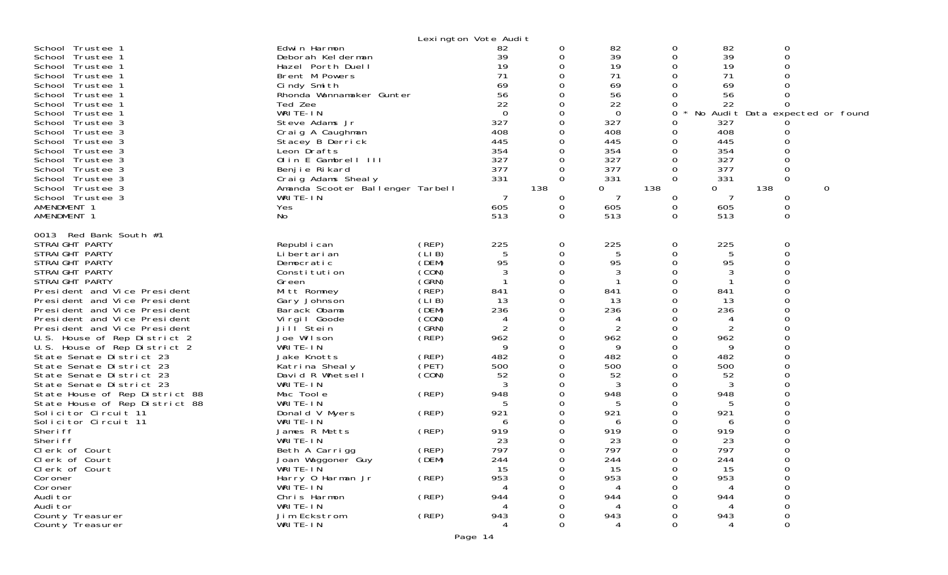| School Trustee 1<br>School Trustee 1<br>School Trustee 1<br>School Trustee 1<br>School Trustee 1<br>School Trustee 1<br>School Trustee 1<br>School Trustee 1<br>School Trustee 3<br>School Trustee 3<br>School Trustee 3<br>School Trustee 3<br>School Trustee 3<br>School Trustee 3<br>School Trustee 3<br>School Trustee 3<br>School Trustee 3<br>AMENDMENT 1<br>AMENDMENT 1                                                                                                                                                                                                                                                                                                                                                                           | Edwin Harmon<br>Deborah Kelderman<br>Hazel Porth Duell<br>Brent M Powers<br>Cindy Smith<br>Rhonda Wannamaker Gunter<br>Ted Zee<br>WRITE-IN<br>Steve Adams Jr<br>Craig A Caughman<br>Stacey B Derrick<br>Leon Drafts<br>Olin E Gambrell III<br>Benjie Rikard<br>Craig Adams Shealy<br>Amanda Scooter Ballenger Tarbell<br>WRITE-IN<br>Yes<br>No                                                                                                                                          |                                                                                                                                                                                                       | Lexington Vote Audit<br>82<br>39<br>19<br>71<br>69<br>56<br>22<br>$\Omega$<br>327<br>408<br>445<br>354<br>327<br>377<br>331<br>7<br>605<br>513                                    | 0<br>0<br>$\Omega$<br>0<br>O<br>0<br>O<br>0<br>0<br>0<br>0<br>138<br>0<br>0<br>0                                  | 82<br>39<br>19<br>71<br>69<br>56<br>22<br>$\Omega$<br>327<br>408<br>445<br>354<br>327<br>377<br>331<br>0<br>7<br>605<br>513                                                                                    | 0<br>0<br>0<br>0<br>$\Omega$<br>0<br>0<br>0<br>Ω<br>0<br>0<br>$\Omega$<br>0<br>0<br>$\Omega$<br>138<br>0<br>0<br>$\Omega$             | 82<br>39<br>19<br>71<br>69<br>56<br>22<br>327<br>408<br>445<br>354<br>327<br>377<br>331<br>0<br>7<br>605<br>513                                            | 0<br>0<br>$\Omega$<br>No Audit Data expected or found<br>0<br>138<br>0<br>0<br>$\Omega$ | 0 |
|----------------------------------------------------------------------------------------------------------------------------------------------------------------------------------------------------------------------------------------------------------------------------------------------------------------------------------------------------------------------------------------------------------------------------------------------------------------------------------------------------------------------------------------------------------------------------------------------------------------------------------------------------------------------------------------------------------------------------------------------------------|-----------------------------------------------------------------------------------------------------------------------------------------------------------------------------------------------------------------------------------------------------------------------------------------------------------------------------------------------------------------------------------------------------------------------------------------------------------------------------------------|-------------------------------------------------------------------------------------------------------------------------------------------------------------------------------------------------------|-----------------------------------------------------------------------------------------------------------------------------------------------------------------------------------|-------------------------------------------------------------------------------------------------------------------|----------------------------------------------------------------------------------------------------------------------------------------------------------------------------------------------------------------|---------------------------------------------------------------------------------------------------------------------------------------|------------------------------------------------------------------------------------------------------------------------------------------------------------|-----------------------------------------------------------------------------------------|---|
| 0013 Red Bank South #1<br>STRAIGHT PARTY<br>STRAIGHT PARTY<br>STRAIGHT PARTY<br>STRAIGHT PARTY<br>STRAIGHT PARTY<br>President and Vice President<br>President and Vice President<br>President and Vice President<br>President and Vice President<br>President and Vice President<br>U.S. House of Rep District 2<br>U.S. House of Rep District 2<br>State Senate District 23<br>State Senate District 23<br>State Senate District 23<br>State Senate District 23<br>State House of Rep District 88<br>State House of Rep District 88<br>Solicitor Circuit 11<br>Solicitor Circuit 11<br>Sheri ff<br>Sheri ff<br>Clerk of Court<br>Clerk of Court<br>Clerk of Court<br>Coroner<br>Coroner<br>Audi tor<br>Audi tor<br>County Treasurer<br>County Treasurer | Republ i can<br>Li bertari an<br>Democratic<br>Constitution<br>Green<br>Mitt Romney<br>Gary Johnson<br>Barack Obama<br>Virgil Goode<br>Jill <sup>Stein</sup><br>Joe Wilson<br>WRITE-IN<br>Jake Knotts<br>Katrina Shealy<br>David R Whetsell<br>WRITE-IN<br>Mac Toole<br>WRITE-IN<br>Donald V Myers<br>WRITE-IN<br>James R Metts<br>WRITE-IN<br>Beth A Carrigg<br>Joan Waggoner Guy<br>WRITE-IN<br>Harry 0 Harman Jr<br>WRITE-IN<br>Chris Harmon<br>WRITE-IN<br>Jim Eckstrom<br>WRITE-IN | (REP)<br>(LIB)<br>(DEM)<br>(CON)<br>(GRN)<br>(`REP<br>(LIB)<br>(DEM)<br>(CON)<br>(GRN)<br>$($ REP)<br>(REP)<br>(PET)<br>(CON)<br>(REP)<br>(REP)<br>(REP)<br>(REP)<br>(DEM)<br>(REP)<br>(REP)<br>(REP) | 225<br>5<br>95<br>3<br>841<br>13<br>236<br>4<br>$\overline{2}$<br>962<br>9<br>482<br>500<br>52<br>3<br>948<br>5<br>921<br>6<br>919<br>23<br>797<br>244<br>15<br>953<br>944<br>943 | 0<br>0<br>$\Omega$<br>0<br>0<br>O<br>0<br>0<br>O<br>0<br>0<br>O<br>0<br>O<br>0<br>0<br>O<br>0<br>0<br>0<br>∩<br>0 | 225<br>5<br>95<br>3<br>-1<br>841<br>13<br>236<br>4<br>$\overline{2}$<br>962<br>9<br>482<br>500<br>52<br>3<br>948<br>5<br>921<br>6<br>919<br>23<br>797<br>244<br>15<br>953<br>$\overline{4}$<br>944<br>943<br>Δ | 0<br>0<br>0<br>0<br>0<br>$\Omega$<br>0<br>0<br>0<br>0<br>0<br>0<br>0<br>Ω<br>0<br>0<br>0<br>0<br>0<br>Ω<br>0<br>0<br>0<br>0<br>0<br>O | 225<br>5<br>95<br>3<br>841<br>13<br>236<br>962<br>9<br>482<br>500<br>52<br>3<br>948<br>5<br>921<br>6<br>919<br>23<br>797<br>244<br>15<br>953<br>944<br>943 | 0<br>0<br>∩<br>∩<br>0<br>O                                                              |   |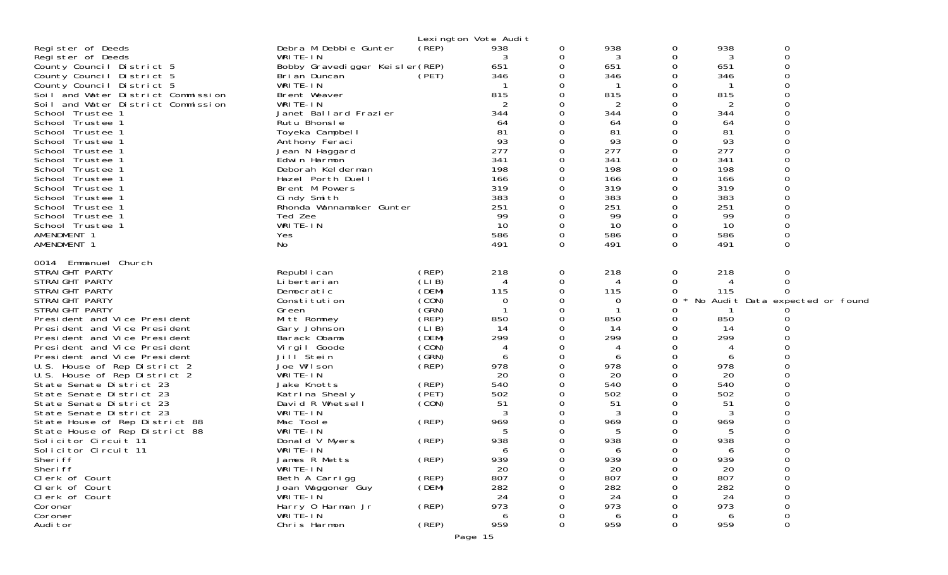|                                                              |                                | Lexington Vote Audit |             |          |           |               |           |                                 |  |
|--------------------------------------------------------------|--------------------------------|----------------------|-------------|----------|-----------|---------------|-----------|---------------------------------|--|
| Register of Deeds                                            | Debra M Debbie Gunter          | (REP)                | 938         | 0        | 938       | 0             | 938       | 0                               |  |
| Register of Deeds                                            | WRITE-IN                       |                      | 3           | 0        | 3         | 0             | 3         | $\mathbf 0$                     |  |
| County Council District 5                                    | Bobby Gravedigger Keisler(REP) |                      | 651         | 0        | 651       | ∩             | 651       | ∩                               |  |
| County Council District 5                                    | Bri an Duncan                  | (PET)                | 346         | 0        | 346       | O             | 346       | $\Omega$                        |  |
| County Council District 5                                    | WRITE-IN                       |                      |             | 0        |           | ∩             |           |                                 |  |
| Soil and Water District Commission                           | Brent Weaver                   |                      | 815         | 0        | 815       | 0             | 815       |                                 |  |
| Soil and Water District Commission                           | WRITE-IN                       |                      | 2           | 0        | 2         | O             | 2         |                                 |  |
| School Trustee 1                                             | Janet Ballard Frazier          |                      | 344         | 0        | 344       | $\Omega$      | 344       |                                 |  |
| School Trustee 1                                             | Rutu Bhonsle                   |                      | 64          | 0        | 64        | ∩             | 64        |                                 |  |
| School Trustee 1                                             | Toyeka Campbell                |                      | 81<br>93    | 0        | 81        | 0<br>$\Omega$ | 81        |                                 |  |
| School Trustee 1<br>School Trustee 1                         | Anthony Feraci                 |                      | 277         | 0<br>0   | 93<br>277 | 0             | 93<br>277 |                                 |  |
| School Trustee 1                                             | Jean N Haggard<br>Edwin Harmon |                      | 341         | 0        | 341       | 0             | 341       |                                 |  |
| School Trustee 1                                             | Deborah Kelderman              |                      | 198         | 0        | 198       | $\Omega$      | 198       |                                 |  |
| School Trustee 1                                             | Hazel Porth Duell              |                      | 166         | 0        | 166       | 0             | 166       |                                 |  |
| School Trustee 1                                             | Brent M Powers                 |                      | 319         | 0        | 319       | 0             | 319       |                                 |  |
| School Trustee 1                                             | Cindy Smith                    |                      | 383         | 0        | 383       | 0             | 383       |                                 |  |
| School Trustee 1                                             | Rhonda Wannamaker Gunter       |                      | 251         | $\Omega$ | 251       | $\Omega$      | 251       |                                 |  |
| School Trustee 1                                             | Ted Zee                        |                      | -99         | 0        | 99        | 0             | 99        |                                 |  |
| School Trustee 1                                             | WRITE-IN                       |                      | 10          | 0        | 10        | 0             | 10        |                                 |  |
| AMENDMENT 1                                                  | Yes                            |                      | 586         | 0        | 586       | 0             | 586       |                                 |  |
| AMENDMENT 1                                                  | No                             |                      | 491         | $\Omega$ | 491       | 0             | 491       | 0                               |  |
| Emmanuel Church<br>0014                                      |                                |                      |             |          |           |               |           |                                 |  |
| STRAIGHT PARTY                                               | Republ i can                   | (REP)                | 218         | 0        | 218       | 0             | 218       | 0                               |  |
| STRAIGHT PARTY                                               | Li bertari an                  | (LIB)                | 4           | 0        | 4         | 0             |           | $\Omega$                        |  |
| STRAIGHT PARTY                                               | Democratic                     | (DEM)                | 115         | 0        | 115       | 0             | 115       |                                 |  |
| STRAIGHT PARTY                                               | Constitution                   | (CON)                | $\mathbf 0$ | 0        | 0         | 0             |           | No Audit Data expected or found |  |
| STRAIGHT PARTY                                               | Green                          | (GRN)<br>(REP)       | 850         | 0<br>0   | 850       | 0<br>0        | 850       |                                 |  |
| President and Vice President<br>President and Vice President | Mitt Romney<br>Gary Johnson    | (LIB)                | 14          | 0        | 14        | O             | 14        |                                 |  |
| President and Vice President                                 | Barack Obama                   | (DEM)                | 299         | 0        | 299       | $\Omega$      | 299       |                                 |  |
| President and Vice President                                 | Virgil Goode                   | (CON)                | 4           | 0        | 4         | 0             |           |                                 |  |
| President and Vice President                                 | Jill Stein                     | (GRN)                | 6           | 0        | 6         | O             | 6         |                                 |  |
| U.S. House of Rep District 2                                 | Joe Wilson                     | (REF)                | 978         | 0        | 978       | $\Omega$      | 978       |                                 |  |
| U.S. House of Rep District 2                                 | WRITE-IN                       |                      | 20          | 0        | 20        | 0             | 20        |                                 |  |
| State Senate District 23                                     | Jake Knotts                    | (REP)                | 540         | 0        | 540       | O             | 540       |                                 |  |
| State Senate District 23                                     | Katrina Shealy                 | (PET)                | 502         | 0        | 502       | 0             | 502       |                                 |  |
| State Senate District 23                                     | David R Whetsell               | (CON)                | 51          | 0        | 51        | ∩             | 51        |                                 |  |
| State Senate District 23                                     | WRITE-IN                       |                      | 3           | 0        | 3         |               | 3         |                                 |  |
| State House of Rep District 88                               | Mac Toole<br>WRITE-IN          | (REP)                | 969<br>5    | 0        | 969<br>5  |               | 969<br>5  |                                 |  |
| State House of Rep District 88<br>Solicitor Circuit 11       | Donald V Myers                 | (REP)                | 938         | 0        | 938       | 0             | 938       |                                 |  |
| Solicitor Circuit 11                                         | WRITE-IN                       |                      |             | 0        | 6         | ∩             | 6         |                                 |  |
| Sheri ff                                                     | James R Metts                  | (REP)                | 939         | 0        | 939       | 0             | 939       | 0                               |  |
| Sheri ff                                                     | WRITE-IN                       |                      | 20          | 0        | 20        |               | 20        |                                 |  |
| Clerk of Court                                               | Beth A Carrigg                 | (REP)                | 807         |          | 807       |               | 807       | 0                               |  |
| Clerk of Court                                               | Joan Waggoner Guy              | (DEM)                | 282         |          | 282       |               | 282       | $\mathbf 0$                     |  |
| Clerk of Court                                               | WRITE-IN                       |                      | 24          |          | 24        |               | 24        |                                 |  |
| Coroner                                                      | Harry 0 Harman Jr              | (REP)                | 973         |          | 973       |               | 973       |                                 |  |
| Coroner                                                      | WRITE-IN                       |                      | 6           | 0        | 6         |               | 6         | 0                               |  |
| Audi tor                                                     | Chris Harmon                   | (REP)                | 959         | 0        | 959       | 0             | 959       | 0                               |  |
|                                                              |                                | Page 15              |             |          |           |               |           |                                 |  |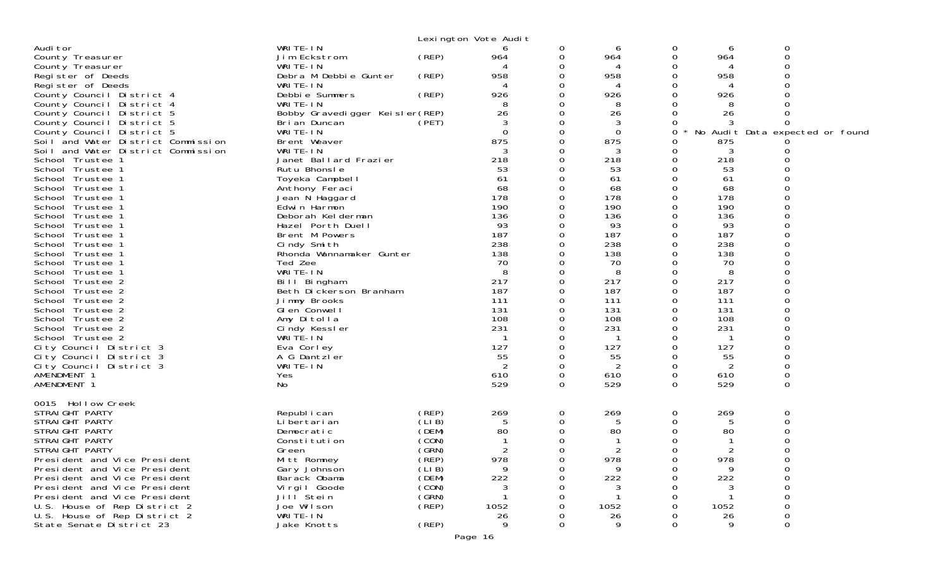|                                      |                                 |          | Lexington Vote Audit |          |             |               |              |                                 |  |
|--------------------------------------|---------------------------------|----------|----------------------|----------|-------------|---------------|--------------|---------------------------------|--|
| Audi tor                             | WRITE-IN                        |          | 6                    | 0        | 6           | 0             | 6            | 0                               |  |
| County Treasurer                     | Jim Eckstrom                    | (REP)    | 964                  | 0        | 964         | 0             | 964          | $\mathbf 0$                     |  |
| County Treasurer                     | WRITE-IN                        |          |                      | 0        |             | O             |              |                                 |  |
| Register of Deeds                    | Debra M Debbie Gunter           | (REP)    | 958                  | 0        | 958         | 0             | 958          |                                 |  |
| Register of Deeds                    | WRITE-IN                        |          | 4                    |          | 4           | O             | 4            |                                 |  |
| County Council District 4            | Debbie Summers                  | (REP)    | 926                  | O        | 926         | 0             | 926          |                                 |  |
| County Council District 4            | WRITE-IN                        |          | 8                    | 0        | 8           | ∩             | 8            |                                 |  |
| County Council District 5            | Bobby Gravedigger Keisler (REP) |          | 26                   | 0        | 26          |               | 26           |                                 |  |
| County Council District 5            | Bri an Duncan                   | (PET)    | 3                    | O        | 3           | $\Omega$      |              |                                 |  |
| County Council District 5            | WRITE-IN                        |          | $\Omega$             | 0        | $\Omega$    | 0             |              | No Audit Data expected or found |  |
| Soil and Water District Commission   | Brent Weaver                    |          | 875                  | 0        | 875         | 0             | 875          |                                 |  |
| Soil and Water District Commission   | WRITE-IN                        |          | 3                    | O        | 3           | $\Omega$      | 3            |                                 |  |
| School Trustee 1                     | Janet Ballard Frazier           |          | 218                  | 0        | 218         | 0             | 218          |                                 |  |
| School Trustee 1                     | Rutu Bhonsle                    |          | 53                   |          | 53          | $\Omega$      | 53           |                                 |  |
| School Trustee 1                     | Toyeka Campbell                 |          | 61                   | U        | 61          | $\Omega$      | 61           |                                 |  |
| School Trustee 1                     | Anthony Feraci                  |          | 68                   |          | 68          | 0             | 68           |                                 |  |
| School Trustee 1                     | Jean N Haggard                  |          | 178                  |          | 178         | $\Omega$      | 178          |                                 |  |
| School Trustee 1                     | Edwin Harmon                    |          | 190                  | O        | 190         | $\Omega$      | 190          |                                 |  |
| School Trustee 1                     | Deborah Kelderman               |          | 136                  |          | 136         | 0             | 136          |                                 |  |
| School Trustee 1                     | Hazel Porth Duell               |          | 93                   |          | 93          | $\Omega$      | 93           |                                 |  |
| School Trustee 1                     | Brent M Powers                  |          | 187                  | $\Omega$ | 187         | 0             | 187          |                                 |  |
| School Trustee 1                     | Cindy Smith                     |          | 238                  | 0        | 238         | 0             | 238          |                                 |  |
| School Trustee 1                     | Rhonda Wannamaker Gunter        |          | 138                  | O        | 138         | $\Omega$      | 138          |                                 |  |
| School Trustee 1                     | Ted Zee                         |          | 70                   |          | 70          | $\Omega$      | 70           |                                 |  |
| School Trustee 1                     | WRITE-IN                        |          | 8                    | 0        | 8           | 0             | 8            |                                 |  |
| School Trustee 2                     | Bill Bingham                    |          | 217                  |          | 217         | $\Omega$      | 217          |                                 |  |
| School Trustee 2                     | Beth Dickerson Branham          |          | 187                  | 0        | 187         | 0             | 187          |                                 |  |
| School Trustee 2                     | Jimmy Brooks                    |          | 111<br>131           | 0<br>0   | 111         | 0<br>$\Omega$ | 111          |                                 |  |
| School Trustee 2                     | GI en Conwell                   |          |                      | O        | 131         | $\Omega$      | 131          |                                 |  |
| School Trustee 2                     | Amy Ditolla<br>Cindy Kessler    |          | 108<br>231           | 0        | 108<br>231  | 0             | 108<br>231   |                                 |  |
| School Trustee 2<br>School Trustee 2 | WRITE-IN                        |          |                      | 0        | $\mathbf 1$ | 0             | $\mathbf{1}$ |                                 |  |
| City Council District 3              | Eva Corley                      |          | 127                  | $\Omega$ | 127         | $\Omega$      | 127          |                                 |  |
| City Council District 3              | A G Dantzler                    |          | 55                   | 0        | 55          | 0             | 55           |                                 |  |
| City Council District 3              | WRITE-IN                        |          | 2                    | 0        | 2           | 0             | 2            |                                 |  |
| AMENDMENT 1                          | Yes                             |          | 610                  | 0        | 610         | 0             | 610          | $\mathbf 0$                     |  |
| AMENDMENT 1                          | No                              |          | 529                  | 0        | 529         | $\Omega$      | 529          | 0                               |  |
|                                      |                                 |          |                      |          |             |               |              |                                 |  |
| 0015 Hollow Creek                    |                                 |          |                      |          |             |               |              |                                 |  |
| STRAIGHT PARTY                       | Republ i can                    | (REP)    | 269                  | 0        | 269         | 0             | 269          | 0                               |  |
| STRAIGHT PARTY                       | Li bertari an                   | (LIB)    | 5                    | 0        | 5           | 0             | 5            | Ω                               |  |
| STRAIGHT PARTY                       | Democratic                      | (DEM)    | 80                   | O        | 80          | ∩             | 80           |                                 |  |
| STRAIGHT PARTY                       | Constitution                    | (CON)    |                      | 0        |             | 0             |              |                                 |  |
| STRAIGHT PARTY                       | Green                           | (GRN)    | $\overline{c}$       | 0        | 2           | 0             | 2            |                                 |  |
| President and Vice President         | Mitt Romney                     | $($ REP) | 978                  | 0        | 978         | 0             | 978          | 0                               |  |
| President and Vice President         | Gary Johnson                    | (LIB)    | 9                    | O        | 9           | 0             | 9            | 0                               |  |
| President and Vice President         | Barack Obama                    | (DEM)    | 222                  |          | 222         |               | 222          | 0                               |  |
| President and Vice President         | Virgil Goode                    | (CON)    | 3                    |          |             |               |              | $\Omega$                        |  |
| President and Vice President         | Jill <sup>Stein</sup>           | (SRN)    |                      |          |             |               |              | $\mbox{O}$                      |  |
| U.S. House of Rep District 2         | Joe Wilson                      | (REP)    | 1052                 |          | 1052        |               | 1052         | $\boldsymbol{0}$                |  |
| U.S. House of Rep District 2         | WRITE-IN                        |          | 26                   |          | 26          |               | 26           | 0                               |  |
| State Senate District 23             | Jake Knotts                     | (REP)    | 9                    |          | 9           | 0             | 9            | $\mathbf 0$                     |  |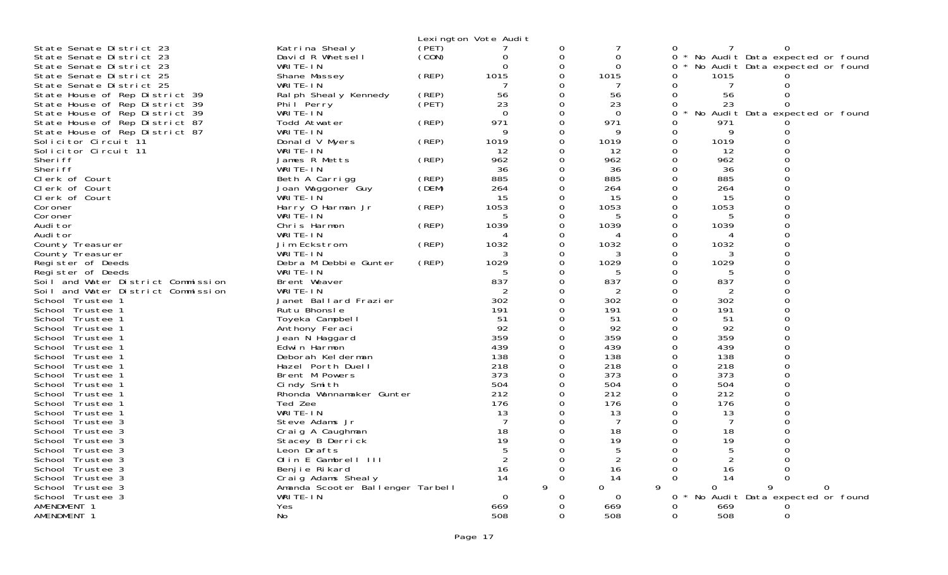|                                    |                                  |       | Lexington Vote Audit     |               |                |          |                 |                                   |   |
|------------------------------------|----------------------------------|-------|--------------------------|---------------|----------------|----------|-----------------|-----------------------------------|---|
| State Senate District 23           | Katrina Shealy                   | (PET) |                          | 0             | 7              | 0        |                 | 0                                 |   |
| State Senate District 23           | David R Whetsell                 | (CON) | 0                        | 0             | 0              |          | 0               | * No Audit Data expected or found |   |
| State Senate District 23           | WRITE-IN                         |       | ∩                        | $\Omega$      | $\Omega$       |          | 0               | No Audit Data expected or found   |   |
| State Senate District 25           | Shane Massey                     | (REP) | 1015                     | 0             | 1015           |          | 1015<br>0       |                                   |   |
| State Senate District 25           | WRITE-IN                         |       | 7                        | 0             | 7              |          | 0<br>7          | 0                                 |   |
| State House of Rep District 39     | Ral ph Sheal y Kennedy           | (REP) | 56                       | $\Omega$      | 56             |          | 56<br>$\Omega$  | $\Omega$                          |   |
| State House of Rep District 39     | Phil Perry                       | (PET) | 23                       | 0             | 23             |          | 23<br>0         | $\Omega$                          |   |
| State House of Rep District 39     | WRITE-IN                         |       | $\Omega$                 | $\Omega$      | $\Omega$       |          | $\Omega$        | No Audit Data expected or found   |   |
| State House of Rep District 87     | Todd Atwater                     | (REP) | 971                      | 0             | 971            |          | 0<br>971        |                                   |   |
| State House of Rep District 87     | WRITE-IN                         |       | Q                        | $\Omega$      | 9              |          | 9<br>0          | 0                                 |   |
| Solicitor Circuit 11               | Donald V Myers                   | (REP) | 1019                     | 0             | 1019           |          | 1019<br>0       | $\mathbf{O}$                      |   |
| Solicitor Circuit 11               | WRITE-IN                         |       | 12                       | 0             | 12             |          | 0<br>12         | $\Omega$                          |   |
| Sheri ff                           | James R Metts                    | (REP) | 962                      | $\Omega$      | 962            | $\Omega$ | 962             | $\Omega$                          |   |
| Sheri ff                           | WRITE-IN                         |       | 36                       | 0             | 36             | 0        | 36              | $\mathbf 0$                       |   |
| Clerk of Court                     | Beth A Carrigg                   | (REP) | 885                      | $\Omega$      | 885            |          | $\Omega$<br>885 | $\Omega$                          |   |
| Clerk of Court                     | Joan Waggoner Guy                | (DEM) | 264                      | 0             | 264            | 0        | 264             | $\mathbf{O}$                      |   |
| Clerk of Court                     | WRITE-IÑ                         |       | 15                       | 0             | 15             |          | 15<br>0         | $\mathbf{O}$                      |   |
| Coroner                            | Harry 0 Harman Jr                | (REP) | 1053                     | 0             | 1053           |          | 1053<br>0       | $\Omega$                          |   |
| Coroner                            | WRITE-IN                         |       | 5                        | 0             | 5              |          | 0<br>5          | $\overline{0}$                    |   |
| Audi tor                           | Chris Harmon                     | (REP) | 1039                     | $\Omega$      | 1039           | $\Omega$ | 1039            | $\Omega$                          |   |
| Audi tor                           | WRITE-IN                         |       | $\boldsymbol{\varDelta}$ | 0             | 4              | 0        | 4               | $\mathsf 0$                       |   |
| County Treasurer                   | Jim Eckstrom                     | (REP) | 1032                     | $\Omega$      | 1032           | $\Omega$ | 1032            | $\Omega$                          |   |
| County Treasurer                   | WRITE-IN                         |       | 3                        | 0             | 3              | Ω        | 3               | $\Omega$                          |   |
| Register of Deeds                  | Debra M Debbie Gunter            | (REP) | 1029                     | 0             | 1029           |          | 1029<br>0       | $\mathbf{O}$                      |   |
| Register of Deeds                  | WRITE-IN                         |       |                          | 0             | 5              | 0        | 5               | $\Omega$                          |   |
| Soil and Water District Commission | Brent Weaver                     |       | 837                      | 0             | 837            |          | 837<br>0        | $\Omega$                          |   |
| Soil and Water District Commission | WRITE-IN                         |       |                          | 0             | 2              | $\Omega$ | 2               | $\Omega$                          |   |
| School Trustee 1                   | Janet Ballard Frazier            |       | 302                      | 0             | 302            | 0        | 302             | $\mathbf 0$                       |   |
| School Trustee 1                   | Rutu Bhonsle                     |       | 191                      | $\Omega$      | 191            | $\Omega$ | 191             | $\Omega$                          |   |
| School Trustee 1                   | Toyeka Campbell                  |       | 51                       | 0             | 51             | 0        | 51              | $\Omega$                          |   |
| School Trustee 1                   | Anthony Feraci                   |       | 92                       | 0             | 92             |          | 92<br>0         | $\mathbf{O}$                      |   |
| School Trustee 1                   | Jean N Haggard                   |       | 359                      | 0             | 359            |          | 0<br>359        | $\Omega$                          |   |
| School Trustee 1                   | Edwin Harmon                     |       | 439                      | 0             | 439            |          | 439<br>0        | $\Omega$                          |   |
| School Trustee 1                   | Deborah Kelderman                |       | 138                      |               | 138            | $\Omega$ | 138             | $\Omega$                          |   |
| School Trustee 1                   | Hazel Porth Duell                |       | 218                      | 0             | 218            | 0        | 218             | $\mathsf{O}\xspace$               |   |
| School Trustee 1                   | Brent M Powers                   |       | 373                      | $\Omega$      | 373            | $\Omega$ | 373             | $\Omega$                          |   |
| School Trustee 1                   | Cindy Smith                      |       | 504                      | 0             | 504            | 0        | 504             | $\Omega$                          |   |
| School Trustee 1                   | Rhonda Wannamaker Gunter         |       | 212                      | 0             | 212            |          | $\Omega$<br>212 | $\mathbf{O}$                      |   |
| School Trustee 1                   | Ted Zee                          |       | 176                      | $\Omega$      | 176            |          | 0<br>176        | $\Omega$                          |   |
| School Trustee 1                   | WRITE-IN                         |       | 13                       | 0             | 13             |          | 0<br>13         | $\Omega$                          |   |
| School Trustee 3                   | Steve Adams Jr                   |       | $\overline{7}$           | $\Omega$      | 7              | $\Omega$ | 7               |                                   |   |
| School Trustee 3                   | Craig A Caughman                 |       | 18                       | 0             | 18             |          | 0<br>18         | $\mathbf 0$                       |   |
| School Trustee 3                   | Stacey B Derrick                 |       | 19                       | $\Omega$      | 19             |          | $\Omega$<br>19  | $\Omega$                          |   |
| School Trustee 3                   | Leon Drafts                      |       | 5                        | 0             | 5              | 0        | 5               |                                   |   |
| School Trustee 3                   | Olin E Gambrell III              |       | $\overline{2}$           | $\Omega$      | $\overline{2}$ | $\Omega$ | $\overline{2}$  | $\Omega$                          |   |
| School Trustee 3                   | Benjie Rikard                    |       | 16                       | $\Omega$      | 16             | 0        | 16              | $\Omega$                          |   |
| School Trustee 3                   | Craig Adams Shealy               |       | 14                       | $\Omega$<br>9 | 14             | $\Omega$ | 14              | 0                                 |   |
| School Trustee 3                   | Amanda Scooter Ballenger Tarbell |       |                          |               | 0              | 9        | 0               | 9                                 | 0 |
| School Trustee 3                   | WRITE-IN                         |       | $\mathbf 0$              | O<br>∩        | 0              |          | 0               | No Audit Data expected or found   |   |
| AMENDMENT 1                        | Yes                              |       | 669                      |               | 669            |          | 0<br>669<br>508 |                                   |   |
| AMENDMENT 1                        | No                               |       | 508                      | $\Omega$      | 508            |          | 0               | $\mathbf 0$                       |   |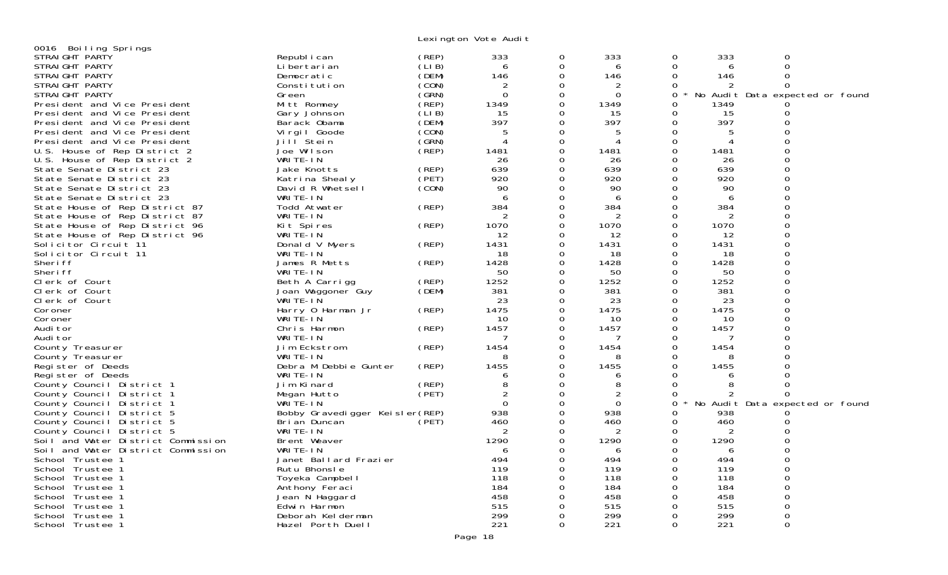Lexington Vote Audit

| 0016 Boiling Springs               |                                 |       |                             |          |             |          |                          |                                 |  |
|------------------------------------|---------------------------------|-------|-----------------------------|----------|-------------|----------|--------------------------|---------------------------------|--|
| STRAIGHT PARTY                     | Republ i can                    | (REP) | 333                         | 0        | 333         | 0        | 333                      |                                 |  |
| STRAIGHT PARTY                     | Li bertari an                   | (LIB) | 6                           | $\Omega$ | 6           | $\Omega$ | 6                        | $\Omega$                        |  |
| STRAIGHT PARTY                     | Democratic                      | (DEM) | 146                         | 0        | 146         | $\Omega$ | 146                      | $\Omega$                        |  |
| STRAIGHT PARTY                     | Constitution                    | (CON) | $\overline{2}$              | $\Omega$ | 2           | $\Omega$ | 2                        |                                 |  |
| STRAIGHT PARTY                     | Green                           | (SRN) | $\Omega$                    | 0        | $\mathbf 0$ | 0        |                          | No Audit Data expected or found |  |
| President and Vice President       | Mitt Romney                     | (REP) | 1349                        | $\Omega$ | 1349        | 0        | 1349                     |                                 |  |
| President and Vice President       | Gary Johnson                    | (LIB) | 15                          | $\Omega$ | 15          | 0        | 15                       | 0                               |  |
| President and Vice President       | Barack Obama                    | (DEM) | 397                         | $\Omega$ | 397         | 0        | 397                      |                                 |  |
|                                    |                                 |       |                             | $\Omega$ |             |          |                          |                                 |  |
| President and Vice President       | Virgil Goode                    | (CON) | 5                           |          |             | 0        | 5                        |                                 |  |
| President and Vice President       | Jill Stein                      | (SRN) | $\boldsymbol{\vartriangle}$ | $\Omega$ | 4           | $\Omega$ | $\boldsymbol{\varDelta}$ | $\Omega$                        |  |
| U.S. House of Rep District 2       | Joe Wilson                      | (REP) | 1481                        | $\Omega$ | 1481        | $\Omega$ | 1481                     |                                 |  |
| U.S. House of Rep District 2       | WRITE-IN                        |       | 26                          | 0        | 26          | 0        | 26                       |                                 |  |
| State Senate District 23           | Jake Knotts                     | (REP) | 639                         | 0        | 639         | 0        | 639                      | $\Omega$                        |  |
| State Senate District 23           | Katrina Shealy                  | (PET) | 920                         | $\Omega$ | 920         | 0        | 920                      |                                 |  |
| State Senate District 23           | David R Whetsell                | (CON) | 90                          | 0        | 90          | 0        | 90                       | $\Omega$                        |  |
| State Senate District 23           | WRITE-IN                        |       | 6                           | $\Omega$ | 6           | $\Omega$ | 6                        | $\Omega$                        |  |
| State House of Rep District 87     | Todd Atwater                    | (REP) | 384                         | 0        | 384         | 0        | 384                      | $\Omega$                        |  |
| State House of Rep District 87     | WRITE-IN                        |       | 2                           | $\Omega$ | 2           | $\Omega$ | 2                        | $\Omega$                        |  |
| State House of Rep District 96     | Kit Spires                      | (REP) | 1070                        | $\Omega$ | 1070        | $\Omega$ | 1070                     | $\Omega$                        |  |
| State House of Rep District 96     | WRITE-IN                        |       | 12                          | $\Omega$ | 12          | 0        | 12                       | $\Omega$                        |  |
| Solicitor Circuit 11               | Donald V Myers                  | (REP) | 1431                        | $\Omega$ | 1431        | 0        | 1431                     |                                 |  |
| Solicitor Circuit 11               | WRITE-IN                        |       | -18                         | 0        | 18          | 0        | 18                       | $\Omega$                        |  |
| Sheri ff                           | James R Metts                   | (REP) | 1428                        | $\Omega$ | 1428        | $\Omega$ | 1428                     |                                 |  |
|                                    | WRITE-IN                        |       | 50                          | 0        | 50          | 0        | 50                       | 0                               |  |
| Sheri ff                           |                                 |       |                             |          |             |          |                          | $\Omega$                        |  |
| Clerk of Court                     | Beth A Carrigg                  | (REP) | 1252                        | 0        | 1252        | 0        | 1252                     |                                 |  |
| Clerk of Court                     | Joan Waggoner Guy               | (DEM) | 381                         | 0        | 381         | 0        | 381                      | $\Omega$                        |  |
| Clerk of Court                     | WRITE-IN                        |       | 23                          | 0        | 23          | 0        | 23                       | $\Omega$                        |  |
| Coroner                            | Harry 0 Harman Jr               | (REP) | 1475                        | $\Omega$ | 1475        | 0        | 1475                     |                                 |  |
| Coroner                            | WRITE-IN                        |       | 10                          | 0        | 10          | $\Omega$ | 10                       | $\Omega$                        |  |
| Audi tor                           | Chris Harmon                    | (REP) | 1457                        | $\Omega$ | 1457        | 0        | 1457                     |                                 |  |
| Audi tor                           | WRITE-IN                        |       | 7                           | 0        | 7           | 0        | 7                        |                                 |  |
| County Treasurer                   | Jim Eckstrom                    | (REP) | 1454                        | $\Omega$ | 1454        | $\Omega$ | 1454                     |                                 |  |
| County Treasurer                   | WRITE-IN                        |       | 8                           | 0        | 8           | 0        | 8                        | $\Omega$                        |  |
| Register of Deeds                  | Debra M Debbie Gunter           | (REP) | 1455                        | $\Omega$ | 1455        | $\Omega$ | 1455                     |                                 |  |
| Register of Deeds                  | WRITE-IN                        |       | 6                           | 0        | 6           | 0        | 6                        |                                 |  |
| County Council District 1          | Jim Kinard                      | (REP) | 8                           | $\Omega$ | 8           | $\Omega$ | 8                        | $\Omega$                        |  |
| County Council District 1          | Megan Hutto                     | (PET) | 2                           | 0        | 2           | $\Omega$ | 2                        | 0                               |  |
| County Council District 1          | WRITE-IN                        |       | $\Omega$                    | $\Omega$ | $\Omega$    | 0        |                          | No Audit Data expected or found |  |
| County Council District 5          | Bobby Gravedigger Keisler (REP) |       | 938                         | $\Omega$ | 938         | 0        | 938                      |                                 |  |
| County Council District 5          | Bri an Duncan                   | (PET) | 460                         | 0        | 460         | 0        | 460                      |                                 |  |
|                                    | WRITE-IN                        |       |                             | 0        | 2           | 0        | 2                        |                                 |  |
| County Council District 5          |                                 |       |                             |          |             |          |                          |                                 |  |
| Soil and Water District Commission | Brent Weaver                    |       | 1290                        | 0        | 1290        | 0        | 1290                     |                                 |  |
| Soil and Water District Commission | WRITE-IN                        |       | 6                           | $\Omega$ | 6           | $\Omega$ | 6                        |                                 |  |
| School Trustee 1                   | Janet Ballard Frazier           |       | 494                         | 0        | 494         | 0        | 494                      |                                 |  |
| School Trustee 1                   | Rutu Bhonsle                    |       | 119                         | $\Omega$ | 119         | 0        | 119                      | $\Omega$                        |  |
| School Trustee 1                   | Toyeka Campbell                 |       | 118                         | 0        | 118         | 0        | 118                      |                                 |  |
| School Trustee 1                   | Anthony Feraci                  |       | 184                         | 0        | 184         | 0        | 184                      | $\Omega$                        |  |
| School Trustee 1                   | Jean N Haggard                  |       | 458                         |          | 458         |          | 458                      |                                 |  |
| School Trustee 1                   | Edwin Harmon                    |       | 515                         | 0        | 515         |          | 515                      | $\Omega$                        |  |
| School Trustee 1                   | Deborah Kelderman               |       | 299                         | 0        | 299         | 0        | 299                      | $\Omega$                        |  |
| School Trustee 1                   | Hazel Porth Duell               |       | 221                         | $\Omega$ | 221         | $\Omega$ | 221                      | $\Omega$                        |  |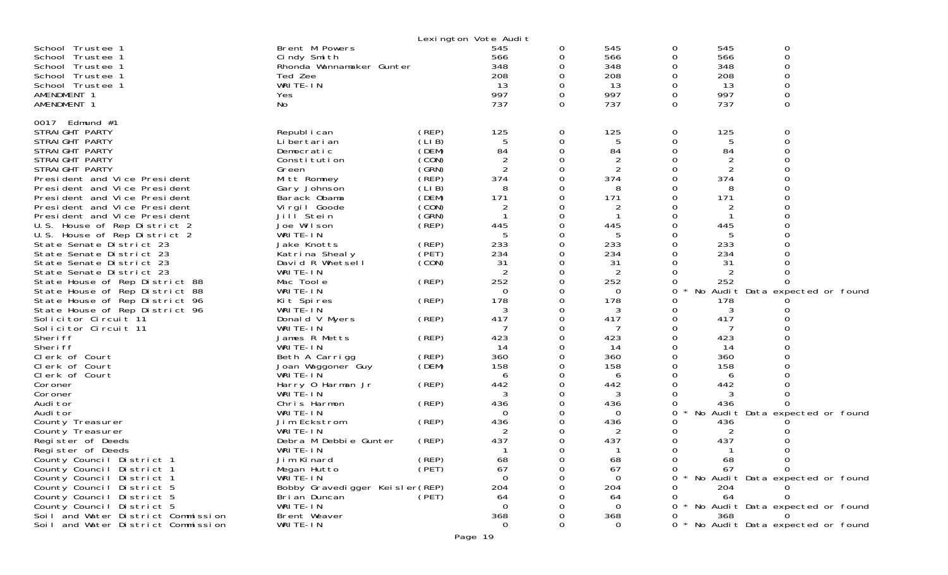|                                                                                                                                                                                                                                                                                                                                                                                                                                                                                                                              |                                                                                                                                                                                                                                                                       |                                                                                                                                     | Lexington Vote Audit                                                                                                                |                                                                                                                                 |                                                                                                         |                                                                                        |                                                                                                        |                                                                        |
|------------------------------------------------------------------------------------------------------------------------------------------------------------------------------------------------------------------------------------------------------------------------------------------------------------------------------------------------------------------------------------------------------------------------------------------------------------------------------------------------------------------------------|-----------------------------------------------------------------------------------------------------------------------------------------------------------------------------------------------------------------------------------------------------------------------|-------------------------------------------------------------------------------------------------------------------------------------|-------------------------------------------------------------------------------------------------------------------------------------|---------------------------------------------------------------------------------------------------------------------------------|---------------------------------------------------------------------------------------------------------|----------------------------------------------------------------------------------------|--------------------------------------------------------------------------------------------------------|------------------------------------------------------------------------|
| School Trustee 1<br>School Trustee 1<br>School Trustee 1<br>School Trustee 1<br>School Trustee 1<br>AMENDMENT 1<br>AMENDMENT 1                                                                                                                                                                                                                                                                                                                                                                                               | Brent M Powers<br>Cindy Smith<br>Rhonda Wannamaker Gunter<br>Ted Zee<br>WRITE-IN<br>Yes<br>No                                                                                                                                                                         |                                                                                                                                     | 545<br>566<br>348<br>208<br>13<br>997<br>737                                                                                        | 0<br>0<br>0<br>0<br>0<br>$\Omega$<br>$\Omega$                                                                                   | 545<br>566<br>348<br>208<br>13<br>997<br>737                                                            | 0<br>0<br>0<br>0<br>0<br>0<br>$\Omega$                                                 | 545<br>566<br>348<br>208<br>13<br>997<br>737                                                           | 0<br>0<br>0<br>0<br>0<br>0<br>0                                        |
| 0017 Edmund #1<br>STRAIGHT PARTY<br>STRAIGHT PARTY<br>STRAIGHT PARTY<br>STRAIGHT PARTY<br>STRAIGHT PARTY<br>President and Vice President<br>President and Vice President<br>President and Vice President<br>President and Vice President<br>President and Vice President<br>U.S. House of Rep District 2<br>U.S. House of Rep District 2<br>State Senate District 23<br>State Senate District 23<br>State Senate District 23<br>State Senate District 23<br>State House of Rep District 88<br>State House of Rep District 88 | Republ i can<br>Li bertari an<br>Democratic<br>Constitution<br>Green<br>Mitt Romney<br>Gary Johnson<br>Barack Obama<br>Virgil Goode<br>Jill Stein<br>Joe Wilson<br>WRITE-IN<br>Jake Knotts<br>Katrina Shealy<br>David R Whetsell<br>WRITE-IN<br>Mac Toole<br>WRITE-IN | (REP)<br>(LIB)<br>(DEM)<br>(CON)<br>(GRN)<br>(REP)<br>(LIB)<br>(DEM)<br>(CON)<br>(GRN)<br>(REP)<br>(REP)<br>(PET)<br>(CON)<br>(REP) | 125<br>5<br>84<br>$\overline{2}$<br>$\overline{2}$<br>374<br>8<br>171<br>$\overline{2}$<br>445<br>233<br>234<br>31<br>2<br>252<br>0 | $\overline{O}$<br>0<br>$\Omega$<br>0<br>0<br>$\Omega$<br>0<br>0<br>0<br>0<br>0<br>0<br>0<br>0<br>$\Omega$<br>0<br>0<br>$\Omega$ | 125<br>5<br>84<br>2<br>2<br>374<br>8<br>171<br>2<br>-1<br>445<br>5<br>233<br>234<br>31<br>2<br>252<br>0 | 0<br>0<br>0<br>0<br>0<br>0<br>0<br>0<br>0<br>0<br>0<br>0<br>0<br>0<br>0<br>0<br>0<br>0 | 125<br>5<br>84<br>2<br>2<br>374<br>8<br>171<br>$\mathbf 1$<br>445<br>5<br>233<br>234<br>31<br>2<br>252 | 0<br>0<br>O<br>0<br>No Audit Data expected or found                    |
| State House of Rep District 96<br>State House of Rep District 96<br>Solicitor Circuit 11<br>Solicitor Circuit 11<br>Sheri ff                                                                                                                                                                                                                                                                                                                                                                                                 | Kit Spires<br>WRITE-IN<br>Donald V Myers<br>WRITE-IN<br>James R Metts                                                                                                                                                                                                 | (REP)<br>(REP)<br>(REP)                                                                                                             | 178<br>3<br>417<br>423                                                                                                              | 0<br>0<br>$\Omega$<br>0<br>0                                                                                                    | 178<br>3<br>417<br>7<br>423                                                                             | 0<br>0<br>0<br>0<br>0                                                                  | 178<br>3<br>417<br>7<br>423                                                                            |                                                                        |
| Sheri ff<br>Clerk of Court<br>Clerk of Court<br>Clerk of Court<br>Coroner                                                                                                                                                                                                                                                                                                                                                                                                                                                    | WRITE-IN<br>Beth A Carrigg<br>Joan Waggoner Guy<br>WRITE-IN<br>Harry 0 Harman Jr                                                                                                                                                                                      | (REP)<br>(DEM)<br>(REP)                                                                                                             | -14<br>360<br>158<br>6<br>442                                                                                                       | $\Omega$<br>0<br>0<br>0<br>0                                                                                                    | 14<br>360<br>158<br>6<br>442                                                                            | 0<br>0<br>0<br>0<br>0                                                                  | 14<br>360<br>158<br>6<br>442                                                                           |                                                                        |
| Coroner<br>Audi tor<br>Audi tor<br>County Treasurer<br>County Treasurer                                                                                                                                                                                                                                                                                                                                                                                                                                                      | WRITE-IN<br>Chris Harmon<br>WRITE-IN<br>Jim Eckstrom<br>WRITE-IN                                                                                                                                                                                                      | (REP)<br>(REP)                                                                                                                      | 3<br>436<br>0<br>436<br>2                                                                                                           | 0<br>0<br>0<br>0<br>0                                                                                                           | 3<br>436<br>0<br>436<br>2                                                                               | 0<br>0<br>$\star$<br>0<br>0<br>O                                                       | 3<br>436<br>436<br>2                                                                                   | No Audit Data expected or found                                        |
| Register of Deeds<br>Register of Deeds<br>County Council District 1<br>County Council District 1<br>County Council District 1<br>County Council District 5                                                                                                                                                                                                                                                                                                                                                                   | Debra M Debbie Gunter<br>WRITE-IN<br>Jim Kinard<br>Megan Hutto<br>WRITE-IN<br>Bobby Gravedigger Keisler (REP)                                                                                                                                                         | (REP)<br>(REP)<br>(PET)                                                                                                             | 437<br>68<br>67<br>0<br>204                                                                                                         | 0<br>$\Omega$<br>0<br>0                                                                                                         | 437<br>ำ<br>68<br>67<br>0<br>204                                                                        | 0<br>0<br>0                                                                            | 437<br>-1<br>68<br>67<br>204                                                                           | 0<br>0<br>* No Audit Data expected or found                            |
| County Council District 5<br>County Council District 5<br>Soil and Water District Commission<br>Soil and Water District Commission                                                                                                                                                                                                                                                                                                                                                                                           | Bri an Duncan<br>WRITE-IN<br>Brent Weaver<br>WRITE-IN                                                                                                                                                                                                                 | (PET)                                                                                                                               | 64<br>0<br>368<br>0                                                                                                                 | O<br>$\Omega$                                                                                                                   | 64<br>0<br>368<br>0                                                                                     | 0<br>O                                                                                 | 64<br>368                                                                                              | * No Audit Data expected or found<br>* No Audit Data expected or found |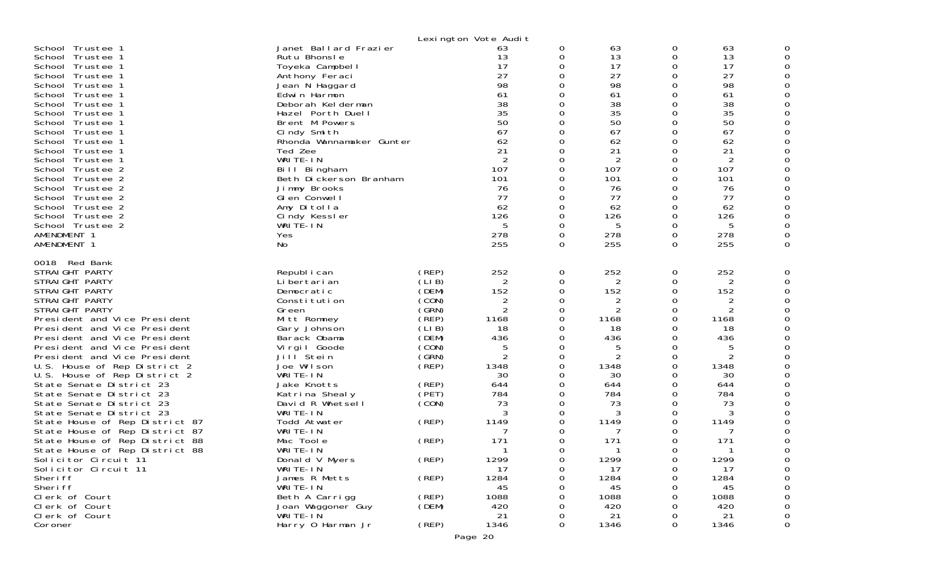|                                                                                                                                                                                                                                                                                                                                                                                                                                                                                                                                                                                                                                                                                                                                          |                                                                                                                                                                                                                                                                                                                                                                                                                                       |                                                                                                                                                                                            | Lexington Vote Audit                                                                                                                                                                                           |                                                                                                                   |                                                                                                                                                                                           |                                                                                                                           |                                                                                                                                                                                           |   |
|------------------------------------------------------------------------------------------------------------------------------------------------------------------------------------------------------------------------------------------------------------------------------------------------------------------------------------------------------------------------------------------------------------------------------------------------------------------------------------------------------------------------------------------------------------------------------------------------------------------------------------------------------------------------------------------------------------------------------------------|---------------------------------------------------------------------------------------------------------------------------------------------------------------------------------------------------------------------------------------------------------------------------------------------------------------------------------------------------------------------------------------------------------------------------------------|--------------------------------------------------------------------------------------------------------------------------------------------------------------------------------------------|----------------------------------------------------------------------------------------------------------------------------------------------------------------------------------------------------------------|-------------------------------------------------------------------------------------------------------------------|-------------------------------------------------------------------------------------------------------------------------------------------------------------------------------------------|---------------------------------------------------------------------------------------------------------------------------|-------------------------------------------------------------------------------------------------------------------------------------------------------------------------------------------|---|
| School Trustee 1<br>School Trustee 1<br>School Trustee 1<br>School Trustee 1<br>School Trustee 1<br>School Trustee 1<br>School Trustee 1<br>School Trustee 1<br>School Trustee 1<br>School Trustee 1<br>School Trustee 1<br>School Trustee 1<br>School Trustee 1<br>School Trustee 2<br>School Trustee 2<br>School Trustee 2<br>School Trustee 2<br>School Trustee 2<br>School Trustee 2<br>School Trustee 2<br>AMENDMENT 1<br>AMENDMENT 1                                                                                                                                                                                                                                                                                               | Janet Ballard Frazier<br>Rutu Bhonsle<br>Toyeka Campbell<br>Anthony Feraci<br>Jean N Haggard<br>Edwin Harmon<br>Deborah Kelderman<br>Hazel Porth Duell<br>Brent M Powers<br>Cindy Smith<br>Rhonda Wannamaker Gunter<br>Ted Zee<br>WRITE-IN<br>Bill Bingham<br>Beth Dickerson Branham<br>Jimmy Brooks<br>Glen Conwell<br>Amy Ditolla<br>Cindy Kessler<br>WRITÉ-IN<br>Yes<br>No                                                         |                                                                                                                                                                                            | 63<br>13<br>17<br>27<br>98<br>61<br>38<br>35<br>50<br>67<br>62<br>21<br>2<br>107<br>101<br>76<br>77<br>62<br>126<br>5<br>278<br>255                                                                            | 0<br>0<br>0<br>0<br>U<br>0<br>0<br>0<br>0<br>∩<br>0<br>0<br>0<br>0<br>0<br>0<br>0<br>0<br>0<br>0                  | 63<br>13<br>17<br>27<br>98<br>61<br>38<br>35<br>50<br>67<br>62<br>21<br>2<br>107<br>101<br>76<br>77<br>62<br>126<br>5<br>278<br>255                                                       | 0<br>0<br>0<br>0<br>0<br>0<br>0<br>0<br>$\Omega$<br>0<br>0<br>0<br>0<br>0<br>0<br>0<br>0<br>0<br>0<br>0<br>0<br>0         | 63<br>13<br>17<br>27<br>98<br>61<br>38<br>35<br>50<br>67<br>62<br>21<br>$\overline{2}$<br>107<br>101<br>76<br>77<br>62<br>126<br>5<br>278<br>255                                          |   |
| 0018 Red Bank<br>STRAIGHT PARTY<br>STRAIGHT PARTY<br>STRAIGHT PARTY<br>STRAIGHT PARTY<br>STRAIGHT PARTY<br>President and Vice President<br>President and Vice President<br>President and Vice President<br>President and Vice President<br>President and Vice President<br>U.S. House of Rep District 2<br>U.S. House of Rep District 2<br>State Senate District 23<br>State Senate District 23<br>State Senate District 23<br>State Senate District 23<br>State House of Rep District 87<br>State House of Rep District 87<br>State House of Rep District 88<br>State House of Rep District 88<br>Solicitor Circuit 11<br>Solicitor Circuit 11<br>Sheri ff<br>Sheri ff<br>Clerk of Court<br>Clerk of Court<br>Clerk of Court<br>Coroner | Republ i can<br>Li bertari an<br>Democratic<br>Constitution<br>Green<br>Mitt Romney<br>Gary Johnson<br>Barack Obama<br>Virgil Goode<br>Jill Stein<br>Joe Wilson<br>WRITE-IN<br>Jake Knotts<br>Katrina Shealy<br>David R Whetsell<br>WRITE-IN<br>Todd Atwater<br>WRITE-IN<br>Mac Tool e<br>WRITE-IN<br>Donald V Myers<br>WRITE-IN<br>James R Metts<br>WRITE-IN<br>Beth A Carrigg<br>Joan Waggoner Guy<br>WRITE-IN<br>Harry 0 Harman Jr | (REP)<br>(LIB)<br>(DEM)<br>(CON)<br>(GRN)<br>(REP)<br>(LI B)<br>(DEM)<br>(CON)<br>(GRN)<br>(REF)<br>(REP)<br>(PET)<br>(CON)<br>(REP)<br>(REP)<br>(REP)<br>(REP)<br>(REP)<br>(DEM)<br>(REP) | 252<br>2<br>152<br>$\overline{2}$<br>$\overline{2}$<br>1168<br>18<br>436<br>5<br>$\overline{c}$<br>1348<br>30<br>644<br>784<br>73<br>3<br>1149<br>171<br>1299<br>17<br>1284<br>45<br>1088<br>420<br>21<br>1346 | 0<br>0<br>0<br>0<br>0<br>0<br>0<br>0<br>0<br>0<br>0<br>0<br>0<br>0<br>$\Omega$<br>0<br>0<br>0<br>0<br>0<br>0<br>0 | 252<br>2<br>152<br>2<br>2<br>1168<br>18<br>436<br>5<br>$\overline{2}$<br>1348<br>30<br>644<br>784<br>73<br>3<br>1149<br>7<br>171<br>1299<br>17<br>1284<br>45<br>1088<br>420<br>21<br>1346 | 0<br>0<br>0<br>0<br>0<br>0<br>0<br>0<br>0<br>0<br>0<br>0<br>0<br>0<br>0<br>0<br>0<br>0<br>0<br>0<br>0<br>O<br>O<br>0<br>0 | 252<br>2<br>152<br>2<br>2<br>1168<br>18<br>436<br>5<br>$\overline{2}$<br>1348<br>30<br>644<br>784<br>73<br>3<br>1149<br>7<br>171<br>1299<br>17<br>1284<br>45<br>1088<br>420<br>21<br>1346 | 0 |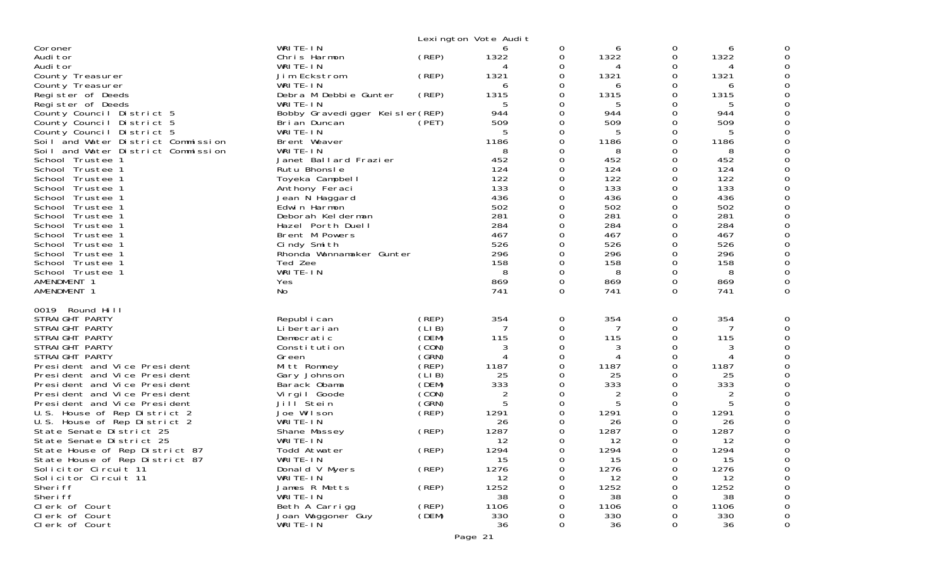| WRITE-IN<br>0<br>Coroner<br>0<br>6<br>6<br>1322<br>1322<br>1322<br>(REP)<br>0<br>0<br>Audi tor<br>Chris Harmon<br>Audi tor<br>WRITE-IN<br>0<br>0<br>4<br>1321<br>1321<br>(REP)<br>1321<br>County Treasurer<br>Jim Eckstrom<br>0<br>0<br>WRITE-IN<br>County Treasurer<br>0<br>6<br>6<br>6<br>Debra M Debbie Gunter<br>(REP)<br>1315<br>1315<br>1315<br>Register of Deeds<br>0<br>WRITE-IN<br>5<br>5<br>5<br>Register of Deeds<br>0<br>944<br>944<br>944<br>County Council District 5<br>Bobby Gravedigger Keisler (REP)<br>0<br>509<br>509<br>509<br>County Council District 5<br>Bri an Duncan<br>(PET)<br>0<br>0<br>County Council District 5<br>WRITE-IN<br>5<br>5<br>5<br>0<br>0<br>1186<br>1186<br>0<br>Soil and Water District Commission<br>Brent Weaver<br>1186<br>Soil and Water District Commission<br>WRITE-IN<br>8<br>8<br>8<br>452<br>452<br>452<br>School Trustee 1<br>Janet Ballard Frazier<br>0<br>0<br>124<br>124<br>Rutu Bhonsle<br>0<br>124<br>School Trustee 1<br>122<br>122<br>0<br>122<br>School Trustee 1<br>Toyeka Campbell<br>0<br>133<br>133<br>133<br>0<br>School Trustee 1<br>Anthony Feraci<br>0<br>436<br>Jean N Haggard<br>436<br>0<br>436<br>0<br>School Trustee 1<br>502<br>502<br>0<br>502<br>School Trustee 1<br>Edwin Harmon<br>281<br>281<br>281<br>School Trustee 1<br>Deborah Kelderman<br>0<br>0<br>284<br>284<br>284<br>$\Omega$<br>0<br>School Trustee 1<br>Hazel Porth Duell<br>467<br>Brent M Powers<br>467<br>0<br>467<br>School Trustee 1<br>ი<br>526<br>526<br>526<br>0<br>Cindy Smith<br>School Trustee 1<br>0<br>296<br>296<br>296<br>0<br>School Trustee 1<br>Rhonda Wannamaker Gunter<br>0<br>158<br>158<br>$\Omega$<br>School Trustee 1<br>Ted Zee<br>0<br>158<br>WRITE-IN<br>8<br>8<br>8<br>School Trustee 1<br>0<br>0<br>AMENDMENT 1<br>869<br>0<br>869<br>0<br>869<br>Yes<br>0<br>741<br>$\Omega$<br>AMENDMENT 1<br>No<br>741<br>$\Omega$<br>741<br>0<br>Round Hill<br>0019<br>354<br>354<br>354<br>(REP)<br>STRAIGHT PARTY<br>Republ i can<br>0<br>0<br>(LIB)<br>Li bertari an<br>STRAIGHT PARTY<br>7<br>0<br>0<br>7<br>115<br>STRAIGHT PARTY<br>(DEM)<br>115<br>115<br>Democratic<br>0<br>0<br>(CON)<br>3<br>STRAIGHT PARTY<br>Constitution<br>0<br>3<br>0<br>3<br>STRAIGHT PARTY<br>(GRN)<br>0<br>Green<br>4<br>4<br>1187<br>President and Vice President<br>(REP)<br>1187<br>0<br>1187<br>Mitt Romney<br>0<br>(LIB)<br>25<br>25<br>25<br>President and Vice President<br>Gary Johnson<br>ი<br>0<br>333<br>333<br>(DEM)<br>333<br>President and Vice President<br>Barack Obama<br>0<br>0<br>(CON)<br>2<br>President and Vice President<br>Virgil Goode<br>0<br>0<br>2<br>2<br>(GRN)<br>5<br>5<br>President and Vice President<br>Jill Stein<br>ი<br>$\Omega$<br>1291<br>Joe Wilson<br>(REP)<br>1291<br>1291<br>U.S. House of Rep District 2<br>0<br>WRITE-IN<br>26<br>26<br>U.S. House of Rep District 2<br>26<br>0<br>1287<br>1287<br>(REP)<br>1287<br>State Senate District 25<br>Shane Massey<br>0<br>12<br>12<br>12<br>State Senate District 25<br>WRITE-IN<br>0<br>1294<br>(REP)<br>1294<br>1294<br>State House of Rep District 87<br>Todd Atwater<br>0<br><sup>n</sup><br>State House of Rep District 87<br>15<br>15<br>15<br>WRITE-IN<br>0<br>0<br>(REP)<br>1276<br>Solicitor Circuit 11<br>1276<br>1276<br>Donald V Myers<br>0<br>Solicitor Circuit 11<br>WRITE-IN<br>12<br>12<br>12<br>0<br>(REP)<br>1252<br>1252<br>Sheri ff<br>James R Metts<br>1252<br>0<br>Sheri ff<br>WRITE-IN<br>38<br>38<br>38<br>Clerk of Court<br>Beth A Carrigg<br>(REP)<br>1106<br>1106<br>1106<br>0<br>(DEM)<br>330<br>330<br>330<br>Clerk of Court<br>Joan Waggoner Guy<br>0 |                |          | Lexington Vote Audit |   |    |          |    |   |
|-----------------------------------------------------------------------------------------------------------------------------------------------------------------------------------------------------------------------------------------------------------------------------------------------------------------------------------------------------------------------------------------------------------------------------------------------------------------------------------------------------------------------------------------------------------------------------------------------------------------------------------------------------------------------------------------------------------------------------------------------------------------------------------------------------------------------------------------------------------------------------------------------------------------------------------------------------------------------------------------------------------------------------------------------------------------------------------------------------------------------------------------------------------------------------------------------------------------------------------------------------------------------------------------------------------------------------------------------------------------------------------------------------------------------------------------------------------------------------------------------------------------------------------------------------------------------------------------------------------------------------------------------------------------------------------------------------------------------------------------------------------------------------------------------------------------------------------------------------------------------------------------------------------------------------------------------------------------------------------------------------------------------------------------------------------------------------------------------------------------------------------------------------------------------------------------------------------------------------------------------------------------------------------------------------------------------------------------------------------------------------------------------------------------------------------------------------------------------------------------------------------------------------------------------------------------------------------------------------------------------------------------------------------------------------------------------------------------------------------------------------------------------------------------------------------------------------------------------------------------------------------------------------------------------------------------------------------------------------------------------------------------------------------------------------------------------------------------------------------------------------------------------------------------------------------------------------------------------------------------------------------------------------------------------------------------------------------------------------------------------------------------------------------------------------------------------------------------------------------------------------------------------------------------------------------------------------------------------------------------------------|----------------|----------|----------------------|---|----|----------|----|---|
|                                                                                                                                                                                                                                                                                                                                                                                                                                                                                                                                                                                                                                                                                                                                                                                                                                                                                                                                                                                                                                                                                                                                                                                                                                                                                                                                                                                                                                                                                                                                                                                                                                                                                                                                                                                                                                                                                                                                                                                                                                                                                                                                                                                                                                                                                                                                                                                                                                                                                                                                                                                                                                                                                                                                                                                                                                                                                                                                                                                                                                                                                                                                                                                                                                                                                                                                                                                                                                                                                                                                                                                                                             |                |          |                      |   |    |          |    |   |
|                                                                                                                                                                                                                                                                                                                                                                                                                                                                                                                                                                                                                                                                                                                                                                                                                                                                                                                                                                                                                                                                                                                                                                                                                                                                                                                                                                                                                                                                                                                                                                                                                                                                                                                                                                                                                                                                                                                                                                                                                                                                                                                                                                                                                                                                                                                                                                                                                                                                                                                                                                                                                                                                                                                                                                                                                                                                                                                                                                                                                                                                                                                                                                                                                                                                                                                                                                                                                                                                                                                                                                                                                             |                |          |                      |   |    |          |    |   |
|                                                                                                                                                                                                                                                                                                                                                                                                                                                                                                                                                                                                                                                                                                                                                                                                                                                                                                                                                                                                                                                                                                                                                                                                                                                                                                                                                                                                                                                                                                                                                                                                                                                                                                                                                                                                                                                                                                                                                                                                                                                                                                                                                                                                                                                                                                                                                                                                                                                                                                                                                                                                                                                                                                                                                                                                                                                                                                                                                                                                                                                                                                                                                                                                                                                                                                                                                                                                                                                                                                                                                                                                                             |                |          |                      |   |    |          |    |   |
|                                                                                                                                                                                                                                                                                                                                                                                                                                                                                                                                                                                                                                                                                                                                                                                                                                                                                                                                                                                                                                                                                                                                                                                                                                                                                                                                                                                                                                                                                                                                                                                                                                                                                                                                                                                                                                                                                                                                                                                                                                                                                                                                                                                                                                                                                                                                                                                                                                                                                                                                                                                                                                                                                                                                                                                                                                                                                                                                                                                                                                                                                                                                                                                                                                                                                                                                                                                                                                                                                                                                                                                                                             |                |          |                      |   |    |          |    |   |
|                                                                                                                                                                                                                                                                                                                                                                                                                                                                                                                                                                                                                                                                                                                                                                                                                                                                                                                                                                                                                                                                                                                                                                                                                                                                                                                                                                                                                                                                                                                                                                                                                                                                                                                                                                                                                                                                                                                                                                                                                                                                                                                                                                                                                                                                                                                                                                                                                                                                                                                                                                                                                                                                                                                                                                                                                                                                                                                                                                                                                                                                                                                                                                                                                                                                                                                                                                                                                                                                                                                                                                                                                             |                |          |                      |   |    |          |    |   |
|                                                                                                                                                                                                                                                                                                                                                                                                                                                                                                                                                                                                                                                                                                                                                                                                                                                                                                                                                                                                                                                                                                                                                                                                                                                                                                                                                                                                                                                                                                                                                                                                                                                                                                                                                                                                                                                                                                                                                                                                                                                                                                                                                                                                                                                                                                                                                                                                                                                                                                                                                                                                                                                                                                                                                                                                                                                                                                                                                                                                                                                                                                                                                                                                                                                                                                                                                                                                                                                                                                                                                                                                                             |                |          |                      |   |    |          |    |   |
|                                                                                                                                                                                                                                                                                                                                                                                                                                                                                                                                                                                                                                                                                                                                                                                                                                                                                                                                                                                                                                                                                                                                                                                                                                                                                                                                                                                                                                                                                                                                                                                                                                                                                                                                                                                                                                                                                                                                                                                                                                                                                                                                                                                                                                                                                                                                                                                                                                                                                                                                                                                                                                                                                                                                                                                                                                                                                                                                                                                                                                                                                                                                                                                                                                                                                                                                                                                                                                                                                                                                                                                                                             |                |          |                      |   |    |          |    |   |
|                                                                                                                                                                                                                                                                                                                                                                                                                                                                                                                                                                                                                                                                                                                                                                                                                                                                                                                                                                                                                                                                                                                                                                                                                                                                                                                                                                                                                                                                                                                                                                                                                                                                                                                                                                                                                                                                                                                                                                                                                                                                                                                                                                                                                                                                                                                                                                                                                                                                                                                                                                                                                                                                                                                                                                                                                                                                                                                                                                                                                                                                                                                                                                                                                                                                                                                                                                                                                                                                                                                                                                                                                             |                |          |                      |   |    |          |    |   |
|                                                                                                                                                                                                                                                                                                                                                                                                                                                                                                                                                                                                                                                                                                                                                                                                                                                                                                                                                                                                                                                                                                                                                                                                                                                                                                                                                                                                                                                                                                                                                                                                                                                                                                                                                                                                                                                                                                                                                                                                                                                                                                                                                                                                                                                                                                                                                                                                                                                                                                                                                                                                                                                                                                                                                                                                                                                                                                                                                                                                                                                                                                                                                                                                                                                                                                                                                                                                                                                                                                                                                                                                                             |                |          |                      |   |    |          |    |   |
|                                                                                                                                                                                                                                                                                                                                                                                                                                                                                                                                                                                                                                                                                                                                                                                                                                                                                                                                                                                                                                                                                                                                                                                                                                                                                                                                                                                                                                                                                                                                                                                                                                                                                                                                                                                                                                                                                                                                                                                                                                                                                                                                                                                                                                                                                                                                                                                                                                                                                                                                                                                                                                                                                                                                                                                                                                                                                                                                                                                                                                                                                                                                                                                                                                                                                                                                                                                                                                                                                                                                                                                                                             |                |          |                      |   |    |          |    |   |
|                                                                                                                                                                                                                                                                                                                                                                                                                                                                                                                                                                                                                                                                                                                                                                                                                                                                                                                                                                                                                                                                                                                                                                                                                                                                                                                                                                                                                                                                                                                                                                                                                                                                                                                                                                                                                                                                                                                                                                                                                                                                                                                                                                                                                                                                                                                                                                                                                                                                                                                                                                                                                                                                                                                                                                                                                                                                                                                                                                                                                                                                                                                                                                                                                                                                                                                                                                                                                                                                                                                                                                                                                             |                |          |                      |   |    |          |    |   |
|                                                                                                                                                                                                                                                                                                                                                                                                                                                                                                                                                                                                                                                                                                                                                                                                                                                                                                                                                                                                                                                                                                                                                                                                                                                                                                                                                                                                                                                                                                                                                                                                                                                                                                                                                                                                                                                                                                                                                                                                                                                                                                                                                                                                                                                                                                                                                                                                                                                                                                                                                                                                                                                                                                                                                                                                                                                                                                                                                                                                                                                                                                                                                                                                                                                                                                                                                                                                                                                                                                                                                                                                                             |                |          |                      |   |    |          |    |   |
|                                                                                                                                                                                                                                                                                                                                                                                                                                                                                                                                                                                                                                                                                                                                                                                                                                                                                                                                                                                                                                                                                                                                                                                                                                                                                                                                                                                                                                                                                                                                                                                                                                                                                                                                                                                                                                                                                                                                                                                                                                                                                                                                                                                                                                                                                                                                                                                                                                                                                                                                                                                                                                                                                                                                                                                                                                                                                                                                                                                                                                                                                                                                                                                                                                                                                                                                                                                                                                                                                                                                                                                                                             |                |          |                      |   |    |          |    |   |
|                                                                                                                                                                                                                                                                                                                                                                                                                                                                                                                                                                                                                                                                                                                                                                                                                                                                                                                                                                                                                                                                                                                                                                                                                                                                                                                                                                                                                                                                                                                                                                                                                                                                                                                                                                                                                                                                                                                                                                                                                                                                                                                                                                                                                                                                                                                                                                                                                                                                                                                                                                                                                                                                                                                                                                                                                                                                                                                                                                                                                                                                                                                                                                                                                                                                                                                                                                                                                                                                                                                                                                                                                             |                |          |                      |   |    |          |    |   |
|                                                                                                                                                                                                                                                                                                                                                                                                                                                                                                                                                                                                                                                                                                                                                                                                                                                                                                                                                                                                                                                                                                                                                                                                                                                                                                                                                                                                                                                                                                                                                                                                                                                                                                                                                                                                                                                                                                                                                                                                                                                                                                                                                                                                                                                                                                                                                                                                                                                                                                                                                                                                                                                                                                                                                                                                                                                                                                                                                                                                                                                                                                                                                                                                                                                                                                                                                                                                                                                                                                                                                                                                                             |                |          |                      |   |    |          |    |   |
|                                                                                                                                                                                                                                                                                                                                                                                                                                                                                                                                                                                                                                                                                                                                                                                                                                                                                                                                                                                                                                                                                                                                                                                                                                                                                                                                                                                                                                                                                                                                                                                                                                                                                                                                                                                                                                                                                                                                                                                                                                                                                                                                                                                                                                                                                                                                                                                                                                                                                                                                                                                                                                                                                                                                                                                                                                                                                                                                                                                                                                                                                                                                                                                                                                                                                                                                                                                                                                                                                                                                                                                                                             |                |          |                      |   |    |          |    |   |
|                                                                                                                                                                                                                                                                                                                                                                                                                                                                                                                                                                                                                                                                                                                                                                                                                                                                                                                                                                                                                                                                                                                                                                                                                                                                                                                                                                                                                                                                                                                                                                                                                                                                                                                                                                                                                                                                                                                                                                                                                                                                                                                                                                                                                                                                                                                                                                                                                                                                                                                                                                                                                                                                                                                                                                                                                                                                                                                                                                                                                                                                                                                                                                                                                                                                                                                                                                                                                                                                                                                                                                                                                             |                |          |                      |   |    |          |    |   |
|                                                                                                                                                                                                                                                                                                                                                                                                                                                                                                                                                                                                                                                                                                                                                                                                                                                                                                                                                                                                                                                                                                                                                                                                                                                                                                                                                                                                                                                                                                                                                                                                                                                                                                                                                                                                                                                                                                                                                                                                                                                                                                                                                                                                                                                                                                                                                                                                                                                                                                                                                                                                                                                                                                                                                                                                                                                                                                                                                                                                                                                                                                                                                                                                                                                                                                                                                                                                                                                                                                                                                                                                                             |                |          |                      |   |    |          |    |   |
|                                                                                                                                                                                                                                                                                                                                                                                                                                                                                                                                                                                                                                                                                                                                                                                                                                                                                                                                                                                                                                                                                                                                                                                                                                                                                                                                                                                                                                                                                                                                                                                                                                                                                                                                                                                                                                                                                                                                                                                                                                                                                                                                                                                                                                                                                                                                                                                                                                                                                                                                                                                                                                                                                                                                                                                                                                                                                                                                                                                                                                                                                                                                                                                                                                                                                                                                                                                                                                                                                                                                                                                                                             |                |          |                      |   |    |          |    |   |
|                                                                                                                                                                                                                                                                                                                                                                                                                                                                                                                                                                                                                                                                                                                                                                                                                                                                                                                                                                                                                                                                                                                                                                                                                                                                                                                                                                                                                                                                                                                                                                                                                                                                                                                                                                                                                                                                                                                                                                                                                                                                                                                                                                                                                                                                                                                                                                                                                                                                                                                                                                                                                                                                                                                                                                                                                                                                                                                                                                                                                                                                                                                                                                                                                                                                                                                                                                                                                                                                                                                                                                                                                             |                |          |                      |   |    |          |    |   |
|                                                                                                                                                                                                                                                                                                                                                                                                                                                                                                                                                                                                                                                                                                                                                                                                                                                                                                                                                                                                                                                                                                                                                                                                                                                                                                                                                                                                                                                                                                                                                                                                                                                                                                                                                                                                                                                                                                                                                                                                                                                                                                                                                                                                                                                                                                                                                                                                                                                                                                                                                                                                                                                                                                                                                                                                                                                                                                                                                                                                                                                                                                                                                                                                                                                                                                                                                                                                                                                                                                                                                                                                                             |                |          |                      |   |    |          |    |   |
|                                                                                                                                                                                                                                                                                                                                                                                                                                                                                                                                                                                                                                                                                                                                                                                                                                                                                                                                                                                                                                                                                                                                                                                                                                                                                                                                                                                                                                                                                                                                                                                                                                                                                                                                                                                                                                                                                                                                                                                                                                                                                                                                                                                                                                                                                                                                                                                                                                                                                                                                                                                                                                                                                                                                                                                                                                                                                                                                                                                                                                                                                                                                                                                                                                                                                                                                                                                                                                                                                                                                                                                                                             |                |          |                      |   |    |          |    |   |
|                                                                                                                                                                                                                                                                                                                                                                                                                                                                                                                                                                                                                                                                                                                                                                                                                                                                                                                                                                                                                                                                                                                                                                                                                                                                                                                                                                                                                                                                                                                                                                                                                                                                                                                                                                                                                                                                                                                                                                                                                                                                                                                                                                                                                                                                                                                                                                                                                                                                                                                                                                                                                                                                                                                                                                                                                                                                                                                                                                                                                                                                                                                                                                                                                                                                                                                                                                                                                                                                                                                                                                                                                             |                |          |                      |   |    |          |    |   |
|                                                                                                                                                                                                                                                                                                                                                                                                                                                                                                                                                                                                                                                                                                                                                                                                                                                                                                                                                                                                                                                                                                                                                                                                                                                                                                                                                                                                                                                                                                                                                                                                                                                                                                                                                                                                                                                                                                                                                                                                                                                                                                                                                                                                                                                                                                                                                                                                                                                                                                                                                                                                                                                                                                                                                                                                                                                                                                                                                                                                                                                                                                                                                                                                                                                                                                                                                                                                                                                                                                                                                                                                                             |                |          |                      |   |    |          |    |   |
|                                                                                                                                                                                                                                                                                                                                                                                                                                                                                                                                                                                                                                                                                                                                                                                                                                                                                                                                                                                                                                                                                                                                                                                                                                                                                                                                                                                                                                                                                                                                                                                                                                                                                                                                                                                                                                                                                                                                                                                                                                                                                                                                                                                                                                                                                                                                                                                                                                                                                                                                                                                                                                                                                                                                                                                                                                                                                                                                                                                                                                                                                                                                                                                                                                                                                                                                                                                                                                                                                                                                                                                                                             |                |          |                      |   |    |          |    |   |
|                                                                                                                                                                                                                                                                                                                                                                                                                                                                                                                                                                                                                                                                                                                                                                                                                                                                                                                                                                                                                                                                                                                                                                                                                                                                                                                                                                                                                                                                                                                                                                                                                                                                                                                                                                                                                                                                                                                                                                                                                                                                                                                                                                                                                                                                                                                                                                                                                                                                                                                                                                                                                                                                                                                                                                                                                                                                                                                                                                                                                                                                                                                                                                                                                                                                                                                                                                                                                                                                                                                                                                                                                             |                |          |                      |   |    |          |    |   |
|                                                                                                                                                                                                                                                                                                                                                                                                                                                                                                                                                                                                                                                                                                                                                                                                                                                                                                                                                                                                                                                                                                                                                                                                                                                                                                                                                                                                                                                                                                                                                                                                                                                                                                                                                                                                                                                                                                                                                                                                                                                                                                                                                                                                                                                                                                                                                                                                                                                                                                                                                                                                                                                                                                                                                                                                                                                                                                                                                                                                                                                                                                                                                                                                                                                                                                                                                                                                                                                                                                                                                                                                                             |                |          |                      |   |    |          |    |   |
|                                                                                                                                                                                                                                                                                                                                                                                                                                                                                                                                                                                                                                                                                                                                                                                                                                                                                                                                                                                                                                                                                                                                                                                                                                                                                                                                                                                                                                                                                                                                                                                                                                                                                                                                                                                                                                                                                                                                                                                                                                                                                                                                                                                                                                                                                                                                                                                                                                                                                                                                                                                                                                                                                                                                                                                                                                                                                                                                                                                                                                                                                                                                                                                                                                                                                                                                                                                                                                                                                                                                                                                                                             |                |          |                      |   |    |          |    |   |
|                                                                                                                                                                                                                                                                                                                                                                                                                                                                                                                                                                                                                                                                                                                                                                                                                                                                                                                                                                                                                                                                                                                                                                                                                                                                                                                                                                                                                                                                                                                                                                                                                                                                                                                                                                                                                                                                                                                                                                                                                                                                                                                                                                                                                                                                                                                                                                                                                                                                                                                                                                                                                                                                                                                                                                                                                                                                                                                                                                                                                                                                                                                                                                                                                                                                                                                                                                                                                                                                                                                                                                                                                             |                |          |                      |   |    |          |    |   |
|                                                                                                                                                                                                                                                                                                                                                                                                                                                                                                                                                                                                                                                                                                                                                                                                                                                                                                                                                                                                                                                                                                                                                                                                                                                                                                                                                                                                                                                                                                                                                                                                                                                                                                                                                                                                                                                                                                                                                                                                                                                                                                                                                                                                                                                                                                                                                                                                                                                                                                                                                                                                                                                                                                                                                                                                                                                                                                                                                                                                                                                                                                                                                                                                                                                                                                                                                                                                                                                                                                                                                                                                                             |                |          |                      |   |    |          |    |   |
|                                                                                                                                                                                                                                                                                                                                                                                                                                                                                                                                                                                                                                                                                                                                                                                                                                                                                                                                                                                                                                                                                                                                                                                                                                                                                                                                                                                                                                                                                                                                                                                                                                                                                                                                                                                                                                                                                                                                                                                                                                                                                                                                                                                                                                                                                                                                                                                                                                                                                                                                                                                                                                                                                                                                                                                                                                                                                                                                                                                                                                                                                                                                                                                                                                                                                                                                                                                                                                                                                                                                                                                                                             |                |          |                      |   |    |          |    |   |
|                                                                                                                                                                                                                                                                                                                                                                                                                                                                                                                                                                                                                                                                                                                                                                                                                                                                                                                                                                                                                                                                                                                                                                                                                                                                                                                                                                                                                                                                                                                                                                                                                                                                                                                                                                                                                                                                                                                                                                                                                                                                                                                                                                                                                                                                                                                                                                                                                                                                                                                                                                                                                                                                                                                                                                                                                                                                                                                                                                                                                                                                                                                                                                                                                                                                                                                                                                                                                                                                                                                                                                                                                             |                |          |                      |   |    |          |    |   |
|                                                                                                                                                                                                                                                                                                                                                                                                                                                                                                                                                                                                                                                                                                                                                                                                                                                                                                                                                                                                                                                                                                                                                                                                                                                                                                                                                                                                                                                                                                                                                                                                                                                                                                                                                                                                                                                                                                                                                                                                                                                                                                                                                                                                                                                                                                                                                                                                                                                                                                                                                                                                                                                                                                                                                                                                                                                                                                                                                                                                                                                                                                                                                                                                                                                                                                                                                                                                                                                                                                                                                                                                                             |                |          |                      |   |    |          |    |   |
|                                                                                                                                                                                                                                                                                                                                                                                                                                                                                                                                                                                                                                                                                                                                                                                                                                                                                                                                                                                                                                                                                                                                                                                                                                                                                                                                                                                                                                                                                                                                                                                                                                                                                                                                                                                                                                                                                                                                                                                                                                                                                                                                                                                                                                                                                                                                                                                                                                                                                                                                                                                                                                                                                                                                                                                                                                                                                                                                                                                                                                                                                                                                                                                                                                                                                                                                                                                                                                                                                                                                                                                                                             |                |          |                      |   |    |          |    |   |
|                                                                                                                                                                                                                                                                                                                                                                                                                                                                                                                                                                                                                                                                                                                                                                                                                                                                                                                                                                                                                                                                                                                                                                                                                                                                                                                                                                                                                                                                                                                                                                                                                                                                                                                                                                                                                                                                                                                                                                                                                                                                                                                                                                                                                                                                                                                                                                                                                                                                                                                                                                                                                                                                                                                                                                                                                                                                                                                                                                                                                                                                                                                                                                                                                                                                                                                                                                                                                                                                                                                                                                                                                             |                |          |                      |   |    |          |    |   |
|                                                                                                                                                                                                                                                                                                                                                                                                                                                                                                                                                                                                                                                                                                                                                                                                                                                                                                                                                                                                                                                                                                                                                                                                                                                                                                                                                                                                                                                                                                                                                                                                                                                                                                                                                                                                                                                                                                                                                                                                                                                                                                                                                                                                                                                                                                                                                                                                                                                                                                                                                                                                                                                                                                                                                                                                                                                                                                                                                                                                                                                                                                                                                                                                                                                                                                                                                                                                                                                                                                                                                                                                                             |                |          |                      |   |    |          |    |   |
|                                                                                                                                                                                                                                                                                                                                                                                                                                                                                                                                                                                                                                                                                                                                                                                                                                                                                                                                                                                                                                                                                                                                                                                                                                                                                                                                                                                                                                                                                                                                                                                                                                                                                                                                                                                                                                                                                                                                                                                                                                                                                                                                                                                                                                                                                                                                                                                                                                                                                                                                                                                                                                                                                                                                                                                                                                                                                                                                                                                                                                                                                                                                                                                                                                                                                                                                                                                                                                                                                                                                                                                                                             |                |          |                      |   |    |          |    |   |
|                                                                                                                                                                                                                                                                                                                                                                                                                                                                                                                                                                                                                                                                                                                                                                                                                                                                                                                                                                                                                                                                                                                                                                                                                                                                                                                                                                                                                                                                                                                                                                                                                                                                                                                                                                                                                                                                                                                                                                                                                                                                                                                                                                                                                                                                                                                                                                                                                                                                                                                                                                                                                                                                                                                                                                                                                                                                                                                                                                                                                                                                                                                                                                                                                                                                                                                                                                                                                                                                                                                                                                                                                             |                |          |                      |   |    |          |    |   |
|                                                                                                                                                                                                                                                                                                                                                                                                                                                                                                                                                                                                                                                                                                                                                                                                                                                                                                                                                                                                                                                                                                                                                                                                                                                                                                                                                                                                                                                                                                                                                                                                                                                                                                                                                                                                                                                                                                                                                                                                                                                                                                                                                                                                                                                                                                                                                                                                                                                                                                                                                                                                                                                                                                                                                                                                                                                                                                                                                                                                                                                                                                                                                                                                                                                                                                                                                                                                                                                                                                                                                                                                                             |                |          |                      |   |    |          |    |   |
|                                                                                                                                                                                                                                                                                                                                                                                                                                                                                                                                                                                                                                                                                                                                                                                                                                                                                                                                                                                                                                                                                                                                                                                                                                                                                                                                                                                                                                                                                                                                                                                                                                                                                                                                                                                                                                                                                                                                                                                                                                                                                                                                                                                                                                                                                                                                                                                                                                                                                                                                                                                                                                                                                                                                                                                                                                                                                                                                                                                                                                                                                                                                                                                                                                                                                                                                                                                                                                                                                                                                                                                                                             |                |          |                      |   |    |          |    |   |
|                                                                                                                                                                                                                                                                                                                                                                                                                                                                                                                                                                                                                                                                                                                                                                                                                                                                                                                                                                                                                                                                                                                                                                                                                                                                                                                                                                                                                                                                                                                                                                                                                                                                                                                                                                                                                                                                                                                                                                                                                                                                                                                                                                                                                                                                                                                                                                                                                                                                                                                                                                                                                                                                                                                                                                                                                                                                                                                                                                                                                                                                                                                                                                                                                                                                                                                                                                                                                                                                                                                                                                                                                             |                |          |                      |   |    |          |    |   |
|                                                                                                                                                                                                                                                                                                                                                                                                                                                                                                                                                                                                                                                                                                                                                                                                                                                                                                                                                                                                                                                                                                                                                                                                                                                                                                                                                                                                                                                                                                                                                                                                                                                                                                                                                                                                                                                                                                                                                                                                                                                                                                                                                                                                                                                                                                                                                                                                                                                                                                                                                                                                                                                                                                                                                                                                                                                                                                                                                                                                                                                                                                                                                                                                                                                                                                                                                                                                                                                                                                                                                                                                                             |                |          |                      |   |    |          |    |   |
|                                                                                                                                                                                                                                                                                                                                                                                                                                                                                                                                                                                                                                                                                                                                                                                                                                                                                                                                                                                                                                                                                                                                                                                                                                                                                                                                                                                                                                                                                                                                                                                                                                                                                                                                                                                                                                                                                                                                                                                                                                                                                                                                                                                                                                                                                                                                                                                                                                                                                                                                                                                                                                                                                                                                                                                                                                                                                                                                                                                                                                                                                                                                                                                                                                                                                                                                                                                                                                                                                                                                                                                                                             |                |          |                      |   |    |          |    |   |
|                                                                                                                                                                                                                                                                                                                                                                                                                                                                                                                                                                                                                                                                                                                                                                                                                                                                                                                                                                                                                                                                                                                                                                                                                                                                                                                                                                                                                                                                                                                                                                                                                                                                                                                                                                                                                                                                                                                                                                                                                                                                                                                                                                                                                                                                                                                                                                                                                                                                                                                                                                                                                                                                                                                                                                                                                                                                                                                                                                                                                                                                                                                                                                                                                                                                                                                                                                                                                                                                                                                                                                                                                             |                |          |                      |   |    |          |    |   |
|                                                                                                                                                                                                                                                                                                                                                                                                                                                                                                                                                                                                                                                                                                                                                                                                                                                                                                                                                                                                                                                                                                                                                                                                                                                                                                                                                                                                                                                                                                                                                                                                                                                                                                                                                                                                                                                                                                                                                                                                                                                                                                                                                                                                                                                                                                                                                                                                                                                                                                                                                                                                                                                                                                                                                                                                                                                                                                                                                                                                                                                                                                                                                                                                                                                                                                                                                                                                                                                                                                                                                                                                                             | Clerk of Court | WRITE-IN | 36                   | 0 | 36 | $\Omega$ | 36 | 0 |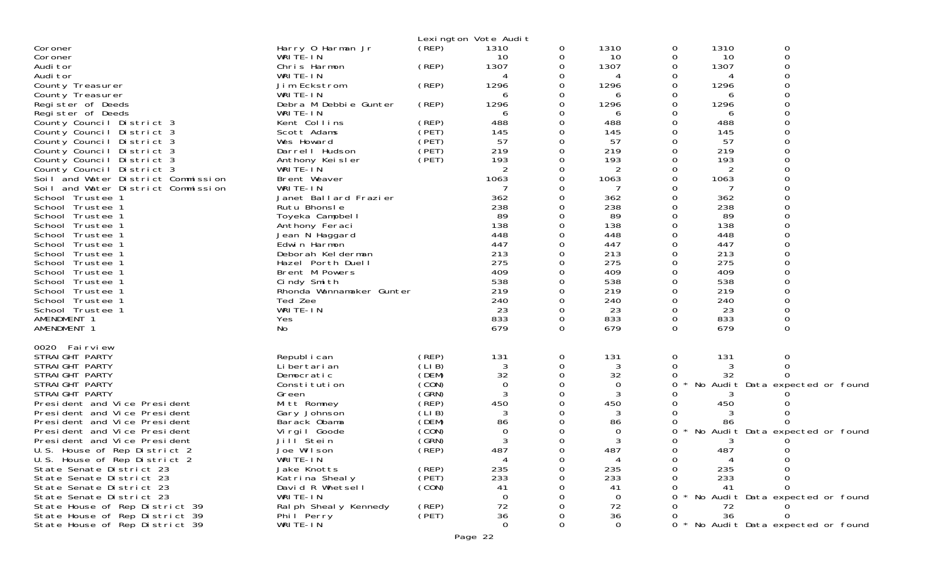|                                                                 |                              |                | Lexington Vote Audit |          |                |   |            |                                     |  |
|-----------------------------------------------------------------|------------------------------|----------------|----------------------|----------|----------------|---|------------|-------------------------------------|--|
| Coroner                                                         | Harry 0 Harman Jr            | (REP)          | 1310                 | 0        | 1310           | 0 | 1310       | 0                                   |  |
| Coroner                                                         | WRITE-IN                     |                | 10                   | 0        | 10             | 0 | 10         | 0                                   |  |
| Audi tor                                                        | Chris Harmon                 | (REP)          | 1307                 |          | 1307           | 0 | 1307       |                                     |  |
| Audi tor                                                        | WRITE-IN                     |                |                      |          |                |   |            |                                     |  |
| County Treasurer                                                | Jim Eckstrom                 | (REP)          | 1296                 |          | 1296           | Ω | 1296       |                                     |  |
| County Treasurer                                                | WRITE-IN                     |                |                      |          | 6              | Ω | 6          |                                     |  |
| Register of Deeds                                               | Debra M Debbie Gunter        | (REP)          | 1296                 |          | 1296           | O | 1296       |                                     |  |
| Register of Deeds                                               | WRITE-IN                     |                | 6                    |          | 6              |   | 6          |                                     |  |
| County Council District 3                                       | Kent Collins                 | (REP)          | 488                  |          | 488            |   | 488        |                                     |  |
| County Council District 3                                       | Scott Adams                  | (PET)          | 145                  |          | 145            |   | 145        |                                     |  |
| County Council District 3                                       | Wes Howard                   | (PET)          | 57                   |          | 57             | 0 | 57         |                                     |  |
| County Council District 3                                       | Darrell Hudson               | (PET)<br>(PET) | 219<br>193           |          | 219<br>193     | Ω | 219<br>193 |                                     |  |
| County Council District 3                                       | Anthony Keisler<br>WRITE-IN  |                | 2                    |          |                |   | 2          |                                     |  |
| County Council District 3<br>Soil and Water District Commission | Brent Weaver                 |                | 1063                 |          | 2<br>1063      |   | 1063       |                                     |  |
| Soil and Water District Commission                              | WRITE-IN                     |                |                      |          |                |   |            |                                     |  |
| School Trustee 1                                                | Janet Ballard Frazier        |                | 362                  |          | 362            |   | 362        |                                     |  |
| School Trustee 1                                                | Rutu Bhonsle                 |                | 238                  |          | 238            |   | 238        |                                     |  |
| School Trustee                                                  | Toyeka Campbell              |                | 89                   |          | 89             | Ω | 89         |                                     |  |
| School Trustee 1                                                | Anthony Feraci               |                | 138                  |          | 138            |   | 138        |                                     |  |
| School Trustee 1                                                | Jean N Haggard               |                | 448                  |          | 448            |   | 448        |                                     |  |
| School Trustee                                                  | Edwin Harmon                 |                | 447                  |          | 447            |   | 447        |                                     |  |
| School Trustee                                                  | Deborah Kelderman            |                | 213                  |          | 213            |   | 213        |                                     |  |
| School Trustee 1                                                | Hazel Porth Duell            |                | 275                  |          | 275            |   | 275        |                                     |  |
| School Trustee                                                  | Brent M Powers               |                | 409                  |          | 409            | 0 | 409        |                                     |  |
| School Trustee                                                  | Cindy Smith                  |                | 538                  |          | 538            |   | 538        |                                     |  |
| School Trustee                                                  | Rhonda Wannamaker Gunter     |                | 219                  |          | 219            | 0 | 219        |                                     |  |
| School Trustee                                                  | Ted Zee                      |                | 240                  |          | 240            | 0 | 240        |                                     |  |
| School Trustee 1                                                | WRITE-IN                     |                | 23                   |          | 23             | 0 | 23         |                                     |  |
| AMENDMENT 1                                                     | Yes                          |                | 833                  |          | 833            | 0 | 833        |                                     |  |
| AMENDMENT 1                                                     | No                           |                | 679                  | $\Omega$ | 679            | 0 | 679        | $\Omega$                            |  |
| 0020 Fairview                                                   |                              |                |                      |          |                |   |            |                                     |  |
| STRAIGHT PARTY                                                  | Republ i can                 | (REP)          | 131                  | 0        | 131            | 0 | 131        | 0                                   |  |
| STRAIGHT PARTY                                                  | Li bertari an                | (LIB)          | 3                    |          | 3              | Ω | 3          |                                     |  |
| STRAIGHT PARTY                                                  | Democratic                   | (DEM)          | 32                   |          | 32             |   | 32         |                                     |  |
| STRAIGHT PARTY                                                  | Constitution                 | (CON)          | $\overline{0}$       |          | 0              | 0 |            | No Audit Data expected or found     |  |
| STRAIGHT PARTY                                                  | Green                        | (GRN)          | 3                    |          | 3              |   |            |                                     |  |
| President and Vice President                                    | Mitt Romney                  | (REP)          | 450                  |          | 450            |   | 450        |                                     |  |
| President and Vice President                                    | Gary Johnson                 | (LI B)         | 3                    |          | 3              |   | 3          |                                     |  |
| President and Vice President                                    | Barack Obama                 | (DEM)          | 86                   |          | 86             |   | 86         |                                     |  |
| President and Vice President                                    | Virgil Goode                 | (CON)          | 0                    |          | 0              | O |            | No Audit Data expected or found     |  |
| President and Vice President                                    | Jill Stein                   | (GRN)          | 3                    |          | 3              |   | 3          |                                     |  |
| U.S. House of Rep District 2                                    | Joe Wilson                   | $($ REP)       | 487                  | $\Omega$ | 487            | 0 | 487        | 0                                   |  |
| U.S. House of Rep District 2                                    | WRITE-IN                     |                | 4                    |          |                | O |            |                                     |  |
| State Senate District 23                                        | Jake Knotts                  | (REP)          | 235                  |          | 235            |   | 235        |                                     |  |
| State Senate District 23                                        | Katrina Shealy               | (PET)          | 233                  |          | 233            |   | 233        |                                     |  |
| State Senate District 23<br>State Senate District 23            | David R Whetsell<br>WRITE-IN | (CON)          | 41<br>0              |          | 41<br>0        |   | 41         | * No Audit Data expected or found   |  |
| State House of Rep District 39                                  | Ral ph Sheal y Kennedy       | (REP)          | 72                   |          | 72             |   | 72         |                                     |  |
| State House of Rep District 39                                  | Phil Perry                   | (PET)          | 36                   |          | 36             |   | 36         |                                     |  |
| State House of Rep District 39                                  | WRITE-IN                     |                | $\overline{0}$       | 0        | $\overline{0}$ |   |            | 0 * No Audit Data expected or found |  |
|                                                                 |                              |                |                      |          |                |   |            |                                     |  |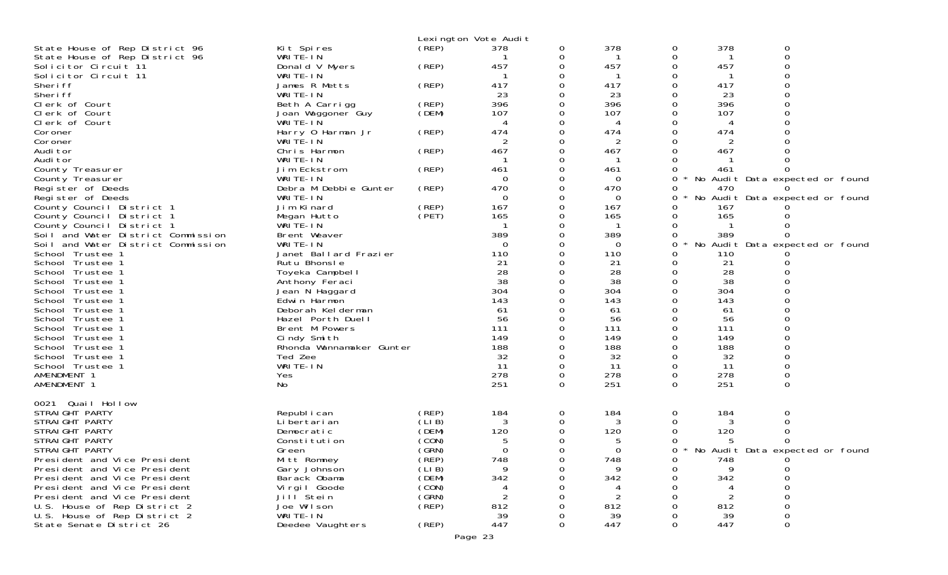|                                        |                                        | Lexington Vote Audit |              |          |           |        |           |                                             |
|----------------------------------------|----------------------------------------|----------------------|--------------|----------|-----------|--------|-----------|---------------------------------------------|
| State House of Rep District 96         | Kit Spires                             | (REP)                | 378          | 0        | 378       | 0      | 378       | 0                                           |
| State House of Rep District 96         | WRITE-IN                               |                      |              | 0        |           | 0      |           | $\Omega$                                    |
| Solicitor Circuit 11                   | Donald V Myers                         | (REP)                | 457          | 0        | 457       | 0      | 457       |                                             |
| Solicitor Circuit 11                   | WRITE-IN                               |                      | -1           | 0        | -1        |        |           |                                             |
| Sheri ff<br>Sheri ff                   | James R Metts                          | (REP)                | 417          | 0        | 417       |        | 417       |                                             |
| Clerk of Court                         | WRITE-IN<br>Beth A Carrigg             | (REP)                | 23<br>396    | 0<br>0   | 23<br>396 |        | 23<br>396 |                                             |
| Clerk of Court                         | Joan Waggoner Guy                      | (DEM)                | 107          | 0        | 107       |        | 107       |                                             |
| Clerk of Court                         | WRITE-IN                               |                      | 4            | 0        | 4         |        |           |                                             |
| Coroner                                | Harry 0 Harman Jr                      | (REP)                | 474          | 0        | 474       |        | 474       |                                             |
| Coroner                                | WRITE-IN                               |                      | 2            |          | 2         |        | 2         |                                             |
| Audi tor                               | Chris Harmon                           | (REP)                | 467          | $\Omega$ | 467       |        | 467       |                                             |
| Audi tor                               | WRITE-IN                               |                      |              | 0        |           |        |           |                                             |
| County Treasurer                       | Jim Eckstrom                           | (REP)                | 461          |          | 461       |        | 461       |                                             |
| County Treasurer                       | WRITE-IN                               |                      | $\Omega$     | 0        | $\Omega$  | 0      |           | No Audit Data expected or found             |
| Register of Deeds<br>Register of Deeds | Debra M Debbie Gunter<br>WRITE-IN      | (REP)                | 470<br>0     | 0<br>0   | 470<br>0  | 0<br>0 | 470       | $\Omega$<br>No Audit Data expected or found |
| County Council District 1              | Jim Kinard                             | (REP)                | 167          | 0        | 167       |        | 167       |                                             |
| County Council District 1              | Megan Hutto                            | (PET)                | 165          | 0        | 165       | 0      | 165       |                                             |
| County Council District 1              | WRITE-IN                               |                      | $\mathbf{1}$ | 0        | -1        |        |           |                                             |
| Soil and Water District Commission     | Brent Weaver                           |                      | 389          |          | 389       | 0      | 389       |                                             |
| Soil and Water District Commission     | WRITE-IN                               |                      | $\Omega$     | 0        | 0         | 0      |           | No Audit Data expected or found             |
| School Trustee 1                       | Janet Ballard Frazier                  |                      | 110          |          | 110       |        | 110       |                                             |
| School Trustee 1                       | Rutu Bhonsle                           |                      | 21           | 0        | 21        |        | 21        |                                             |
| School Trustee 1                       | Toyeka Campbell                        |                      | 28           | 0        | 28        |        | 28        |                                             |
| School Trustee 1                       | Anthony Feraci                         |                      | 38           |          | 38        |        | 38        |                                             |
| School Trustee 1                       | Jean N Haggard                         |                      | 304          |          | 304       |        | 304       |                                             |
| School Trustee 1                       | Edwin Harmon                           |                      | 143<br>61    | 0        | 143<br>61 |        | 143<br>61 |                                             |
| School Trustee 1<br>School Trustee 1   | Deborah Kelderman<br>Hazel Porth Duell |                      | 56           |          | 56        |        | 56        |                                             |
| School Trustee 1                       | Brent M Powers                         |                      | 111          |          | 111       |        | 111       |                                             |
| School Trustee 1                       | Cindy Smith                            |                      | 149          |          | 149       |        | 149       |                                             |
| School Trustee 1                       | Rhonda Wannamaker Gunter               |                      | 188          |          | 188       |        | 188       |                                             |
| School Trustee 1                       | Ted Zee                                |                      | 32           | 0        | 32        |        | 32        |                                             |
| School Trustee 1                       | WRITE-IN                               |                      | 11           | $\Omega$ | 11        | 0      | 11        |                                             |
| AMENDMENT 1                            | Yes                                    |                      | 278          | 0        | 278       | 0      | 278       |                                             |
| AMENDMENT 1                            | No                                     |                      | 251          | 0        | 251       | 0      | 251       | 0                                           |
|                                        |                                        |                      |              |          |           |        |           |                                             |
| 0021 Quail Hollow<br>STRAIGHT PARTY    | Republ i can                           | (REP)                | 184          |          | 184       |        | 184       | 0                                           |
| STRAIGHT PARTY                         | Li bertari an                          | (LIB)                | 3            | 0<br>0   | 3         | 0      |           |                                             |
| STRAIGHT PARTY                         | Democratic                             | (DEM)                | 120          | 0        | 120       |        | 120       |                                             |
| STRAIGHT PARTY                         | Constitution                           | (CON)                | 5            | 0        | 5         |        |           | 0                                           |
| STRAIGHT PARTY                         | Green                                  | (GRN)                | $\Omega$     | 0        | $\Omega$  |        |           | 0 * No Audit Data expected or found         |
| President and Vice President           | Mitt Romney                            | (̀REP)               | 748          | 0        | 748       | 0      | 748       |                                             |
| President and Vice President           | Gary Johnson                           | (LIB)                | Q            |          | q         |        |           |                                             |
| President and Vice President           | Barack Obama                           | (DEM)                | 342          |          | 342       |        | 342       |                                             |
| President and Vice President           | Vi rgi I Goode                         | (CON)                | 4            |          |           |        |           |                                             |
| President and Vice President           | Jill <sup>Stein</sup>                  | (GRN)                |              |          |           |        |           |                                             |
| U.S. House of Rep District 2           | Joe Wilson                             | (REP)                | 812          |          | 812       |        | 812       |                                             |
| U.S. House of Rep District 2           | WRITE-IN                               |                      | 39           |          | 39        |        | 39        | 0                                           |
| State Senate District 26               | Deedee Vaughters                       | (REP)                | 447          | 0        | 447       |        | 447       |                                             |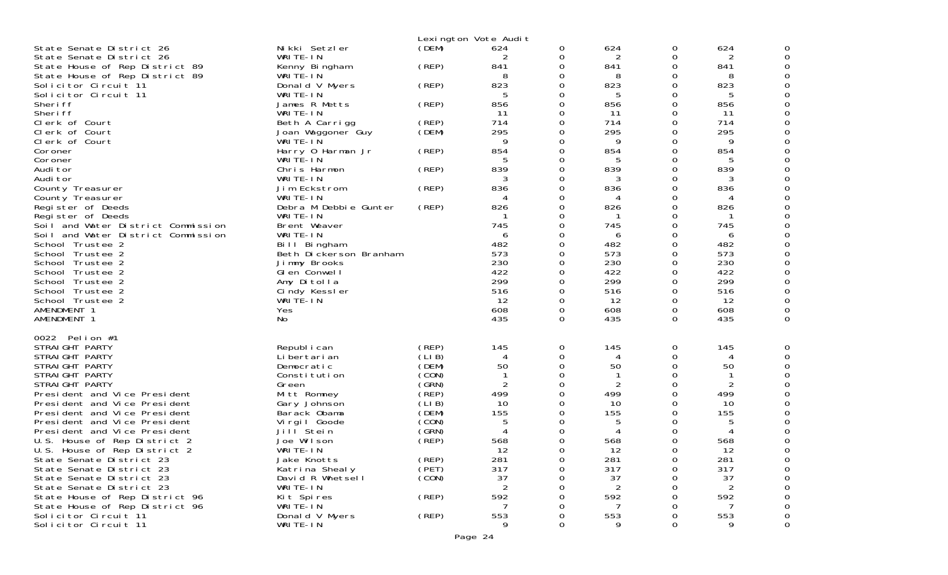|                                                                                              |                                                    | Lexington Vote Audit    |                            |                           |                   |                           |                   |   |
|----------------------------------------------------------------------------------------------|----------------------------------------------------|-------------------------|----------------------------|---------------------------|-------------------|---------------------------|-------------------|---|
| State Senate District 26<br>State Senate District 26<br>State House of Rep District 89       | Nikki Setzler<br>WRITE-IN<br>Kenny Bingham         | (DEM)<br>(REP)          | 624<br>2<br>841            | 0<br>0<br>0               | 624<br>2<br>841   | 0<br>0<br>0               | 624<br>2<br>841   |   |
| State House of Rep District 89<br>Solicitor Circuit 11<br>Solicitor Circuit 11               | WRITE-IN<br>Donald V Myers<br>WRITE-IN             | (REP)                   | 8<br>823<br>5              | 0<br>$\Omega$<br>$\Omega$ | 8<br>823<br>5     | 0<br>0<br>0               | 8<br>823<br>5     |   |
| Sheri ff<br>Sheri ff<br>Clerk of Court                                                       | James R Metts<br>WRITE-IN<br>Beth A Carrigg        | (REP)<br>(REP)          | 856<br>-11<br>714          | 0<br>$\Omega$<br>$\Omega$ | 856<br>11<br>714  | 0<br>0<br>0               | 856<br>-11<br>714 |   |
| Clerk of Court<br>Clerk of Court                                                             | Joan Waggoner Guy<br>WRITE-IN                      | (DEM)                   | 295<br>9                   | 0<br>$\Omega$             | 295<br>9          | 0<br>0                    | 295<br>9          |   |
| Coroner<br>Coroner<br>Audi tor                                                               | Harry 0 Harman Jr<br>WRITE-IN<br>Chris Harmon      | (REP)<br>(REP)          | 854<br>5<br>839            | $\Omega$<br>0<br>$\Omega$ | 854<br>5<br>839   | 0<br>0<br>0               | 854<br>5<br>839   |   |
| Audi tor<br>County Treasurer<br>County Treasurer                                             | WRITE-IN<br>Jim Eckstrom<br>WRITE-IN               | (REP)                   | 836<br>4                   | $\Omega$<br>0<br>0        | 836<br>4          | 0<br>0<br>0               | 836<br>4          |   |
| Register of Deeds<br>Register of Deeds<br>Soil and Water District Commission                 | Debra M Debbie Gunter<br>WRITE-IN<br>Brent Weaver  | (REP)                   | 826<br>745                 | $\Omega$<br>0<br>$\Omega$ | 826<br>745        | 0<br>0<br>0               | 826<br>745        |   |
| Soil and Water District Commission<br>School Trustee 2<br>School Trustee 2                   | WRITE-IN<br>Bill Bingham<br>Beth Dickerson Branham |                         | 6<br>482<br>573            | $\Omega$<br>0<br>$\Omega$ | 6<br>482<br>573   | 0<br>0<br>0               | 6<br>482<br>573   |   |
| School Trustee 2<br>School Trustee 2<br>School Trustee 2                                     | Jimmy Brooks<br>Glen Conwell<br>Amy Ditolla        |                         | 230<br>422<br>299          | $\Omega$<br>0<br>$\Omega$ | 230<br>422<br>299 | $\Omega$<br>0<br>$\Omega$ | 230<br>422<br>299 |   |
| School Trustee 2<br>School Trustee 2<br>AMENDMENT 1                                          | Cindy Kessler<br>WRITE-IN                          |                         | 516<br>12<br>608           | $\Omega$<br>0<br>0        | 516<br>12<br>608  | $\Omega$<br>$\Omega$<br>0 | 516<br>12<br>608  |   |
| AMENDMENT 1                                                                                  | Yes<br>N <sub>O</sub>                              |                         | 435                        | $\Omega$                  | 435               | $\Omega$                  | 435               | 0 |
| Pelion #1<br>0022<br>STRAIGHT PARTY<br>STRAIGHT PARTY                                        | Republ i can<br>Li bertari an                      | (REP)<br>(LIB)          | 145<br>4                   | 0<br>0                    | 145<br>4          | 0<br>0                    | 145<br>4          |   |
| STRAIGHT PARTY<br>STRAIGHT PARTY<br>STRAIGHT PARTY                                           | Democratic<br>Constitution<br>Green                | (DEM)<br>(CON)<br>(GRN) | 50<br>-1<br>$\overline{2}$ | 0<br>$\Omega$<br>0        | 50<br>2           | 0<br>0<br>0               | 50<br>2           |   |
| President and Vice President<br>President and Vice President<br>President and Vice President | Mitt Romney<br>Gary Johnson<br>Barack Obama        | (REP)<br>(LIB)<br>(DEM) | 499<br>10<br>155           | 0<br>$\Omega$<br>0        | 499<br>10<br>155  | 0<br>0                    | 499<br>10<br>155  |   |
| President and Vice President<br>President and Vice President<br>U.S. House of Rep District 2 | Virgil Goode<br>Jill Stein<br>Joe Wilson           | (CON)<br>(GRN)<br>(REP) | 5<br>4<br>568              |                           | 5<br>568          | 0<br>0                    | 5<br>568          |   |
| U.S. House of Rep District 2<br>State Senate District 23<br>State Senate District 23         | WRITE-IN<br>Jake Knotts<br>Katrina Shealy          | (REP)<br>(PET)          | 12<br>281<br>317           | ∩<br>0<br>0               | 12<br>281<br>317  | 0<br>0                    | 12<br>281<br>317  |   |
| State Senate District 23<br>State Senate District 23<br>State House of Rep District 96       | David R Whetsell<br>WRITE-IN<br>Kit Spires         | (CON)<br>(REP)          | 37<br>2<br>592             | 0<br>0                    | 37<br>2<br>592    | O                         | 37<br>2<br>592    |   |
| State House of Rep District 96<br>Solicitor Circuit 11<br>Solicitor Circuit 11               | WRITE-IN<br>Donald V Myers<br>WRITE-IN             | (REP)                   | 553                        | 0<br>0<br>0               | 553<br>9          | O<br>0                    | 553               | 0 |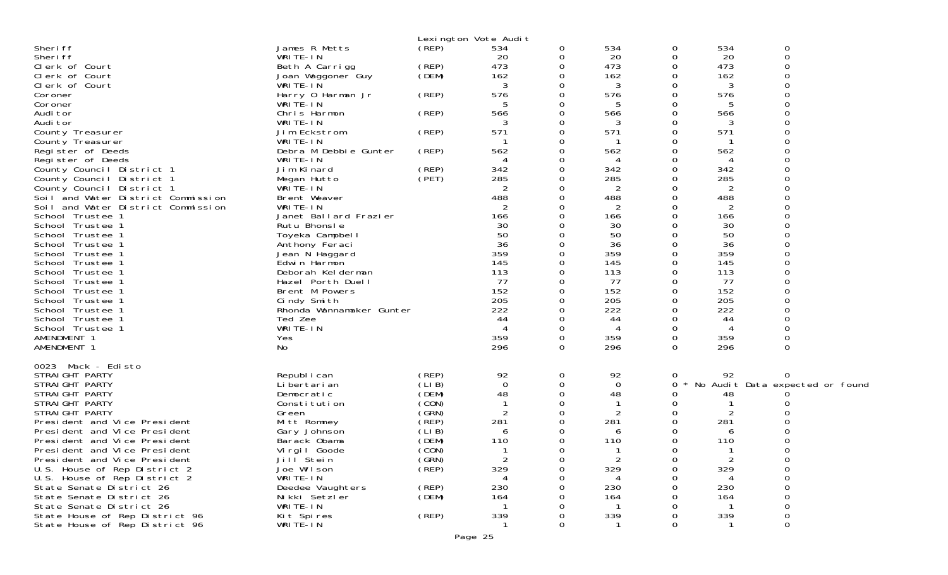|                                    |                          | Lexington Vote Audit |                |          |                |          |             |                                 |
|------------------------------------|--------------------------|----------------------|----------------|----------|----------------|----------|-------------|---------------------------------|
| Sheri ff                           | James R Metts            | (REP)                | 534            | 0        | 534            | 0        | 534         | 0                               |
| Sheri ff                           | WRITE-IN                 |                      | 20             | 0        | 20             | 0        | 20          | 0                               |
| Clerk of Court                     | Beth A Carrigg           | (REP)                | 473            | 0        | 473            | 0        | 473         |                                 |
| Clerk of Court                     | Joan Waggoner Guy        | (DEM)                | 162            | $\Omega$ | 162            | 0        | 162         |                                 |
| Clerk of Court                     | WRITE-IN                 |                      | 3              | 0        | 3              | Ω        | 3           |                                 |
| Coroner                            | Harry 0 Harman Jr        | (REP)                | 576            | 0        | 576            | Ω        | 576         |                                 |
| Coroner                            | WRITE-IN                 |                      | 5              | 0        | 5              | O        |             |                                 |
| Audi tor                           | Chris Harmon             | (REP)                | 566            | 0        | 566            | 0        | 566         |                                 |
| Audi tor                           | WRITE-IN                 |                      |                | 0        | 3              | 0        | 3           |                                 |
| County Treasurer                   | Jim Eckstrom             | (REP)                | 571            | 0        | 571            | 0        | 571         |                                 |
| County Treasurer                   | WRITE-IN                 |                      |                | 0        |                | 0        |             |                                 |
| Register of Deeds                  | Debra M Debbie Gunter    | (REP)                | 562            | 0        | 562            | Ω        | 562         |                                 |
| Register of Deeds                  | WRITE-IN                 |                      | 4              | 0        | 4              | O        | 4           |                                 |
| County Council District 1          | Jim Kinard               | (REP)                | 342            | 0        | 342            | 0        | 342         |                                 |
| County Council District 1          | Megan Hutto              | (PET)                | 285            | 0        | 285            | Ω        | 285         |                                 |
| County Council District 1          | WRITE-IN                 |                      | $\overline{2}$ | 0        | $\overline{2}$ | Ω        | 2           |                                 |
| Soil and Water District Commission | Brent Weaver             |                      | 488            | 0        | 488            | 0        | 488         |                                 |
| Soil and Water District Commission | WRITE-IN                 |                      | 2              |          | 2              | Ω        | 2           |                                 |
| School Trustee 1                   | Janet Ballard Frazier    |                      | 166            | 0        | 166            | O        | 166         |                                 |
| School Trustee 1                   | Rutu Bhonsle             |                      | 30             |          | 30             |          | 30          |                                 |
| School Trustee 1                   | Toyeka Campbell          |                      | 50             |          | 50             |          | 50          |                                 |
| School Trustee 1                   | Anthony Feraci           |                      | 36             | 0        | 36             | 0        | 36          |                                 |
| School Trustee 1                   | Jean N Haggard           |                      | 359            |          | 359            | 0        | 359         |                                 |
| School Trustee 1                   | Edwin Harmon             |                      | 145            |          | 145            | 0        | 145         |                                 |
| School Trustee 1                   | Deborah Kelderman        |                      | 113            | 0        | 113            | 0        | 113         |                                 |
| School Trustee 1                   | Hazel Porth Duell        |                      | 77             | 0        | 77             | 0        | 77          |                                 |
| School Trustee 1                   | Brent M Powers           |                      | 152            |          | 152            | 0        | 152         |                                 |
| School Trustee 1                   | Cindy Smith              |                      | 205            | 0        | 205            | 0        | 205         |                                 |
| School Trustee 1                   | Rhonda Wannamaker Gunter |                      | 222            | 0        | 222            | 0        | 222         |                                 |
| School Trustee 1                   | Ted Zee                  |                      | 44             |          | 44             | 0        | 44          |                                 |
| School Trustee 1                   | WRITE-IN                 |                      |                | 0        | 4              | 0        | 4           |                                 |
| AMENDMENT 1                        | Yes                      |                      | 359            | 0        | 359            | 0        | 359         |                                 |
| AMENDMENT 1                        | No                       |                      | 296            | $\Omega$ | 296            | $\Omega$ | 296         | 0                               |
|                                    |                          |                      |                |          |                |          |             |                                 |
| 0023 Mack - Edisto                 |                          |                      |                |          |                |          |             |                                 |
| STRAIGHT PARTY                     | Republ i can             | (REP)                | 92             | 0        | 92             | 0        | 92          |                                 |
| STRAIGHT PARTY                     | Li bertari an            | (LIB)                | $\mathbf 0$    | 0        | 0              | 0        |             | No Audit Data expected or found |
| STRAIGHT PARTY                     | Democratic               | (DEM)                | 48             | 0        | 48             | Ω        | 48          |                                 |
| STRAIGHT PARTY                     | Constitution             | (CON)                |                | 0        |                | Ω        |             |                                 |
| STRAIGHT PARTY                     | Green                    | (GRN)                | 2              | 0        | $\overline{c}$ | 0        | 2           |                                 |
| President and Vice President       | Mitt Romney              | (REF)                | 281            | 0        | 281            | 0        | 281         |                                 |
| President and Vice President       | Gary Johnson             | (LIB)                | 6              | 0        | 6              | Ω        | 6           |                                 |
| President and Vice President       | Barack Obama             | (DEM)                | 110            | 0        | 110            | 0        | 110         |                                 |
| President and Vice President       | Virgil Goode             | (CON)                | $\mathbf{1}$   | 0        | -1             | 0        |             | $\Omega$                        |
| President and Vice President       | Jill Stein               | (GRN)                | 2              | $\sigma$ | $\mathbf{z}$   | 0        |             | 0                               |
| U.S. House of Rep District 2       | Joe Wilson               | (REP)                | 329            | 0        | 329            | $\Omega$ | 329         | 0                               |
| U.S. House of Rep District 2       | WRITE-IN                 |                      |                |          | 4              |          | 4           | 0                               |
| State Senate District 26           | Deedee Vaughters         | (REP)                | 230            |          | 230            |          | 230         | $\Omega$                        |
| State Senate District 26           | Nikki Setzler            | (DEM)                | 164            |          | 164            |          | 164         | 0                               |
| State Senate District 26           | WRITE-IN                 |                      |                |          | -1             | Ω        | $\mathbf 1$ | 0                               |
| State House of Rep District 96     | Kit Spires               | (REP)                | 339            |          | 339            | 0        | 339         | 0                               |
| State House of Rep District 96     | WRITE-IN                 |                      |                | 0        |                | 0        |             | 0                               |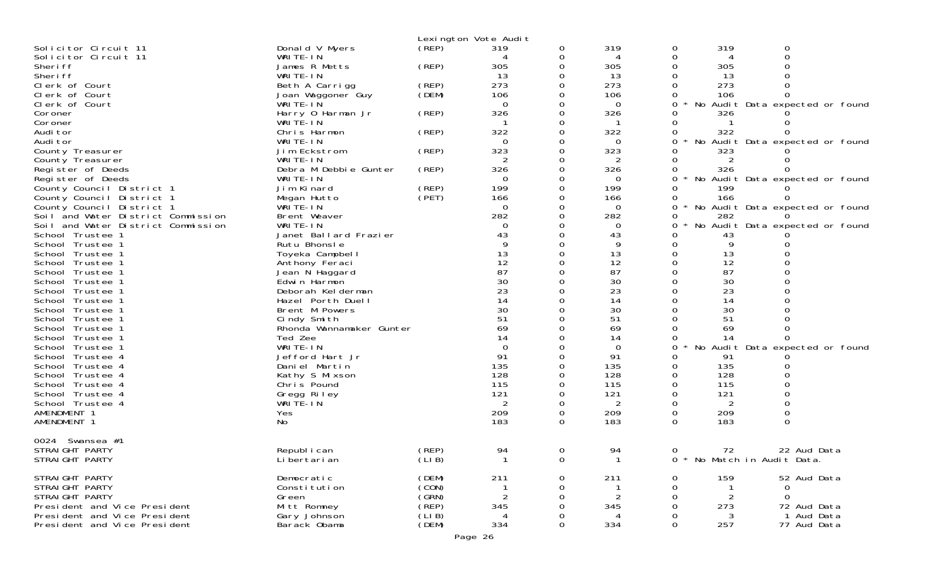|                                      |                                    |       | Lexington Vote Audit |                |              |               |                |                                 |
|--------------------------------------|------------------------------------|-------|----------------------|----------------|--------------|---------------|----------------|---------------------------------|
| Solicitor Circuit 11                 | Donald V Myers                     | (REP) | 319                  | 0              | 319          | 0             | 319            | 0                               |
| Solicitor Circuit 11                 | WRITE-IN                           |       |                      | 0              | 4            | 0             | 4              | 0                               |
| Sheri ff                             | James R Metts                      | (REP) | 305                  |                | 305          | 0             | 305            |                                 |
| Sheri ff                             | WRITE-IN                           |       | 13                   | 0              | 13           | 0             | 13             |                                 |
| Clerk of Court                       | Beth A Carrigg                     | (REP) | 273                  |                | 273          |               | 273            |                                 |
| Clerk of Court                       | Joan Waggoner Guy                  | (DEM) | 106                  |                | 106          | O             | 106            |                                 |
| Clerk of Court                       | WRITE-IN                           |       | $\Omega$             |                | 0            | 0             |                | No Audit Data expected or found |
| Coroner                              | Harry 0 Harman Jr                  | (REP) | 326                  |                | 326          | 0             | 326            |                                 |
| Coroner                              | WRITE-IN                           |       |                      |                |              | 0             |                |                                 |
| Audi tor                             | Chris Harmon<br>WRITE-IN           | (REP) | 322<br>$\Omega$      | 0              | 322<br>0     | 0<br>0        | 322            | No Audit Data expected or found |
| Audi tor<br>County Treasurer         | Jim Eckstrom                       | (REP) | 323                  |                | 323          | O             | 323            |                                 |
| County Treasurer                     | WRITE-IN                           |       | 2                    |                | 2            | 0             | 2              |                                 |
| Register of Deeds                    | Debra M Debbie Gunter              | (REP) | 326                  |                | 326          | 0             | 326            |                                 |
| Register of Deeds                    | WRITE-IN                           |       | 0                    |                | $\Omega$     | 0             |                | No Audit Data expected or found |
| County Council District 1            | Jim Kinard                         | (REP) | 199                  | 0              | 199          | 0             | 199            |                                 |
| County Council District 1            | Megan Hutto                        | (PET) | 166                  |                | 166          | 0             | 166            | O                               |
| County Council District 1            | WRITE-IN                           |       | $\Omega$             |                | 0            | 0             |                | No Audit Data expected or found |
| Soil and Water District Commission   | Brent Weaver                       |       | 282                  |                | 282          | 0             | 282            |                                 |
| Soil and Water District Commission   | WRITE-IN                           |       | 0                    |                | 0            | Ω             |                | No Audit Data expected or found |
| School Trustee 1                     | Janet Ballard Frazier              |       | 43                   |                | 43           | 0             | 43             |                                 |
| School Trustee 1                     | Rutu Bhonsle                       |       | 9                    |                | 9            | 0             | 9              |                                 |
| School Trustee 1                     | Toyeka Campbell                    |       | 13                   |                | 13           | 0             | 13             |                                 |
| School Trustee 1                     | Anthony Feraci                     |       | 12                   | 0              | 12           | $\Omega$      | 12             |                                 |
| School Trustee 1                     | Jean N Haggard                     |       | 87                   | 0              | 87           | 0             | 87             |                                 |
| School Trustee 1                     | Edwin Harmon<br>Deborah Kel derman |       | 30<br>23             |                | 30<br>23     | Ω<br>0        | 30<br>23       |                                 |
| School Trustee 1<br>School Trustee 1 | Hazel Porth Duell                  |       | 14                   |                | 14           | 0             | 14             |                                 |
| School Trustee 1                     | Brent M Powers                     |       | 30                   |                | 30           |               | 30             |                                 |
| School Trustee 1                     | Cindy Smith                        |       | 51                   |                | 51           | 0             | 51             |                                 |
| School Trustee 1                     | Rhonda Wannamaker Gunter           |       | 69                   |                | 69           |               | 69             |                                 |
| School Trustee 1                     | Ted Zee                            |       | 14                   |                | 14           | O             | 14             | 0                               |
| School Trustee 1                     | WRITE-IN                           |       | $\Omega$             |                | 0            | 0             |                | No Audit Data expected or found |
| School Trustee 4                     | Jefford Hart Jr                    |       | 91                   |                | 91           | Ω             | 91             |                                 |
| School Trustee 4                     | Daniel Martin                      |       | 135                  |                | 135          | 0             | 135            |                                 |
| School Trustee 4                     | Kathy S Mixson                     |       | 128                  | 0              | 128          | 0             | 128            |                                 |
| School Trustee 4                     | Chris Pound                        |       | 115                  |                | 115          | 0             | 115            |                                 |
| School Trustee 4                     | Gregg Riley                        |       | 121                  |                | 121          | 0             | 121            |                                 |
| School Trustee 4<br>AMENDMENT 1      | WRITE-IN                           |       | 2<br>209             |                | 2<br>209     | $\Omega$      | 2<br>209       | 0                               |
| AMENDMENT 1                          | Yes<br>No                          |       | 183                  | 0<br>$\Omega$  | 183          | 0<br>$\Omega$ | 183            | 0                               |
|                                      |                                    |       |                      |                |              |               |                |                                 |
| 0024 Swansea #1                      |                                    |       |                      |                |              |               |                |                                 |
| STRAIGHT PARTY                       | Republ i can                       | (REP) | 94                   | $\overline{0}$ | 94           | $\Omega$      | 72             | 22 Aud Data                     |
| STRAIGHT PARTY                       | Li bertari an                      | (LIB) | $\mathbf{1}$         | $\Omega$       | $\mathbf{1}$ |               |                | 0 * No Match in Audit Data.     |
| STRAIGHT PARTY                       | Democratic                         | (DEM) | 211                  | 0              | 211          | 0             | 159            | 52 Aud Data                     |
| STRAIGHT PARTY                       | Constitution                       | (CON) |                      |                |              | 0             |                | 0                               |
| STRAIGHT PARTY                       | Green                              | (GRN) |                      |                |              | 0             | $\overline{2}$ | $\Omega$                        |
| President and Vice President         | Mitt Romney                        | (REF) | 345                  |                | 345          | $\Omega$      | 273            | 72 Aud Data                     |
| President and Vice President         | Gary Johnson                       | (LIB) |                      |                | 4            | 0             | 3              | 1 Aud Data                      |
| President and Vice President         | Barack Obama                       | (DEM) | 334                  | $\Omega$       | 334          | $\Omega$      | 257            | 77 Aud Data                     |
|                                      |                                    |       | Page 26              |                |              |               |                |                                 |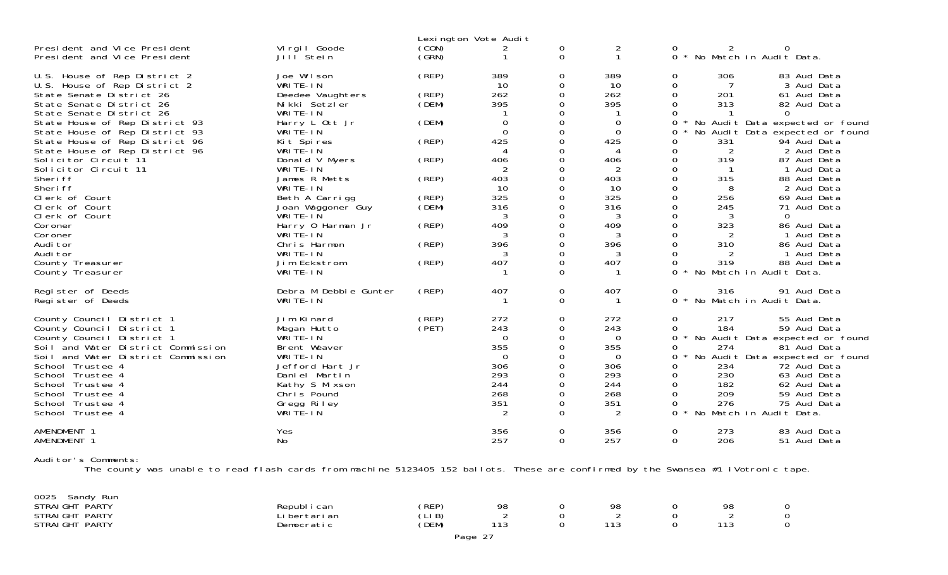|                                                                                                                                                                                                                                                                                                                                                                                                                                                                                                              |                                                                                                                                                                                                                                                                                                                                        |                                                                                                          | Lexington Vote Audit                                                                                                                              |                                                                                                                                                                                                     |                                                                                                                                 |                                                                                                                                                                                                                                                                                                                                                                                                                                                                                                                                                                                                                                                                           |
|--------------------------------------------------------------------------------------------------------------------------------------------------------------------------------------------------------------------------------------------------------------------------------------------------------------------------------------------------------------------------------------------------------------------------------------------------------------------------------------------------------------|----------------------------------------------------------------------------------------------------------------------------------------------------------------------------------------------------------------------------------------------------------------------------------------------------------------------------------------|----------------------------------------------------------------------------------------------------------|---------------------------------------------------------------------------------------------------------------------------------------------------|-----------------------------------------------------------------------------------------------------------------------------------------------------------------------------------------------------|---------------------------------------------------------------------------------------------------------------------------------|---------------------------------------------------------------------------------------------------------------------------------------------------------------------------------------------------------------------------------------------------------------------------------------------------------------------------------------------------------------------------------------------------------------------------------------------------------------------------------------------------------------------------------------------------------------------------------------------------------------------------------------------------------------------------|
| President and Vice President<br>President and Vice President                                                                                                                                                                                                                                                                                                                                                                                                                                                 | Virgil Goode<br>Jill <sup>Stein</sup>                                                                                                                                                                                                                                                                                                  | (CON)<br>(GRN)                                                                                           | 2                                                                                                                                                 | 0<br>$\mathbf 0$                                                                                                                                                                                    | 2<br>$\mathbf{1}$                                                                                                               | 0<br>0<br>2<br>$\Omega$<br>$\star$<br>No Match in Audit Data.                                                                                                                                                                                                                                                                                                                                                                                                                                                                                                                                                                                                             |
| U.S. House of Rep District 2<br>U.S. House of Rep District 2<br>State Senate District 26<br>State Senate District 26<br>State Senate District 26<br>State House of Rep District 93<br>State House of Rep District 93<br>State House of Rep District 96<br>State House of Rep District 96<br>Solicitor Circuit 11<br>Solicitor Circuit 11<br>Sheri ff<br>Sheri ff<br>Clerk of Court<br>Clerk of Court<br>Clerk of Court<br>Coroner<br>Coroner<br>Audi tor<br>Audi tor<br>County Treasurer<br>County Treasurer | Joe Wilson<br>WRITE-IN<br>Deedee Vaughters<br>Nikki Setzler<br>WRITE-IN<br>Harry L Ott Jr<br>WRITE-IN<br>Kit Spires<br>WRITE-IN<br>Donald V Myers<br>WRITE-IN<br>James R Metts<br>WRITE-IN<br>Beth A Carrigg<br>Joan Waggoner Guy<br>WRITE-IN<br>Harry 0 Harman Jr<br>WRITE-IN<br>Chris Harmon<br>WRITE-IN<br>Jim Eckstrom<br>WRITE-IN | (REP)<br>(REP)<br>(DEM)<br>(DEM)<br>(REP)<br>(REP)<br>(REP)<br>(REP)<br>(DEM)<br>(REP)<br>(REP)<br>(REP) | 389<br>10<br>262<br>395<br>$\mathbf 0$<br>$\Omega$<br>425<br>406<br>$\overline{2}$<br>403<br>10<br>325<br>316<br>3<br>409<br>3<br>396<br>3<br>407 | 0<br>0<br>0<br>$\Omega$<br>0<br>0<br>$\Omega$<br>$\mathbf 0$<br>0<br>$\Omega$<br>0<br>0<br>$\Omega$<br>$\mathbf 0$<br>0<br>$\Omega$<br>$\mathbf 0$<br>0<br>$\Omega$<br>$\mathbf 0$<br>0<br>$\Omega$ | 389<br>10<br>262<br>395<br>0<br>$\Omega$<br>425<br>4<br>406<br>2<br>403<br>10<br>325<br>316<br>3<br>409<br>3<br>396<br>3<br>407 | 306<br>83 Aud Data<br>0<br>0<br>7<br>3 Aud Data<br>$\Omega$<br>201<br>61 Aud Data<br>0<br>313<br>82 Aud Data<br>0<br>$\Omega$<br>1<br>0<br>No Audit Data expected or found<br>No Audit Data expected or found<br>0<br>331<br>0<br>94 Aud Data<br>2<br>2 Aud Data<br>0<br>$\Omega$<br>319<br>87 Aud Data<br>0<br>$\mathbf{1}$<br>1 Aud Data<br>0<br>315<br>88 Aud Data<br>8<br>$\Omega$<br>2 Aud Data<br>$\mathbf 0$<br>256<br>69 Aud Data<br>0<br>245<br>71 Aud Data<br>$\Omega$<br>3<br>$\Omega$<br>0<br>323<br>86 Aud Data<br>0<br>2<br>1 Aud Data<br>$\Omega$<br>310<br>86 Aud Data<br>0<br>2<br>1 Aud Data<br>319<br>88 Aud Data<br>0<br>0<br>No Match in Audit Data. |
| Register of Deeds<br>Register of Deeds                                                                                                                                                                                                                                                                                                                                                                                                                                                                       | Debra M Debbie Gunter<br>WRITE-IN                                                                                                                                                                                                                                                                                                      | (REP)                                                                                                    | 407                                                                                                                                               | 0<br>$\Omega$                                                                                                                                                                                       | 407                                                                                                                             | 316<br>0<br>91 Aud Data<br>$\star$<br>No Match in Audit Data.<br>$\Omega$                                                                                                                                                                                                                                                                                                                                                                                                                                                                                                                                                                                                 |
| County Council District 1<br>County Council District 1<br>County Council District 1<br>Soil and Water District Commission<br>Soil and Water District Commission<br>School Trustee 4<br>School Trustee 4<br>School Trustee 4<br>School Trustee 4<br>School Trustee 4<br>School Trustee 4                                                                                                                                                                                                                      | Jim Kinard<br>Megan Hutto<br>WRITE-IN<br>Brent Weaver<br>WRITE-IN<br>Jefford Hart Jr<br>Daniel Martin<br>Kathy S Mixson<br>Chris Pound<br>Gregg Riley<br>WRIŤĔ-IN                                                                                                                                                                      | (REP)<br>(PET)                                                                                           | 272<br>243<br>$\Omega$<br>355<br>$\Omega$<br>306<br>293<br>244<br>268<br>351<br>2                                                                 | 0<br>$\Omega$<br>$\mathbf 0$<br>0<br>$\Omega$<br>$\mathbf 0$<br>0<br>$\Omega$<br>0<br>0<br>$\Omega$                                                                                                 | 272<br>243<br>$\Omega$<br>355<br>$\Omega$<br>306<br>293<br>244<br>268<br>351<br>2                                               | 0<br>217<br>55 Aud Data<br>184<br>59 Aud Data<br>0<br>0<br>* No Audit Data expected or found<br>0<br>274<br>81 Aud Data<br>No Audit Data expected or found<br>0<br>234<br>0<br>72 Aud Data<br>0<br>230<br>63 Aud Data<br>0<br>182<br>62 Aud Data<br>0<br>209<br>59 Aud Data<br>276<br>0<br>75 Aud Data<br>No Match in Audit Data.<br>$\Omega$                                                                                                                                                                                                                                                                                                                             |
| AMENDMENT 1<br>AMENDMENT 1                                                                                                                                                                                                                                                                                                                                                                                                                                                                                   | Yes<br>No                                                                                                                                                                                                                                                                                                                              |                                                                                                          | 356<br>257                                                                                                                                        | 0<br>$\Omega$                                                                                                                                                                                       | 356<br>257                                                                                                                      | 273<br>0<br>83 Aud Data<br>$\Omega$<br>206<br>51 Aud Data                                                                                                                                                                                                                                                                                                                                                                                                                                                                                                                                                                                                                 |

Auditor's Comments:<br>The county was unable to read flash cards from machine 5123405 152 ballots. These are confirmed by the Swansea #1 iVotronic tape

| 0025<br>Sandy Run<br><b>STRAIGHT</b><br>PARTY   | Republ i can               | (REP)         | 98         | 98  | 98  |  |
|-------------------------------------------------|----------------------------|---------------|------------|-----|-----|--|
| STRAI GHT<br><b>PARTY</b><br>PARTY<br>STRAI GHT | i bertari an<br>Democratic | LIB)<br>(DEM) | 110<br>טון | 11' | 110 |  |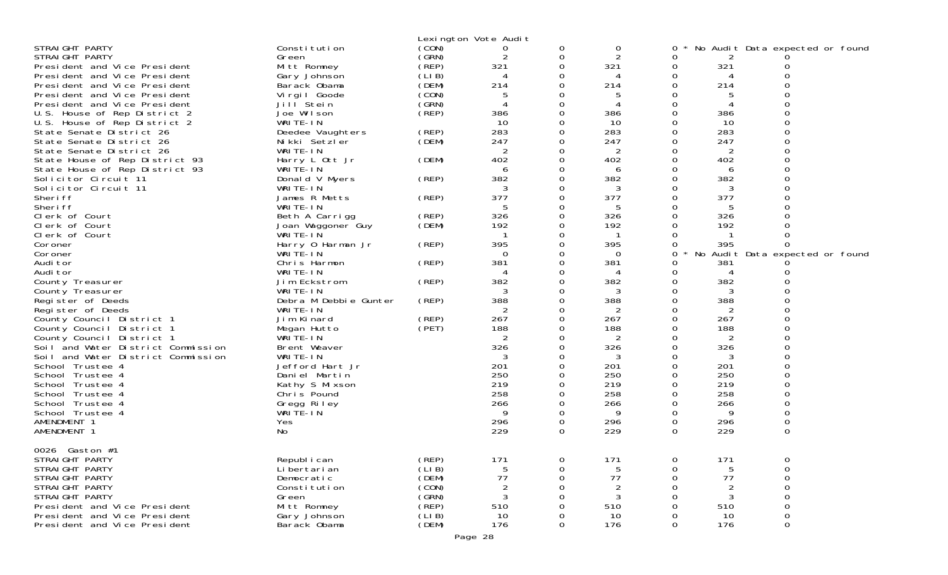|                                                      |                               |                | Lexington Vote Audit |               |                |          |                |                                 |  |
|------------------------------------------------------|-------------------------------|----------------|----------------------|---------------|----------------|----------|----------------|---------------------------------|--|
| STRAIGHT PARTY                                       | Constitution                  | (CON)          | 0                    | 0             | 0              | 0        |                | No Audit Data expected or found |  |
| STRAIGHT PARTY                                       | Green                         | (GRN)          | 2                    | 0             | 2              | Ω        |                |                                 |  |
| President and Vice President                         | Mitt Romney                   | (REP)          | 321                  | $\Omega$      | 321            | 0        | 321            |                                 |  |
| President and Vice President                         | Gary Johnson                  | (LIB)          |                      | 0             | 4              | 0        | 4              |                                 |  |
| President and Vice President                         | Barack Obama                  | (DEM)          | 214                  | 0             | 214            | Ω        | 214            |                                 |  |
| President and Vice President                         | Virgil Goode                  | (CON)          | 5                    | 0             |                | O        |                |                                 |  |
| President and Vice President                         | Jill Stein                    | (SRN)          |                      | 0             | 4              | 0        | 4              |                                 |  |
| U.S. House of Rep District 2                         | Joe Wilson<br>WRITE-IN        | (REP)          | 386<br>10            | 0<br>0        | 386<br>10      | O<br>Ω   | 386<br>10      |                                 |  |
| U.S. House of Rep District 2                         | Deedee Vaughters              | (REP)          | 283                  | 0             | 283            | 0        | 283            |                                 |  |
| State Senate District 26<br>State Senate District 26 | Nikki Setzler                 | (DEM)          | 247                  | 0             | 247            | O        | 247            | O                               |  |
| State Senate District 26                             | WRITE-IN                      |                | 2                    | 0             | 2              | Ω        | 2              |                                 |  |
| State House of Rep District 93                       | Harry L Ott Jr                | (DEM)          | 402                  | 0             | 402            | 0        | 402            |                                 |  |
| State House of Rep District 93                       | WRITE-IN                      |                | 6                    | 0             | 6              | O        | 6              |                                 |  |
| Solicitor Circuit 11                                 | Donald V Myers                | (REP)          | 382                  | 0             | 382            | 0        | 382            |                                 |  |
| Solicitor Circuit 11                                 | WRITE-IN                      |                | 3                    | 0             | 3              | 0        | 3              |                                 |  |
| Sheri ff                                             | James R Metts                 | (REP)          | 377                  | $\Omega$      | 377            | 0        | 377            |                                 |  |
| Sheri ff                                             | WRITE-IN                      |                | 5                    | 0             | 5              | Ω        | 5              |                                 |  |
| Clerk of Court                                       | Beth A Carrigg                | (REP)          | 326                  | 0             | 326            | 0        | 326            |                                 |  |
| Clerk of Court                                       | Joan Waggoner Guy             | (DEM)          | 192                  | 0             | 192            | O        | 192            |                                 |  |
| Clerk of Court                                       | WRITE-IN                      |                | -1                   | 0             | $\mathbf{1}$   |          | $\mathbf{1}$   |                                 |  |
| Coroner                                              | Harry 0 Harman Jr             | (REP)          | 395                  | 0             | 395            |          | 395            |                                 |  |
| Coroner<br>Audi tor                                  | WRITE-IN<br>Chris Harmon      | (REP)          | 0<br>381             | 0<br>0        | 0<br>381       | 0<br>O   | 381            | No Audit Data expected or found |  |
| Audi tor                                             | WRITE-IN                      |                |                      | 0             | 4              | Ω        | 4              |                                 |  |
| County Treasurer                                     | Jim Eckstrom                  | (REP)          | 382                  | 0             | 382            | O        | 382            |                                 |  |
| County Treasurer                                     | WRITE-IN                      |                | 3                    | 0             | 3              | Ω        | 3              |                                 |  |
| Register of Deeds                                    | Debra M Debbie Gunter         | (REP)          | 388                  | 0             | 388            | O        | 388            |                                 |  |
| Register of Deeds                                    | WRITE-IN                      |                |                      | 0             |                | Ω        |                |                                 |  |
| County Council District 1                            | Jim Kinard                    | (REP)          | 267                  | 0             | 267            | Ω        | 267            |                                 |  |
| County Council District 1                            | Megan Hutto                   | (PET)          | 188                  | 0             | 188            | 0        | 188            |                                 |  |
| County Council District 1                            | WRITE-IN                      |                | 2                    | 0             | 2              | Ω        | 2              |                                 |  |
| Soil and Water District Commission                   | Brent Weaver                  |                | 326                  | 0             | 326            | 0        | 326            |                                 |  |
| Soil and Water District Commission                   | WRITE-IN                      |                | 3                    | 0             | 3              | 0        | 3              |                                 |  |
| School Trustee 4                                     | Jefford Hart Jr               |                | 201                  | 0             | 201            | 0        | 201            |                                 |  |
| School Trustee 4                                     | Daniel Martin                 |                | 250<br>219           | 0             | 250<br>219     | 0<br>0   | 250<br>219     | 0                               |  |
| School Trustee 4<br>School Trustee 4                 | Kathy S Mixson<br>Chris Pound |                | 258                  | 0<br>$\Omega$ | 258            | $\Omega$ | 258            | O                               |  |
| School Trustee 4                                     |                               |                | 266                  | 0             | 266            | 0        | 266            | 0                               |  |
| School Trustee 4                                     | Gregg Riley<br>WRITE-IN       |                | 9                    | 0             | 9              | Ω        | 9              |                                 |  |
| AMENDMENT 1                                          | Yes                           |                | 296                  | 0             | 296            | 0        | 296            | 0                               |  |
| AMENDMENT 1                                          | No                            |                | 229                  | $\Omega$      | 229            | $\Omega$ | 229            | 0                               |  |
|                                                      |                               |                |                      |               |                |          |                |                                 |  |
| 0026 Gaston #1                                       |                               |                |                      |               |                |          |                |                                 |  |
| STRAIGHT PARTY                                       | Republ i can                  | (REP)          | 171                  | 0             | 171            | 0        | 171            | 0                               |  |
| STRAIGHT PARTY                                       | Li bertari an                 | (LIB)          | 5                    | 0             | 5              | Ω        | 5              | 0                               |  |
| STRAIGHT PARTY                                       | Democratic                    | (DEM)          | 77                   | 0             | 77             | O        | 77             | 0                               |  |
| STRAIGHT PARTY                                       | Constitution                  | (CON)          | 2                    | 0             | $\overline{2}$ |          | $\overline{2}$ | 0                               |  |
| STRAIGHT PARTY<br>President and Vice President       | Green                         | (SRN)<br>(REP) | 3<br>510             | ი<br>0        | 3<br>510       |          | 3<br>510       | 0<br>0                          |  |
| President and Vice President                         | Mitt Romney<br>Gary Johnson   | (LIB)          | 10                   | 0             | 10             | 0        | 10             | 0                               |  |
| President and Vice President                         | Barack Obama                  | (DEM)          | 176                  | 0             | 176            | 0        | 176            | 0                               |  |
|                                                      |                               |                | Page 28              |               |                |          |                |                                 |  |
|                                                      |                               |                |                      |               |                |          |                |                                 |  |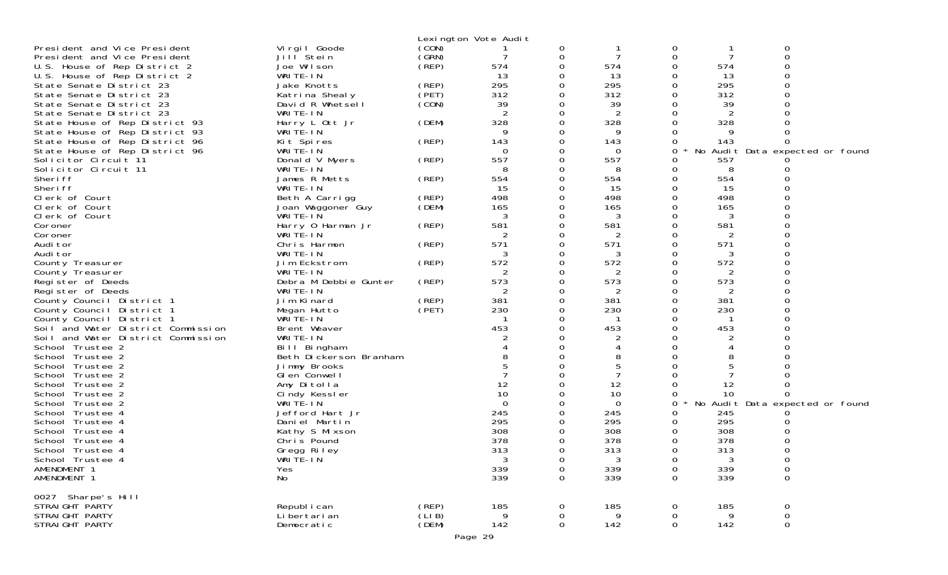|                                    |                             |                | Lexington Vote Audit |          |                |                  |          |                                 |  |
|------------------------------------|-----------------------------|----------------|----------------------|----------|----------------|------------------|----------|---------------------------------|--|
| President and Vice President       | Vi rgi I Goode              | (CON)          |                      | 0        |                | 0                |          | 0                               |  |
| President and Vice President       | Jill <sup>Stein</sup>       | (GRN)          |                      | 0        | 7              | 0                | 7        | $\Omega$                        |  |
| U.S. House of Rep District 2       | Joe Wilson                  | $($ REP $)$    | 574                  | 0        | 574            | 0                | 574      |                                 |  |
| U.S. House of Rep District 2       | WRITE-IN                    |                | 13                   |          | 13             | 0                | 13       |                                 |  |
| State Senate District 23           | Jake Knotts                 | (REP)          | 295                  |          | 295            | 0                | 295      |                                 |  |
| State Senate District 23           | Katrina Shealy              | (PET)          | 312                  |          | 312            | 0                | 312      |                                 |  |
| State Senate District 23           | David R Whetsell            | (CON)          | 39                   |          | 39             | 0                | 39       |                                 |  |
| State Senate District 23           | WRITE-IN                    |                | 2                    |          | 2              | 0                | 2        |                                 |  |
| State House of Rep District 93     | Harry L Ott Jr              | (DEM)          | 328                  |          | 328            | 0                | 328      |                                 |  |
| State House of Rep District 93     | WRITE-IN                    |                | 9                    |          | 9              | 0                | 9        |                                 |  |
| State House of Rep District 96     | Kit Spires                  | (REP)          | 143                  |          | 143            | 0                | 143      |                                 |  |
| State House of Rep District 96     | WRITE-IN                    |                | $\Omega$             |          | 0              | 0                |          | No Audit Data expected or found |  |
| Solicitor Circuit 11               | Donald V Myers              | (REP)          | 557                  |          | 557            | 0                | 557      |                                 |  |
| Solicitor Circuit 11               | WRITE-IN                    |                |                      |          | 8              | 0                | 8        |                                 |  |
| Sheri ff                           | James R Metts               | (REP)          | 554                  |          | 554            | 0                | 554      |                                 |  |
| Sheri ff                           | WRITE-IN                    |                | 15                   |          | 15             | 0                | 15       |                                 |  |
| Clerk of Court                     | Beth A Carrigg              | (REP)          | 498                  |          | 498            | 0                | 498      |                                 |  |
| Clerk of Court                     | Joan Waggoner Guy           | (DEM)          | 165                  |          | 165            |                  | 165      |                                 |  |
| Clerk of Court                     | WRITE-IN                    |                | 3                    |          | 3              | 0                | 3        |                                 |  |
| Coroner                            | Harry 0 Harman Jr           | (REP)          | 581                  |          | 581            | 0                | 581      |                                 |  |
| Coroner                            | WRITE-IN                    |                | 2                    |          | 2              |                  | 2        |                                 |  |
| Audi tor                           | Chris Harmon                | (REP)          | 571                  |          | 571            | 0                | 571      |                                 |  |
| Audi tor                           | WRITE-IN                    |                | 3                    |          | 3              | 0                | 3        |                                 |  |
| County Treasurer                   | Jim Eckstrom                | (REP)          | 572                  | 0        | 572            | 0                | 572      |                                 |  |
| County Treasurer                   | WRITE-IN                    |                | 2                    |          | 2              | 0                | 2        |                                 |  |
| Register of Deeds                  | Debra M Debbie Gunter       | (REP)          | 573                  |          | 573            | 0                | 573      |                                 |  |
| Register of Deeds                  | WRITE-IN                    |                | 2                    |          | 2              | 0                | 2        |                                 |  |
| County Council District 1          | Jim Kinard                  | (REP)          | 381                  |          | 381            | 0                | 381      |                                 |  |
| County Council District 1          | Megan Hutto                 | (PET)          | 230                  |          | 230            | 0                | 230      |                                 |  |
| County Council District 1          | WRITE-IN                    |                |                      |          |                | 0                |          |                                 |  |
| Soil and Water District Commission | Brent Weaver                |                | 453                  |          | 453            | 0                | 453      |                                 |  |
| Soil and Water District Commission | WRITE-IN                    |                |                      |          | $\overline{2}$ |                  | 2        |                                 |  |
| School Trustee 2                   | Bill Bingham                |                |                      |          |                | 0                |          |                                 |  |
| School Trustee 2                   | Beth Dickerson Branham      |                |                      |          | 8              | 0                | 8        |                                 |  |
| School Trustee 2                   | Jimmy Brooks                |                |                      |          |                |                  |          |                                 |  |
| School Trustee 2                   | GI en Conwell               |                |                      |          |                | 0                |          |                                 |  |
| School Trustee 2                   | Amy Ditolla                 |                | 12                   |          | 12             | 0                | 12       |                                 |  |
| School Trustee 2                   | Cindy Kessler               |                | 10                   |          | 10             |                  | 10       |                                 |  |
| School Trustee 2                   | WRITE-IN                    |                | $\Omega$             |          | 0              | 0                |          | No Audit Data expected or found |  |
| School Trustee 4                   | Jefford Hart Jr             |                | 245                  |          | 245            | 0                | 245      |                                 |  |
| School Trustee 4                   | Daniel Martin               |                | 295                  |          | 295            | 0                | 295      |                                 |  |
| School Trustee 4                   | Kathy S Mixson              |                | 308                  |          | 308            | 0                | 308      |                                 |  |
| School Trustee 4                   | Chris Pound                 |                | 378                  |          | 378            | 0                | 378      |                                 |  |
| School Trustee 4                   | Gregg Riley                 |                | 313                  | $\Omega$ | 313            | $\Omega$         | 313      | 0                               |  |
| School Trustee 4                   | WRITE-IN                    |                | 3                    | 0        | 3              | 0                | 3        | 0                               |  |
| AMENDMENT 1                        | Yes                         |                | 339                  | 0        | 339            | 0                | 339      | 0                               |  |
| AMENDMENT 1                        | No                          |                | 339                  | 0        | 339            | 0                | 339      | $\mathsf{O}\xspace$             |  |
|                                    |                             |                |                      |          |                |                  |          |                                 |  |
| 0027 Sharpe's Hill                 |                             |                |                      |          |                |                  |          |                                 |  |
| STRAIGHT PARTY<br>STRAIGHT PARTY   | Republ i can                | (REP)<br>(LIB) | 185<br>9             | 0        | 185<br>9       | 0                | 185<br>9 | 0                               |  |
| STRAIGHT PARTY                     | Li bertari an<br>Democratic | (DEM)          | 142                  | 0<br>0   | 142            | 0<br>$\mathbf 0$ | 142      | $\mathbf 0$<br>0                |  |
|                                    |                             |                |                      |          |                |                  |          |                                 |  |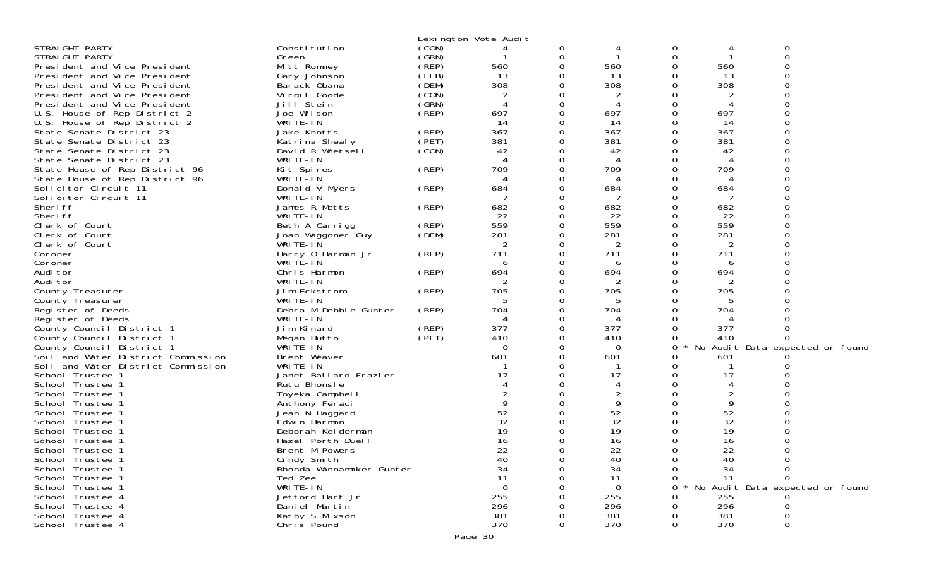|                                    |                               |          | Lexington Vote Audit |               |           |               |                |                                 |
|------------------------------------|-------------------------------|----------|----------------------|---------------|-----------|---------------|----------------|---------------------------------|
| STRAIGHT PARTY                     | Constitution                  | (CON)    |                      | 0             |           | 0             |                | 0                               |
| STRAIGHT PARTY                     | Green                         | (GRN)    |                      | 0             |           | $\Omega$      |                | $\Omega$                        |
| President and Vice President       | Mitt Romney                   | $($ REP) | 560                  | 0             | 560       |               | 560            |                                 |
| President and Vice President       | Gary Johnson                  | (LIB)    | 13                   | ∩             | 13        | ∩             | 13             |                                 |
| President and Vice President       | Barack Obama                  | (DEM)    | 308                  | 0             | 308       | 0             | 308            |                                 |
| President and Vice President       | Virgil Goode                  | (CON)    |                      | 0             | 2         | O             |                |                                 |
| President and Vice President       | Jill Stein                    | (GRN)    | 4                    | $\Omega$      |           | $\Omega$      |                |                                 |
| U.S. House of Rep District 2       | Joe Wilson                    | (REP)    | 697                  | 0             | 697       | 0             | 697            |                                 |
| U.S. House of Rep District 2       | WRITE-IN                      |          | 14                   | 0             | 14        | 0             | 14             |                                 |
| State Senate District 23           | Jake Knotts                   | (REP)    | 367                  | $\Omega$      | 367       | $\Omega$      | 367            |                                 |
| State Senate District 23           | Katrina Shealy                | (PET)    | 381                  | 0             | 381       | 0             | 381            |                                 |
| State Senate District 23           | David R Whetsell              | (CON)    | 42                   | 0             | 42        |               | 42             |                                 |
| State Senate District 23           | WRITE-IN                      |          |                      | $\Omega$      | 4         | ∩             | $\Delta$       |                                 |
| State House of Rep District 96     | Kit Spires                    | (REP)    | 709                  | 0             | 709       | 0             | 709            |                                 |
| State House of Rep District 96     | WRITE-IN                      |          |                      | 0             |           | O             | $\overline{A}$ |                                 |
| Solicitor Circuit 11               | Donald V Myers                | (REP)    | 684                  | $\Omega$      | 684       | $\Omega$      | 684            |                                 |
| Solicitor Circuit 11               | WRITE-IN                      |          |                      | 0             | 7         | 0             | -7             |                                 |
| Sheri ff                           | James R Metts                 | (REP)    | 682                  | $\Omega$<br>O | 682       | $\Omega$<br>∩ | 682            |                                 |
| Sheri ff<br>Clerk of Court         | WRITE-IN                      | (REP)    | 22<br>559            | 0             | 22<br>559 | 0             | 22<br>559      |                                 |
| Clerk of Court                     | Beth A Carrigg                |          | 281                  | 0             | 281       | O             | 281            |                                 |
| Clerk of Court                     | Joan Waggoner Guy<br>WRITE-IN | (DEM)    | 2                    | ∩             | 2         | ∩             | 2              |                                 |
| Coroner                            | Harry 0 Harman Jr             | (REP)    | 711                  | 0             | 711       | 0             | 711            |                                 |
| Coroner                            | WRITÉ-IN                      |          | 6                    | ∩             | 6         | ∩             | 6              |                                 |
| Audi tor                           | Chris Harmon                  | (REP)    | 694                  | 0             | 694       | O             | 694            |                                 |
| Audi tor                           | WRITE-IN                      |          |                      | 0             | 2         | 0             | 2              |                                 |
| County Treasurer                   | Jim Eckstrom                  | (REP)    | 705                  | 0             | 705       | ∩             | 705            |                                 |
| County Treasurer                   | WRITE-IN                      |          | 5                    | 0             | 5         | ∩             | 5              |                                 |
| Register of Deeds                  | Debra M Debbie Gunter         | (REP)    | 704                  | 0             | 704       | 0             | 704            |                                 |
| Register of Deeds                  | WRITE-IN                      |          |                      | ∩             |           |               |                |                                 |
| County Council District 1          | Jim Kinard                    | (REP)    | 377                  | 0             | 377       | 0             | 377            |                                 |
| County Council District 1          | Megan Hutto                   | (PET)    | 410                  | O             | 410       |               | 410            |                                 |
| County Council District 1          | WRITE-IN                      |          | 0                    | 0             | $\Omega$  | O             |                | No Audit Data expected or found |
| Soil and Water District Commission | Brent Weaver                  |          | 601                  | 0             | 601       |               | 601            |                                 |
| Soil and Water District Commission | WRITE-IN                      |          |                      | $\Omega$      |           |               |                |                                 |
| School Trustee 1                   | Janet Ballard Frazier         |          | 17                   | $\Omega$      | 17        |               | 17             |                                 |
| School Trustee 1                   | Rutu Bhonsle                  |          |                      | ∩             | 4         |               | 4              |                                 |
| School Trustee 1                   | Toyeka Campbell               |          |                      |               | 2         |               | $\overline{2}$ |                                 |
| School Trustee 1                   | Anthony Feraci                |          | 9                    | ∩             | 9         |               | 9              |                                 |
| School Trustee 1                   | Jean N Haggard                |          | 52                   | 0             | 52        | 0             | 52             |                                 |
| School Trustee 1                   | Edwin Harmon                  |          | 32                   |               | 32        |               | 32             |                                 |
| School Trustee 1                   | Deborah Kelderman             |          | 19                   |               | 19        |               | 19             |                                 |
| School Trustee 1                   | Hazel Porth Duell             |          | 16                   | 0             | 16        |               | 16             |                                 |
| School Trustee 1                   | Brent M Powers                |          | 22                   | $\Omega$      | 22        | $\Omega$      | 22             |                                 |
| School Trustee                     | Cindy Smith                   |          | 40                   |               | 40        |               | 40             |                                 |
| School Trustee 1                   | Rhonda Wannamaker Gunter      |          | 34                   |               | 34        |               | 34             |                                 |
| School Trustee 1                   | Ted Zee                       |          | 11                   |               | 11        |               | 11             |                                 |
| School Trustee 1                   | WRITE-IN                      |          | 0                    |               | $\Omega$  |               |                | No Audit Data expected or found |
| School Trustee 4                   | Jefford Hart Jr               |          | 255                  |               | 255       |               | 255            |                                 |
| School Trustee 4                   | Daniel Martin                 |          | 296                  |               | 296       |               | 296            |                                 |
| School Trustee 4                   | Kathy S Mixson                |          | 381                  |               | 381       |               | 381            |                                 |
| School Trustee 4                   | Chris Pound                   |          | 370                  | 0             | 370       | 0             | 370            |                                 |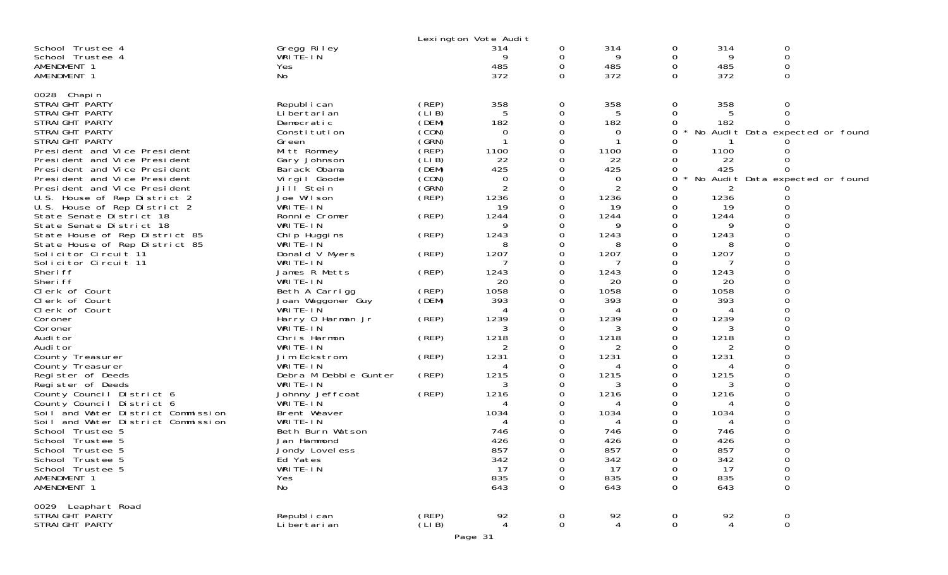|                                    |                       |       | Lexington Vote Audit |             |      |            |      |                                 |
|------------------------------------|-----------------------|-------|----------------------|-------------|------|------------|------|---------------------------------|
| School Trustee 4                   | Gregg Riley           |       | 314                  | 0           | 314  | 0          | 314  | 0                               |
| School Trustee 4                   | WRITE-IN              |       |                      | 0           | 9    | 0          | 9    | $\mathbf 0$                     |
| AMENDMENT 1                        | Yes                   |       | 485                  | 0           | 485  | 0          | 485  | 0                               |
| AMENDMENT 1                        | No                    |       | 372                  | $\Omega$    | 372  | $\Omega$   | 372  | $\Omega$                        |
|                                    |                       |       |                      |             |      |            |      |                                 |
| 0028 Chapin                        |                       |       |                      |             |      |            |      |                                 |
| STRAIGHT PARTY                     | Republ i can          | (REP) | 358                  | 0           | 358  | 0          | 358  | 0                               |
| STRAIGHT PARTY                     | Li bertari an         | (LIB) | 5                    | 0           | 5    | 0          |      | $\Omega$                        |
| STRAIGHT PARTY                     | Democratic            | (DEM) | 182                  | 0           | 182  | 0          | 182  |                                 |
| STRAIGHT PARTY                     | Constitution          | (CON) | $\Omega$             | 0           | 0    | 0          |      | No Audit Data expected or found |
| STRAIGHT PARTY                     | Green                 | (GRN) |                      | 0           |      | Ω          |      |                                 |
| President and Vice President       | Mitt Romney           | (REP) | 1100                 | 0           | 1100 |            | 1100 |                                 |
| President and Vice President       | Gary Johnson          | (LIB) | 22                   | 0           | 22   | Ω          | 22   |                                 |
| President and Vice President       | Barack Obama          | (DEM) | 425                  | 0           | 425  | Ω          | 425  |                                 |
| President and Vice President       | Virgil Goode          | (CON) | 0                    | 0           | 0    | 0          |      | No Audit Data expected or found |
| President and Vice President       | Jill Stein            | (GRN) | 2                    | 0           | 2    | Ω          |      |                                 |
| U.S. House of Rep District 2       | Joe Wilson            | (REP) | 1236                 | 0           | 1236 | 0          | 1236 |                                 |
| U.S. House of Rep District 2       | WRITE-IN              |       | 19                   | 0           | 19   | 0          | 19   |                                 |
| State Senate District 18           | Ronnie Cromer         | (REP) | 1244                 | 0           | 1244 | 0          | 1244 |                                 |
| State Senate District 18           | WRITE-IN              |       | 9                    | 0           | 9    | 0          | 9    |                                 |
| State House of Rep District 85     | Chip Huggins          | (REP) | 1243                 | 0           | 1243 | 0          | 1243 |                                 |
| State House of Rep District 85     | WRITE-IN              |       | 8                    | 0           | 8    | 0          | 8    |                                 |
| Solicitor Circuit 11               | Donald V Myers        | (REP) | 1207                 | 0           | 1207 | 0          | 1207 |                                 |
| Solicitor Circuit 11               | WRITE-IN              |       |                      | 0           |      | 0          |      |                                 |
| Sheri ff                           | James R Metts         | (REP) | 1243                 | 0           | 1243 | 0          | 1243 |                                 |
| Sheri ff                           | WRITE-IN              |       | 20                   | 0           | 20   | 0          | 20   |                                 |
| Clerk of Court                     | Beth A Carrigg        | (REP) | 1058                 | 0           | 1058 | 0          | 1058 |                                 |
| Clerk of Court                     | Joan Waggoner Guy     | (DEM) | 393                  | 0           | 393  | 0          | 393  |                                 |
| Clerk of Court                     | WRITE-IN              |       |                      | 0           | 4    | Ω          |      |                                 |
| Coroner                            | Harry 0 Harman Jr     | (REP) | 1239                 | 0           | 1239 | 0          | 1239 |                                 |
| Coroner                            | WRITE-IN              |       | 3                    | 0           | 3    | 0          | 3    |                                 |
| Audi tor                           | Chris Harmon          | (REP) | 1218                 | 0           | 1218 | Ω          | 1218 |                                 |
| Audi tor                           | WRITE-IN              |       |                      | 0           | 2    | $\Omega$   |      |                                 |
| County Treasurer                   | Jim Eckstrom          | (REP) | 1231                 | 0           | 1231 | 0          | 1231 |                                 |
| County Treasurer                   | WRITE-IN              |       |                      | 0           | 4    | 0          |      |                                 |
| Register of Deeds                  | Debra M Debbie Gunter | (REP) | 1215                 | 0           | 1215 | 0          | 1215 |                                 |
| Register of Deeds                  | WRITE-IN              |       | 3                    | 0           | 3    | 0          | 3    |                                 |
| County Council District 6          | Johnny Jeffcoat       | (REP) | 1216                 | 0           | 1216 | Ω          | 1216 |                                 |
| County Council District 6          | WRITE-IN              |       |                      | 0           |      | Ω          |      |                                 |
| Soil and Water District Commission | Brent Weaver          |       | 1034                 | 0           | 1034 | 0          | 1034 |                                 |
| Soil and Water District Commission | WRITE-IN              |       |                      | ი           | 4    | Ω          |      |                                 |
| School Trustee 5                   | Beth Burn Watson      |       | 746                  | Ω           | 746  | $\Omega$   | 746  |                                 |
| School Trustee 5                   | Jan Hammond           |       | 426                  | 0           | 426  | 0          | 426  |                                 |
| School Trustee 5                   | Jondy Lovel ess       |       | 857                  | 0           | 857  | 0          | 857  | 0                               |
| School Trustee 5                   | Ed Yates              |       | 342                  | 0           | 342  | 0          | 342  | 0                               |
| School Trustee 5                   | WRITE-IN              |       | 17                   | 0           | 17   | 0          | 17   | $\boldsymbol{0}$                |
| AMENDMENT 1                        | Yes                   |       | 835                  | 0           | 835  | 0          | 835  | 0                               |
| AMENDMENT 1                        | No                    |       | 643                  | 0           | 643  | $\Omega$   | 643  | $\Omega$                        |
|                                    |                       |       |                      |             |      |            |      |                                 |
| 0029 Leaphart Road                 |                       |       |                      |             |      |            |      |                                 |
| STRAIGHT PARTY                     | Republ i can          | (REP) | 92                   | 0           | 92   | 0          | 92   | $\mathbf 0$                     |
| STRAIGHT PARTY                     | Li bertari an         | (LIB) | $\overline{4}$       | $\mathbf 0$ | 4    | $\mbox{O}$ | 4    | $\mathsf O$                     |
|                                    |                       |       | $D_{200}$ 21         |             |      |            |      |                                 |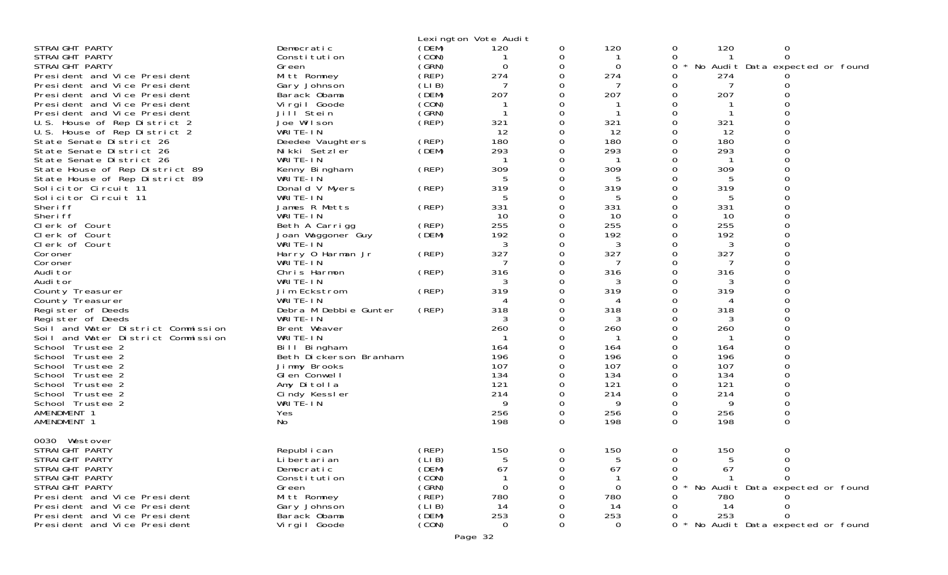|                                    |                        |        | Lexington Vote Audit |          |          |          |     |                                 |
|------------------------------------|------------------------|--------|----------------------|----------|----------|----------|-----|---------------------------------|
| STRAIGHT PARTY                     | Democratic             | (DEM)  | 120                  | 0        | 120      | 0        | 120 | 0                               |
| STRAIGHT PARTY                     | Constitution           | (CON)  |                      | 0        |          | 0        |     | 0                               |
| STRAIGHT PARTY                     | Green                  | (GRN)  | $\Omega$             | $\Omega$ | $\Omega$ | 0        |     | No Audit Data expected or found |
| President and Vice President       | Mitt Romney            | (REP)  | 274                  | 0        | 274      | 0        | 274 |                                 |
| President and Vice President       | Gary Johnson           | (LIB)  |                      |          |          | 0        |     | Ω                               |
| President and Vice President       | Barack Obama           | (DEM)  | 207                  | $\Omega$ | 207      | 0        | 207 | $\Omega$                        |
| President and Vice President       | Vi rgi I Goode         | (CON)  |                      |          |          | 0        |     |                                 |
| President and Vice President       | Jill <sup>Stein</sup>  | (GRN)  |                      | $\Omega$ |          | $\Omega$ |     | 0                               |
| U.S. House of Rep District 2       | Joe Wilson             | (REP)  | 321                  | $\Omega$ | 321      | $\Omega$ | 321 | 0                               |
| U.S. House of Rep District 2       | WRITE-IN               |        | 12                   | 0        | 12       | 0        | 12  | 0                               |
| State Senate District 26           | Deedee Vaughters       | (REP)  | 180                  | $\Omega$ | 180      | 0        | 180 | $\Omega$                        |
| State Senate District 26           | Nikki Setzler          | (DEM)  | 293                  | 0        | 293      | 0        | 293 | 0                               |
| State Senate District 26           | WRITE-IN               |        | -1                   | 0        | -1       | 0        |     | 0                               |
| State House of Rep District 89     | Kenny Bingham          | (REP)  | 309                  | 0        | 309      | 0        | 309 | $\Omega$                        |
| State House of Rep District 89     | WRITE-IN               |        | 5                    | 0        | 5        | 0        | 5   | 0                               |
| Solicitor Circuit 11               | Donald V Myers         | (REP)  | 319                  | 0        | 319      | 0        | 319 | 0                               |
| Solicitor Circuit 11               | WRITE-IN               |        | 5                    | $\Omega$ | 5        | 0        | 5   | $\Omega$                        |
| Sheri ff                           | James R Metts          | (REP)  | 331                  | 0        | 331      | 0        | 331 | 0                               |
| Sheri ff                           | WRITE-IN               |        | 10                   |          | 10       | 0        | 10  | 0                               |
| Clerk of Court                     | Beth A Carrigg         | (REP)  | 255                  | 0        | 255      | 0        | 255 | $\Omega$                        |
| Clerk of Court                     | Joan Waggoner Guy      | (DEM)  | 192                  | 0        | 192      | 0        | 192 | 0                               |
| Clerk of Court                     | WRITE-IN               |        | 3                    | Ω        | 3        | 0        | 3   | 0                               |
| Coroner                            | Harry 0 Harman Jr      | (REP)  | 327                  | 0        | 327      | $\Omega$ | 327 | 0                               |
| Coroner                            | WRITE-IN               |        | 7                    | 0        | 7        | 0        | 7   | 0                               |
| Audi tor                           | Chris Harmon           | (REP)  | 316                  | 0        | 316      | 0        | 316 |                                 |
| Audi tor                           | WRITE-IN               |        | 3                    | 0        | 3        | 0        | 3   | 0                               |
| County Treasurer                   | Jim Eckstrom           | (REP)  | 319                  | 0        | 319      | 0        | 319 | 0                               |
| County Treasurer                   | WRITE-IN               |        | 4                    |          | 4        | 0        | 4   |                                 |
| Register of Deeds                  | Debra M Debbie Gunter  | (REP)  | 318                  | 0        | 318      | 0        | 318 | $\Omega$                        |
| Register of Deeds                  | WRITE-IN               |        | 3                    | 0        | 3        | 0        | 3   | 0                               |
| Soil and Water District Commission | Brent Weaver           |        | 260                  | 0        | 260      | 0        | 260 | 0                               |
| Soil and Water District Commission | WRITE-IN               |        |                      | 0        |          | 0        |     | 0                               |
| School Trustee 2                   | Bill Bingham           |        | 164                  | 0        | 164      | 0        | 164 | 0                               |
| School Trustee 2                   | Beth Dickerson Branham |        | 196                  |          | 196      | 0        | 196 | 0                               |
| School Trustee 2                   | Jimmy Brooks           |        | 107                  |          | 107      | 0        | 107 | 0                               |
| School Trustee 2                   | GI en Conwell          |        | 134                  | 0        | 134      | 0        | 134 | 0                               |
| School Trustee 2                   | Amy Ditolla            |        | 121                  |          | 121      | 0        | 121 | 0                               |
| School Trustee 2                   | Cindy Kessler          |        | 214                  | 0        | 214      | 0        | 214 | 0                               |
| School Trustee 2                   | WRITE-IN               |        | 9                    | 0        | 9        | 0        | 9   | 0                               |
| AMENDMENT 1                        | Yes                    |        | 256                  | 0        | 256      | 0        | 256 | 0                               |
| AMENDMENT 1                        | No                     |        | 198                  | $\Omega$ | 198      | $\Omega$ | 198 | 0                               |
| 0030 Westover                      |                        |        |                      |          |          |          |     |                                 |
| STRAIGHT PARTY                     | Republ i can           | (REP)  | 150                  | 0        | 150      | 0        | 150 | 0                               |
| STRAIGHT PARTY                     | Li bertari an          | (LI B) | 5                    |          | 5        | 0        |     |                                 |
| STRAIGHT PARTY                     | Democratic             | (DEM)  | 67                   | Ω        | 67       | 0        | 67  |                                 |
| STRAIGHT PARTY                     | Constitution           | (CON)  |                      |          |          | $\Omega$ |     |                                 |
| STRAIGHT PARTY                     | Green                  | (GRN)  | $\mathbf 0$          |          | 0        | 0        |     | No Audit Data expected or found |
| President and Vice President       | Mitt Romney            | (REP)  | 780                  |          | 780      |          | 780 |                                 |
| President and Vice President       | Gary Johnson           | (LIB)  | 14                   |          | 14       |          | 14  |                                 |
| President and Vice President       | Barack Obama           | (DEM)  | 253                  |          | 253      |          | 253 |                                 |
| President and Vice President       | Virgil Goode           | (CON)  | $\Omega$             | 0        | $\Omega$ | 0        |     | No Audit Data expected or found |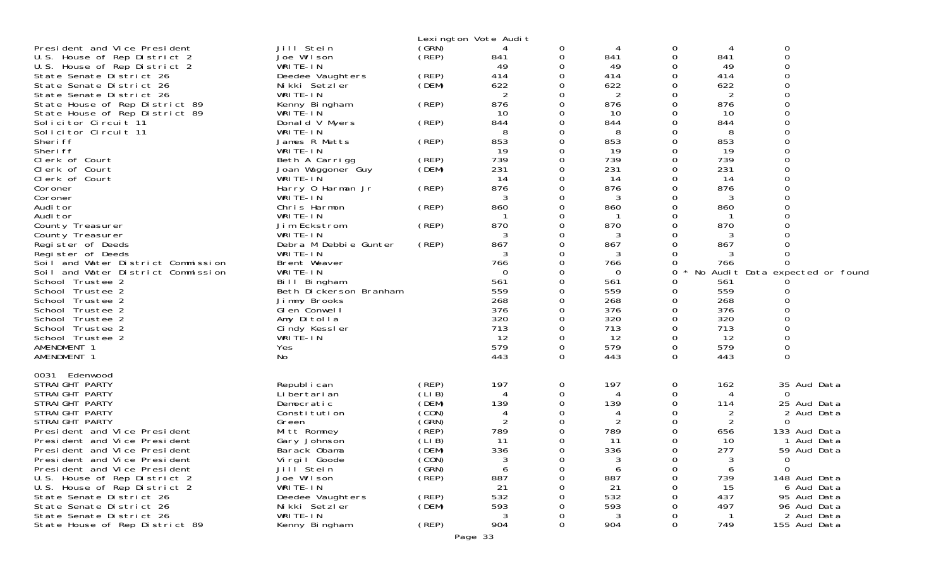|                                                |                               |                | Lexington Vote Audit |          |            |          |           |                                 |
|------------------------------------------------|-------------------------------|----------------|----------------------|----------|------------|----------|-----------|---------------------------------|
| President and Vice President                   | Jill Stein                    | (GRN)          | 4                    | 0        | 4          | 0        | 4         | 0                               |
| U.S. House of Rep District 2                   | Joe Wilson                    | (REP)          | 841                  | 0        | 841        | $\Omega$ | 841       | $\Omega$                        |
| U.S. House of Rep District 2                   | WRITE-IN                      |                | 49                   | 0        | 49         | O        | 49        | $\Omega$                        |
| State Senate District 26                       | Deedee Vaughters              | (REP)          | 414                  | 0        | 414        | 0        | 414       |                                 |
| State Senate District 26                       | Nikki Setzler                 | (DEM)          | 622                  | 0        | 622        | $\Omega$ | 622       |                                 |
| State Senate District 26                       | WRITE-IN                      |                | $\overline{2}$       | 0        | 2          | ∩        | 2         |                                 |
| State House of Rep District 89                 | Kenny Bingham                 | (REP)          | 876                  | 0        | 876        | O        | 876       |                                 |
| State House of Rep District 89                 | WRITE-IN                      |                | 10                   | 0        | 10         | 0        | 10        |                                 |
| Solicitor Circuit 11                           | Donald V Myers                | (REP)          | 844                  | $\Omega$ | 844        | $\Omega$ | 844       |                                 |
| Solicitor Circuit 11                           | WRITE-IN                      |                | 8                    | 0        | 8          | O        | 8         |                                 |
| Sheri ff                                       | James R Metts                 | (REP)          | 853                  | 0        | 853        | $\Omega$ | 853       |                                 |
| Sheri ff                                       | WRITE-IN                      |                | 19                   | 0        | 19         | ∩        | 19        |                                 |
| Clerk of Court                                 | Beth A Carrigg                | (REP)          | 739<br>231           | 0        | 739<br>231 | 0<br>0   | 739       |                                 |
| Clerk of Court<br>Clerk of Court               | Joan Waggoner Guy<br>WRITE-IN | (DEM)          | 14                   | 0<br>0   | 14         | ∩        | 231<br>14 |                                 |
| Coroner                                        | Harry 0 Harman Jr             | (REP)          | 876                  | 0        | 876        | O        | 876       |                                 |
| Coroner                                        | WRITE-IN                      |                | 3                    | 0        | 3          | ∩        | 3         |                                 |
| Audi tor                                       | Chris Harmon                  | (REP)          | 860                  | 0        | 860        | ∩        | 860       |                                 |
| Audi tor                                       | WRITE-IN                      |                |                      | 0        |            | O        |           |                                 |
| County Treasurer                               | Jim Eckstrom                  | (REP)          | 870                  | 0        | 870        | 0        | 870       |                                 |
| County Treasurer                               | WRITE-IN                      |                | 3                    | 0        | 3          | ∩        | 3         |                                 |
| Register of Deeds                              | Debra M Debbie Gunter         | (REP)          | 867                  | 0        | 867        | O        | 867       |                                 |
| Register of Deeds                              | WRITE-IN                      |                | 3                    |          | 3          | 0        |           |                                 |
| Soil and Water District Commission             | Brent Weaver                  |                | 766                  | 0        | 766        | 0        | 766       |                                 |
| Soil and Water District Commission             | WRITE-IN                      |                | $\Omega$             | 0        | 0          | 0        |           | No Audit Data expected or found |
| School Trustee 2                               | Bill Bingham                  |                | 561                  |          | 561        | 0        | 561       |                                 |
| School Trustee 2                               | Beth Dickerson Branham        |                | 559                  | 0        | 559        | 0        | 559       |                                 |
| School Trustee 2                               | Jimmy Brooks                  |                | 268                  | 0        | 268        | 0        | 268       |                                 |
| School Trustee 2                               | GI en Conwell                 |                | 376                  | 0        | 376        | 0        | 376       |                                 |
| School Trustee 2                               | Amy Ditolla                   |                | 320                  | 0        | 320        | 0        | 320       |                                 |
| School Trustee 2                               | Cindy Kessler                 |                | 713                  | 0        | 713        | 0        | 713       |                                 |
| School Trustee 2                               | WRITE-IN                      |                | 12<br>579            | 0<br>0   | 12<br>579  | 0<br>0   | 12<br>579 |                                 |
| AMENDMENT 1<br>AMENDMENT 1                     | Yes<br>No                     |                | 443                  | $\Omega$ | 443        | $\Omega$ | 443       | $\Omega$                        |
|                                                |                               |                |                      |          |            |          |           |                                 |
| 0031 Edenwood                                  |                               |                |                      |          |            |          |           |                                 |
| STRAIGHT PARTY                                 | Republ i can                  | (REP)          | 197                  | 0        | 197        | 0        | 162       | 35 Aud Data                     |
| STRAIGHT PARTY                                 | Li bertari an                 | (LIB)          | 4                    | 0        | 4          | O        | 4         | 0                               |
| STRAIGHT PARTY                                 | Democratic                    | (DEM)          | 139                  | 0        | 139        | 0        | 114       | 25 Aud Data                     |
| STRAIGHT PARTY                                 | Constitution                  | (CON)<br>(SRN) | 4<br>2               | 0        | 4          | O<br>∩   | 2         | 2 Aud Data                      |
| STRAIGHT PARTY<br>President and Vice President | Green<br>Mitt Romney          | (REP)          | 789                  | 0<br>0   | 789        | 0        | 2<br>656  | 0<br>133 Aud Data               |
| President and Vice President                   | Gary Johnson                  | (LIB)          | 11                   | 0        | 11         | 0        | 10        | 1 Aud Data                      |
| President and Vice President                   | Barack Obama                  | (DEM)          | 336                  | 0        | 336        | $\Omega$ | 277       | 59 Aud Data                     |
| President and Vice President                   | Virgil Goode                  | (CON)          | 3                    | 0        | 3          | 0        | 3         | $\mathbf{O}$                    |
| President and Vice President                   | Jilľ Stein                    | (GRN)          | 6                    | 0        | 6          | 0        | 6         | $\Omega$                        |
| U.S. House of Rep District 2                   | Joe Wilson                    | (REP)          | 887                  | 0        | 887        | ∩        | 739       | 148 Aud Data                    |
| U.S. House of Rep District 2                   | WRITE-IN                      |                | 21                   |          | 21         |          | 15        | 6 Aud Data                      |
| State Senate District 26                       | Deedee Vaughters              | (REP)          | 532                  |          | 532        |          | 437       | 95 Aud Data                     |
| State Senate District 26                       | Nikki Setzler                 | (DEM)          | 593                  |          | 593        |          | 497       | 96 Aud Data                     |
| State Senate District 26                       | WRITE-IN                      |                | 3                    |          | 3          |          |           | 2 Aud Data                      |
| State House of Rep District 89                 | Kenny Bingham                 | (REP)          | 904                  | 0        | 904        | 0        | 749       | 155 Aud Data                    |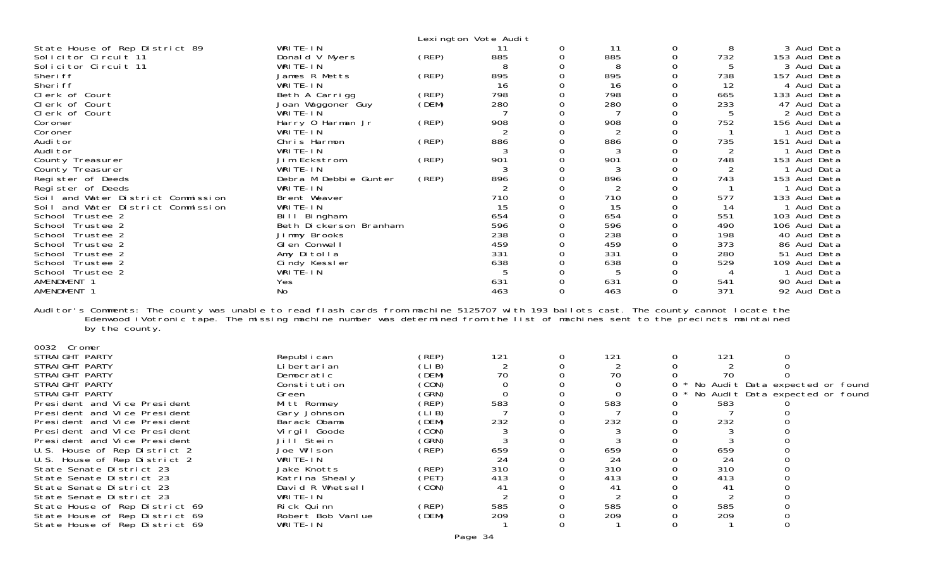| State House of Rep District 89<br>Solicitor Circuit 11<br>Solicitor Circuit 11<br>Sheri ff<br>Sheri ff<br>Clerk of Court<br>Clerk of Court<br>Clerk of Court<br>Coroner<br>Coroner<br>Audi tor<br>Audi tor<br>County Treasurer<br>County Treasurer<br>Register of Deeds<br>Register of Deeds<br>Soil and Water District Commission                                                                                                                                                                                                                          | WRITE-IN<br>Donald V Myers<br>WRITE-IN<br>James R Metts<br>WRITE-IN<br>Beth A Carrigg<br>Joan Waggoner Guy<br>WRITE-IN<br>Harry 0 Harman Jr<br>WRITE-IN<br>Chris Harmon<br>WRITE-IN<br>Jim Eckstrom<br>WRITE-IN<br>Debra M Debbie Gunter<br>WRITE-IN<br>Brent Weaver                        | (REP)<br>(REP)<br>(REP)<br>(DEM)<br>(REP)<br>(REP)<br>(REP)<br>(REP)                                                                         | Lexington Vote Audit<br>11<br>885<br>8<br>895<br>16<br>798<br>280<br>908<br>2<br>886<br>3<br>901<br>3<br>896<br>710 | 0<br>0<br>$\Omega$<br>0<br>0<br>0<br>0<br>0<br>0<br>0<br>$\Omega$<br>0<br>0<br>0<br>0<br>0<br>$\Omega$ | 11<br>885<br>8<br>895<br>16<br>798<br>280<br>908<br>2<br>886<br>3<br>901<br>3<br>896<br>$\overline{2}$<br>710   | 0<br>0<br>0<br>$\mathbf 0$<br>0<br>0<br>$\mathbf 0$<br>0<br>0<br>$\mathbf 0$<br>0<br>0<br>$\mathbf 0$<br>0<br>0<br>$\mathbf 0$<br>$\Omega$ | 8<br>732<br>5<br>738<br>12<br>665<br>233<br>5<br>752<br>735<br>2<br>748<br>2<br>743<br>577 | 3 Aud Data<br>153 Aud Data<br>3 Aud Data<br>157 Aud Data<br>4 Aud Data<br>133 Aud Data<br>47 Aud Data<br>2 Aud Data<br>156 Aud Data<br>1 Aud Data<br>151 Aud Data<br>1 Aud Data<br>153 Aud Data<br>1 Aud Data<br>153 Aud Data<br>1 Aud Data<br>133 Aud Data |
|-------------------------------------------------------------------------------------------------------------------------------------------------------------------------------------------------------------------------------------------------------------------------------------------------------------------------------------------------------------------------------------------------------------------------------------------------------------------------------------------------------------------------------------------------------------|---------------------------------------------------------------------------------------------------------------------------------------------------------------------------------------------------------------------------------------------------------------------------------------------|----------------------------------------------------------------------------------------------------------------------------------------------|---------------------------------------------------------------------------------------------------------------------|--------------------------------------------------------------------------------------------------------|-----------------------------------------------------------------------------------------------------------------|--------------------------------------------------------------------------------------------------------------------------------------------|--------------------------------------------------------------------------------------------|-------------------------------------------------------------------------------------------------------------------------------------------------------------------------------------------------------------------------------------------------------------|
| Soil and Water District Commission<br>School Trustee 2<br>School Trustee 2<br>School Trustee 2<br>School Trustee 2<br>School Trustee 2<br>School Trustee 2<br>School Trustee 2<br>AMENDMENT 1<br>AMENDMENT 1                                                                                                                                                                                                                                                                                                                                                | WRITE-IN<br>Bill Bingham<br>Beth Dickerson Branham<br>Jimmy Brooks<br>Glen Conwell<br>Amy Ditolla<br>Cindy Kessler<br>WRITE-IN<br>Yes<br>No                                                                                                                                                 |                                                                                                                                              | 15<br>654<br>596<br>238<br>459<br>331<br>638<br>5<br>631<br>463                                                     | 0<br>0<br>0<br>0<br>0<br>$\Omega$<br>0<br>0<br>0<br>0                                                  | 15<br>654<br>596<br>238<br>459<br>331<br>638<br>5<br>631<br>463                                                 | 0<br>$\mathbf 0$<br>0<br>0<br>0<br>0<br>0<br>0<br>0<br>$\Omega$                                                                            | 14<br>551<br>490<br>198<br>373<br>280<br>529<br>4<br>541<br>371                            | 1 Aud Data<br>103 Aud Data<br>106 Aud Data<br>40 Aud Data<br>86 Aud Data<br>51 Aud Data<br>109 Aud Data<br>1 Aud Data<br>90 Aud Data<br>92 Aud Data                                                                                                         |
| Auditor's Comments: The county was unable to read flash cards from machine 5125707 with 193 ballots cast. The county cannot locate the<br>Edenwood iVotronic tape. The missing machine number was determined from the list of machines sent to the precincts maintained<br>by the county.                                                                                                                                                                                                                                                                   |                                                                                                                                                                                                                                                                                             |                                                                                                                                              |                                                                                                                     |                                                                                                        |                                                                                                                 |                                                                                                                                            |                                                                                            |                                                                                                                                                                                                                                                             |
| 0032 Cromer<br>STRAIGHT PARTY<br>STRAIGHT PARTY<br>STRAIGHT PARTY<br>STRAIGHT PARTY<br>STRAIGHT PARTY<br>President and Vice President<br>President and Vice President<br>President and Vice President<br>President and Vice President<br>President and Vice President<br>U.S. House of Rep District 2<br>U.S. House of Rep District 2<br>State Senate District 23<br>State Senate District 23<br>State Senate District 23<br>State Senate District 23<br>State House of Rep District 69<br>State House of Rep District 69<br>State House of Rep District 69 | Republ i can<br>Li bertari an<br>Democratic<br>Constitution<br>Green<br>Mitt Romney<br>Gary Johnson<br>Barack Obama<br>Virgil Goode<br>Jill Stein<br>Joe Wilson<br>WRITE-IN<br>Jake Knotts<br>Katrina Shealy<br>David R Whetsell<br>WRITE-IN<br>Rick Quinn<br>Robert Bob Vanlue<br>WRITE-IN | (REP)<br>(LIB)<br>(DEM)<br>(CON)<br>(GRN)<br>(REP)<br>(LIB)<br>(DEM)<br>(CON)<br>(GRN)<br>(REP)<br>(REP)<br>(PET)<br>(CON)<br>(REP)<br>(DEM) | 121<br>2<br>70<br>$\Omega$<br>0<br>583<br>232<br>3<br>3<br>659<br>24<br>310<br>413<br>41<br>2<br>585<br>209         | 0<br>$\Omega$<br>0<br>0<br>$\Omega$<br>0<br>0<br>0<br>0<br>0<br>0<br>0<br>0<br>Ω<br>O<br>O<br>0        | 121<br>70<br>0<br>0<br>583<br>232<br>3<br>3<br>659<br>24<br>310<br>413<br>41<br>2<br>585<br>209<br>$\mathbf{1}$ | 0<br>0<br>0<br>0<br>0<br>0<br>0<br>$\Omega$<br>0<br>0<br>$\Omega$<br>0<br>Ω<br>Ω<br>0<br>$\Omega$                                          | 121<br>70<br>583<br>7<br>232<br>3<br>3<br>659<br>24<br>310<br>413<br>41<br>2<br>585<br>209 | 0<br>$\Omega$<br>No Audit Data expected or found<br>No Audit Data expected or found<br>$\Omega$<br>0<br>0<br>$\Omega$<br>0<br>0<br>$\Omega$                                                                                                                 |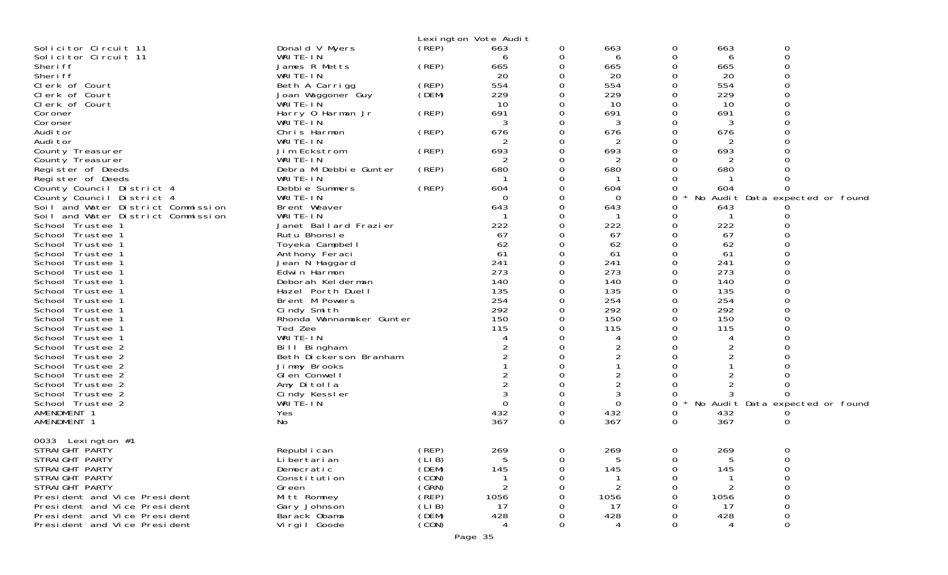| Lexington Vote Audit<br>(REP)<br>Solicitor Circuit 11<br>Donald V Myers<br>663<br>663<br>0<br>0<br>663<br>0<br>0<br>WRITE-IN<br>0<br>Solicitor Circuit 11<br>0<br>6<br>6<br>6<br>0<br>Sheri ff<br>James R Metts<br>(REP)<br>0<br>665<br>0<br>665<br>665<br>20<br>Sheri ff<br>WRITE-IN<br>20<br>20<br>0<br>0<br>0<br>554<br>554<br>554<br>Clerk of Court<br>(REP)<br>0<br>0<br>Beth A Carrigg<br>229<br>229<br>Clerk of Court<br>Joan Waggoner Guy<br>(DEM)<br>229<br>O<br>0<br>0<br>10<br>10<br>0<br>WRITE-IN<br>10<br>Clerk of Court<br>0<br>0<br>(REP)<br>691<br>691<br>691<br>0<br>Harry 0 Harman Jr<br>0<br>0<br>Coroner<br>WRITE-IN<br>0<br>3<br>3<br>3<br>Coroner<br>0<br>0<br>676<br>676<br>Audi tor<br>(REP)<br>676<br>0<br>Chris Harmon<br>0<br>0<br>Audi tor<br>WRITE-IN<br>2<br>0<br>2<br>693<br>693<br>693<br>Jim Eckstrom<br>(REP)<br>0<br>O<br>County Treasurer<br>0<br>WRITE-IN<br>0<br>County Treasurer<br>2<br>0<br>2<br>0<br>2<br>680<br>680<br>680<br>Register of Deeds<br>(REP)<br>0<br>0<br>Debra M Debbie Gunter<br>WRITE-IN<br>Register of Deeds<br>0<br>0<br>(REP)<br>Debbie Summers<br>604<br>0<br>604<br>County Council District 4<br>0<br>604<br>0<br>WRITE-IN<br>No Audit Data expected or found<br>County Council District 4<br>0<br>0<br>$\Omega$<br>Soil and Water District Commission<br>Brent Weaver<br>643<br>643<br>0<br>0<br>643<br>Soil and Water District Commission<br>WRITE-IN<br>0<br>0<br>0<br>222<br>School Trustee 1<br>Janet Ballard Frazier<br>222<br>222<br>O<br>0<br>Rutu Bhonsle<br>67<br>67<br>67<br>O<br>School Trustee 1<br>0<br>62<br>62<br>Toyeka Campbell<br>62<br>0<br>0<br>School Trustee 1<br>0<br>School Trustee 1<br>Anthony Feraci<br>61<br>61<br>0<br>61<br>$\Omega$<br>241<br>241<br>$\Omega$<br>241<br>School Trustee 1<br>Jean N Haggard<br>0 |
|----------------------------------------------------------------------------------------------------------------------------------------------------------------------------------------------------------------------------------------------------------------------------------------------------------------------------------------------------------------------------------------------------------------------------------------------------------------------------------------------------------------------------------------------------------------------------------------------------------------------------------------------------------------------------------------------------------------------------------------------------------------------------------------------------------------------------------------------------------------------------------------------------------------------------------------------------------------------------------------------------------------------------------------------------------------------------------------------------------------------------------------------------------------------------------------------------------------------------------------------------------------------------------------------------------------------------------------------------------------------------------------------------------------------------------------------------------------------------------------------------------------------------------------------------------------------------------------------------------------------------------------------------------------------------------------------------------------------------------------------------------------------------------------------------------------|
|                                                                                                                                                                                                                                                                                                                                                                                                                                                                                                                                                                                                                                                                                                                                                                                                                                                                                                                                                                                                                                                                                                                                                                                                                                                                                                                                                                                                                                                                                                                                                                                                                                                                                                                                                                                                                |
|                                                                                                                                                                                                                                                                                                                                                                                                                                                                                                                                                                                                                                                                                                                                                                                                                                                                                                                                                                                                                                                                                                                                                                                                                                                                                                                                                                                                                                                                                                                                                                                                                                                                                                                                                                                                                |
|                                                                                                                                                                                                                                                                                                                                                                                                                                                                                                                                                                                                                                                                                                                                                                                                                                                                                                                                                                                                                                                                                                                                                                                                                                                                                                                                                                                                                                                                                                                                                                                                                                                                                                                                                                                                                |
|                                                                                                                                                                                                                                                                                                                                                                                                                                                                                                                                                                                                                                                                                                                                                                                                                                                                                                                                                                                                                                                                                                                                                                                                                                                                                                                                                                                                                                                                                                                                                                                                                                                                                                                                                                                                                |
|                                                                                                                                                                                                                                                                                                                                                                                                                                                                                                                                                                                                                                                                                                                                                                                                                                                                                                                                                                                                                                                                                                                                                                                                                                                                                                                                                                                                                                                                                                                                                                                                                                                                                                                                                                                                                |
|                                                                                                                                                                                                                                                                                                                                                                                                                                                                                                                                                                                                                                                                                                                                                                                                                                                                                                                                                                                                                                                                                                                                                                                                                                                                                                                                                                                                                                                                                                                                                                                                                                                                                                                                                                                                                |
|                                                                                                                                                                                                                                                                                                                                                                                                                                                                                                                                                                                                                                                                                                                                                                                                                                                                                                                                                                                                                                                                                                                                                                                                                                                                                                                                                                                                                                                                                                                                                                                                                                                                                                                                                                                                                |
|                                                                                                                                                                                                                                                                                                                                                                                                                                                                                                                                                                                                                                                                                                                                                                                                                                                                                                                                                                                                                                                                                                                                                                                                                                                                                                                                                                                                                                                                                                                                                                                                                                                                                                                                                                                                                |
|                                                                                                                                                                                                                                                                                                                                                                                                                                                                                                                                                                                                                                                                                                                                                                                                                                                                                                                                                                                                                                                                                                                                                                                                                                                                                                                                                                                                                                                                                                                                                                                                                                                                                                                                                                                                                |
|                                                                                                                                                                                                                                                                                                                                                                                                                                                                                                                                                                                                                                                                                                                                                                                                                                                                                                                                                                                                                                                                                                                                                                                                                                                                                                                                                                                                                                                                                                                                                                                                                                                                                                                                                                                                                |
|                                                                                                                                                                                                                                                                                                                                                                                                                                                                                                                                                                                                                                                                                                                                                                                                                                                                                                                                                                                                                                                                                                                                                                                                                                                                                                                                                                                                                                                                                                                                                                                                                                                                                                                                                                                                                |
|                                                                                                                                                                                                                                                                                                                                                                                                                                                                                                                                                                                                                                                                                                                                                                                                                                                                                                                                                                                                                                                                                                                                                                                                                                                                                                                                                                                                                                                                                                                                                                                                                                                                                                                                                                                                                |
|                                                                                                                                                                                                                                                                                                                                                                                                                                                                                                                                                                                                                                                                                                                                                                                                                                                                                                                                                                                                                                                                                                                                                                                                                                                                                                                                                                                                                                                                                                                                                                                                                                                                                                                                                                                                                |
|                                                                                                                                                                                                                                                                                                                                                                                                                                                                                                                                                                                                                                                                                                                                                                                                                                                                                                                                                                                                                                                                                                                                                                                                                                                                                                                                                                                                                                                                                                                                                                                                                                                                                                                                                                                                                |
|                                                                                                                                                                                                                                                                                                                                                                                                                                                                                                                                                                                                                                                                                                                                                                                                                                                                                                                                                                                                                                                                                                                                                                                                                                                                                                                                                                                                                                                                                                                                                                                                                                                                                                                                                                                                                |
|                                                                                                                                                                                                                                                                                                                                                                                                                                                                                                                                                                                                                                                                                                                                                                                                                                                                                                                                                                                                                                                                                                                                                                                                                                                                                                                                                                                                                                                                                                                                                                                                                                                                                                                                                                                                                |
|                                                                                                                                                                                                                                                                                                                                                                                                                                                                                                                                                                                                                                                                                                                                                                                                                                                                                                                                                                                                                                                                                                                                                                                                                                                                                                                                                                                                                                                                                                                                                                                                                                                                                                                                                                                                                |
|                                                                                                                                                                                                                                                                                                                                                                                                                                                                                                                                                                                                                                                                                                                                                                                                                                                                                                                                                                                                                                                                                                                                                                                                                                                                                                                                                                                                                                                                                                                                                                                                                                                                                                                                                                                                                |
|                                                                                                                                                                                                                                                                                                                                                                                                                                                                                                                                                                                                                                                                                                                                                                                                                                                                                                                                                                                                                                                                                                                                                                                                                                                                                                                                                                                                                                                                                                                                                                                                                                                                                                                                                                                                                |
|                                                                                                                                                                                                                                                                                                                                                                                                                                                                                                                                                                                                                                                                                                                                                                                                                                                                                                                                                                                                                                                                                                                                                                                                                                                                                                                                                                                                                                                                                                                                                                                                                                                                                                                                                                                                                |
|                                                                                                                                                                                                                                                                                                                                                                                                                                                                                                                                                                                                                                                                                                                                                                                                                                                                                                                                                                                                                                                                                                                                                                                                                                                                                                                                                                                                                                                                                                                                                                                                                                                                                                                                                                                                                |
|                                                                                                                                                                                                                                                                                                                                                                                                                                                                                                                                                                                                                                                                                                                                                                                                                                                                                                                                                                                                                                                                                                                                                                                                                                                                                                                                                                                                                                                                                                                                                                                                                                                                                                                                                                                                                |
| 273<br>273<br>273<br>0<br>0<br>School Trustee 1<br>Edwin Harmon                                                                                                                                                                                                                                                                                                                                                                                                                                                                                                                                                                                                                                                                                                                                                                                                                                                                                                                                                                                                                                                                                                                                                                                                                                                                                                                                                                                                                                                                                                                                                                                                                                                                                                                                                |
| 140<br>140<br>140<br>0<br>School Trustee 1<br>Deborah Kelderman<br>0                                                                                                                                                                                                                                                                                                                                                                                                                                                                                                                                                                                                                                                                                                                                                                                                                                                                                                                                                                                                                                                                                                                                                                                                                                                                                                                                                                                                                                                                                                                                                                                                                                                                                                                                           |
| $\Omega$<br>135<br>135<br>135<br>School Trustee 1<br>Hazel Porth Duell<br>0                                                                                                                                                                                                                                                                                                                                                                                                                                                                                                                                                                                                                                                                                                                                                                                                                                                                                                                                                                                                                                                                                                                                                                                                                                                                                                                                                                                                                                                                                                                                                                                                                                                                                                                                    |
| 254<br>254<br>254<br>0<br>Brent M Powers<br>0<br>School Trustee 1<br>0                                                                                                                                                                                                                                                                                                                                                                                                                                                                                                                                                                                                                                                                                                                                                                                                                                                                                                                                                                                                                                                                                                                                                                                                                                                                                                                                                                                                                                                                                                                                                                                                                                                                                                                                         |
| 292<br>292<br>292<br>School Trustee 1<br>Cindy Smith<br>0<br>150<br>150<br>0<br>150<br>0                                                                                                                                                                                                                                                                                                                                                                                                                                                                                                                                                                                                                                                                                                                                                                                                                                                                                                                                                                                                                                                                                                                                                                                                                                                                                                                                                                                                                                                                                                                                                                                                                                                                                                                       |
| School Trustee 1<br>Rhonda Wannamaker Gunter<br>115<br>115<br>115<br>Ted Zee<br>0<br>0<br>School Trustee 1                                                                                                                                                                                                                                                                                                                                                                                                                                                                                                                                                                                                                                                                                                                                                                                                                                                                                                                                                                                                                                                                                                                                                                                                                                                                                                                                                                                                                                                                                                                                                                                                                                                                                                     |
| WRITE-IN<br>School Trustee 1<br>0<br>$\overline{4}$<br>0<br>4                                                                                                                                                                                                                                                                                                                                                                                                                                                                                                                                                                                                                                                                                                                                                                                                                                                                                                                                                                                                                                                                                                                                                                                                                                                                                                                                                                                                                                                                                                                                                                                                                                                                                                                                                  |
| $\overline{2}$<br>$\overline{2}$<br>2<br>0<br>0<br>O<br>School Trustee 2<br>Bill Bingham                                                                                                                                                                                                                                                                                                                                                                                                                                                                                                                                                                                                                                                                                                                                                                                                                                                                                                                                                                                                                                                                                                                                                                                                                                                                                                                                                                                                                                                                                                                                                                                                                                                                                                                       |
| $\overline{c}$<br>2<br>0<br>0<br>School Trustee 2<br>Beth Dickerson Branham                                                                                                                                                                                                                                                                                                                                                                                                                                                                                                                                                                                                                                                                                                                                                                                                                                                                                                                                                                                                                                                                                                                                                                                                                                                                                                                                                                                                                                                                                                                                                                                                                                                                                                                                    |
| School Trustee 2<br>Jimmy Brooks<br>ი                                                                                                                                                                                                                                                                                                                                                                                                                                                                                                                                                                                                                                                                                                                                                                                                                                                                                                                                                                                                                                                                                                                                                                                                                                                                                                                                                                                                                                                                                                                                                                                                                                                                                                                                                                          |
| 2<br>2<br>School Trustee 2<br>GI en Conwell<br>∩<br>0                                                                                                                                                                                                                                                                                                                                                                                                                                                                                                                                                                                                                                                                                                                                                                                                                                                                                                                                                                                                                                                                                                                                                                                                                                                                                                                                                                                                                                                                                                                                                                                                                                                                                                                                                          |
| $\overline{c}$<br>2<br>2<br>Amy Ditolla<br>O<br>School Trustee 2<br>ი                                                                                                                                                                                                                                                                                                                                                                                                                                                                                                                                                                                                                                                                                                                                                                                                                                                                                                                                                                                                                                                                                                                                                                                                                                                                                                                                                                                                                                                                                                                                                                                                                                                                                                                                          |
| 3<br>School Trustee 2<br>Cindy Kessler<br>3<br>0<br>O                                                                                                                                                                                                                                                                                                                                                                                                                                                                                                                                                                                                                                                                                                                                                                                                                                                                                                                                                                                                                                                                                                                                                                                                                                                                                                                                                                                                                                                                                                                                                                                                                                                                                                                                                          |
| WRITE-IN<br>$\Omega$<br>$\Omega$<br>No Audit Data expected or found<br>School Trustee 2<br>0<br>0                                                                                                                                                                                                                                                                                                                                                                                                                                                                                                                                                                                                                                                                                                                                                                                                                                                                                                                                                                                                                                                                                                                                                                                                                                                                                                                                                                                                                                                                                                                                                                                                                                                                                                              |
| AMENDMENT 1<br>432<br>0<br>432<br>Yes<br>0<br>432<br>O<br>AMENDMENT 1<br>367<br>367<br>No<br>$\Omega$<br>367<br>0                                                                                                                                                                                                                                                                                                                                                                                                                                                                                                                                                                                                                                                                                                                                                                                                                                                                                                                                                                                                                                                                                                                                                                                                                                                                                                                                                                                                                                                                                                                                                                                                                                                                                              |
| 0                                                                                                                                                                                                                                                                                                                                                                                                                                                                                                                                                                                                                                                                                                                                                                                                                                                                                                                                                                                                                                                                                                                                                                                                                                                                                                                                                                                                                                                                                                                                                                                                                                                                                                                                                                                                              |
| 0033 Lexington #1                                                                                                                                                                                                                                                                                                                                                                                                                                                                                                                                                                                                                                                                                                                                                                                                                                                                                                                                                                                                                                                                                                                                                                                                                                                                                                                                                                                                                                                                                                                                                                                                                                                                                                                                                                                              |
| (REP)<br>269<br>269<br>STRAIGHT PARTY<br>269<br>Republ i can<br>$\mathbf{0}$<br>0<br>$\Omega$                                                                                                                                                                                                                                                                                                                                                                                                                                                                                                                                                                                                                                                                                                                                                                                                                                                                                                                                                                                                                                                                                                                                                                                                                                                                                                                                                                                                                                                                                                                                                                                                                                                                                                                  |
| (LIB)<br>STRAIGHT PARTY<br>Li bertari an<br>5<br>5<br>0<br>5<br>0                                                                                                                                                                                                                                                                                                                                                                                                                                                                                                                                                                                                                                                                                                                                                                                                                                                                                                                                                                                                                                                                                                                                                                                                                                                                                                                                                                                                                                                                                                                                                                                                                                                                                                                                              |
| STRAIGHT PARTY<br>Democratic<br>(DEM)<br>145<br>145<br>145<br>0<br>0                                                                                                                                                                                                                                                                                                                                                                                                                                                                                                                                                                                                                                                                                                                                                                                                                                                                                                                                                                                                                                                                                                                                                                                                                                                                                                                                                                                                                                                                                                                                                                                                                                                                                                                                           |
| (CON)<br>STRAIGHT PARTY<br>Constitution<br>0<br>2<br>O                                                                                                                                                                                                                                                                                                                                                                                                                                                                                                                                                                                                                                                                                                                                                                                                                                                                                                                                                                                                                                                                                                                                                                                                                                                                                                                                                                                                                                                                                                                                                                                                                                                                                                                                                         |
| (GRN)<br>STRAIGHT PARTY<br>2<br>Green<br>(REP)<br>Mitt Romney<br>1056<br>1056<br>1056<br>0<br>President and Vice President                                                                                                                                                                                                                                                                                                                                                                                                                                                                                                                                                                                                                                                                                                                                                                                                                                                                                                                                                                                                                                                                                                                                                                                                                                                                                                                                                                                                                                                                                                                                                                                                                                                                                     |
| (LIB)<br>President and Vice President<br>Gary Johnson<br>17<br>17<br>17<br>0                                                                                                                                                                                                                                                                                                                                                                                                                                                                                                                                                                                                                                                                                                                                                                                                                                                                                                                                                                                                                                                                                                                                                                                                                                                                                                                                                                                                                                                                                                                                                                                                                                                                                                                                   |
| (DEM)<br>428<br>428<br>428<br>President and Vice President<br>Barack Obama<br>0<br>O                                                                                                                                                                                                                                                                                                                                                                                                                                                                                                                                                                                                                                                                                                                                                                                                                                                                                                                                                                                                                                                                                                                                                                                                                                                                                                                                                                                                                                                                                                                                                                                                                                                                                                                           |
| (CON)<br>$\Omega$<br>President and Vice President<br>Virgil Goode<br>$\Omega$<br>Δ<br>4                                                                                                                                                                                                                                                                                                                                                                                                                                                                                                                                                                                                                                                                                                                                                                                                                                                                                                                                                                                                                                                                                                                                                                                                                                                                                                                                                                                                                                                                                                                                                                                                                                                                                                                        |
| Page 35                                                                                                                                                                                                                                                                                                                                                                                                                                                                                                                                                                                                                                                                                                                                                                                                                                                                                                                                                                                                                                                                                                                                                                                                                                                                                                                                                                                                                                                                                                                                                                                                                                                                                                                                                                                                        |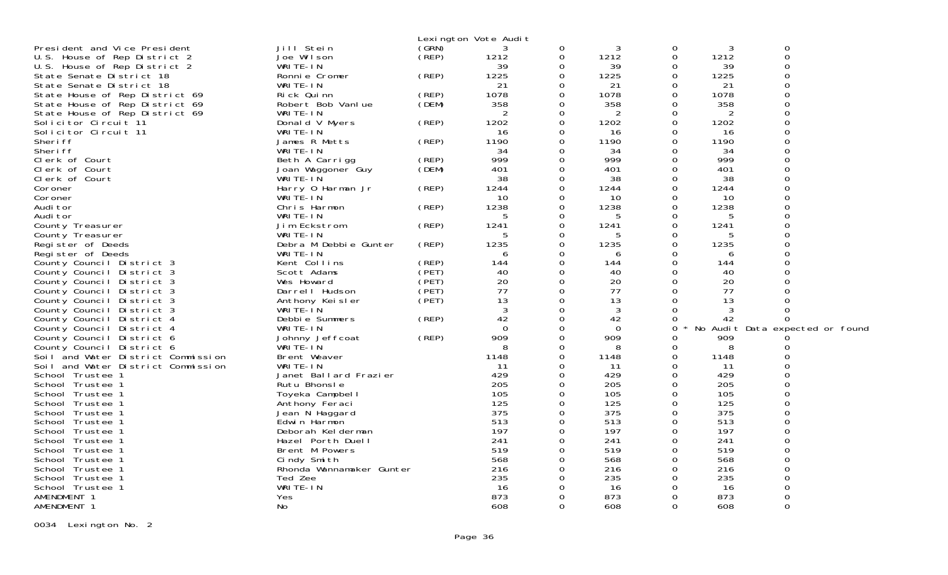|                                                        |                          |       | Lexington Vote Audit |             |           |          |            |                                 |  |
|--------------------------------------------------------|--------------------------|-------|----------------------|-------------|-----------|----------|------------|---------------------------------|--|
| President and Vice President                           | Jill Stein               | (GRN) | 3                    | 0           | 3         | 0        | 3          | 0                               |  |
| U.S. House of Rep District 2                           | Joe Wilson               | (REP) | 1212                 | 0           | 1212      | 0        | 1212       | $\Omega$                        |  |
| U.S. House of Rep District 2                           | WRITE-IN                 |       | 39                   | 0           | 39        | 0        | 39         | $\Omega$                        |  |
| State Senate District 18                               | Ronnie Cromer            | (REP) | 1225                 | $\Omega$    | 1225      | $\Omega$ | 1225       | $\Omega$                        |  |
| State Senate District 18                               | WRITE-IN                 |       | 21                   | $\mathbf 0$ | 21        | $\Omega$ | 21         | $\Omega$                        |  |
| State House of Rep District 69                         | Rick Quinn               | (REP) | 1078                 | $\Omega$    | 1078      | $\Omega$ | 1078       | $\Omega$                        |  |
| State House of Rep District 69                         | Robert Bob Vanlue        | (DEM) | 358                  | $\Omega$    | 358       | $\Omega$ | 358        | $\Omega$                        |  |
| State House of Rep District 69                         | WRITE-IN                 |       | 2                    | 0           | 2         | $\Omega$ | 2          | $\Omega$                        |  |
| Solicitor Circuit 11                                   | Donald V Myers           | (REP) | 1202                 | 0           | 1202      | $\Omega$ | 1202       |                                 |  |
| Solicitor Circuit 11                                   | WRITE-IN                 |       | 16                   | $\Omega$    | 16        | $\Omega$ | 16         | $\Omega$                        |  |
| Sheri ff                                               | James R Metts            | (REP) | 1190                 | 0           | 1190      | 0        | 1190       |                                 |  |
| Sheri ff                                               | WRITE-IN                 |       | 34                   | 0           | 34        | 0        | 34         | ∩                               |  |
| Clerk of Court                                         | Beth A Carrigg           | (REP) | 999                  | 0           | 999       | $\Omega$ | 999        |                                 |  |
| Clerk of Court                                         | Joan Waggoner Guy        | (DEM) | 401                  | 0           | 401       | 0        | 401        | ∩                               |  |
| Clerk of Court                                         | WRITE-IN                 |       | 38                   | $\Omega$    | 38        | $\Omega$ | 38         |                                 |  |
| Coroner                                                | Harry 0 Harman Jr        | (REP) | 1244                 | $\mathbf 0$ | 1244      | $\Omega$ | 1244       | ∩                               |  |
| Coroner                                                | WRITE-IN                 |       | 10                   | $\Omega$    | 10        | $\Omega$ | 10         | $\Omega$                        |  |
| Audi tor                                               | Chris Harmon             | (REP) | 1238                 | 0           | 1238      | 0        | 1238       | $\Omega$                        |  |
| Audi tor                                               | WRITE-IN                 |       | 5                    | 0           | 5         | $\Omega$ | 5          | $\Omega$                        |  |
| County Treasurer                                       | Jim Eckstrom             | (REP) | 1241                 | 0           | 1241      | $\Omega$ | 1241       |                                 |  |
| County Treasurer                                       | WRITE-IN                 |       | 5                    | $\Omega$    | 5         | $\Omega$ |            |                                 |  |
| Register of Deeds                                      | Debra M Debbie Gunter    | (REP) | 1235                 | $\Omega$    | 1235      | $\Omega$ | 1235       |                                 |  |
| Register of Deeds                                      | WRITE-IN                 |       | 6                    | $\Omega$    | 6         | $\Omega$ | 6          | $\Omega$                        |  |
| County Council District 3                              | Kent Collins             | (REP) | 144                  | $\Omega$    | 144       | $\Omega$ | 144        |                                 |  |
| County Council District 3                              | Scott Adams              | (PET) | 40                   | $\Omega$    | 40        | $\Omega$ | 40         |                                 |  |
| County Council District 3                              | Wes Howard               | (PET) | 20                   | $\Omega$    | 20        | $\Omega$ | 20         |                                 |  |
| County Council District 3                              | Darrell Hudson           | (PET) | 77                   | 0           | 77        | $\Omega$ | 77         |                                 |  |
| County Council District 3                              | Anthony Keisler          | (PET) | 13                   | 0           | 13        | $\Omega$ | 13         |                                 |  |
| County Council District 3                              | WRITE-IN                 |       | 3                    | 0           | 3         | $\Omega$ | 3          | ∩                               |  |
| County Council District 4                              | Debbie Summers           | (REP) | 42                   | $\Omega$    | 42        | 0        | 42         | $\Omega$                        |  |
| County Council District 4                              | WRITE-IN                 |       | $\Omega$             | 0           | $\Omega$  | 0        |            | No Audit Data expected or found |  |
|                                                        | Johnny Jeffcoat          | (REP) | 909                  | $\Omega$    | 909       | 0        | 909        |                                 |  |
| County Council District 6<br>County Council District 6 | WRITE-IN                 |       | 8                    | 0           | 8         | 0        | 8          |                                 |  |
|                                                        | Brent Weaver             |       | 1148                 | 0           | 1148      | 0        | 1148       |                                 |  |
| Soil and Water District Commission                     | WRITE-IN                 |       |                      | 0           |           | $\Omega$ | 11         |                                 |  |
| Soil and Water District Commission<br>School Trustee 1 | Janet Ballard Frazier    |       | -11<br>429           | $\Omega$    | 11<br>429 | $\Omega$ | 429        |                                 |  |
|                                                        |                          |       | 205                  | $\Omega$    | 205       | $\Omega$ |            |                                 |  |
| School Trustee 1                                       | Rutu Bhonsle             |       | 105                  | $\Omega$    | 105       | $\Omega$ | 205<br>105 | $\Omega$                        |  |
| School Trustee 1                                       | Toyeka Campbell          |       |                      |             |           |          |            |                                 |  |
| School Trustee 1                                       | Anthony Feraci           |       | 125                  | $\Omega$    | 125       | $\Omega$ | 125        | $\Omega$                        |  |
| School Trustee 1                                       | Jean N Haggard           |       | 375                  | 0           | 375       | 0        | 375        |                                 |  |
| School Trustee 1                                       | Edwin Harmon             |       | 513                  | $\Omega$    | 513       | 0        | 513        | $\Omega$                        |  |
| School Trustee 1                                       | Deborah Kelderman        |       | 197                  | 0           | 197       | 0        | 197        |                                 |  |
| School Trustee 1                                       | Hazel Porth Duell        |       | 241                  | 0           | 241       | $\Omega$ | 241        |                                 |  |
| School Trustee 1                                       | Brent M Powers           |       | 519                  | 0           | 519       | 0        | 519        | ∩                               |  |
| School Trustee 1                                       | Cindy Smith              |       | 568                  | 0           | 568       | $\Omega$ | 568        | ∩                               |  |
| School Trustee 1                                       | Rhonda Wannamaker Gunter |       | 216                  | 0           | 216       | 0        | 216        | ∩                               |  |
| School Trustee 1                                       | Ted Zee                  |       | 235                  | $\Omega$    | 235       | $\Omega$ | 235        | $\Omega$                        |  |
| School Trustee 1                                       | WRITE-IN                 |       | 16                   | 0           | 16        | 0        | 16         |                                 |  |
| AMENDMENT 1                                            | Yes                      |       | 873                  | $\Omega$    | 873       | $\Omega$ | 873        | ∩                               |  |
| AMENDMENT 1                                            | No                       |       | 608                  | $\Omega$    | 608       | $\Omega$ | 608        | $\Omega$                        |  |

0034 Lexington No. 2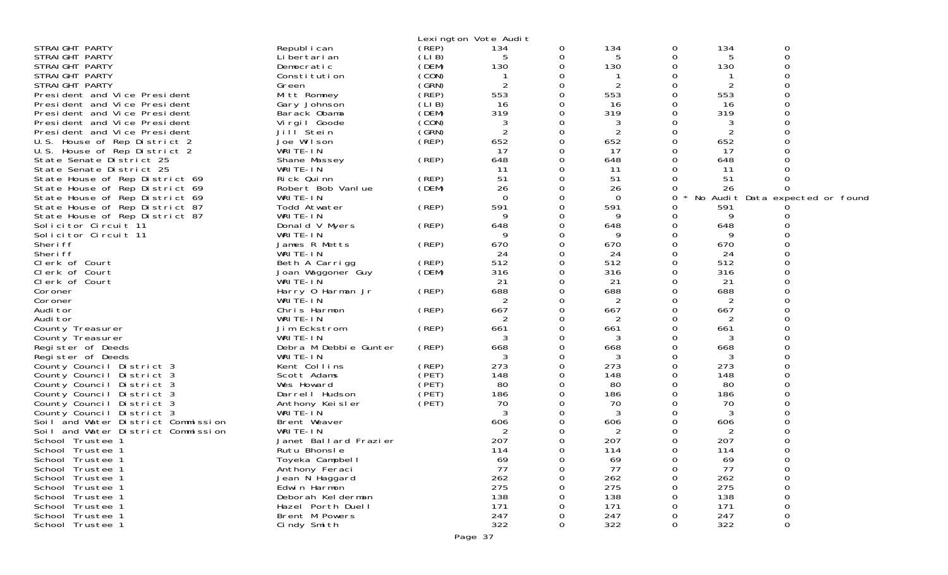|                                    |                               |       | Lexington Vote Audit |          |           |              |           |                                 |
|------------------------------------|-------------------------------|-------|----------------------|----------|-----------|--------------|-----------|---------------------------------|
| STRAIGHT PARTY                     | Republ i can                  | (REP) | 134                  | 0        | 134       | 0            | 134       | 0                               |
| STRAIGHT PARTY                     | Li bertari an                 | (LIB) | 5                    | 0        | 5         | 0            | 5         | $\Omega$                        |
| STRAIGHT PARTY                     | Democratic                    | (DEM) | 130                  | 0        | 130       | 0            | 130       |                                 |
| STRAIGHT PARTY                     | Constitution                  | (CON) |                      | 0        |           | O            |           |                                 |
| STRAIGHT PARTY                     | Green                         | (GRN) | 2                    |          | 2         | ∩            | 2         |                                 |
| President and Vice President       | Mitt Romney                   | (REP) | 553                  | O        | 553       | 0            | 553       |                                 |
| President and Vice President       | Gary Johnson                  | (LIB) | 16                   | 0        | 16        | O            | 16        |                                 |
| President and Vice President       | Barack Obama                  | (DEM) | 319                  |          | 319       | 0            | 319       |                                 |
| President and Vice President       | Virgil Goode                  | (CON) | 3                    | O        | 3         | ∩            |           |                                 |
| President and Vice President       | Jill <sup>Stein</sup>         | (GRN) | $\overline{2}$       | 0        | 2         | 0            | 2         |                                 |
| U.S. House of Rep District 2       | Joe Wilson                    | (REP) | 652                  | 0        | 652       | 0            | 652       |                                 |
| U.S. House of Rep District 2       | WRITE-IN                      |       | 17                   | O        | 17        | ∩            | 17        |                                 |
| State Senate District 25           | Shane Massey                  | (REP) | 648                  | 0        | 648       | 0            | 648       |                                 |
| State Senate District 25           | WRITE-IN                      |       | 11                   |          | 11        | 0            | 11        |                                 |
| State House of Rep District 69     | Rick Quinn                    | (REP) | 51                   | O        | 51        | O            | 51        |                                 |
| State House of Rep District 69     | Robert Bob Vanlue             | (DEM) | 26                   |          | 26        |              | 26        |                                 |
| State House of Rep District 69     | WRITE-IN                      |       | $\Omega$             | 0        | $\Omega$  | 0            |           | No Audit Data expected or found |
| State House of Rep District 87     | Todd Atwater                  | (REP) | 591                  | O        | 591       | 0            | 591       |                                 |
| State House of Rep District 87     | WRITE-IN                      |       | 9                    | 0        | 9         |              | 9         |                                 |
| Solicitor Circuit 11               | Donald V Myers                | (REP) | 648                  | 0        | 648       | 0            | 648       |                                 |
| Solicitor Circuit 11               | WRITE-IN                      |       | 9                    | O        | 9         | 0            | 9         |                                 |
| Sheri ff                           | James R Metts                 | (REP) | 670                  | 0        | 670       | O            | 670       |                                 |
| Sheri ff                           | WRITE-IN                      |       | 24<br>512            | 0        | 24<br>512 | 0            | 24<br>512 |                                 |
| Clerk of Court                     | Beth A Carrigg                | (REP) | 316                  | 0        | 316       | 0<br>0       | 316       |                                 |
| Clerk of Court                     | Joan Waggoner Guy<br>WRITE-IN | (DEM) | 21                   | 0        |           | 0            |           |                                 |
| Clerk of Court<br>Coroner          | Harry 0 Harman Jr             | (REP) | 688                  |          | 21<br>688 | 0            | 21<br>688 |                                 |
| Coroner                            | WRITE-IN                      |       | 2                    |          | 2         |              | 2         |                                 |
| Audi tor                           | Chris Harmon                  | (REP) | 667                  | ი        | 667       | ∩            | 667       |                                 |
| Audi tor                           | WRITE-IN                      |       | 2                    | 0        | 2         | 0            | 2         |                                 |
| County Treasurer                   | Jim Eckstrom                  | (REP) | 661                  | 0        | 661       | O            | 661       |                                 |
| County Treasurer                   | WRITE-IN                      |       | 3                    |          | 3         |              |           |                                 |
| Register of Deeds                  | Debra M Debbie Gunter         | (REP) | 668                  | 0        | 668       | 0            | 668       |                                 |
| Register of Deeds                  | WRITE-IN                      |       | 3                    |          | 3         | ∩            | 3         |                                 |
| County Council District 3          | Kent Collins                  | (REP) | 273                  | $\Omega$ | 273       | 0            | 273       |                                 |
| County Council District 3          | Scott Adams                   | (PET) | 148                  | 0        | 148       | 0            | 148       |                                 |
| County Council District 3          | Wes Howard                    | (PET) | 80                   |          | 80        | O            | 80        |                                 |
| County Council District 3          | Darrell Hudson                | (PET) | 186                  | 0        | 186       | 0            | 186       |                                 |
| County Council District 3          | Anthony Keisler               | (PET) | 70                   |          | 70        | 0            | 70        |                                 |
| County Council District 3          | WRITE-IN                      |       | 3                    |          | 3         | ∩            | 3         |                                 |
| Soil and Water District Commission | Brent Weaver                  |       | 606                  |          | 606       |              | 606       |                                 |
| Soil and Water District Commission | WRITE-IN                      |       | 2                    |          | 2         |              | 2         |                                 |
| School Trustee 1                   | Janet Ballard Frazier         |       | 207                  |          | 207       | ∩            | 207       |                                 |
| School Trustee 1                   | Rutu Bhonsle                  |       | 114                  |          | 114       | <sup>n</sup> | 114       |                                 |
| School Trustee 1                   | Toyeka Campbell               |       | 69                   | 0        | 69        | 0            | 69        | 0                               |
| School Trustee 1                   | Anthony Feraci                |       | 77                   | O        | 77        | ∩            | 77        |                                 |
| School Trustee 1                   | Jean N Haggard                |       | 262                  |          | 262       | ∩            | 262       |                                 |
| School Trustee 1                   | Edwin Harmon                  |       | 275                  |          | 275       |              | 275       |                                 |
| School Trustee 1                   | Deborah Kelderman             |       | 138                  |          | 138       |              | 138       |                                 |
| School Trustee 1                   | Hazel Porth Duell             |       | 171                  |          | 171       |              | 171       |                                 |
| School Trustee 1                   | Brent M Powers                |       | 247                  |          | 247       |              | 247       | 0                               |
| School Trustee 1                   | Cindy Smith                   |       | 322                  | 0        | 322       | 0            | 322       | 0                               |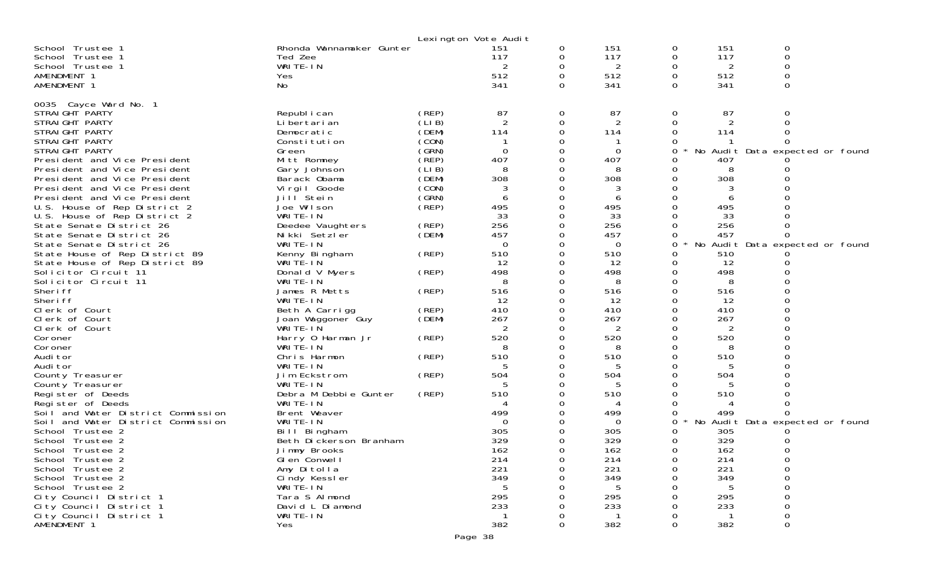|                                                              |                              |                | Lexington Vote Audit |          |                 |   |            |             |                                 |
|--------------------------------------------------------------|------------------------------|----------------|----------------------|----------|-----------------|---|------------|-------------|---------------------------------|
| School Trustee 1                                             | Rhonda Wannamaker Gunter     |                | 151                  | 0        | 151             | 0 | 151        | 0           |                                 |
| School Trustee 1                                             | Ted Zee                      |                | 117                  | 0        | 117             | 0 | 117        | 0           |                                 |
| School Trustee 1                                             | WRITE-IN                     |                |                      | 0        | 2               | 0 | 2          | $\mathbf 0$ |                                 |
| AMENDMENT 1                                                  | Yes                          |                | 512                  | $\Omega$ | 512             | 0 | 512        | $\Omega$    |                                 |
| AMENDMENT 1                                                  | No                           |                | 341                  | 0        | 341             | 0 | 341        | $\Omega$    |                                 |
|                                                              |                              |                |                      |          |                 |   |            |             |                                 |
| 0035 Cayce Ward No. 1                                        |                              |                |                      |          |                 |   |            |             |                                 |
| STRAI GHT PARTY                                              | Republ i can                 | (REP)          | 87                   | 0        | 87              | 0 | 87         | 0           |                                 |
| STRAIGHT PARTY                                               | Li bertari an                | (LIB)          | $\overline{2}$       | 0        | 2               | 0 | 2          | ∩           |                                 |
| STRAIGHT PARTY                                               | Democratic                   | (DEM)          | 114                  | $\Omega$ | 114             | 0 | 114        |             |                                 |
| STRAIGHT PARTY                                               | Constitution                 | (CON)          |                      |          |                 |   |            |             |                                 |
| STRAIGHT PARTY                                               | Green                        | (GRN)<br>(REP) | 0<br>407             | 0<br>0   | $\Omega$<br>407 |   | No         |             | Audit Data expected or found    |
| President and Vice President                                 | Mitt Romney                  | (LIB)          | 8                    |          | 8               |   | 407<br>8   |             |                                 |
| President and Vice President<br>President and Vice President | Gary Johnson<br>Barack Obama | (DEM)          | 308                  | 0        | 308             |   | 308        |             |                                 |
| President and Vice President                                 |                              | (CON)          | 3                    | 0        | 3               |   |            |             |                                 |
| President and Vice President                                 | Vi rgi I Goode<br>Jill Stein | (GRN)          | 6                    | 0        | 6               |   | 6          |             |                                 |
| U.S. House of Rep District 2                                 | Joe Wilson                   | (REP)          | 495                  | $\Omega$ | 495             |   | 495        |             |                                 |
| U.S. House of Rep District 2                                 | WRITE-IN                     |                | 33                   | 0        | 33              |   | 33         |             |                                 |
| State Senate District 26                                     | Deedee Vaughters             | (REP)          | 256                  | 0        | 256             |   | 256        |             |                                 |
| State Senate District 26                                     | Nikki Setzler                | (DEM)          | 457                  | 0        | 457             |   | 457        |             |                                 |
| State Senate District 26                                     | WRITE-IN                     |                | $\overline{0}$       | 0        | $\overline{0}$  | 0 | No         |             | Audit Data expected or found    |
| State House of Rep District 89                               | Kenny Bingham                | (REP)          | 510                  | 0        | 510             |   | 510        |             |                                 |
| State House of Rep District 89                               | WRITE-IN                     |                | 12                   | 0        | 12              | 0 | 12         |             |                                 |
| Solicitor Circuit 11                                         | Donald V Myers               | (REP)          | 498                  | 0        | 498             | 0 | 498        |             |                                 |
| Solicitor Circuit 11                                         | WRITE-IN                     |                | 8                    | 0        | 8               |   | 8          |             |                                 |
| Sheri ff                                                     | James R Metts                | (REP)          | 516                  | $\Omega$ | 516             | 0 | 516        |             |                                 |
| Sheri ff                                                     | WRITE-IN                     |                | 12                   | 0        | 12              | 0 | 12         |             |                                 |
| Clerk of Court                                               | Beth A Carrigg               | (REP)          | 410                  | 0        | 410             |   | 410        |             |                                 |
| Clerk of Court                                               | Joan Waggoner Guy            | (DEM)          | 267                  | 0        | 267             |   | 267        |             |                                 |
| Clerk of Court                                               | WRITE-IN                     |                | 2                    | 0        | 2               |   | 2          |             |                                 |
| Coroner                                                      | Harry 0 Harman Jr            | (REP)          | 520                  |          | 520             |   | 520        |             |                                 |
| Coroner                                                      | WRITE-IN                     |                |                      | 0        |                 |   |            |             |                                 |
| Audi tor                                                     | Chris Harmon                 | (REP)          | 510                  | 0        | 510             |   | 510        |             |                                 |
| Audi tor                                                     | WRITE-IN                     |                |                      |          |                 |   |            |             |                                 |
| County Treasurer                                             | Jim Eckstrom                 | (REP)          | 504                  | 0        | 504             |   | 504        |             |                                 |
| County Treasurer                                             | WRITE-IN                     |                | 5                    | 0        | 5               |   | 5          |             |                                 |
| Register of Deeds                                            | Debra M Debbie Gunter        | (REP)          | 510                  |          | 510             |   | 510        |             |                                 |
| Register of Deeds                                            | WRITE-IN                     |                |                      |          |                 |   |            |             |                                 |
| Soil and Water District Commission                           | Brent Weaver                 |                | 499                  | 0        | 499             | 0 | 499        |             |                                 |
| Soil and Water District Commission                           | WRITE-IN                     |                | $\Omega$             |          | $\Omega$        | 0 |            |             | No Audit Data expected or found |
| School Trustee 2                                             | Bill Bingham                 |                | 305                  |          | 305             |   | 305        |             |                                 |
| School Trustee 2                                             | Beth Dickerson Branham       |                | 329                  | 0        | 329             | 0 | 329        |             |                                 |
| School Trustee 2                                             | Jimmy Brooks                 |                | 162                  | $\Omega$ | 162             | 0 | 162        | Ω           |                                 |
| School Trustee 2                                             | Glen Conwell                 |                | 214<br>221           | 0        | 214<br>221      |   | 214<br>221 |             |                                 |
| School Trustee 2<br>School Trustee 2                         | Amy Ditolla<br>Cindy Kessler |                | 349                  | 0<br>O   | 349             |   | 349        |             |                                 |
| School Trustee 2                                             | WRITE-IN                     |                | .5                   |          | .5              |   |            |             |                                 |
| City Council District 1                                      | Tara S Almond                |                | 295                  |          | 295             |   | 295        |             |                                 |
| City Council District 1                                      | David L Diamond              |                | 233                  |          | 233             |   | 233        |             |                                 |
| City Council District 1                                      | WRITE-IN                     |                |                      |          |                 |   |            |             |                                 |
| AMENDMENT 1                                                  | Yes                          |                | 382                  | 0        | 382             | 0 | 382        | 0           |                                 |
|                                                              |                              |                |                      |          |                 |   |            |             |                                 |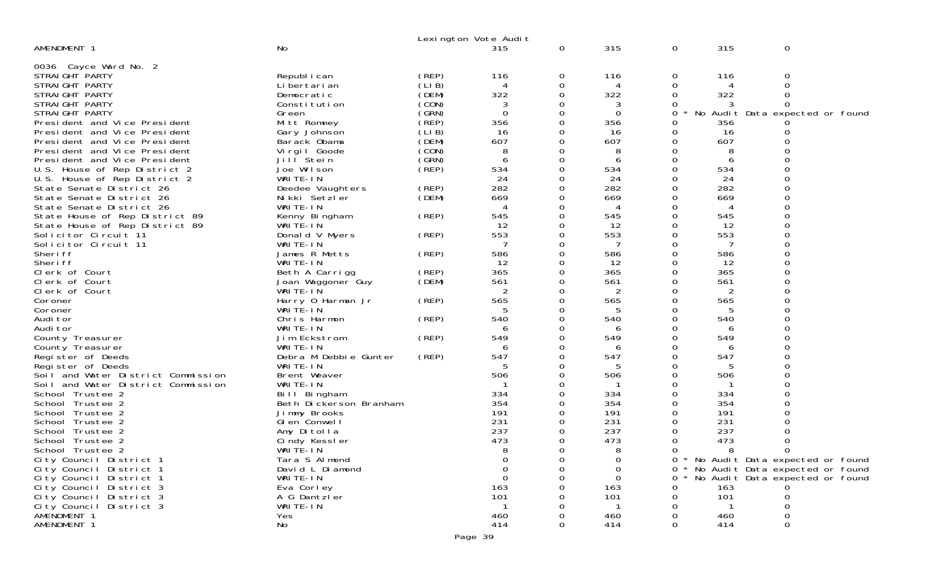|                                                                  |                                   |                | Lexington Vote Audit |              |             |          |                |                                     |  |
|------------------------------------------------------------------|-----------------------------------|----------------|----------------------|--------------|-------------|----------|----------------|-------------------------------------|--|
| AMENDMENT 1                                                      | <b>No</b>                         |                | 315                  | $\mathbf{0}$ | 315         | 0        | 315            | 0                                   |  |
|                                                                  |                                   |                |                      |              |             |          |                |                                     |  |
| 0036 Cayce Ward No. 2                                            |                                   |                |                      |              |             |          |                |                                     |  |
| STRAIGHT PARTY                                                   | Republ i can                      | (REP)          | 116                  | 0            | 116         | 0        | 116            | 0                                   |  |
| STRAIGHT PARTY                                                   | Li bertari an                     | (LIB)          | 4                    | 0            | 4           | 0        | 4              | $\Omega$                            |  |
| STRAIGHT PARTY                                                   | Democratic                        | (DEM)          | 322                  | 0            | 322         | 0        | 322            |                                     |  |
| STRAIGHT PARTY                                                   | Constitution                      | (CON)          | 3                    | 0            | 3           | 0        | 3              |                                     |  |
| STRAIGHT PARTY                                                   | Green                             | (GRN)          | $\overline{0}$       |              | $\Omega$    | 0        |                | No Audit Data expected or found     |  |
| President and Vice President                                     | Mitt Romney                       | $($ REP)       | 356                  | 0            | 356         | 0        | 356            |                                     |  |
| President and Vice President                                     | Gary Johnson                      | (LIB)          | 16                   |              | 16          | 0        | 16             |                                     |  |
| President and Vice President                                     | Barack Obama                      | (DEM)          | 607                  |              | 607         | 0        | 607            |                                     |  |
| President and Vice President                                     | Virgil Goode                      | (CON)          | 8                    |              | 8           |          | 8              |                                     |  |
| President and Vice President                                     | Jill Stein                        | (GRN)          | 6                    | 0            | 6           | 0        | 6              |                                     |  |
| U.S. House of Rep District 2                                     | Joe Wilson                        | (REP)          | 534<br>24            |              | 534         |          | 534            |                                     |  |
| U.S. House of Rep District 2                                     | WRITE-IN                          |                | 282                  |              | 24<br>282   | 0        | 24<br>282      |                                     |  |
| State Senate District 26<br>State Senate District 26             | Deedee Vaughters<br>Nikki Setzler | (REP)<br>(DEM) | 669                  | 0            | 669         | 0        | 669            |                                     |  |
| State Senate District 26                                         | WRITE-IN                          |                |                      | 0            | 4           | 0        | 4              |                                     |  |
|                                                                  |                                   | (REP)          | 545                  | 0            | 545         | 0        | 545            |                                     |  |
| State House of Rep District 89<br>State House of Rep District 89 | Kenny Bingham<br>WRITE-IN         |                | 12                   |              | 12          |          | 12             |                                     |  |
| Solicitor Circuit 11                                             | Donald V Myers                    | (REP)          | 553                  | 0            | 553         | $\Omega$ | 553            |                                     |  |
| Solicitor Circuit 11                                             | WRITE-IN                          |                | 7                    |              | 7           | 0        | 7              |                                     |  |
| Sheri ff                                                         | James R Metts                     | (REP)          | 586                  |              | 586         |          | 586            |                                     |  |
| Sheri ff                                                         | WRITE-IN                          |                | 12                   | 0            | 12          | 0        | 12             |                                     |  |
| Clerk of Court                                                   | Beth A Carrigg                    | (REP)          | 365                  |              | 365         | 0        | 365            |                                     |  |
| Clerk of Court                                                   | Joan Waggoner Guy                 | (DEM)          | 561                  |              | 561         |          | 561            |                                     |  |
| Clerk of Court                                                   | WRITE-IN                          |                |                      |              |             | 0        | $\overline{2}$ |                                     |  |
| Coroner                                                          | Harry 0 Harman Jr                 | (REP)          | 565                  | 0            | 565         | 0        | 565            |                                     |  |
| Coroner                                                          | WRITE-IN                          |                |                      |              | .5          |          | 5              |                                     |  |
| Audi tor                                                         | Chris Harmon                      | (REP)          | 540                  |              | 540         | 0        | 540            |                                     |  |
| Audi tor                                                         | WRITE-IN                          |                | 6                    | 0            | 6           | 0        | 6              |                                     |  |
| County Treasurer                                                 | Jim Eckstrom                      | (REP)          | 549                  |              | 549         |          | 549            |                                     |  |
| County Treasurer                                                 | WRITE-IN                          |                | 6                    |              | 6           |          | 6              |                                     |  |
| Register of Deeds                                                | Debra M Debbie Gunter             | (REP)          | 547                  | 0            | 547         | 0        | 547            |                                     |  |
| Register of Deeds                                                | WRITE-IN                          |                |                      |              | 5           |          | 5              |                                     |  |
| Soil and Water District Commission                               | Brent Weaver                      |                | 506                  |              | 506         | 0        | 506            |                                     |  |
| Soil and Water District Commission                               | WRITE-IN                          |                |                      |              |             | 0        |                |                                     |  |
| School Trustee 2                                                 | Bill Bingham                      |                | 334                  |              | 334         |          | 334            |                                     |  |
| School Trustee 2                                                 | Beth Dickerson Branham            |                | 354                  |              | 354         |          | 354            |                                     |  |
| School Trustee 2                                                 | Jimmy Brooks                      |                | 191                  |              | 191         | 0        | 191            |                                     |  |
| School Trustee 2                                                 | GI en Conwell                     |                | 231<br>237           |              | 231         |          | 231            |                                     |  |
| School Trustee 2                                                 | Amy Ditolla                       |                | 473                  |              | 237         |          | 237<br>473     |                                     |  |
| School Trustee 2<br>School Trustee 2                             | Cindy Kessler<br>WRITE-IN         |                | 8                    | 0            | 473<br>8    | 0<br>0   |                | $\Omega$                            |  |
| City Council District 1                                          |                                   |                | 0                    |              | $\Omega$    |          | 8              | 0 * No Audit Data expected or found |  |
| City Council District 1                                          | Tara S Almond<br>David L Diamond  |                | $\mathbf 0$          | 0            | $\mathbf 0$ | 0        |                | * No Audit Data expected or found   |  |
| City Council District 1                                          | WRITE-IN                          |                | $\Omega$             |              | $\Omega$    | $\Omega$ |                | * No Audit Data expected or found   |  |
| City Council District 3                                          | Eva Corley                        |                | 163                  |              | 163         |          | 163            |                                     |  |
| City Council District 3                                          | A G Dantzler                      |                | 101                  |              | 101         | 0        | 101            |                                     |  |
| City Council District 3                                          | WRITE-IN                          |                |                      |              |             |          |                |                                     |  |
| AMENDMENT 1                                                      | Yes                               |                | 460                  |              | 460         |          | 460            |                                     |  |
| AMENDMENT 1                                                      | No                                |                | 414                  | 0            | 414         | 0        | 414            | 0                                   |  |
|                                                                  |                                   |                |                      |              |             |          |                |                                     |  |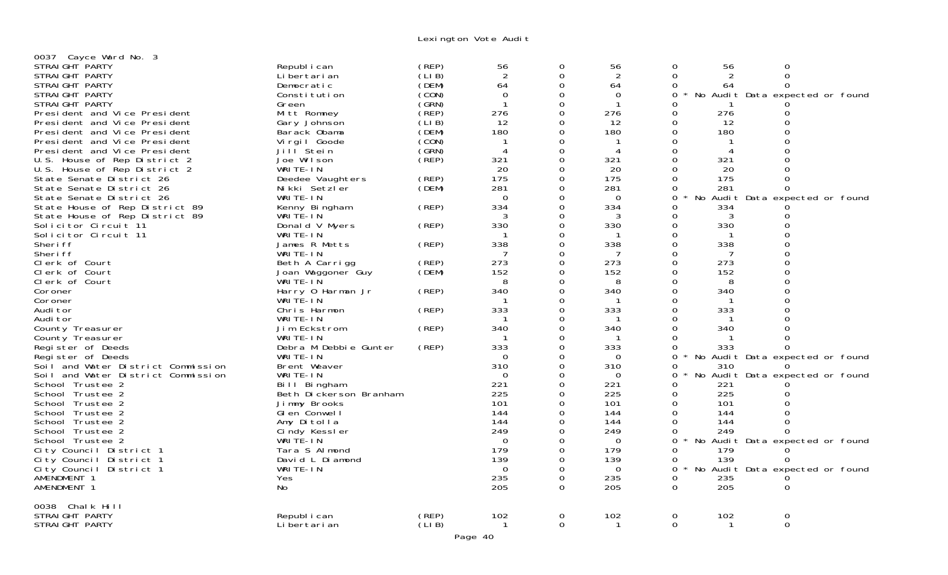Lexington Vote Audit

| 0037 Cayce Ward No. 3              |                        |       |                |          |                |                     |                                 |  |
|------------------------------------|------------------------|-------|----------------|----------|----------------|---------------------|---------------------------------|--|
| STRAIGHT PARTY                     | Republ i can           | (REP) | 56             |          | 56             | 0<br>56             | 0                               |  |
| STRAIGHT PARTY                     | Li bertari an          | (LIB) | $\overline{2}$ | $\Omega$ | $\overline{2}$ | $\Omega$<br>2       | $\Omega$                        |  |
| STRAIGHT PARTY                     | Democratic             | (DEM) | 64             | $\Omega$ | 64             | 0<br>64             | $\Omega$                        |  |
| STRAIGHT PARTY                     | Constitution           | (CON) | $\mathbf 0$    | $\Omega$ | $\mathbf 0$    | 0                   | No Audit Data expected or found |  |
| STRAIGHT PARTY                     | Green                  | (SRN) |                | 0        |                | 0                   |                                 |  |
| President and Vice President       | Mitt Romney            | (REP) | 276            | 0        | 276            | 276<br>0            | 0                               |  |
| President and Vice President       | Gary Johnson           | (LIB) | 12             | $\Omega$ | -12            | 0<br>12             | 0                               |  |
|                                    |                        |       |                |          |                |                     | 0                               |  |
| President and Vice President       | Barack Obama           | (DEM) | 180            | $\Omega$ | 180            | 180<br>0            |                                 |  |
| President and Vice President       | Virgil Goode           | (CON) |                |          |                | 0                   | 0                               |  |
| President and Vice President       | Jill Stein             | (SRN) | 4              | 0        | $\overline{4}$ | 0<br>4              | 0                               |  |
| U.S. House of Rep District 2       | Joe Wilson             | (REP) | 321            |          | 321            | $\Omega$<br>321     |                                 |  |
| U.S. House of Rep District 2       | WRITE-IN               |       | 20             | 0        | 20             | $\Omega$<br>20      |                                 |  |
| State Senate District 26           | Deedee Vaughters       | (REP) | 175            | $\Omega$ | 175            | $\Omega$<br>175     | O                               |  |
| State Senate District 26           | Nikki Setzler          | (DEM) | 281            |          | 281            | 281<br>0            | 0                               |  |
| State Senate District 26           | WRITE-IN               |       | $\Omega$       | $\Omega$ | $\overline{0}$ | $\mathbf 0$         | No Audit Data expected or found |  |
| State House of Rep District 89     | Kenny Bingham          | (REP) | 334            |          | 334            | 0<br>334            |                                 |  |
| State House of Rep District 89     | WRITE-IN               |       | 3              | $\Omega$ | 3              | 3<br>$\Omega$       | O                               |  |
| Solicitor Circuit 11               | Donald V Myers         | (REP) | 330            | 0        | 330            | 330<br>0            | 0                               |  |
|                                    |                        |       |                |          |                |                     | 0                               |  |
| Solicitor Circuit 11               | WRITE-IN               |       |                | 0        |                | 0<br>-1             |                                 |  |
| Sheri ff                           | James R Metts          | (REP) | 338            |          | 338            | $\Omega$<br>338     | 0                               |  |
| Sheri ff                           | WRITE-IN               |       |                | 0        | 7              | $\overline{7}$<br>0 | 0                               |  |
| Clerk of Court                     | Beth A Carrigg         | (REP) | 273            | $\Omega$ | 273            | $\Omega$<br>273     | 0                               |  |
| Clerk of Court                     | Joan Waggoner Guy      | (DEM) | 152            | 0        | 152            | 152<br>0            | 0                               |  |
| Clerk of Court                     | WRITE-IN               |       | 8              | $\Omega$ | 8              | 0<br>8              | ∩                               |  |
| Coroner                            | Harry 0 Harman Jr      | (REP) | 340            | 0        | 340            | 340<br>0            | 0                               |  |
| Coroner                            | WRITE-IN               |       |                | O        |                | $\Omega$            | O                               |  |
| Audi tor                           | Chris Harmon           | (REP) | 333            |          | 333            | $\Omega$<br>333     | O                               |  |
| Audi tor                           | WRITE-IN               |       |                | 0        |                | $\Omega$            | O                               |  |
| County Treasurer                   | Jim Eckstrom           | (REP) | 340            |          | 340            | 0<br>340            |                                 |  |
|                                    | WRITE-IN               |       |                | $\Omega$ | $\mathbf{1}$   | $\Omega$            | $\Omega$                        |  |
| County Treasurer                   |                        |       |                |          |                |                     |                                 |  |
| Register of Deeds                  | Debra M Debbie Gunter  | (REP) | 333            |          | 333            | $\Omega$<br>333     | 0                               |  |
| Register of Deeds                  | WRITE-IN               |       | $\mathbf 0$    |          | $\overline{O}$ | 0                   | No Audit Data expected or found |  |
| Soil and Water District Commission | Brent Weaver           |       | 310            |          | 310            | 0<br>310            |                                 |  |
| Soil and Water District Commission | WRITE-IN               |       | $\Omega$       | 0        | $\overline{0}$ | 0                   | No Audit Data expected or found |  |
| School Trustee 2                   | Bill Bingham           |       | 221            |          | 221            | 0<br>221            |                                 |  |
| School Trustee 2                   | Beth Dickerson Branham |       | 225            | 0        | 225            | 225<br>0            |                                 |  |
| School Trustee 2                   | Jimmy Brooks           |       | 101            |          | 101            | 101<br>$\Omega$     |                                 |  |
| School Trustee 2                   | GI en Conwel I         |       | 144            |          | 144            | 144<br>0            | O                               |  |
| School Trustee 2                   | Amy Ditolla            |       | 144            |          | 144            | $\Omega$<br>144     | 0                               |  |
| School Trustee 2                   | Cindy Kessler          |       | 249            |          | 249            | $\Omega$<br>249     | 0                               |  |
|                                    |                        |       | $\Omega$       | $\Omega$ | $\Omega$       | $\Omega$            |                                 |  |
| School Trustee 2                   | WRITE-IN               |       |                |          |                |                     | No Audit Data expected or found |  |
| City Council District 1            | Tara S Almond          |       | 179            |          | 179            | $\mathbf 0$<br>179  | 0                               |  |
| City Council District 1            | David L Diamond        |       | 139            | 0        | 139            | 139<br>0            |                                 |  |
| City Council District 1            | WRITE-IN               |       | $\Omega$       | 0        | $\Omega$       | 0                   | No Audit Data expected or found |  |
| AMENDMENT 1                        | Yes                    |       | 235            | 0        | 235            | 235<br>0            |                                 |  |
| AMENDMENT 1                        | No                     |       | 205            | $\Omega$ | 205            | $\Omega$<br>205     | 0                               |  |
| 0038 Chalk Hill                    |                        |       |                |          |                |                     |                                 |  |
| STRAIGHT PARTY                     | Republ i can           | (REP) | 102            | 0        | 102            | $\mathbf 0$<br>102  | 0                               |  |
| STRAIGHT PARTY                     | Li bertari an          | (LIB) | 1              | $\Omega$ |                | $\Omega$<br>-1      | $\mathbf 0$                     |  |
|                                    |                        |       |                |          |                |                     |                                 |  |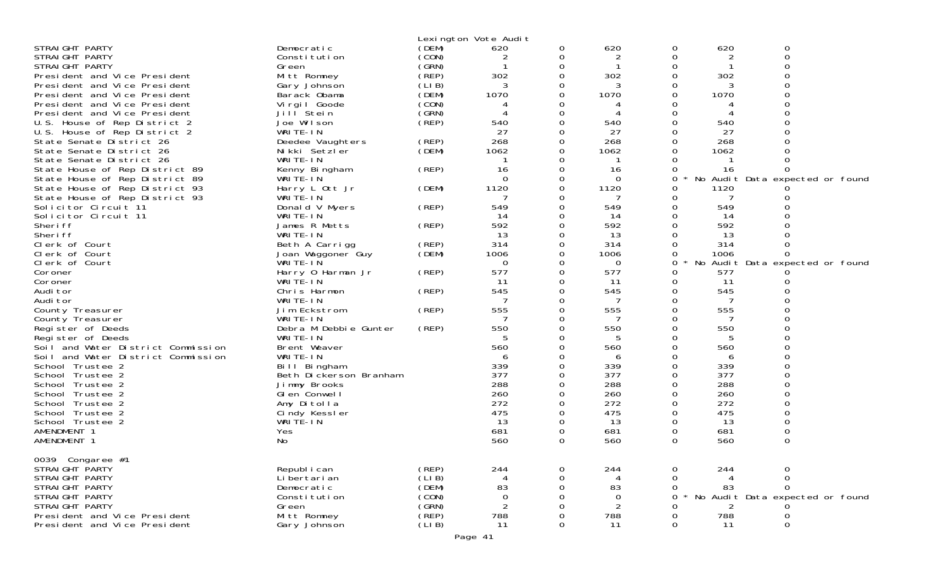|                                    |                        |        | Lexington Vote Audit |          |                |          |      |                                 |  |
|------------------------------------|------------------------|--------|----------------------|----------|----------------|----------|------|---------------------------------|--|
| STRAIGHT PARTY                     | Democratic             | (DEM)  | 620                  | 0        | 620            | 0        | 620  | 0                               |  |
| STRAIGHT PARTY                     | Constitution           | (CON)  | 2                    | 0        | 2              | 0        | 2    | 0                               |  |
| STRAIGHT PARTY                     | Green                  | (SRN)  |                      | $\Omega$ |                | 0        |      |                                 |  |
| President and Vice President       | Mitt Romney            | (REP)  | 302                  | $\Omega$ | 302            | 0        | 302  |                                 |  |
| President and Vice President       | Gary Johnson           | (LIB)  | 3                    |          | 3              |          | 3    |                                 |  |
| President and Vice President       | Barack Obama           | (DEM)  | 1070                 | $\Omega$ | 1070           | O        | 1070 |                                 |  |
| President and Vice President       | Virgil Goode           | (CON)  | 4                    | 0        | 4              |          |      |                                 |  |
| President and Vice President       | Jill <sup>Stein</sup>  | (GRN)  |                      | 0        |                |          |      |                                 |  |
| U.S. House of Rep District 2       | Joe Wilson             | (REF)  | 540                  | $\Omega$ | 540            | $\Omega$ | 540  |                                 |  |
|                                    |                        |        | 27                   |          | 27             |          | 27   |                                 |  |
| U.S. House of Rep District 2       | WRITE-IN               |        |                      |          |                |          |      |                                 |  |
| State Senate District 26           | Deedee Vaughters       | (REP)  | 268                  |          | 268            |          | 268  |                                 |  |
| State Senate District 26           | Nikki Setzler          | (DEM)  | 1062                 |          | 1062           |          | 1062 |                                 |  |
| State Senate District 26           | WRITE-IN               |        |                      | 0        | -1             |          |      |                                 |  |
| State House of Rep District 89     | Kenny Bingham          | (REP)  | 16                   |          | 16             |          | 16   |                                 |  |
| State House of Rep District 89     | WRITE-IN               |        | 0                    | 0        | $\Omega$       | 0        |      | No Audit Data expected or found |  |
| State House of Rep District 93     | Harry L Ott Jr         | (DEM)  | 1120                 | $\Omega$ | 1120           | 0        | 1120 |                                 |  |
| State House of Rep District 93     | WRITE-IN               |        |                      |          | 7              | O        | 7    |                                 |  |
| Solicitor Circuit 11               | Donald V Myers         | (REP)  | 549                  | $\Omega$ | 549            | 0        | 549  |                                 |  |
| Solicitor Circuit 11               | WRITE-IN               |        | 14                   | $\Omega$ | 14             |          | 14   |                                 |  |
| Sheri ff                           | James R Metts          | (REP)  | 592                  |          | 592            |          | 592  |                                 |  |
| Sheri ff                           | WRITE-IN               |        | 13                   | 0        | 13             |          | 13   |                                 |  |
| Clerk of Court                     | Beth A Carrigg         | (REP)  | 314                  | 0        | 314            | 0        | 314  |                                 |  |
| Clerk of Court                     | Joan Waggoner Guy      | (DEM)  | 1006                 |          | 1006           |          | 1006 |                                 |  |
| Clerk of Court                     | WRITE-IN               |        | $\Omega$             | 0        | 0              | 0        |      | No Audit Data expected or found |  |
| Coroner                            | Harry 0 Harman Jr      | (REP)  | 577                  | 0        | 577            | 0        | 577  |                                 |  |
| Coroner                            | WRITE-IN               |        | 11                   | $\Omega$ | 11             | 0        | 11   |                                 |  |
| Audi tor                           | Chris Harmon           | (REP)  | 545                  | $\Omega$ | 545            | 0        | 545  |                                 |  |
|                                    |                        |        | 7                    |          | 7              |          |      |                                 |  |
| Audi tor                           | WRITE-IN               |        |                      | 0        |                |          |      |                                 |  |
| County Treasurer                   | Jim Eckstrom           | (REP)  | 555                  | 0        | 555            |          | 555  |                                 |  |
| County Treasurer                   | WRITE-IN               |        |                      | $\Omega$ |                | O        |      |                                 |  |
| Register of Deeds                  | Debra M Debbie Gunter  | (REP)  | 550                  | 0        | 550            | 0        | 550  |                                 |  |
| Register of Deeds                  | WRITE-IN               |        |                      |          | 5              |          | 5    |                                 |  |
| Soil and Water District Commission | Brent Weaver           |        | 560                  | $\Omega$ | 560            | $\Omega$ | 560  |                                 |  |
| Soil and Water District Commission | WRITE-IN               |        | 6                    |          | 6              |          | 6    |                                 |  |
| School Trustee 2                   | Bill Bingham           |        | 339                  |          | 339            |          | 339  |                                 |  |
| School Trustee 2                   | Beth Dickerson Branham |        | 377                  | $\Omega$ | 377            | $\Omega$ | 377  |                                 |  |
| School Trustee 2                   | Jimmy Brooks           |        | 288                  |          | 288            | 0        | 288  |                                 |  |
| School Trustee 2                   | GI en Conwell          |        | 260                  |          | 260            |          | 260  |                                 |  |
| School Trustee 2                   | Amy Ditolla            |        | 272                  | $\Omega$ | 272            | 0        | 272  |                                 |  |
| School Trustee 2                   | Cindy Kessler          |        | 475                  | 0        | 475            | 0        | 475  |                                 |  |
| School Trustee 2                   | WRITE-IN               |        | 13                   | 0        | 13             | 0        | 13   |                                 |  |
| AMENDMENT 1                        | Yes                    |        | 681                  | 0        | 681            | 0        | 681  |                                 |  |
| AMENDMENT 1                        | No                     |        | 560                  | $\Omega$ | 560            | 0        | 560  | 0                               |  |
|                                    |                        |        |                      |          |                |          |      |                                 |  |
| 0039 Congaree #1                   |                        |        |                      |          |                |          |      |                                 |  |
| STRAIGHT PARTY                     |                        |        |                      |          |                |          |      |                                 |  |
|                                    | Republ i can           | (REP)  | 244                  |          | 244            | 0        | 244  |                                 |  |
| STRAIGHT PARTY                     | Li bertari an          | (LI B) | 4                    |          |                | 0        |      | 0                               |  |
| STRAI GHT PARTY                    | Democratic             | (DEM)  | 83                   |          | 83             | 0        | 83   | $\Omega$                        |  |
| STRAIGHT PARTY                     | Constitution           | (CON)  | 0                    |          | $\overline{0}$ | Ω        |      | No Audit Data expected or found |  |
| STRAI GHT PARTY                    | Green                  | (GRN)  | $\overline{2}$       |          | 2              |          | 2    |                                 |  |
| President and Vice President       | Mitt Romney            | (REP)  | 788                  |          | 788            |          | 788  |                                 |  |
| President and Vice President       | Gary Johnson           | (LIB)  | 11                   | 0        | 11             | 0        | 11   | 0                               |  |
|                                    |                        |        |                      |          |                |          |      |                                 |  |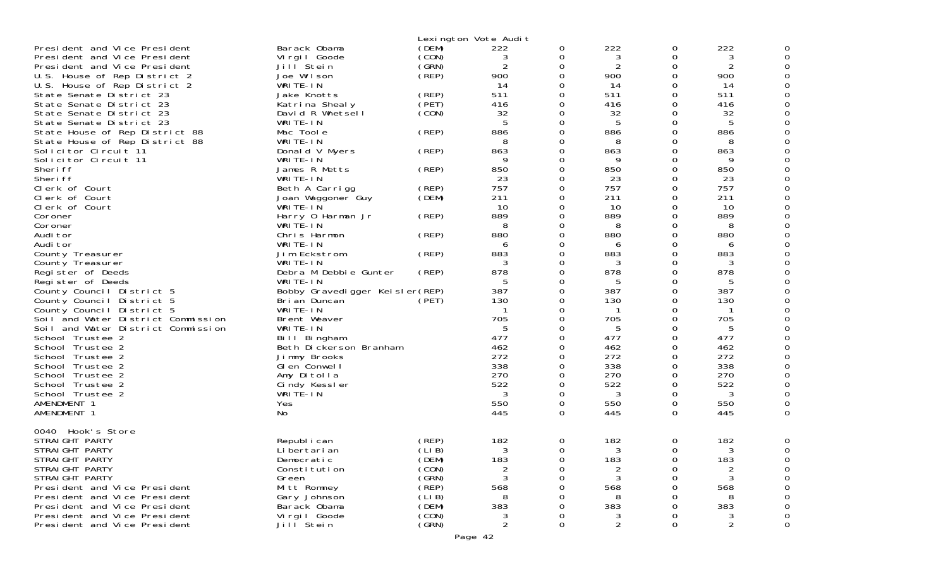| Lexington Vote Audit<br>222<br>222<br>Barack Obama<br>President and Vice President<br>(DEM)<br>0<br>0<br>222<br>$\mathbf 0$<br>(CON)<br>3<br>3<br>President and Vice President<br>Vi rgi I Goode<br>3<br>0<br>$\overline{2}$<br>$\overline{2}$<br>President and Vice President<br>Jill Stein<br>(GRN)<br>0<br>2<br>0<br>(REP)<br>900<br>0<br>900<br>900<br>U.S. House of Rep District 2<br>Joe Wilson<br>0<br>14<br>WRITE-IN<br>O<br>14<br>0<br>14<br>U.S. House of Rep District 2<br>(REP)<br>511<br>511<br>511<br>State Senate District 23<br>Jake Knotts<br>0<br>0<br>(PET)<br>416<br>416<br>State Senate District 23<br>Katrina Shealy<br>0<br>0<br>416<br>(CON)<br>32<br>32<br>O<br>32<br>State Senate District 23<br>David R Whetsell<br>0<br>5<br>5<br>State Senate District 23<br>WRITE-IN<br>O<br>5<br>0<br>State House of Rep District 88<br>Mac Toole<br>(REP)<br>886<br>0<br>886<br>886<br>0<br>WRITE-IN<br>$\Omega$<br>State House of Rep District 88<br>8<br>8<br>0<br>8<br>863<br>Solicitor Circuit 11<br>Donald V Myers<br>(REP)<br>$\Omega$<br>863<br>863<br>0<br>9<br>Solicitor Circuit 11<br>9<br>0<br>WRITE-IN<br>0<br>9<br>850<br>$\Omega$<br>850<br>850<br>Sheri ff<br>James R Metts<br>(REP)<br>0<br>23<br>Sheri ff<br>WRITE-IN<br>23<br>0<br>23<br>0<br>757<br>757<br>757<br>Clerk of Court<br>(REP)<br>0<br>0<br>Beth A Carrigg<br>211<br>211<br>211<br>Clerk of Court<br>(DEM)<br>0<br>0<br>Joan Waggoner Guy<br>10<br>10<br>O<br>10<br>Clerk of Court<br>WRITE-IN<br>0<br>889<br>889<br>889<br>Harry 0 Harman Jr<br>(REP)<br>0<br>0<br>Coroner<br>WRITE-IN<br>0<br>8<br>8<br>8<br>0<br>Coroner<br>880<br>(REP)<br>880<br>$\Omega$<br>880<br>Audi tor<br>Chris Harmon<br>0<br>WRITE-IN<br>Audi tor<br>0<br>0<br>6<br>6<br>6<br>883<br>883<br>883<br>Jim Eckstrom<br>(REP)<br>$\Omega$<br>0<br>County Treasurer<br>3<br>$\Omega$<br>3<br>WRITE-IN<br>0<br>3<br>County Treasurer<br>878<br>878<br>Debra M Debbie Gunter<br>0<br>0<br>878<br>Register of Deeds<br>(REP)<br>WRITE-IN<br>Register of Deeds<br>5<br>O<br>5<br>0<br>5<br>$\Omega$<br>387<br>Bobby Gravedigger Keisler(REP)<br>387<br>$\Omega$<br>387<br>County Council District 5<br>130<br>130<br>130<br>Bri an Duncan<br>(PET)<br>0<br>County Council District 5<br>0<br>WRITE-IN<br>County Council District 5<br>0<br>0<br>705<br>705<br>$\Omega$<br>705<br>Soil and Water District Commission<br>Brent Weaver<br>0<br>Soil and Water District Commission<br>WRITE-IN<br>5<br>0<br>5<br>5<br>0<br>$\Omega$<br>477<br>477<br>477<br>0<br>School Trustee 2<br>Bill Bingham<br>462<br>Beth Dickerson Branham<br>462<br>$\Omega$<br>462<br>School Trustee 2<br>0<br>272<br>272<br>272<br>0<br>0<br>School Trustee 2<br>Jimmy Brooks<br>338<br>338<br>338<br>O<br>0<br>School Trustee 2<br>Glen Conwell<br>270<br>270<br>270<br>0<br>Amy Ditolla<br>0<br>School Trustee 2<br>522<br>522<br>522<br>0<br>School Trustee 2<br>Cindy Kessler<br>0<br>3<br>WRITE-IN<br>3<br>0<br>3<br>School Trustee 2<br>0<br>550<br>550<br>AMENDMENT 1<br>$\Omega$<br>$\Omega$<br>550<br>Yes<br>AMENDMENT 1<br>No<br>445<br>0<br>445<br>$\Omega$<br>445<br>0040 Hook's Store<br>(REP)<br>182<br>182<br>0<br>182<br>STRAIGHT PARTY<br>Republ i can<br>0<br>STRAIGHT PARTY<br>(LIB)<br>$\Omega$<br>ς<br>Li bertari an<br>3<br>$\Omega$<br>(DEM)<br>183<br>183<br>183<br>STRAIGHT PARTY<br>Democratic<br>0<br>0<br>(CON)<br>STRAIGHT PARTY<br>Constitution<br>STRAIGHT PARTY<br>(GRN)<br>3<br>Green<br>0<br>3<br>3<br>0 |                              |             |       |     |   |     |     |             |
|------------------------------------------------------------------------------------------------------------------------------------------------------------------------------------------------------------------------------------------------------------------------------------------------------------------------------------------------------------------------------------------------------------------------------------------------------------------------------------------------------------------------------------------------------------------------------------------------------------------------------------------------------------------------------------------------------------------------------------------------------------------------------------------------------------------------------------------------------------------------------------------------------------------------------------------------------------------------------------------------------------------------------------------------------------------------------------------------------------------------------------------------------------------------------------------------------------------------------------------------------------------------------------------------------------------------------------------------------------------------------------------------------------------------------------------------------------------------------------------------------------------------------------------------------------------------------------------------------------------------------------------------------------------------------------------------------------------------------------------------------------------------------------------------------------------------------------------------------------------------------------------------------------------------------------------------------------------------------------------------------------------------------------------------------------------------------------------------------------------------------------------------------------------------------------------------------------------------------------------------------------------------------------------------------------------------------------------------------------------------------------------------------------------------------------------------------------------------------------------------------------------------------------------------------------------------------------------------------------------------------------------------------------------------------------------------------------------------------------------------------------------------------------------------------------------------------------------------------------------------------------------------------------------------------------------------------------------------------------------------------------------------------------------------------------------------------------------------------------------------------------------------------------------------------------------------------------------------------------------------------------------------------------------------------------------------------------------------------------------------------------------------------------------------------------------------------------------------------------|------------------------------|-------------|-------|-----|---|-----|-----|-------------|
|                                                                                                                                                                                                                                                                                                                                                                                                                                                                                                                                                                                                                                                                                                                                                                                                                                                                                                                                                                                                                                                                                                                                                                                                                                                                                                                                                                                                                                                                                                                                                                                                                                                                                                                                                                                                                                                                                                                                                                                                                                                                                                                                                                                                                                                                                                                                                                                                                                                                                                                                                                                                                                                                                                                                                                                                                                                                                                                                                                                                                                                                                                                                                                                                                                                                                                                                                                                                                                                                                    |                              |             |       |     |   |     |     |             |
|                                                                                                                                                                                                                                                                                                                                                                                                                                                                                                                                                                                                                                                                                                                                                                                                                                                                                                                                                                                                                                                                                                                                                                                                                                                                                                                                                                                                                                                                                                                                                                                                                                                                                                                                                                                                                                                                                                                                                                                                                                                                                                                                                                                                                                                                                                                                                                                                                                                                                                                                                                                                                                                                                                                                                                                                                                                                                                                                                                                                                                                                                                                                                                                                                                                                                                                                                                                                                                                                                    |                              |             |       |     |   |     |     | 0           |
| (LIB)<br>President and Vice President<br>Gary Johnson<br>8<br>8<br>8<br>(DEM)<br>383<br>383<br>383<br>President and Vice President<br>Barack Obama<br>0<br>(CON)<br>President and Vice President<br>Virgil Goode<br>0<br>0<br>(GRN)<br>0<br>Jill <sup>Stein</sup><br>2<br>2<br>President and Vice President<br>$\Omega$                                                                                                                                                                                                                                                                                                                                                                                                                                                                                                                                                                                                                                                                                                                                                                                                                                                                                                                                                                                                                                                                                                                                                                                                                                                                                                                                                                                                                                                                                                                                                                                                                                                                                                                                                                                                                                                                                                                                                                                                                                                                                                                                                                                                                                                                                                                                                                                                                                                                                                                                                                                                                                                                                                                                                                                                                                                                                                                                                                                                                                                                                                                                                            | President and Vice President | Mitt Romney | (REP) | 568 | 0 | 568 | 568 | 0<br>0<br>0 |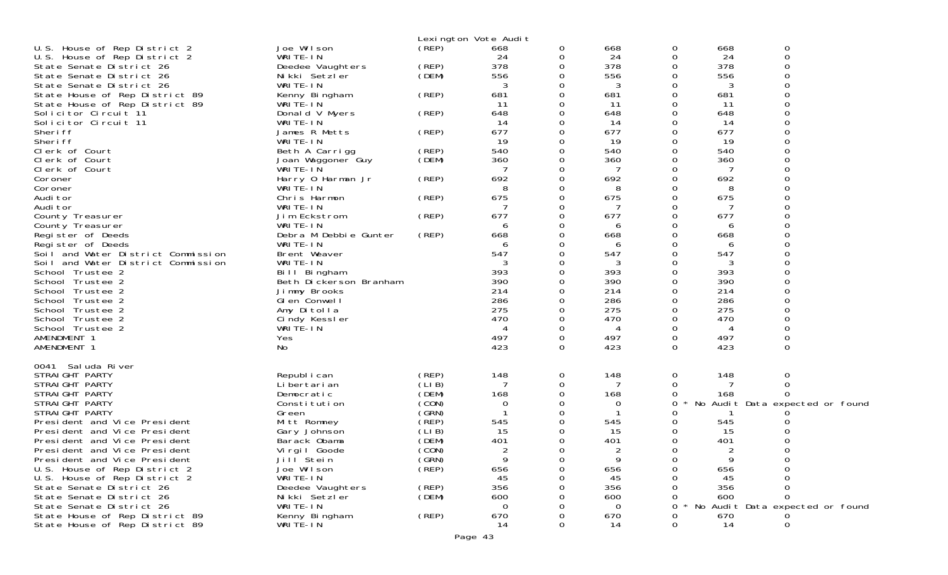|                                                |                                     |                | Lexington Vote Audit |               |            |          |            |                                 |
|------------------------------------------------|-------------------------------------|----------------|----------------------|---------------|------------|----------|------------|---------------------------------|
| U.S. House of Rep District 2                   | Joe Wilson                          | (REP)          | 668                  | 0             | 668        | 0        | 668        | 0                               |
| U.S. House of Rep District 2                   | WRITE-IN                            |                | 24                   | 0             | 24         | 0        | 24         | $\Omega$                        |
| State Senate District 26                       | Deedee Vaughters                    | (REP)          | 378                  | 0             | 378        | 0        | 378        | ∩                               |
| State Senate District 26                       | Nikki Setzler                       | (DEM)          | 556                  | 0             | 556        | 0        | 556        |                                 |
| State Senate District 26                       | WRITE-IN                            |                | 3                    | 0             | 3          | 0        | 3          |                                 |
| State House of Rep District 89                 | Kenny Bingham                       | (REP)          | 681                  | $\Omega$      | 681        | 0        | 681        |                                 |
| State House of Rep District 89                 | WRITE-IN                            |                | 11                   | 0             | 11         | 0        | 11         |                                 |
| Solicitor Circuit 11                           | Donald V Myers                      | (REP)          | 648                  | 0             | 648        | 0        | 648        |                                 |
| Solicitor Circuit 11                           | WRITE-IN                            |                | 14                   | 0             | 14         | 0        | 14         |                                 |
| Sheri ff                                       | James R Metts<br>WRITE-IN           | (REP)          | 677                  | 0             | 677        | 0<br>0   | 677        |                                 |
| Sheri ff<br>Clerk of Court                     |                                     | (REP)          | 19<br>540            | 0<br>0        | 19<br>540  | 0        | 19<br>540  |                                 |
| Clerk of Court                                 | Beth A Carrigg<br>Joan Waggoner Guy | (DEM)          | 360                  | 0             | 360        | 0        | 360        |                                 |
| Clerk of Court                                 | WRITE-IN                            |                |                      | 0             | 7          | $\Omega$ | 7          |                                 |
| Coroner                                        | Harry 0 Harman Jr                   | (REP)          | 692                  | 0             | 692        | 0        | 692        |                                 |
| Coroner                                        | WRITE-IN                            |                | 8                    | 0             | 8          | 0        | 8          |                                 |
| Audi tor                                       | Chris Harmon                        | (REP)          | 675                  | 0             | 675        | 0        | 675        |                                 |
| Audi tor                                       | WRITE-IN                            |                |                      | 0             |            | Ω        |            |                                 |
| County Treasurer                               | Jim Eckstrom                        | (REP)          | 677                  | 0             | 677        | 0        | 677        |                                 |
| County Treasurer                               | WRITE-IN                            |                | 6                    | 0             | 6          | Ω        | 6          |                                 |
| Register of Deeds                              | Debra M Debbie Gunter               | (REP)          | 668                  | 0             | 668        | Ω        | 668        |                                 |
| Register of Deeds                              | WRITE-IN                            |                | 6                    | 0             | 6          | 0        | 6          |                                 |
| Soil and Water District Commission             | Brent Weaver                        |                | 547                  | 0             | 547        | 0        | 547        |                                 |
| Soil and Water District Commission             | WRITE-IN                            |                | 3                    | 0             | 3          | 0        | 3          |                                 |
| School Trustee 2                               | Bill Bingham                        |                | 393                  | 0             | 393        | 0        | 393        |                                 |
| School Trustee 2<br>School Trustee 2           | Beth Dickerson Branham              |                | 390<br>214           | 0<br>$\Omega$ | 390<br>214 | 0<br>0   | 390<br>214 |                                 |
| School Trustee 2                               | Jimmy Brooks<br>GI en Conwell       |                | 286                  | 0             | 286        | 0        | 286        |                                 |
| School Trustee 2                               | Amy Ditolla                         |                | 275                  | 0             | 275        | 0        | 275        |                                 |
| School Trustee 2                               | Cindy Kessler                       |                | 470                  | 0             | 470        | 0        | 470        |                                 |
| School Trustee 2                               | WRITE-IN                            |                | 4                    | 0             | 4          | 0        | 4          |                                 |
| AMENDMENT 1                                    | Yes                                 |                | 497                  | 0             | 497        | 0        | 497        |                                 |
| AMENDMENT 1                                    | No.                                 |                | 423                  | $\Omega$      | 423        | $\Omega$ | 423        | $\Omega$                        |
|                                                |                                     |                |                      |               |            |          |            |                                 |
| 0041 Saluda River                              |                                     |                |                      |               |            |          |            |                                 |
| STRAIGHT PARTY                                 | Republ i can                        | (REP)          | 148                  | 0             | 148        | 0        | 148        | 0                               |
| STRAIGHT PARTY                                 | Li bertari an                       | (LIB)          | 7                    | 0             | 7          | 0        | 7          | 0                               |
| STRAIGHT PARTY                                 | Democratic                          | (DEM)          | 168                  | 0             | 168        | 0        | 168        | 0                               |
| STRAIGHT PARTY                                 | Constitution                        | (CON)<br>(GRN) | 0                    | 0             | 0          | 0<br>Ω   |            | No Audit Data expected or found |
| STRAIGHT PARTY<br>President and Vice President | Green<br>Mitt Romney                | (REP)          | 545                  | 0<br>0        | 545        |          | 545        |                                 |
| President and Vice President                   | Gary Johnson                        | (LIB)          | 15                   | 0             | 15         | 0        | 15         |                                 |
| President and Vice President                   | Barack Obama                        | (DEM)          | 401                  | 0             | 401        | 0        | 401        |                                 |
| President and Vice President                   | Vi rgi I Goode                      | (CON)          |                      | <sup>n</sup>  | 2          | $\Omega$ |            | ∩                               |
| President and Vice President                   | Jill <sup>Stein</sup>               | (GRN)          | 9                    | 0             | 9          | 0        | 9          |                                 |
| U.S. House of Rep District 2                   | Joe Wilson                          | (REP)          | 656                  |               | 656        |          | 656        |                                 |
| U.S. House of Rep District 2                   | WRITE-IN                            |                | 45                   |               | 45         |          | 45         |                                 |
| State Senate District 26                       | Deedee Vaughters                    | (REP)          | 356                  |               | 356        |          | 356        |                                 |
| State Senate District 26                       | Nikki Setzler                       | (DEM)          | 600                  |               | 600        |          | 600        |                                 |
| State Senate District 26                       | WRITE-IN                            |                | ∩                    |               | 0          |          |            | No Audit Data expected or found |
| State House of Rep District 89                 | Kenny Bingham                       | (REP)          | 670                  |               | 670        |          | 670        |                                 |
| State House of Rep District 89                 | WRITE-IN                            |                | 14                   | 0             | 14         | O        | 14         | 0                               |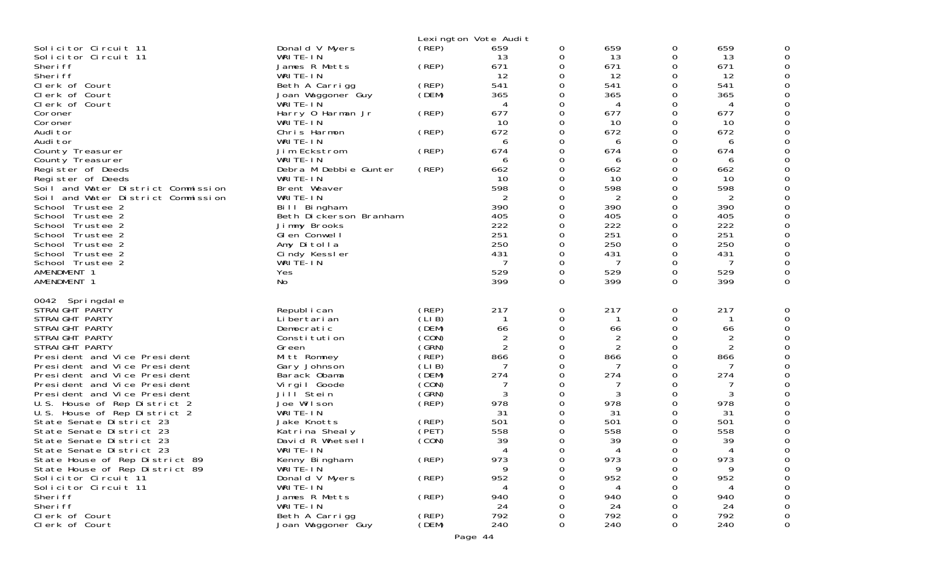| Solicitor Circuit 11<br>Solicitor Circuit 11<br>Sheri ff<br>Sheri ff<br>Clerk of Court<br>Clerk of Court<br>Clerk of Court<br>Coroner<br>Coroner<br>Audi tor<br>Audi tor<br>County Treasurer<br>County Treasurer<br>Register of Deeds<br>Register of Deeds<br>Soil and Water District Commission<br>Soil and Water District Commission<br>School Trustee 2<br>School Trustee 2<br>School Trustee 2<br>School Trustee 2<br>School Trustee 2<br>School Trustee 2<br>School Trustee 2<br>AMENDMENT 1<br>AMENDMENT 1                                                                                                                          | Donald V Myers<br>WRITE-IN<br>James R Metts<br>WRITE-IN<br>Beth A Carrigg<br>Joan Waggoner Guy<br>WRITE-IN<br>Harry 0 Harman Jr<br>WRITE-IN<br>Chris Harmon<br>WRITE-IN<br>Jim Eckstrom<br>WRITE-IN<br>Debra M Debbie Gunter<br>WRITE-IN<br>Brent Weaver<br>WRITE-IN<br>Bill Bingham<br>Beth Dickerson Branham<br>Jimmy Brooks<br>GI en Conwell<br>Amy Ditolla<br>Cindy Kessler<br>WRITE-IN<br>Yes<br>No | (REP)<br>(REP)<br>(REP)<br>(DEM)<br>(REP)<br>(REP)<br>(REP)<br>(REP)                                                                                                      | Lexington Vote Audit<br>659<br>13<br>671<br>12<br>541<br>365<br>4<br>677<br>10<br>672<br>6<br>674<br>6<br>662<br>10<br>598<br>2<br>390<br>405<br>222<br>251<br>250<br>431<br>7<br>529<br>399 | 0<br>0<br>0<br>0<br>ი<br>U<br>ი<br>ი<br>0<br>Ω<br>ი<br>ი<br>ი<br>Ω<br>0<br>0<br>0<br>0<br>0<br>0<br>0<br>0<br>0 | 659<br>13<br>671<br>12<br>541<br>365<br>4<br>677<br>10<br>672<br>6<br>674<br>6<br>662<br>10<br>598<br>2<br>390<br>405<br>222<br>251<br>250<br>431<br>7<br>529<br>399 | 0<br>0<br>0<br>0<br>0<br>0<br>0<br>0<br>0<br>0<br>0<br>0<br>0<br>0<br>0<br>0<br>0<br>0<br>0<br>0<br>0<br>0<br>0<br>0<br>0<br>$\Omega$ | 659<br>13<br>671<br>12<br>541<br>365<br>4<br>677<br>10<br>672<br>6<br>674<br>6<br>662<br>10<br>598<br>2<br>390<br>405<br>222<br>251<br>250<br>431<br>-7<br>529<br>399 | $\Omega$ |
|-------------------------------------------------------------------------------------------------------------------------------------------------------------------------------------------------------------------------------------------------------------------------------------------------------------------------------------------------------------------------------------------------------------------------------------------------------------------------------------------------------------------------------------------------------------------------------------------------------------------------------------------|----------------------------------------------------------------------------------------------------------------------------------------------------------------------------------------------------------------------------------------------------------------------------------------------------------------------------------------------------------------------------------------------------------|---------------------------------------------------------------------------------------------------------------------------------------------------------------------------|----------------------------------------------------------------------------------------------------------------------------------------------------------------------------------------------|-----------------------------------------------------------------------------------------------------------------|----------------------------------------------------------------------------------------------------------------------------------------------------------------------|---------------------------------------------------------------------------------------------------------------------------------------|-----------------------------------------------------------------------------------------------------------------------------------------------------------------------|----------|
| 0042 Springdale<br>STRAIGHT PARTY<br>STRAIGHT PARTY<br>STRAIGHT PARTY<br>STRAIGHT PARTY<br>STRAIGHT PARTY<br>President and Vice President<br>President and Vice President<br>President and Vice President<br>President and Vice President<br>President and Vice President<br>U.S. House of Rep District 2<br>U.S. House of Rep District 2<br>State Senate District 23<br>State Senate District 23<br>State Senate District 23<br>State Senate District 23<br>State House of Rep District 89<br>State House of Rep District 89<br>Solicitor Circuit 11<br>Solicitor Circuit 11<br>Sheri ff<br>Sheri ff<br>Clerk of Court<br>Clerk of Court | Republ i can<br>Li bertari an<br>Democratic<br>Constitution<br>Green<br>Mitt Romney<br>Gary Johnson<br>Barack Obama<br>Virgil Goode<br>Jill Stein<br>Joe Wilson<br>WRITE-IN<br>Jake Knotts<br>Katrina Shealy<br>David R Whetsell<br>WRITE-IN<br>Kenny Bingham<br>WRITE-IN<br>Donald V Myers<br>WRITE-IN<br>James R Metts<br>WRITE-IN<br>Beth A Carrigg<br>Joan Waggoner Guy                              | (REP)<br>(LI B)<br>(DEM)<br>(CON)<br>(GRN)<br>(REP)<br>(LI B)<br>(DEM)<br>(CON)<br>(GRN)<br>(REP)<br>(REP)<br>(PET)<br>(CON)<br>(REP)<br>(REP)<br>(REP)<br>(REP)<br>(DEM) | 217<br>-1<br>66<br>2<br>$\overline{2}$<br>866<br>7<br>274<br>7<br>3<br>978<br>31<br>501<br>558<br>39<br>Δ<br>973<br>Q.<br>952<br>4<br>940<br>24<br>792<br>240                                | 0<br>0<br>0<br>ი<br>0<br>0<br>0<br>0<br>0<br>0<br>0<br>0<br>0<br>0<br>0                                         | 217<br>66<br>2<br>2<br>866<br>274<br>3<br>978<br>31<br>501<br>558<br>39<br>973<br>Q<br>952<br>4<br>940<br>24<br>792<br>240                                           | 0<br>0<br>0<br>0<br>0<br>0<br>0<br>0<br>0<br>0<br>0<br>0<br>0<br>0<br>0<br>0<br>0<br>O<br>0<br>0<br>0                                 | 217<br>66<br>2<br>2<br>866<br>274<br>3<br>978<br>31<br>501<br>558<br>39<br>Δ<br>973<br>9<br>952<br>4<br>940<br>24<br>792<br>240                                       | 0        |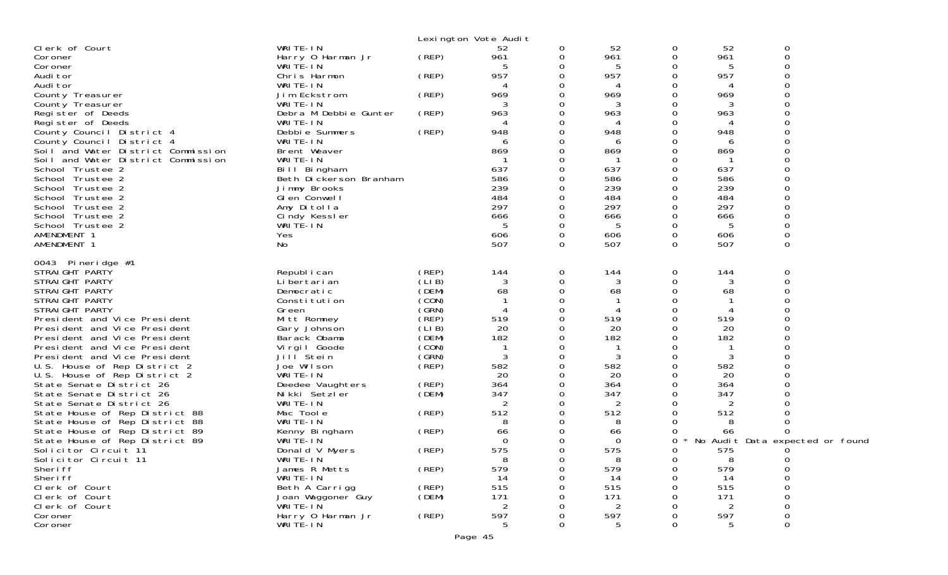|                                                              |                                        |                | Lexington Vote Audit  |                      |                       |               |            |                                 |  |
|--------------------------------------------------------------|----------------------------------------|----------------|-----------------------|----------------------|-----------------------|---------------|------------|---------------------------------|--|
| Clerk of Court                                               | WRITE-IN                               |                | 52                    | 0                    | 52                    | 0             | 52         | 0                               |  |
| Coroner                                                      | Harry 0 Harman Jr<br>WRITE-IN          | (REP)          | 961                   | 0<br>0               | 961<br>5              | 0<br>0        | 961<br>5   | $\Omega$                        |  |
| Coroner<br>Audi tor                                          | Chris Harmon                           | (REP)          | 957                   | 0                    | 957                   | 0             | 957        |                                 |  |
| Audi tor                                                     | WRITE-IN                               |                |                       | 0                    | Д                     | 0             |            |                                 |  |
| County Treasurer                                             | Jim Eckstrom                           | (REP)          | 969                   | 0                    | 969                   | 0             | 969        |                                 |  |
| County Treasurer                                             | WRITE-IN                               |                | 3                     | 0                    | 3                     | 0             | 3          |                                 |  |
| Register of Deeds                                            | Debra M Debbie Gunter                  | (REP)          | 963                   | 0                    | 963                   | 0             | 963        |                                 |  |
| Register of Deeds<br>County Council District 4               | WRITE-IN<br>Debbie Summers             | (REP)          | 4<br>948              | 0<br>0               | 4<br>948              | 0<br>0        | 4<br>948   |                                 |  |
| County Council District 4                                    | WRITE-IN                               |                | 6                     | 0                    | 6                     | Ω             | 6          |                                 |  |
| Soil and Water District Commission                           | Brent Weaver                           |                | 869                   | 0                    | 869                   | 0             | 869        |                                 |  |
| Soil and Water District Commission                           | WRITE-IN                               |                |                       | 0                    |                       | 0             | -1         |                                 |  |
| School Trustee 2                                             | Bill Bingham                           |                | 637                   | 0                    | 637                   |               | 637        |                                 |  |
| School Trustee 2<br>School Trustee 2                         | Beth Dickerson Branham<br>Jimmy Brooks |                | 586<br>239            | 0<br>0               | 586<br>239            | 0<br>0        | 586<br>239 |                                 |  |
| School Trustee 2                                             | GI en Conwell                          |                | 484                   | 0                    | 484                   | 0             | 484        |                                 |  |
| School Trustee 2                                             | Amy Ditolla                            |                | 297                   | 0                    | 297                   | 0             | 297        |                                 |  |
| School Trustee 2                                             | Cindy Kessler                          |                | 666                   | 0                    | 666                   | 0             | 666        |                                 |  |
| School Trustee 2                                             | WRITÉ-IN                               |                | -5                    | 0                    | 5                     | 0             | 5          |                                 |  |
| AMENDMENT 1<br>AMENDMENT 1                                   | Yes<br>No                              |                | 606<br>507            | $\Omega$<br>$\Omega$ | 606<br>507            | 0<br>$\Omega$ | 606<br>507 | 0                               |  |
|                                                              |                                        |                |                       |                      |                       |               |            |                                 |  |
| 0043 Pineridge #1                                            |                                        |                |                       |                      |                       |               |            |                                 |  |
| STRAIGHT PARTY                                               | Republ i can                           | (REP)          | 144                   | 0                    | 144                   | 0             | 144        | 0<br>∩                          |  |
| STRAIGHT PARTY<br>STRAIGHT PARTY                             | Li bertari an<br>Democratic            | (LIB)<br>(DEM) | 3<br>68               | 0<br>$\Omega$        | 3<br>68               | 0<br>0        | 3<br>68    |                                 |  |
| STRAIGHT PARTY                                               | Constitution                           | (CON)          |                       | 0                    |                       | 0             |            |                                 |  |
| STRAIGHT PARTY                                               | Green                                  | (GRN)          | 4                     | 0                    | 4                     | 0             |            |                                 |  |
| President and Vice President                                 | Mitt Romney                            | $($ REP)       | 519                   | 0                    | 519                   | 0             | 519        |                                 |  |
| President and Vice President                                 | Gary Johnson                           | (LIB)          | 20                    | 0                    | 20                    | 0             | 20         |                                 |  |
| President and Vice President<br>President and Vice President | Barack Obama<br>Virgil Goode           | (DEM)<br>(CON) | 182                   | 0<br>0               | 182<br>-1             | 0<br>O        | 182        |                                 |  |
| President and Vice President                                 | Jill Stein                             | (SRN)          | 3                     | 0                    | 3                     | 0             | 3          |                                 |  |
| U.S. House of Rep District 2                                 | Joe Wilson                             | (REP)          | 582                   | 0                    | 582                   | 0             | 582        |                                 |  |
| U.S. House of Rep District 2                                 | WRITE-IN                               |                | 20                    | 0                    | 20                    | 0             | 20         |                                 |  |
| State Senate District 26                                     | Deedee Vaughters                       | (REP)          | 364                   | 0                    | 364                   | 0             | 364        |                                 |  |
| State Senate District 26<br>State Senate District 26         | Nikki Setzler<br>WRITE-IN              | (DEM)          | 347<br>$\overline{2}$ | 0<br>0               | 347<br>$\overline{2}$ | Ω<br>0        | 347<br>2   |                                 |  |
| State House of Rep District 88                               | Mac Toole                              | (REP)          | 512                   | 0                    | 512                   |               | 512        |                                 |  |
| State House of Rep District 88                               | WRITE-IN                               |                | 8                     |                      | 8                     | Ω             | 8          |                                 |  |
| State House of Rep District 89                               | Kenny Bingham                          | (REP)          | 66                    | 0                    | 66                    | Ω             | 66         |                                 |  |
| State House of Rep District 89                               | WRITE-IN                               |                | 0                     | 0                    | 0                     | 0             |            | No Audit Data expected or found |  |
| Solicitor Circuit 11<br>Solicitor Circuit 11                 | Donald V Myers<br>WRITE-IN             | (REP)          | 575<br>8              | <sup>n</sup><br>0    | 575<br>8              | 0<br>0        | 575<br>8   | $\Omega$<br>0                   |  |
| Sheri ff                                                     | James R Metts                          | (REP)          | 579                   | 0                    | 579                   | 0             | 579        |                                 |  |
| Sheri ff                                                     | WRITE-IN                               |                | 14                    | O                    | 14                    | Ω             | 14         |                                 |  |
| Clerk of Court                                               | Beth A Carrigg                         | (REP)          | 515                   |                      | 515                   |               | 515        |                                 |  |
| Clerk of Court                                               | Joan Waggoner Guy                      | (DEM)          | 171                   |                      | 171                   |               | 171        |                                 |  |
| Clerk of Court                                               | WRITE-IN                               |                | 2                     |                      |                       |               |            |                                 |  |
| Coroner<br>Coroner                                           | Harry 0 Harman Jr<br>WRITE-IN          | (REP)          | 597                   | O<br>0               | 597<br>5              | Ω<br>O        | 597        | 0                               |  |
|                                                              |                                        |                |                       |                      |                       |               |            |                                 |  |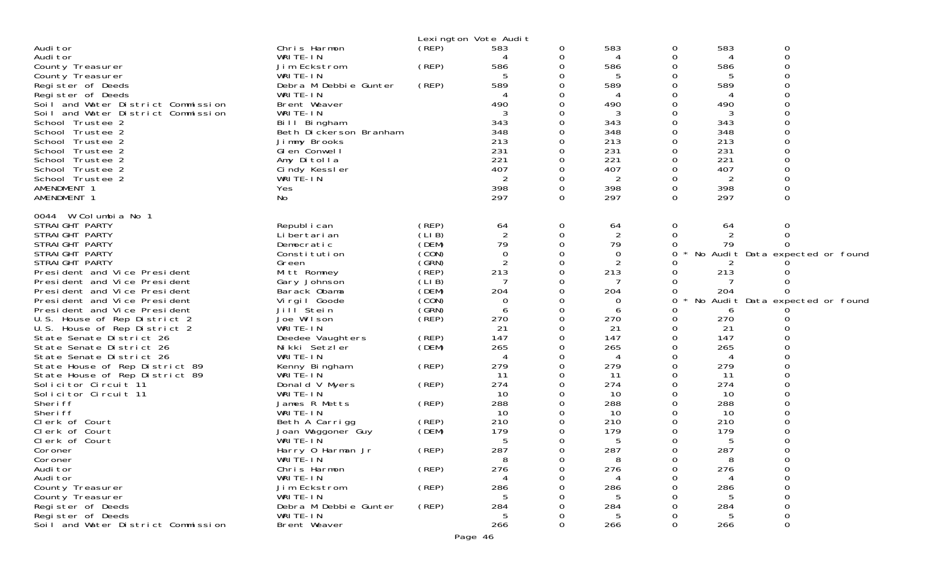|                                                                  |                           |       | Lexington Vote Audit               |          |                |               |          |                                 |
|------------------------------------------------------------------|---------------------------|-------|------------------------------------|----------|----------------|---------------|----------|---------------------------------|
| Audi tor                                                         | Chris Harmon              | (REP) | 583                                | 0        | 583            | 0             | 583      | 0                               |
| Audi tor                                                         | WRITE-IN                  |       | 4                                  | 0        | 4              | 0             | 4        | $\Omega$                        |
| County Treasurer                                                 | Jim Eckstrom              | (REP) | 586                                | 0        | 586            | ∩             | 586      |                                 |
| County Treasurer                                                 | WRITE-IN                  |       | 5                                  | 0        | 5              | O             | 5        |                                 |
| Register of Deeds                                                | Debra M Debbie Gunter     | (REP) | 589                                | 0        | 589            |               | 589      |                                 |
| Register of Deeds                                                | WRITE-IN                  |       |                                    | 0        |                | ∩             |          |                                 |
| Soil and Water District Commission                               | Brent Weaver              |       | 490                                | 0        | 490            | 0             | 490      |                                 |
| Soil and Water District Commission                               | WRITE-IN                  |       | 3                                  | 0        | 3              | ∩             | 3        |                                 |
| School Trustee 2                                                 | Bill Bingham              |       | 343                                | $\Omega$ | 343            | $\Omega$      | 343      |                                 |
| School Trustee 2                                                 | Beth Dickerson Branham    |       | 348                                | 0        | 348            | 0             | 348      |                                 |
| School Trustee 2                                                 | Jimmy Brooks              |       | 213                                | 0        | 213            | $\Omega$      | 213      |                                 |
| School Trustee 2                                                 | GI en Conwel I            |       | 231                                | 0        | 231            | ∩             | 231      |                                 |
| School Trustee 2                                                 | Amy Ditolla               |       | 221                                | 0        | 221            | 0             | 221      |                                 |
| School Trustee 2                                                 | Cindy Kessler             |       | 407                                | 0        | 407            | $\Omega$      | 407      |                                 |
| School Trustee 2                                                 | WRITE-IN                  |       | 2                                  | 0        | 2              | ∩             |          |                                 |
| AMENDMENT 1                                                      | Yes                       |       | 398                                | 0        | 398            | 0             | 398      |                                 |
| AMENDMENT 1                                                      | No                        |       | 297                                | 0        | 297            | $\Omega$      | 297      | 0                               |
| 0044 W Columbia No 1                                             |                           |       |                                    |          |                |               |          |                                 |
| STRAIGHT PARTY                                                   | Republ i can              | (REP) | 64                                 | 0        | 64             | 0             | 64       | 0                               |
| STRAIGHT PARTY                                                   | Li bertari an             | (LIB) | $\overline{2}$                     | 0        | $\overline{2}$ | 0             |          |                                 |
| STRAIGHT PARTY                                                   | Democratic                | (DEM) | 79                                 | 0        | 79             | 0             | 79       |                                 |
| STRAIGHT PARTY                                                   | Constitution              | (CON) | 0                                  | 0        | 0              | 0             |          | No Audit Data expected or found |
| STRAIGHT PARTY                                                   | Green                     | (GRN) | $\overline{2}$                     | 0        | $\overline{2}$ |               |          |                                 |
| President and Vice President                                     | Mitt Romney               | (REP) | 213                                | 0        | 213            | 0             | 213      |                                 |
| President and Vice President                                     | Gary Johnson              | (LIB) | 7                                  | 0        |                | 0             |          |                                 |
| President and Vice President                                     | Barack Obama              | (DEM) | 204                                | 0        | 204            | 0             | 204      |                                 |
| President and Vice President                                     | Vi rgi I Goode            | (CON) | 0                                  | 0        | 0              | 0             |          | No Audit Data expected or found |
| President and Vice President                                     | Jill <sup>Stein</sup>     | (GRN) | 6                                  | 0        | 6              |               | 6        |                                 |
| U.S. House of Rep District 2                                     | Joe Wilson                | (REP) | 270                                | 0        | 270            | 0             | 270      |                                 |
| U.S. House of Rep District 2                                     | WRITE-IN                  |       | 21                                 | 0        | 21             | 0             | 21       |                                 |
| State Senate District 26                                         | Deedee Vaughters          | (REP) | 147                                | 0        | 147            | 0             | 147      |                                 |
| State Senate District 26                                         | Nikki Setzler             | (DEM) | 265<br>$\boldsymbol{\vartriangle}$ | 0        | 265            | ∩             | 265      |                                 |
| State Senate District 26                                         | WRITE-IN                  |       | 279                                | 0<br>0   | 4<br>279       | 0<br>$\Omega$ | 4<br>279 |                                 |
| State House of Rep District 89<br>State House of Rep District 89 | Kenny Bingham<br>WRITE-IN | (REP) | 11                                 | 0        | 11             | ∩             | 11       |                                 |
| Solicitor Circuit 11                                             | Donald V Myers            | (REP) | 274                                | 0        | 274            | 0             | 274      |                                 |
| Solicitor Circuit 11                                             | WRITE-IN                  |       | 10                                 | 0        | 10             | 0             | 10       |                                 |
| Sheri ff                                                         | James R Metts             | (REP) | 288                                | 0        | 288            | ∩             | 288      |                                 |
| Sheri ff                                                         | WRITE-IN                  |       | 10                                 | 0        | 10             | 0             | 10       |                                 |
| Clerk of Court                                                   | Beth A Carrigg            | (REP) | 210                                |          | 210            | ∩             | 210      |                                 |
| Clerk of Court                                                   | Joan Waggoner Guy         | (DEM) | 179                                | 0        | 179            | O             | 179      |                                 |
| Clerk of Court                                                   | WRITE-IN                  |       | 5                                  | 0        | 5              | O             | 5        |                                 |
| Coroner                                                          | Harry 0 Harman Jr         | (REP) | 287                                | 0        | 287            | 0             | 287      |                                 |
| Coroner                                                          | WRITE-IN                  |       | 8                                  | 0        | 8              | 0             | 8        |                                 |
| Audi tor                                                         | Chris Harmon              | (REP) | 276                                | 0        | 276            |               | 276      |                                 |
| Audi tor                                                         | WRITE-IN                  |       |                                    |          | 4              |               |          |                                 |
| County Treasurer                                                 | Jim Eckstrom              | (REP) | 286                                |          | 286            |               | 286      |                                 |
| County Treasurer                                                 | WRITE-IN                  |       | 5                                  |          |                |               |          |                                 |
| Register of Deeds                                                | Debra M Debbie Gunter     | (REP) | 284                                |          | 284            |               | 284      |                                 |
| Register of Deeds                                                | WRITE-IN                  |       | 5                                  |          | 5              |               | 5        |                                 |
| Soil and Water District Commission                               | Brent Weaver              |       | 266                                | 0        | 266            | ∩             | 266      | $\Omega$                        |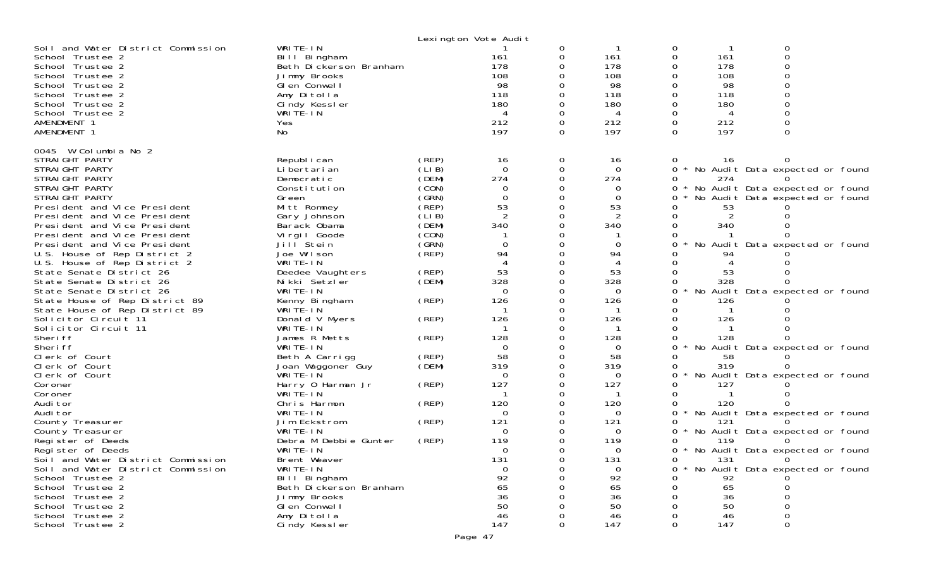|                                                                            |                                                    |                | Lexington Vote Audit |          |                 |               |            |                                   |  |
|----------------------------------------------------------------------------|----------------------------------------------------|----------------|----------------------|----------|-----------------|---------------|------------|-----------------------------------|--|
| Soil and Water District Commission<br>School Trustee 2<br>School Trustee 2 | WRITE-IN<br>Bill Bingham<br>Beth Dickerson Branham |                | 161<br>178           | 0        | 161<br>178      | 0<br>$\Omega$ | 161<br>178 | 0<br>$\Omega$                     |  |
| School Trustee 2<br>School Trustee 2                                       | Jimmy Brooks<br>GI en Conwell                      |                | 108<br>98            |          | 108<br>98       |               | 108<br>98  |                                   |  |
| School Trustee 2                                                           | Amy Ditolla                                        |                | 118                  |          | 118             |               | 118        |                                   |  |
| School Trustee 2                                                           | Cindy Kessler                                      |                | 180                  |          | 180             |               | 180        |                                   |  |
| School Trustee 2<br>AMENDMENT 1                                            | WRITÉ-IN<br>Yes                                    |                | 4<br>212             | $\Omega$ | 4<br>212        |               | 4<br>212   |                                   |  |
| AMENDMENT 1                                                                | No                                                 |                | 197                  | $\Omega$ | 197             | $\Omega$      | 197        | $\Omega$                          |  |
| 0045 W Columbia No 2                                                       |                                                    |                |                      |          |                 |               |            |                                   |  |
| STRAIGHT PARTY<br>STRAIGHT PARTY                                           | Republ i can<br>Li bertari an                      | (REP)<br>(LIB) | 16<br>$\Omega$       | 0<br>0   | 16<br>$\Omega$  | $\Omega$      | 16         | * No Audit Data expected or found |  |
| STRAIGHT PARTY                                                             | Democratic                                         | (DEM)          | 274                  | $\Omega$ | 274             |               | 274        |                                   |  |
| STRAIGHT PARTY                                                             | Constitution                                       | (CON)          | 0                    |          | 0               | 0             |            | * No Audit Data expected or found |  |
| STRAIGHT PARTY                                                             | Green                                              | (GRN)          | $\Omega$             |          | $\Omega$        | 0             |            | No Audit Data expected or found   |  |
| President and Vice President<br>President and Vice President               | Mitt Romney<br>Gary Johnson                        | (REP)<br>(LIB) | 53<br>2              | 0        | 53<br>2         |               | 53         |                                   |  |
| President and Vice President                                               | Barack Obama                                       | (DEM)          | 340                  |          | 340             |               | 340        |                                   |  |
| President and Vice President                                               | Virgil Goode                                       | (CON)          |                      |          |                 |               |            |                                   |  |
| President and Vice President                                               | Jill Stein                                         | (GRN)          | $\Omega$             |          | $\Omega$        |               |            | No Audit Data expected or found   |  |
| U.S. House of Rep District 2                                               | Joe Wilson                                         | (REP)          | 94                   |          | 94<br>4         |               | 94         |                                   |  |
| U.S. House of Rep District 2<br>State Senate District 26                   | WRITE-IN<br>Deedee Vaughters                       | (REP)          | 53                   | 0        | 53              |               | 53         |                                   |  |
| State Senate District 26                                                   | Nikki Setzler                                      | (DEM)          | 328                  |          | 328             |               | 328        |                                   |  |
| State Senate District 26                                                   | WRITE-IN                                           |                | $\Omega$             |          | $\Omega$        | 0             |            | No Audit Data expected or found   |  |
| State House of Rep District 89                                             | Kenny Bingham                                      | (REP)          | 126                  | 0        | 126             |               | 126        |                                   |  |
| State House of Rep District 89<br>Solicitor Circuit 11                     | WRITÉ-IN                                           | (REP)          | 126                  |          | 126             |               | 126        |                                   |  |
| Solicitor Circuit 11                                                       | Donald V Myers<br>WRITE-IN                         |                |                      |          | -1              |               |            |                                   |  |
| Sheri ff                                                                   | James R Metts                                      | (REP)          | 128                  |          | 128             |               | 128        |                                   |  |
| Sheri ff                                                                   | WRITE-IN                                           |                | $\Omega$             |          | $\Omega$        | 0             |            | No Audit Data expected or found   |  |
| Clerk of Court                                                             | Beth A Carrigg                                     | (REP)          | 58                   |          | 58              |               | 58         |                                   |  |
| Clerk of Court<br>Clerk of Court                                           | Joan Waggoner Guy<br>WRITE-IN                      | (DEM)          | 319<br>0             | 0        | 319<br>$\Omega$ |               | 319        | No Audit Data expected or found   |  |
| Coroner                                                                    | Harry 0 Harman Jr                                  | (REP)          | 127                  |          | 127             |               | 127        |                                   |  |
| Coroner                                                                    | WRITE-IN                                           |                |                      |          |                 |               |            |                                   |  |
| Audi tor                                                                   | Chris Harmon                                       | (REP)          | 120                  |          | 120             |               | 120        |                                   |  |
| Audi tor                                                                   | WRITE-IN<br>Jim Eckstrom                           | (REP)          | 0<br>121             |          | $\Omega$<br>121 | 0<br>0        | 121        | No Audit Data expected or found   |  |
| County Treasurer<br>County Treasurer                                       | WRITE-IN                                           |                | $\Omega$             |          | $\Omega$        |               |            | No Audit Data expected or found   |  |
| Register of Deeds                                                          | Debra M Debbie Gunter                              | (REP)          | 119                  |          | 119             |               | 119        |                                   |  |
| Register of Deeds                                                          | WRITE-IN                                           |                | $\Omega$             |          | $\Omega$        | 0             |            | * No Audit Data expected or found |  |
| Soil and Water District Commission                                         | Brent Weaver                                       |                | 131                  |          | 131             |               | 131        | 0                                 |  |
| Soil and Water District Commission<br>School Trustee 2                     | WRITE-IN<br>Bill Bingham                           |                | 0<br>92              |          | 0<br>92         |               | 92         | No Audit Data expected or found   |  |
| School Trustee 2                                                           | Beth Dickerson Branham                             |                | 65                   |          | 65              |               | 65         |                                   |  |
| School Trustee 2                                                           | Jimmy Brooks                                       |                | 36                   |          | 36              |               | 36         |                                   |  |
| School Trustee 2                                                           | GI en Conwell                                      |                | 50                   |          | 50              |               | 50         |                                   |  |
| School Trustee 2                                                           | Amy Ditolla                                        |                | 46                   |          | 46              |               | 46         |                                   |  |
| School Trustee 2                                                           | Cindy Kessler                                      |                | 147                  |          | 147             |               | 147        |                                   |  |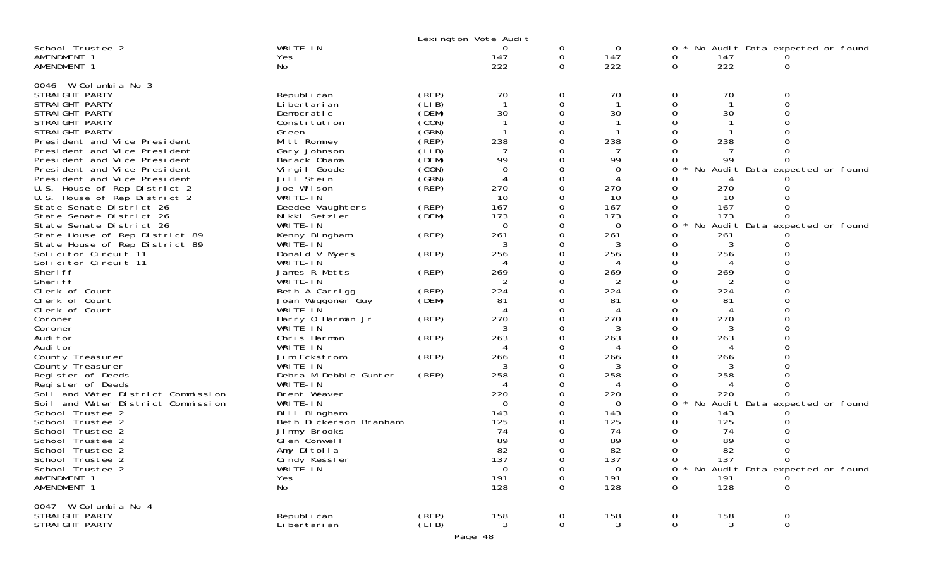|                                                                                                                                                                                                                                                                                                                                                                                                                                                                                                                                                                                                                                                                                                                                                                                                                                                                                                                                                      |                                                                                                                                                                                                                                                                                                                                                                                                                                                                                                                                                                                                                        |                                                                                                                                                                                                     | Lexington Vote Audit                                                                                                                                                                                                          |                                                                                                                                                                                          |                                                                                                                                                                                                                             |                                                                                                                      |                                                                                                                                                                                       |                                                                                                                                                       |  |
|------------------------------------------------------------------------------------------------------------------------------------------------------------------------------------------------------------------------------------------------------------------------------------------------------------------------------------------------------------------------------------------------------------------------------------------------------------------------------------------------------------------------------------------------------------------------------------------------------------------------------------------------------------------------------------------------------------------------------------------------------------------------------------------------------------------------------------------------------------------------------------------------------------------------------------------------------|------------------------------------------------------------------------------------------------------------------------------------------------------------------------------------------------------------------------------------------------------------------------------------------------------------------------------------------------------------------------------------------------------------------------------------------------------------------------------------------------------------------------------------------------------------------------------------------------------------------------|-----------------------------------------------------------------------------------------------------------------------------------------------------------------------------------------------------|-------------------------------------------------------------------------------------------------------------------------------------------------------------------------------------------------------------------------------|------------------------------------------------------------------------------------------------------------------------------------------------------------------------------------------|-----------------------------------------------------------------------------------------------------------------------------------------------------------------------------------------------------------------------------|----------------------------------------------------------------------------------------------------------------------|---------------------------------------------------------------------------------------------------------------------------------------------------------------------------------------|-------------------------------------------------------------------------------------------------------------------------------------------------------|--|
| School Trustee 2<br>AMENDMENT 1<br>AMENDMENT 1                                                                                                                                                                                                                                                                                                                                                                                                                                                                                                                                                                                                                                                                                                                                                                                                                                                                                                       | WRITE-IN<br>Yes<br>No                                                                                                                                                                                                                                                                                                                                                                                                                                                                                                                                                                                                  |                                                                                                                                                                                                     | O<br>147<br>222                                                                                                                                                                                                               | 0<br>0<br>0                                                                                                                                                                              | 0<br>147<br>222                                                                                                                                                                                                             | 0<br>0<br>0                                                                                                          | 147<br>222                                                                                                                                                                            | No Audit Data expected or found<br>0                                                                                                                  |  |
| 0046 W Columbia No 3<br>STRAIGHT PARTY<br>STRAIGHT PARTY<br>STRAIGHT PARTY<br>STRAIGHT PARTY<br>STRAIGHT PARTY<br>President and Vice President<br>President and Vice President<br>President and Vice President<br>President and Vice President<br>President and Vice President<br>U.S. House of Rep District 2<br>U.S. House of Rep District 2<br>State Senate District 26<br>State Senate District 26<br>State Senate District 26<br>State House of Rep District 89<br>State House of Rep District 89<br>Solicitor Circuit 11<br>Solicitor Circuit 11<br>Sheri ff<br>Sheri ff<br>Clerk of Court<br>Clerk of Court<br>Clerk of Court<br>Coroner<br>Coroner<br>Audi tor<br>Audi tor<br>County Treasurer<br>County Treasurer<br>Register of Deeds<br>Register of Deeds<br>Soil and Water District Commission<br>Soil and Water District Commission<br>School Trustee 2<br>School Trustee 2<br>School Trustee 2<br>School Trustee 2<br>School Trustee 2 | Republ i can<br>Li bertari an<br>Democratic<br>Constitution<br>Green<br>Mitt Romney<br>Gary Johnson<br>Barack Obama<br>Virgil Goode<br>Jill <sup>Stein</sup><br>Joe Wilson<br>WRITE-IN<br>Deedee Vaughters<br>Nikki Setzler<br>WRITE-IN<br>Kenny Bingham<br>WRITE-IN<br>Donald V Myers<br>WRITE-IN<br>James R Metts<br>WRITE-IN<br>Beth A Carrigg<br>Joan Waggoner Guy<br>WRITE-IN<br>Harry 0 Harman Jr<br>WRITE-IN<br>Chris Harmon<br>WRITE-IN<br>Jim Eckstrom<br>WRITE-IN<br>Debra M Debbie Gunter<br>WRITE-IN<br>Brent Weaver<br>WRITE-IN<br>Bill Bingham<br>Beth Dickerson Branham<br>Jimmy Brooks<br>Glen Conwell | (REP)<br>(LIB)<br>(DEM)<br>(CON)<br>(GRN)<br>(REP)<br>(LI B)<br>(DEM)<br>(CON)<br>(GRN)<br>(REP)<br>(REP)<br>(DEM)<br>(REP)<br>(REP)<br>(REP)<br>(REP)<br>(DEM)<br>(REP)<br>(REP)<br>(REP)<br>(REP) | 70<br>$\mathbf{1}$<br>30<br>238<br>99<br>$\Omega$<br>4<br>270<br>10<br>167<br>173<br>$\Omega$<br>261<br>3<br>256<br>269<br>224<br>81<br>270<br>263<br>4<br>266<br>258<br>4<br>220<br>$\Omega$<br>143<br>125<br>74<br>89<br>82 | 0<br>0<br>0<br>$\Omega$<br>0<br>0<br>0<br>0<br>0<br>0<br>0<br>0<br>0<br>0<br>0<br>0<br>0<br>0<br>0<br>0<br>0<br>0<br>0<br>0<br>0<br>0<br>0<br>0<br>0<br>0<br>0<br>0<br>0<br><sup>n</sup> | 70<br>-1<br>30<br>238<br>99<br>0<br>4<br>270<br>10<br>167<br>173<br>$\Omega$<br>261<br>3<br>256<br>269<br>2<br>224<br>81<br>4<br>270<br>3<br>263<br>4<br>266<br>258<br>4<br>220<br>$\Omega$<br>143<br>125<br>74<br>89<br>82 | 0<br>0<br>O<br>0<br>0<br>0<br>0<br>0<br>0<br>0<br>0<br>O<br>0<br>O<br>O<br>0<br>O<br>0<br>0<br>0<br>0<br>0<br>Ω<br>0 | 70<br>30<br>238<br>99<br>270<br>10<br>167<br>173<br>No<br>261<br>3<br>256<br>269<br>224<br>81<br>270<br>3<br>263<br>4<br>266<br>258<br>4<br>220<br>No<br>143<br>125<br>74<br>89<br>82 | 0<br>0<br>$\Omega$<br>0<br>No Audit Data expected or found<br>0<br>Audit Data expected or found<br>$\Omega$<br>0<br>Audit Data expected or found<br>0 |  |
| School Trustee 2<br>School Trustee 2<br>AMENDMENT 1<br>AMENDMENT 1                                                                                                                                                                                                                                                                                                                                                                                                                                                                                                                                                                                                                                                                                                                                                                                                                                                                                   | Amy Ditolla<br>Cindy Kessler<br>WRITE-IN<br>Yes<br>No                                                                                                                                                                                                                                                                                                                                                                                                                                                                                                                                                                  |                                                                                                                                                                                                     | ັບ∠<br>137<br>$\mathbf 0$<br>191<br>128                                                                                                                                                                                       | 0<br>0<br>0<br>0                                                                                                                                                                         | 137<br>0<br>191<br>128                                                                                                                                                                                                      | 0<br>0<br>0<br>0                                                                                                     | 137<br>191<br>128                                                                                                                                                                     | $\Omega$<br>No Audit Data expected or found<br>0                                                                                                      |  |
| 0047 W Columbia No 4<br>STRAIGHT PARTY<br>STRAIGHT PARTY                                                                                                                                                                                                                                                                                                                                                                                                                                                                                                                                                                                                                                                                                                                                                                                                                                                                                             | Republ i can<br>Li bertari an                                                                                                                                                                                                                                                                                                                                                                                                                                                                                                                                                                                          | (REP)<br>(LIB)                                                                                                                                                                                      | 158<br>3                                                                                                                                                                                                                      | 0<br>0                                                                                                                                                                                   | 158<br>3                                                                                                                                                                                                                    | 0<br>0                                                                                                               | 158<br>3                                                                                                                                                                              | 0<br>$\mathbf 0$                                                                                                                                      |  |
|                                                                                                                                                                                                                                                                                                                                                                                                                                                                                                                                                                                                                                                                                                                                                                                                                                                                                                                                                      |                                                                                                                                                                                                                                                                                                                                                                                                                                                                                                                                                                                                                        |                                                                                                                                                                                                     | Page 48                                                                                                                                                                                                                       |                                                                                                                                                                                          |                                                                                                                                                                                                                             |                                                                                                                      |                                                                                                                                                                                       |                                                                                                                                                       |  |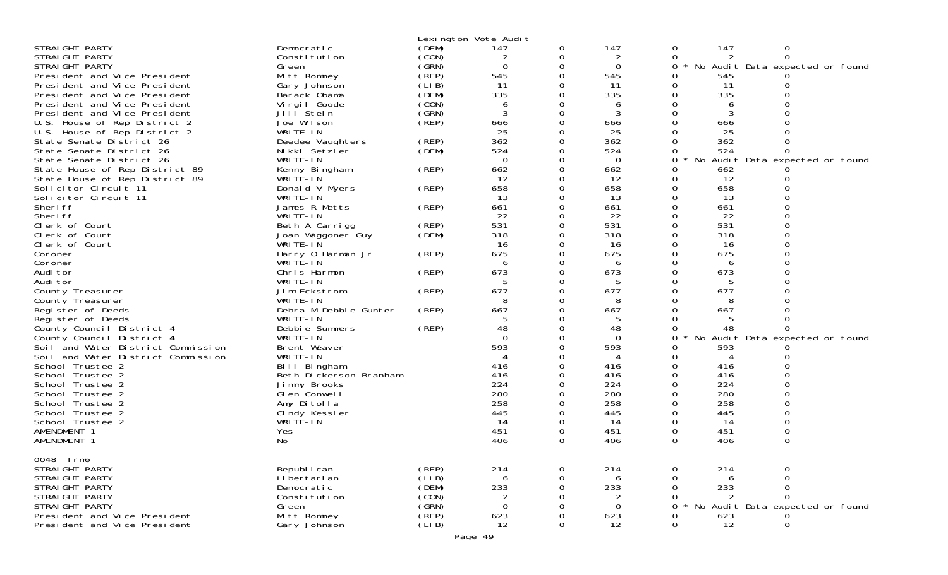|                                    |                        |             | Lexington Vote Audit |          |             |          |     |                                 |  |
|------------------------------------|------------------------|-------------|----------------------|----------|-------------|----------|-----|---------------------------------|--|
| STRAIGHT PARTY                     | Democratic             | (DEM)       | 147                  | 0        | 147         | 0        | 147 | $\mathbf 0$                     |  |
| STRAIGHT PARTY                     | Constitution           | (CON)       | 2                    | 0        | 2           | 0        | 2   | $\Omega$                        |  |
| STRAIGHT PARTY                     | Green                  | (GRN)       | $\Omega$             | 0        | 0           | 0        |     | No Audit Data expected or found |  |
| President and Vice President       | Mitt Romney            | (REP)       | 545                  | 0        | 545         | 0        | 545 |                                 |  |
| President and Vice President       | Gary Johnson           | (LIB)       | 11                   |          | 11          | 0        | 11  |                                 |  |
| President and Vice President       | Barack Obama           | (DEM)       | 335                  | 0        | 335         | 0        | 335 |                                 |  |
| President and Vice President       | Virgil Goode           | (CON)       | 6                    |          | 6           | 0        | 6   |                                 |  |
| President and Vice President       | Jill <sup>Stein</sup>  | (GRN)       | 3                    | 0        | 3           | 0        | 3   |                                 |  |
| U.S. House of Rep District 2       | Joe Wilson             | (REP)       | 666                  | 0        | 666         | 0        | 666 |                                 |  |
| U.S. House of Rep District 2       | WRITE-IN               |             | 25                   |          | 25          |          | 25  |                                 |  |
| State Senate District 26           | Deedee Vaughters       | (REP)       | 362                  |          | 362         |          | 362 |                                 |  |
| State Senate District 26           | Nikki Setzler          | (DEM)       | 524                  | 0        | 524         | 0        | 524 |                                 |  |
| State Senate District 26           | WRITE-IN               |             | $\Omega$             |          | $\mathbf 0$ | 0        |     | No Audit Data expected or found |  |
| State House of Rep District 89     | Kenny Bingham          | (REP)       | 662                  |          | 662         | 0        | 662 |                                 |  |
| State House of Rep District 89     | WRITE-IN               |             | 12                   | 0        | 12          | 0        | 12  |                                 |  |
| Solicitor Circuit 11               | Donald V Myers         | (REP)       | 658                  | 0        | 658         | 0        | 658 |                                 |  |
| Solicitor Circuit 11               | WRITE-IN               |             | 13                   | 0        | 13          | 0        | 13  |                                 |  |
| Sheri ff                           | James R Metts          | (REP)       | 661                  | 0        | 661         | 0        | 661 |                                 |  |
| Sheri ff                           | WRITE-IN               |             | 22                   |          | 22          | 0        | 22  |                                 |  |
| Clerk of Court                     | Beth A Carrigg         | (REP)       | 531                  | 0        | 531         | $\Omega$ | 531 |                                 |  |
| Clerk of Court                     | Joan Waggoner Guy      | (DEM)       | 318                  |          | 318         | 0        | 318 |                                 |  |
| Clerk of Court                     | WRITE-IN               |             | 16                   |          | 16          | 0        | 16  |                                 |  |
| Coroner                            | Harry 0 Harman Jr      | (REP)       | 675                  | $\Omega$ | 675         | $\Omega$ | 675 |                                 |  |
| Coroner                            | WRITE-IN               |             | 6                    |          | 6           | 0        | 6   |                                 |  |
| Audi tor                           | Chris Harmon           | (REP)       | 673                  | 0        | 673         | 0        | 673 |                                 |  |
| Audi tor                           | WRITE-IN               |             |                      | 0        | 5           | $\Omega$ | 5   |                                 |  |
| County Treasurer                   | Jim Eckstrom           | (REP)       | 677                  | 0        | 677         | 0        | 677 |                                 |  |
| County Treasurer                   | WRITE-IN               |             |                      |          | 8           | 0        | 8   |                                 |  |
| Register of Deeds                  | Debra M Debbie Gunter  | (REP)       | 667                  | 0        | 667         | $\Omega$ | 667 |                                 |  |
| Register of Deeds                  | WRITE-IN               |             | 5                    |          | 5           |          | 5   |                                 |  |
| County Council District 4          | Debbie Summers         | (REP)       | 48                   |          | 48          | Ω        | 48  |                                 |  |
| County Council District 4          | WRITE-IN               |             | $\Omega$             | $\Omega$ | $\Omega$    | 0        |     | No Audit Data expected or found |  |
| Soil and Water District Commission | Brent Weaver           |             | 593                  | 0        | 593         | 0        | 593 |                                 |  |
| Soil and Water District Commission | WRITE-IN               |             |                      |          | 4           | 0        |     |                                 |  |
| School Trustee 2                   | Bill Bingham           |             | 416                  |          | 416         | $\Omega$ | 416 |                                 |  |
| School Trustee 2                   | Beth Dickerson Branham |             | 416                  |          | 416         | 0        | 416 |                                 |  |
| School Trustee 2                   | Jimmy Brooks           |             | 224                  |          | 224         | 0        | 224 |                                 |  |
| School Trustee 2                   | GI en Conwell          |             | 280                  |          | 280         | $\Omega$ | 280 |                                 |  |
| School Trustee 2                   | Amy Ditolla            |             | 258                  |          | 258         | 0        | 258 |                                 |  |
| School Trustee 2                   | Cindy Kessler          |             | 445                  |          | 445         | 0        | 445 |                                 |  |
| School Trustee 2                   | WRITE-IN               |             | 14                   | 0        | 14          | 0        | 14  |                                 |  |
| AMENDMENT 1                        | Yes                    |             | 451                  | 0        | 451         | 0        | 451 | 0                               |  |
| AMENDMENT 1                        | No                     |             | 406                  | 0        | 406         | $\Omega$ | 406 | $\Omega$                        |  |
|                                    |                        |             |                      |          |             |          |     |                                 |  |
| 0048 Irmo                          |                        |             |                      |          |             |          |     |                                 |  |
| STRAIGHT PARTY                     | Republ i can           | (REP)       | 214                  | 0        | 214         | 0        | 214 | 0                               |  |
| STRAIGHT PARTY                     | Li bertari an          | (LI B)      | 6                    |          | 6           |          | 6   |                                 |  |
| STRAIGHT PARTY                     | Democratic             | (DEM)       | 233                  |          | 233         |          | 233 |                                 |  |
| STRAIGHT PARTY                     | Constitution           | (CON)       | 2                    |          | 2           | 0        |     | $\Omega$                        |  |
| STRAIGHT PARTY                     | Green                  | (GRN)       | 0                    |          | $\Omega$    | 0        |     | No Audit Data expected or found |  |
| President and Vice President       | Mitt Romney            | $($ REP $)$ | 623                  |          | 623         |          | 623 |                                 |  |
| President and Vice President       | Gary Johnson           | (LIB)       | 12                   | 0        | 12          | 0        | 12  | 0                               |  |
|                                    |                        |             | Page 49              |          |             |          |     |                                 |  |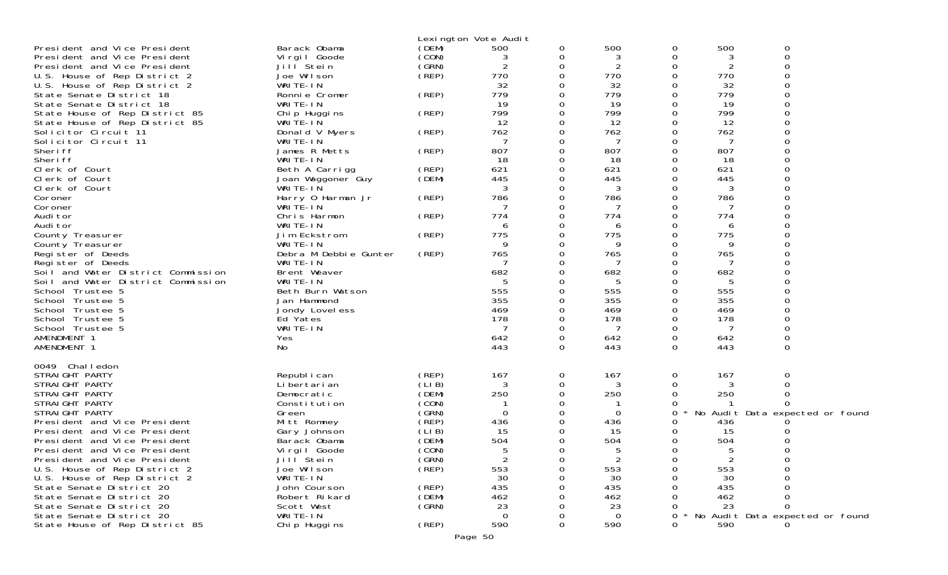|                                    |                       |       | Lexington Vote Audit |               |                |               |     |                                 |  |
|------------------------------------|-----------------------|-------|----------------------|---------------|----------------|---------------|-----|---------------------------------|--|
| President and Vice President       | Barack Obama          | (DEM) | 500                  | 0             | 500            | 0             | 500 | 0                               |  |
| President and Vice President       | Virgil Goode          | (CON) | 3                    | 0             | 3              | 0             | 3   | 0                               |  |
| President and Vice President       | Jill Stein            | (GRN) | $\overline{2}$       | 0             | $\overline{2}$ | 0             | 2   |                                 |  |
| U.S. House of Rep District 2       | Joe Wilson            | (REP) | 770                  | $\Omega$      | 770            | 0             | 770 |                                 |  |
| U.S. House of Rep District 2       | WRITE-IN              |       | 32                   | 0             | 32             | 0             | 32  |                                 |  |
| State Senate District 18           | Ronnie Cromer         | (REP) | 779                  | 0             | 779            | 0             | 779 |                                 |  |
| State Senate District 18           | WRITE-IN              |       | 19                   | $\Omega$      | 19             | 0             | 19  |                                 |  |
| State House of Rep District 85     | Chip Huggins          | (REP) | 799                  | 0             | 799            | 0             | 799 |                                 |  |
| State House of Rep District 85     | WRITE-IN              |       | 12                   | 0             | 12             | Ω             | 12  |                                 |  |
| Solicitor Circuit 11               | Donald V Myers        | (REP) | 762                  | $\Omega$      | 762            | 0             | 762 |                                 |  |
| Solicitor Circuit 11               | WRITE-IN              |       |                      | 0             | 7              | 0             | 7   |                                 |  |
| Sheri ff                           | James R Metts         | (REP) | 807                  | 0             | 807            |               | 807 |                                 |  |
| Sheri ff                           | WRITE-IN              |       | 18                   | 0             | 18             | Ω             | 18  |                                 |  |
| Clerk of Court                     | Beth A Carrigg        | (REP) | 621                  | 0             | 621            | 0             | 621 |                                 |  |
| Clerk of Court                     | Joan Waggoner Guy     | (DEM) | 445                  | 0             | 445            |               | 445 |                                 |  |
| Clerk of Court                     | WRITE-IN              |       | 3                    | 0             | 3              | 0             | 3   |                                 |  |
| Coroner                            | Harry 0 Harman Jr     | (REP) | 786                  | 0             | 786            | 0             | 786 |                                 |  |
| Coroner                            | WRITE-IN              |       |                      | 0             | 7              | 0             |     |                                 |  |
| Audi tor                           | Chris Harmon          | (REP) | 774                  | 0             | 774            | 0             | 774 |                                 |  |
| Audi tor                           | WRITE-IN              |       | 6                    | 0             | 6              | 0             | 6   |                                 |  |
| County Treasurer                   | Jim Eckstrom          | (REP) | 775                  | 0             | 775            | O             | 775 |                                 |  |
| County Treasurer                   | WRITE-IN              |       | 9                    | 0             | 9              | 0             | 9   |                                 |  |
| Register of Deeds                  | Debra M Debbie Gunter | (REP) | 765                  | 0             | 765            | 0             | 765 |                                 |  |
| Register of Deeds                  | WRITE-IN              |       |                      | 0             |                | 0             |     |                                 |  |
| Soil and Water District Commission | Brent Weaver          |       | 682                  | 0             | 682            | 0             | 682 |                                 |  |
| Soil and Water District Commission | WRITE-IN              |       | 5                    | 0             | 5              | 0             | 5   |                                 |  |
| School Trustee 5                   | Beth Burn Watson      |       | 555                  | 0             | 555            | $\Omega$      | 555 |                                 |  |
| School Trustee 5                   | Jan Hammond           |       | 355                  | 0             | 355            | 0             | 355 |                                 |  |
| School Trustee 5                   | Jondy Lovel ess       |       | 469                  | 0             | 469            | 0             | 469 |                                 |  |
| School Trustee 5                   | Ed Yates              |       | 178<br>7             | 0             | 178            | 0             | 178 |                                 |  |
| School Trustee 5                   | WRITE-IN              |       |                      | 0             | 7              | 0             | 7   |                                 |  |
| AMENDMENT 1                        | Yes                   |       | 642                  | 0<br>$\Omega$ | 642            | 0<br>$\Omega$ | 642 | $\Omega$                        |  |
| AMENDMENT 1                        | No                    |       | 443                  |               | 443            |               | 443 |                                 |  |
| 0049 Challedon                     |                       |       |                      |               |                |               |     |                                 |  |
| STRAIGHT PARTY                     | Republ i can          | (REP) | 167                  | 0             | 167            | 0             | 167 | 0                               |  |
| STRAIGHT PARTY                     | Li bertari an         | (LIB) | 3                    | 0             | 3              |               | 3   |                                 |  |
| STRAIGHT PARTY                     | Democratic            | (DEM) | 250                  | 0             | 250            | Ω             | 250 |                                 |  |
| STRAIGHT PARTY                     | Constitution          | (CON) |                      | 0             |                |               |     |                                 |  |
| STRAIGHT PARTY                     | Green                 | (GRN) | $\overline{0}$       | 0             | 0              | 0             |     | No Audit Data expected or found |  |
| President and Vice President       | Mitt Romney           | (REP) | 436                  | 0             | 436            | Ω             | 436 |                                 |  |
| President and Vice President       | Gary Johnson          | (LIB) | 15                   | 0             | 15             | 0             | 15  |                                 |  |
| President and Vice President       | Barack Obama          | (DEM) | 504                  | 0             | 504            | 0             | 504 |                                 |  |
| President and Vice President       | Vi rgi I Goode        | (CON) | 5                    | 0             | 5              | 0             | 5   | 0                               |  |
| President and Vice President       | Jill <sup>Stein</sup> | (GRN) | 2                    | 0             |                |               |     |                                 |  |
| U.S. House of Rep District 2       | Joe Wilson            | (REP) | 553                  | Ω             | 553            | Ω             | 553 |                                 |  |
| U.S. House of Rep District 2       | WRITE-IN              |       | 30                   | ი             | 30             |               | 30  |                                 |  |
| State Senate District 20           | John Courson          | (REP) | 435                  |               | 435            |               | 435 |                                 |  |
| State Senate District 20           | Robert Rikard         | (DEM) | 462                  |               | 462            |               | 462 |                                 |  |
| State Senate District 20           | Scott West            | (GRN) | 23                   |               | 23             |               | 23  | 0                               |  |
| State Senate District 20           | WRITE-IN              |       | $\Omega$             |               | $\Omega$       | 0             |     | No Audit Data expected or found |  |
| State House of Rep District 85     | Chip Huggins          | (REP) | 590                  | 0             | 590            | 0             | 590 |                                 |  |
|                                    |                       |       | Page 50              |               |                |               |     |                                 |  |
|                                    |                       |       |                      |               |                |               |     |                                 |  |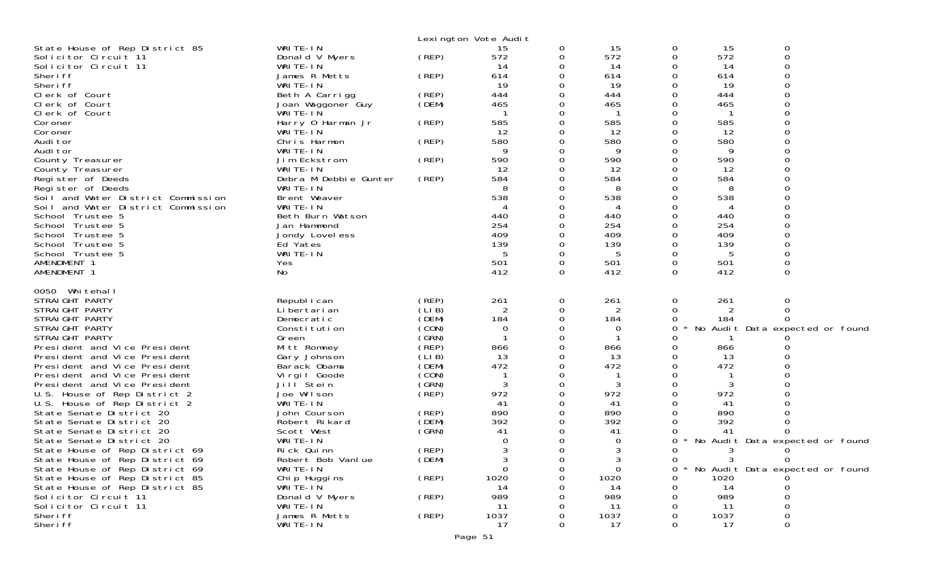|                                                                          |                            |                | Lexington Vote Audit |          |            |               |            |                                   |
|--------------------------------------------------------------------------|----------------------------|----------------|----------------------|----------|------------|---------------|------------|-----------------------------------|
| State House of Rep District 85                                           | WRITE-IN                   |                | 15                   | 0        | 15         | 0             | 15         | 0                                 |
| Solicitor Circuit 11                                                     | Donald V Myers             | (REP)          | 572                  | 0        | 572        | 0             | 572        | $\Omega$                          |
| Solicitor Circuit 11                                                     | WRITE-IN                   |                | 14                   | 0        | 14         | 0             | 14         |                                   |
| Sheri ff                                                                 | James R Metts              | (REP)          | 614                  | $\Omega$ | 614        | 0             | 614        |                                   |
| Sheri ff                                                                 | WRITE-IN                   |                | 19                   | 0        | 19         | 0             | 19         |                                   |
| Clerk of Court                                                           | Beth A Carrigg             | (REP)          | 444                  | 0        | 444        | 0             | 444        |                                   |
| Clerk of Court                                                           | Joan Waggoner Guy          | (DEM)          | 465                  | 0        | 465        | Ω             | 465        |                                   |
| Clerk of Court                                                           | WRITE-IN                   |                |                      | 0        |            | Ω             | -1         |                                   |
| Coroner                                                                  | Harry 0 Harman Jr          | (REP)          | 585                  | $\Omega$ | 585        | 0             | 585        |                                   |
| Coroner                                                                  | WRITE-IN                   |                | 12                   | 0        | 12         | Ω             | 12         |                                   |
| Audi tor                                                                 | Chris Harmon               | (REP)          | 580                  | 0        | 580        | 0             | 580        |                                   |
| Audi tor                                                                 | WRITE-IN                   |                | 9                    | 0        | 9          | O             | 9          |                                   |
| County Treasurer                                                         | Jim Eckstrom               | (REP)          | 590                  | 0        | 590        | 0             | 590        |                                   |
| County Treasurer                                                         | WRITE-IN                   |                | 12                   | 0<br>0   | 12         | 0             | 12         |                                   |
| Register of Deeds                                                        | Debra M Debbie Gunter      | (REP)          | 584                  |          | 584        | 0             | 584        |                                   |
| Register of Deeds                                                        | WRITE-IN                   |                | 8<br>538             | 0<br>0   | 8<br>538   | Ω<br>$\Omega$ | 8<br>538   |                                   |
| Soil and Water District Commission<br>Soil and Water District Commission | Brent Weaver<br>WRITE-IN   |                |                      | 0        |            | $\Omega$      | 4          |                                   |
| School Trustee 5                                                         | Beth Burn Watson           |                | 440                  | 0        | 4<br>440   | 0             | 440        |                                   |
| School Trustee 5                                                         | Jan Hammond                |                | 254                  | 0        | 254        | 0             | 254        |                                   |
| School Trustee 5                                                         | Jondy Lovel ess            |                | 409                  | 0        | 409        | 0             | 409        |                                   |
| School Trustee 5                                                         | Ed Yates                   |                | 139                  | 0        | 139        | 0             | 139        |                                   |
| School Trustee 5                                                         | WRITE-IN                   |                | -5                   | 0        | 5          | 0             | 5          |                                   |
| AMENDMENT 1                                                              | Yes                        |                | 501                  | $\Omega$ | 501        | 0             | 501        |                                   |
| AMENDMENT 1                                                              | No                         |                | 412                  | 0        | 412        | $\Omega$      | 412        | $\Omega$                          |
|                                                                          |                            |                |                      |          |            |               |            |                                   |
| 0050 Whitehall                                                           |                            |                |                      |          |            |               |            |                                   |
| STRAIGHT PARTY                                                           | Republ i can               | (REP)          | 261                  | 0        | 261        | 0             | 261        | 0<br>$\Omega$                     |
| STRAIGHT PARTY<br>STRAIGHT PARTY                                         | Li bertari an              | (LIB)<br>(DEM) | 2<br>184             | 0<br>0   | 2<br>184   | 0             | 184        |                                   |
| STRAIGHT PARTY                                                           | Democratic<br>Constitution | (CON)          | 0                    | 0        | 0          | 0<br>0        |            | No Audit Data expected or found   |
| STRAIGHT PARTY                                                           | Green                      | (GRN)          |                      | 0        |            |               |            |                                   |
| President and Vice President                                             | Mitt Romney                | (REP)          | 866                  | 0        | 866        | 0             | 866        |                                   |
| President and Vice President                                             | Gary Johnson               | (LIB)          | 13                   | 0        | 13         | 0             | 13         |                                   |
| President and Vice President                                             | Barack Obama               | (DEM)          | 472                  | 0        | 472        | 0             | 472        |                                   |
| President and Vice President                                             | Virgil Goode               | (CON)          |                      | 0        |            | ∩             |            |                                   |
| President and Vice President                                             | Jill Stein                 | (GRN)          | 3                    | 0        | 3          | 0             | 3          |                                   |
| U.S. House of Rep District 2                                             | Joe Wilson                 | (REP)          | 972                  | 0        | 972        | 0             | 972        |                                   |
| U.S. House of Rep District 2                                             | WRITE-IN                   |                | 41                   | 0        | 41         | O             | 41         |                                   |
| State Senate District 20                                                 | John Courson               | (REP)          | 890                  | 0        | 890        | 0             | 890        |                                   |
| State Senate District 20                                                 | Robert Rikard              | (DEM)          | 392                  | 0        | 392        |               | 392        |                                   |
| State Senate District 20                                                 | Scott West                 | (SRN)          | 41                   | 0        | 41         | $\Omega$      | 41         |                                   |
| State Senate District 20                                                 | WRITE-IN                   |                |                      | 0        | 0          | 0             |            | No Audit Data expected or found   |
| State House of Rep District 69                                           | Rick Quinn                 | (REP)          |                      | 0        | 3          | Ω             | 3          |                                   |
| State House of Rep District 69                                           | Robert Bob Vanlue          | (DEM)          | 3                    | $\sigma$ | J.         | $\Omega$      | 3          | 0                                 |
| State House of Rep District 69                                           | WRITE-IN                   |                | $\Omega$             | 0        | $\Omega$   | 0             |            | * No Audit Data expected or found |
| State House of Rep District 85                                           | Chi p Huggi ns             | (REP)          | 1020                 | O        | 1020       |               | 1020       |                                   |
| State House of Rep District 85                                           | WRITE-IN                   |                | 14                   |          | 14         |               | 14         |                                   |
| Solicitor Circuit 11                                                     | Donald V Myers             | (REP)          | 989                  |          | 989        |               | 989        |                                   |
| Solicitor Circuit 11                                                     |                            |                |                      |          | 11         |               | 11         |                                   |
|                                                                          | WRITE-IN                   |                | 11                   |          |            |               |            |                                   |
| Sheri ff<br>Sheri ff                                                     | James R Metts<br>WRITE-IN  | (REP)          | 1037<br>17           | 0<br>0   | 1037<br>17 | Ω<br>0        | 1037<br>17 | 0                                 |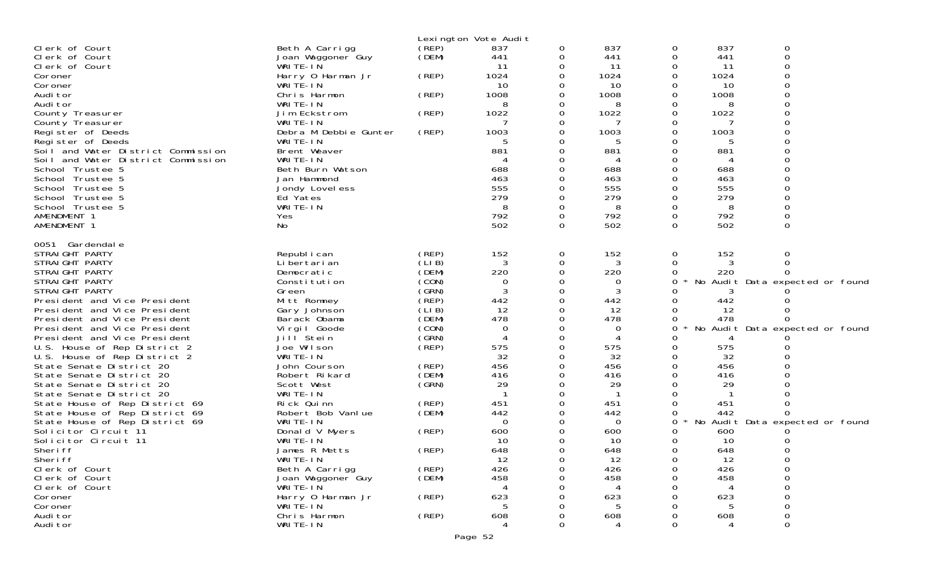|                                                                          |                              |                | Lexington Vote Audit |          |                |              |           |                                 |
|--------------------------------------------------------------------------|------------------------------|----------------|----------------------|----------|----------------|--------------|-----------|---------------------------------|
| Clerk of Court                                                           | Beth A Carrigg               | (REP)          | 837                  | 0        | 837            | 0            | 837       | 0                               |
| Clerk of Court                                                           | Joan Waggoner Guy            | (DEM)          | 441                  | 0        | 441            | 0            | 441       | $\Omega$                        |
| Clerk of Court                                                           | WRITE-IN                     |                | 11                   | 0        | -11            | 0            | 11        |                                 |
| Coroner                                                                  | Harry 0 Harman Jr            | (REP)          | 1024                 | O        | 1024           | 0            | 1024      |                                 |
| Coroner                                                                  | WRITE-IN                     |                | 10                   |          | 10             |              | 10        |                                 |
| Audi tor                                                                 | Chris Harmon                 | (REP)          | 1008                 | 0        | 1008           | 0            | 1008      |                                 |
| Audi tor                                                                 | WRITE-IN                     |                | 8                    | O        | 8              | 0            | 8         |                                 |
| County Treasurer                                                         | Jim Eckstrom                 | (REP)          | 1022                 |          | 1022           | ∩            | 1022      |                                 |
| County Treasurer                                                         | WRITE-IN                     |                |                      |          |                | ∩            |           |                                 |
| Register of Deeds                                                        | Debra M Debbie Gunter        | (REP)          | 1003                 | O        | 1003           | ∩            | 1003      |                                 |
| Register of Deeds                                                        | WRITE-IN                     |                | 5                    |          | 5              | ∩            | .5        |                                 |
| Soil and Water District Commission<br>Soil and Water District Commission | Brent Weaver                 |                | 881<br>4             |          | 881            | ∩            | 881<br>4  |                                 |
|                                                                          | WRITE-IN<br>Beth Burn Watson |                | 688                  |          | 688            |              | 688       |                                 |
| School Trustee 5<br>School Trustee 5                                     | Jan Hammond                  |                | 463                  |          | 463            | ∩            | 463       |                                 |
| School Trustee 5                                                         |                              |                | 555                  |          | 555            | 0            | 555       |                                 |
| School Trustee 5                                                         | Jondy Lovel ess<br>Ed Yates  |                | 279                  | 0        | 279            | 0            | 279       |                                 |
| School Trustee 5                                                         | WRITE-IN                     |                | 8                    | 0        | 8              | 0            | 8         |                                 |
| AMENDMENT 1                                                              | Yes                          |                | 792                  | 0        | 792            | 0            | 792       |                                 |
| AMENDMENT 1                                                              | No                           |                | 502                  | $\Omega$ | 502            | 0            | 502       | $\Omega$                        |
|                                                                          |                              |                |                      |          |                |              |           |                                 |
| 0051 Gardendale                                                          |                              |                |                      |          |                |              |           |                                 |
| STRAIGHT PARTY                                                           | Republ i can                 | (REP)          | 152                  | 0        | 152            | 0            | 152       | 0                               |
| STRAIGHT PARTY                                                           | Li bertari an                | (LIB)          | 3                    | 0        | 3              | 0            |           |                                 |
| STRAIGHT PARTY                                                           | Democratic                   | (DEM)          | 220                  | 0        | 220            | 0            | 220       |                                 |
| STRAIGHT PARTY                                                           | Constitution                 | (CON)          | 0                    |          | 0              | 0            |           | No Audit Data expected or found |
| STRAIGHT PARTY                                                           | Green                        | (GRN)          | 3                    | O        | 3              |              |           |                                 |
| President and Vice President                                             | Mitt Romney                  | (REP)          | 442                  |          | 442            |              | 442       |                                 |
| President and Vice President                                             | Gary Johnson                 | (LIB)          | 12                   |          | 12             |              | 12        |                                 |
| President and Vice President                                             | Barack Obama                 | (DEM)          | 478                  | O        | 478            |              | 478       |                                 |
| President and Vice President                                             | Virgil Goode                 | (CON)          | 0                    | 0        | 0              | 0            |           | No Audit Data expected or found |
| President and Vice President                                             | Jill Stein                   | (GRN)          | 4                    |          | 4              | ∩            |           |                                 |
| U.S. House of Rep District 2                                             | Joe Wilson                   | (REP)          | 575                  | O        | 575            | <sup>o</sup> | 575       |                                 |
| U.S. House of Rep District 2                                             | WRITE-IN                     |                | 32                   |          | 32             | 0            | 32        |                                 |
| State Senate District 20                                                 | John Courson                 | (REP)          | 456                  |          | 456            | $\Omega$     | 456       |                                 |
| State Senate District 20                                                 | Robert Rikard                | (DEM)          | 416                  | O        | 416            | 0            | 416       |                                 |
| State Senate District 20                                                 | Scott West                   | (GRN)          | 29                   |          | 29             |              | 29        |                                 |
| State Senate District 20                                                 | WRITE-IN                     |                |                      |          | -1             |              |           |                                 |
| State House of Rep District 69                                           | Rick Quinn                   | (REP)<br>(DEM) | 451                  | 0        | 451            |              | 451       |                                 |
| State House of Rep District 69                                           | Robert Bob Vanlue            |                | 442                  | 0        | 442            | O            | 442       |                                 |
| State House of Rep District 69                                           | WRITE-IN                     |                | $\Omega$<br>600      |          | $\overline{0}$ | 0            |           | No Audit Data expected or found |
| Solicitor Circuit 11<br>Solicitor Circuit 11                             | Donald V Myers<br>WRITE-IN   | (REP)          | 10                   | 0        | 600<br>10      |              | 600<br>10 |                                 |
| Sheri ff                                                                 | James R Metts                | (REP)          | 648                  | 0        | 648            | 0            | 648       |                                 |
|                                                                          |                              |                | 12                   | 0        | 12             | 0            | 12        |                                 |
| Sheri ff<br>Clerk of Court                                               | WRITE-IN<br>Beth A Carrigg   | (REP)          | 426                  | 0        | 426            | 0            | 426       | 0                               |
| Clerk of Court                                                           | Joan Waggoner Guy            | (DEM)          | 458                  |          | 458            | ∩            | 458       | 0                               |
| Clerk of Court                                                           | WRITE-IN                     |                |                      |          |                |              |           | ∩                               |
| Coroner                                                                  | Harry 0 Harman Jr            | (REP)          | 623                  |          | 623            |              | 623       |                                 |
| Coroner                                                                  | WRITE-IN                     |                | 5                    |          | 5              |              |           | 0                               |
| Audi tor                                                                 | Chris Harmon                 | (REP)          | 608                  |          | 608            |              | 608       | $\Omega$                        |
| Audi tor                                                                 | WRITE-IN                     |                | 4                    | 0        | 4              | 0            |           | 0                               |
|                                                                          |                              |                |                      |          |                |              |           |                                 |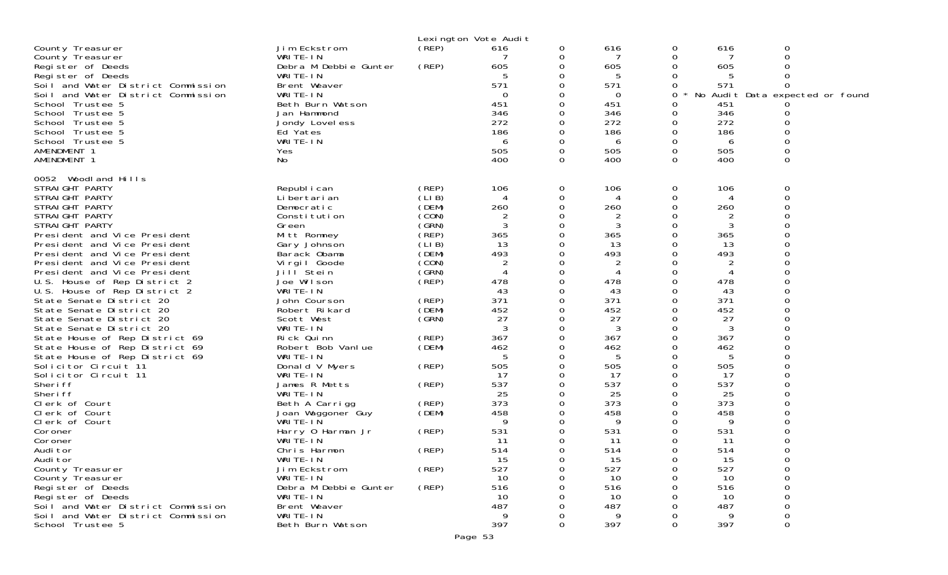|                                    |                            |          | Lexington Vote Audit |          |           |          |           |                        |  |
|------------------------------------|----------------------------|----------|----------------------|----------|-----------|----------|-----------|------------------------|--|
| County Treasurer                   | Jim Eckstrom               | (REP)    | 616                  | 0        | 616       | 0        | 616       | 0                      |  |
| County Treasurer                   | WRITE-IN                   |          |                      | 0        | 7         | 0        | 7         | 0                      |  |
| Register of Deeds                  | Debra M Debbie Gunter      | (REP)    | 605                  | 0        | 605       | 0        | 605       |                        |  |
| Register of Deeds                  | WRITE-IN                   |          | 5                    | 0        | 5         | 0        | 5         | 0                      |  |
| Soil and Water District Commission | Brent Weaver               |          | 571                  | 0        | 571       | 0        | 571       | 0                      |  |
| Soil and Water District Commission | WRITE-IN                   |          | $\Omega$             |          | 0         | 0        | No Audit  | Data expected or found |  |
| School Trustee 5                   | Beth Burn Watson           |          | 451                  | 0        | 451       | 0        | 451       |                        |  |
| School Trustee 5                   | Jan Hammond                |          | 346                  |          | 346       | 0        | 346       | 0                      |  |
| School Trustee 5                   | Jondy Lovel ess            |          | 272                  | O        | 272       | 0        | 272       |                        |  |
| School Trustee 5                   | Ed Yates                   |          | 186                  | 0        | 186       | 0        | 186       |                        |  |
| School Trustee 5                   | WRITE-IN                   |          | 6                    | Ω        | 6         | 0        | 6         |                        |  |
| AMENDMENT 1                        | <b>Yes</b>                 |          | 505                  | 0        | 505       | 0        | 505       | 0                      |  |
| AMENDMENT 1                        | No                         |          | 400                  | $\Omega$ | 400       | $\Omega$ | 400       | 0                      |  |
| 0052 Woodl and Hills               |                            |          |                      |          |           |          |           |                        |  |
| STRAIGHT PARTY                     | Republ i can               | (REP)    | 106                  | 0        | 106       | 0        | 106       | 0                      |  |
| STRAIGHT PARTY                     | Li bertari an              | (LIB)    | 4                    | 0        |           | 0        | 4         | 0                      |  |
| STRAIGHT PARTY                     | Democratic                 | (DEM)    | 260                  | 0        | 260       | 0        | 260       | ∩                      |  |
| STRAIGHT PARTY                     | Constitution               | (CON)    | 2                    | 0        | 2         | 0        |           | 0                      |  |
| STRAIGHT PARTY                     | Green                      | (GRN)    | 3                    | 0        | 3         | 0        | 3         |                        |  |
| President and Vice President       | Mitt Romney                | (REP)    | 365                  | Ω        | 365       | 0        | 365       |                        |  |
| President and Vice President       | Gary Johnson               | (LI B)   | 13                   | 0        | 13        | 0        | 13        | 0                      |  |
| President and Vice President       | Barack Obama               | (DEM)    | 493                  |          | 493       | 0        | 493       |                        |  |
| President and Vice President       | Virgil Goode               | (CON)    | $\overline{2}$       | O        | 2         | 0        |           | ∩                      |  |
| President and Vice President       | Jill Stein                 | (GRN)    | 4                    | 0        | 4         | 0        | 4         |                        |  |
| U.S. House of Rep District 2       | Joe Wilson                 | $($ REP) | 478                  | 0        | 478       | 0        | 478       |                        |  |
| U.S. House of Rep District 2       | WRITE-IN                   |          | 43                   | 0        | 43        | 0        | 43        | 0                      |  |
| State Senate District 20           | John Courson               | (REP)    | 371                  | 0        | 371       | 0        | 371       |                        |  |
| State Senate District 20           | Robert Rikard              | (DEM)    | 452                  |          | 452       | 0        | 452       |                        |  |
| State Senate District 20           | Scott West                 | (GRN)    | 27                   | O        | 27        | 0        | 27        | ∩                      |  |
| State Senate District 20           | WRITE-IN                   |          | 3                    | 0        | 3         | 0        | 3         | 0                      |  |
| State House of Rep District 69     | Rick Quinn                 | (REP)    | 367                  | 0        | 367       | 0        | 367       |                        |  |
| State House of Rep District 69     | Robert Bob Vanlue          | (DEM)    | 462                  | 0        | 462       | 0        | 462       | $\Omega$               |  |
| State House of Rep District 69     | WRITE-IN                   |          | 5                    | 0        | 5         | 0        | 5         | 0                      |  |
| Solicitor Circuit 11               | Donald V Myers<br>WRITE-IN | (REP)    | 505<br>17            | 0<br>Ω   | 505<br>17 | 0<br>0   | 505<br>17 | ი                      |  |
| Solicitor Circuit 11<br>Sheri ff   | James R Metts              | (REP)    | 537                  | 0        | 537       | 0        | 537       |                        |  |
| Sheri ff                           | WRITE-IN                   |          | 25                   | 0        | 25        | 0        | 25        |                        |  |
| Clerk of Court                     | Beth A Carrigg             | (REP)    | 373                  | 0        | 373       | 0        | 373       |                        |  |
| Clerk of Court                     | Joan Waggoner Guy          | (DEM)    | 458                  |          | 458       | 0        | 458       |                        |  |
| Clerk of Court                     | WRITE-IN                   |          | 9                    |          | 9         | 0        | 9         |                        |  |
| Coroner                            | Harry 0 Harman Jr          | (REP)    | 531                  | 0        | 531       | Ω        | 531       |                        |  |
| Coroner                            | WRITE-IN                   |          | 11                   |          | 11        | 0        | 11        |                        |  |
| Audi tor                           | Chris Harmon               | (REP)    | 514                  | 0        | 514       | 0        | 514       | ∩                      |  |
| Audi tor                           | WRITE-IN                   |          | 15                   | 0        | 15        | 0        | 15        | $\Omega$               |  |
| County Treasurer                   | Jim Eckstrom               | (REP)    | 527                  |          | 527       | Ω        | 527       |                        |  |
| County Treasurer                   | WRITE-IN                   |          | 10                   |          | 10        | Ω        | 10        |                        |  |
| Register of Deeds                  | Debra M Debbie Gunter      | (REP)    | 516                  |          | 516       |          | 516       |                        |  |
| Register of Deeds                  | WRITE-IN                   |          | 10                   |          | 10        |          | 10        |                        |  |
| Soil and Water District Commission | Brent Weaver               |          | 487                  |          | 487       |          | 487       |                        |  |
| Soil and Water District Commission | WRITE-IN                   |          | 9                    |          | 9         |          | 9         | 0                      |  |
| School Trustee 5                   | Beth Burn Watson           |          | 397                  | 0        | 397       | 0        | 397       | 0                      |  |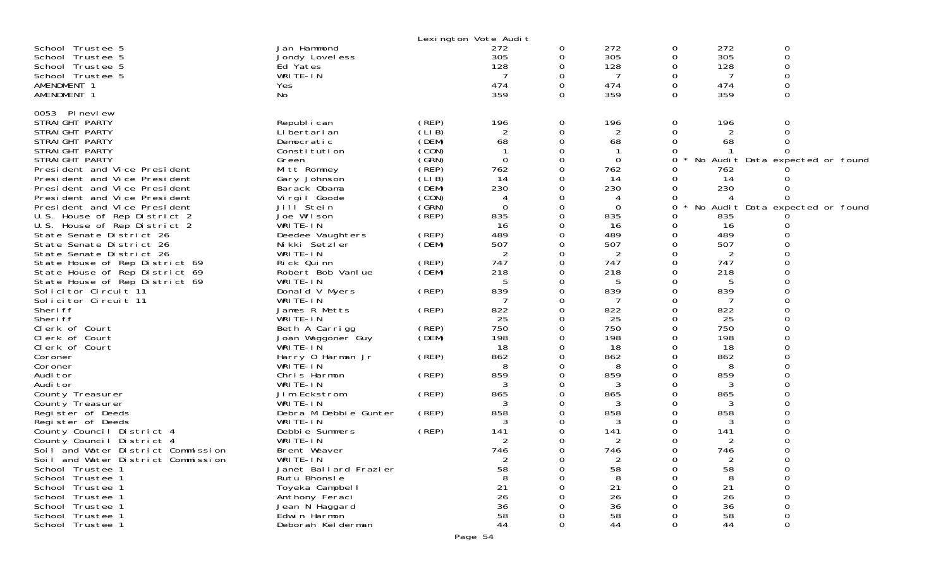|                                                      |                                   |                | Lexington Vote Audit |          |            |          |            |                                 |
|------------------------------------------------------|-----------------------------------|----------------|----------------------|----------|------------|----------|------------|---------------------------------|
| School Trustee 5                                     | Jan Hammond                       |                | 272                  | 0        | 272        | 0        | 272        | 0                               |
| School Trustee 5                                     | Jondy Lovel ess                   |                | 305                  | 0        | 305        | 0        | 305        | 0                               |
| School Trustee 5                                     | Ed Yates                          |                | 128                  | 0        | 128        | 0        | 128        | 0                               |
| School Trustee 5                                     | WRITE-IN                          |                | 7                    | 0        | 7          | 0        | 7          | 0                               |
| AMENDMENT 1                                          | Yes                               |                | 474                  | 0        | 474        | 0        | 474        |                                 |
| AMENDMENT 1                                          | No                                |                | 359                  | $\Omega$ | 359        | $\Omega$ | 359        | $\Omega$                        |
| 0053 Pineview                                        |                                   |                |                      |          |            |          |            |                                 |
| STRAIGHT PARTY                                       | Republ i can                      | (REP)          | 196                  | 0        | 196        | 0        | 196        | 0                               |
| STRAIGHT PARTY                                       | Li bertari an                     | (LI B)         | 2                    | 0        | 2          | 0        |            | 0                               |
| STRAIGHT PARTY                                       | Democratic                        | (DEM)          | 68                   | 0        | 68         | Ω        | 68         |                                 |
| STRAIGHT PARTY                                       | Constitution                      | (CON)          |                      | 0        |            |          |            |                                 |
| STRAIGHT PARTY                                       | Green                             | (GRN)          | 0                    | 0        | 0          | 0        |            | No Audit Data expected or found |
| President and Vice President                         | Mitt Romney                       | $($ REP)       | 762                  | 0        | 762        |          | 762        |                                 |
| President and Vice President                         | Gary Johnson                      | (LIB)          | 14                   | 0        | 14         |          | 14         |                                 |
| President and Vice President                         | Barack Obama                      | (DEM)          | 230                  | 0        | 230        | Ω        | 230        |                                 |
| President and Vice President                         | Virgil Goode                      | (CON)          | 4                    | 0        | 4          | O        |            |                                 |
| President and Vice President                         | Jill Stein                        | (GRN)          | $\Omega$             | 0        | 0          | 0        |            | No Audit Data expected or found |
| U.S. House of Rep District 2                         | Joe Wilson                        | (REP)          | 835                  | 0        | 835        | Ω        | 835        |                                 |
| U.S. House of Rep District 2                         | WRITE-IN                          |                | 16                   | 0        | 16         | O        | 16         |                                 |
| State Senate District 26                             | Deedee Vaughters<br>Nikki Setzler | (REP)<br>(DEM) | 489<br>507           | 0<br>0   | 489<br>507 | Ω<br>Ω   | 489<br>507 |                                 |
| State Senate District 26<br>State Senate District 26 | WRITE-IN                          |                | 2                    | 0        | 2          |          | 2          |                                 |
| State House of Rep District 69                       | Rick Quinn                        | (REP)          | 747                  | 0        | 747        | O        | 747        |                                 |
| State House of Rep District 69                       | Robert Bob Vanlue                 | (DEM)          | 218                  | 0        | 218        | Ω        | 218        |                                 |
| State House of Rep District 69                       | WRITE-IN                          |                | 5                    | 0        | 5          |          | 5          |                                 |
| Solicitor Circuit 11                                 | Donald V Myers                    | (REP)          | 839                  | $\Omega$ | 839        | O        | 839        |                                 |
| Solicitor Circuit 11                                 | WRITE-IN                          |                | 7                    | 0        | 7          | Ω        | 7          |                                 |
| Sheri ff                                             | James R Metts                     | (REP)          | 822                  | 0        | 822        |          | 822        |                                 |
| Sheri ff                                             | WRITE-IN                          |                | 25                   | 0        | 25         | Ω        | 25         |                                 |
| Clerk of Court                                       | Beth A Carrigg                    | (REP)          | 750                  | 0        | 750        | 0        | 750        |                                 |
| Clerk of Court                                       | Joan Waggoner Guy                 | (DEM)          | 198                  | 0        | 198        |          | 198        |                                 |
| Clerk of Court                                       | WRITE-IN                          |                | 18                   | 0        | 18         | O        | 18         |                                 |
| Coroner                                              | Harry 0 Harman Jr                 | (REP)          | 862                  | 0        | 862        |          | 862        |                                 |
| Coroner                                              | WRITE-IN                          |                | 8                    |          | 8          |          | 8          |                                 |
| Audi tor                                             | Chris Harmon                      | (REP)          | 859                  | 0        | 859        | O        | 859        |                                 |
| Audi tor                                             | WRITE-IN                          |                |                      | 0        | 3          | Ω        | 3          |                                 |
| County Treasurer                                     | Jim Eckstrom                      | (REP)          | 865                  | 0        | 865        | O        | 865        |                                 |
| County Treasurer                                     | WRITE-IN                          | (REP)          | 3<br>858             | 0<br>0   | 3<br>858   |          | 3<br>858   |                                 |
| Register of Deeds<br>Register of Deeds               | Debra M Debbie Gunter<br>WRITE-IN |                | 3                    |          | 3          |          | 3          |                                 |
| County Council District 4                            | Debbie Summers                    | (REP)          | 141                  | 0        | 141        | Ω        | 141        |                                 |
| County Council District 4                            | WRITE-IN                          |                | 2                    | 0        | 2          | 0        | 2          |                                 |
| Soil and Water District Commission                   | Brent Weaver                      |                | 746                  | 0        | 746        | ∩        | 746        |                                 |
| Soil and Water District Commission                   | WRITE-IN                          |                | 2                    | 0        | 2          | 0        | 2          |                                 |
| School Trustee 1                                     | Janet Ballard Frazier             |                | 58                   |          | 58         |          | 58         |                                 |
| School Trustee 1                                     | Rutu Bhonsle                      |                |                      |          | 8          |          | 8          |                                 |
| School Trustee 1                                     | Toyeka Campbell                   |                | 21                   |          | 21         |          | 21         |                                 |
| School Trustee 1                                     | Anthony Feraci                    |                | 26                   |          | 26         |          | 26         |                                 |
| School Trustee 1                                     | Jean N Haggard                    |                | 36                   |          | 36         |          | 36         |                                 |
| School Trustee 1                                     | Edwin Harmon                      |                | 58                   |          | 58         |          | 58         |                                 |
| School Trustee 1                                     | Deborah Kelderman                 |                | 44                   | 0        | 44         |          | 44         | O                               |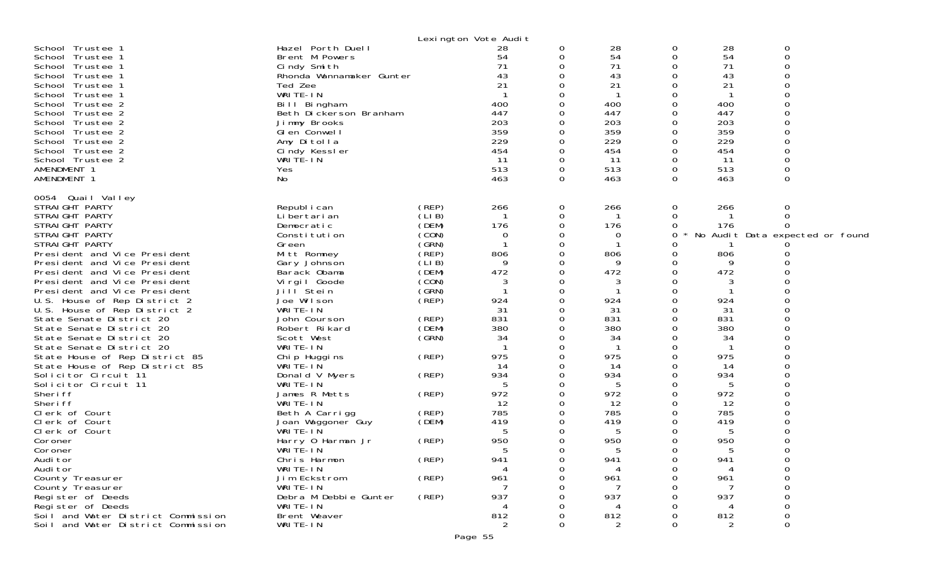|                                                              |                                     |                | Lexington Vote Audit |               |               |             |               |                   |
|--------------------------------------------------------------|-------------------------------------|----------------|----------------------|---------------|---------------|-------------|---------------|-------------------|
| School Trustee 1                                             | Hazel Porth Duell                   |                | 28                   | 0             | 28            | 0           | 28            | 0                 |
| School Trustee 1                                             | Brent M Powers                      |                | 54                   | 0             | 54            | $\mathbf 0$ | 54            | $\mathbf 0$       |
| School Trustee 1                                             | Cindy Smith                         |                | 71                   | $\Omega$      | 71            | $\Omega$    | 71            | $\mathbf 0$       |
| School Trustee 1                                             | Rhonda Wannamaker Gunter            |                | 43                   | 0             | 43            | 0           | 43            | 0                 |
| School Trustee 1                                             | Ted Zee                             |                | 21                   | $\Omega$      | 21            | $\Omega$    | 21            | $\Omega$          |
| School Trustee 1                                             | WRITE-IN                            |                |                      | $\Omega$      |               | $\Omega$    |               | $\Omega$          |
| School Trustee 2                                             | Bill Bingham                        |                | 400                  | 0             | 400           | 0           | 400           | $\Omega$          |
| School Trustee 2                                             | Beth Dickerson Branham              |                | 447                  | ∩             | 447           | $\mathbf 0$ | 447           | $\Omega$          |
| School Trustee 2                                             | Jimmy Brooks                        |                | 203                  | $\Omega$      | 203           | $\Omega$    | 203           | $\Omega$          |
| School Trustee 2                                             | GI en Conwell                       |                | 359                  | 0             | 359           | 0           | 359           | $\mathbf 0$       |
| School Trustee 2                                             | Amy Ditolla                         |                | 229                  | ∩             | 229           | $\Omega$    | 229           |                   |
| School Trustee 2                                             | Cindy Kessler                       |                | 454                  | $\Omega$      | 454           | $\Omega$    | 454           | $\Omega$          |
| School Trustee 2                                             | WRITE-IN                            |                | 11                   | 0             | 11            | 0           | 11            | $\boldsymbol{0}$  |
| AMENDMENT 1                                                  | Yes                                 |                | 513                  | 0             | 513           | 0           | 513           | $\mathbf 0$       |
| AMENDMENT 1                                                  | No                                  |                | 463                  | 0             | 463           | $\Omega$    | 463           | $\Omega$          |
| 0054 Quail Valley                                            |                                     |                |                      |               |               |             |               |                   |
| STRAIGHT PARTY                                               | Republ i can                        | (REP)          | 266                  | 0             | 266           | 0           | 266           | 0                 |
| STRAIGHT PARTY                                               | Li bertari an                       | (LIB)          | -1                   | 0             |               | 0           |               | $\Omega$          |
| STRAIGHT PARTY                                               | Democratic                          | (DEM)          | 176                  | 0             | 176           | 0           | 176           |                   |
| STRAIGHT PARTY                                               | Constitution                        | (CON)          | 0                    | $\Omega$      | 0             | 0           | No Audit Data | expected or found |
| STRAIGHT PARTY                                               | Green                               | (GRN)          |                      | 0             |               | 0           |               |                   |
| President and Vice President                                 | Mitt Romney                         | $($ REP)       | 806                  | 0             | 806           | 0           | 806           |                   |
| President and Vice President                                 | Gary Johnson                        | (LIB)          | 9                    | $\Omega$      | Q             | 0           | 9             |                   |
| President and Vice President                                 | Barack Obama                        | (DEM)          | 472                  | 0             | 472           | 0           | 472           |                   |
| President and Vice President                                 | Virgil Goode                        | (CON)          | 3<br>-1              | 0             | 3             | $\Omega$    | 3<br>-1       | $\Omega$          |
| President and Vice President                                 | Jill <sup>Stein</sup><br>Joe Wilson | (GRN)<br>(REP) |                      | $\Omega$<br>0 | 924           | $\Omega$    | 924           |                   |
| U.S. House of Rep District 2<br>U.S. House of Rep District 2 | WRITE-IN                            |                | 924<br>31            | 0             | 31            | 0<br>0      | 31            |                   |
| State Senate District 20                                     | John Courson                        | (REP)          | 831                  | $\Omega$      | 831           | $\Omega$    | 831           | $\Omega$          |
| State Senate District 20                                     | Robert Rikard                       | (DEM)          | 380                  | 0             | 380           | 0           | 380           | 0                 |
| State Senate District 20                                     | Scott West                          | (GRN)          | 34                   | 0             | 34            | 0           | 34            | $\Omega$          |
| State Senate District 20                                     | WRITE-IN                            |                | $\mathbf{1}$         | $\Omega$      | $\mathbf{1}$  | $\Omega$    | $\mathbf{1}$  | $\Omega$          |
| State House of Rep District 85                               | Chip Huggins                        | (REP)          | 975                  | 0             | 975           | $\mathbf 0$ | 975           | $\overline{0}$    |
| State House of Rep District 85                               | WRITE-IN                            |                | 14                   | 0             | 14            | 0           | 14            |                   |
| Solicitor Circuit 11                                         | Donald V Myers                      | (REP)          | 934                  | $\Omega$      | 934           | $\Omega$    | 934           | $\Omega$          |
| Solicitor Circuit 11                                         | WRITE-IN                            |                | 5                    | 0             | 5             | 0           | 5             | $\Omega$          |
| Sheri ff                                                     | James R Metts                       | (REP)          | 972                  | 0             | 972           | 0           | 972           | $\Omega$          |
| Sheri ff                                                     | WRITE-IN                            |                | 12                   | $\Omega$      | 12            | $\Omega$    | 12            | $\Omega$          |
| Clerk of Court                                               | Beth A Carrigg                      | (REP)          | 785                  | 0             | 785           | 0           | 785           |                   |
| Clerk of Court<br>Clerk of Court                             | Joan Waggoner Guy<br>WRITE-IN       | (DEM)          | 419                  | ∩             | 419<br>5      |             | 419<br>5      |                   |
| Coroner                                                      | Harry 0 Harman Jr                   | (REP)          | 5<br>950             | 0             | 950           | 0           | 950           |                   |
| Coroner                                                      | WRITE-IN                            |                |                      | $\cap$        |               | ∩           |               | $\cap$            |
| Audi tor                                                     | Chris Harmon                        | (REP)          | 941                  | 0             | 941           | 0           | 941           |                   |
| Audi tor                                                     | WRITE-IN                            |                |                      |               |               |             |               |                   |
| County Treasurer                                             | Jim Eckstrom                        | (REP)          | 961                  |               | 961           |             | 961           |                   |
| County Treasurer                                             | WRITE-IN                            |                |                      |               |               |             |               |                   |
| Register of Deeds                                            | Debra M Debbie Gunter               | (REP)          | 937                  |               | 937           |             | 937           |                   |
| Register of Deeds                                            | WRITE-IN                            |                |                      |               |               |             |               |                   |
| Soil and Water District Commission                           | Brent Weaver                        |                | 812                  |               | 812           |             | 812           | $\Omega$          |
| Soil and Water District Commission                           | WRITE-IN                            |                | 2                    | ∩             | $\mathcal{P}$ |             |               | $\Omega$          |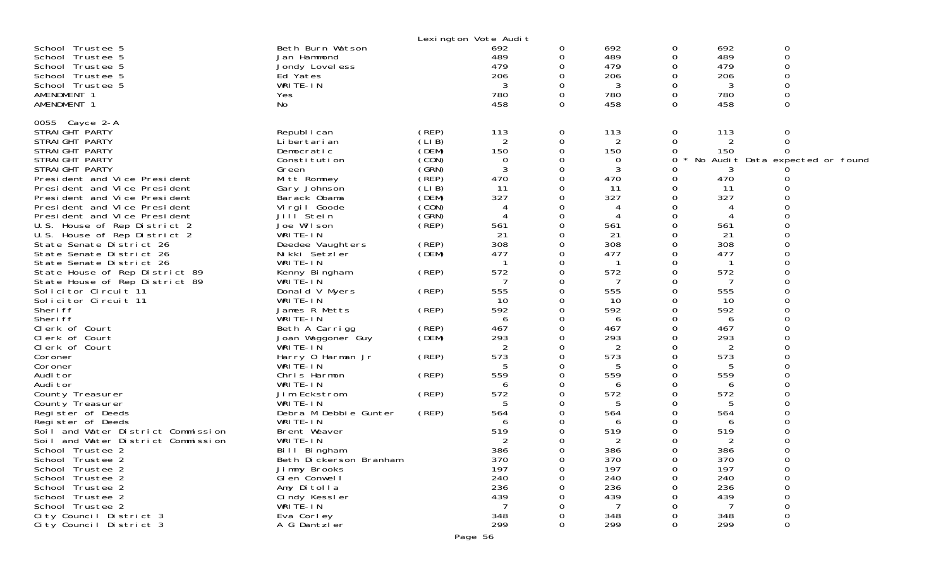|                                                                                                                                                                                                                                                                                                                                                                                                                                                                                                                                                                                                                                                                                                                                                                                                                                                                                                                                                                    |                                                                                                                                                                                                                                                                                                                                                                                                                                                                                                                                                                                                                                                |                                                                                                                                                                                                     | Lexington Vote Audit                                                                                                                                                                                                                                |                                                                                                                                                                                       |                                                                                                                                                                                                                                             |                                                                                                                                                                                                                                                                                           |                                                                                                                                                                                                                                    |                                                                                                        |
|--------------------------------------------------------------------------------------------------------------------------------------------------------------------------------------------------------------------------------------------------------------------------------------------------------------------------------------------------------------------------------------------------------------------------------------------------------------------------------------------------------------------------------------------------------------------------------------------------------------------------------------------------------------------------------------------------------------------------------------------------------------------------------------------------------------------------------------------------------------------------------------------------------------------------------------------------------------------|------------------------------------------------------------------------------------------------------------------------------------------------------------------------------------------------------------------------------------------------------------------------------------------------------------------------------------------------------------------------------------------------------------------------------------------------------------------------------------------------------------------------------------------------------------------------------------------------------------------------------------------------|-----------------------------------------------------------------------------------------------------------------------------------------------------------------------------------------------------|-----------------------------------------------------------------------------------------------------------------------------------------------------------------------------------------------------------------------------------------------------|---------------------------------------------------------------------------------------------------------------------------------------------------------------------------------------|---------------------------------------------------------------------------------------------------------------------------------------------------------------------------------------------------------------------------------------------|-------------------------------------------------------------------------------------------------------------------------------------------------------------------------------------------------------------------------------------------------------------------------------------------|------------------------------------------------------------------------------------------------------------------------------------------------------------------------------------------------------------------------------------|--------------------------------------------------------------------------------------------------------|
| School Trustee 5<br>School Trustee 5<br>School Trustee 5<br>School Trustee 5<br>School Trustee 5<br>AMENDMENT 1<br>AMENDMENT 1                                                                                                                                                                                                                                                                                                                                                                                                                                                                                                                                                                                                                                                                                                                                                                                                                                     | Beth Burn Watson<br>Jan Hammond<br>Jondy Lovel ess<br>Ed Yates<br>WRITE-IN<br>Yes<br>No                                                                                                                                                                                                                                                                                                                                                                                                                                                                                                                                                        |                                                                                                                                                                                                     | 692<br>489<br>479<br>206<br>3<br>780<br>458                                                                                                                                                                                                         | 0<br>0<br>0<br>0<br>0<br>0<br>$\Omega$                                                                                                                                                | 692<br>489<br>479<br>206<br>3<br>780<br>458                                                                                                                                                                                                 | 0<br>0<br>0<br>0<br>0<br>0<br>$\Omega$                                                                                                                                                                                                                                                    | 692<br>489<br>479<br>206<br>3<br>780<br>458                                                                                                                                                                                        | 0<br>$\mathbf 0$<br>$\Omega$<br>0<br>$\mathbf 0$<br>0<br>$\Omega$                                      |
| 0055 Cayce 2-A<br>STRAIGHT PARTY<br>STRAIGHT PARTY<br>STRAIGHT PARTY<br>STRAIGHT PARTY<br>STRAIGHT PARTY<br>President and Vice President<br>President and Vice President<br>President and Vice President<br>President and Vice President<br>President and Vice President<br>U.S. House of Rep District 2<br>U.S. House of Rep District 2<br>State Senate District 26<br>State Senate District 26<br>State Senate District 26<br>State House of Rep District 89<br>State House of Rep District 89<br>Solicitor Circuit 11<br>Solicitor Circuit 11<br>Sheri ff<br>Sheri ff<br>Clerk of Court<br>Clerk of Court<br>Clerk of Court<br>Coroner<br>Coroner<br>Audi tor<br>Audi tor<br>County Treasurer<br>County Treasurer<br>Register of Deeds<br>Register of Deeds<br>Soil and Water District Commission<br>Soil and Water District Commission<br>School Trustee 2<br>School Trustee 2<br>School Trustee 2<br>School Trustee 2<br>School Trustee 2<br>School Trustee 2 | Republ i can<br>Li bertari an<br>Democratic<br>Constitution<br>Green<br>Mitt Romney<br>Gary Johnson<br>Barack Obama<br>Vi rgi I Goode<br>Jill Stein<br>Joe Wilson<br>WRITE-IN<br>Deedee Vaughters<br>Nikki Setzler<br>WRITE-IN<br>Kenny Bingham<br>WRITE-IN<br>Donald V Myers<br>WRITE-IN<br>James R Metts<br>WRITE-IN<br>Beth A Carrigg<br>Joan Waggoner Guy<br>WRITE-IN<br>Harry 0 Harman Jr<br>WRITE-IN<br>Chris Harmon<br>WRITE-IN<br>Jim Eckstrom<br>WRITE-IN<br>Debra M Debbie Gunter<br>WRITE-IN<br>Brent Weaver<br>WRITE-IN<br>Bill Bingham<br>Beth Dickerson Branham<br>Jimmy Brooks<br>GI en Conwell<br>Amy Ditolla<br>Cindy Kessler | (REP)<br>(LI B)<br>(DEM)<br>(CON)<br>(GRN)<br>(REP)<br>(LIB)<br>(DEM)<br>(CON)<br>(GRN)<br>(REP)<br>(REP)<br>(DEM)<br>(REP)<br>(REP)<br>(REP)<br>(REP)<br>(DEM)<br>(REP)<br>(REP)<br>(REP)<br>(REP) | 113<br>2<br>150<br>0<br>3<br>470<br>11<br>327<br>4<br>561<br>21<br>308<br>477<br>572<br>7<br>555<br>10<br>592<br>6<br>467<br>293<br>$\overline{2}$<br>573<br>5<br>559<br>6<br>572<br>5<br>564<br>6<br>519<br>386<br>370<br>197<br>240<br>236<br>439 | 0<br>0<br>0<br>0<br>0<br>0<br>0<br>0<br>0<br>0<br>0<br>0<br>0<br>0<br>0<br>0<br>0<br>0<br>0<br>0<br>0<br>0<br>0<br>0<br>0<br>0<br>0<br>0<br>0<br>O<br>0<br>0<br>0<br>0<br>0<br>0<br>0 | 113<br>2<br>150<br>0<br>3<br>470<br>11<br>327<br>4<br>561<br>21<br>308<br>477<br>572<br>7<br>555<br>10<br>592<br>6<br>467<br>293<br>2<br>573<br>5<br>559<br>6<br>572<br>5<br>564<br>6<br>519<br>2<br>386<br>370<br>197<br>240<br>236<br>439 | 0<br>0<br>$\Omega$<br>0<br>0<br>$\Omega$<br>0<br>0<br>$\Omega$<br>0<br>$\Omega$<br>∩<br>0<br>$\Omega$<br>$\Omega$<br>0<br>$\Omega$<br>$\Omega$<br>0<br>$\Omega$<br>$\Omega$<br>0<br>0<br>$\Omega$<br>0<br>0<br>$\Omega$<br>0<br>0<br>$\Omega$<br>$\Omega$<br>0<br>O<br>∩<br>0<br>$\Omega$ | 113<br>2<br>150<br>3<br>470<br>11<br>327<br>561<br>21<br>308<br>477<br>572<br>7<br>555<br>10<br>592<br>6<br>467<br>293<br>2<br>573<br>5<br>559<br>6<br>572<br>.5<br>564<br>6<br>519<br>2<br>386<br>370<br>197<br>240<br>236<br>439 | 0<br>0<br>No Audit Data expected or found<br>∩<br>0<br>$\Omega$<br>$\Omega$<br>$\Omega$<br>0<br>0<br>0 |
| School Trustee 2<br>City Council District 3<br>City Council District 3                                                                                                                                                                                                                                                                                                                                                                                                                                                                                                                                                                                                                                                                                                                                                                                                                                                                                             | WRITE-IN<br>Eva Corley<br>A G Dantzler                                                                                                                                                                                                                                                                                                                                                                                                                                                                                                                                                                                                         |                                                                                                                                                                                                     | 348<br>299                                                                                                                                                                                                                                          | Ω<br>0                                                                                                                                                                                | 348<br>299                                                                                                                                                                                                                                  | 0                                                                                                                                                                                                                                                                                         | 348<br>299                                                                                                                                                                                                                         | 0<br>0<br>0                                                                                            |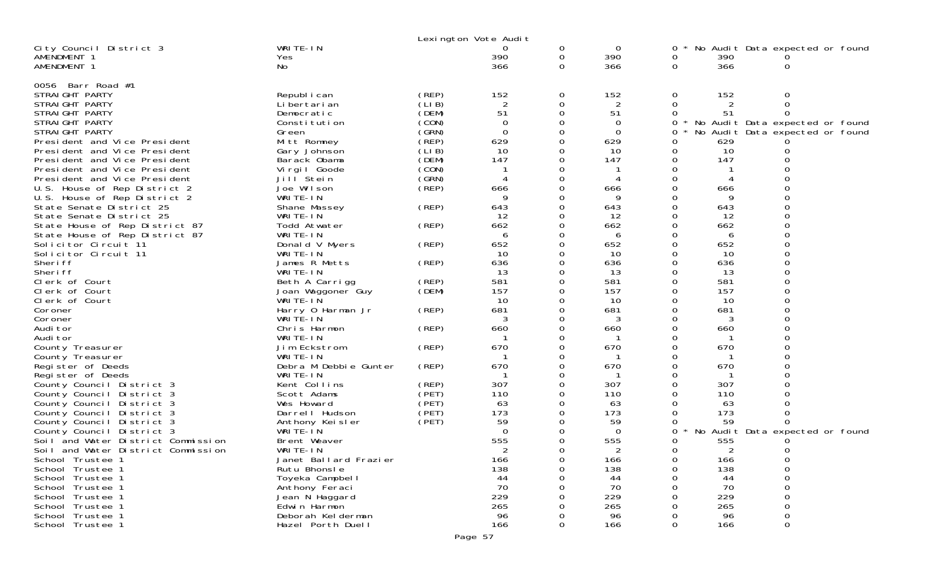|                                    | Lexington Vote Audit          |                |                          |               |                          |               |           |                                 |
|------------------------------------|-------------------------------|----------------|--------------------------|---------------|--------------------------|---------------|-----------|---------------------------------|
| City Council District 3            | WRITE-IN                      |                |                          | 0             | 0                        | 0             |           | No Audit Data expected or found |
| AMENDMENT 1                        | Yes                           |                | 390                      | 0             | 390                      | 0             | 390       |                                 |
| AMENDMENT 1                        | No.                           |                | 366                      | 0             | 366                      | 0             | 366       | 0                               |
|                                    |                               |                |                          |               |                          |               |           |                                 |
| 0056 Barr Road #1                  |                               |                |                          |               |                          |               |           |                                 |
| STRAIGHT PARTY                     | Republ i can                  | (REP)          | 152                      | 0             | 152                      | 0             | 152       | 0                               |
| STRAIGHT PARTY                     | Li bertari an                 | (LIB)          | 2                        | 0             | 2                        | 0             | 2         | $\Omega$                        |
| STRAIGHT PARTY                     | Democratic                    | (DEM)          | 51                       | 0             | 51                       | $\Omega$      | 51        | ∩                               |
| STRAIGHT PARTY                     | Constitution                  | (CON)          | $\Omega$                 | $\Omega$      | 0                        | 0             |           | No Audit Data expected or found |
| STRAIGHT PARTY                     | Green                         | (GRN)          | $\Omega$                 | 0             | 0                        | 0             |           | No Audit Data expected or found |
| President and Vice President       | Mitt Romney                   | (REP)          | 629                      | $\Omega$      | 629                      | O             | 629       |                                 |
| President and Vice President       | Gary Johnson                  | (LIB)          | 10                       | $\Omega$      | 10                       | 0             | 10        |                                 |
| President and Vice President       | Barack Obama                  | (DEM)          | 147                      | 0             | 147                      | 0             | 147       | 0                               |
| President and Vice President       | Virgil Goode                  | (CON)          |                          | $\Omega$      |                          | O             |           |                                 |
| President and Vice President       | Jill <sup>Stein</sup>         | (GRN)          | $\boldsymbol{\varDelta}$ | 0             | $\boldsymbol{\varDelta}$ | 0             |           | $\Omega$                        |
| U.S. House of Rep District 2       | Joe Wilson                    | (REP)          | 666                      | 0             | 666                      | 0             | 666       | 0                               |
| U.S. House of Rep District 2       | WRITE-IN                      |                | 9                        | Ω             | 9                        | O             | 9         | $\Omega$                        |
| State Senate District 25           | Shane Massey                  | (REP)          | 643                      | 0             | 643                      | 0             | 643       | $\Omega$                        |
| State Senate District 25           | WRITE-IN                      |                | 12                       | 0             | 12                       | 0             | 12        | 0                               |
| State House of Rep District 87     | Todd Atwater                  | (REP)          | 662                      | 0             | 662                      | 0             | 662       | $\Omega$                        |
| State House of Rep District 87     | WRITE-IN                      |                | 6                        | 0             | 6                        | 0             | 6         | $\Omega$                        |
| Solicitor Circuit 11               | Donald V Myers                | (REP)          | 652                      | 0             | 652                      | 0             | 652       | 0<br>$\Omega$                   |
| Solicitor Circuit 11               | WRITE-IN                      |                | 10                       | 0<br>$\Omega$ | 10                       | 0<br>$\Omega$ | 10        | $\Omega$                        |
| Sheri ff<br>Sheri ff               | James R Metts                 | (REP)          | 636<br>13                |               | 636<br>13                |               | 636<br>13 |                                 |
|                                    | WRITE-IN                      |                | 581                      | 0<br>0        | 581                      | 0<br>0        | 581       | 0<br>$\Omega$                   |
| Clerk of Court<br>Clerk of Court   | Beth A Carrigg                | (REP)<br>(DEM) | 157                      | $\Omega$      | 157                      | $\Omega$      | 157       | $\Omega$                        |
| Clerk of Court                     | Joan Waggoner Guy<br>WRITE-IN |                | 10                       | 0             | 10                       | 0             | 10        | 0                               |
| Coroner                            | Harry 0 Harman Jr             | (REP)          | 681                      | 0             | 681                      | 0             | 681       | $\Omega$                        |
| Coroner                            | WRITE-IN                      |                | 3                        | $\Omega$      | 3                        | $\Omega$      | 3         | $\Omega$                        |
| Audi tor                           | Chris Harmon                  | (REP)          | 660                      | 0             | 660                      | 0             | 660       | $\mathbf 0$                     |
| Audi tor                           | WRITE-IN                      |                |                          | 0             |                          | 0             |           | $\Omega$                        |
| County Treasurer                   | Jim Eckstrom                  | (REP)          | 670                      | $\Omega$      | 670                      | O             | 670       | $\Omega$                        |
| County Treasurer                   | WRITE-IN                      |                |                          | 0             |                          | 0             |           | 0                               |
| Register of Deeds                  | Debra M Debbie Gunter         | (REP)          | 670                      | 0             | 670                      | 0             | 670       | $\Omega$                        |
| Register of Deeds                  | WRITE-IN                      |                |                          | Ω             |                          | O             |           | $\Omega$                        |
| County Council District 3          | Kent Collins                  | (REP)          | 307                      | 0             | 307                      | 0             | 307       | 0                               |
| County Council District 3          | Scott Adams                   | (PET)          | 110                      | 0             | 110                      | 0             | 110       |                                 |
| County Council District 3          | Wes Howard                    | (PET)          | 63                       | Ω             | 63                       | O             | 63        | $\Omega$                        |
| County Council District 3          | Darrell Hudson                | (PET)          | 173                      | 0             | 173                      | 0             | 173       | 0                               |
| County Council District 3          | Anthony Keisler               | (PET)          | 59                       |               | 59                       | O             | 59        |                                 |
| County Council District 3          | WRITE-IN                      |                | $\Omega$                 | 0             | $\Omega$                 | 0             | $\star$   | No Audit Data expected or found |
| Soil and Water District Commission | Brent Weaver                  |                | 555                      | 0             | 555                      | 0             | 555       |                                 |
| Soil and Water District Commission | WRITE-IN                      |                |                          | ∩             |                          | $\Omega$      | 2         | $\Omega$                        |
| School Trustee 1                   | Janet Ballard Frazier         |                | 166                      | Ω             | 166                      | O             | 166       | 0                               |
| School Trustee 1                   | Rutu Bhonsle                  |                | 138                      |               | 138                      |               | 138       |                                 |
| School Trustee 1                   | Toyeka Campbell               |                | 44                       |               | 44                       |               | 44        | 0                               |
| School Trustee 1                   | Anthony Feraci                |                | 70                       |               | 70                       |               | 70        | 0                               |
| School Trustee 1                   | Jean N Haggard                |                | 229                      |               | 229                      |               | 229       |                                 |
| School Trustee 1                   | Edwin Harmon                  |                | 265                      |               | 265                      |               | 265       |                                 |
| School Trustee 1                   | Deborah Kelderman             |                | 96                       |               | 96                       |               | 96        | 0                               |
| School Trustee 1                   | Hazel Porth Duell             |                | 166                      | 0             | 166                      |               | 166       | 0                               |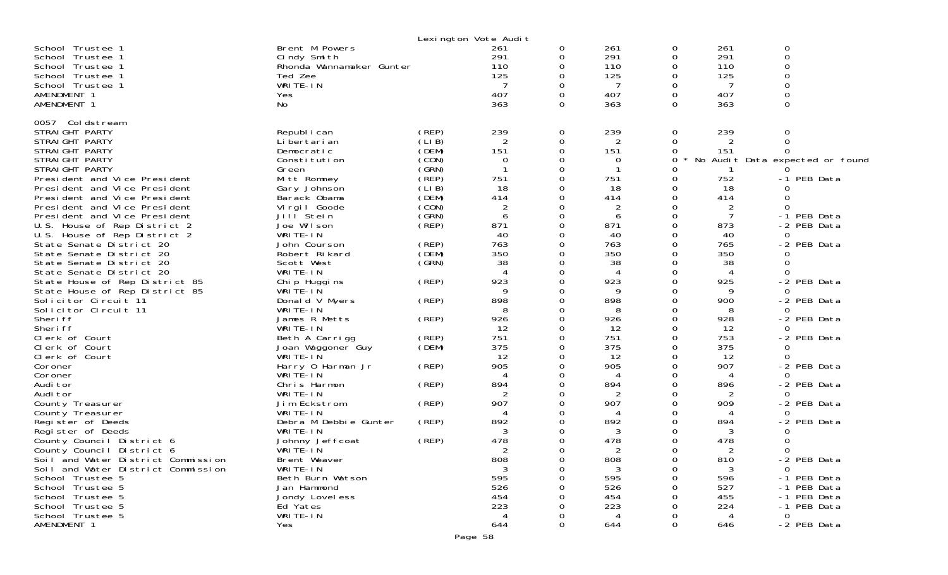|                                    |                          | Lexington Vote Audit |                             |          |               |          |                |                                 |
|------------------------------------|--------------------------|----------------------|-----------------------------|----------|---------------|----------|----------------|---------------------------------|
| School Trustee 1                   | Brent M Powers           |                      | 261                         | 0        | 261           | 0        | 261            | 0                               |
| School Trustee 1                   | Cindy Smith              |                      | 291                         | $\Omega$ | 291           | $\Omega$ | 291            | $\Omega$                        |
| School Trustee 1                   | Rhonda Wannamaker Gunter |                      | 110                         | 0        | 110           | 0        | 110            | $\Omega$                        |
| School Trustee 1                   | Ted Zee                  |                      | 125                         | 0        | 125           | 0        | 125            |                                 |
| School Trustee 1                   | WRITE-IN                 |                      |                             | 0        |               | 0        |                |                                 |
| AMENDMENT 1                        | Yes                      |                      | 407                         | 0        | 407           | 0        | 407            |                                 |
| AMENDMENT 1                        | No                       |                      | 363                         | 0        | 363           | $\Omega$ | 363            | $\Omega$                        |
|                                    |                          |                      |                             |          |               |          |                |                                 |
| 0057 Coldstream                    |                          |                      |                             |          |               |          |                |                                 |
| STRAIGHT PARTY                     | Republ i can             | (REP)                | 239                         | 0        | 239           | 0        | 239            | 0                               |
| STRAIGHT PARTY                     | Li bertari an            | (LI B)               | 2                           | 0        | 2             | 0        |                | $\Omega$                        |
| STRAIGHT PARTY                     | Democratic               | (DEM)                | 151                         | 0        | 151           | 0        | 151            |                                 |
| STRAIGHT PARTY                     | Constitution             | (CON)                | 0                           | 0        | $\Omega$      | $\Omega$ |                | No Audit Data expected or found |
| STRAIGHT PARTY                     | Green                    | (SRN)                |                             | 0        |               |          |                |                                 |
| President and Vice President       | Mitt Romney              | (REP)                | 751                         | 0        | 751           | 0        | 752            | -1 PEB Data                     |
| President and Vice President       | Gary Johnson             | (LIB)                | 18                          | 0        | 18            | $\Omega$ | 18             | ∩                               |
| President and Vice President       | Barack Obama             | (DEM)                | 414                         | O        | 414           | $\Omega$ | 414            | <sup>0</sup>                    |
| President and Vice President       | Virgil Goode             | (CON)                | 2                           |          | 2             | 0        | 2              | $\Omega$                        |
| President and Vice President       | Jill <sup>Stein</sup>    | (GRN)                | 6                           | 0        | 6             | $\Omega$ | $\overline{7}$ | -1 PEB Data                     |
| U.S. House of Rep District 2       | Joe Wilson               | (REP)                | 871                         | $\Omega$ | 871           | $\Omega$ | 873            | -2 PEB Data                     |
| U.S. House of Rep District 2       | WRITE-IN                 |                      | 40                          | 0        | 40            | 0        | 40             | $\Omega$                        |
| State Senate District 20           | John Courson             | (REP)                | 763                         | O        | 763           | $\Omega$ | 765            | -2 PEB Data                     |
| State Senate District 20           | Robert Rikard            | (DEM)                | 350                         | O        | 350           | $\Omega$ | 350            |                                 |
| State Senate District 20           | Scott West               | (GRN)                | 38                          | 0        | 38            | 0        | 38             | $\Omega$                        |
| State Senate District 20           | WRITE-IN                 |                      | $\boldsymbol{\vartriangle}$ | 0        | 4             | ∩        | 4              | $\Omega$                        |
| State House of Rep District 85     | Chi p Huggi ns           | (REP)                | 923                         | O        | 923           | $\Omega$ | 925            | -2 PEB Data                     |
| State House of Rep District 85     | WRITE-IN                 |                      | 9                           | 0        | 9             | 0        | 9              | 0                               |
| Solicitor Circuit 11               | Donald V Myers           | (REP)                | 898                         |          | 898           | ∩        | 900            | -2 PEB Data                     |
| Solicitor Circuit 11               | WRITE-IN                 |                      | 8                           | O        | 8             | ∩        | 8              |                                 |
| Sheri ff                           | James R Metts            | (REP)                | 926                         | 0        | 926           | 0        | 928            | -2 PEB Data                     |
| Sheri ff                           | WRITE-IN                 |                      | 12                          | 0        | 12            | 0        | 12             | $\Omega$                        |
| Clerk of Court                     | Beth A Carrigg           | (REP)                | 751                         | 0        | 751           | $\Omega$ | 753            | -2 PEB Data                     |
| Clerk of Court                     | Joan Waggoner Guy        | (DEM)                | 375                         | 0        | 375           | 0        | 375            | 0                               |
| Clerk of Court                     | WRITE-IN                 |                      | 12                          | O        | 12            | $\Omega$ | 12             | <sup>n</sup>                    |
| Coroner                            | Harry 0 Harman Jr        | (REP)                | 905                         | O        | 905           | $\Omega$ | 907            | -2 PEB Data                     |
| Coroner                            | WRITÉ-IN                 |                      | 4                           | 0        | 4             | ∩        | 4              | $\Omega$                        |
| Audi tor                           | Chris Harmon             | (REP)                | 894                         |          | 894           | $\Omega$ | 896            | -2 PEB Data                     |
| Audi tor                           | WRITE-IN                 |                      | 2                           | ი        | 2             | ∩        | 2              | $\Omega$                        |
| County Treasurer                   | Jim Eckstrom             | (REP)                | 907                         | 0        | 907           | ∩        | 909            | -2 PEB Data                     |
| County Treasurer                   | WRITE-IN                 |                      | 4                           |          | 4             | ∩        | 4              | 0                               |
| Register of Deeds                  | Debra M Debbie Gunter    | (REP)                | 892                         |          | 892           | ∩        | 894            | -2 PEB Data                     |
| Register of Deeds                  | WRITE-IN                 |                      | 3                           |          | 3             |          | 3              |                                 |
| County Council District 6          | Johnny Jeffcoat          | (REP)                | 478                         |          | 478           | 0        | 478            |                                 |
| County Council District 6          | WRITE-IN                 |                      | C                           | ∩        | $\mathcal{D}$ | $\Omega$ |                | $\Omega$                        |
| Soil and Water District Commission | Brent Weaver             |                      | 808                         | 0        | 808           | 0        | 810            | -2 PEB Data                     |
| Soil and Water District Commission | WRITE-IN                 |                      | 3                           |          | 3             |          | 3              | $\Omega$                        |
| School Trustee 5                   | Beth Burn Watson         |                      | 595                         |          | 595           |          | 596            | -1 PEB Data                     |
| School Trustee 5                   | Jan Hammond              |                      | 526                         |          | 526           |          | 527            | -1 PEB Data                     |
| School Trustee 5                   | Jondy Lovel ess          |                      | 454                         |          | 454           |          | 455            | -1 PEB Data                     |
| School Trustee 5                   | Ed Yates                 |                      | 223                         |          | 223           |          | 224            | -1 PEB Data                     |
| School Trustee 5                   | WRITE-IN                 |                      | 4                           |          | 4             |          | 4              | $\mathbf 0$                     |
| AMENDMENT 1                        | Yes                      |                      | 644                         | O        | 644           | 0        | 646            | -2 PEB Data                     |
|                                    |                          |                      |                             |          |               |          |                |                                 |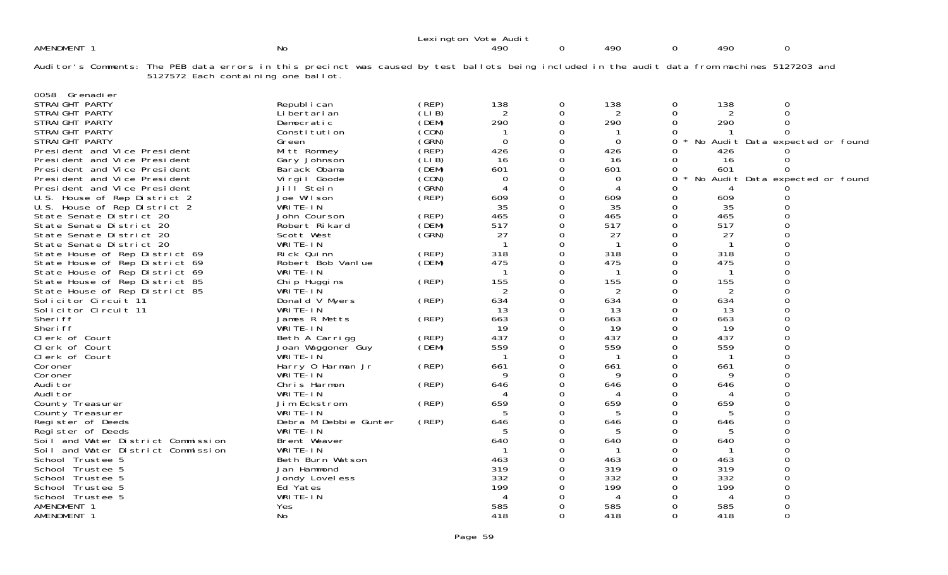|                                                                                                                                                |                                     |                                 |                | Lexington Vote Audit |          |            |          |            |                                 |  |
|------------------------------------------------------------------------------------------------------------------------------------------------|-------------------------------------|---------------------------------|----------------|----------------------|----------|------------|----------|------------|---------------------------------|--|
| AMENDMENT 1                                                                                                                                    |                                     | <b>No</b>                       |                | 490                  | 0        | 490        | 0        | 490        | 0                               |  |
| Auditor's Comments: The PEB data errors in this precinct was caused by test ballots being included in the audit data from machines 5127203 and | 5127572 Each containing one ballot. |                                 |                |                      |          |            |          |            |                                 |  |
| 0058 Grenadier<br>STRAIGHT PARTY                                                                                                               |                                     |                                 |                | 138                  |          | 138        |          | 138        | 0                               |  |
| STRAIGHT PARTY                                                                                                                                 |                                     | Republ i can<br>Li bertari an   | (REP)<br>(LIB) |                      | 0<br>0   | 2          | 0<br>Ω   |            |                                 |  |
| STRAIGHT PARTY                                                                                                                                 |                                     | Democratic                      | (DEM)          | 290                  | 0        | 290        | O        | 290        |                                 |  |
| STRAIGHT PARTY                                                                                                                                 |                                     | Constitution                    | (CON)          |                      | 0        |            |          |            |                                 |  |
| STRAIGHT PARTY                                                                                                                                 |                                     | Green                           | (GRN)          | 0                    | 0        | 0          | 0        |            | No Audit Data expected or found |  |
| President and Vice President                                                                                                                   |                                     | Mitt Romney                     | (REP)          | 426                  | 0        | 426        |          | 426        |                                 |  |
| President and Vice President                                                                                                                   |                                     | Gary Johnson                    | (LIB)          | 16                   | 0        | 16         | Ω        | 16         |                                 |  |
| President and Vice President                                                                                                                   |                                     | Barack Obama                    | (DEM)          | 601                  | 0        | 601        | Ω        | 601        |                                 |  |
| President and Vice President                                                                                                                   |                                     | Virgil Goode                    | (CON)          | 0                    | 0        | 0          | Ω        |            | No Audit Data expected or found |  |
| President and Vice President                                                                                                                   |                                     | Jill Stein                      | (GRN)          |                      | 0        |            |          |            |                                 |  |
| U.S. House of Rep District 2                                                                                                                   |                                     | Joe Wilson                      | (REP)          | 609                  | $\Omega$ | 609        | O        | 609        |                                 |  |
| U.S. House of Rep District 2                                                                                                                   |                                     | WRITE-IN                        |                | 35                   | 0        | 35         | Ω        | 35         |                                 |  |
| State Senate District 20                                                                                                                       |                                     | John Courson                    | (REP)          | 465                  | 0        | 465        | 0        | 465        |                                 |  |
| State Senate District 20                                                                                                                       |                                     | Robert Rikard                   | (DEM)          | 517                  | 0        | 517        | O        | 517        |                                 |  |
| State Senate District 20                                                                                                                       |                                     | Scott West                      | (GRN)          | 27                   | 0        | 27         | O        | 27         |                                 |  |
| State Senate District 20                                                                                                                       |                                     | WRITE-IN                        |                |                      | 0        | -1         |          |            |                                 |  |
| State House of Rep District 69                                                                                                                 |                                     | Rick Quinn<br>Robert Bob Vanlue | (REP)<br>(DEM) | 318<br>475           | 0<br>0   | 318<br>475 | Ω        | 318<br>475 |                                 |  |
| State House of Rep District 69                                                                                                                 |                                     | WRITE-IN                        |                |                      | 0        |            |          |            |                                 |  |
| State House of Rep District 69<br>State House of Rep District 85                                                                               |                                     |                                 | (REP)          | 155                  | $\Omega$ | 155        |          | 155        |                                 |  |
| State House of Rep District 85                                                                                                                 |                                     | Chip Huggins<br>WRITE-IN        |                | 2                    | 0        | 2          | Ω        | 2          |                                 |  |
| Solicitor Circuit 11                                                                                                                           |                                     | Donald V Myers                  | (REP)          | 634                  | 0        | 634        | 0        | 634        |                                 |  |
| Solicitor Circuit 11                                                                                                                           |                                     | WRITE-IN                        |                | 13                   | 0        | 13         | O        | 13         |                                 |  |
| Sheri ff                                                                                                                                       |                                     | James R Metts                   | (REP)          | 663                  | 0        | 663        | Ω        | 663        |                                 |  |
| Sheri ff                                                                                                                                       |                                     | WRITE-IN                        |                | 19                   | 0        | 19         | 0        | 19         |                                 |  |
| Clerk of Court                                                                                                                                 |                                     | Beth A Carrigg                  | (REP)          | 437                  | $\Omega$ | 437        | $\Omega$ | 437        |                                 |  |
| Clerk of Court                                                                                                                                 |                                     | Joan Waggoner Guy               | (DEM)          | 559                  | 0        | 559        |          | 559        |                                 |  |
| Clerk of Court                                                                                                                                 |                                     | WRITE-IN                        |                |                      | O        |            |          |            |                                 |  |
| Coroner                                                                                                                                        |                                     | Harry 0 Harman Jr               | (REP)          | 661                  |          | 661        |          | 661        |                                 |  |
| Coroner                                                                                                                                        |                                     | WRITE-IN                        |                | <b>Q</b>             | 0        | 9          | Ω        | q          |                                 |  |
| Audi tor                                                                                                                                       |                                     | Chris Harmon                    | (REP)          | 646                  | 0        | 646        |          | 646        |                                 |  |
| Audi tor                                                                                                                                       |                                     | WRITE-IN                        |                |                      | O        |            | O        |            |                                 |  |
| County Treasurer                                                                                                                               |                                     | Jim Eckstrom                    | (REP)          | 659                  | 0        | 659        | Ω        | 659        |                                 |  |
| County Treasurer                                                                                                                               |                                     | WRITE-IN                        |                |                      | O        | 5          |          |            |                                 |  |
| Register of Deeds                                                                                                                              |                                     | Debra M Debbie Gunter           | (REP)          | 646                  | U        | 646        |          | 646        |                                 |  |
| Register of Deeds                                                                                                                              |                                     | WRITE-IN                        |                |                      |          | 5          |          | 5          |                                 |  |
| Soil and Water District Commission                                                                                                             |                                     | Brent Weaver                    |                | 640                  |          | 640        |          | 640        |                                 |  |
| Soil and Water District Commission                                                                                                             |                                     | WRITE-IN<br>Beth Burn Watson    |                |                      |          | 463        | ∩        | 463        |                                 |  |
| School Trustee 5<br>School Trustee 5                                                                                                           |                                     |                                 |                | 463<br>319           | 0        | 319        | 0        | 319        |                                 |  |
| School Trustee 5                                                                                                                               |                                     | Jan Hammond<br>Jondy Lovel ess  |                | 332                  |          | 332        |          | 332        |                                 |  |
| School Trustee 5                                                                                                                               |                                     | Ed Yates                        |                | 199                  |          | 199        |          | 199        |                                 |  |
| School Trustee 5                                                                                                                               |                                     | WRITE-IN                        |                |                      |          | 4          |          |            |                                 |  |
| AMENDMENT 1                                                                                                                                    |                                     | Yes                             |                | 585                  |          | 585        |          | 585        |                                 |  |
| AMENDMENT 1                                                                                                                                    |                                     | No                              |                | 418                  | U        | 418        | Ω        | 418        | 0                               |  |
|                                                                                                                                                |                                     |                                 |                |                      |          |            |          |            |                                 |  |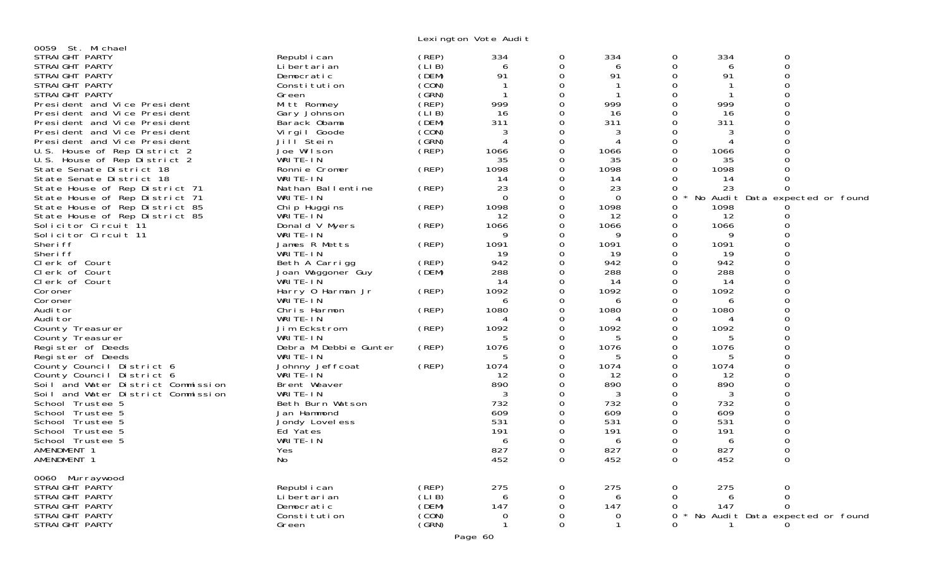Lexington Vote Audit

| 0059 St. Michael                   |                       |        |          |          |          |          |      |                                 |  |
|------------------------------------|-----------------------|--------|----------|----------|----------|----------|------|---------------------------------|--|
| STRAIGHT PARTY                     | Republ i can          | (REP)  | 334      | 0        | 334      | 0        | 334  | 0                               |  |
| STRAIGHT PARTY                     | Li bertari an         | (LIB)  | 6        | 0        | 6        | 0        | 6    | 0                               |  |
| STRAIGHT PARTY                     | Democratic            | (DEM)  | 91       | 0        | 91       | 0        | 91   |                                 |  |
| STRAIGHT PARTY                     | Constitution          | (CON)  |          | $\Omega$ |          |          |      |                                 |  |
| STRAIGHT PARTY                     | Green                 | (GRN)  |          | 0        | -1       | 0        |      |                                 |  |
| President and Vice President       | Mitt Romney           | (REP)  | 999      |          | 999      |          | 999  |                                 |  |
| President and Vice President       | Gary Johnson          | (LIB)  | 16       | Ω        | 16       | 0        | 16   |                                 |  |
| President and Vice President       | Barack Obama          | (DEM)  | 311      |          | 311      |          | 311  |                                 |  |
| President and Vice President       | Virgil Goode          | (CON)  |          |          | 3        |          | 3    |                                 |  |
| President and Vice President       | Jill Stein            | (GRN)  |          | 0        |          | 0        |      |                                 |  |
| U.S. House of Rep District 2       | Joe Wilson            | (REP)  | 1066     |          | 1066     |          | 1066 |                                 |  |
| U.S. House of Rep District 2       | WRITE-IN              |        |          |          |          |          |      |                                 |  |
|                                    |                       |        | 35       |          | 35       |          | 35   |                                 |  |
| State Senate District 18           | Ronnie Cromer         | (REP)  | 1098     |          | 1098     |          | 1098 |                                 |  |
| State Senate District 18           | WRITE-IN              |        | 14       |          | 14       |          | 14   |                                 |  |
| State House of Rep District 71     | Nathan Ballentine     | (REP)  | 23       |          | 23       | 0        | 23   | 0                               |  |
| State House of Rep District 71     | WRITE-IN              |        | $\Omega$ | 0        | $\Omega$ | 0        |      | No Audit Data expected or found |  |
| State House of Rep District 85     | Chip Huggins          | (REP)  | 1098     |          | 1098     |          | 1098 |                                 |  |
| State House of Rep District 85     | WRITE-IN              |        | 12       | 0        | 12       | 0        | 12   |                                 |  |
| Solicitor Circuit 11               | Donald V Myers        | (REP)  | 1066     | 0        | 1066     | 0        | 1066 |                                 |  |
| Solicitor Circuit 11               | WRITE-IN              |        | 9        |          | 9        |          | 9    |                                 |  |
| Sheri ff                           | James R Metts         | (REP)  | 1091     | 0        | 1091     | 0        | 1091 |                                 |  |
| Sheri ff                           | WRITE-IN              |        | 19       | Ω        | 19       |          | 19   |                                 |  |
| Clerk of Court                     | Beth A Carrigg        | (REP)  | 942      |          | 942      |          | 942  |                                 |  |
| Clerk of Court                     | Joan Waggoner Guy     | (DEM)  | 288      | 0        | 288      |          | 288  |                                 |  |
| Clerk of Court                     | WRITE-IN              |        | 14       | 0        | 14       | 0        | 14   |                                 |  |
| Coroner                            | Harry 0 Harman Jr     | (REP)  | 1092     |          | 1092     |          | 1092 |                                 |  |
| Coroner                            | WRITE-IN              |        | 6        |          | 6        |          | 6    |                                 |  |
| Audi tor                           | Chris Harmon          | (REP)  | 1080     | 0        | 1080     | 0        | 1080 |                                 |  |
| Audi tor                           | WRITE-IN              |        |          |          | 4        |          | 4    |                                 |  |
| County Treasurer                   | Jim Eckstrom          | (REP)  | 1092     | 0        | 1092     | 0        | 1092 |                                 |  |
| County Treasurer                   | WRITE-IN              |        | 5        | 0        | 5        | 0        | 5    |                                 |  |
| Register of Deeds                  | Debra M Debbie Gunter | (REP)  | 1076     |          | 1076     |          | 1076 |                                 |  |
| Register of Deeds                  | WRITE-IN              |        |          |          |          |          |      |                                 |  |
| County Council District 6          | Johnny Jeffcoat       | (REP)  | 1074     | 0        | 1074     | $\Omega$ | 1074 |                                 |  |
| County Council District 6          | WRITE-IN              |        | 12       |          | 12       |          | 12   |                                 |  |
| Soil and Water District Commission | Brent Weaver          |        | 890      | 0        | 890      |          | 890  |                                 |  |
| Soil and Water District Commission | WRITE-IN              |        | 3        | 0        | 3        | 0        | 3    |                                 |  |
| School Trustee 5                   | Beth Burn Watson      |        | 732      |          | 732      |          | 732  |                                 |  |
| School Trustee 5                   | Jan Hammond           |        | 609      |          | 609      |          | 609  |                                 |  |
|                                    |                       |        | 531      |          | 531      | 0        | 531  |                                 |  |
| School Trustee 5                   | Jondy Lovel ess       |        |          | 0        |          |          |      |                                 |  |
| School Trustee 5                   | Ed Yates              |        | 191      |          | 191      |          | 191  |                                 |  |
| School Trustee 5                   | WRITE-IN              |        | 6        |          | 6        |          | 6    |                                 |  |
| AMENDMENT 1                        | Yes                   |        | 827      | 0        | 827      | 0        | 827  |                                 |  |
| AMENDMENT 1                        | No                    |        | 452      | $\Omega$ | 452      | 0        | 452  | 0                               |  |
|                                    |                       |        |          |          |          |          |      |                                 |  |
| 0060 Murraywood                    |                       |        |          |          |          |          |      |                                 |  |
| STRAIGHT PARTY                     | Republ i can          | (REP)  | 275      | 0        | 275      | 0        | 275  | 0                               |  |
| STRAIGHT PARTY                     | Li bertari an         | (LI B) | 6        | 0        | 6        | $\Omega$ | 6    | $\Omega$                        |  |
| STRAIGHT PARTY                     | Democratic            | (DEM)  | 147      | 0        | 147      | 0        | 147  | $\Omega$                        |  |
| STRAIGHT PARTY                     | Constitution          | (CON)  | 0        | 0        | 0        | 0        |      | No Audit Data expected or found |  |
| STRAIGHT PARTY                     | Green                 | (GRN)  |          | $\Omega$ |          | $\Omega$ |      |                                 |  |
|                                    |                       |        | Page 60  |          |          |          |      |                                 |  |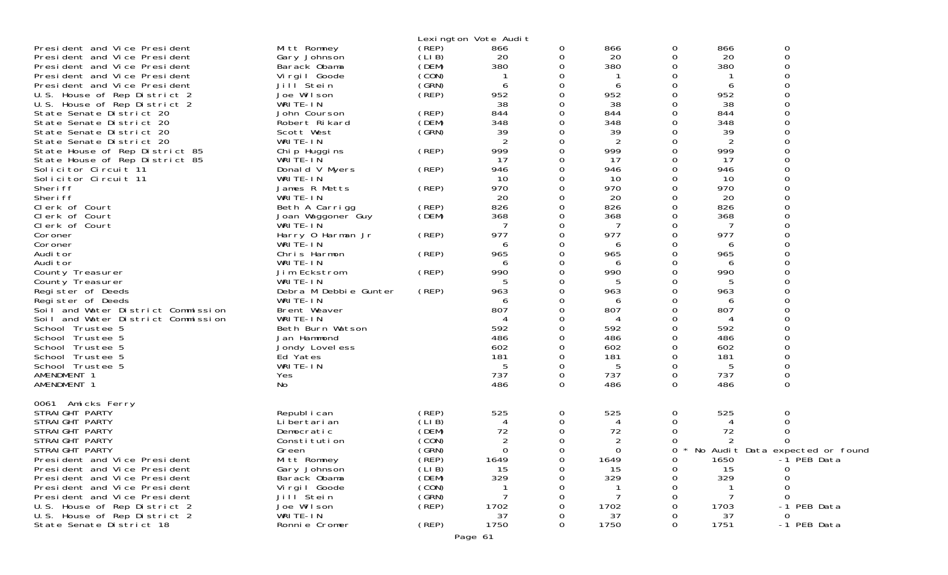|                                    |                       |       | Lexington Vote Audit |          |                |   |      |                                   |
|------------------------------------|-----------------------|-------|----------------------|----------|----------------|---|------|-----------------------------------|
| President and Vice President       | Mitt Romney           | (REP) | 866                  | 0        | 866            | 0 | 866  | 0                                 |
| President and Vice President       | Gary Johnson          | (LIB) | 20                   | O        | 20             | 0 | 20   | $\Omega$                          |
| President and Vice President       | Barack Obama          | (DEM) | 380                  |          | 380            | ∩ | 380  |                                   |
| President and Vice President       | Virgil Goode          | (CON) |                      |          |                |   |      |                                   |
| President and Vice President       | Jill Stein            | (GRN) | 6                    |          | 6              |   | 6    |                                   |
| U.S. House of Rep District 2       | Joe Wilson            | (REP) | 952                  | O        | 952            | ∩ | 952  |                                   |
| U.S. House of Rep District 2       | WRITE-IN              |       | 38                   | 0        | 38             |   | 38   |                                   |
| State Senate District 20           | John Courson          | (REP) | 844                  | 0        | 844            |   | 844  |                                   |
| State Senate District 20           | Robert Rikard         | (DEM) | 348                  |          | 348            |   | 348  |                                   |
| State Senate District 20           | Scott West            | (GRN) | 39                   | 0        | 39             |   | 39   |                                   |
| State Senate District 20           | WRITE-IN              |       | 2                    |          | 2              |   | 2    |                                   |
| State House of Rep District 85     | Chip Huggins          | (REP) | 999                  | O        | 999            | O | 999  |                                   |
| State House of Rep District 85     | WRITE-IN              |       | 17                   | 0        | 17             | 0 | 17   |                                   |
| Solicitor Circuit 11               | Donald V Myers        | (REP) | 946                  |          | 946            |   | 946  |                                   |
| Solicitor Circuit 11               | WRITE-IN              |       | 10                   | Ω        | 10             |   | 10   |                                   |
| Sheri ff                           | James R Metts         | (REP) | 970                  | 0        | 970            |   | 970  |                                   |
| Sheri ff                           | WRITE-IN              |       | 20                   |          | 20             |   | 20   |                                   |
|                                    |                       |       |                      |          |                |   |      |                                   |
| Clerk of Court                     | Beth A Carrigg        | (REP) | 826                  |          | 826            |   | 826  |                                   |
| Clerk of Court                     | Joan Waggoner Guy     | (DEM) | 368                  |          | 368            |   | 368  |                                   |
| Clerk of Court                     | WRITE-IN              |       |                      |          | 7              |   | 7    |                                   |
| Coroner                            | Harry 0 Harman Jr     | (REP) | 977                  |          | 977            | ∩ | 977  |                                   |
| Coroner                            | WRITE-IN              |       | 6                    |          | 6              |   | 6    |                                   |
| Audi tor                           | Chris Harmon          | (REP) | 965                  |          | 965            |   | 965  |                                   |
| Audi tor                           | WRITE-IN              |       | 6                    | O        | 6              | ∩ | 6    |                                   |
| County Treasurer                   | Jim Eckstrom          | (REP) | 990                  |          | 990            | Ω | 990  |                                   |
| County Treasurer                   | WRITE-IN              |       |                      |          | 5              |   |      |                                   |
| Register of Deeds                  | Debra M Debbie Gunter | (REP) | 963                  | ∩        | 963            | ∩ | 963  |                                   |
| Register of Deeds                  | WRITE-IN              |       |                      |          | 6              |   | 6    |                                   |
| Soil and Water District Commission | Brent Weaver          |       | 807                  |          | 807            |   | 807  |                                   |
| Soil and Water District Commission | WRITE-IN              |       |                      |          | 4              |   | Δ    |                                   |
| School Trustee 5                   | Beth Burn Watson      |       | 592                  |          | 592            |   | 592  |                                   |
| School Trustee 5                   | Jan Hammond           |       | 486                  |          | 486            |   | 486  |                                   |
| School Trustee 5                   | Jondy Lovel ess       |       | 602                  |          | 602            | O | 602  |                                   |
| School Trustee 5                   | Ed Yates              |       | 181                  |          | 181            |   | 181  |                                   |
| School Trustee 5                   | WRITE-IN              |       | 5                    | 0        | 5              |   | 5    |                                   |
| AMENDMENT 1                        | Yes                   |       | 737                  | 0        | 737            | 0 | 737  |                                   |
| AMENDMENT 1                        | No                    |       | 486                  | $\Omega$ | 486            | 0 | 486  | 0                                 |
|                                    |                       |       |                      |          |                |   |      |                                   |
| 0061 Amicks Ferry                  |                       |       |                      |          |                |   |      |                                   |
| STRAIGHT PARTY                     | Republ i can          | (REP) | 525                  | 0        | 525            | 0 | 525  | 0                                 |
| STRAIGHT PARTY                     | Li bertari an         | (LIB) |                      | 0        | 4              | Ω |      |                                   |
| STRAIGHT PARTY                     | Democratic            | (DEM) | 72                   | 0        | 72             |   | 72   |                                   |
| STRAIGHT PARTY                     | Constitution          | (CON) | 2                    |          | $\overline{c}$ |   |      |                                   |
| STRAIGHT PARTY                     | Green                 | (GRN) | 0                    | 0        | 0              | 0 |      | * No Audit Data expected or found |
| President and Vice President       | Mitt Romney           | (REP) | 1649                 | 0        | 1649           | O | 1650 | -1 PEB Data                       |
| President and Vice President       | Gary Johnson          | (LIB) | 15                   | 0        | 15             | 0 | 15   | 0                                 |
| President and Vice President       | Barack Obama          | (DEM) | 329                  |          | 329            |   | 329  |                                   |
| President and Vice President       | Virgil Goode          | (CON) |                      |          |                |   |      |                                   |
| President and Vice President       | Jill Stein            | (GRN) |                      |          | 7              |   | -7   | 0                                 |
| U.S. House of Rep District 2       | Joe Wilson            | (REP) | 1702                 |          | 1702           |   | 1703 | -1 PEB Data                       |
| U.S. House of Rep District 2       | WRITE-IN              |       | 37                   |          | 37             |   | 37   | 0                                 |
| State Senate District 18           | Ronnie Cromer         | (REP) | 1750                 | 0        | 1750           | Ω | 1751 | -1 PEB Data                       |
|                                    |                       |       |                      |          |                |   |      |                                   |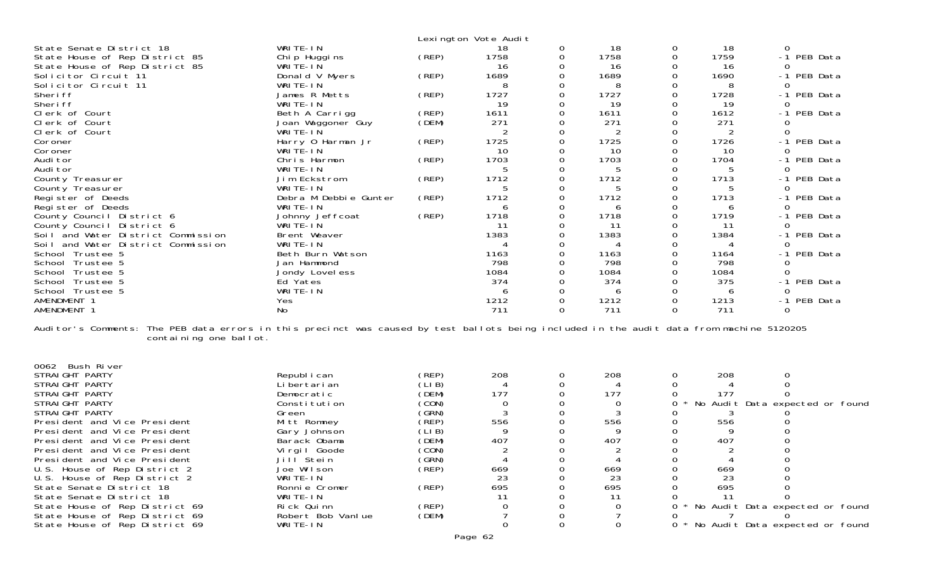|                                                                                                                                                                     |                       |       | Lexington Vote Audit |             |      |          |                |              |             |
|---------------------------------------------------------------------------------------------------------------------------------------------------------------------|-----------------------|-------|----------------------|-------------|------|----------|----------------|--------------|-------------|
| State Senate District 18                                                                                                                                            | WRITE-IN              |       | 18                   | 0           | 18   | 0        | 18             | $\Omega$     |             |
| State House of Rep District 85                                                                                                                                      | Chip Huggins          | (REP) | 1758                 | 0           | 1758 | 0        | 1759           |              | -1 PEB Data |
| State House of Rep District 85                                                                                                                                      | WRITE-IN              |       | 16                   | 0           | 16   |          | 16             |              |             |
| Solicitor Circuit 11                                                                                                                                                | Donald V Myers        | (REP) | 1689                 | 0           | 1689 | 0        | 1690           |              | -1 PEB Data |
| Solicitor Circuit 11                                                                                                                                                | WRITE-IN              |       | 8                    | 0           |      | 0        | 8              |              |             |
| Sheri ff                                                                                                                                                            | James R Metts         | (REP) | 1727                 | 0           | 1727 | 0        | 1728           |              | -1 PEB Data |
| Sheri ff                                                                                                                                                            | WRITE-IN              |       | 19                   | 0           | 19   | $\Omega$ | 19             | $\Omega$     |             |
| Clerk of Court                                                                                                                                                      | Beth A Carrigg        | (REP) | 1611                 | O           | 1611 | 0        | 1612           |              | -1 PEB Data |
| Clerk of Court                                                                                                                                                      | Joan Waggoner Guy     | (DEM) | 271                  | 0           | 271  | $\Omega$ | 271            | $\Omega$     |             |
| Clerk of Court                                                                                                                                                      | WRITE-IN              |       |                      | 0           |      | $\Omega$ | $\mathfrak{D}$ |              |             |
| Coroner                                                                                                                                                             | Harry 0 Harman Jr     | (REP) | 1725                 | 0           | 1725 |          | 1726           |              | -1 PEB Data |
| Coroner                                                                                                                                                             | WRITE-IN              |       | 10                   | 0           | 10   |          | 10             |              |             |
| Audi tor                                                                                                                                                            | Chris Harmon          | (REP) | 1703                 | 0           | 1703 |          | 1704           |              | -1 PEB Data |
| Audi tor                                                                                                                                                            | WRITE-IN              |       |                      | 0           |      | 0        | 5              | $\Omega$     |             |
| County Treasurer                                                                                                                                                    | Jim Eckstrom          | (REP) | 1712                 | 0           | 1712 | 0        | 1713           |              | -1 PEB Data |
| County Treasurer                                                                                                                                                    | WRITE-IN              |       |                      | 0           |      | 0        |                | $\Omega$     |             |
| Register of Deeds                                                                                                                                                   | Debra M Debbie Gunter | (REP) | 1712                 | $\mathbf 0$ | 1712 | 0        | 1713           |              | -1 PEB Data |
| Register of Deeds                                                                                                                                                   | WRITE-IN              |       | 6                    | 0           | 6    | 0        | 6              | $\Omega$     |             |
| County Council District 6                                                                                                                                           | Johnny Jeffcoat       | (REP) | 1718                 | 0           | 1718 | 0        | 1719           |              | -1 PEB Data |
| County Council District 6                                                                                                                                           | WRITE-IN              |       | 11                   | 0           | 11   | 0        | 11             | $\Omega$     |             |
| Soil and Water District Commission                                                                                                                                  | Brent Weaver          |       | 1383                 | 0           | 1383 | $\Omega$ | 1384           |              | -1 PEB Data |
| Soil and Water District Commission                                                                                                                                  | WRITE-IN              |       |                      | 0           |      | $\Omega$ | 4              | <sup>0</sup> |             |
| School Trustee 5                                                                                                                                                    | Beth Burn Watson      |       | 1163                 | $\Omega$    | 1163 | $\Omega$ | 1164           |              | -1 PEB Data |
| School Trustee 5                                                                                                                                                    | Jan Hammond           |       | 798                  | 0           | 798  | $\Omega$ | 798            |              |             |
| School Trustee 5                                                                                                                                                    | Jondy Lovel ess       |       | 1084                 | 0           | 1084 |          | 1084           |              |             |
| School Trustee 5                                                                                                                                                    | Ed Yates              |       | 374                  | 0           | 374  |          | 375            |              | -1 PEB Data |
| School Trustee 5                                                                                                                                                    | WRITE-IN              |       |                      | 0           |      |          | 6              |              |             |
| AMENDMENT 1                                                                                                                                                         | Yes                   |       | 1212                 | $\mathbf 0$ | 1212 | $\Omega$ | 1213           |              | -1 PEB Data |
| AMENDMENT 1                                                                                                                                                         | No                    |       | 711                  | $\Omega$    | 711  |          | 711            |              |             |
|                                                                                                                                                                     |                       |       |                      |             |      |          |                |              |             |
| Auditor's Comments: The PEB data errors in this precinct was caused by test ballots being included in the audit data from machine 5120205<br>containing one ballot. |                       |       |                      |             |      |          |                |              |             |
|                                                                                                                                                                     |                       |       |                      |             |      |          |                |              |             |
|                                                                                                                                                                     |                       |       |                      |             |      |          |                |              |             |
| Bush River<br>0062                                                                                                                                                  |                       |       |                      |             |      |          |                |              |             |

| STRAIGHT PARTY                 | Republ i can      | (REP)  | 208 | 208 | 208 |                                     |  |
|--------------------------------|-------------------|--------|-----|-----|-----|-------------------------------------|--|
| STRAIGHT PARTY                 | Li bertari an     | (LI B) |     |     |     |                                     |  |
| STRAIGHT PARTY                 | Democratic        | (DEM)  | 177 |     |     |                                     |  |
| STRAIGHT PARTY                 | Constitution      | (CON)  |     |     |     | * No Audit Data expected or found   |  |
| STRAIGHT PARTY                 | Green             | (GRN)  |     |     |     |                                     |  |
| President and Vice President   | Mitt Romney       | (REP)  | 556 | 556 | 556 |                                     |  |
| President and Vice President   | Gary Johnson      | (LI B) |     |     |     |                                     |  |
| President and Vice President   | Barack Obama      | (DEM)  | 407 | 407 | 407 |                                     |  |
| President and Vice President   | Virgil Goode      | (CON)  |     |     |     |                                     |  |
| President and Vice President   | Jill Stein        | (GRN)  |     |     |     |                                     |  |
| U.S. House of Rep District 2   | Joe Wilson        | (REP)  | 669 | 669 | 669 |                                     |  |
| U.S. House of Rep District 2   | WRITE-IN          |        |     | 23  |     |                                     |  |
| State Senate District 18       | Ronnie Cromer     | (REP)  | 695 | 695 | 695 |                                     |  |
| State Senate District 18       | WRITE-IN          |        |     |     |     |                                     |  |
| State House of Rep District 69 | Rick Quinn        | (REP)  |     |     |     | * No Audit Data expected or found   |  |
| State House of Rep District 69 | Robert Bob Vanlue | (DEM)  |     |     |     |                                     |  |
| State House of Rep District 69 | WRITE-IN          |        |     |     |     | 0 * No Audit Data expected or found |  |
|                                |                   |        |     |     |     |                                     |  |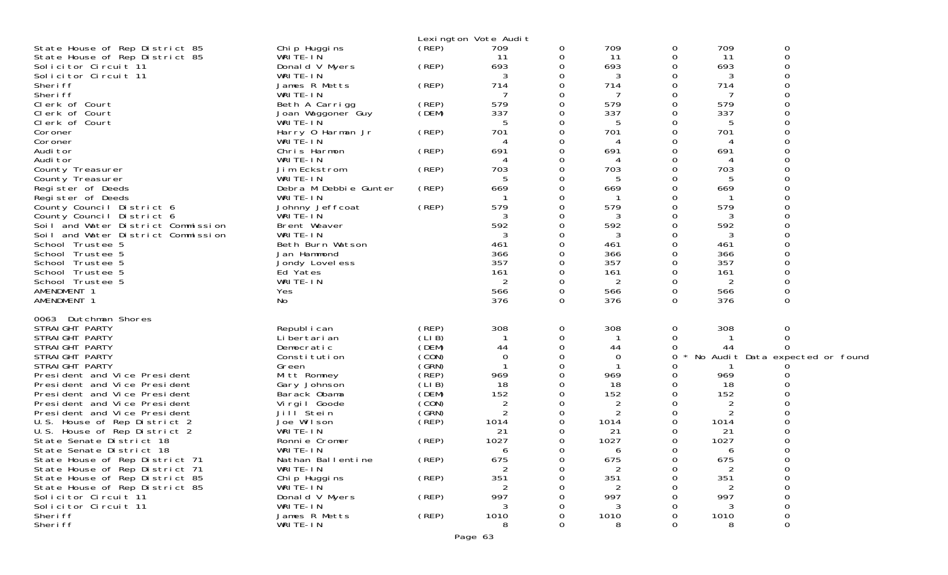|                                                              |                                |                | Lexington Vote Audit |          |                     |               |            |                                 |
|--------------------------------------------------------------|--------------------------------|----------------|----------------------|----------|---------------------|---------------|------------|---------------------------------|
| State House of Rep District 85                               | Chip Huggins                   | (REP)          | 709                  | 0        | 709                 | 0             | 709        | 0                               |
| State House of Rep District 85                               | WRITE-IN                       |                | 11                   | 0        | 11                  | 0             | 11         | 0                               |
| Solicitor Circuit 11                                         | Donald V Myers                 | (REP)          | 693                  | 0        | 693                 | 0             | 693        |                                 |
| Solicitor Circuit 11<br>Sheri ff                             | WRITE-IN<br>James R Metts      | (REP)          | 3<br>714             | 0<br>0   | 3<br>714            | $\Omega$<br>0 | 3<br>714   |                                 |
| Sheri ff                                                     | WRITE-IN                       |                |                      | 0        |                     | 0             | 7          |                                 |
| Clerk of Court                                               | Beth A Carrigg                 | (REP)          | 579                  | 0        | 579                 | 0             | 579        |                                 |
| Clerk of Court                                               | Joan Waggoner Guy              | (DEM)          | 337                  | 0        | 337                 | 0             | 337        |                                 |
| Clerk of Court                                               | WRITE-IN                       |                |                      | 0        | 5                   | Ω             |            |                                 |
| Coroner                                                      | Harry 0 Harman Jr              | (REP)          | 701                  | 0        | 701                 | 0             | 701        |                                 |
| Coroner                                                      | WRITE-IN                       |                |                      | 0        | 4                   | 0             | 4          |                                 |
| Audi tor                                                     | Chris Harmon                   | (REP)          | 691                  | 0        | 691                 |               | 691        |                                 |
| Audi tor                                                     | WRITE-IN                       |                | 703                  | 0        | 4<br>703            | Ω             | 703        |                                 |
| County Treasurer<br>County Treasurer                         | Jim Eckstrom<br>WRITE-IN       | (REP)          |                      | 0<br>0   | 5                   |               |            |                                 |
| Register of Deeds                                            | Debra M Debbie Gunter          | (REP)          | 669                  | 0        | 669                 | 0             | 669        |                                 |
| Register of Deeds                                            | WRITE-IN                       |                |                      | 0        | -1                  | 0             |            |                                 |
| County Council District 6                                    | Johnny Jeffcoat                | (REP)          | 579                  | 0        | 579                 | $\Omega$      | 579        |                                 |
| County Council District 6                                    | WRITE-IN                       |                | 3                    | 0        | 3                   | Ω             | 3          |                                 |
| Soil and Water District Commission                           | Brent Weaver                   |                | 592                  | 0        | 592                 | Ω             | 592        |                                 |
| Soil and Water District Commission                           | WRITE-IN                       |                |                      | Ω        | 3                   |               | 3          |                                 |
| School Trustee 5                                             | Beth Burn Watson               |                | 461                  | 0        | 461                 | 0             | 461        |                                 |
| School Trustee 5<br>School Trustee 5                         | Jan Hammond<br>Jondy Lovel ess |                | 366<br>357           | 0<br>0   | 366<br>357          | 0             | 366<br>357 |                                 |
| School Trustee 5                                             | Ed Yates                       |                | 161                  | 0        | 161                 | 0             | 161        |                                 |
| School Trustee 5                                             | WRITE-IN                       |                | 2                    | 0        | $\overline{2}$      | 0             | 2          |                                 |
| AMENDMENT 1                                                  | Yes                            |                | 566                  | 0        | 566                 | 0             | 566        |                                 |
| AMENDMENT 1                                                  | No                             |                | 376                  | $\Omega$ | 376                 | $\Omega$      | 376        | $\Omega$                        |
|                                                              |                                |                |                      |          |                     |               |            |                                 |
| 0063 Dutchman Shores<br>STRAIGHT PARTY                       |                                | (REP)          | 308                  |          | 308                 |               | 308        |                                 |
| STRAIGHT PARTY                                               | Republ i can<br>Li bertari an  | (LIB)          |                      | 0<br>0   | -1                  | 0<br>0        |            | 0<br>$\Omega$                   |
| STRAIGHT PARTY                                               | Democratic                     | (DEM)          | 44                   | 0        | 44                  | 0             | 44         |                                 |
| STRAIGHT PARTY                                               | Constitution                   | (CON)          | 0                    | 0        | 0                   | 0             |            | No Audit Data expected or found |
| STRAIGHT PARTY                                               | Green                          | (GRN)          |                      | 0        |                     | Ω             |            |                                 |
| President and Vice President                                 | Mitt Romney                    | (REP)          | 969                  | 0        | 969                 | 0             | 969        |                                 |
| President and Vice President                                 | Gary Johnson                   | (LIB)          | 18                   | 0        | 18                  | 0             | 18         |                                 |
| President and Vice President                                 | Barack Obama                   | (DEM)          | 152                  | 0        | 152                 |               | 152        |                                 |
| President and Vice President                                 | Virgil Goode                   | (CON)<br>(GRN) | 2<br>2               | 0        | 2<br>$\overline{2}$ | Ω<br>0        | 2<br>2     |                                 |
| President and Vice President<br>U.S. House of Rep District 2 | Jill Stein<br>Joe Wilson       | (REP)          | 1014                 | 0<br>0   | 1014                | 0             | 1014       |                                 |
| U.S. House of Rep District 2                                 | WRITE-IN                       |                | 21                   | 0        | 21                  | 0             | 21         |                                 |
| State Senate District 18                                     | Ronnie Cromer                  | (REP)          | 1027                 | 0        | 1027                | 0             | 1027       |                                 |
| State Senate District 18                                     | WRITE-IN                       |                | 6                    | 0        | 6                   | $\Omega$      | 6          | $\Omega$                        |
| State House of Rep District 71                               | Nathan Ballentine              | $($ REP $)$    | 675                  | 0        | 675                 | 0             | 675        | 0                               |
| State House of Rep District 71                               | WRITE-IN                       |                | $\overline{2}$       | 0        | 2                   | 0             | 2          | 0                               |
| State House of Rep District 85                               | Chip Huggins                   | (REP)          | 351                  | 0        | 351                 | Ω             | 351        | 0                               |
| State House of Rep District 85                               | WRITE-IN                       |                |                      |          | 2                   |               |            | ∩                               |
| Solicitor Circuit 11<br>Solicitor Circuit 11                 | Donald V Myers<br>WRITE-IN     | (REP)          | 997<br>3             |          | 997<br>3            |               | 997        | 0                               |
| Sheri ff                                                     | James R Metts                  | (REP)          | 1010                 | Ω        | 1010                | 0             | 1010       | 0                               |
| Sheri ff                                                     | WRITE-IN                       |                | 8                    | 0        | 8                   | 0             | 8          | 0                               |
|                                                              |                                |                |                      |          |                     |               |            |                                 |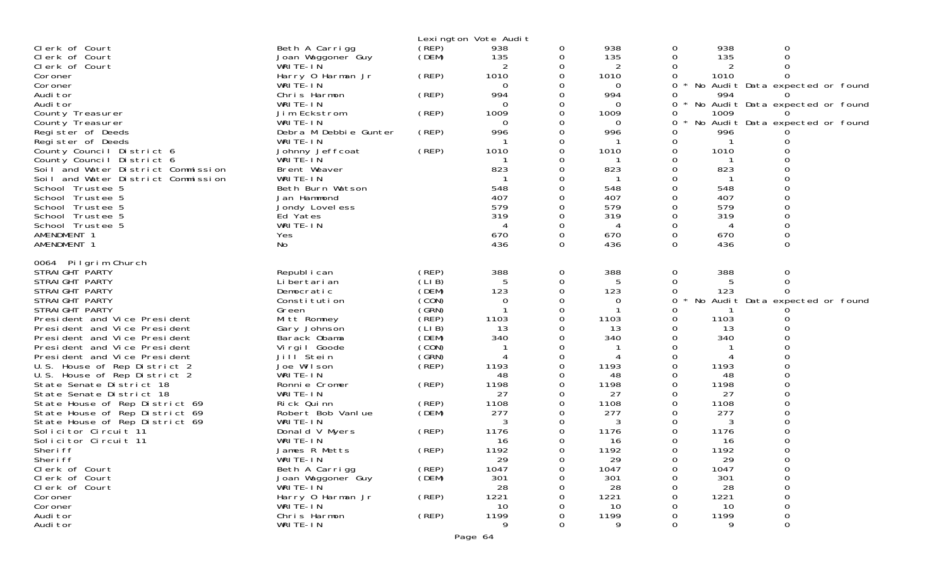|                                                                  |                                   |                | Lexington Vote Audit |          |                 |              |            |                                 |  |
|------------------------------------------------------------------|-----------------------------------|----------------|----------------------|----------|-----------------|--------------|------------|---------------------------------|--|
| Clerk of Court                                                   | Beth A Carrigg                    | (REP)          | 938                  | 0        | 938             | 0            | 938        | 0                               |  |
| Clerk of Court                                                   | Joan Waggoner Guy                 | (DEM)          | 135                  | 0        | 135             | 0            | 135        |                                 |  |
| Clerk of Court                                                   | WRITE-IN                          |                | 2                    | 0        | 2               |              | 2          |                                 |  |
| Coroner                                                          | Harry 0 Harman Jr                 | (REP)          | 1010                 |          | 1010            | 0            | 1010       |                                 |  |
| Coroner                                                          | WRITE-IN                          |                | 0                    |          | 0               | 0<br>$\star$ |            | No Audit Data expected or found |  |
| Audi tor                                                         | Chris Harmon                      | (REP)          | 994                  | 0        | 994             | 0            | 994        |                                 |  |
| Audi tor                                                         | WRITE-IN                          |                | 0                    |          | $\Omega$        | 0<br>$\star$ |            | No Audit Data expected or found |  |
| County Treasurer                                                 | Jim Eckstrom                      | (REP)          | 1009                 | 0        | 1009            | 0            | 1009       |                                 |  |
| County Treasurer<br>Register of Deeds                            | WRITE-IN<br>Debra M Debbie Gunter |                | 0<br>996             | 0<br>0   | $\Omega$<br>996 | 0<br>0       | 996        | No Audit Data expected or found |  |
| Register of Deeds                                                | WRITE-IN                          | (REP)          |                      |          |                 | 0            |            |                                 |  |
| County Council District 6                                        | Johnny Jeffcoat                   | (REP)          | 1010                 | $\Omega$ | 1010            | 0            | 1010       |                                 |  |
| County Council District 6                                        | WRITE-IN                          |                |                      |          |                 | 0            |            |                                 |  |
| Soil and Water District Commission                               | Brent Weaver                      |                | 823                  |          | 823             | 0            | 823        |                                 |  |
| Soil and Water District Commission                               | WRITE-IN                          |                |                      |          |                 | 0            |            |                                 |  |
| School Trustee 5                                                 | Beth Burn Watson                  |                | 548                  |          | 548             |              | 548        |                                 |  |
| School Trustee 5                                                 | Jan Hammond                       |                | 407                  |          | 407             |              | 407        |                                 |  |
| School Trustee 5                                                 | Jondy Lovel ess                   |                | 579                  |          | 579             | 0            | 579        |                                 |  |
| School Trustee 5                                                 | Ed Yates                          |                | 319                  | 0        | 319             | 0            | 319        |                                 |  |
| School Trustee 5                                                 | WRITE-IN                          |                | 4                    |          | 4               | 0            | 4          |                                 |  |
| AMENDMENT 1                                                      | Yes                               |                | 670                  | 0        | 670             | 0            | 670        |                                 |  |
| AMENDMENT 1                                                      | No                                |                | 436                  | $\Omega$ | 436             | $\Omega$     | 436        | 0                               |  |
| 0064 Pilgrim Church                                              |                                   |                |                      |          |                 |              |            |                                 |  |
| STRAIGHT PARTY                                                   | Republ i can                      | (REP)          | 388                  | 0        | 388             | 0            | 388        | 0                               |  |
| STRAIGHT PARTY                                                   | Li bertari an                     | (LIB)          | 5                    | 0        | 5               | 0            | 5          | $\Omega$                        |  |
| STRAIGHT PARTY                                                   | Democratic                        | (DEM)          | 123                  | 0        | 123             | 0            | 123        |                                 |  |
| STRAIGHT PARTY                                                   | Constitution                      | (CON)          | 0                    |          | 0               | 0            |            | No Audit Data expected or found |  |
| STRAIGHT PARTY                                                   | Green                             | (GRN)          |                      |          |                 |              |            |                                 |  |
| President and Vice President                                     | Mitt Romney                       | (REP)          | 1103                 |          | 1103            | 0            | 1103       |                                 |  |
| President and Vice President                                     | Gary Johnson                      | (LIB)          | 13                   |          | 13              |              | 13         |                                 |  |
| President and Vice President                                     | Barack Obama                      | (DEM)          | 340                  |          | 340             |              | 340        |                                 |  |
| President and Vice President                                     | Virgil Goode                      | (CON)          |                      |          |                 | 0            |            |                                 |  |
| President and Vice President                                     | Jill Stein                        | (GRN)          |                      |          |                 | 0            | 4          |                                 |  |
| U.S. House of Rep District 2                                     | Joe Wilson                        | (REP)          | 1193                 |          | 1193            |              | 1193       |                                 |  |
| U.S. House of Rep District 2                                     | WRITE-IN                          |                | 48                   |          | 48              |              | 48         |                                 |  |
| State Senate District 18                                         | Ronnie Cromer                     | (REP)          | 1198                 |          | 1198            |              | 1198       |                                 |  |
| State Senate District 18                                         | WRITE-IN                          |                | 27<br>1108           |          | 27<br>1108      |              | 27<br>1108 |                                 |  |
| State House of Rep District 69<br>State House of Rep District 69 | Rick Quinn<br>Robert Bob Vanlue   | (REP)<br>(DEM) | 277                  |          | 277             |              | 277        |                                 |  |
| State House of Rep District 69                                   | WRITE-IN                          |                | 3                    |          | 3               |              | 3          |                                 |  |
| Solicitor Circuit 11                                             | Donald V Myers                    | (REP)          | 1176                 |          | 1176            |              | 1176       |                                 |  |
| Solicitor Circuit 11                                             | WRITE-IN                          |                | 16                   |          | 16              |              | 16         |                                 |  |
| Sheri ff                                                         | James R Metts                     | (REP)          | 1192                 |          | 1192            | <sup>n</sup> | 1192       |                                 |  |
| Sheri ff                                                         | WRITE-IN                          |                | 29                   | 0        | 29              | 0            | 29         |                                 |  |
| Clerk of Court                                                   | Beth A Carrigg                    | (REP)          | 1047                 |          | 1047            |              | 1047       |                                 |  |
| Clerk of Court                                                   | Joan Waggoner Guy                 | (DEM)          | 301                  |          | 301             |              | 301        |                                 |  |
| Clerk of Court                                                   | WRITE-IN                          |                | 28                   |          | 28              |              | 28         |                                 |  |
| Coroner                                                          | Harry 0 Harman Jr                 | (REP)          | 1221                 |          | 1221            |              | 1221       |                                 |  |
| Coroner                                                          | WRITE-IN                          |                | 10                   |          | 10              |              | 10         |                                 |  |
| Audi tor                                                         | Chris Harmon                      | (REP)          | 1199                 |          | 1199            |              | 1199       | 0                               |  |
| Audi tor                                                         | WRITE-IN                          |                | 9                    |          | 9               |              | 9          | $\Omega$                        |  |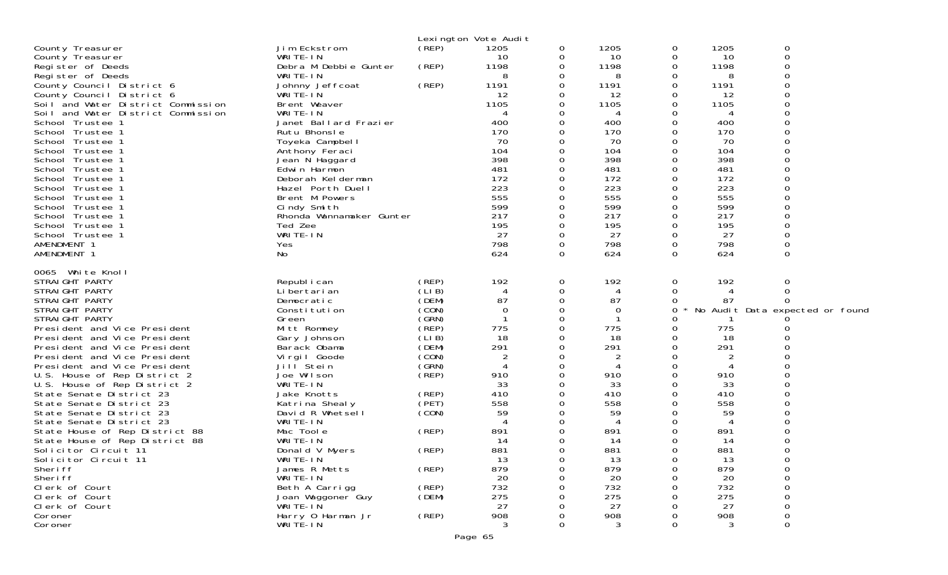|                                                      |                               |                | Lexington Vote Audit |          |                |          |           |                                 |
|------------------------------------------------------|-------------------------------|----------------|----------------------|----------|----------------|----------|-----------|---------------------------------|
| County Treasurer                                     | Jim Eckstrom                  | (REP)          | 1205                 | 0        | 1205           | 0        | 1205      | 0                               |
| County Treasurer                                     | WRITE-IN                      |                | 10                   | 0        | 10             | 0        | 10        | $\Omega$                        |
| Register of Deeds                                    | Debra M Debbie Gunter         | (REP)          | 1198                 | 0        | 1198           | 0        | 1198      | ∩                               |
| Register of Deeds                                    | WRITE-IN                      |                | 8                    | 0        | 8              | 0        | 8         |                                 |
| County Council District 6                            | Johnny Jeffcoat               | (REP)          | 1191                 | 0        | 1191           | 0        | 1191      |                                 |
| County Council District 6                            | WRITE-IN                      |                | 12                   | 0        | 12             | 0        | 12        |                                 |
| Soil and Water District Commission                   | Brent Weaver                  |                | 1105                 | 0        | 1105           | 0        | 1105      |                                 |
| Soil and Water District Commission                   | WRITE-IN                      |                | 4                    | 0        | 4              | 0        | 4         |                                 |
| School Trustee 1                                     | Janet Ballard Frazier         |                | 400                  | 0        | 400            | 0        | 400       |                                 |
| School Trustee 1                                     | Rutu Bhonsle                  |                | 170                  | 0        | 170            | 0        | 170       |                                 |
| School Trustee 1                                     | Toyeka Campbell               |                | 70                   | 0        | 70             | 0        | 70        |                                 |
| School Trustee 1                                     | Anthony Feraci                |                | 104                  | $\Omega$ | 104            | 0        | 104       |                                 |
| School Trustee 1                                     | Jean N Haggard                |                | 398                  | 0        | 398            | 0        | 398       |                                 |
| School Trustee 1                                     | Edwin Harmon                  |                | 481                  | 0        | 481            | 0        | 481       |                                 |
| School Trustee 1                                     | Deborah Kelderman             |                | 172                  | 0        | 172            | 0        | 172       |                                 |
| School Trustee 1                                     | Hazel Porth Duell             |                | 223                  | 0        | 223            | 0        | 223       |                                 |
| School Trustee 1                                     | Brent M Powers                |                | 555                  | 0        | 555            | 0        | 555       |                                 |
| School Trustee 1                                     | Cindy Smith                   |                | 599                  | 0        | 599            | 0        | 599       |                                 |
| School Trustee 1                                     | Rhonda Wannamaker Gunter      |                | 217                  | 0        | 217            | 0        | 217       |                                 |
| School Trustee 1                                     | Ted Zee                       |                | 195                  | 0        | 195            | 0        | 195       |                                 |
| School Trustee 1                                     | WRITE-IN                      |                | 27                   | $\Omega$ | 27             | 0        | 27        |                                 |
| AMENDMENT 1                                          | Yes                           |                | 798                  | 0        | 798            | 0        | 798       |                                 |
| AMENDMENT 1                                          | No                            |                | 624                  | $\Omega$ | 624            | $\Omega$ | 624       | 0                               |
| 0065 White Knoll<br>STRAIGHT PARTY<br>STRAIGHT PARTY | Republ i can<br>Li bertari an | (REP)<br>(LIB) | 192<br>4             | 0<br>0   | 192<br>4       | 0<br>0   | 192       | 0                               |
| STRAIGHT PARTY                                       | Democratic                    | (DEM)          | 87                   | 0        | 87             | 0        | 87        |                                 |
| STRAIGHT PARTY                                       | Constitution                  | (CON)          | 0                    | 0        | 0              | 0        |           | No Audit Data expected or found |
| STRAIGHT PARTY                                       | Green                         | (GRN)          |                      | 0        |                | Ω        |           |                                 |
| President and Vice President                         | Mitt Romney                   | (REP)          | 775                  | 0        | 775            | 0        | 775       |                                 |
| President and Vice President                         | Gary Johnson                  | (LIB)          | 18                   | 0        | 18             | 0        | 18        |                                 |
| President and Vice President                         | Barack Obama                  | (DEM)          | 291                  | $\Omega$ | 291            | 0        | 291       |                                 |
| President and Vice President                         | Virgil Goode                  | (CON)          | $\overline{2}$       | 0        | $\overline{2}$ | 0        | 2         |                                 |
| President and Vice President                         | Jill Stein                    | (GRN)          | 4                    | 0        | 4              | 0        |           |                                 |
| U.S. House of Rep District 2                         | Joe Wilson                    | (REP)          | 910                  | $\Omega$ | 910            | 0        | 910       |                                 |
| U.S. House of Rep District 2                         | WRITE-IN                      |                | 33                   | 0        | 33             | 0        | 33        |                                 |
| State Senate District 23                             | Jake Knotts                   | (REP)          | 410                  | 0        | 410            | 0        | 410       |                                 |
| State Senate District 23                             | Katrina Shealy                | (PET)          | 558                  | $\Omega$ | 558            | 0        | 558       |                                 |
| State Senate District 23                             | David R Whetsell              | (CON)          | 59                   | 0        | 59             | 0        | 59        |                                 |
| State Senate District 23                             | WRITE-IN                      |                |                      | 0        | 4              |          | 4         |                                 |
| State House of Rep District 88                       | Mac Toole                     | (REP)          | 891                  | 0        | 891            | 0        | 891       |                                 |
| State House of Rep District 88                       | WRITE-IN                      |                | 14                   | 0        | 14             | 0        | 14        |                                 |
| Solicitor Circuit 11                                 | Donald V Myers                | (REP)          | 881                  | 0        | 881            | 0        | 881       |                                 |
| Solicitor Circuit 11                                 | WRITE-IN                      |                | 13                   | 0        | 13             | 0        | 13        | $\Omega$                        |
| Sheri ff                                             | James R Metts                 | (REP)          | 879                  | Ω        | 879            | 0        | 879       |                                 |
| Sheri ff                                             | WRITE-IN                      |                | 20                   | Ω        | 20             |          | 20        |                                 |
| Clerk of Court                                       | Beth A Carrigg                | (REP)          | 732                  |          | 732            |          | 732       |                                 |
| Clerk of Court                                       | Joan Waggoner Guy             | (DEM)          | 275                  |          | 275            |          | 275       |                                 |
| Clerk of Court<br>Coroner                            | WRITE-IN<br>Harry 0 Harman Jr | (REP)          | 27<br>908            | Ω        | 27<br>908      | Ω        | 27<br>908 |                                 |
| Coroner                                              | WRITÉ-IN                      |                | 3                    | 0        | 3              | O        | 3         | $\Omega$                        |
|                                                      |                               |                |                      |          |                |          |           |                                 |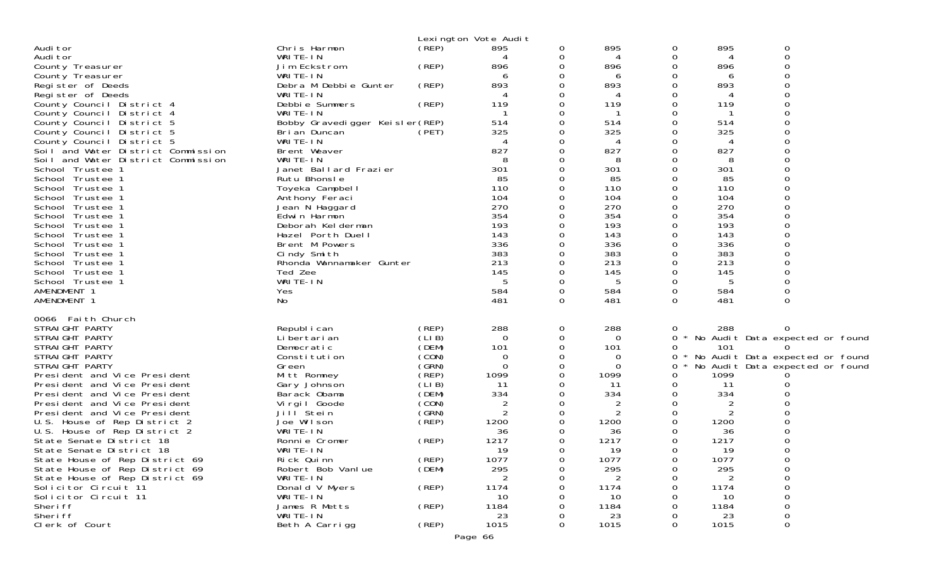|                                                                  |                                   |                | Lexington Vote Audit |          |                |               |             |                                 |
|------------------------------------------------------------------|-----------------------------------|----------------|----------------------|----------|----------------|---------------|-------------|---------------------------------|
| Audi tor                                                         | Chris Harmon                      | (REP)          | 895                  | 0        | 895            | 0             | 895         | 0                               |
| Audi tor                                                         | WRITE-IN                          |                |                      | 0        | 4              | 0             | 4           | $\Omega$                        |
| County Treasurer                                                 | Jim Eckstrom                      | (REP)          | 896                  | 0        | 896            |               | 896         |                                 |
| County Treasurer                                                 | WRITE-IN                          |                | 6                    | 0        | 6              | 0             | 6           |                                 |
| Register of Deeds<br>Register of Deeds                           | Debra M Debbie Gunter<br>WRITE-IN | (REP)          | 893                  | 0<br>0   | 893<br>4       | 0<br>0        | 893         |                                 |
| County Council District 4                                        | Debbie Summers                    | (REP)          | 119                  | 0        | 119            | 0             | 119         |                                 |
| County Council District 4                                        | WRITE-IN                          |                |                      | 0        | -1             | 0             |             |                                 |
| County Council District 5                                        | Bobby Gravedigger Keisler(REP)    |                | 514                  | 0        | 514            | 0             | 514         |                                 |
| County Council District 5                                        | Bri an Duncan                     | (PET)          | 325                  | 0        | 325            | 0             | 325         |                                 |
| County Council District 5                                        | WRITE-IN                          |                |                      | 0        | 4              | Ω             | 4           |                                 |
| Soil and Water District Commission                               | Brent Weaver                      |                | 827                  | 0        | 827            | O             | 827         |                                 |
| Soil and Water District Commission                               | WRITE-IN<br>Janet Ballard Frazier |                | 8<br>301             | 0<br>0   | 8<br>301       | O             | 8<br>301    |                                 |
| School Trustee 1<br>School Trustee 1                             | Rutu Bhonsle                      |                | 85                   | 0        | 85             | 0             | 85          |                                 |
| School Trustee 1                                                 | Toyeka Campbell                   |                | 110                  | 0        | 110            | 0             | 110         |                                 |
| School Trustee 1                                                 | Anthony Feraci                    |                | 104                  | 0        | 104            | 0             | 104         |                                 |
| School Trustee 1                                                 | Jean N Haggard                    |                | 270                  | 0        | 270            | 0             | 270         |                                 |
| School Trustee 1                                                 | Edwin Harmon                      |                | 354                  | 0        | 354            | 0             | 354         |                                 |
| School Trustee 1                                                 | Deborah Kelderman                 |                | 193                  | 0        | 193            | 0             | 193         |                                 |
| School Trustee 1                                                 | Hazel Porth Duell                 |                | 143                  | 0        | 143            | 0             | 143         |                                 |
| School Trustee 1<br>School Trustee 1                             | Brent M Powers<br>Cindy Smith     |                | 336<br>383           | 0<br>0   | 336<br>383     | 0<br>0        | 336<br>383  |                                 |
| School Trustee 1                                                 | Rhonda Wannamaker Gunter          |                | 213                  | 0        | 213            | 0             | 213         |                                 |
| School Trustee 1                                                 | Ted Zee                           |                | 145                  | 0        | 145            | 0             | 145         |                                 |
| School Trustee 1                                                 | WRITE-IN                          |                | 5                    | 0        | 5              | 0             | 5           |                                 |
| AMENDMENT 1                                                      | Yes                               |                | 584                  | $\Omega$ | 584            | 0             | 584         |                                 |
| AMENDMENT 1                                                      | No                                |                | 481                  | $\Omega$ | 481            | $\Omega$      | 481         | 0                               |
| 0066 Faith Church                                                |                                   |                |                      |          |                |               |             |                                 |
| STRAIGHT PARTY                                                   | Republ i can                      | (REP)          | 288                  | 0        | 288            | 0             | 288         |                                 |
| STRAIGHT PARTY                                                   | Li bertari an                     | (LIB)          | 0                    | 0        | 0              | 0             |             | No Audit Data expected or found |
| STRAIGHT PARTY                                                   | Democratic                        | (DEM)          | 101                  | $\Omega$ | 101            | 0             | 101         |                                 |
| STRAIGHT PARTY                                                   | Constitution                      | (CON)          | 0                    | 0        | 0              | 0             |             | No Audit Data expected or found |
| STRAIGHT PARTY                                                   | Green                             | (GRN)          | $\mathbf 0$          | 0        | 0              | 0             |             | No Audit Data expected or found |
| President and Vice President<br>President and Vice President     | Mitt Romney<br>Gary Johnson       | (REP)<br>(LIB) | 1099<br>11           | 0<br>0   | 1099<br>11     | $\Omega$<br>0 | 1099<br>11  |                                 |
| President and Vice President                                     | Barack Obama                      | (DEM)          | 334                  | 0        | 334            | 0             | 334         |                                 |
| President and Vice President                                     | Virgil Goode                      | (CON)          | 2                    | 0        | $\overline{2}$ | $\Omega$      | 2           |                                 |
| President and Vice President                                     | Jill Stein                        | (GRN)          | $\overline{2}$       | 0        | $\overline{2}$ | 0             | 2           |                                 |
| U.S. House of Rep District 2                                     | Joe Wilson                        | (REP)          | 1200                 | 0        | 1200           |               | 1200        |                                 |
| U.S. House of Rep District 2                                     | WRITE-IN                          |                | 36                   | 0        | 36             | 0             | 36          |                                 |
| State Senate District 18                                         | Ronnie Cromer                     | (REP)          | 1217                 | 0        | 1217           | 0             | 1217        |                                 |
| State Senate District 18                                         | WRITE-IN                          | (REP)          | 19                   | 0        | 19             | 0             | 19          | $\cap$                          |
| State House of Rep District 69<br>State House of Rep District 69 | Rick Quinn<br>Robert Bob Vanlue   | (DEM)          | 1077<br>295          | 0<br>Ω   | 1077<br>295    | 0<br>0        | 1077<br>295 | 0                               |
| State House of Rep District 69                                   | WRITE-IN                          |                | 2                    | O        | 2              |               |             |                                 |
| Solicitor Circuit 11                                             | Donald V Myers                    | (REP)          | 1174                 |          | 1174           |               | 1174        |                                 |
| Solicitor Circuit 11                                             | WRITE-IN                          |                | 10                   |          | 10             |               | 10          |                                 |
| Sheri ff                                                         | James R Metts                     | (REP)          | 1184                 |          | 1184           |               | 1184        |                                 |
| Sheri ff                                                         | WRITE-IN                          |                | 23                   |          | 23             |               | 23          |                                 |
| Clerk of Court                                                   | Beth A Carrigg                    | (REP)          | 1015                 | 0        | 1015           | 0             | 1015        | $\Omega$                        |
| Page 66                                                          |                                   |                |                      |          |                |               |             |                                 |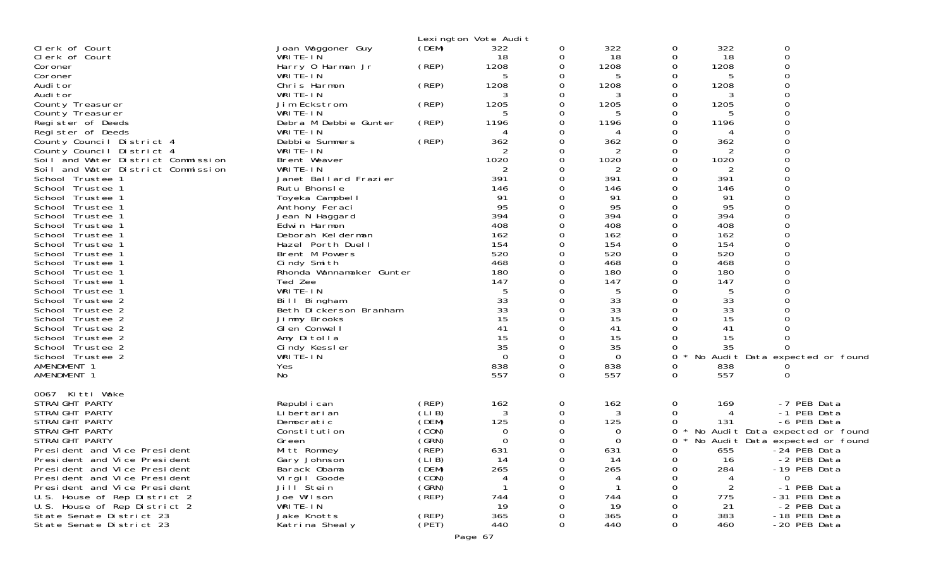|                                                                          |                            |                | Lexington Vote Audit |               |                |               |            |                                 |
|--------------------------------------------------------------------------|----------------------------|----------------|----------------------|---------------|----------------|---------------|------------|---------------------------------|
| Clerk of Court                                                           | Joan Waggoner Guy          | (DEM)          | 322                  | 0             | 322            | 0             | 322        | 0                               |
| Clerk of Court                                                           | WRITE-IN                   |                | 18                   | 0             | 18             | 0             | 18         | 0                               |
| Coroner                                                                  | Harry 0 Harman Jr          | (REP)          | 1208                 | 0             | 1208           | 0             | 1208       |                                 |
| Coroner                                                                  | WRITE-IN                   |                | 5                    | 0             | 5              | Ω             | 5          |                                 |
| Audi tor                                                                 | Chris Harmon               | (REP)          | 1208                 | 0             | 1208           | 0             | 1208       |                                 |
| Audi tor                                                                 | WRITE-IN                   |                | 3                    | 0             | 3              | Ω             | 3          |                                 |
| County Treasurer                                                         | Jim Eckstrom               | (REP)          | 1205                 | 0             | 1205           | 0             | 1205       |                                 |
| County Treasurer                                                         | WRITE-IN                   |                | 5                    | 0             | 5              | 0             | 5          |                                 |
| Register of Deeds                                                        | Debra M Debbie Gunter      | (REP)          | 1196                 | 0             | 1196           | O             | 1196       |                                 |
| Register of Deeds                                                        | WRITE-IN                   |                |                      | 0             |                | Ω             |            |                                 |
| County Council District 4                                                | Debbie Summers<br>WRITE-IN | (REP)          | 362                  | 0             | 362            | 0             | 362        |                                 |
| County Council District 4                                                |                            |                | 1020                 | 0             | 2              | Ω<br>0        | 1020       |                                 |
| Soil and Water District Commission<br>Soil and Water District Commission | Brent Weaver<br>WRITE-IN   |                |                      | 0<br>0        | 1020           | 0             | 2          |                                 |
| School Trustee 1                                                         | Janet Ballard Frazier      |                | 391                  | $\Omega$      | 2<br>391       | 0             | 391        |                                 |
| School Trustee 1                                                         | Rutu Bhonsle               |                | 146                  | 0             | 146            | Ω             | 146        |                                 |
| School Trustee 1                                                         | Toyeka Campbell            |                | 91                   | 0             | 91             |               | 91         |                                 |
| School Trustee 1                                                         | Anthony Feraci             |                | 95                   | $\Omega$      | 95             | 0             | 95         |                                 |
| School Trustee 1                                                         | Jean N Haggard             |                | 394                  | 0             | 394            | 0             | 394        |                                 |
| School Trustee 1                                                         | Edwin Harmon               |                | 408                  | 0             | 408            | 0             | 408        |                                 |
| School Trustee 1                                                         | Deborah Kelderman          |                | 162                  | 0             | 162            | 0             | 162        |                                 |
| School Trustee 1                                                         | Hazel Porth Duell          |                | 154                  | 0             | 154            | 0             | 154        |                                 |
| School Trustee 1                                                         | Brent M Powers             |                | 520                  |               | 520            |               | 520        |                                 |
| School Trustee 1                                                         | Cindy Smith                |                | 468                  | $\Omega$      | 468            | 0             | 468        |                                 |
| School Trustee 1                                                         | Rhonda Wannamaker Gunter   |                | 180                  | 0             | 180            | 0             | 180        |                                 |
| School Trustee 1                                                         | Ted Zee                    |                | 147                  |               | 147            |               | 147        |                                 |
| School Trustee 1                                                         | WRITE-IN                   |                |                      | 0             | 5              | O             | 5          |                                 |
| School Trustee 2                                                         | Bill Bingham               |                | 33                   | 0             | 33             | 0             | 33         |                                 |
| School Trustee 2                                                         | Beth Dickerson Branham     |                | 33                   |               | 33             |               | 33         |                                 |
| School Trustee 2                                                         | Jimmy Brooks               |                | 15                   | $\Omega$      | 15             | $\Omega$      | 15         |                                 |
| School Trustee 2                                                         | GI en Conwell              |                | 41                   | 0             | 41             |               | 41         |                                 |
| School Trustee 2                                                         | Amy Ditolla                |                | 15                   |               | 15             |               | 15         |                                 |
| School Trustee 2                                                         | Cindy Kessler              |                | 35                   | $\Omega$      | 35             | Ω             | 35         |                                 |
| School Trustee 2                                                         | WRITE-IN                   |                | $\Omega$             | 0             | $\overline{0}$ | 0             |            | No Audit Data expected or found |
| AMENDMENT 1<br>AMENDMENT 1                                               | Yes<br>No                  |                | 838<br>557           | 0<br>$\Omega$ | 838<br>557     | 0<br>$\Omega$ | 838<br>557 | 0                               |
|                                                                          |                            |                |                      |               |                |               |            |                                 |
| 0067 Kitti Wake                                                          |                            |                |                      |               |                |               |            |                                 |
| STRAIGHT PARTY                                                           | Republ i can               | (REP)          | 162                  | 0             | 162            | 0             | 169        | -7 PEB Data                     |
| STRAIGHT PARTY                                                           | Li bertari an              | (LIB)          | 3                    | 0             | 3              | 0             | 4          | -1 PEB Data                     |
| STRAIGHT PARTY                                                           | Democratic                 | (DEM)          | 125                  | 0             | 125            | 0             | 131        | -6 PEB Data                     |
| STRAIGHT PARTY                                                           | Constitution               | (CON)          | 0                    | 0             | 0              | 0             |            | No Audit Data expected or found |
| STRAIGHT PARTY                                                           | Green                      | (GRN)          | 0                    | 0             | 0              | 0             |            | No Audit Data expected or found |
| President and Vice President                                             | Mitt Romney                | (REP)          | 631                  | 0             | 631            | 0             | 655        | -24 PEB Data                    |
| President and Vice President                                             | Gary Johnson               | (LIB)          | 14                   | $\sigma$      | 14             | 0             | 16         | -2 PEB Data                     |
| President and Vice President                                             | Barack Obama               | (DEM)          | 265                  | 0             | 265            | 0             | 284        | -19 PEB Data                    |
| President and Vice President                                             | Vi rgi I Goode             | (CON)          |                      | 0             |                | Ω             | 4          | 0                               |
| President and Vice President<br>U.S. House of Rep District 2             | Jill Stein<br>Joe Wilson   | (GRN)<br>(REP) | 744                  | 0             | 744            | Ω             | 2<br>775   | -1 PEB Data<br>-31 PEB Data     |
| U.S. House of Rep District 2                                             | WRITE-IN                   |                | 19                   |               | 19             |               | 21         | -2 PEB Data                     |
| State Senate District 23                                                 | Jake Knotts                | (REP)          | 365                  | 0             | 365            |               | 383        | -18 PEB Data                    |
| State Senate District 23                                                 | Katrina Shealy             | (PET)          | 440                  | 0             | 440            | 0             | 460        | -20 PEB Data                    |
|                                                                          |                            |                |                      |               |                |               |            |                                 |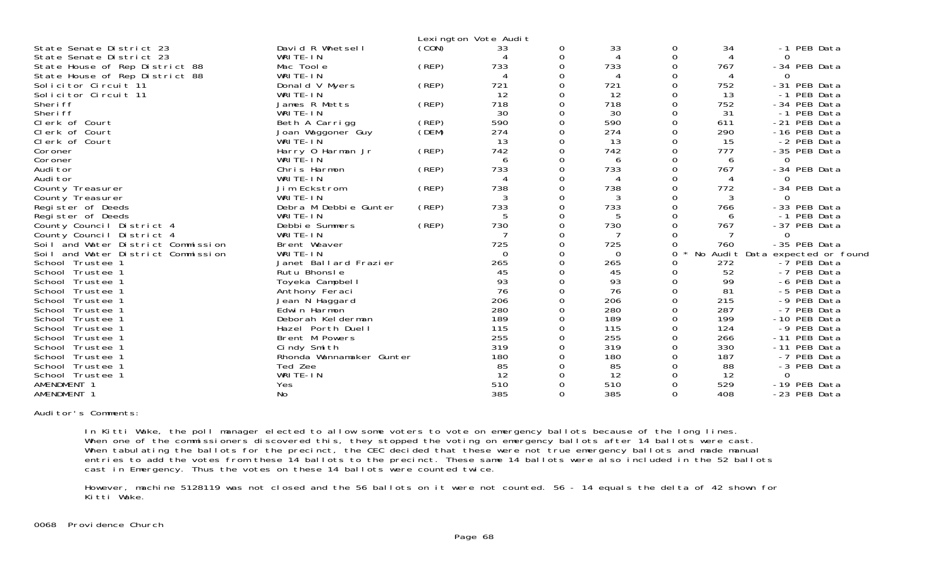|                                    |                          |       | Lexington Vote Audit |          |                |          |     |                                 |
|------------------------------------|--------------------------|-------|----------------------|----------|----------------|----------|-----|---------------------------------|
| State Senate District 23           | David R Whetsell         | (CON) | 33                   | 0        | 33             | 0        | 34  | PEB Data<br>$-1$                |
| State Senate District 23           | WRITE-IN                 |       |                      | 0        | $\overline{4}$ | $\Omega$ |     | 0                               |
| State House of Rep District 88     | Mac Toole                | (REP) | 733                  | $\Omega$ | 733            | $\Omega$ | 767 | -34 PEB Data                    |
| State House of Rep District 88     | WRITE-IN                 |       |                      | $\Omega$ | 4              | ∩        | 4   | 0                               |
| Solicitor Circuit 11               | Donald V Myers           | (REP) | 721                  | $\Omega$ | 721            |          | 752 | -31 PEB Data                    |
| Solicitor Circuit 11               | WRITE-IN                 |       | 12                   | $\Omega$ | 12             | $\Omega$ | 13  | -1 PEB Data                     |
| Sheri ff                           | James R Metts            | (REP) | 718                  | $\Omega$ | 718            |          | 752 | -34 PEB Data                    |
| Sheri ff                           | WRITE-IN                 |       | 30                   | 0        | 30             |          | 31  | -1 PEB Data                     |
| Clerk of Court                     | Beth A Carrigg           | (REP) | 590                  | 0        | 590            | $\Omega$ | 611 | -21 PEB Data                    |
| Clerk of Court                     | Joan Waggoner Guy        | (DEM) | 274                  | 0        | 274            | $\Omega$ | 290 | -16 PEB Data                    |
| Clerk of Court                     | WRITE-IN                 |       | 13                   |          | 13             |          | 15  | -2 PEB Data                     |
| Coroner                            | Harry 0 Harman Jr        | (REP) | 742                  |          | 742            |          | 777 | -35 PEB Data                    |
| Coroner                            | WRITE-IN                 |       | 6                    |          | 6              |          | 6   |                                 |
| Audi tor                           | Chris Harmon             | (REP) | 733                  |          | 733            |          | 767 | -34 PEB Data                    |
| Audi tor                           | WRITE-IN                 |       |                      | ი        |                |          |     |                                 |
| County Treasurer                   | Jim Eckstrom             | (REP) | 738                  | $\Omega$ | 738            |          | 772 | -34 PEB Data                    |
| County Treasurer                   | WRITE-IN                 |       | 3                    | O        | 3              |          | 3   | $\Omega$                        |
| Register of Deeds                  | Debra M Debbie Gunter    | (REP) | 733                  | $\Omega$ | 733            |          | 766 | -33 PEB Data                    |
| Register of Deeds                  | WRITE-IN                 |       | 5                    |          | 5              |          | 6   | -1 PEB Data                     |
| County Council District 4          | Debbie Summers           | (REP) | 730                  | $\Omega$ | 730            | $\Omega$ | 767 | -37 PEB Data                    |
| County Council District 4          | WRITE-IN                 |       |                      | 0        | 7              |          |     | $\Omega$                        |
| Soil and Water District Commission | Brent Weaver             |       | 725                  |          | 725            |          | 760 | -35 PEB Data                    |
| Soil and Water District Commission | WRITE-IN                 |       | $\Omega$             |          | 0              | $\Omega$ |     | No Audit Data expected or found |
| School Trustee 1                   | Janet Ballard Frazier    |       | 265                  |          | 265            |          | 272 | -7 PEB Data                     |
| School Trustee 1                   | Rutu Bhonsle             |       | 45                   |          | 45             |          | 52  | -7 PEB Data                     |
| School Trustee 1                   | Toyeka Campbell          |       | 93                   |          | 93             | $\Omega$ | 99  | -6 PEB Data                     |
| School Trustee 1                   | Anthony Feraci           |       | 76                   | $\Omega$ | 76             |          | 81  | -5 PEB Data                     |
| School Trustee 1                   | Jean N Haggard           |       | 206                  |          | 206            |          | 215 | -9 PEB Data                     |
| School Trustee 1                   | Edwin Harmon             |       | 280                  |          | 280            | 0        | 287 | -7 PEB Data                     |
| School Trustee 1                   | Deborah Kelderman        |       | 189                  | 0        | 189            |          | 199 | -10 PEB Data                    |
| School Trustee 1                   | Hazel Porth Duell        |       | 115                  |          | 115            |          | 124 | -9 PEB Data                     |
| School Trustee 1                   | Brent M Powers           |       | 255                  |          | 255            |          | 266 | -11 PEB Data                    |
| School Trustee 1                   | Cindy Smith              |       | 319                  |          | 319            |          | 330 | -11 PEB Data                    |
| School Trustee 1                   | Rhonda Wannamaker Gunter |       | 180                  |          | 180            |          | 187 | -7 PEB Data                     |
| School Trustee 1                   | Ted Zee                  |       | 85                   |          | 85             |          | 88  | -3 PEB Data                     |
| School Trustee 1                   | WRITE-IN                 |       | 12                   |          | 12             |          | 12  | $\Omega$                        |
| AMENDMENT 1                        | Yes                      |       | 510                  |          | 510            | $\Omega$ | 529 | -19 PEB Data                    |
| AMENDMENT 1                        | No                       |       | 385                  | $\Omega$ | 385            | $\Omega$ | 408 | -23 PEB Data                    |

Auditor's Comments:

 In Kitti Wake, the poll manager elected to allow some voters to vote on emergency ballots because of the long lines. When one of the commissioners discovered this, they stopped the voting on emergency ballots after 14 ballots were cast. When tabulating the ballots for the precinct, the CEC decided that these were not true emergency ballots and made manual entries to add the votes from these 14 ballots to the precinct. These same 14 ballots were also included in the 52 ballots cast in Emergency. Thus the votes on these 14 ballots were counted twice.

 However, machine 5128119 was not closed and the 56 ballots on it were not counted. 56 - 14 equals the delta of 42 shown for Kitti Wake.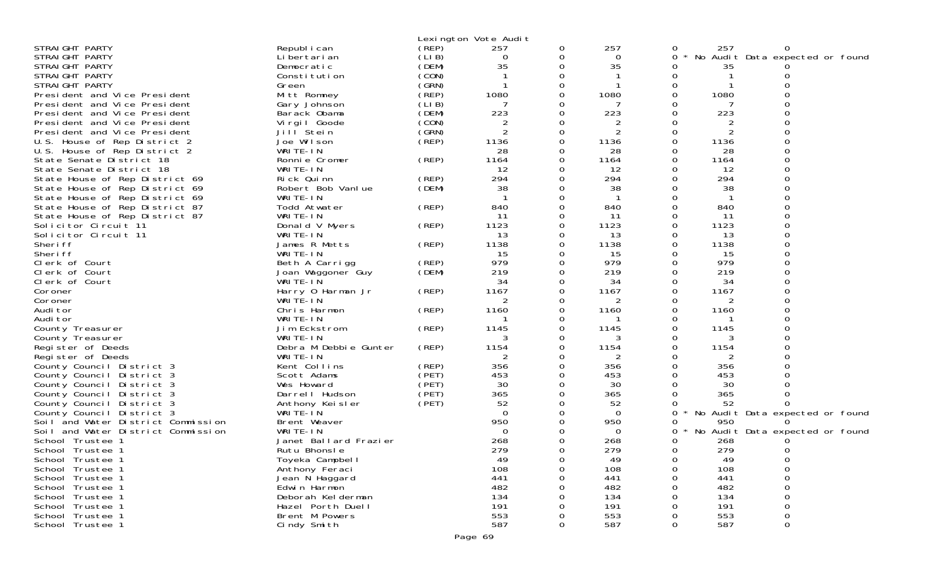|                                    |                               |       | Lexington Vote Audit |        |                |        |                |                                 |
|------------------------------------|-------------------------------|-------|----------------------|--------|----------------|--------|----------------|---------------------------------|
| STRAIGHT PARTY                     | Republ i can                  | (REP) | 257                  | 0      | 257            | 0      | 257            | 0                               |
| STRAIGHT PARTY                     | Li bertari an                 | (LIB) | 0                    | 0      | 0              | 0      |                | No Audit Data expected or found |
| STRAIGHT PARTY                     | Democratic                    | (DEM) | 35                   | 0      | 35             | 0      | 35             |                                 |
| STRAIGHT PARTY                     | Constitution                  | (CON) |                      | 0      |                | 0      |                |                                 |
| STRAIGHT PARTY                     | Green                         | (GRN) |                      | 0      |                | 0      |                |                                 |
| President and Vice President       | Mitt Romney                   | (REP) | 1080                 | 0      | 1080           | 0      | 1080           |                                 |
| President and Vice President       | Gary Johnson                  | (LIB) | 7                    |        |                |        |                |                                 |
| President and Vice President       | Barack Obama                  | (DEM) | 223                  | 0      | 223            | 0      | 223            | 0                               |
| President and Vice President       | Virgil Goode                  | (CON) | $\overline{2}$       | 0      | 2              | 0      | 2              | 0                               |
| President and Vice President       | Jill Stein                    | (GRN) | $\overline{2}$       | 0      | $\overline{2}$ |        | $\overline{2}$ |                                 |
| U.S. House of Rep District 2       | Joe Wilson                    | (REP) | 1136                 | 0      | 1136           | 0      | 1136           | 0                               |
| U.S. House of Rep District 2       | WRITE-IN                      |       | 28                   | 0      | 28             | 0      | 28             | 0                               |
| State Senate District 18           | Ronnie Cromer                 | (REP) | 1164                 | 0      | 1164           |        | 1164           |                                 |
| State Senate District 18           | WRITE-IN                      |       | 12                   | 0      | 12             |        | 12             | 0                               |
| State House of Rep District 69     | Rick Quinn                    | (REP) | 294                  | 0      | 294            | 0      | 294            | $\Omega$                        |
| State House of Rep District 69     | Robert Bob Vanlue             | (DEM) | 38                   |        | 38             |        | 38             |                                 |
| State House of Rep District 69     | WRITE-IN                      |       |                      | 0      |                | 0      |                | 0                               |
| State House of Rep District 87     | Todd Atwater                  | (REP) | 840                  | 0      | 840            | 0      | 840            | 0                               |
| State House of Rep District 87     | WRITE-IN                      |       | 11                   | 0      | 11             | 0      | 11             |                                 |
| Solicitor Circuit 11               | Donald V Myers                | (REP) | 1123                 | 0      | 1123           | 0      | 1123           | 0                               |
| Solicitor Circuit 11               | WRITE-IN                      |       | 13                   | 0      | 13             | 0<br>0 | 13             | $\Omega$                        |
| Sheri ff                           | James R Metts                 | (REP) | 1138                 | 0<br>0 | 1138           | Ω      | 1138           | $\Omega$                        |
| Sheri ff                           | WRITE-IN                      | (REP) | 15<br>979            | 0      | 15<br>979      | 0      | 15<br>979      | 0                               |
| Clerk of Court<br>Clerk of Court   | Beth A Carrigg                | (DEM) | 219                  | 0      | 219            | 0      | 219            |                                 |
| Clerk of Court                     | Joan Waggoner Guy<br>WRITE-IN |       | 34                   | 0      | 34             | 0      | 34             | $\Omega$                        |
| Coroner                            | Harry 0 Harman Jr             | (REP) | 1167                 | 0      | 1167           | 0      | 1167           | 0                               |
| Coroner                            | WRITE-IN                      |       | 2                    |        | 2              |        | 2              |                                 |
| Audi tor                           | Chris Harmon                  | (REP) | 1160                 | 0      | 1160           | 0      | 1160           | 0                               |
| Audi tor                           | WRITE-IN                      |       |                      | 0      |                |        |                | 0                               |
| County Treasurer                   | Jim Eckstrom                  | (REP) | 1145                 | 0      | 1145           | 0      | 1145           |                                 |
| County Treasurer                   | WRITE-IN                      |       |                      | 0      |                | Ω      |                | 0                               |
| Register of Deeds                  | Debra M Debbie Gunter         | (REP) | 1154                 | 0      | 1154           | 0      | 1154           | 0                               |
| Register of Deeds                  | WRITE-IN                      |       |                      |        | 2              |        | 2              |                                 |
| County Council District 3          | Kent Collins                  | (REP) | 356                  | 0      | 356            |        | 356            |                                 |
| County Council District 3          | Scott Adams                   | (PET) | 453                  | 0      | 453            | 0      | 453            |                                 |
| County Council District 3          | Wes Howard                    | (PET) | 30                   | 0      | 30             |        | 30             |                                 |
| County Council District 3          | Darrell Hudson                | (PET) | 365                  | 0      | 365            | 0      | 365            | O                               |
| County Council District 3          | Anthony Keisler               | (PET) | 52                   | 0      | 52             | 0      | 52             |                                 |
| County Council District 3          | WRITE-IN                      |       | $\Omega$             |        | $\Omega$       | 0      |                | No Audit Data expected or found |
| Soil and Water District Commission | Brent Weaver                  |       | 950                  |        | 950            |        | 950            |                                 |
| Soil and Water District Commission | WRITE-IN                      |       | $\Omega$             |        | 0              | 0      |                | No Audit Data expected or found |
| School Trustee 1                   | Janet Ballard Frazier         |       | 268                  |        | 268            | 0      | 268            |                                 |
| School Trustee 1                   | Rutu Bhonsle                  |       | 279                  | 0      | 279            | 0      | 279            | 0                               |
| School Trustee 1                   | Toyeka Campbell               |       | 49                   | 0      | 49             | 0      | 49             | 0                               |
| School Trustee 1                   | Anthony Feraci                |       | 108                  | 0      | 108            | O      | 108            | 0                               |
| School Trustee 1                   | Jean N Haggard                |       | 441                  | O      | 441            |        | 441            | $\Omega$                        |
| School Trustee 1                   | Edwin Harmon                  |       | 482                  | 0      | 482            |        | 482            | 0                               |
| School Trustee 1                   | Deborah Kel derman            |       | 134                  |        | 134            |        | 134            | $\Omega$                        |
| School Trustee 1                   | Hazel Porth Duell             |       | 191                  |        | 191            |        | 191            | $\Omega$                        |
| School Trustee 1                   | Brent M Powers                |       | 553<br>587           | 0<br>0 | 553<br>587     | 0<br>0 | 553<br>587     | 0                               |
| School Trustee 1                   | Cindy Smith                   |       |                      |        |                |        |                | 0                               |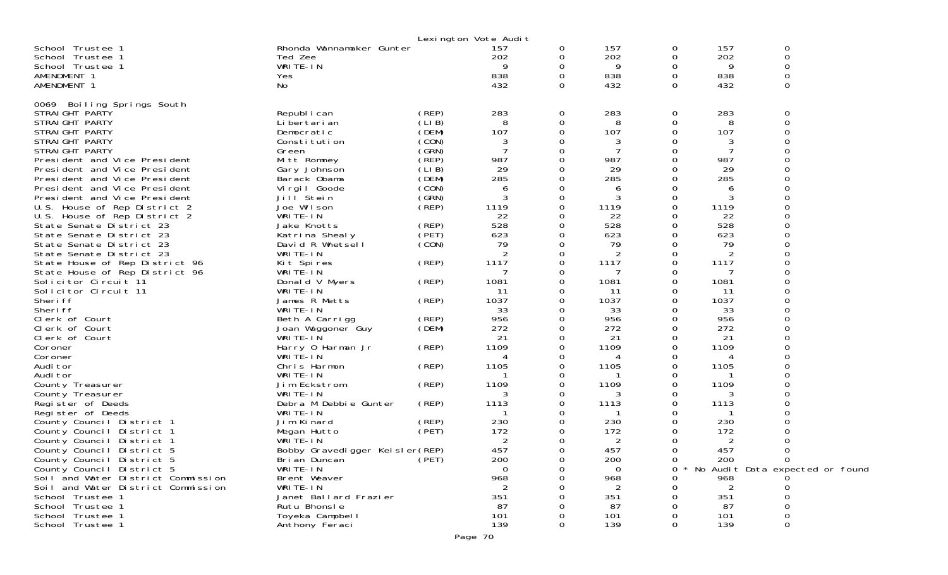|                                      |                                       |       | Lexington Vote Audit |                |                |          |           |                                   |
|--------------------------------------|---------------------------------------|-------|----------------------|----------------|----------------|----------|-----------|-----------------------------------|
| School Trustee 1                     | Rhonda Wannamaker Gunter              |       | 157                  | $\overline{O}$ | 157            | 0        | 157       | 0                                 |
| School Trustee 1                     | Ted Zee                               |       | 202                  | 0              | 202            | 0        | 202       | 0                                 |
| School Trustee 1                     | WRITE-IN                              |       | 9                    | 0              | 9              | 0        | 9         | 0                                 |
| AMENDMENT 1                          | Yes                                   |       | 838                  | $\Omega$       | 838            | 0        | 838       | $\Omega$                          |
| AMENDMENT 1                          | No                                    |       | 432                  | $\Omega$       | 432            | $\Omega$ | 432       | $\Omega$                          |
| 0069 Boiling Springs South           |                                       |       |                      |                |                |          |           |                                   |
| STRAIGHT PARTY                       | Republ i can                          | (REP) | 283                  | 0              | 283            | 0        | 283       | 0                                 |
| STRAIGHT PARTY                       | Li bertari an                         | (LIB) | 8                    | 0              | 8              | 0        | 8         | $\Omega$                          |
| STRAIGHT PARTY                       | Democratic                            | (DEM) | 107                  | $\Omega$       | 107            | 0        | 107       |                                   |
| STRAIGHT PARTY                       | Constitution                          | (CON) | 3                    | 0              | 3              | 0        | 3         |                                   |
| STRAIGHT PARTY                       | Green                                 | (GRN) |                      | 0              | 7              | 0        |           |                                   |
| President and Vice President         | Mitt Romney                           | (REP) | 987                  | $\Omega$       | 987            | 0        | 987       |                                   |
| President and Vice President         | Gary Johnson                          | (LIB) | 29                   | 0              | 29             | 0        | 29        |                                   |
| President and Vice President         | Barack Obama                          | (DEM) | 285                  | 0              | 285            | Ω        | 285       |                                   |
| President and Vice President         | Virgil Goode                          | (CON) | 6                    | $\Omega$       | 6              | Ω        |           |                                   |
| President and Vice President         | Jill Stein                            | (GRN) | 3                    | 0              | 3              | 0        | 3         |                                   |
| U.S. House of Rep District 2         | Joe Wilson                            | (REP) | 1119                 | 0              | 1119           | 0        | 1119      |                                   |
| U.S. House of Rep District 2         | WRITE-IN                              |       | 22                   | $\Omega$       | 22             | Ω        | 22        |                                   |
| State Senate District 23             | Jake Knotts                           | (REP) | 528                  | 0              | 528            | 0        | 528       |                                   |
| State Senate District 23             | Katrina Shealy                        | (PET) | 623                  | 0              | 623            | Ω        | 623       |                                   |
| State Senate District 23             | David R Whetsell                      | (CON) | 79                   | $\Omega$       | 79             | Ω        | 79        |                                   |
| State Senate District 23             | WRITE-IN                              |       | 2                    | 0              | 2              | 0        | 2         |                                   |
| State House of Rep District 96       | Kit Spires                            | (REP) | 1117                 | 0              | 1117           | 0        | 1117      |                                   |
| State House of Rep District 96       | WRITE-IN                              |       | 7                    | 0              | 7              | 0        | 7         |                                   |
| Solicitor Circuit 11                 | Donald V Myers                        | (REP) | 1081                 | 0              | 1081           | 0        | 1081      |                                   |
| Solicitor Circuit 11                 | WRITE-IN                              |       | 11                   | 0              | 11             | Ω        | 11        |                                   |
| Sheri ff                             | James R Metts                         | (REP) | 1037                 | 0              | 1037           | 0<br>0   | 1037      |                                   |
| Sheri ff<br>Clerk of Court           | WRITE-IN                              | (REP) | 33<br>956            | 0<br>0         | 33<br>956      | $\Omega$ | 33<br>956 |                                   |
| Clerk of Court                       | Beth A Carrigg<br>Joan Waggoner Guy   | (DEM) | 272                  | 0              | 272            | 0        | 272       |                                   |
| Clerk of Court                       | WRITE-IN                              |       | 21                   | 0              | 21             | 0        | 21        |                                   |
| Coroner                              | Harry 0 Harman Jr                     | (REP) | 1109                 | $\Omega$       | 1109           | 0        | 1109      |                                   |
| Coroner                              | WRITE-IN                              |       | 4                    | 0              | 4              | Ω        | 4         |                                   |
| Audi tor                             | Chris Harmon                          | (REP) | 1105                 | 0              | 1105           | 0        | 1105      |                                   |
| Audi tor                             | WRITE-IN                              |       |                      | 0              |                | Ω        |           |                                   |
| County Treasurer                     | Jim Eckstrom                          | (REP) | 1109                 | 0              | 1109           | 0        | 1109      |                                   |
| County Treasurer                     | WRITE-IN                              |       | 3                    | 0              | 3              | 0        | 3         |                                   |
| Register of Deeds                    | Debra M Debbie Gunter                 | (REP) | 1113                 | 0              | 1113           | Ω        | 1113      |                                   |
| Register of Deeds                    | WRITE-IN                              |       |                      | 0              | ่า             | 0        | -1        |                                   |
| County Council District 1            | Jim Kinard                            | (REP) | 230                  | 0              | 230            |          | 230       |                                   |
| County Council District 1            | Megan Hutto                           | (PET) | 172                  | 0              | 172            | Ω        | 172       |                                   |
| County Council District 1            | WRITE-IN                              |       | 2                    | 0              | $\overline{2}$ | 0        | 2         |                                   |
| County Council District 5            | Bobby Gravedigger Keisler (REP)       |       | 457                  | $\Omega$       | 457            | 0        | 457       | $\Omega$                          |
| County Council District 5            | Bri an Duncan                         | (PET) | 200                  | O              | 200            | 0        | 200       | 0                                 |
| County Council District 5            | WRITE-IN                              |       | $\mathbf 0$          | 0              | $\Omega$       | 0        |           | * No Audit Data expected or found |
| Soil and Water District Commission   | Brent Weaver                          |       | 968                  |                | 968            |          | 968       |                                   |
| Soil and Water District Commission   | WRITE-IN                              |       |                      |                |                |          |           |                                   |
| School Trustee 1<br>School Trustee 1 | Janet Ballard Frazier<br>Rutu Bhonsle |       | 351<br>87            |                | 351<br>87      |          | 351<br>87 |                                   |
| School Trustee 1                     | Toyeka Campbell                       |       | 101                  |                | 101            |          | 101       |                                   |
| School Trustee 1                     | Anthony Feraci                        |       | 139                  | 0              | 139            | 0        | 139       | 0                                 |
|                                      |                                       |       |                      |                |                |          |           |                                   |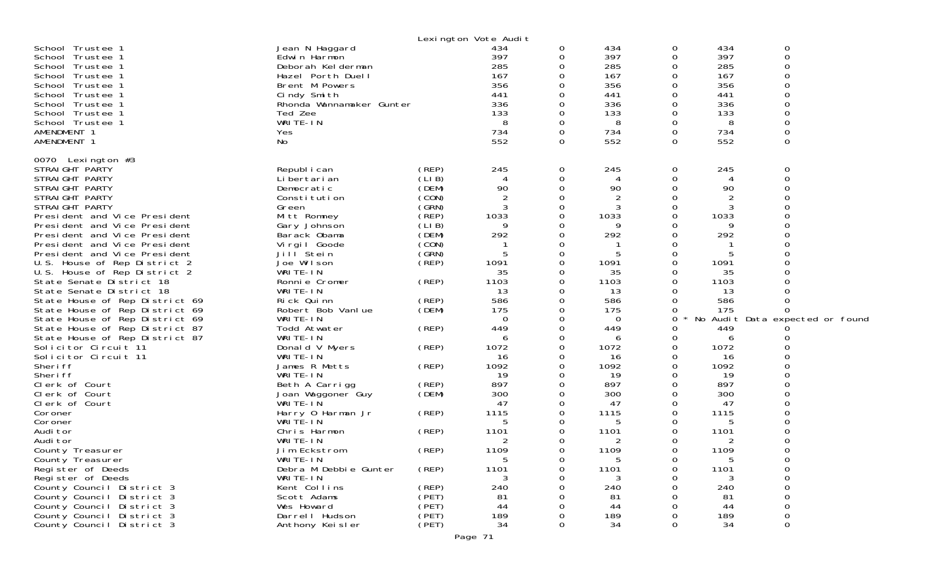|                                |                          |       | Lexington Vote Audit |               |                |          |                |                                 |  |
|--------------------------------|--------------------------|-------|----------------------|---------------|----------------|----------|----------------|---------------------------------|--|
| School Trustee 1               | Jean N Haggard           |       | 434                  | 0             | 434            | 0        | 434            | 0                               |  |
| School Trustee 1               | Edwin Harmon             |       | 397                  | 0             | 397            | 0        | 397            | $\boldsymbol{0}$                |  |
| School Trustee 1               | Deborah Kel derman       |       | 285                  | 0             | 285            | 0        | 285            | 0                               |  |
| School Trustee 1               | Hazel Porth Duell        |       | 167                  | $\Omega$      | 167            | $\Omega$ | 167            | $\Omega$                        |  |
| School Trustee 1               | Brent M Powers           |       | 356                  | 0             | 356            | 0        | 356            | 0                               |  |
| School Trustee 1               | Cindy Smith              |       | 441                  | $\Omega$      | 441            | $\Omega$ | 441            | $\mathbf 0$                     |  |
| School Trustee 1               | Rhonda Wannamaker Gunter |       | 336                  | $\Omega$      | 336            | $\Omega$ | 336            | $\overline{0}$                  |  |
| School Trustee 1               | Ted Zee                  |       | 133                  | 0             | 133            | 0        | 133            | $\overline{O}$                  |  |
| School Trustee 1               | WRITE-IN                 |       | 8                    | 0             | 8              | 0        | 8              | $\mathbf 0$                     |  |
| AMENDMENT 1                    | Yes                      |       | 734                  | 0             | 734            | $\Omega$ | 734            | $\mathbf 0$                     |  |
| AMENDMENT 1                    | No                       |       | 552                  | 0             | 552            | 0        | 552            | $\mathbf 0$                     |  |
|                                |                          |       |                      |               |                |          |                |                                 |  |
| 0070 Lexington #3              |                          |       |                      |               |                |          |                |                                 |  |
| STRAIGHT PARTY                 | Republ i can             | (REP) | 245                  | 0             | 245            | 0        | 245            | $\mathbf 0$                     |  |
| STRAI GHT PARTY                | Li bertari an            | (LIB) | 4                    | 0             | 4              | O        | 4              | $\mathbf 0$                     |  |
| STRAIGHT PARTY                 | Democratic               | (DEM) | 90                   | 0             | 90             | $\Omega$ | 90             | $\mathbf 0$                     |  |
| STRAIGHT PARTY                 | Constitution             | (CON) | 2                    | 0             | $\overline{2}$ | 0        | $\overline{2}$ | $\Omega$                        |  |
| STRAIGHT PARTY                 | Green                    | (GRN) | 3                    | 0             |                | $\Omega$ | 3              | $\Omega$                        |  |
| President and Vice President   | Mitt Romney              | (REP) | 1033                 | 0             | 1033           | 0        | 1033           | $\Omega$                        |  |
| President and Vice President   | Gary Johnson             | (LIB) | 9                    | 0             | 9              | 0        | 9              |                                 |  |
| President and Vice President   | Barack Obama             | (DEM) | 292                  | 0             | 292            | O        | 292            |                                 |  |
| President and Vice President   | Virgil Goode             | (CON) |                      | 0             |                | 0        |                | $\Omega$                        |  |
| President and Vice President   | Jill Stein               | (GRN) | 5                    | $\Omega$      | 5              | $\Omega$ | 5              |                                 |  |
| U.S. House of Rep District 2   | Joe Wilson               | (REP) | 1091                 | 0             | 1091           | $\Omega$ | 1091           |                                 |  |
| U.S. House of Rep District 2   | WRITE-IN                 |       | 35                   | 0             | 35             | 0        | 35             |                                 |  |
| State Senate District 18       | Ronnie Cromer            | (REP) | 1103                 | ∩             | 1103           | $\Omega$ | 1103           |                                 |  |
| State Senate District 18       | WRITE-IN                 |       | 13                   | 0             | 13             | $\Omega$ | 13             |                                 |  |
| State House of Rep District 69 | Rick Quinn               | (REP) | 586                  | 0             | 586            | 0        | 586            |                                 |  |
| State House of Rep District 69 | Robert Bob Vanlue        | (DEM) | 175                  | 0             | 175            | 0        | 175            | $\Omega$                        |  |
| State House of Rep District 69 | WRITE-IN                 |       | 0                    | 0             | $\Omega$       | 0        |                | No Audit Data expected or found |  |
| State House of Rep District 87 | Todd Atwater             | (REP) | 449                  | 0             | 449            | 0        | 449            |                                 |  |
| State House of Rep District 87 | WRITE-IN                 |       | 6                    | $\Omega$      | 6              | 0        | 6              |                                 |  |
| Solicitor Circuit 11           | Donald V Myers           | (REP) | 1072                 | 0             | 1072           | 0        | 1072           |                                 |  |
| Solicitor Circuit 11           | WRITE-IN                 |       | 16                   | 0             | 16             | 0        | 16             |                                 |  |
| Sheri ff                       | James R Metts            | (REP) | 1092                 | 0             | 1092           | $\Omega$ | 1092           |                                 |  |
| Sheri ff                       | WRITE-IN                 |       | 19                   | $\Omega$      | 19             | O        | 19             | ∩                               |  |
|                                |                          |       | 897                  |               | 897            | 0        | 897            |                                 |  |
| Clerk of Court                 | Beth A Carrigg           | (REP) | 300                  | 0<br>$\Omega$ | 300            | O        | 300            |                                 |  |
| Clerk of Court                 | Joan Waggoner Guy        | (DEM) |                      |               |                |          |                |                                 |  |
| Clerk of Court                 | WRITE-IN                 |       | 47                   | 0             | 47             | O        | 47             |                                 |  |
| Coroner                        | Harry 0 Harman Jr        | (REP) | 1115                 | 0             | 1115           | 0        | 1115           |                                 |  |
| Coroner                        | WRITE-IN                 |       | 5                    | 0             | 5              | O        | 5              |                                 |  |
| Audi tor                       | Chris Harmon             | (REP) | 1101                 | 0             | 1101           | $\Omega$ | 1101           | $\Omega$                        |  |
| Audi tor                       | WRITE-IN                 |       | 2                    | 0             | 2              | 0        | 2              |                                 |  |
| County Treasurer               | Jim Eckstrom             | (REP) | 1109                 | 0             | 1109           | $\Omega$ | 1109           | $\Omega$                        |  |
| County Treasurer               | WRITE-IN                 |       | ა                    | 0             |                | 0        | 5              | 0                               |  |
| Register of Deeds              | Debra M Debbie Gunter    | (REP) | 1101                 | 0             | 1101           | 0        | 1101           | 0                               |  |
| Register of Deeds              | WRITE-IN                 |       |                      | 0             |                | O        |                | 0                               |  |
| County Council District 3      | Kent Collins             | (REP) | 240                  | $\Omega$      | 240            | ∩        | 240            | $\mathbf 0$                     |  |
| County Council District 3      | Scott Adams              | (PET) | 81                   |               | 81             | O        | 81             | $\mbox{O}$                      |  |
| County Council District 3      | Wes Howard               | (PET) | 44                   | 0             | 44             | 0        | 44             | 0                               |  |
| County Council District 3      | Darrell Hudson           | (PET) | 189                  | 0             | 189            | 0        | 189            | $\mathbf 0$                     |  |
| County Council District 3      | Anthony Keisler          | (PET) | 34                   | 0             | 34             | 0        | 34             | $\mathbf 0$                     |  |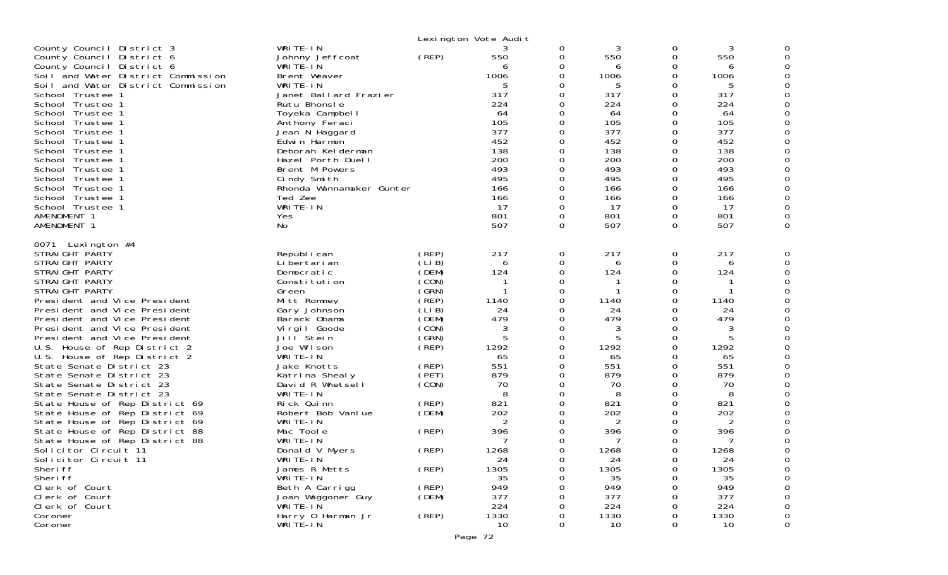|                                                                                                                                                                                                                                                                                                                                                                                                                                                                                                                                                                                                                                                                                                                                                                                              |                                                                                                                                                                                                                                                                                                                                                                                                                                                                     |                                                                                                                                                                                                     | Lexington Vote Audit                                                                                                                                                           |                                                                                                                                                                 |                                                                                                                                                                           |                                                                                                                                                                                                                      |                                                                                                                                                                                     |   |
|----------------------------------------------------------------------------------------------------------------------------------------------------------------------------------------------------------------------------------------------------------------------------------------------------------------------------------------------------------------------------------------------------------------------------------------------------------------------------------------------------------------------------------------------------------------------------------------------------------------------------------------------------------------------------------------------------------------------------------------------------------------------------------------------|---------------------------------------------------------------------------------------------------------------------------------------------------------------------------------------------------------------------------------------------------------------------------------------------------------------------------------------------------------------------------------------------------------------------------------------------------------------------|-----------------------------------------------------------------------------------------------------------------------------------------------------------------------------------------------------|--------------------------------------------------------------------------------------------------------------------------------------------------------------------------------|-----------------------------------------------------------------------------------------------------------------------------------------------------------------|---------------------------------------------------------------------------------------------------------------------------------------------------------------------------|----------------------------------------------------------------------------------------------------------------------------------------------------------------------------------------------------------------------|-------------------------------------------------------------------------------------------------------------------------------------------------------------------------------------|---|
| County Council District 3<br>County Council District 6<br>County Council District 6<br>Soil and Water District Commission<br>Soil and Water District Commission<br>School Trustee 1<br>School Trustee 1<br>School Trustee 1<br>School Trustee 1<br>School Trustee 1<br>School Trustee 1<br>School Trustee 1<br>School Trustee 1<br>School Trustee 1<br>School Trustee 1<br>School Trustee 1<br>School Trustee 1<br>School Trustee 1<br>AMENDMENT 1<br>AMENDMENT 1                                                                                                                                                                                                                                                                                                                            | WRITE-IN<br>Johnny Jeffcoat<br>WRITE-IN<br>Brent Weaver<br>WRITE-IN<br>Janet Ballard Frazier<br>Rutu Bhonsle<br>Toyeka Campbell<br>Anthony Feraci<br>Jean N Haggard<br>Edwin Harmon<br>Deborah Kelderman<br>Hazel Porth Duell<br><b>Brent M Powers</b><br>Cindy Smith<br>Rhonda Wannamaker Gunter<br>Ted Zee<br>WRITE-IN<br>Yes<br>No                                                                                                                               | (REP)                                                                                                                                                                                               | 550<br>6<br>1006<br>5<br>317<br>224<br>64<br>105<br>377<br>452<br>138<br>200<br>493<br>495<br>166<br>166<br>17<br>801<br>507                                                   | 0<br>0<br>0<br>0<br>0<br>0<br>0<br>0<br>0<br>0<br>0<br>0<br>0<br>0<br>0<br>0<br>0<br>0<br>$\Omega$                                                              | 3<br>550<br>6<br>1006<br>5<br>317<br>224<br>64<br>105<br>377<br>452<br>138<br>200<br>493<br>495<br>166<br>166<br>17<br>801<br>507                                         | 0<br>0<br>$\Omega$<br>0<br>0<br>0<br>0<br>0<br>$\Omega$<br>0<br>0<br>0<br>0<br>0<br>0<br>0<br>$\Omega$<br>0<br>0<br>$\Omega$                                                                                         | 3<br>550<br>6<br>1006<br>5<br>317<br>224<br>64<br>105<br>377<br>452<br>138<br>200<br>493<br>495<br>166<br>166<br>17<br>801<br>507                                                   | 0 |
| 0071<br>Lexington #4<br>STRAIGHT PARTY<br>STRAIGHT PARTY<br>STRAIGHT PARTY<br>STRAIGHT PARTY<br>STRAIGHT PARTY<br>President and Vice President<br>President and Vice President<br>President and Vice President<br>President and Vice President<br>President and Vice President<br>U.S. House of Rep District 2<br>U.S. House of Rep District 2<br>State Senate District 23<br>State Senate District 23<br>State Senate District 23<br>State Senate District 23<br>State House of Rep District 69<br>State House of Rep District 69<br>State House of Rep District 69<br>State House of Rep District 88<br>State House of Rep District 88<br>Solicitor Circuit 11<br>Solicitor Circuit 11<br>Sheri ff<br>Sheri ff<br>Clerk of Court<br>Clerk of Court<br>Clerk of Court<br>Coroner<br>Coroner | Republ i can<br>Li bertari an<br>Democratic<br>Constitution<br>Green<br>Mitt Romney<br>Gary Johnson<br>Barack Obama<br>Virgil Goode<br>Jill Stein<br>Joe Wilson<br>WRITE-IN<br>Jake Knotts<br>Katrina Shealy<br>David R Whetsell<br>WRITE-IN<br>Rick Quinn<br>Robert Bob Vanlue<br>WRITE-IN<br>Mac Toole<br>WRITE-IN<br>Donald V Myers<br>WRITE-IN<br>James R Metts<br>WRITE-IN<br>Beth A Carrigg<br>Joan Waggoner Guy<br>WRITE-IN<br>Harry 0 Harman Jr<br>WRITÉ-IN | (REP)<br>(LI B)<br>(DEM)<br>(CON)<br>(GRN)<br>(REP)<br>(LIB)<br>(DEM)<br>(CON)<br>(GRN)<br>(REP)<br>(REP)<br>(PET)<br>(CON)<br>(REP)<br>(DEM)<br>(REP)<br>(REP)<br>(REP)<br>(REP)<br>(DEM)<br>(REP) | 217<br>6<br>124<br>1140<br>24<br>479<br>3<br>5<br>1292<br>65<br>551<br>879<br>70<br>8<br>821<br>202<br>2<br>396<br>1268<br>24<br>1305<br>35<br>949<br>377<br>224<br>1330<br>10 | 0<br>0<br>0<br>0<br>0<br>0<br>0<br>0<br>0<br>0<br>0<br>0<br>0<br>0<br>0<br>0<br>0<br>0<br>U<br>O<br><sup>n</sup><br>0<br>0<br>0<br>0<br>0<br>0<br>0<br>$\Omega$ | 217<br>6<br>124<br>1140<br>24<br>479<br>3<br>1292<br>65<br>551<br>879<br>70<br>8<br>821<br>202<br>2<br>396<br>1268<br>24<br>1305<br>35<br>949<br>377<br>224<br>1330<br>10 | 0<br>0<br>0<br>$\Omega$<br>0<br>$\Omega$<br>$\Omega$<br>0<br>0<br>$\Omega$<br>0<br>0<br>0<br>0<br>0<br>$\Omega$<br>0<br>0<br>$\Omega$<br>0<br>0<br>$\Omega$<br>$\mathbf 0$<br>0<br>0<br>0<br>0<br>0<br>0<br>$\Omega$ | 217<br>6<br>124<br>1140<br>24<br>479<br>3<br>5<br>1292<br>65<br>551<br>879<br>70<br>8<br>821<br>202<br>2<br>396<br>7<br>1268<br>24<br>1305<br>35<br>949<br>377<br>224<br>1330<br>10 | 0 |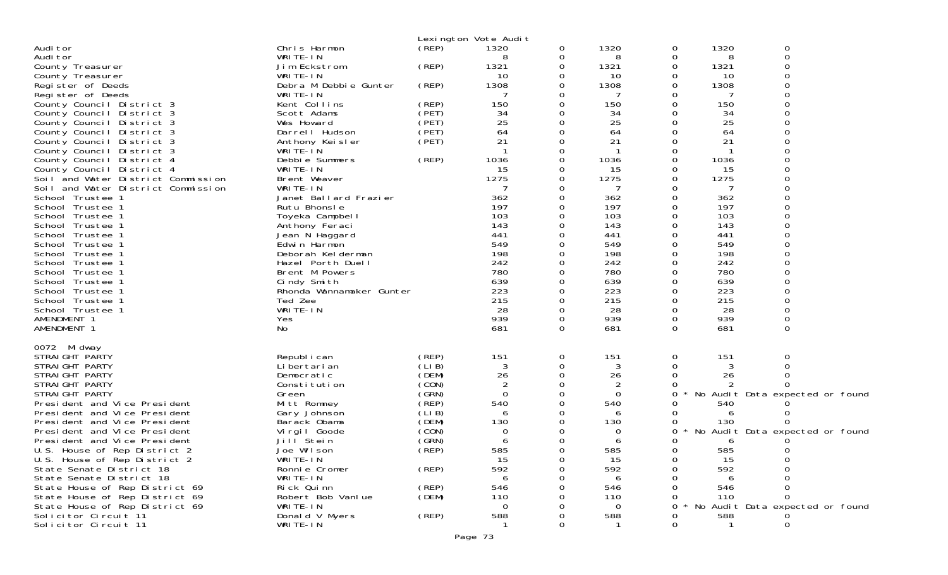|                                                                  |                               |                | Lexington Vote Audit |   |                |          |              |                                 |
|------------------------------------------------------------------|-------------------------------|----------------|----------------------|---|----------------|----------|--------------|---------------------------------|
| Audi tor                                                         | Chris Harmon                  | (REP)          | 1320                 | 0 | 1320           | 0        | 1320         | 0                               |
| Audi tor                                                         | WRITE-IN                      |                | 8                    | 0 | 8              | 0        | 8            | 0                               |
| County Treasurer                                                 | Jim Eckstrom                  | (REP)          | 1321                 | 0 | 1321           | 0        | 1321         | ∩                               |
| County Treasurer                                                 | WRITE-IN                      |                | 10                   | Ω | 10             | O        | 10           |                                 |
| Register of Deeds                                                | Debra M Debbie Gunter         | (REP)          | 1308                 | 0 | 1308           | 0        | 1308         |                                 |
| Register of Deeds                                                | WRITE-IN                      |                |                      |   | 7              | Ω        | -7           |                                 |
| County Council District 3                                        | Kent Collins                  | (REP)          | 150                  | 0 | 150            | O        | 150          |                                 |
| County Council<br>District 3                                     | Scott Adams                   | (PET)          | 34                   | 0 | 34             |          | 34           |                                 |
| County Council<br>District 3                                     | Wes Howard                    | (PET)          | 25                   |   | 25             |          | 25           |                                 |
| County Council<br>District 3                                     | Darrell Hudson                | (PET)          | 64                   | 0 | 64             |          | 64           |                                 |
| County Council<br>District 3                                     | Anthony Keisler               | (PET)          | 21                   | 0 | 21             |          | 21           |                                 |
| County Council District 3<br>County Council District 4           | WRITE-IN<br>Debbie Summers    | (REP)          | 1036                 | 0 | 1036           | 0        | 1036         |                                 |
| County Council District 4                                        | WRITE-IN                      |                | 15                   |   | 15             | 0        | 15           |                                 |
| Soil and Water District Commission                               | Brent Weaver                  |                | 1275                 |   | 1275           | 0        | 1275         |                                 |
| Soil and Water District Commission                               | WRITE-IN                      |                |                      | Ω | 7              |          | 7            |                                 |
| School Trustee 1                                                 | Janet Ballard Frazier         |                | 362                  |   | 362            |          | 362          |                                 |
| School Trustee 1                                                 | Rutu Bhonsle                  |                | 197                  |   | 197            | $\Omega$ | 197          |                                 |
| School Trustee 1                                                 | Toyeka Campbell               |                | 103                  | Ω | 103            | 0        | 103          |                                 |
| School Trustee 1                                                 | Anthony Feraci                |                | 143                  |   | 143            |          | 143          |                                 |
| School Trustee 1                                                 | Jean N Haggard                |                | 441                  |   | 441            | O        | 441          |                                 |
| School Trustee 1                                                 | Edwin Harmon                  |                | 549                  |   | 549            |          | 549          |                                 |
| School Trustee 1                                                 | Deborah Kelderman             |                | 198                  |   | 198            |          | 198          |                                 |
| School Trustee 1                                                 | Hazel Porth Duell             |                | 242                  |   | 242            | $\Omega$ | 242          |                                 |
| School Trustee 1                                                 | Brent M Powers                |                | 780                  | 0 | 780            |          | 780          |                                 |
| School Trustee 1                                                 | Cindy Smith                   |                | 639                  |   | 639            |          | 639          |                                 |
| School Trustee 1                                                 | Rhonda Wannamaker Gunter      |                | 223                  |   | 223            | 0        | 223          |                                 |
| School Trustee 1                                                 | Ted Zee                       |                | 215                  | 0 | 215            |          | 215          |                                 |
| School Trustee 1                                                 | WRITE-IN                      |                | 28                   | 0 | 28             | 0        | 28           |                                 |
| AMENDMENT 1                                                      | Yes                           |                | 939                  |   | 939            | 0        | 939          |                                 |
| AMENDMENT 1                                                      | No                            |                | 681                  | 0 | 681            | $\Omega$ | 681          | $\Omega$                        |
| 0072 Midway                                                      |                               |                |                      |   |                |          |              |                                 |
| STRAIGHT PARTY                                                   | Republ i can                  | (REP)          | 151                  | 0 | 151            | 0        | 151          | 0                               |
| STRAIGHT PARTY                                                   | Li bertari an                 | (LIB)          | 3                    | 0 | 3              |          | 3            |                                 |
| STRAIGHT PARTY                                                   | Democratic                    | (DEM)          | 26                   | 0 | 26             |          | 26           |                                 |
| STRAIGHT PARTY                                                   | Constitution                  | (CON)          | $\overline{2}$       | 0 | $\overline{2}$ |          |              |                                 |
| STRAIGHT PARTY                                                   | Green                         | (GRN)          | $\mathbf 0$          | 0 | 0              | 0        |              | No Audit Data expected or found |
| President and Vice President                                     | Mitt Romney                   | (REP)          | 540                  | Ω | 540            |          | 540          |                                 |
| President and Vice President                                     | Gary Johnson                  | (LIB)          | 6                    |   | 6              |          | 6            |                                 |
| President and Vice President                                     | Barack Obama                  | (DEM)          | 130                  |   | 130            |          | 130          |                                 |
| President and Vice President                                     | Virgil Goode                  | (CON)          | 0                    |   | 0              | 0        |              | No Audit Data expected or found |
| President and Vice President                                     | Jill Stein                    | (GRN)          | 6                    |   | 6              |          | 6            |                                 |
| U.S. House of Rep District 2                                     | Joe Wilson                    | (REP)          | 585                  | 0 | 585            | 0        | 585          | 0                               |
| U.S. House of Rep District 2                                     | WRITE-IN                      |                | 15                   | O | 15             |          | 15           |                                 |
| State Senate District 18                                         | Ronnie Cromer                 | (REP)          | 592                  |   | 592            | O        | 592          |                                 |
| State Senate District 18                                         | WRITE-IN                      |                | 6                    |   | 6              |          |              |                                 |
| State House of Rep District 69                                   | Rick Quinn                    | (REP)<br>(DEM) | 546<br>110           |   | 546<br>110     |          | 546          |                                 |
| State House of Rep District 69<br>State House of Rep District 69 | Robert Bob Vanlue<br>WRITE-IN |                | $\Omega$             |   | $\Omega$       | O        | 110          | No Audit Data expected or found |
| Solicitor Circuit 11                                             | Donald V Myers                | (REP)          | 588                  |   | 588            |          | 588          |                                 |
| Solicitor Circuit 11                                             | WRITE-IN                      |                |                      |   |                | O        | $\mathbf{1}$ | 0                               |
|                                                                  |                               |                |                      |   |                |          |              |                                 |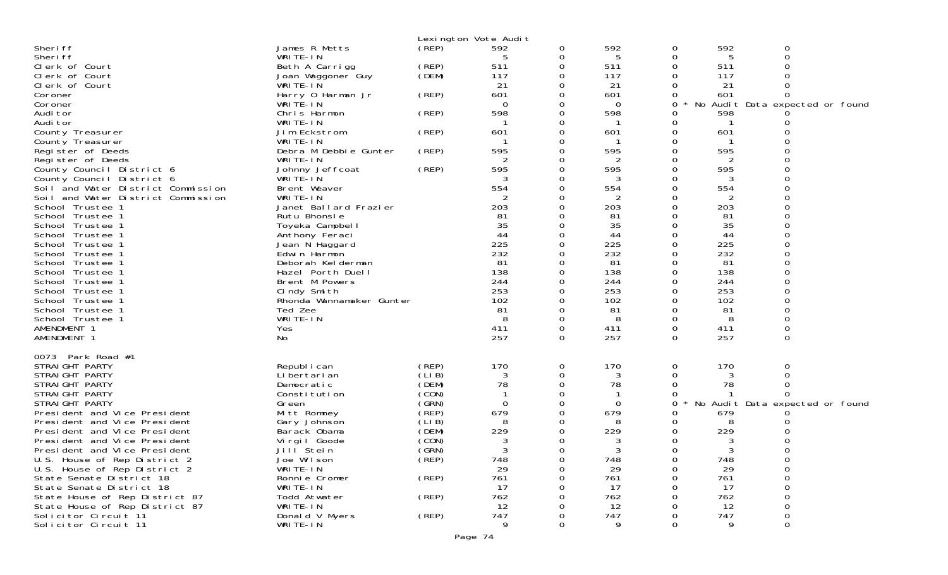|                                      |                                       | Lexington Vote Audit |           |   |          |          |          |                                 |  |
|--------------------------------------|---------------------------------------|----------------------|-----------|---|----------|----------|----------|---------------------------------|--|
| Sheri ff                             | James R Metts                         | (REP)                | 592       | 0 | 592      | 0        | 592      | 0                               |  |
| Sheri ff                             | WRITE-IN                              |                      | 5         | 0 | 5        | 0        | 5        | 0                               |  |
| Clerk of Court                       | Beth A Carrigg                        | (REP)                | 511       | 0 | 511      |          | 511      |                                 |  |
| Clerk of Court                       | Joan Waggoner Guy                     | (DEM)                | 117       | 0 | 117      |          | 117      |                                 |  |
| Clerk of Court                       | WRITE-IN                              |                      | 21        | 0 | 21       |          | 21       |                                 |  |
| Coroner                              | Harry 0 Harman Jr                     | (REP)                | 601       | 0 | 601      | 0        | 601      | <sup>o</sup>                    |  |
| Coroner                              | WRITE-IN                              |                      | $\Omega$  | 0 | 0        | 0        | No       | Audit Data expected or found    |  |
| Audi tor                             | Chris Harmon                          | (REP)                | 598       | 0 | 598      |          | 598      |                                 |  |
| Audi tor                             | WRITE-IN                              |                      |           |   |          |          |          |                                 |  |
| County Treasurer                     | Jim Eckstrom                          | (REP)                | 601       | 0 | 601      |          | 601      |                                 |  |
| County Treasurer                     | WRITE-IN                              |                      |           | 0 |          |          |          |                                 |  |
| Register of Deeds                    | Debra M Debbie Gunter                 | (REP)                | 595       |   | 595      |          | 595      |                                 |  |
| Register of Deeds                    | WRITE-IN                              |                      | 2         | 0 | 2        |          |          |                                 |  |
| County Council District 6            | Johnny Jeffcoat                       | (REP)                | 595       | 0 | 595      |          | 595      |                                 |  |
| County Council District 6            | WRITE-IN                              |                      |           |   |          |          |          |                                 |  |
| Soil and Water District Commission   | Brent Weaver                          |                      | 554       | 0 | 554      |          | 554      |                                 |  |
| Soil and Water District Commission   | WRITE-IN                              |                      |           |   | 2        |          | 2        |                                 |  |
| School Trustee 1                     | Janet Ballard Frazier<br>Rutu Bhonsle |                      | 203<br>81 | 0 | 203      |          | 203      |                                 |  |
| School Trustee 1<br>School Trustee 1 |                                       |                      | 35        | 0 | 81<br>35 |          | 81<br>35 |                                 |  |
| School Trustee 1                     | Toyeka Campbell<br>Anthony Feraci     |                      | 44        |   | 44       |          | 44       |                                 |  |
| School Trustee 1                     | Jean N Haggard                        |                      | 225       | 0 | 225      |          | 225      |                                 |  |
| School Trustee 1                     | Edwin Harmon                          |                      | 232       |   | 232      |          | 232      |                                 |  |
| School Trustee 1                     | Deborah Kelderman                     |                      | 81        |   | 81       |          | 81       |                                 |  |
| School Trustee 1                     | Hazel Porth Duell                     |                      | 138       | 0 | 138      |          | 138      |                                 |  |
| School Trustee 1                     | Brent M Powers                        |                      | 244       |   | 244      |          | 244      |                                 |  |
| School Trustee 1                     | Cindy Smith                           |                      | 253       |   | 253      |          | 253      |                                 |  |
| School Trustee 1                     | Rhonda Wannamaker Gunter              |                      | 102       | 0 | 102      |          | 102      |                                 |  |
| School Trustee 1                     | Ted Zee                               |                      | 81        |   | 81       |          | 81       |                                 |  |
| School Trustee 1                     | WRITE-IN                              |                      | 8         | 0 | 8        |          | 8        |                                 |  |
| AMENDMENT 1                          | Yes                                   |                      | 411       | 0 | 411      | 0        | 411      | 0                               |  |
| AMENDMENT 1                          | No                                    |                      | 257       | 0 | 257      | 0        | 257      | 0                               |  |
|                                      |                                       |                      |           |   |          |          |          |                                 |  |
| 0073 Park Road #1                    |                                       |                      |           |   |          |          |          |                                 |  |
| STRAIGHT PARTY                       | Republ i can                          | (REP)                | 170       | 0 | 170      | 0        | 170      | 0                               |  |
| STRAIGHT PARTY                       | Li bertari an                         | (LI B)               | 3         | 0 |          |          |          |                                 |  |
| STRAIGHT PARTY                       | Democratic                            | (DEM)                | 78        | 0 | 78       | 0        | 78       |                                 |  |
| STRAIGHT PARTY                       | Constitution                          | (CON)                | -1        | 0 |          |          |          |                                 |  |
| STRAIGHT PARTY                       | Green                                 | (GRN)                | $\Omega$  | 0 | $\Omega$ | 0        |          | No Audit Data expected or found |  |
| President and Vice President         | Mitt Romney                           | (REP)                | 679       | 0 | 679      | 0        | 679      |                                 |  |
| President and Vice President         | Gary Johnson                          | (LIB)                | 8         |   |          |          |          |                                 |  |
| President and Vice President         | Barack Obama                          | (DEM)                | 229       | 0 | 229      |          | 229      |                                 |  |
| President and Vice President         | Virgil Goode                          | (CON)                | 3         | 0 | 3        | 0        | 3        |                                 |  |
| President and Vice President         | Jill Stein                            | (GRN)                | 3         | 0 |          | 0        | 3        |                                 |  |
| U.S. House of Rep District 2         | Joe Wilson                            | (REP)                | 748       | 0 | 748      | 0        | 748      |                                 |  |
| U.S. House of Rep District 2         | WRITE-IN                              |                      | 29        | 0 | 29       | $\Omega$ | 29       | 0                               |  |
| State Senate District 18             | Ronnie Cromer                         | (REP)                | 761       | 0 | 761      |          | 761      |                                 |  |
| State Senate District 18             | WRITE-IN                              |                      | 17        |   | 17       |          | 17       |                                 |  |
| State House of Rep District 87       | Todd Atwater                          | (REP)                | 762       |   | 762      |          | 762      |                                 |  |
| State House of Rep District 87       | WRITE-IN                              |                      | 12        |   | 12       |          | 12       |                                 |  |
| Solicitor Circuit 11                 | Donald V Myers                        | (REP)                | 747       | 0 | 747      |          | 747      |                                 |  |
| Solicitor Circuit 11                 | WRITE-IN                              |                      | 9         | 0 | 9        | $\Omega$ | 9        | 0                               |  |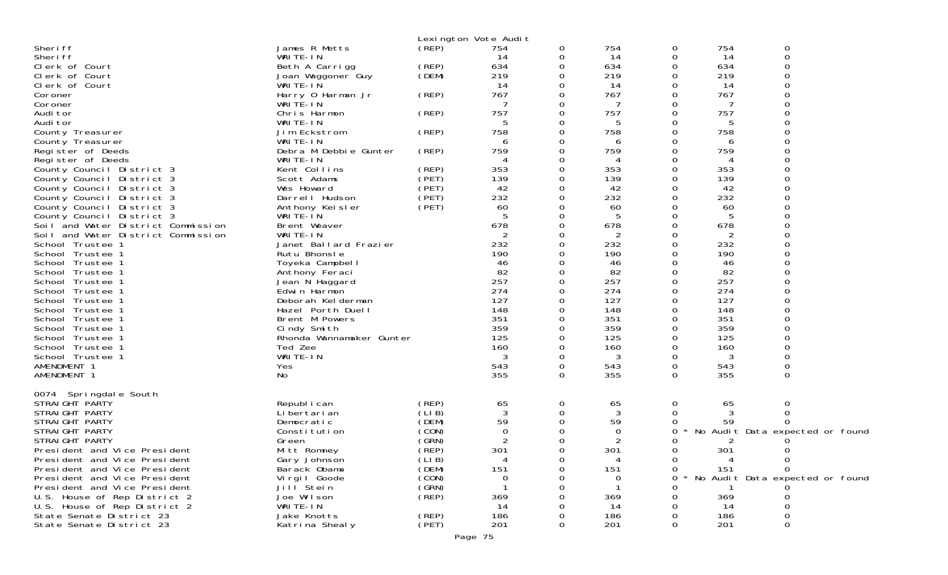|                                    |                          | Lexington Vote Audit |                |          |                |          |     |                                 |  |
|------------------------------------|--------------------------|----------------------|----------------|----------|----------------|----------|-----|---------------------------------|--|
| Sheri ff                           | James R Metts            | (REP)                | 754            | 0        | 754            | 0        | 754 | 0                               |  |
| Sheri ff                           | WRITE-IN                 |                      | 14             | 0        | 14             | 0        | 14  | 0                               |  |
| Clerk of Court                     | Beth A Carrigg           | (REP)                | 634            | 0        | 634            | 0        | 634 | ∩                               |  |
| Clerk of Court                     | Joan Waggoner Guy        | (DEM)                | 219            | 0        | 219            | 0        | 219 |                                 |  |
| Clerk of Court                     | WRITE-IN                 |                      | 14             | 0        | 14             | 0        | 14  |                                 |  |
| Coroner                            | Harry 0 Harman Jr        | (REP)                | 767            | 0        | 767            | 0        | 767 |                                 |  |
| Coroner                            | WRITE-IN                 |                      |                | 0        | 7              | O        | 7   |                                 |  |
| Audi tor                           | Chris Harmon             | (REP)                | 757            | 0        | 757            | 0        | 757 |                                 |  |
| Audi tor                           | WRITE-IN                 |                      |                | 0        | 5              |          | 5   |                                 |  |
| County Treasurer                   | Jim Eckstrom             | (REP)                | 758            | 0        | 758            | 0        | 758 |                                 |  |
| County Treasurer                   | WRITE-IN                 |                      | 6              | 0        | 6              | 0        | 6   |                                 |  |
| Register of Deeds                  | Debra M Debbie Gunter    | (REP)                | 759            | 0        | 759            |          | 759 |                                 |  |
| Register of Deeds                  | WRITE-IN                 |                      | 4              | 0        | 4              | O        | 4   |                                 |  |
| County Council District 3          | Kent Collins             | (REP)                | 353            | 0        | 353            | 0        | 353 |                                 |  |
| County Council District 3          | Scott Adams              | (PET)                | 139            | 0        | 139            | 0        | 139 |                                 |  |
| County Council District 3          | Wes Howard               | (PET)                | 42             | 0        | 42             | 0        | 42  |                                 |  |
| County Council District 3          | Darrell Hudson           | (PET)                | 232            | 0        | 232            | 0        | 232 |                                 |  |
| County Council District 3          | Anthony Keisler          | (PET)                | 60             | 0        | 60             |          | 60  |                                 |  |
| County Council District 3          | WRITE-IN                 |                      | 5              | 0        | 5              | O        | 5   |                                 |  |
| Soil and Water District Commission | Brent Weaver             |                      | 678            | 0        | 678            |          | 678 |                                 |  |
| Soil and Water District Commission | WRITE-IN                 |                      | 2              | 0        | 2              | 0        | 2   |                                 |  |
| School Trustee 1                   | Janet Ballard Frazier    |                      | 232            | 0        | 232            | 0        | 232 |                                 |  |
| School Trustee 1                   | Rutu Bhonsle             |                      | 190            | 0        | 190            | 0        | 190 |                                 |  |
| School Trustee 1                   | Toyeka Campbell          |                      | 46             |          | 46             | O        | 46  |                                 |  |
| School Trustee 1                   | Anthony Feraci           |                      | 82             | 0        | 82             | 0        | 82  |                                 |  |
| School<br>Trustee 1                | Jean N Haggard           |                      | 257            |          | 257            |          | 257 |                                 |  |
| School<br>Trustee 1                | Edwin Harmon             |                      | 274            |          | 274            | O        | 274 |                                 |  |
| School<br>Trustee 1                | Deborah Kelderman        |                      | 127            | 0        | 127            | 0        | 127 |                                 |  |
| School<br>Trustee 1                | Hazel Porth Duell        |                      | 148            | 0        | 148            | 0        | 148 |                                 |  |
| School<br>Trustee 1                | Brent M Powers           |                      | 351            |          | 351            | ი        | 351 |                                 |  |
| School Trustee 1                   | Cindy Smith              |                      | 359            | 0        | 359            |          | 359 |                                 |  |
| School<br>Trustee 1                | Rhonda Wannamaker Gunter |                      | 125            | 0        | 125            |          | 125 |                                 |  |
| School Trustee 1                   | Ted Zee                  |                      | 160            | 0        | 160            | O        | 160 |                                 |  |
| School Trustee 1                   | WRITE-IN                 |                      | 3              | 0        | 3              | 0        | 3   |                                 |  |
| AMENDMENT 1                        | Yes                      |                      | 543            | 0        | 543            | 0        | 543 | 0                               |  |
| AMENDMENT 1                        | No.                      |                      | 355            | $\Omega$ | 355            | $\Omega$ | 355 | $\Omega$                        |  |
|                                    |                          |                      |                |          |                |          |     |                                 |  |
| 0074 Springdale South              |                          |                      |                |          |                |          |     |                                 |  |
| STRAIGHT PARTY                     | Republ i can             | (REP)                | 65             | 0        | 65             | 0        | 65  | 0                               |  |
| STRAIGHT PARTY                     | Li bertari an            | (LIB)                | $\mathbf{3}$   | 0        | 3              | 0        | 3   | 0                               |  |
| STRAIGHT PARTY                     | Democratic               | (DEM)                | 59             | 0        | 59             |          | 59  |                                 |  |
| STRAIGHT PARTY                     | Constitution             | (CON)                | 0              | 0        | 0              | O        |     | No Audit Data expected or found |  |
| STRAIGHT PARTY                     | Green                    | (GRN)                | $\overline{2}$ | 0        | $\overline{c}$ |          | 2   |                                 |  |
| President and Vice President       | Mitt Romney              | (REF)                | 301            | 0        | 301            | 0        | 301 | 0                               |  |
| President and Vice President       | Gary Johnson             | (LIB)                |                |          |                | 0        |     | 0                               |  |
| President and Vice President       | Barack Obama             | (DEM)                | 151            |          | 151            | Ω        | 151 | 0                               |  |
| President and Vice President       | Vi rgi I Goode           | (CON)                | 0              |          | 0              |          |     | No Audit Data expected or found |  |
| President and Vice President       | Jill Stein               | (SRN)                |                |          |                |          |     |                                 |  |
| U.S. House of Rep District 2       | Joe Wilson               | (REP)                | 369            |          | 369            |          | 369 |                                 |  |
| U.S. House of Rep District 2       | WRITE-IN                 |                      | 14             |          | 14             |          | 14  | ∩                               |  |
| State Senate District 23           | Jake Knotts              | (REP)                | 186            |          | 186            |          | 186 |                                 |  |
| State Senate District 23           | Katrina Shealy           | (PET)                | 201            | 0        | 201            | 0        | 201 | 0                               |  |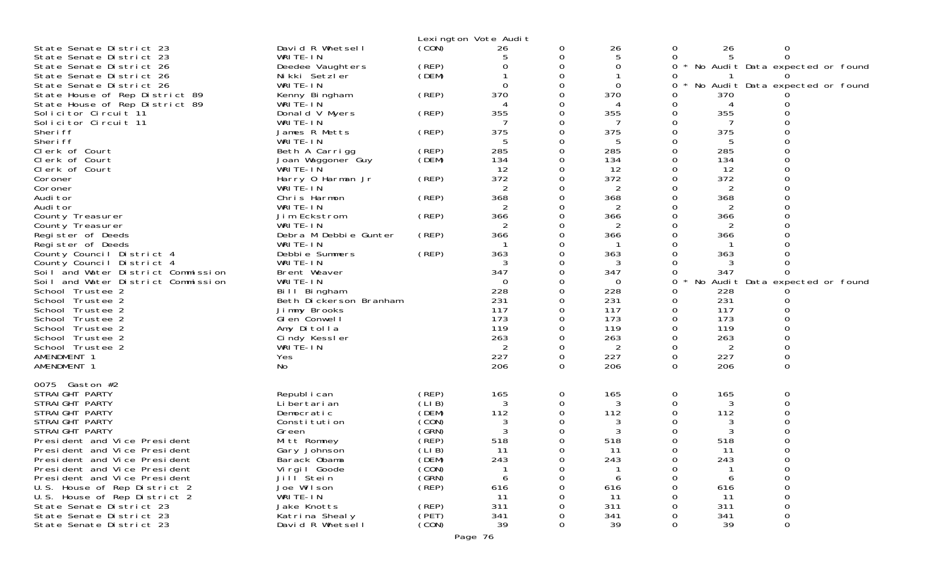|                                                              |                              |                | Lexington Vote Audit |          |                |        |                |                                 |
|--------------------------------------------------------------|------------------------------|----------------|----------------------|----------|----------------|--------|----------------|---------------------------------|
| State Senate District 23                                     | David R Whetsell             | (CON)          | 26                   | 0        | 26             | 0      | 26             | 0                               |
| State Senate District 23                                     | WRITE-IN                     |                | 5                    | 0        | 5              | 0      | 5              | 0                               |
| State Senate District 26                                     | Deedee Vaughters             | (REP)          | ი                    | 0        | 0              | 0      |                | No Audit Data expected or found |
| State Senate District 26                                     | Nikki Setzler                | (DEM)          |                      | 0        |                | 0      |                |                                 |
| State Senate District 26                                     | WRITE-IN                     |                | $\Omega$             | 0        | 0              | 0      |                | No Audit Data expected or found |
| State House of Rep District 89                               | Kenny Bingham                | (REP)          | 370                  | 0        | 370            | Ω      | 370            |                                 |
| State House of Rep District 89                               | WRITE-IN                     |                |                      | 0        | 4              | 0      | 4              |                                 |
| Solicitor Circuit 11                                         | Donald V Myers               | (REP)          | 355                  | 0        | 355            | 0      | 355            |                                 |
| Solicitor Circuit 11                                         | WRITE-IN                     |                |                      | 0        | 7              | 0      | 7              |                                 |
| Sheri ff                                                     | James R Metts                | (REP)          | 375                  | 0        | 375            | 0      | 375            |                                 |
| Sheri ff                                                     | WRITE-IN                     |                |                      | 0        | 5              | 0      | 5              |                                 |
| Clerk of Court                                               | Beth A Carrigg               | (REP)          | 285                  | 0        | 285            | 0      | 285            |                                 |
| Clerk of Court                                               | Joan Waggoner Guy            | (DEM)          | 134                  | 0        | 134            | 0      | 134            |                                 |
| Clerk of Court                                               | WRITE-IN                     |                | 12                   | 0        | 12             | 0      | 12             |                                 |
| Coroner                                                      | Harry 0 Harman Jr            | (REP)          | 372                  | 0        | 372            | 0      | 372            |                                 |
| Coroner                                                      | WRITE-IN                     |                | 2                    | 0<br>0   | $\overline{2}$ | 0      | $\overline{2}$ |                                 |
| Audi tor                                                     | Chris Harmon                 | (REP)          | 368<br>2             |          | 368            | 0      | 368            |                                 |
| Audi tor                                                     | WRITE-IN                     |                | 366                  | 0        | 2              | 0      | 2              |                                 |
| County Treasurer<br>County Treasurer                         | Jim Eckstrom<br>WRITE-IN     | (REP)          | 2                    | 0<br>0   | 366<br>2       | 0<br>0 | 366            |                                 |
| Register of Deeds                                            | Debra M Debbie Gunter        | (REP)          | 366                  | 0        | 366            | 0      | 366            |                                 |
| Register of Deeds                                            | WRITE-IN                     |                |                      | 0        |                |        |                |                                 |
| County Council District 4                                    | Debbie Summers               | (REP)          | 363                  | 0        | 363            | ი      | 363            |                                 |
| County Council District 4                                    | WRITE-IN                     |                | 3                    | 0        | 3              |        | 3              |                                 |
| Soil and Water District Commission                           | Brent Weaver                 |                | 347                  | 0        | 347            | O      | 347            |                                 |
| Soil and Water District Commission                           | WRITE-IN                     |                | $\Omega$             | 0        | $\Omega$       | 0      |                | No Audit Data expected or found |
| School Trustee 2                                             | Bill Bingham                 |                | 228                  | 0        | 228            | 0      | 228            |                                 |
| School Trustee 2                                             | Beth Dickerson Branham       |                | 231                  | 0        | 231            | 0      | 231            |                                 |
| School Trustee 2                                             | Jimmy Brooks                 |                | 117                  | 0        | 117            | 0      | 117            |                                 |
| School Trustee 2                                             | GI en Conwell                |                | 173                  | 0        | 173            | 0      | 173            |                                 |
| School Trustee 2                                             | Amy Ditolla                  |                | 119                  | 0        | 119            | 0      | 119            |                                 |
| School Trustee 2                                             | Cindy Kessler                |                | 263                  | 0        | 263            | 0      | 263            | O                               |
| School Trustee 2                                             | WRITE-IN                     |                | 2                    | 0        | 2              | 0      | 2              |                                 |
| AMENDMENT 1                                                  | Yes                          |                | 227                  | 0        | 227            | 0      | 227            |                                 |
| AMENDMENT 1                                                  | No                           |                | 206                  | $\Omega$ | 206            | 0      | 206            | $\Omega$                        |
|                                                              |                              |                |                      |          |                |        |                |                                 |
| 0075 Gaston #2                                               |                              |                |                      |          |                |        |                |                                 |
| STRAIGHT PARTY                                               | Republ i can                 | (REP)          | 165                  | 0        | 165            | 0      | 165            | 0                               |
| STRAIGHT PARTY                                               | Li bertari an                | (LIB)          | 3                    | 0        | 3              | 0      | 3              | 0                               |
| STRAIGHT PARTY                                               | Democratic                   | (DEM)          | 112                  | 0        | 112            | O      | 112            |                                 |
| STRAIGHT PARTY                                               | Constitution                 | (CON)          | 3                    | 0        | 3              |        | 3              |                                 |
| STRAIGHT PARTY                                               | Green                        | (GRN)          | 3                    | 0        | 3              |        | 3              |                                 |
| President and Vice President                                 | Mitt Romney                  | (REP)          | 518                  | 0        | 518            | O      | 518            |                                 |
| President and Vice President<br>President and Vice President | Gary Johnson                 | (LIB)<br>(DEM) | 11<br>243            | 0        | 11<br>243      | 0      | 11<br>243      |                                 |
| President and Vice President                                 | Barack Obama<br>Virgil Goode | (CON)          |                      | 0<br>0   |                | 0<br>Ω |                | 0<br>0                          |
| President and Vice President                                 | Jill Stein                   | (GRN)          | 6                    | U        | 6              | ი      | 6              | 0                               |
| U.S. House of Rep District 2                                 | Joe Wilson                   | (REP)          | 616                  |          | 616            |        | 616            | 0                               |
| U.S. House of Rep District 2                                 | WRITE-IN                     |                | 11                   |          | 11             |        | -11            | 0                               |
| State Senate District 23                                     | Jake Knotts                  | (REP)          | 311                  |          | 311            |        | 311            | 0                               |
| State Senate District 23                                     | Katrina Shealy               | (PET)          | 341                  |          | 341            |        | 341            | 0                               |
| State Senate District 23                                     | David R Whetsell             | (CON)          | 39                   | 0        | 39             | 0      | 39             | 0                               |
|                                                              |                              |                |                      |          |                |        |                |                                 |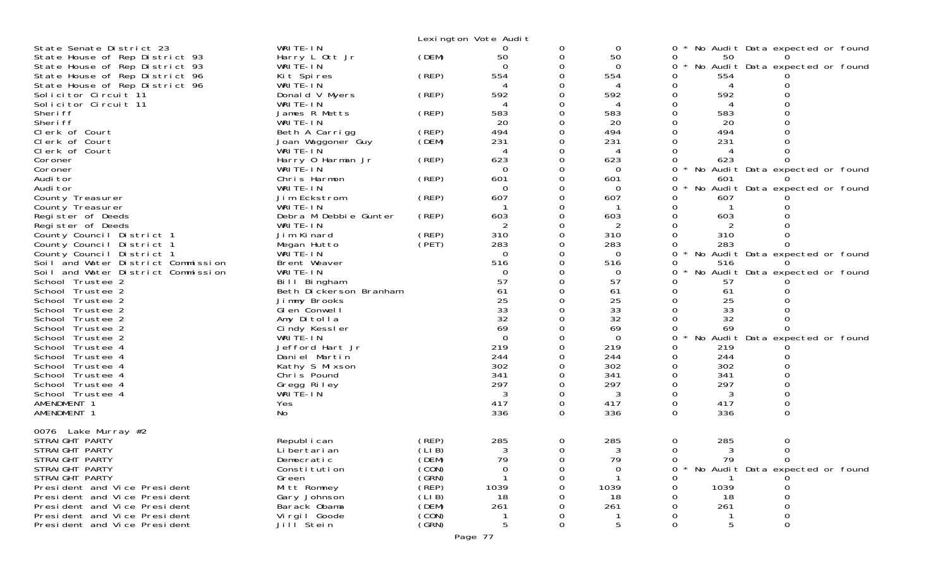|                                      |                                        |       | Lexington Vote Audit |          |          |                                             |
|--------------------------------------|----------------------------------------|-------|----------------------|----------|----------|---------------------------------------------|
| State Senate District 23             | WRITE-IN                               |       | 0                    | 0        | 0        | No Audit Data expected or found             |
| State House of Rep District 93       | Harry L Ott Jr                         | (DEM) | 50                   | 0        | 50       | 0<br>50                                     |
| State House of Rep District 93       | WRITE-IN                               |       | $\Omega$             | 0        | $\Omega$ | No Audit Data expected or found<br>0        |
| State House of Rep District 96       | Kit Spires                             | (REP) | 554                  |          | 554      | 554                                         |
| State House of Rep District 96       | WRITE-IN                               |       |                      |          |          | 0<br>4                                      |
| Solicitor Circuit 11                 | Donald V Myers                         | (REP) | 592                  | Ω        | 592      | 592<br>0                                    |
| Solicitor Circuit 11<br>Sheri ff     | WRITE-IN<br>James R Metts              | (REP) | 583                  | 0        | 4<br>583 | 583<br>0                                    |
| Sheri ff                             | WRITE-IN                               |       | 20                   | 0        | 20       | 20                                          |
| Clerk of Court                       | Beth A Carrigg                         | (REP) | 494                  |          | 494      | 494                                         |
| Clerk of Court                       | Joan Waggoner Guy                      | (DEM) | 231                  | 0        | 231      | 231                                         |
| Clerk of Court                       | WRITE-IN                               |       |                      | 0        | 4        |                                             |
| Coroner                              | Harry 0 Harman Jr                      | (REP) | 623                  |          | 623      | 623                                         |
| Coroner                              | WRITE-IN                               |       | $\Omega$             |          | $\Omega$ | $\Omega$<br>No Audit Data expected or found |
| Audi tor                             | Chris Harmon                           | (REP) | 601                  | 0        | 601      | 601<br>0                                    |
| Audi tor                             | WRITE-IN                               |       | $\Omega$             |          | 0        | No Audit Data expected or found             |
| County Treasurer                     | Jim Eckstrom                           | (REP) | 607                  | 0        | 607      | 607                                         |
| County Treasurer                     | WRITE-IN                               |       |                      |          |          |                                             |
| Register of Deeds                    | Debra M Debbie Gunter                  | (REP) | 603                  |          | 603      | 603                                         |
| Register of Deeds                    | WRITE-IN                               |       | 2                    |          | 2        | 2                                           |
| County Council District 1            | Jim Kinard                             | (REP) | 310                  | 0        | 310      | 310<br>0                                    |
| County Council District 1            | Megan Hutto                            | (PET) | 283                  |          | 283      | 283                                         |
| County Council District 1            | WRITE-IN                               |       | $\Omega$             |          | 0        | $\Omega$<br>No Audit Data expected or found |
| Soil and Water District Commission   | Brent Weaver                           |       | 516                  |          | 516      | 516<br>0                                    |
| Soil and Water District Commission   | WRITE-IN                               |       | $\Omega$             |          | 0        | No Audit Data expected or found             |
| School Trustee 2<br>School Trustee 2 | Bill Bingham<br>Beth Dickerson Branham |       | 57<br>61             |          | 57<br>61 | 57<br>61<br>0                               |
| School Trustee 2                     | Jimmy Brooks                           |       | 25                   |          | 25       | 25                                          |
| School Trustee 2                     | GI en Conwell                          |       | 33                   |          | 33       | 33                                          |
| School Trustee 2                     | Amy Ditolla                            |       | 32                   |          | 32       | 32                                          |
| School Trustee 2                     | Cindy Kessler                          |       | 69                   |          | 69       | 69                                          |
| School Trustee 2                     | WRITE-IN                               |       | $\Omega$             |          | $\Omega$ | No Audit Data expected or found<br>0        |
| School Trustee 4                     | Jefford Hart Jr                        |       | 219                  |          | 219      | 219<br>0                                    |
| School Trustee 4                     | Daniel Martin                          |       | 244                  |          | 244      | 244<br>$\Omega$                             |
| School Trustee 4                     | Kathy S Mixson                         |       | 302                  |          | 302      | 302                                         |
| School Trustee 4                     | Chris Pound                            |       | 341                  |          | 341      | 341                                         |
| School Trustee 4                     | Gregg Riley                            |       | 297                  |          | 297      | 297                                         |
| School Trustee 4                     | WRITE-IN                               |       | 3                    | 0        | 3        | 3<br>0                                      |
| AMENDMENT 1                          | Yes                                    |       | 417                  | 0        | 417      | 0<br>417<br>0                               |
| AMENDMENT 1                          | No                                     |       | 336                  | 0        | 336      | $\Omega$<br>336<br>0                        |
| 0076 Lake Murray #2                  |                                        |       |                      |          |          |                                             |
| STRAIGHT PARTY                       | Republ i can                           | (REP) | 285                  | 0        | 285      | 0<br>285<br>0                               |
| STRAIGHT PARTY                       | Li bertari an                          | (LIB) | 3                    | $\Omega$ |          | $\Omega$<br>$\Omega$                        |
| STRAIGHT PARTY                       | Democratic                             | (DEM) | 79                   |          | 79       | 79<br>$\Omega$<br>0                         |
| STRAIGHT PARTY                       | Constitution                           | (CON) | $\Omega$             |          | 0        | No Audit Data expected or found<br>∩        |
| STRAIGHT PARTY                       | Green                                  | (GRN) |                      |          |          |                                             |
| President and Vice President         | Mitt Romney                            | (REP) | 1039                 |          | 1039     | 1039                                        |
| President and Vice President         | Gary Johnson                           | (LIB) | 18                   |          | 18       | 18                                          |
| President and Vice President         | Barack Obama                           | (DEM) | 261                  |          | 261      | 261                                         |
| President and Vice President         | Virgil Goode                           | (CON) |                      |          |          |                                             |
| President and Vice President         | Jill <sup>Stein</sup>                  | (GRN) | 5                    | 0        | 5        | 5<br>0<br>$\Omega$                          |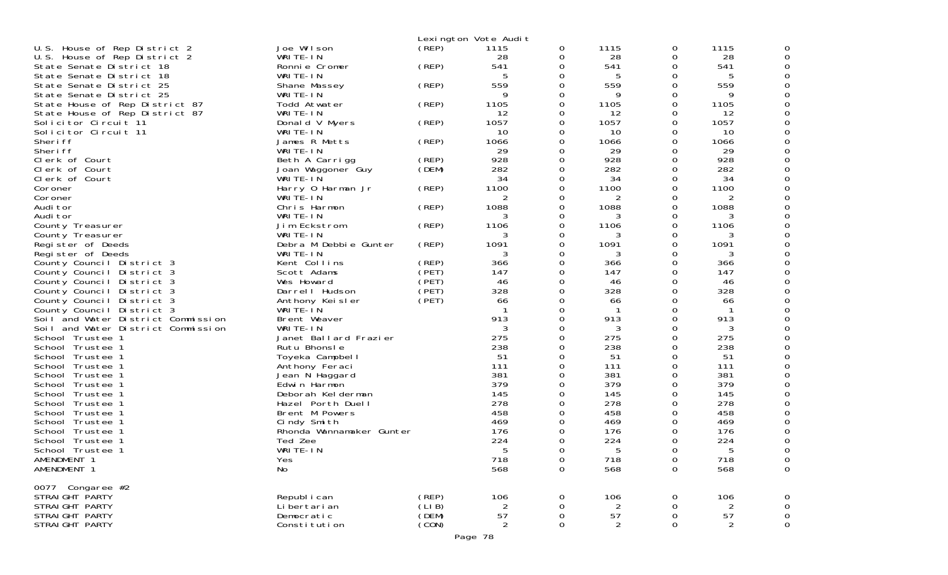|                                       |                          |        | Lexington Vote Audit |             |                |          |                |             |
|---------------------------------------|--------------------------|--------|----------------------|-------------|----------------|----------|----------------|-------------|
| U.S. House of Rep District 2          | Joe Wilson               | (REP)  | 1115                 | 0           | 1115           | 0        | 1115           |             |
| U.S. House of Rep District 2          | WRITE-IN                 |        | 28                   | 0           | 28             | 0        | 28             |             |
| State Senate District 18              | Ronnie Cromer            | (REP)  | 541                  | 0           | 541            | 0        | 541            |             |
| State Senate District 18              | WRITE-IN                 |        | 5                    | 0           | 5              | 0        | 5              |             |
| State Senate District 25              | Shane Massey             | (REP)  | 559                  | 0           | 559            | 0        | 559            |             |
| State Senate District 25              | WRITE-IN                 |        | 9                    | 0           | 9              | 0        | 9              |             |
| State House of Rep District 87        | Todd Atwater             | (REP)  | 1105                 | 0           | 1105           | 0        | 1105           |             |
| State House of Rep District 87        | WRITE-IN                 |        | 12                   | 0           | 12             | 0        | 12             |             |
| Solicitor Circuit 11                  | Donald V Myers           | (REP)  | 1057                 | 0           | 1057           | 0        | 1057           |             |
| Solicitor Circuit 11                  | WRITE-IN                 |        | 10                   | 0           | 10             | 0        | 10             |             |
| Sheri ff                              | James R Metts            | (REP)  | 1066                 | 0           | 1066           | 0        | 1066           |             |
| Sheri ff                              | WRITE-IN                 |        | 29                   | 0           | 29             | 0        | 29             |             |
| Clerk of Court                        | Beth A Carrigg           | (REP)  | 928                  | 0           | 928            | 0        | 928            |             |
| Clerk of Court                        | Joan Waggoner Guy        | (DEM)  | 282                  | 0           | 282            | 0        | 282            |             |
| Clerk of Court                        | WRITE-IN                 |        | 34                   | 0           | 34             | 0        | 34             |             |
| Coroner                               | Harry 0 Harman Jr        | (REP)  | 1100                 | 0           | 1100           | 0        | 1100           |             |
| Coroner                               | WRITE-IN                 |        | 2                    | 0           | 2              | 0        | 2              |             |
| Audi tor                              | Chris Harmon             | (REP)  | 1088                 | 0           | 1088           | 0        | 1088           |             |
| Audi tor                              | WRITE-IN                 |        | 3                    | 0           | 3              | 0        | 3              |             |
| County Treasurer                      | Jim Eckstrom<br>WRITE-IN | (REP)  | 1106                 | 0<br>0      | 1106           | 0<br>0   | 1106           |             |
| County Treasurer<br>Register of Deeds | Debra M Debbie Gunter    | (REP)  | 3<br>1091            | 0           | 3<br>1091      | 0        | 3<br>1091      |             |
| Register of Deeds                     | WRITE-IN                 |        | 3                    | 0           | 3              | 0        | 3              |             |
| County Council District 3             | Kent Collins             | (REP)  | 366                  | 0           | 366            | 0        | 366            |             |
| County Council District 3             | Scott Adams              | (PET)  | 147                  | 0           | 147            | 0        | 147            |             |
| County Council District 3             | Wes Howard               | (PET)  | 46                   | 0           | 46             | 0        | 46             |             |
| County Council District 3             | Darrel I Hudson          | (PET)  | 328                  | 0           | 328            | 0        | 328            |             |
| County Council District 3             | Anthony Keisler          | (PET)  | 66                   | 0           | 66             | 0        | 66             |             |
| County Council District 3             | WRITE-IN                 |        |                      | 0           |                | 0        |                |             |
| Soil and Water District Commission    | Brent Weaver             |        | 913                  | 0           | 913            | 0        | 913            |             |
| Soil and Water District Commission    | WRITE-IN                 |        | 3                    | 0           | 3              | 0        | 3              |             |
| School Trustee 1                      | Janet Ballard Frazier    |        | 275                  | 0           | 275            | 0        | 275            |             |
| School Trustee 1                      | Rutu Bhonsle             |        | 238                  | 0           | 238            | 0        | 238            |             |
| School Trustee 1                      | Toyeka Campbell          |        | 51                   | 0           | 51             | 0        | 51             |             |
| School Trustee 1                      | Anthony Feraci           |        | 111                  | 0           | 111            | 0        | 111            |             |
| School Trustee 1                      | Jean N Haggard           |        | 381                  | 0           | 381            | 0        | 381            |             |
| School Trustee 1                      | Edwin Harmon             |        | 379                  | 0           | 379            | 0        | 379            |             |
| School Trustee 1                      | Deborah Kelderman        |        | 145                  | 0           | 145            | 0        | 145            |             |
| School Trustee 1                      | Hazel Porth Duell        |        | 278                  | 0           | 278            | 0        | 278            |             |
| School Trustee 1                      | Brent M Powers           |        | 458                  | 0           | 458            | 0        | 458            |             |
| School Trustee 1                      | Cindy Smith              |        | 469                  | 0           | 469            | 0        | 469            |             |
| School Trustee 1                      | Rhonda Wannamaker Gunter |        | 176                  | O           | 176            | 0        | 176            |             |
| School Trustee 1                      | Ted Zee                  |        | 224                  | 0           | 224            | 0        | 224            |             |
| School Trustee 1                      | WRITE-IN                 |        | 5                    | $\Omega$    |                | $\Omega$ | 5              | ∩           |
| AMENDMENT 1                           | Yes                      |        | 718                  | 0           | 718            | 0        | 718            | 0           |
| AMENDMENT 1                           | No                       |        | 568                  | $\mathbf 0$ | 568            | 0        | 568            | 0           |
| 0077 Congaree #2                      |                          |        |                      |             |                |          |                |             |
| STRAIGHT PARTY                        | Republ i can             | (REP)  | 106                  | 0           | 106            | 0        | 106            | 0           |
| STRAIGHT PARTY                        | Li bertari an            | (LI B) | 2                    | 0           |                | 0        | 2              | 0           |
| STRAIGHT PARTY                        | Democratic               | (DEM)  | 57                   | 0           | 57             | 0        | 57             | $\mathbf 0$ |
| STRAIGHT PARTY                        | Constitution             | (CON)  | 2                    | 0           | $\overline{2}$ | 0        | $\overline{2}$ | 0           |
|                                       |                          |        |                      |             |                |          |                |             |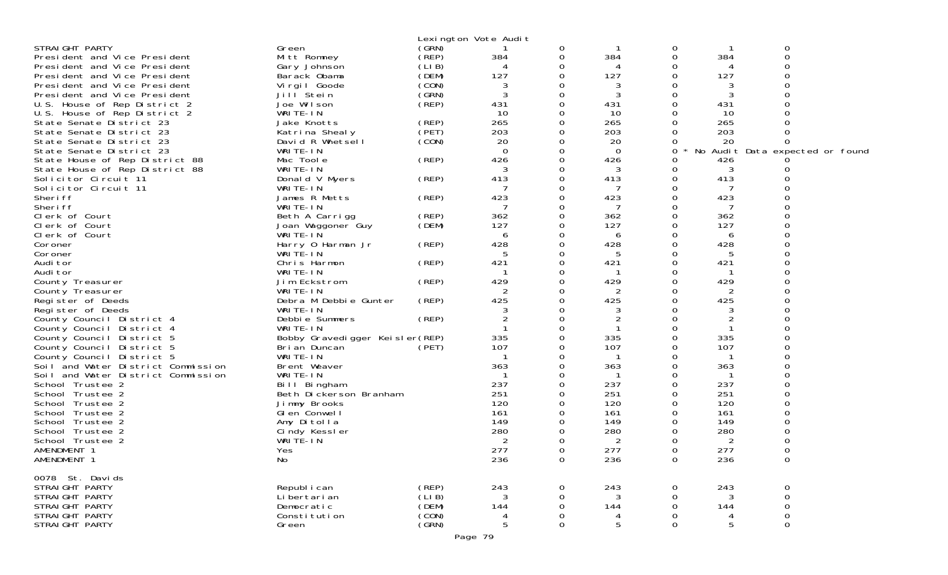|                                    |                                 |        | Lexington Vote Audit |             |          |          |     |                                 |  |
|------------------------------------|---------------------------------|--------|----------------------|-------------|----------|----------|-----|---------------------------------|--|
| STRAIGHT PARTY                     | Green                           | (GRN)  |                      | 0           |          | 0        |     | 0                               |  |
| President and Vice President       | Mitt Romney                     | (REP)  | 384                  | 0           | 384      | 0        | 384 | $\Omega$                        |  |
| President and Vice President       | Gary Johnson                    | (LIB)  | 4                    | 0           | 4        | 0        |     |                                 |  |
| President and Vice President       | Barack Obama                    | (DEM)  | 127                  | 0           | 127      | 0        | 127 |                                 |  |
| President and Vice President       | Vi rgi I Goode                  | (CON)  | 3                    | 0           | 3        | 0        | 3   |                                 |  |
| President and Vice President       | Jill Stein                      | (GRN)  | 3                    | 0           | 3        | $\Omega$ |     |                                 |  |
| U.S. House of Rep District 2       | Joe Wilson                      | (REP)  | 431                  | 0           | 431      | 0        | 431 |                                 |  |
| U.S. House of Rep District 2       | WRITE-IN                        |        | 10                   | 0           | 10       | $\Omega$ | 10  |                                 |  |
| State Senate District 23           | Jake Knotts                     | (REP)  | 265                  | 0           | 265      | $\Omega$ | 265 |                                 |  |
| State Senate District 23           | Katrina Shealy                  | (PET)  | 203                  | 0           | 203      | 0        | 203 |                                 |  |
| State Senate District 23           | David R Whetsell                | (CON)  | 20                   | $\mathbf 0$ | 20       |          | 20  |                                 |  |
| State Senate District 23           | WRITE-IN                        |        | 0                    | $\Omega$    | $\Omega$ | 0        |     | No Audit Data expected or found |  |
| State House of Rep District 88     | Mac Toole                       | (REP)  | 426                  | 0           | 426      |          | 426 |                                 |  |
| State House of Rep District 88     | WRITE-IN                        |        | 3                    | 0           | 3        | $\Omega$ | 3   |                                 |  |
| Solicitor Circuit 11               | Donald V Myers                  | (REP)  | 413                  | $\Omega$    | 413      | 0        | 413 |                                 |  |
| Solicitor Circuit 11               | WRITE-IN                        |        | 7                    | 0           | 7        | 0        | -7  |                                 |  |
| Sheri ff                           | James R Metts                   | (REP)  | 423                  | $\Omega$    | 423      | 0        | 423 |                                 |  |
| Sheri ff                           | WRITE-IN                        |        | 7                    | 0           | 7        | $\Omega$ |     |                                 |  |
|                                    |                                 |        | 362                  |             | 362      | 0        | 362 |                                 |  |
| Clerk of Court                     | Beth A Carrigg                  | (REP)  |                      | 0<br>0      |          | $\Omega$ |     |                                 |  |
| Clerk of Court                     | Joan Waggoner Guy               | (DEM)  | 127                  |             | 127      |          | 127 |                                 |  |
| Clerk of Court                     | WRITE-IN                        |        | 6                    | $\Omega$    | 6        | $\Omega$ | 6   |                                 |  |
| Coroner                            | Harry 0 Harman Jr               | (REP)  | 428                  | 0           | 428      | 0        | 428 |                                 |  |
| Coroner                            | WRITE-IN                        |        | 5                    | 0           | 5        | $\Omega$ | 5   |                                 |  |
| Audi tor                           | Chris Harmon                    | (REP)  | 421                  | $\Omega$    | 421      | $\Omega$ | 421 |                                 |  |
| Audi tor                           | WRITE-IN                        |        | -1                   | 0           | -1       | 0        |     |                                 |  |
| County Treasurer                   | Jim Eckstrom                    | (REP)  | 429                  | 0           | 429      | $\Omega$ | 429 |                                 |  |
| County Treasurer                   | WRITE-IN                        |        |                      | $\Omega$    |          | $\Omega$ |     |                                 |  |
| Register of Deeds                  | Debra M Debbie Gunter           | (REP)  | 425                  | 0           | 425      | 0        | 425 |                                 |  |
| Register of Deeds                  | WRITE-IN                        |        |                      | 0           | 3        | $\Omega$ | 3   |                                 |  |
| County Council District 4          | Debbie Summers                  | (REP)  |                      | $\Omega$    |          | $\Omega$ |     |                                 |  |
| County Council District 4          | WRITE-IN                        |        |                      | 0           |          | 0        |     |                                 |  |
| County Council District 5          | Bobby Gravedigger Keisler (REP) |        | 335                  | 0           | 335      | 0        | 335 |                                 |  |
| County Council District 5          | Bri an Duncan                   | (PET)  | 107                  | $\Omega$    | 107      | $\Omega$ | 107 |                                 |  |
| County Council District 5          | WRITE-IN                        |        |                      | 0           | -1       | 0        |     |                                 |  |
| Soil and Water District Commission | Brent Weaver                    |        | 363                  | 0           | 363      | 0        | 363 |                                 |  |
| Soil and Water District Commission | WRITE-IN                        |        |                      | 0           |          | $\Omega$ |     |                                 |  |
| School Trustee 2                   | Bill Bingham                    |        | 237                  | 0           | 237      | 0        | 237 |                                 |  |
| School Trustee 2                   | Beth Dickerson Branham          |        | 251                  | 0           | 251      | $\Omega$ | 251 |                                 |  |
| School Trustee 2                   | Jimmy Brooks                    |        | 120                  | 0           | 120      | $\Omega$ | 120 |                                 |  |
| School Trustee 2                   | GI en Conwell                   |        | 161                  | 0           | 161      | 0        | 161 |                                 |  |
| School Trustee 2                   | Amy Ditolla                     |        | 149                  | 0           | 149      | $\Omega$ | 149 |                                 |  |
| School Trustee 2                   | Cindy Kessler                   |        | 280                  | 0           | 280      | 0        | 280 |                                 |  |
| School Trustee 2                   | WRITE-IN                        |        | 2                    | 0           | 2        | 0        | 2   |                                 |  |
| AMENDMENT 1                        | Yes                             |        | 277                  | 0           | 277      | 0        | 277 |                                 |  |
| AMENDMENT 1                        | No.                             |        | 236                  | 0           | 236      | 0        | 236 | 0                               |  |
|                                    |                                 |        |                      |             |          |          |     |                                 |  |
| 0078 St. Davids                    |                                 |        |                      |             |          |          |     |                                 |  |
| STRAIGHT PARTY                     | Republ i can                    | (REP)  | 243                  | 0           | 243      | 0        | 243 | 0                               |  |
| STRAIGHT PARTY                     | Li bertari an                   | (LI B) | 3                    | 0           | 3        | 0        | 3   | $\mathsf{O}\xspace$             |  |
| STRAIGHT PARTY                     | Democratic                      | (DEM)  | 144                  | 0           | 144      | 0        | 144 | $\mathsf{O}\xspace$             |  |
| STRAIGHT PARTY                     | Constitution                    | (CON)  | 4                    | 0           | 4        | 0        |     | $\boldsymbol{0}$                |  |
| STRAIGHT PARTY                     | Green                           | (GRN)  | 5                    | 0           | 5        | 0        | .5  | $\mathsf{O}\xspace$             |  |
|                                    |                                 |        | Page 79              |             |          |          |     |                                 |  |
|                                    |                                 |        |                      |             |          |          |     |                                 |  |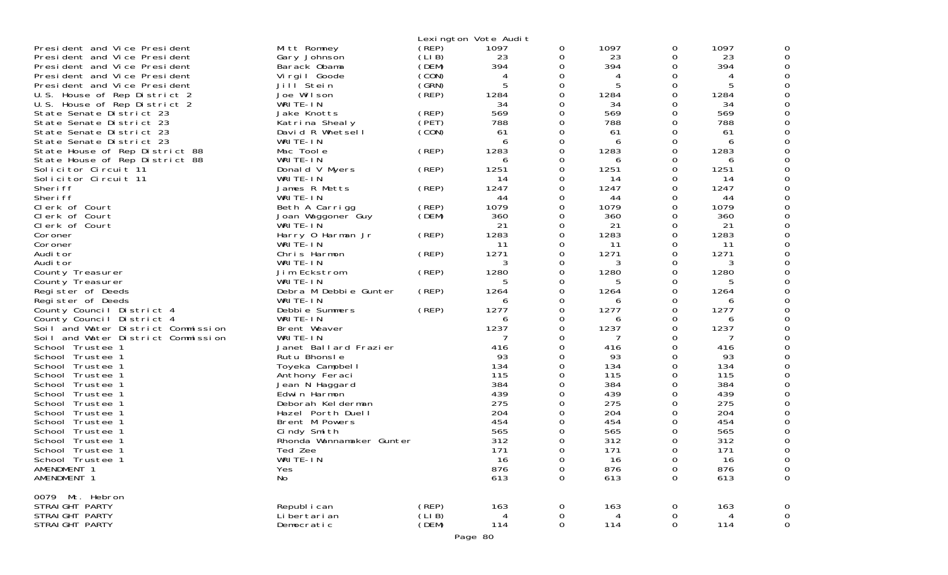|                                                                                              |                                             |                          | Lexington Vote Audit |             |                   |             |                   |             |
|----------------------------------------------------------------------------------------------|---------------------------------------------|--------------------------|----------------------|-------------|-------------------|-------------|-------------------|-------------|
| President and Vice President<br>President and Vice President<br>President and Vice President | Mitt Romney<br>Gary Johnson<br>Barack Obama | (REP)<br>(LI B)<br>(DEM) | 1097<br>23<br>394    | 0<br>0<br>0 | 1097<br>23<br>394 | 0<br>0<br>0 | 1097<br>23<br>394 |             |
|                                                                                              |                                             | (CON)                    |                      |             |                   |             | 4                 |             |
| President and Vice President                                                                 | Vi rgi I Goode                              |                          | 4                    | 0<br>0      |                   | 0           |                   |             |
| President and Vice President                                                                 | Jill Stein                                  | (GRN)                    | 5                    |             |                   | 0           | 5                 |             |
| U.S. House of Rep District 2                                                                 | Joe Wilson                                  | (REP)                    | 1284                 | 0           | 1284              | 0           | 1284              |             |
| U.S. House of Rep District 2                                                                 | WRITE-IN                                    |                          | 34                   |             | 34                | 0           | 34                |             |
| State Senate District 23                                                                     | Jake Knotts                                 | (REP)                    | 569                  | 0           | 569               | 0           | 569               |             |
| State Senate District 23                                                                     | Katrina Shealy                              | (PET)                    | 788                  | 0           | 788               | 0           | 788               |             |
| State Senate District 23                                                                     | David R Whetsell                            | (CON)                    | 61                   | 0           | 61                | 0           | 61                |             |
| State Senate District 23                                                                     | WRITE-IN                                    |                          | 6                    | 0           | 6                 | 0           | 6                 |             |
| State House of Rep District 88                                                               | Mac Toole                                   | (REP)                    | 1283                 | 0           | 1283              | 0           | 1283              |             |
| State House of Rep District 88                                                               | WRITE-IN                                    |                          | 6                    |             | 6                 | 0           | 6                 |             |
| Solicitor Circuit 11                                                                         | Donald V Myers                              | (REP)                    | 1251                 | 0           | 1251              | 0           | 1251              |             |
| Solicitor Circuit 11                                                                         | WRITE-IN                                    |                          | -14                  | 0           | 14                | 0           | 14                |             |
| Sheri ff                                                                                     | James R Metts                               | (REP)                    | 1247                 |             | 1247              | 0           | 1247              |             |
| Sheri ff                                                                                     | WRITE-IN                                    |                          | 44                   | 0           | 44                | 0           | 44                |             |
| Clerk of Court                                                                               | Beth A Carrigg                              | (REP)                    | 1079                 | 0           | 1079              | 0           | 1079              |             |
| Clerk of Court                                                                               | Joan Waggoner Guy                           | (DEM)                    | 360                  |             | 360               | 0           | 360               |             |
| Clerk of Court                                                                               | WRITE-IN                                    |                          | 21                   | 0           | 21                | 0           | 21                |             |
| Coroner                                                                                      | Harry 0 Harman Jr                           | (REP)                    | 1283                 | 0           | 1283              | 0           | 1283              |             |
| Coroner                                                                                      | WRITE-IN                                    |                          | 11                   | 0           | 11                | 0           | -11               |             |
| Audi tor                                                                                     | Chris Harmon                                | (REP)                    | 1271                 | 0           | 1271              | 0           | 1271              |             |
| Audi tor                                                                                     | WRITE-IN                                    |                          | 3                    | 0           | 3                 | 0           | 3                 |             |
| County Treasurer                                                                             | Jim Eckstrom                                | (REP)                    | 1280                 | 0           | 1280              | 0           | 1280              |             |
| County Treasurer                                                                             | WRITE-IN                                    |                          | 5                    | 0           |                   | 0           | 5                 |             |
| Register of Deeds                                                                            | Debra M Debbie Gunter                       | (REP)                    | 1264                 | 0           | 1264              | 0           | 1264              |             |
| Register of Deeds                                                                            | WRITE-IN                                    |                          | 6                    |             | 6                 | 0           | 6                 |             |
| County Council District 4                                                                    | Debbie Summers                              | (REP)                    | 1277                 | 0           | 1277              | 0           | 1277              |             |
| County Council District 4                                                                    | WRITE-IN                                    |                          | 6                    | 0           | 6                 | 0           | 6                 |             |
| Soil and Water District Commission                                                           | Brent Weaver                                |                          | 1237                 | 0           | 1237              | 0           | 1237              |             |
| Soil and Water District Commission                                                           | WRITE-IN                                    |                          |                      |             |                   | 0           |                   |             |
| School Trustee                                                                               | Janet Ballard Frazier                       |                          | 416                  |             | 416               | 0           | 416               |             |
| School Trustee 1                                                                             | Rutu Bhonsle                                |                          | 93                   |             | 93                | 0           | 93                |             |
| School Trustee 1                                                                             | Toyeka Campbell                             |                          | 134                  | 0           | 134               | 0           | 134               |             |
| School Trustee 1                                                                             | Anthony Feraci                              |                          | 115                  | 0           | 115               | 0           | 115               |             |
| School Trustee 1                                                                             | Jean N Haggard                              |                          | 384                  | 0           | 384               | 0           | 384               |             |
| School Trustee 1                                                                             | Edwin Harmon                                |                          | 439                  | O           | 439               | 0           | 439               |             |
| School Trustee                                                                               | Deborah Kelderman                           |                          | 275                  |             | 275               | 0           | 275               |             |
| School Trustee 1                                                                             | Hazel Porth Duell                           |                          | 204                  | 0           | 204               | 0           | 204               |             |
| School<br>Trustee                                                                            | Brent M Powers                              |                          | 454                  |             | 454               | 0           | 454               |             |
| Trustee<br>School                                                                            | Cindy Smith                                 |                          | 565                  |             | 565               | 0           | 565               |             |
| School Trustee 1                                                                             | Rhonda Wannamaker Gunter                    |                          | 312                  |             | 312               | 0           | 312               |             |
| School Trustee                                                                               | Ted Zee                                     |                          | 171                  | ∩           | 171               | $\Omega$    | 171               | ∩           |
| School Trustee 1                                                                             | WRITE-IN                                    |                          | 16                   | 0           | 16                | 0           | 16                | 0           |
| AMENDMENT 1                                                                                  | Yes                                         |                          | 876                  | 0           | 876               | 0           | 876               | 0           |
| AMENDMENT 1                                                                                  | No                                          |                          | 613                  | 0           | 613               | 0           | 613               | 0           |
|                                                                                              |                                             |                          |                      |             |                   |             |                   |             |
| 0079 Mt. Hebron<br>STRAIGHT PARTY                                                            | Republ i can                                | (REP)                    | 163                  | 0           | 163               | 0           | 163               | 0           |
| STRAIGHT PARTY                                                                               | Li bertari an                               | (LIB)                    | 4                    | 0           | 4                 | 0           | $\overline{4}$    | $\mathbf 0$ |
| STRAIGHT PARTY                                                                               | Democratic                                  | (DEM)                    | 114                  | 0           | 114               | 0           | 114               | $\mathbf 0$ |
|                                                                                              |                                             |                          |                      |             |                   |             |                   |             |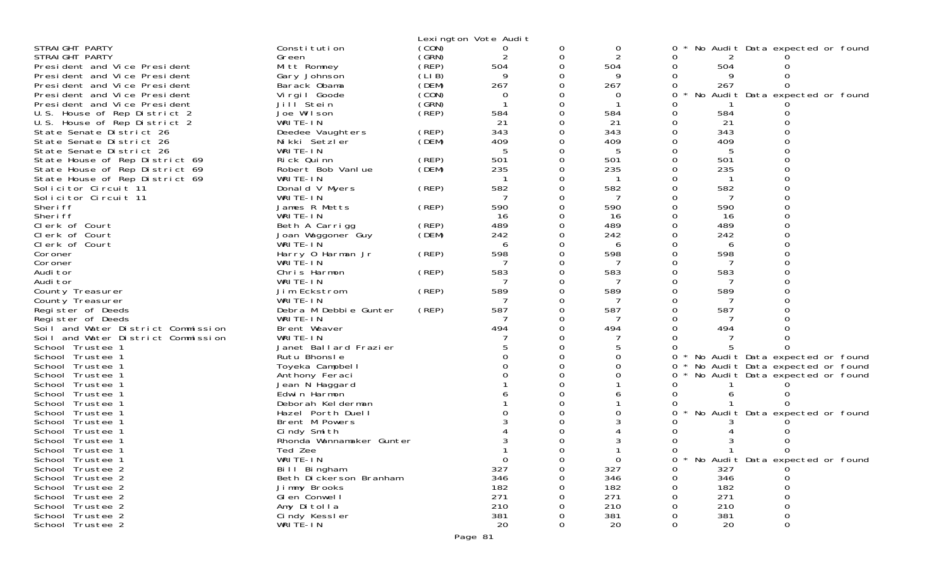|                                      |                              |       | Lexington Vote Audit |   |            |   |              |                                 |  |
|--------------------------------------|------------------------------|-------|----------------------|---|------------|---|--------------|---------------------------------|--|
| STRAIGHT PARTY                       | Constitution                 | (CON) | 0                    |   | 0          |   |              | No Audit Data expected or found |  |
| STRAIGHT PARTY                       | Green                        | (GRN) | 2                    | 0 |            |   | $\mathbf{z}$ |                                 |  |
| President and Vice President         | Mitt Romney                  | (REP) | 504                  |   | 504        |   | 504          |                                 |  |
| President and Vice President         | Gary Johnson                 | (LIB) |                      |   |            |   |              |                                 |  |
| President and Vice President         | Barack Obama                 | (DEM) | 267                  |   | 267        | 0 | 267          | 0                               |  |
| President and Vice President         | Virgil Goode                 | (CON) | 0                    |   | O          | 0 | No           | Audit Data expected or found    |  |
| President and Vice President         | Jill Stein                   | (SRN) |                      |   |            |   |              |                                 |  |
| U.S. House of Rep District 2         | Joe Wilson                   | (REP) | 584                  |   | 584        | Ω | 584          |                                 |  |
| U.S. House of Rep District 2         | WRITE-IN                     |       | 21                   |   | 21         |   | 21           |                                 |  |
| State Senate District 26             | Deedee Vaughters             | (REP) | 343                  |   | 343        |   | 343          |                                 |  |
| State Senate District 26             | Nikki Setzler                | (DEM) | 409                  |   | 409        |   | 409          |                                 |  |
| State Senate District 26             | WRITE-IN                     |       |                      |   | 5          |   | 5            |                                 |  |
| State House of Rep District 69       | Rick Quinn                   | (REP) | 501                  |   | 501        |   | 501          |                                 |  |
| State House of Rep District 69       | Robert Bob Vanlue            | (DEM) | 235                  |   | 235        |   | 235          |                                 |  |
| State House of Rep District 69       | WRITE-IN                     |       |                      |   | -1         |   | -1           |                                 |  |
| Solicitor Circuit 11                 | Donald V Myers               | (REP) | 582                  |   | 582        |   | 582          |                                 |  |
| Solicitor Circuit 11                 | WRITE-IN                     |       |                      |   |            |   |              |                                 |  |
| Sheri ff                             | James R Metts                | (REP) | 590                  |   | 590        |   | 590          |                                 |  |
| Sheri ff                             | WRITE-IN                     |       | 16                   |   | 16         |   | 16           |                                 |  |
| Clerk of Court                       | Beth A Carrigg               | (REP) | 489                  |   | 489        |   | 489          |                                 |  |
| Clerk of Court                       | Joan Waggoner Guy            | (DEM) | 242                  |   | 242        |   | 242          |                                 |  |
| Clerk of Court                       | WRITE-IN                     |       | 6                    |   | 6          |   | 6            |                                 |  |
| Coroner                              | Harry 0 Harman Jr            | (REP) | 598                  |   | 598        |   | 598          |                                 |  |
| Coroner<br>Audi tor                  | WRITE-IN<br>Chris Harmon     | (REP) | 583                  |   | 583        |   | 583          |                                 |  |
| Audi tor                             | WRITE-IN                     |       |                      |   |            |   |              |                                 |  |
| County Treasurer                     | Jim Eckstrom                 | (REP) | 589                  |   | 589        |   | 589          |                                 |  |
| County Treasurer                     | WRITE-IN                     |       |                      |   |            |   |              |                                 |  |
| Register of Deeds                    | Debra M Debbie Gunter        | (REP) | 587                  |   | 587        |   | 587          |                                 |  |
| Register of Deeds                    | WRITE-IN                     |       |                      |   | 7          |   |              |                                 |  |
| Soil and Water District Commission   | Brent Weaver                 |       | 494                  |   | 494        |   | 494          |                                 |  |
| Soil and Water District Commission   | WRITE-IN                     |       |                      |   |            |   |              |                                 |  |
| School Trustee 1                     | Janet Ballard Frazier        |       |                      |   |            |   |              |                                 |  |
| School Trustee 1                     | Rutu Bhonsle                 |       |                      |   |            | 0 |              | No Audit Data expected or found |  |
| School Trustee 1                     | Toyeka Campbell              |       |                      |   |            | 0 |              | No Audit Data expected or found |  |
| School Trustee 1                     | Anthony Feraci               |       |                      |   |            |   |              | No Audit Data expected or found |  |
| School Trustee 1                     | Jean N Haggard               |       |                      |   |            |   |              |                                 |  |
| School Trustee 1                     | Edwin Harmon                 |       |                      |   |            |   |              |                                 |  |
| School Trustee 1                     | Deborah Kelderman            |       |                      |   |            |   |              |                                 |  |
| School Trustee 1                     | Hazel Porth Duell            |       |                      |   |            |   |              | No Audit Data expected or found |  |
| School Trustee 1                     | Brent M Powers               |       |                      |   |            |   |              |                                 |  |
| School Trustee 1                     | Cindy Smith                  |       |                      |   |            |   |              |                                 |  |
| School Trustee 1                     | Rhonda Wannamaker Gunter     |       |                      |   |            |   |              |                                 |  |
| School Trustee 1                     | Ted Zee                      |       |                      |   |            |   |              |                                 |  |
| School Trustee 1                     | WRITE-IN                     |       | $\mathbf 0$          |   | $\Omega$   |   |              | No Audit Data expected or found |  |
| School Trustee 2                     | Bill Bingham                 |       | 327                  |   | 327        |   | 327          |                                 |  |
| School Trustee 2                     | Beth Dickerson Branham       |       | 346                  |   | 346        |   | 346          |                                 |  |
| School Trustee 2                     | Jimmy Brooks                 |       | 182                  |   | 182        |   | 182          |                                 |  |
| School Trustee 2<br>School Trustee 2 | GI en Conwell                |       | 271<br>210           |   | 271        |   | 271          |                                 |  |
| School Trustee 2                     | Amy Ditolla<br>Cindy Kessler |       | 381                  |   | 210<br>381 |   | 210<br>381   |                                 |  |
| School Trustee 2                     | WRITE-IN                     |       | 20                   | 0 | 20         | 0 | 20           | 0<br>$\Omega$                   |  |
|                                      |                              |       |                      |   |            |   |              |                                 |  |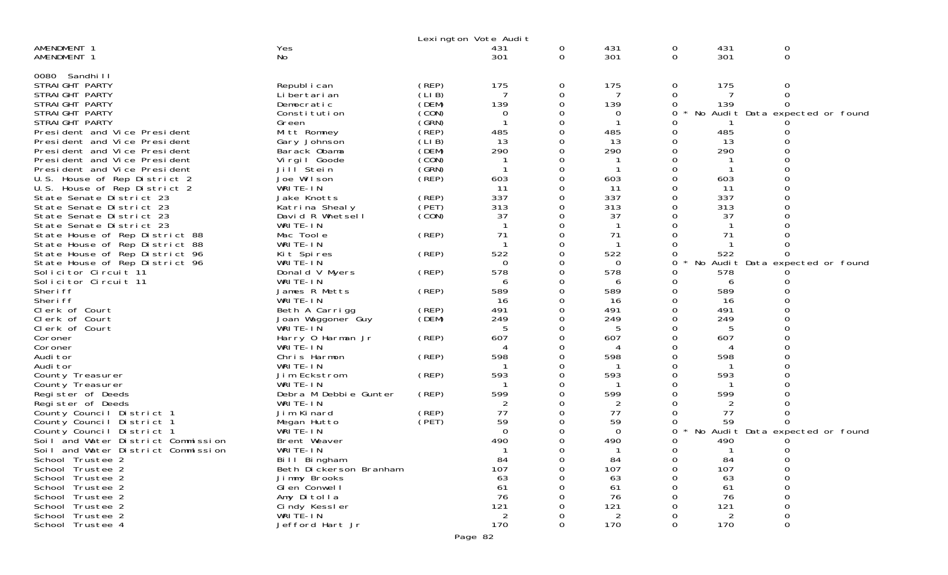|                                                        |                                    |                | Lexington Vote Audit |               |            |                  |                |                                 |  |
|--------------------------------------------------------|------------------------------------|----------------|----------------------|---------------|------------|------------------|----------------|---------------------------------|--|
| AMENDMENT 1<br>AMENDMENT 1                             | Yes<br>No                          |                | 431<br>301           | 0<br>$\Omega$ | 431<br>301 | 0<br>$\mathbf 0$ | 431<br>301     | 0<br>0                          |  |
| 0080 Sandhi I I                                        |                                    |                |                      |               |            |                  |                |                                 |  |
| STRAIGHT PARTY<br>STRAIGHT PARTY                       | Republ i can                       | (REP)<br>(LIB) | 175                  | 0             | 175        | 0                | 175            | 0<br>$\Omega$                   |  |
| STRAIGHT PARTY                                         | Li bertari an<br>Democratic        | (DEM)          | 139                  | 0<br>0        | 139        | 0                | 139            |                                 |  |
| STRAIGHT PARTY                                         | Constitution                       | (CON)          | 0                    | 0             | 0          | 0                |                | No Audit Data expected or found |  |
| STRAIGHT PARTY                                         | Green                              | (GRN)          |                      |               |            |                  |                |                                 |  |
| President and Vice President                           | Mitt Romney                        | (REP)          | 485                  |               | 485        |                  | 485            |                                 |  |
| President and Vice President                           | Gary Johnson                       | (LIB)          | 13                   |               | 13         |                  | 13             |                                 |  |
| President and Vice President                           | Barack Obama                       | (DEM)          | 290                  |               | 290        |                  | 290            |                                 |  |
| President and Vice President                           | Virgil Goode                       | (CON)          |                      |               |            |                  |                |                                 |  |
| President and Vice President                           | Jill Stein                         | (GRN)          |                      |               |            |                  |                |                                 |  |
| U.S. House of Rep District 2                           | Joe Wilson                         | (REP)          | 603                  |               | 603        |                  | 603            |                                 |  |
| U.S. House of Rep District 2                           | WRITE-IN                           |                | 11                   |               | 11         |                  | 11             |                                 |  |
| State Senate District 23<br>State Senate District 23   | Jake Knotts                        | (REP)<br>(PET) | 337<br>313           |               | 337<br>313 |                  | 337<br>313     |                                 |  |
| State Senate District 23                               | Katrina Shealy<br>David R Whetsell | (CON)          | 37                   |               | 37         |                  | 37             |                                 |  |
| State Senate District 23                               | WRITE-IN                           |                |                      |               |            |                  |                |                                 |  |
| State House of Rep District 88                         | Mac Toole                          | (REP)          | 71                   |               | 71         |                  | 71             |                                 |  |
| State House of Rep District 88                         | WRITE-IN                           |                |                      |               |            |                  |                |                                 |  |
| State House of Rep District 96                         | Kit Spires                         | (REP)          | 522                  |               | 522        |                  | 522            |                                 |  |
| State House of Rep District 96                         | WRITE-IN                           |                | $\Omega$             |               | $\Omega$   |                  |                | No Audit Data expected or found |  |
| Solicitor Circuit 11                                   | Donald V Myers                     | (REP)          | 578                  |               | 578        |                  | 578            |                                 |  |
| Solicitor Circuit 11                                   | WRITE-IN                           |                | 6                    |               | 6          |                  | 6              |                                 |  |
| Sheri ff                                               | James R Metts                      | (REP)          | 589                  |               | 589        |                  | 589            |                                 |  |
| Sheri ff                                               | WRITE-IN                           |                | 16                   |               | 16         |                  | 16             |                                 |  |
| Clerk of Court<br>Clerk of Court                       | Beth A Carrigg                     | (REP)          | 491<br>249           |               | 491<br>249 |                  | 491<br>249     |                                 |  |
| Clerk of Court                                         | Joan Waggoner Guy<br>WRITE-IN      | (DEM)          | 5                    |               | 5          |                  | 5              |                                 |  |
| Coroner                                                | Harry 0 Harman Jr                  | (REP)          | 607                  |               | 607        |                  | 607            |                                 |  |
| Coroner                                                | WRITE-IN                           |                |                      |               |            |                  |                |                                 |  |
| Audi tor                                               | Chris Harmon                       | (REP)          | 598                  |               | 598        |                  | 598            |                                 |  |
| Audi tor                                               | WRITE-IN                           |                |                      |               |            |                  |                |                                 |  |
| County Treasurer                                       | Jim Eckstrom                       | (REP)          | 593                  |               | 593        |                  | 593            |                                 |  |
| County Treasurer                                       | WRITE-IN                           |                |                      | 0             |            |                  |                |                                 |  |
| Register of Deeds                                      | Debra M Debbie Gunter              | (REP)          | 599                  |               | 599        |                  | 599            |                                 |  |
| Register of Deeds                                      | WRITE-IN                           |                |                      |               | 2          |                  | 2              |                                 |  |
| County Council District 1                              | Jim Kinard                         | (REP)<br>(PET) | 77<br>59             | 0             | 77<br>59   |                  | 77<br>59       |                                 |  |
| County Council District 1<br>County Council District 1 | Megan Hutto<br>WRITE-IN            |                | $\Omega$             |               | 0          | 0                |                | No Audit Data expected or found |  |
| Soil and Water District Commission                     | Brent Weaver                       |                | 490                  |               | 490        |                  | 490            |                                 |  |
| Soil and Water District Commission                     | WRITE-IN                           |                |                      | Ω             |            | 0                |                | 0                               |  |
| School Trustee 2                                       | Bill Bingham                       |                | 84                   | 0             | 84         |                  | 84             |                                 |  |
| School Trustee 2                                       | Beth Dickerson Branham             |                | 107                  | Ω             | 107        |                  | 107            |                                 |  |
| School Trustee 2                                       | Jimmy Brooks                       |                | 63                   |               | 63         |                  | 63             |                                 |  |
| School Trustee 2                                       | GI en Conwell                      |                | 61                   |               | 61         |                  | 61             |                                 |  |
| School Trustee 2                                       | Amy Ditolla                        |                | 76                   |               | 76         |                  | 76             |                                 |  |
| School Trustee 2                                       | Cindy Kessler                      |                | 121                  |               | 121        |                  | 121            |                                 |  |
| School Trustee 2                                       | WRITE-IN                           |                | $\overline{2}$       |               | 2          |                  | $\overline{2}$ |                                 |  |
| School Trustee 4                                       | Jefford Hart Jr                    |                | 170                  | 0             | 170        | 0                | 170            | 0                               |  |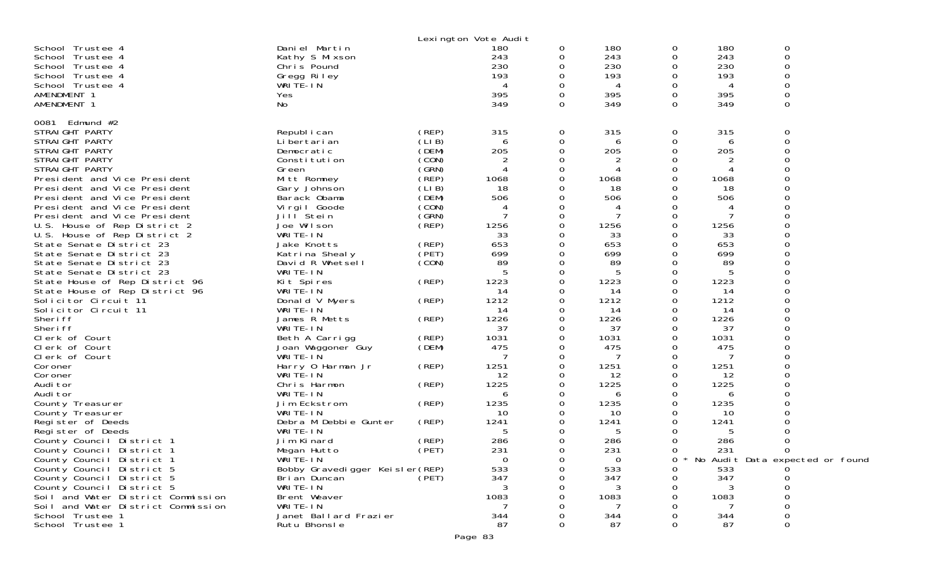| Daniel Martin<br>180<br>0<br>180<br>0<br>School Trustee 4<br>180<br>0<br>0<br>243<br>243<br>0<br>243<br>School Trustee 4<br>Kathy S Mixson<br>0<br>230<br>230<br>230<br>$\Omega$<br>School Trustee 4<br>Chris Pound<br>$\Omega$<br>0<br>193<br>193<br>193<br>0<br>School Trustee 4<br>Gregg Riley<br>0<br>WRITE-IN<br>School Trustee 4<br>0<br>0<br>4<br>4<br>4<br>395<br>395<br>395<br>AMENDMENT 1<br>0<br>0<br>0<br>Yes<br>0<br>AMENDMENT 1<br>No<br>349<br>$\Omega$<br>349<br>0<br>349<br>0081<br>Edmund #2<br>315<br>STRAIGHT PARTY<br>Republ i can<br>(REP)<br>315<br>0<br>315<br>0<br>0<br>(LIB)<br>STRAIGHT PARTY<br>$\Omega$<br>Li bertari an<br>0<br>0<br>6<br>6<br>6<br>(DEM)<br>205<br>205<br>205<br>STRAIGHT PARTY<br>∩<br>0<br>0<br>Democratic<br>(CON)<br>$\overline{c}$<br>2<br>STRAIGHT PARTY<br>Constitution<br>0<br>0<br>(GRN)<br>STRAIGHT PARTY<br>Green<br>$\boldsymbol{\vartriangle}$<br>0<br>0<br>4<br>4<br>(REP)<br>1068<br>0<br>1068<br>0<br>1068<br>President and Vice President<br>Mitt Romney<br>(LIB)<br>18<br>President and Vice President<br>0<br>18<br>18<br>Gary Johnson<br>0<br>(DEM)<br>President and Vice President<br>506<br>506<br>506<br>0<br>0<br>Barack Obama<br>(CON)<br>President and Vice President<br>Virgil Goode<br>0<br>0<br>4<br>4<br>(GRN)<br>$\overline{7}$<br>President and Vice President<br>Jill Stein<br>0<br>0<br>7<br>(REP)<br>U.S. House of Rep District 2<br>Joe Wilson<br>1256<br>1256<br>1256<br>0<br>0<br>33<br>U.S. House of Rep District 2<br>WRITE-IN<br>33<br>33<br>0<br>0<br>(REP)<br>653<br>State Senate District 23<br>0<br>653<br>0<br>653<br>Jake Knotts<br>699<br>699<br>State Senate District 23<br>Katrina Shealy<br>(PET)<br>0<br>$\Omega$<br>699<br>89<br>89<br>(CON)<br>89<br>State Senate District 23<br>David R Whetsell<br>0<br>0<br>WRITE-IN<br>State Senate District 23<br>5<br>0<br>5<br>0<br>5<br>1223<br>1223<br>State House of Rep District 96<br>Kit Spires<br>(REP)<br>0<br>0<br>1223<br>WRITE-IN<br>14<br>14<br>14<br>State House of Rep District 96<br>0<br>0<br>1212<br>1212<br>1212<br>Solicitor Circuit 11<br>Donald V Myers<br>(REP)<br>0<br>0<br>Solicitor Circuit 11<br>WRITE-IN<br>14<br>14<br>0<br>0<br>14<br>∩<br>1226<br>1226<br>Sheri ff<br>James R Metts<br>(REP)<br>0<br>1226<br>0<br>WRITE-IN<br>Sheri ff<br>37<br>0<br>37<br>0<br>37<br>Clerk of Court<br>1031<br>1031<br>0<br>1031<br>Beth A Carrigg<br>(REP)<br>0<br>(DEM)<br>475<br>475<br>475<br>Clerk of Court<br>Joan Waggoner Guy<br>0<br>0<br>Clerk of Court<br>WRITE-IN<br>0<br>0<br>7<br>7<br>(REP)<br>1251<br>1251<br>0<br>Coroner<br>Harry 0 Harman Jr<br>0<br>1251<br>WRITE-IN<br>12<br>12<br>Coroner<br>0<br>0<br>12<br>1225<br>1225<br>Audi tor<br>Chris Harmon<br>(REP)<br>0<br>1225<br>0<br>WRITE-IN<br>Audi tor<br>0<br>0<br>6<br>6<br>6<br>(REP)<br>1235<br>1235<br>1235<br>Jim Eckstrom<br>0<br>0<br>County Treasurer<br>WRITE-IN<br>10<br>0<br>10<br>0<br>10<br>County Treasurer<br>(REP)<br>1241<br>1241<br>1241<br>Register of Deeds<br>Debra M Debbie Gunter<br>0<br>0<br>WRITE-IN<br>5<br>5<br>Register of Deeds<br>5<br>Ω<br>O<br>Jim Kinard<br>(REP)<br>286<br>286<br>286<br>County Council District 1<br>0<br>0<br>231<br>231<br>231<br>$\Omega$<br>County Council District 1<br>(PET)<br>0<br>∩<br>Megan Hutto<br>WRITE-IN<br>County Council District 1<br>$\Omega$<br>0<br>0<br>No Audit Data expected or found<br>0<br>County Council District 5<br>533<br>533<br>533<br>Bobby Gravedigger Keisler (REP)<br>Ω<br>347<br>347<br>Bri an Duncan<br>(PET)<br>347<br>County Council District 5<br>$\Omega$<br>County Council District 5<br>WRITE-IN<br>3<br>Soil and Water District Commission<br>Brent Weaver<br>1083<br>1083<br>1083<br>Soil and Water District Commission<br>WRITE-IN<br>School Trustee 1<br>Janet Ballard Frazier<br>344<br>344<br>344 |                  |              | Lexington Vote Audit |   |    |   |    |   |
|----------------------------------------------------------------------------------------------------------------------------------------------------------------------------------------------------------------------------------------------------------------------------------------------------------------------------------------------------------------------------------------------------------------------------------------------------------------------------------------------------------------------------------------------------------------------------------------------------------------------------------------------------------------------------------------------------------------------------------------------------------------------------------------------------------------------------------------------------------------------------------------------------------------------------------------------------------------------------------------------------------------------------------------------------------------------------------------------------------------------------------------------------------------------------------------------------------------------------------------------------------------------------------------------------------------------------------------------------------------------------------------------------------------------------------------------------------------------------------------------------------------------------------------------------------------------------------------------------------------------------------------------------------------------------------------------------------------------------------------------------------------------------------------------------------------------------------------------------------------------------------------------------------------------------------------------------------------------------------------------------------------------------------------------------------------------------------------------------------------------------------------------------------------------------------------------------------------------------------------------------------------------------------------------------------------------------------------------------------------------------------------------------------------------------------------------------------------------------------------------------------------------------------------------------------------------------------------------------------------------------------------------------------------------------------------------------------------------------------------------------------------------------------------------------------------------------------------------------------------------------------------------------------------------------------------------------------------------------------------------------------------------------------------------------------------------------------------------------------------------------------------------------------------------------------------------------------------------------------------------------------------------------------------------------------------------------------------------------------------------------------------------------------------------------------------------------------------------------------------------------------------------------------------------------------------------------------------------------------------------------------------------------------------------------------------------------------------------------------------------------------------------------------------------------------------------------------------------|------------------|--------------|----------------------|---|----|---|----|---|
|                                                                                                                                                                                                                                                                                                                                                                                                                                                                                                                                                                                                                                                                                                                                                                                                                                                                                                                                                                                                                                                                                                                                                                                                                                                                                                                                                                                                                                                                                                                                                                                                                                                                                                                                                                                                                                                                                                                                                                                                                                                                                                                                                                                                                                                                                                                                                                                                                                                                                                                                                                                                                                                                                                                                                                                                                                                                                                                                                                                                                                                                                                                                                                                                                                                                                                                                                                                                                                                                                                                                                                                                                                                                                                                                                                                                                                              |                  |              |                      |   |    |   |    |   |
|                                                                                                                                                                                                                                                                                                                                                                                                                                                                                                                                                                                                                                                                                                                                                                                                                                                                                                                                                                                                                                                                                                                                                                                                                                                                                                                                                                                                                                                                                                                                                                                                                                                                                                                                                                                                                                                                                                                                                                                                                                                                                                                                                                                                                                                                                                                                                                                                                                                                                                                                                                                                                                                                                                                                                                                                                                                                                                                                                                                                                                                                                                                                                                                                                                                                                                                                                                                                                                                                                                                                                                                                                                                                                                                                                                                                                                              |                  |              |                      |   |    |   |    |   |
|                                                                                                                                                                                                                                                                                                                                                                                                                                                                                                                                                                                                                                                                                                                                                                                                                                                                                                                                                                                                                                                                                                                                                                                                                                                                                                                                                                                                                                                                                                                                                                                                                                                                                                                                                                                                                                                                                                                                                                                                                                                                                                                                                                                                                                                                                                                                                                                                                                                                                                                                                                                                                                                                                                                                                                                                                                                                                                                                                                                                                                                                                                                                                                                                                                                                                                                                                                                                                                                                                                                                                                                                                                                                                                                                                                                                                                              | School Trustee 1 | Rutu Bhonsle | 87                   | 0 | 87 | Ω | 87 | 0 |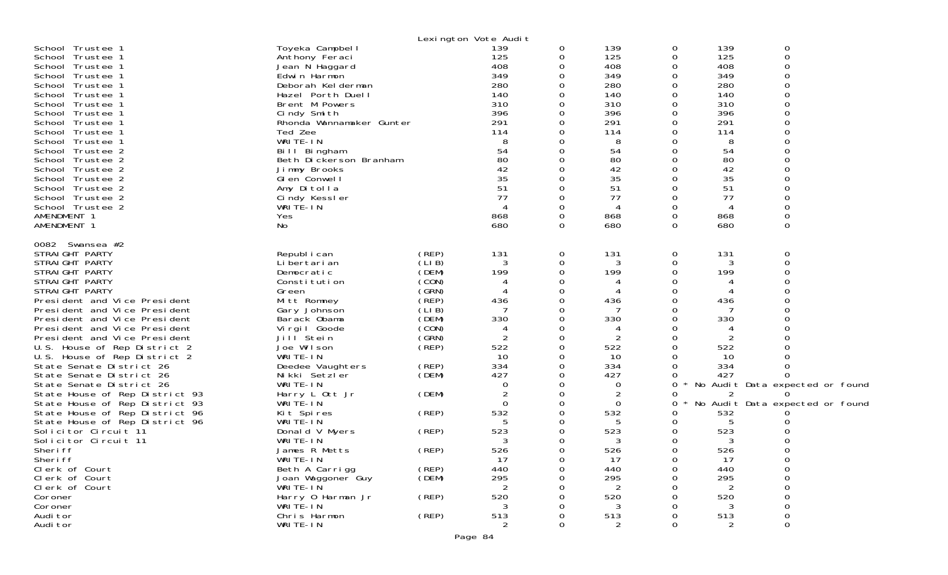|                                |                          |       | Lexington Vote Audit |          |                |          |                |                                 |  |
|--------------------------------|--------------------------|-------|----------------------|----------|----------------|----------|----------------|---------------------------------|--|
| School Trustee 1               | Toyeka Campbell          |       | 139                  | 0        | 139            | 0        | 139            | 0                               |  |
| School Trustee 1               | Anthony Feraci           |       | 125                  | 0        | 125            | 0        | 125            | $\Omega$                        |  |
| School Trustee 1               | Jean N Haggard           |       | 408                  | 0        | 408            | O        | 408            | ∩                               |  |
| School Trustee 1               | Edwin Harmon             |       | 349                  | 0        | 349            | 0        | 349            |                                 |  |
| School Trustee 1               | Deborah Kelderman        |       | 280                  | 0        | 280            | 0        | 280            |                                 |  |
| School Trustee 1               | Hazel Porth Duell        |       | 140                  | 0        | 140            | $\Omega$ | 140            |                                 |  |
| School Trustee 1               | Brent M Powers           |       | 310                  | 0        | 310            | 0        | 310            |                                 |  |
| School Trustee 1               | Cindy Smith              |       | 396                  | 0        | 396            | $\Omega$ | 396            |                                 |  |
| School Trustee 1               | Rhonda Wannamaker Gunter |       | 291                  | $\Omega$ | 291            | $\Omega$ | 291            |                                 |  |
|                                | Ted Zee                  |       | 114                  | 0        | 114            | O        | 114            |                                 |  |
| School Trustee 1               |                          |       |                      | 0        |                |          |                |                                 |  |
| School Trustee 1               | WRITE-IN                 |       | 8                    |          | 8              |          | 8              |                                 |  |
| School Trustee 2               | Bill Bingham             |       | 54                   | 0        | 54             | ∩        | 54             |                                 |  |
| School Trustee 2               | Beth Dickerson Branham   |       | 80                   | 0        | 80             | O        | 80             |                                 |  |
| School Trustee 2               | Jimmy Brooks             |       | 42                   |          | 42             |          | 42             |                                 |  |
| School Trustee 2               | GI en Conwell            |       | 35                   | $\Omega$ | 35             | ∩        | 35             |                                 |  |
| School Trustee 2               | Amy Ditolla              |       | 51                   | 0        | 51             | O        | 51             |                                 |  |
| School Trustee 2               | Cindy Kessler            |       | 77                   | 0        | 77             | $\Omega$ | 77             |                                 |  |
| School Trustee 2               | WRITE-IN                 |       |                      | 0        | 4              | $\Omega$ |                |                                 |  |
| AMENDMENT 1                    | Yes                      |       | 868                  | 0        | 868            | 0        | 868            |                                 |  |
| AMENDMENT 1                    | No                       |       | 680                  | 0        | 680            | 0        | 680            | 0                               |  |
|                                |                          |       |                      |          |                |          |                |                                 |  |
| 0082 Swansea #2                |                          |       |                      |          |                |          |                |                                 |  |
| STRAIGHT PARTY                 | Republ i can             | (REP) | 131                  | 0        | 131            | 0        | 131            | 0                               |  |
| STRAIGHT PARTY                 | Li bertari an            | (LIB) | 3                    | 0        | 3              | O        | 3              | $\Omega$                        |  |
| STRAIGHT PARTY                 | Democratic               | (DEM) | 199                  | 0        | 199            | 0        | 199            |                                 |  |
| STRAIGHT PARTY                 | Constitution             | (CON) | 4                    | 0        | 4              | O        |                |                                 |  |
| STRAIGHT PARTY                 | Green                    | (GRN) |                      | 0        | 4              | ∩        |                |                                 |  |
| President and Vice President   | Mitt Romney              | (REP) | 436                  | 0        | 436            | 0        | 436            |                                 |  |
| President and Vice President   | Gary Johnson             | (LIB) | 7                    | 0        |                | O        |                |                                 |  |
| President and Vice President   | Barack Obama             | (DEM) | 330                  | 0        | 330            | $\Omega$ | 330            |                                 |  |
| President and Vice President   |                          | (CON) |                      |          |                | 0        | 4              |                                 |  |
|                                | Virgil Goode             |       | 4                    | 0        | 4              |          |                |                                 |  |
| President and Vice President   | Jill <sup>Stein</sup>    | (GRN) | 2                    | 0        |                | 0        |                |                                 |  |
| U.S. House of Rep District 2   | Joe Wilson               | (REP) | 522                  | 0        | 522            | 0        | 522            |                                 |  |
| U.S. House of Rep District 2   | WRITE-IN                 |       | 10                   | 0        | 10             | 0        | 10             |                                 |  |
| State Senate District 26       | Deedee Vaughters         | (REP) | 334                  | 0        | 334            | 0        | 334            |                                 |  |
| State Senate District 26       | Nikki Setzler            | (DEM) | 427                  | 0        | 427            | O        | 427            | ∩                               |  |
| State Senate District 26       | WRITE-IN                 |       | 0                    | 0        | 0              | 0        |                | No Audit Data expected or found |  |
| State House of Rep District 93 | Harry L Ott Jr           | (DEM) |                      | 0        | $\overline{2}$ | 0        | 2              |                                 |  |
| State House of Rep District 93 | WRITE-IN                 |       | $\Omega$             | 0        | 0              | 0        |                | No Audit Data expected or found |  |
| State House of Rep District 96 | Kit Spires               | (REP) | 532                  | 0        | 532            | 0        | 532            |                                 |  |
| State House of Rep District 96 | WRITE-IN                 |       | 5                    | 0        | 5              | 0        |                |                                 |  |
| Solicitor Circuit 11           | Donald V Myers           | (REP) | 523                  | 0        | 523            | 0        | 523            |                                 |  |
| Solicitor Circuit 11           | WRITE-IN                 |       | 3                    | 0        | 3              | 0        | 3              |                                 |  |
| Sheri ff                       | James R Metts            | (REP) | 526                  | 0        | 526            | 0        | 526            |                                 |  |
| Sheri ff                       | WRIIE-IN                 |       | 17                   | O        | 17             | O        | 17             |                                 |  |
| Clerk of Court                 | Beth A Carrigg           | (REP) | 440                  | 0        | 440            | 0        | 440            | $\Omega$                        |  |
| Clerk of Court                 | Joan Waggoner Guy        | (DEM) | 295                  | O        | 295            |          | 295            |                                 |  |
|                                | WRITE-IN                 |       |                      |          |                |          | 2              |                                 |  |
| Clerk of Court                 |                          |       | $\overline{2}$       |          | 2              |          |                |                                 |  |
| Coroner                        | Harry 0 Harman Jr        | (REP) | 520                  |          | 520            |          | 520            |                                 |  |
| Coroner                        | WRITE-IN                 |       | 3                    |          | 3              |          |                | 0                               |  |
| Audi tor                       | Chris Harmon             | (REP) | 513                  | 0        | 513            |          | 513            | 0                               |  |
| Audi tor                       | WRITE-IN                 |       | $\overline{2}$       | 0        | $\overline{2}$ | $\Omega$ | $\overline{2}$ | 0                               |  |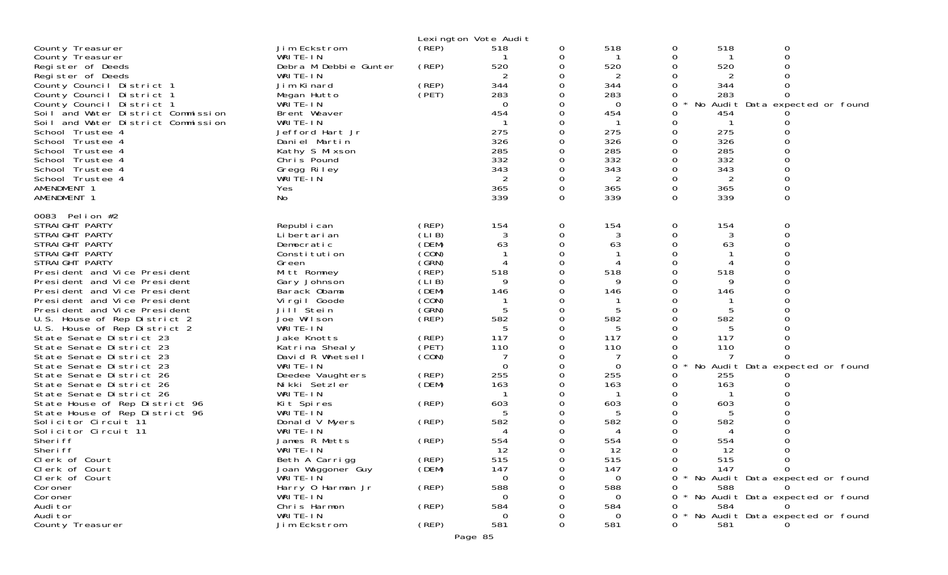|                                                      |                                   |       | Lexington Vote Audit     |               |                 |               |            |                                   |
|------------------------------------------------------|-----------------------------------|-------|--------------------------|---------------|-----------------|---------------|------------|-----------------------------------|
| County Treasurer                                     | Jim Eckstrom                      | (REP) | 518                      | 0             | 518             | 0             | 518        |                                   |
| County Treasurer                                     | WRITE-IN                          |       |                          | 0             |                 |               |            | $\Omega$                          |
| Register of Deeds                                    | Debra M Debbie Gunter             | (REP) | 520                      | 0             | 520             |               | 520        |                                   |
| Register of Deeds                                    | WRITE-IN                          |       | 2                        |               | 2               |               | 2          |                                   |
| County Council District 1                            | Jim Kinard                        | (REP) | 344                      |               | 344             |               | 344        |                                   |
| County Council District 1                            | Megan Hutto                       | (PET) | 283                      | 0             | 283             | 0             | 283        | 0                                 |
| County Council District 1                            | WRITE-IN                          |       | $\Omega$                 | 0             | $\Omega$        | 0             |            | No Audit Data expected or found   |
| Soil and Water District Commission                   | Brent Weaver                      |       | 454                      |               | 454             | 0             | 454        |                                   |
| Soil and Water District Commission                   | WRITE-IN                          |       |                          |               |                 | 0             |            |                                   |
| School Trustee 4                                     | Jefford Hart Jr                   |       | 275                      |               | 275             | 0             | 275        |                                   |
| School Trustee 4                                     | Daniel Martin                     |       | 326                      |               | 326             |               | 326        |                                   |
| School Trustee 4                                     | Kathy S Mixson                    |       | 285                      |               | 285             |               | 285        |                                   |
| School Trustee 4                                     | Chris Pound                       |       | 332                      | 0             | 332             | 0             | 332        |                                   |
| School Trustee 4                                     | Gregg Riley                       |       | 343                      |               | 343             |               | 343        |                                   |
| School Trustee 4                                     | WRITE-IN                          |       |                          | 0             | 2               | 0             | 2          |                                   |
| AMENDMENT 1                                          | Yes                               |       | 365<br>339               | 0<br>$\Omega$ | 365<br>339      | 0<br>$\Omega$ | 365<br>339 | 0<br>$\Omega$                     |
| AMENDMENT 1                                          | No                                |       |                          |               |                 |               |            |                                   |
| 0083 Pelion #2                                       |                                   |       |                          |               |                 |               |            |                                   |
| STRAIGHT PARTY                                       | Republ i can                      | (REP) | 154                      | 0             | 154             | 0             | 154        | 0                                 |
| STRAIGHT PARTY                                       | Li bertari an                     | (LIB) |                          | $\Omega$      |                 |               |            |                                   |
| STRAIGHT PARTY                                       | Democratic                        | (DEM) | 63                       | 0             | 63              | 0             | 63         |                                   |
| STRAIGHT PARTY                                       | Constitution                      | (CON) |                          |               |                 |               |            |                                   |
| STRAIGHT PARTY                                       | Green                             | (GRN) | 4                        | $\Omega$      |                 |               |            |                                   |
| President and Vice President                         | Mitt Romney                       | (REP) | 518                      | 0             | 518             |               | 518        |                                   |
| President and Vice President                         | Gary Johnson                      | (LIB) | 9                        |               | 9               |               | 9          |                                   |
| President and Vice President                         | Barack Obama                      | (DEM) | 146                      | $\Omega$      | 146             |               | 146        |                                   |
| President and Vice President                         | Virgil Goode                      | (CON) |                          | 0             |                 |               |            |                                   |
| President and Vice President                         | Jill <sup>Stein</sup>             | (GRN) | 5                        |               | 5               |               | 5          |                                   |
| U.S. House of Rep District 2                         | Joe Wilson                        | (REP) | 582                      | 0             | 582             | 0             | 582        |                                   |
| U.S. House of Rep District 2                         | WRITE-IN                          |       | 5                        | 0             | 5               | 0             | 5          |                                   |
| State Senate District 23                             | Jake Knotts                       | (REP) | 117                      |               | 117             |               | 117        |                                   |
| State Senate District 23                             | Katrina Shealy                    | (PET) | 110                      |               | 110             |               | 110        |                                   |
| State Senate District 23                             | David R Whetsell                  | (CON) |                          |               | 7               |               | 7          |                                   |
| State Senate District 23                             | WRITE-IN                          | (REP) | $\Omega$<br>255          | 0             | $\Omega$<br>255 | $\Omega$<br>0 |            | No Audit Data expected or found   |
| State Senate District 26<br>State Senate District 26 | Deedee Vaughters<br>Nikki Setzler | (DEM) | 163                      |               | 163             |               | 255<br>163 |                                   |
| State Senate District 26                             | WRITE-IN                          |       |                          |               |                 |               |            |                                   |
| State House of Rep District 96                       | Kit Spires                        | (REP) | 603                      |               | 603             |               | 603        |                                   |
| State House of Rep District 96                       | WRITE-IN                          |       | 5                        |               | 5               |               |            |                                   |
| Solicitor Circuit 11                                 | Donald V Myers                    | (REP) | 582                      |               | 582             |               | 582        |                                   |
| Solicitor Circuit 11                                 | WRITE-IN                          |       | $\boldsymbol{\varDelta}$ |               | 4               |               |            |                                   |
| Sheri ff                                             | James R Metts                     | (REP) | 554                      |               | 554             |               | 554        |                                   |
| Sheri ff                                             | WRITE-IN                          |       | 12                       | Ω             | 12              |               | 12         |                                   |
| Clerk of Court                                       | Beth A Carrigg                    | (REP) | 515                      | 0             | 515             | 0             | 515        | 0                                 |
| Clerk of Court                                       | Joan Waggoner Guy                 | (DEM) | 147                      | O             | 147             | 0             | 147        | <sup>n</sup>                      |
| Clerk of Court                                       | WRITE-IN                          |       | $\Omega$                 |               | $\Omega$        |               |            | * No Audit Data expected or found |
| Coroner                                              | Harry 0 Harman Jr                 | (REP) | 588                      |               | 588             |               | 588        |                                   |
| Coroner                                              | WRITE-IN                          |       | 0                        |               | $\Omega$        |               |            | No Audit Data expected or found   |
| Audi tor                                             | Chris Harmon                      | (REP) | 584                      |               | 584             | 0             | 584        |                                   |
| Audi tor                                             | WRITE-IN                          |       | 0                        |               | $\Omega$        | $\Omega$      |            | No Audit Data expected or found   |
| County Treasurer                                     | Jim Eckstrom                      | (REP) | 581                      | 0             | 581             | 0             | 581        |                                   |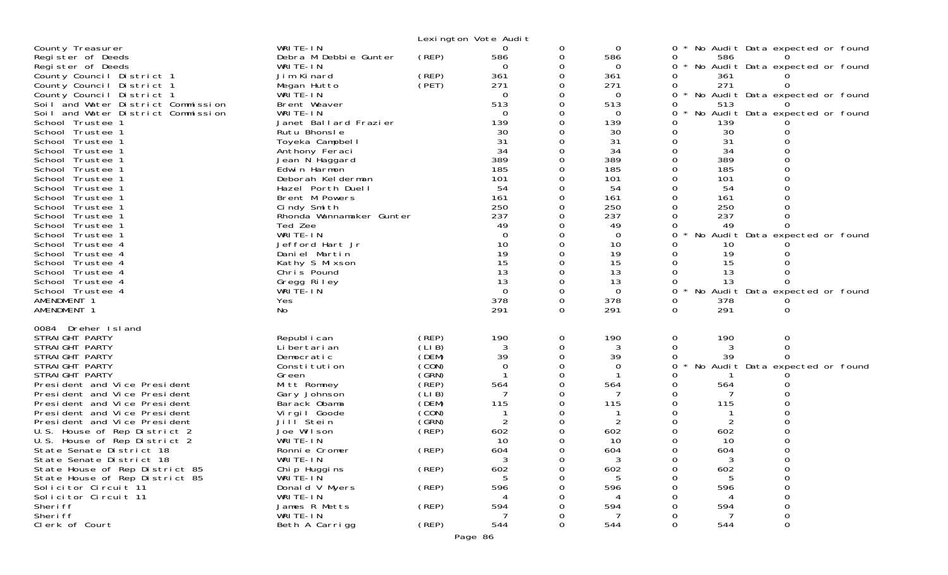|                                                                                                       |                                                     |                         | Lexington Vote Audit        |                    |                             |                                                                                     |
|-------------------------------------------------------------------------------------------------------|-----------------------------------------------------|-------------------------|-----------------------------|--------------------|-----------------------------|-------------------------------------------------------------------------------------|
| County Treasurer<br>Register of Deeds<br>Register of Deeds                                            | WRITE-IN<br>Debra M Debbie Gunter<br>WRITE-IN       | (REP)                   | 0<br>586<br>$\Omega$        | 0<br>$\Omega$<br>0 | 0<br>586<br>$\Omega$        | No Audit Data expected or found<br>0<br>586<br>No Audit Data expected or found<br>0 |
| County Council District 1<br>County Council District 1                                                | Jim Kinard<br>Megan Hutto                           | (REP)<br>(PET)          | 361<br>271                  |                    | 361<br>271                  | 361<br>271<br>0                                                                     |
| County Council District 1<br>Soil and Water District Commission<br>Soil and Water District Commission | WRITE-IN<br>Brent Weaver<br>WRITE-IN                |                         | $\Omega$<br>513<br>$\Omega$ |                    | 0<br>513<br>$\Omega$        | No Audit Data expected or found<br>0<br>513<br>No Audit Data expected or found<br>ი |
| School Trustee 1<br>School Trustee 1                                                                  | Janet Ballard Frazier<br>Rutu Bhonsle               |                         | 139<br>30                   |                    | 139<br>30                   | 139<br>30                                                                           |
| School Trustee 1<br>School Trustee 1                                                                  | Toyeka Campbell<br>Anthony Feraci                   |                         | 31<br>34<br>389             |                    | 31<br>34<br>389             | 31<br>34                                                                            |
| School Trustee 1<br>School Trustee 1<br>School Trustee 1                                              | Jean N Haggard<br>Edwin Harmon<br>Deborah Kelderman |                         | 185<br>101                  |                    | 185<br>101                  | 389<br>185<br>101                                                                   |
| School Trustee 1<br>School Trustee 1                                                                  | Hazel Porth Duell<br>Brent M Powers                 |                         | 54<br>161<br>250            |                    | 54<br>161<br>250            | 54<br>161                                                                           |
| School Trustee 1<br>School Trustee 1<br>School Trustee 1                                              | Cindy Smith<br>Rhonda Wannamaker Gunter<br>Ted Zee  |                         | 237<br>49                   |                    | 237<br>49                   | 250<br>237<br>49                                                                    |
| School Trustee 1<br>School Trustee 4<br>School Trustee 4                                              | WRITE-IN<br>Jefford Hart Jr<br>Daniel Martin        |                         | $\Omega$<br>10<br>19        |                    | 0<br>10<br>19               | No Audit Data expected or found<br>0<br>10<br>19                                    |
| School Trustee 4<br>School Trustee 4                                                                  | Kathy S Mixson<br>Chris Pound                       |                         | 15<br>13                    |                    | 15<br>13                    | 15<br>13                                                                            |
| School Trustee 4<br>School Trustee 4<br>AMENDMENT 1                                                   | Gregg Riley<br>WRITE-IN<br>Yes                      |                         | 13<br>$\Omega$<br>378       | Ω                  | 13<br>$\overline{0}$<br>378 | 13<br>0<br>No Audit Data expected or found<br>378<br>0                              |
| AMENDMENT 1                                                                                           | No                                                  |                         | 291                         | $\Omega$           | 291                         | 291<br>0                                                                            |
| 0084 Dreher Island<br>STRAIGHT PARTY                                                                  | Republ i can                                        | (REP)                   | 190                         | 0                  | 190                         | 190<br>0<br>0                                                                       |
| STRAIGHT PARTY<br>STRAIGHT PARTY<br>STRAIGHT PARTY                                                    | Li bertari an<br>Democratic<br>Constitution         | (LIB)<br>(DEM)<br>(CON) | 3<br>39<br>$\mathbf 0$      | 0                  | 3<br>39<br>0                | 3<br>0<br>0<br>39<br>No Audit Data expected or found<br>0                           |
| STRAIGHT PARTY<br>President and Vice President                                                        | Green<br>Mitt Romney                                | (GRN)<br>(REP)          | 564                         |                    | 564                         | 564                                                                                 |
| President and Vice President<br>President and Vice President<br>President and Vice President          | Gary Johnson<br>Barack Obama<br>Virgil Goode        | (LIB)<br>(DEM)<br>(CON) | 115                         |                    | 115                         | 115                                                                                 |
| President and Vice President<br>U.S. House of Rep District 2<br>U.S. House of Rep District 2          | Jill Stein<br>Joe Wilson<br>WRITE-IN                | (GRN)<br>(REP)          | 602<br>10                   |                    | $\overline{2}$<br>602<br>10 | 602<br>10                                                                           |
| State Senate District 18<br>State Senate District 18                                                  | Ronnie Cromer<br>WRITE-IN                           | (REP)                   | 604<br>3                    | 0                  | 604<br>3                    | 604<br>3<br>0<br>0                                                                  |
| State House of Rep District 85<br>State House of Rep District 85<br>Solicitor Circuit 11              | Chi p Huggi ns<br>WRITE-IN<br>Donald V Myers        | (REP)<br>(REP)          | 602<br>5<br>596             |                    | 602<br>596                  | 602<br>0<br>596                                                                     |
| Solicitor Circuit 11<br>Sheri ff                                                                      | WRITE-IN<br>James R Metts                           | (REP)                   | 594                         |                    | 594                         | 594                                                                                 |
| Sheri ff<br>Clerk of Court                                                                            | WRITE-IN<br>Beth A Carrigg                          | (REP)                   | 544                         | 0                  | 544                         | $\Omega$<br>544<br>0                                                                |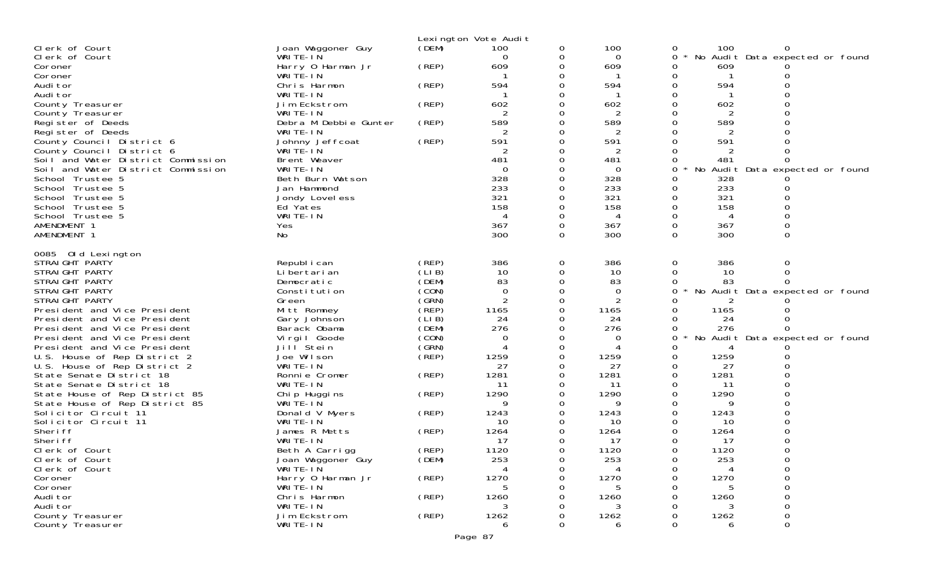|                                                        |                                   |                | Lexington Vote Audit |          |           |   |           |                                 |  |
|--------------------------------------------------------|-----------------------------------|----------------|----------------------|----------|-----------|---|-----------|---------------------------------|--|
| Clerk of Court                                         | Joan Waggoner Guy                 | (DEM)          | 100                  | 0        | 100       | 0 | 100       |                                 |  |
| Clerk of Court                                         | WRITE-IN                          |                | 0                    | 0        | $\Omega$  | 0 |           | No Audit Data expected or found |  |
| Coroner                                                | Harry 0 Harman Jr                 | (REP)          | 609                  | 0        | 609       | Ω | 609       |                                 |  |
| Coroner                                                | WRITE-IN                          |                |                      | 0        | -1        | 0 |           |                                 |  |
| Audi tor                                               | Chris Harmon                      | (REP)          | 594                  |          | 594       |   | 594       |                                 |  |
| Audi tor                                               | WRITE-IN                          |                |                      |          |           |   |           |                                 |  |
| County Treasurer                                       | Jim Eckstrom                      | (REP)          | 602                  | 0        | 602       | 0 | 602       |                                 |  |
| County Treasurer                                       | WRITE-IN                          |                | 2                    |          | 2         |   | 2         |                                 |  |
| Register of Deeds                                      | Debra M Debbie Gunter<br>WRITE-IN | (REP)          | 589                  | 0        | 589       |   | 589<br>2  |                                 |  |
| Register of Deeds<br>County Council District 6         | Johnny Jeffcoat                   | (REP)          | 2<br>591             |          | 2<br>591  |   | 591       |                                 |  |
| County Council District 6                              | WRITE-IN                          |                |                      |          | 2         |   |           |                                 |  |
| Soil and Water District Commission                     | Brent Weaver                      |                | 481                  |          | 481       | 0 | 481       |                                 |  |
| Soil and Water District Commission                     | WRITE-IN                          |                | $\Omega$             |          | $\Omega$  | Ω |           | No Audit Data expected or found |  |
| School Trustee 5                                       | Beth Burn Watson                  |                | 328                  |          | 328       |   | 328       |                                 |  |
| School Trustee 5                                       | Jan Hammond                       |                | 233                  |          | 233       | 0 | 233       |                                 |  |
| School Trustee 5                                       | Jondy Lovel ess                   |                | 321                  |          | 321       | 0 | 321       |                                 |  |
| School Trustee 5                                       | Ed Yates                          |                | 158                  |          | 158       |   | 158       |                                 |  |
| School Trustee 5                                       | WRITE-IN                          |                | 4                    | 0        | 4         | 0 | 4         |                                 |  |
| AMENDMENT 1                                            | Yes                               |                | 367                  | 0        | 367       | 0 | 367       |                                 |  |
| AMENDMENT 1                                            | No                                |                | 300                  | $\Omega$ | 300       | 0 | 300       | $\Omega$                        |  |
| 0085 Old Lexington                                     |                                   |                |                      |          |           |   |           |                                 |  |
| STRAIGHT PARTY                                         | Republ i can                      | (REP)          | 386                  | 0        | 386       | 0 | 386       | 0                               |  |
| STRAIGHT PARTY                                         | Li bertari an                     | (LIB)          | 10                   | 0        | 10        | 0 | 10        | 0                               |  |
| STRAIGHT PARTY                                         | Democratic                        | (DEM)          | 83                   |          | 83        |   | 83        |                                 |  |
| STRAIGHT PARTY                                         | Constitution                      | (CON)          | $\Omega$             | 0        | $\Omega$  | 0 |           | No Audit Data expected or found |  |
| STRAIGHT PARTY                                         | Green                             | (GRN)          | 2                    | 0        | 2         |   | 2         |                                 |  |
| President and Vice President                           | Mitt Romney                       | $($ REP $)$    | 1165                 | $\Omega$ | 1165      | Ω | 1165      |                                 |  |
| President and Vice President                           | Gary Johnson                      | (LIB)          | 24                   |          | 24        |   | 24        |                                 |  |
| President and Vice President                           | Barack Obama                      | (DEM)          | 276                  |          | 276       |   | 276       |                                 |  |
| President and Vice President                           | Virgil Goode                      | (CON)          | 0                    |          | 0         |   |           | No Audit Data expected or found |  |
| President and Vice President                           | Jill Stein                        | (GRN)          |                      | $\Omega$ | 4         |   |           |                                 |  |
| U.S. House of Rep District 2                           | Joe Wilson                        | (REP)          | 1259                 |          | 1259      |   | 1259      |                                 |  |
| U.S. House of Rep District 2                           | WRITE-IN                          |                | 27                   |          | 27        | Ω | 27        |                                 |  |
| State Senate District 18                               | Ronnie Cromer                     | (REP)          | 1281                 | 0        | 1281      | 0 | 1281      |                                 |  |
| State Senate District 18                               | WRITE-IN                          |                | 11<br>1290           |          | 11        |   | 11        |                                 |  |
| State House of Rep District 85                         | Chip Huggins<br>WRITE-IN          | (REP)          | q                    |          | 1290<br>9 |   | 1290<br>9 |                                 |  |
| State House of Rep District 85<br>Solicitor Circuit 11 | Donald V Myers                    | (REP)          | 1243                 |          | 1243      |   | 1243      |                                 |  |
| Solicitor Circuit 11                                   | WRITE-IN                          |                | 10                   |          | 10        |   | 10        |                                 |  |
| Sheri ff                                               | James R Metts                     | (REP)          | 1264                 |          | 1264      |   | 1264      |                                 |  |
| Sheri ff                                               | WRITE-IN                          |                | 17                   |          | 17        |   | 17        |                                 |  |
| Clerk of Court                                         | Beth A Carrigg                    |                | 1120                 |          | 1120      | ∩ | 1120      |                                 |  |
| Clerk of Court                                         | Joan Waggoner Guy                 | (REP)<br>(DEM) | 253                  | 0        | 253       | 0 | 253       | 0                               |  |
| Clerk of Court                                         | WRITE-IN                          |                |                      |          |           |   |           |                                 |  |
| Coroner                                                | Harry 0 Harman Jr                 | (REP)          | 1270                 |          | 1270      |   | 1270      |                                 |  |
| Coroner                                                | WRITE-IN                          |                | 5                    |          | 5         |   | 5         |                                 |  |
| Audi tor                                               | Chris Harmon                      | (REP)          | 1260                 |          | 1260      |   | 1260      |                                 |  |
| Audi tor                                               | WRITE-IN                          |                |                      |          |           |   |           |                                 |  |
| County Treasurer                                       | Jim Eckstrom                      | (REP)          | 1262                 |          | 1262      |   | 1262      |                                 |  |
| County Treasurer                                       | WRITE-IN                          |                | 6                    |          | 6         |   | 6         |                                 |  |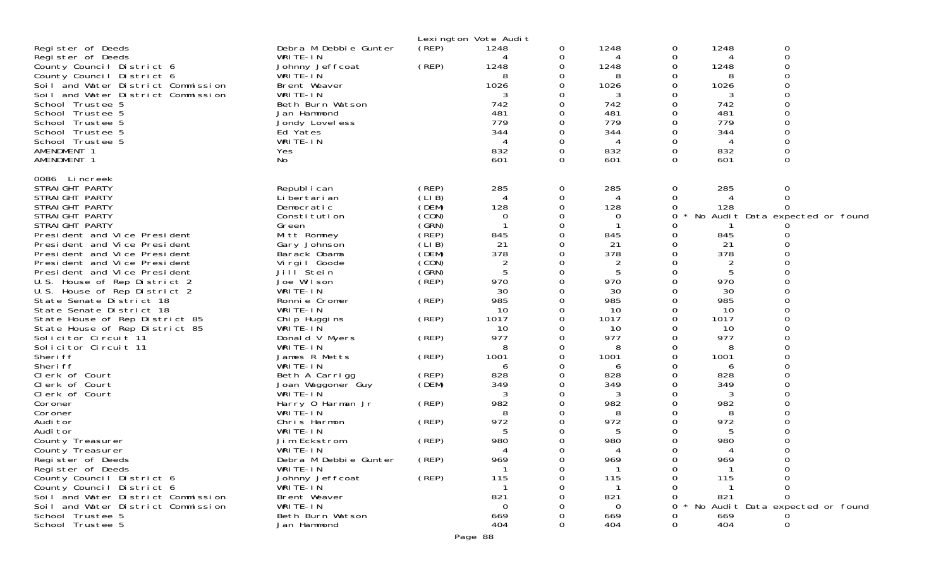|                                                                          |                                     |                | Lexington Vote Audit |          |                 |               |           |                                 |  |
|--------------------------------------------------------------------------|-------------------------------------|----------------|----------------------|----------|-----------------|---------------|-----------|---------------------------------|--|
| Register of Deeds                                                        | Debra M Debbie Gunter               | (REP)          | 1248                 | 0        | 1248            | 0             | 1248      | 0                               |  |
| Register of Deeds                                                        | WRITE-IN                            |                |                      | 0        | 4               | 0             | 4         | 0                               |  |
| County Council District 6                                                | Johnny Jeffcoat                     | (REP)          | 1248                 |          | 1248            | 0             | 1248      | 0                               |  |
| County Council District 6                                                | WRITE-IN                            |                | 8                    |          | 8               | 0             | 8         | 0                               |  |
| Soil and Water District Commission                                       | Brent Weaver                        |                | 1026                 |          | 1026            | Ω             | 1026      | 0                               |  |
| Soil and Water District Commission                                       | WRITE-IN                            |                |                      |          | 3               | Ω             | 3         | $\Omega$                        |  |
| School Trustee 5                                                         | Beth Burn Watson                    |                | 742                  |          | 742             | 0             | 742       | 0                               |  |
| School Trustee 5                                                         | Jan Hammond                         |                | 481                  |          | 481             | 0             | 481       | 0                               |  |
| School Trustee 5                                                         | Jondy Lovel ess                     |                | 779                  |          | 779             | $\Omega$      | 779       | $\Omega$                        |  |
| School Trustee 5                                                         | Ed Yates                            |                | 344                  |          | 344             | 0             | 344       | 0                               |  |
| School Trustee 5<br>AMENDMENT 1                                          | WRITE-IN                            |                | 832                  | $\Omega$ | 4<br>832        | 0<br>$\Omega$ | 4<br>832  | 0<br>$\Omega$                   |  |
| AMENDMENT 1                                                              | Yes<br>No                           |                | 601                  | $\Omega$ | 601             | 0             | 601       | $\Omega$                        |  |
|                                                                          |                                     |                |                      |          |                 |               |           |                                 |  |
| 0086 Lincreek                                                            |                                     |                |                      |          |                 |               |           |                                 |  |
| STRAIGHT PARTY                                                           | Republ i can                        | (REP)          | 285                  | 0        | 285             | 0             | 285       | 0                               |  |
| STRAIGHT PARTY                                                           | Li bertari an                       | (LIB)          |                      | 0        | 4               | 0             |           | 0                               |  |
| STRAIGHT PARTY                                                           | Democratic                          | (DEM)          | 128                  | 0        | 128             | 0             | 128       | $\Omega$                        |  |
| STRAIGHT PARTY                                                           | Constitution                        | (CON)          | $\Omega$             |          | 0               | 0             |           | No Audit Data expected or found |  |
| STRAIGHT PARTY                                                           | Green                               | (GRN)          |                      |          |                 | 0             |           |                                 |  |
| President and Vice President                                             | Mitt Romney                         | (REP)<br>(LIB) | 845<br>21            |          | 845<br>21       | 0<br>0        | 845<br>21 |                                 |  |
| President and Vice President<br>President and Vice President             | Gary Johnson<br>Barack Obama        | (DEM)          | 378                  |          | 378             | 0             | 378       |                                 |  |
| President and Vice President                                             | Virgil Goode                        | (CON)          | 2                    |          | 2               | 0             | 2         |                                 |  |
| President and Vice President                                             | Jill Stein                          | (GRN)          | 5                    |          | 5               | 0             | 5         |                                 |  |
| U.S. House of Rep District 2                                             | Joe Wilson                          | (REP)          | 970                  |          | 970             |               | 970       |                                 |  |
| U.S. House of Rep District 2                                             | WRITE-IN                            |                | 30                   |          | 30              | 0             | 30        | O                               |  |
| State Senate District 18                                                 | Ronnie Cromer                       | (REP)          | 985                  |          | 985             |               | 985       | 0                               |  |
| State Senate District 18                                                 | WRITE-IN                            |                | 10                   |          | 10              | Ω             | 10        | $\Omega$                        |  |
| State House of Rep District 85                                           | Chip Huggins                        | (REP)          | 1017                 |          | 1017            | 0             | 1017      | $\Omega$                        |  |
| State House of Rep District 85                                           | WRITE-IN                            |                | 10                   |          | 10              | 0             | 10        | 0                               |  |
| Solicitor Circuit 11                                                     | Donald V Myers                      | (REP)          | 977                  |          | 977             | 0             | 977       | 0                               |  |
| Solicitor Circuit 11                                                     | WRITE-IN                            |                | 8                    | 0        | 8               | 0             | 8         | $\Omega$                        |  |
| Sheri ff                                                                 | James R Metts                       | (REP)          | 1001                 |          | 1001            | 0             | 1001      |                                 |  |
| Sheri ff<br>Clerk of Court                                               | WRITE-IN                            | (REP)          | 6<br>828             |          | 6<br>828        | 0             | 6<br>828  | O<br>0                          |  |
| Clerk of Court                                                           | Beth A Carrigg<br>Joan Waggoner Guy | (DEM)          | 349                  |          | 349             | 0             | 349       |                                 |  |
| Clerk of Court                                                           | WRITE-IN                            |                | 3                    |          | 3               | 0             | 3         | $\Omega$                        |  |
| Coroner                                                                  | Harry 0 Harman Jr                   | (REP)          | 982                  |          | 982             | 0             | 982       | 0                               |  |
| Coroner                                                                  | WRITE-IN                            |                | 8                    |          | 8               | Ω             | 8         |                                 |  |
| Audi tor                                                                 | Chris Harmon                        | (REP)          | 972                  |          | 972             | O             | 972       | O                               |  |
| Audi tor                                                                 | WRITE-IN                            |                | 5                    |          | 5               |               | 5         |                                 |  |
| County Treasurer                                                         | Jim Eckstrom                        | (REP)          | 980                  |          | 980             | 0             | 980       |                                 |  |
| County Treasurer                                                         | WRITE-IN                            |                |                      |          | Δ               |               |           | $\Omega$                        |  |
| Register of Deeds                                                        | Debra M Debbie Gunter               | (REP)          | 969                  | 0        | 969             | 0             | 969       | 0                               |  |
| Register of Deeds                                                        | WRITE-IN                            |                |                      |          |                 | 0             |           |                                 |  |
| County Council District 6                                                | Johnny Jeffcoat                     | (REP)          | 115                  |          | 115             |               | 115       |                                 |  |
| County Council District 6                                                | WRITE-IN                            |                | 821                  |          | -1              |               |           | 0<br>$\Omega$                   |  |
| Soil and Water District Commission<br>Soil and Water District Commission | Brent Weaver<br>WRITE-IN            |                | $\Omega$             |          | 821<br>$\Omega$ |               | 821       | No Audit Data expected or found |  |
| School Trustee 5                                                         | Beth Burn Watson                    |                | 669                  |          | 669             |               | 669       |                                 |  |
| School Trustee 5                                                         | Jan Hammond                         |                | 404                  |          | 404             | $\Omega$      | 404       | $\Omega$                        |  |
|                                                                          |                                     |                |                      |          |                 |               |           |                                 |  |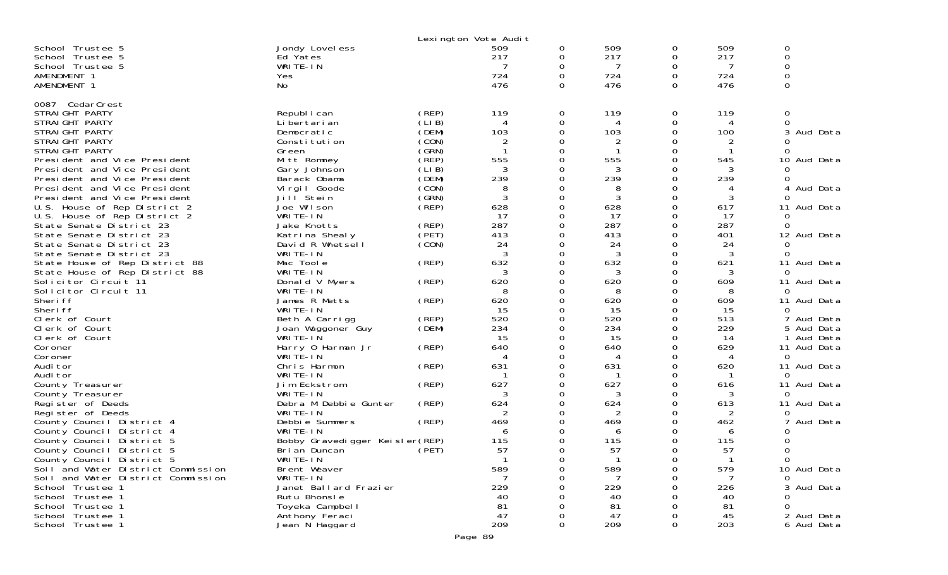|                                      |                                 |             | Lexington Vote Audit     |                |        |        |     |               |
|--------------------------------------|---------------------------------|-------------|--------------------------|----------------|--------|--------|-----|---------------|
| School Trustee 5                     | Jondy Lovel ess                 |             | 509                      | 0              | 509    | 0      | 509 | 0             |
| School Trustee 5                     | Ed Yates                        |             | 217                      | 0              | 217    | 0      | 217 | 0             |
| School Trustee 5                     | WRITE-IN                        |             |                          | 0              |        | 0      | 7   | $\mathbf 0$   |
| AMENDMENT 1                          | Yes                             |             | 724                      | $\Omega$       | 724    | 0      | 724 | $\mathbf 0$   |
| AMENDMENT 1                          | No                              |             | 476                      | $\Omega$       | 476    | 0      | 476 | $\mathbf 0$   |
|                                      |                                 |             |                          |                |        |        |     |               |
| 0087 CedarCrest                      |                                 |             |                          |                |        |        |     |               |
| STRAIGHT PARTY                       | Republ i can                    | (REP)       | 119                      | 0              | 119    | 0      | 119 | 0             |
| STRAIGHT PARTY                       | Li bertari an                   | (LIB)       | $\overline{4}$           | 0              |        | 0      | 4   | $\Omega$      |
| STRAIGHT PARTY                       | Democratic                      | (DEM)       | 103                      | $\mathbf 0$    | 103    | 0      | 100 | Aud Data<br>3 |
| STRAIGHT PARTY                       | Constitution                    | (CON)       | 2                        | 0              | 2      | 0      |     |               |
| STRAIGHT PARTY                       | Green                           | (GRN)       |                          | 0              |        | 0      |     |               |
| President and Vice President         | Mitt Romney                     | (`REP)      | 555                      | 0              | 555    | 0      | 545 | 10 Aud Data   |
| President and Vice President         | Gary Johnson                    | (LIB)       | 3                        | 0              |        | 0      | 3   |               |
| President and Vice President         | Barack Obama                    | (DEM)       | 239                      | 0              | 239    | 0      | 239 |               |
|                                      |                                 |             |                          |                |        |        |     |               |
| President and Vice President         | Vi rgi I Goode                  | (CON)       | 8                        | 0              | 8<br>3 | 0<br>0 | 4   | 4 Aud Data    |
| President and Vice President         | Jill Stein                      | (GRN)       | 3                        | 0              |        |        | 3   |               |
| U.S. House of Rep District 2         | Joe Wilson                      | $($ REP $)$ | 628                      | 0              | 628    | 0      | 617 | 11 Aud Data   |
| U.S. House of Rep District 2         | WRITE-IN                        |             | 17                       | 0              | 17     | 0      | 17  | 0             |
| State Senate District 23             | Jake Knotts                     | (REP)       | 287                      | 0              | 287    | 0      | 287 | $\Omega$      |
| State Senate District 23             | Katrina Shealy                  | (PET)       | 413                      | 0              | 413    | 0      | 401 | 12 Aud Data   |
| State Senate District 23             | David R Whetsell                | (CON)       | 24                       | 0              | 24     | 0      | 24  | $\Omega$      |
| State Senate District 23             | WRITE-IN                        |             | 3                        | 0              | 3      | 0      | 3   | ∩             |
| State House of Rep District 88       | Mac Toole                       | (REP)       | 632                      | 0              | 632    | 0      | 621 | 11 Aud Data   |
| State House of Rep District 88       | WRITE-IN                        |             | 3                        | 0              | 3      | 0      | 3   | $\Omega$      |
| Solicitor Circuit 11                 | Donald V Myers                  | (REP)       | 620                      | 0              | 620    | 0      | 609 | 11 Aud Data   |
| Solicitor Circuit 11                 | WRITE-IN                        |             | 8                        | 0              | 8      | 0      | 8   | $\Omega$      |
| Sheri ff                             | James R Metts                   | (REP)       | 620                      | 0              | 620    | 0      | 609 | 11 Aud Data   |
| Sheri ff                             | WRITE-IN                        |             | 15                       | 0              | 15     | 0      | 15  | $\Omega$      |
| Clerk of Court                       | Beth A Carrigg                  | (REP)       | 520                      | 0              | 520    | 0      | 513 | Aud Data      |
| Clerk of Court                       | Joan Waggoner Guy               | (DEM)       | 234                      | 0              | 234    | 0      | 229 | 5 Aud Data    |
| Clerk of Court                       | WRITE-IN                        |             | 15                       | 0              | 15     | 0      | 14  | 1 Aud Data    |
| Coroner                              | Harry 0 Harman Jr               | (REP)       | 640                      | $\Omega$       | 640    | 0      | 629 | 11 Aud Data   |
| Coroner                              | WRITE-IN                        |             | $\boldsymbol{\varDelta}$ | 0              | 4      | 0      | 4   | $\Omega$      |
| Audi tor                             | Chris Harmon                    | (REP)       | 631                      | 0              | 631    | 0      | 620 | 11 Aud Data   |
| Audi tor                             | WRITE-IN                        |             |                          | 0              |        | 0      |     | 0             |
| County Treasurer                     | Jim Eckstrom                    | (REP)       | 627                      | 0              | 627    | 0      | 616 | 11 Aud Data   |
| County Treasurer                     | WRITE-IN                        |             | 3                        | 0              | 3      | 0      | 3   | $\Omega$      |
| Register of Deeds                    | Debra M Debbie Gunter           | (REP)       | 624                      | $\Omega$       | 624    | 0      | 613 | 11 Aud Data   |
| Register of Deeds                    | WRITE-IN                        |             | 2                        | 0              | 2      | 0      | 2   | $\Omega$      |
| County Council District 4            | Debbie Summers                  | (REP)       | 469                      | $\Omega$       | 469    | 0      | 462 | 7 Aud Data    |
| County Council District 4            | WRITE-IN                        |             | 6                        | $\Omega$       | 6      | O      | 6   |               |
| County Council District 5            | Bobby Gravedigger Keisler (REP) |             | 115                      | 0              | 115    | 0      | 115 |               |
| County Council District 5            | Bri an Duncan                   | (PET)       | 57                       | 0              | 57     | 0      | 57  | 0             |
| County Council District 5            | WRITE-IN                        |             |                          | $\Omega$       |        | 0      |     | 0             |
| Soil and Water District Commission   | Brent Weaver                    |             | 589                      | 0              | 589    | 0      | 579 | 10 Aud Data   |
| Soil and Water District Commission   | WRITE-IN                        |             |                          | 0              |        | 0      |     |               |
|                                      | Janet Ballard Frazier           |             | 229                      | $\Omega$       | 229    | 0      | 226 | 3 Aud Data    |
| School Trustee 1<br>School Trustee 1 | Rutu Bhonsle                    |             | 40                       | 0              | 40     | 0      | 40  |               |
| School Trustee 1                     | Toyeka Campbel I                |             | 81                       | $\mathbf 0$    |        | Ω      |     | <sup>o</sup>  |
|                                      |                                 |             | 47                       |                | 81     |        | 81  |               |
| School Trustee 1                     | Anthony Feraci                  |             |                          | $\mathbf 0$    | 47     | Ω      | 45  | 2 Aud Data    |
| School Trustee 1                     | Jean N Haggard                  |             | 209                      | $\overline{0}$ | 209    | 0      | 203 | 6 Aud Data    |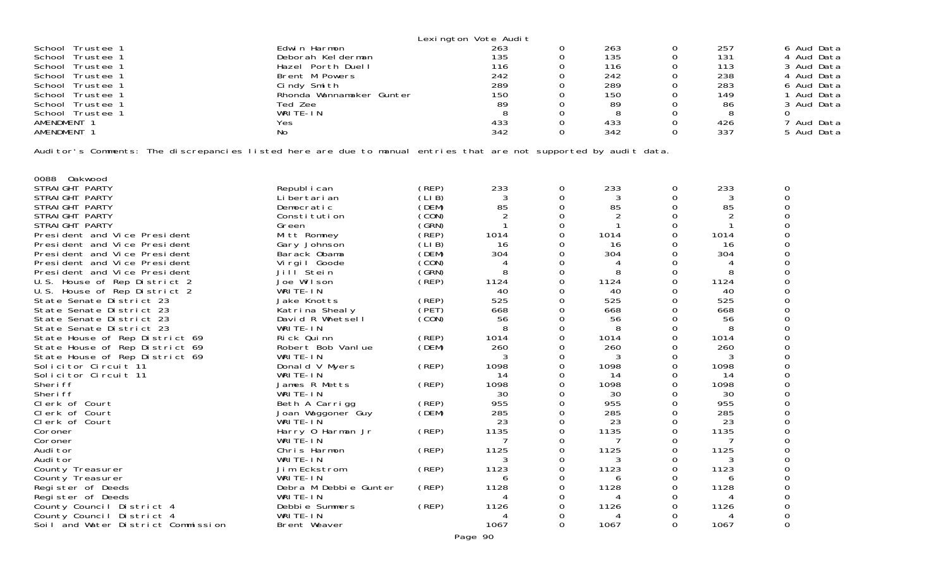|                  |                          | Lexington Vote Audit |     |     |            |
|------------------|--------------------------|----------------------|-----|-----|------------|
| School Trustee 1 | Edwin Harmon             | 263                  | 263 | 257 | 6 Aud Data |
| School Trustee 1 | Deborah Kelderman        | 135                  | 135 | 131 | 4 Aud Data |
| School Trustee 1 | Hazel Porth Duell        | 116                  | 116 | 113 | 3 Aud Data |
| School Trustee 1 | Brent M Powers           | 242                  | 242 | 238 | 4 Aud Data |
| School Trustee 1 | Cindy Smith              | 289                  | 289 | 283 | 6 Aud Data |
| School Trustee 1 | Rhonda Wannamaker Gunter | 150                  | 150 | 149 | Aud Data   |
| School Trustee 1 | Ted Zee                  | 89                   | 89  | 86  | 3 Aud Data |
| School Trustee 1 | WRITE-IN                 |                      |     |     |            |
| AMENDMENT 1      | Yes                      | 433                  | 433 | 426 | 'Aud Data  |
| AMENDMENT        | No                       | 342                  | 342 | 337 | 5 Aud Data |

Auditor's Comments: The discrepancies listed here are due to manual entries that are not supported by audit data.

| 0088<br><b>Oakwood</b>             |                       |             |                |              |      |          |                |  |
|------------------------------------|-----------------------|-------------|----------------|--------------|------|----------|----------------|--|
| STRAIGHT PARTY                     | Republ i can          | (REP)       | 233            | 0            | 233  | 0        | 233            |  |
| STRAIGHT PARTY                     | Li bertari an         | ´LI B)      | 3              | 0            | 3    | 0        | 3              |  |
| STRAIGHT PARTY                     | Democratic            | (DEM)       | 85             |              | 85   | 0        | 85             |  |
| STRAIGHT PARTY                     | Constitution          | CON)        | $\overline{2}$ |              |      | 0        | $\overline{2}$ |  |
| STRAIGHT PARTY                     | Green                 | GRN)        |                |              |      | 0        |                |  |
| President and Vice President       | Mitt Romney           | (REP)       | 1014           |              | 1014 | 0        | 1014           |  |
| President and Vice President       | Gary Johnson          | (LI B)      | 16             |              | 16   | 0        | 16             |  |
| President and Vice President       | Barack Obama          | (DEM)       | 304            |              | 304  | 0        | 304            |  |
| President and Vice President       | Virgil Goode          | CON)        |                |              |      | 0        |                |  |
| President and Vice President       | Jill <sup>Stein</sup> | (GRN)       | 8              |              |      |          | 8              |  |
| U.S. House of Rep District 2       | Joe Wilson            | (REP)       | 1124           |              | 1124 | 0        | 1124           |  |
| U.S. House of Rep District 2       | WRITE-IN              |             | 40             |              | 40   | O        | 40             |  |
| State Senate District 23           | Jake Knotts           | (REP)       | 525            |              | 525  | 0        | 525            |  |
| State Senate District 23           | Katrina Shealy        | (PET)       | 668            |              | 668  | 0        | 668            |  |
| State Senate District 23           | David R Whetsell      | (CON)       | 56             |              | 56   | 0        | 56             |  |
| State Senate District 23           | WRITE-IN              |             | 8              |              | 8    | 0        | 8              |  |
| State House of Rep District 69     | Rick Quinn            | (REP)       | 1014           | 0            | 1014 | $\Omega$ | 1014           |  |
| State House of Rep District 69     | Robert Bob Vanlue     | (DEM)       | 260            |              | 260  | 0        | 260            |  |
| State House of Rep District 69     | WRITE-IN              |             |                |              |      | 0        | 3              |  |
| Solicitor Circuit 11               | Donald V Myers        | (REP)       | 1098           | <sup>o</sup> | 1098 | 0        | 1098           |  |
| Solicitor Circuit 11               | WRITE-IN              |             | 14             |              | 14   | 0        | 14             |  |
| Sheri ff                           | James R Metts         | (REP)       | 1098           | 0            | 1098 | 0        | 1098           |  |
| Sheri ff                           | WRITE-IN              |             | 30             |              | 30   | 0        | 30             |  |
| Clerk of Court                     | Beth A Carrigg        | (REP)       | 955            |              | 955  | 0        | 955            |  |
| Clerk of Court                     | Joan Waggoner Guy     | (DEM)       | 285            |              | 285  | 0        | 285            |  |
| Clerk of Court                     | WRITE-IN              |             | 23             |              | 23   | 0        | 23             |  |
| Coroner                            | Harry 0 Harman Jr     | (REP)       | 1135           | 0            | 1135 | 0        | 1135           |  |
| Coroner                            | WRITE-IN              |             |                |              |      | 0        | 7              |  |
| Audi tor                           | Chris Harmon          | (REP)       | 1125           | 0            | 1125 | 0        | 1125           |  |
| Audi tor                           | WRITE-IN              |             |                |              |      | 0        | 3              |  |
| County Treasurer                   | Jim Eckstrom          | $($ REP $)$ | 1123           | 0            | 1123 | 0        | 1123           |  |
| County Treasurer                   | WRITE-IN              |             | 6              |              | h    | ი        | 6              |  |
| Register of Deeds                  | Debra M Debbie Gunter | (REP)       | 1128           | 0            | 1128 |          | 1128           |  |
| Register of Deeds                  | WRITE-IN              |             |                |              |      |          | 4              |  |
| County Council District 4          | Debbie Summers        | (REP)       | 1126           |              | 1126 |          | 1126           |  |
| County Council District 4          | WRITE-IN              |             |                |              |      |          |                |  |
| Soil and Water District Commission | Brent Weaver          |             | 1067           | 0            | 1067 | 0        | 1067           |  |
|                                    |                       |             |                |              |      |          |                |  |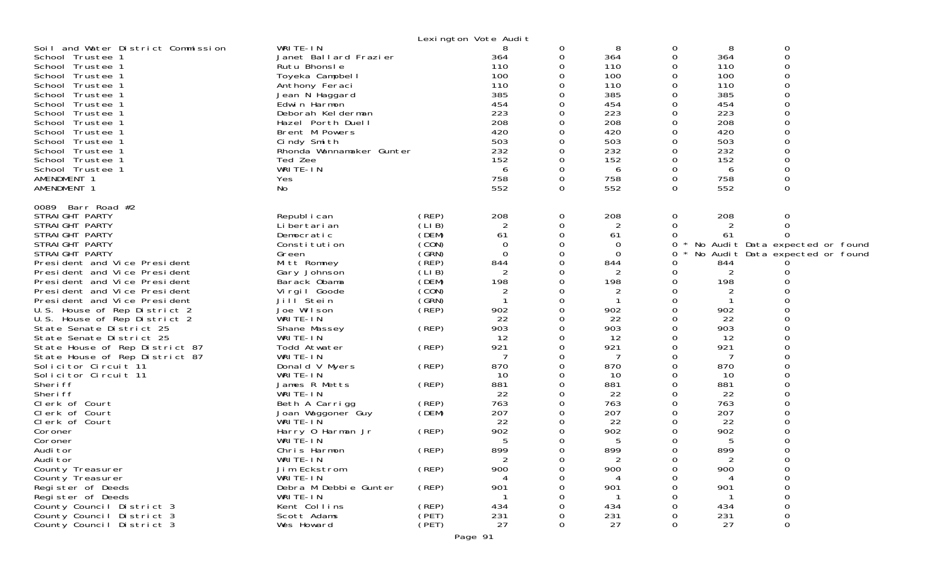|                                                                                                                                                                                                                                                                                                                                                                                                                                                                                                                                                                                                                                                                                                                                                                                                                              |                                                                                                                                                                                                                                                                                                                                                                                                                                                                                                                                         |                                                                                                                                                                                                                      | Lexington Vote Audit                                                                                                                                                                                                            |                                                                                                                                                                                                          |                                                                                                                                                                                                                  |                                                                                                                                                    |                                                                                                                                                                                 |                                                                                                    |
|------------------------------------------------------------------------------------------------------------------------------------------------------------------------------------------------------------------------------------------------------------------------------------------------------------------------------------------------------------------------------------------------------------------------------------------------------------------------------------------------------------------------------------------------------------------------------------------------------------------------------------------------------------------------------------------------------------------------------------------------------------------------------------------------------------------------------|-----------------------------------------------------------------------------------------------------------------------------------------------------------------------------------------------------------------------------------------------------------------------------------------------------------------------------------------------------------------------------------------------------------------------------------------------------------------------------------------------------------------------------------------|----------------------------------------------------------------------------------------------------------------------------------------------------------------------------------------------------------------------|---------------------------------------------------------------------------------------------------------------------------------------------------------------------------------------------------------------------------------|----------------------------------------------------------------------------------------------------------------------------------------------------------------------------------------------------------|------------------------------------------------------------------------------------------------------------------------------------------------------------------------------------------------------------------|----------------------------------------------------------------------------------------------------------------------------------------------------|---------------------------------------------------------------------------------------------------------------------------------------------------------------------------------|----------------------------------------------------------------------------------------------------|
| Soil and Water District Commission<br>School Trustee 1<br>School Trustee 1<br>School Trustee 1<br>School Trustee 1<br>School Trustee 1<br>School Trustee 1<br>School Trustee 1<br>School Trustee 1<br>School Trustee 1<br>School Trustee 1<br>School Trustee 1<br>School Trustee 1<br>School Trustee 1<br>AMENDMENT 1<br>AMENDMENT 1                                                                                                                                                                                                                                                                                                                                                                                                                                                                                         | WRITE-IN<br>Janet Ballard Frazier<br>Rutu Bhonsle<br>Toyeka Campbell<br>Anthony Feraci<br>Jean N Haggard<br>Edwin Harmon<br>Deborah Kelderman<br>Hazel Porth Duell<br>Brent M Powers<br>Cindy Smith<br>Rhonda Wannamaker Gunter<br>Ted Zee<br>WRITE-IN<br>Yes<br>No                                                                                                                                                                                                                                                                     |                                                                                                                                                                                                                      | 8<br>364<br>110<br>100<br>110<br>385<br>454<br>223<br>208<br>420<br>503<br>232<br>152<br>6<br>758<br>552                                                                                                                        | 0<br>0<br>0<br>0<br>0<br>$\Omega$<br>0<br>0<br>$\Omega$<br>0<br>0<br>$\Omega$<br>0<br>0<br>$\Omega$<br>0                                                                                                 | 8<br>364<br>110<br>100<br>110<br>385<br>454<br>223<br>208<br>420<br>503<br>232<br>152<br>6<br>758<br>552                                                                                                         | 0<br>0<br>0<br>0<br>0<br>0<br>0<br>0<br>0<br>0<br>0<br>0<br>0<br>0<br>0<br>0                                                                       | 8<br>364<br>110<br>100<br>110<br>385<br>454<br>223<br>208<br>420<br>503<br>232<br>152<br>6<br>758<br>552                                                                        | 0<br>$\mathbf 0$<br>∩<br>∩<br>0                                                                    |
| 0089 Barr Road #2<br>STRAIGHT PARTY<br>STRAIGHT PARTY<br>STRAIGHT PARTY<br>STRAIGHT PARTY<br>STRAIGHT PARTY<br>President and Vice President<br>President and Vice President<br>President and Vice President<br>President and Vice President<br>President and Vice President<br>U.S. House of Rep District 2<br>U.S. House of Rep District 2<br>State Senate District 25<br>State Senate District 25<br>State House of Rep District 87<br>State House of Rep District 87<br>Solicitor Circuit 11<br>Solicitor Circuit 11<br>Sheri ff<br>Sheri ff<br>Clerk of Court<br>Clerk of Court<br>Clerk of Court<br>Coroner<br>Coroner<br>Audi tor<br>Audi tor<br>County Treasurer<br>County Treasurer<br>Register of Deeds<br>Register of Deeds<br>County Council District 3<br>County Council District 3<br>County Council District 3 | Republ i can<br>Li bertari an<br>Democratic<br>Constitution<br>Green<br>Mitt Romney<br>Gary Johnson<br>Barack Obama<br>Virgil Goode<br>Jill <sup>Stein</sup><br>Joe Wilson<br>WRITE-IN<br>Shane Massey<br>WRITE-IN<br>Todd Atwater<br>WRITE-IN<br>Donald V Myers<br>WRITE-IN<br>James R Metts<br>WRITE-IN<br>Beth A Carrigg<br>Joan Waggoner Guy<br>WRITE-IN<br>Harry 0 Harman Jr<br>WRITE-IN<br>Chris Harmon<br>WRITE-IN<br>Jim Eckstrom<br>WRITE-IN<br>Debra M Debbie Gunter<br>WRITE-IN<br>Kent Collins<br>Scott Adams<br>Wes Howard | (REP)<br>(LIB)<br>(DEM)<br>(CON)<br>(GRN)<br>(REP)<br>(LIB)<br>(DEM)<br>(CON)<br>(GRN)<br>(REP)<br>(REP)<br>(REP)<br>(REP)<br>(REP)<br>(REP)<br>(DEM)<br>(REP)<br>(REP)<br>(REP)<br>(REP)<br>(REP)<br>(PET)<br>(PET) | 208<br>2<br>61<br>0<br>$\Omega$<br>844<br>$\overline{2}$<br>198<br>$\overline{2}$<br>902<br>22<br>903<br>12<br>921<br>7<br>870<br>10<br>881<br>22<br>763<br>207<br>22<br>902<br>5<br>899<br>2<br>900<br>901<br>434<br>231<br>27 | 0<br>0<br>0<br>0<br>0<br>$\Omega$<br>0<br>0<br>$\Omega$<br>0<br>0<br>0<br>0<br>0<br>$\Omega$<br>0<br>0<br>$\Omega$<br>0<br>0<br>$\Omega$<br>0<br>0<br>0<br>0<br>$\Omega$<br>0<br>0<br>O<br>O<br>$\Omega$ | 208<br>2<br>61<br>0<br>0<br>844<br>$\overline{2}$<br>198<br>2<br>1<br>902<br>22<br>903<br>12<br>921<br>7<br>870<br>10<br>881<br>22<br>763<br>207<br>22<br>902<br>5<br>899<br>2<br>900<br>901<br>434<br>231<br>27 | 0<br>0<br>0<br>0<br>0<br>0<br>0<br>0<br>0<br>0<br>0<br>0<br>0<br>0<br>0<br>0<br>0<br>0<br>0<br>0<br>0<br>0<br>0<br>0<br>0<br>0<br>0<br>0<br>Ω<br>0 | 208<br>61<br>844<br>2<br>198<br>2<br>902<br>22<br>903<br>12<br>921<br>7<br>870<br>10<br>881<br>22<br>763<br>207<br>22<br>902<br>5<br>899<br>2<br>900<br>901<br>434<br>231<br>27 | 0<br>$\Omega$<br>No Audit Data expected or found<br>No Audit Data expected or found<br>0<br>0<br>0 |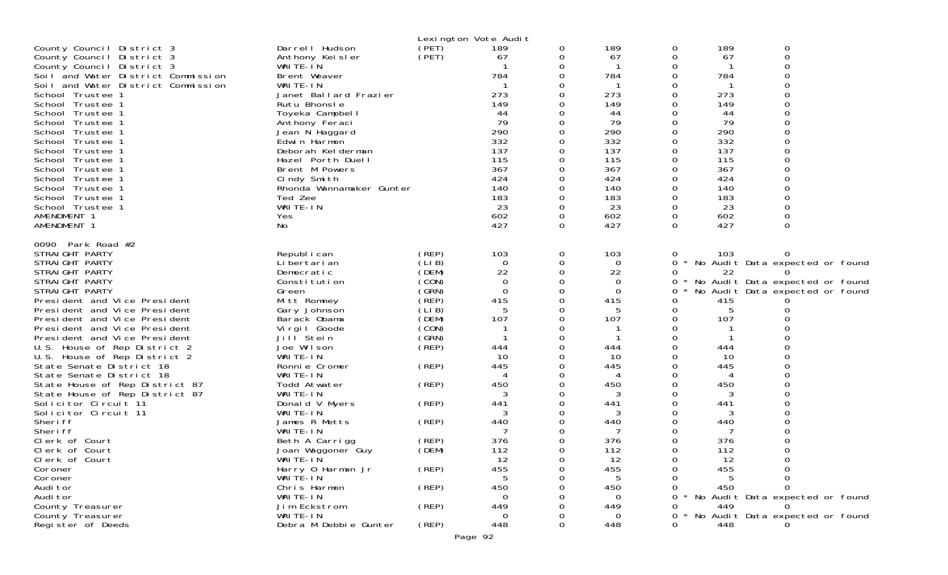|                                                                                                                                                                                                                                                                                                                                                                                                                                                                                                                                                                                                                                                     |                                                                                                                                                                                                                                                                                                                                                                                                                            |                                                                                                                                                                         | Lexington Vote Audit                                                                                                                                  |                                                              |                                                                                                                                                                   |                                                                           |                                                                                                                              |                                                                                                                                                               |
|-----------------------------------------------------------------------------------------------------------------------------------------------------------------------------------------------------------------------------------------------------------------------------------------------------------------------------------------------------------------------------------------------------------------------------------------------------------------------------------------------------------------------------------------------------------------------------------------------------------------------------------------------------|----------------------------------------------------------------------------------------------------------------------------------------------------------------------------------------------------------------------------------------------------------------------------------------------------------------------------------------------------------------------------------------------------------------------------|-------------------------------------------------------------------------------------------------------------------------------------------------------------------------|-------------------------------------------------------------------------------------------------------------------------------------------------------|--------------------------------------------------------------|-------------------------------------------------------------------------------------------------------------------------------------------------------------------|---------------------------------------------------------------------------|------------------------------------------------------------------------------------------------------------------------------|---------------------------------------------------------------------------------------------------------------------------------------------------------------|
| County Council District 3<br>County Council District 3<br>County Council District 3<br>Soil and Water District Commission<br>Soil and Water District Commission<br>School Trustee 1<br>School Trustee 1<br>School Trustee 1<br>School Trustee 1<br>School Trustee 1<br>School Trustee 1<br>School Trustee 1<br>School Trustee 1<br>School Trustee 1<br>School Trustee 1<br>School Trustee 1<br>School Trustee 1<br>School Trustee 1<br>AMENDMENT 1<br>AMENDMENT 1                                                                                                                                                                                   | Darrell Hudson<br>Anthony Keisler<br>WRITE-IN<br>Brent Weaver<br>WRITE-IN<br>Janet Ballard Frazier<br>Rutu Bhonsle<br>Toyeka Campbell<br>Anthony Feraci<br>Jean N Haggard<br>Edwin Harmon<br>Deborah Kel derman<br>Hazel Porth Duell<br>Brent M Powers<br>Cindy Smith<br>Rhonda Wannamaker Gunter<br>Ted Zee<br>WRITE-IN<br><b>Yes</b><br>No                                                                               | (PET)<br>(PET)                                                                                                                                                          | 189<br>67<br>784<br>273<br>149<br>44<br>79<br>290<br>332<br>137<br>115<br>367<br>424<br>140<br>183<br>23<br>602<br>427                                | 0<br>0<br>0<br>O<br>0<br>0<br>0<br>0<br>$\Omega$             | 189<br>67<br>784<br>273<br>149<br>44<br>79<br>290<br>332<br>137<br>115<br>367<br>424<br>140<br>183<br>23<br>602<br>427                                            | 0<br>0<br>0<br>Ω<br>O<br>0<br>O<br>0<br>Ω<br>0<br>0<br>0<br>0<br>$\Omega$ | 189<br>67<br>784<br>-1<br>273<br>149<br>44<br>79<br>290<br>332<br>137<br>115<br>367<br>424<br>140<br>183<br>23<br>602<br>427 | 0<br>$\Omega$<br>∩<br>0<br>$\Omega$                                                                                                                           |
| 0090 Park Road #2<br>STRAIGHT PARTY<br>STRAIGHT PARTY<br>STRAIGHT PARTY<br>STRAIGHT PARTY<br>STRAIGHT PARTY<br>President and Vice President<br>President and Vice President<br>President and Vice President<br>President and Vice President<br>President and Vice President<br>U.S. House of Rep District 2<br>U.S. House of Rep District 2<br>State Senate District 18<br>State Senate District 18<br>State House of Rep District 87<br>State House of Rep District 87<br>Solicitor Circuit 11<br>Solicitor Circuit 11<br>Sheri ff<br>Sheri ff<br>Clerk of Court<br>Clerk of Court<br>Clerk of Court<br>Coroner<br>Coroner<br>Audi tor<br>Audi tor | Republ i can<br>Li bertari an<br>Democratic<br>Constitution<br>Green<br>Mitt Romney<br>Gary Johnson<br>Barack Obama<br>Virgil Goode<br>Jill <sup>Stein</sup><br>Joe Wilson<br>WRITE-IN<br>Ronnie Cromer<br>WRITE-IN<br>Todd Atwater<br>WRITE-IN<br>Donald V Myers<br>WRITE-IN<br>James R Metts<br>WRITE-IN<br>Beth A Carrigg<br>Joan Waggoner Guy<br>WRITE-IN<br>Harry 0 Harman Jr<br>WRITE-IN<br>Chris Harmon<br>WRITE-IN | (REP)<br>(LIB)<br>(DEM)<br>(CON)<br>(GRN)<br>(REP)<br>(LIB)<br>(DEM)<br>(CON)<br>(GRN)<br>(REP)<br>(REP)<br>(REP)<br>(REP)<br>(REP)<br>(REP)<br>(DEM)<br>(REP)<br>(REP) | 103<br>$\Omega$<br>22<br>0<br>$\Omega$<br>415<br>107<br>444<br>10<br>445<br>450<br>441<br>3<br>440<br>7<br>376<br>112<br>12<br>455<br>450<br>$\Omega$ | 0<br>0<br>0<br>$\Omega$<br>0<br>0<br>O<br>0<br>$\Omega$<br>0 | 103<br>$\overline{0}$<br>22<br>0<br>0<br>415<br>5<br>107<br>444<br>10<br>445<br>4<br>450<br>3<br>441<br>3<br>440<br>7<br>376<br>112<br>12<br>455<br>5<br>450<br>0 | 0<br>0<br>0<br>0<br>0<br>0<br>Ω<br>Ω<br>0<br>∩<br>O<br>∩<br>0             | 103<br>22<br>415<br>5<br>107<br>444<br>10<br>445<br>4<br>450<br>3<br>441<br>3<br>440<br>7<br>376<br>112<br>12<br>455<br>450  | 0<br>* No Audit Data expected or found<br>No Audit Data expected or found<br>No Audit Data expected or found<br>$\Omega$<br>* No Audit Data expected or found |
| County Treasurer<br>County Treasurer<br>Register of Deeds                                                                                                                                                                                                                                                                                                                                                                                                                                                                                                                                                                                           | Jim Eckstrom<br>WRITE-IN<br>Debra M Debbie Gunter                                                                                                                                                                                                                                                                                                                                                                          | (REP)<br>(REP)                                                                                                                                                          | 449<br>$\Omega$<br>448                                                                                                                                | Ω                                                            | 449<br>$\Omega$<br>448                                                                                                                                            | Ω<br>∩                                                                    | 449<br>448                                                                                                                   | No Audit Data expected or found                                                                                                                               |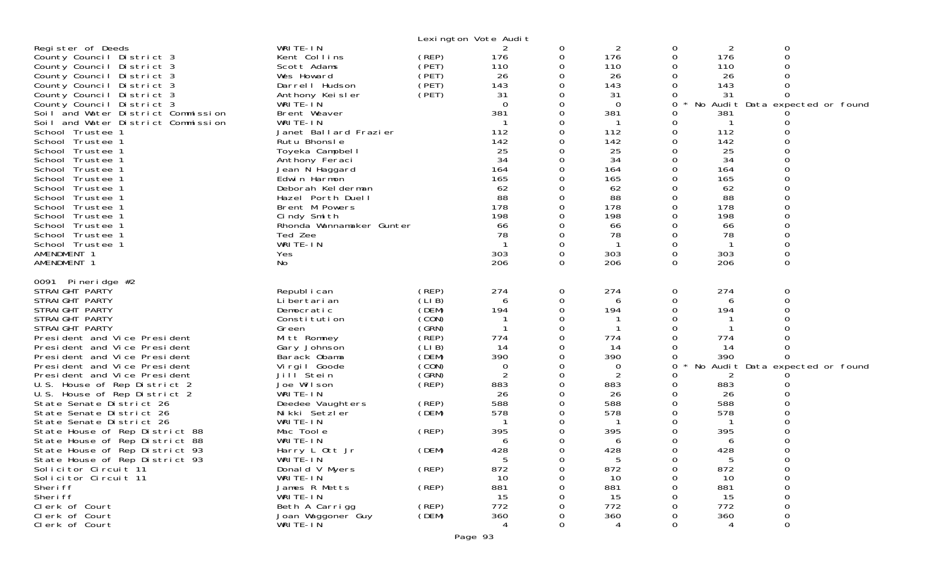|                                                                                                                                                                                                                                                                                                                                                                                                                                                                                                                                                                                                                                                                                                          |                                                                                                                                                                                                                                                                                                                                                                                                     |                                                                                                                                                                         | Lexington Vote Audit                                                                                                                              |                            |                                                                                                                                                                      |                                                                                               |                                                                                                                                       |                                |                                 |
|----------------------------------------------------------------------------------------------------------------------------------------------------------------------------------------------------------------------------------------------------------------------------------------------------------------------------------------------------------------------------------------------------------------------------------------------------------------------------------------------------------------------------------------------------------------------------------------------------------------------------------------------------------------------------------------------------------|-----------------------------------------------------------------------------------------------------------------------------------------------------------------------------------------------------------------------------------------------------------------------------------------------------------------------------------------------------------------------------------------------------|-------------------------------------------------------------------------------------------------------------------------------------------------------------------------|---------------------------------------------------------------------------------------------------------------------------------------------------|----------------------------|----------------------------------------------------------------------------------------------------------------------------------------------------------------------|-----------------------------------------------------------------------------------------------|---------------------------------------------------------------------------------------------------------------------------------------|--------------------------------|---------------------------------|
| Register of Deeds<br>County Council District 3<br>County Council District 3<br>County Council District 3<br>County Council District 3<br>County Council District 3<br>County Council District 3<br>Soil and Water District Commission<br>Soil and Water District Commission<br>School Trustee 1<br>School Trustee 1<br>School Trustee 1<br>School Trustee 1<br>School Trustee 1<br>School Trustee 1<br>School Trustee 1<br>School Trustee 1<br>School Trustee 1<br>School Trustee 1<br>School Trustee 1<br>School Trustee 1<br>School Trustee 1<br>AMENDMENT 1<br>AMENDMENT 1                                                                                                                            | WRITE-IN<br>Kent Collins<br>Scott Adams<br>Wes Howard<br>Darrell Hudson<br>Anthony Keisler<br>WRITE-IN<br>Brent Weaver<br>WRITE-IN<br>Janet Ballard Frazier<br>Rutu Bhonsle<br>Toyeka Campbell<br>Anthony Feraci<br>Jean N Haggard<br>Edwin Harmon<br>Deborah Kelderman<br>Hazel Porth Duell<br>Brent M Powers<br>Cindy Smith<br>Rhonda Wannamaker Gunter<br>Ted Zee<br>WRITE-IN<br>Yes<br>No       | (REP)<br>(PET)<br>(PET)<br>(PET)<br>(PET)                                                                                                                               | 2<br>176<br>110<br>26<br>143<br>31<br>$\Omega$<br>381<br>112<br>142<br>25<br>34<br>164<br>165<br>62<br>88<br>178<br>198<br>66<br>78<br>303<br>206 | 0<br>0<br>0<br>$\Omega$    | 2<br>176<br>110<br>26<br>143<br>31<br>$\mathbf 0$<br>381<br>112<br>142<br>25<br>34<br>164<br>165<br>62<br>88<br>178<br>198<br>66<br>78<br>$\mathbf{1}$<br>303<br>206 | 0<br>0<br>0<br>0<br>0<br>0<br>0<br>0<br>0<br>O<br>0<br>0<br>0<br>0<br>0<br>0<br>0<br>$\Omega$ | 2<br>176<br>110<br>26<br>143<br>31<br>381<br>112<br>142<br>25<br>34<br>164<br>165<br>62<br>88<br>178<br>198<br>66<br>78<br>303<br>206 | 0<br>$\Omega$<br>0<br>$\Omega$ | No Audit Data expected or found |
| 0091 Pineridge $#2$<br>STRAI GHT PARTY<br>STRAIGHT PARTY<br>STRAIGHT PARTY<br>STRAIGHT PARTY<br>STRAIGHT PARTY<br>President and Vice President<br>President and Vice President<br>President and Vice President<br>President and Vice President<br>President and Vice President<br>U.S. House of Rep District 2<br>U.S. House of Rep District 2<br>State Senate District 26<br>State Senate District 26<br>State Senate District 26<br>State House of Rep District 88<br>State House of Rep District 88<br>State House of Rep District 93<br>State House of Rep District 93<br>Solicitor Circuit 11<br>Solicitor Circuit 11<br>Sheri ff<br>Sheri ff<br>Clerk of Court<br>Clerk of Court<br>Clerk of Court | Republ i can<br>Li bertari an<br>Democratic<br>Constitution<br>Green<br>Mitt Romney<br>Gary Johnson<br>Barack Obama<br>Vi rgi I Goode<br>Jill Stein<br>Joe Wilson<br>WRITE-IN<br>Deedee Vaughters<br>Nikki Setzler<br>WRITE-IN<br>Mac Toole<br>WRITE-IN<br>Harry L Ott Jr<br>WRITE-IN<br>Donald V Myers<br>WRITE-IN<br>James R Metts<br>WRITE-IN<br>Beth A Carrigg<br>Joan Waggoner Guy<br>WRITE-IN | (REP)<br>(LIB)<br>(DEM)<br>(CON)<br>(GRN)<br>(REP)<br>(LIB)<br>(DEM)<br>(CON)<br>(GRN)<br>(REP)<br>(REP)<br>(DEM)<br>(REP)<br>(DEM)<br>(REP)<br>(REP)<br>(REP)<br>(DEM) | 274<br>6<br>194<br>774<br>14<br>390<br>0<br>2<br>883<br>26<br>588<br>578<br>395<br>6<br>428<br>5<br>872<br>10<br>881<br>15<br>772<br>360          | 0<br>0<br>0<br>0<br>∩<br>0 | 274<br>6<br>194<br>774<br>14<br>390<br>0<br>2<br>883<br>26<br>588<br>578<br>395<br>6<br>428<br>5<br>872<br>10<br>881<br>15<br>772<br>360<br>4                        | 0<br>0<br>0<br>Ω<br>0<br>0<br>0<br>O<br>0<br>0<br>0<br>0<br>0<br>0                            | 274<br>6<br>194<br>774<br>-14<br>390<br>2<br>883<br>26<br>588<br>578<br>395<br>6<br>428<br>5<br>872<br>10<br>881<br>15<br>772<br>360  | 0<br>0<br>0                    | No Audit Data expected or found |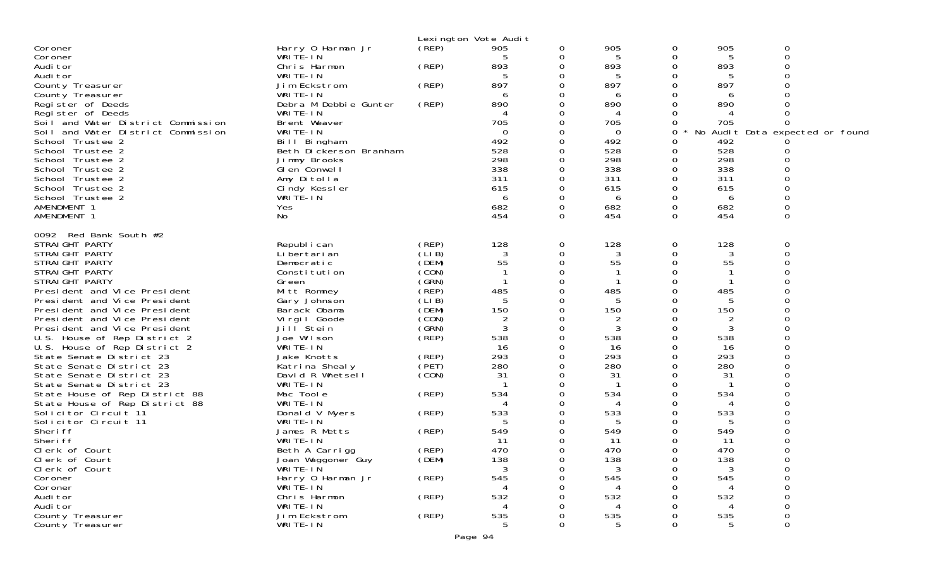|                                                              |                              |                | Lexington Vote Audit |               |              |          |          |                                 |
|--------------------------------------------------------------|------------------------------|----------------|----------------------|---------------|--------------|----------|----------|---------------------------------|
| Coroner                                                      | Harry 0 Harman Jr            | (REP)          | 905                  | 0             | 905          | 0        | 905      | 0                               |
| Coroner                                                      | WRITE-IN                     |                | 5                    | 0             | 5            | 0        | 5        | ∩                               |
| Audi tor                                                     | Chris Harmon                 | (REP)          | 893                  | 0             | 893          | 0        | 893      |                                 |
| Audi tor                                                     | WRITE-IN                     |                | 5                    | 0             | 5            | Ω        |          |                                 |
| County Treasurer                                             | Jim Eckstrom                 | (REP)          | 897                  | 0             | 897          | 0        | 897      |                                 |
| County Treasurer                                             | WRITE-IN                     |                | 6                    | 0             | 6            | Ω        | 6        |                                 |
| Register of Deeds                                            | Debra M Debbie Gunter        | (REP)          | 890                  | 0             | 890          | O        | 890      |                                 |
| Register of Deeds                                            | WRITE-IN                     |                |                      | 0             | 4            | 0        |          |                                 |
| Soil and Water District Commission                           | Brent Weaver                 |                | 705                  | 0             | 705          | 0        | 705      |                                 |
| Soil and Water District Commission                           | WRITE-IN                     |                | $\Omega$             | 0             | 0            | 0        |          | No Audit Data expected or found |
| School Trustee 2                                             | Bill Bingham                 |                | 492                  | 0             | 492          | 0        | 492      |                                 |
| School Trustee 2                                             | Beth Dickerson Branham       |                | 528                  | 0             | 528          | 0        | 528      |                                 |
| School Trustee 2                                             | Jimmy Brooks                 |                | 298                  | 0             | 298          | 0        | 298      |                                 |
| School Trustee 2                                             | GI en Conwell                |                | 338                  | 0             | 338          |          | 338      |                                 |
| School Trustee 2                                             | Amy Ditolla                  |                | 311                  | 0             | 311          | 0        | 311      |                                 |
| School Trustee 2                                             | Cindy Kessler                |                | 615                  | 0             | 615          | 0        | 615      |                                 |
| School Trustee 2                                             | WRITE-IN                     |                | 6                    | 0             | 6            | 0        | 6        |                                 |
| AMENDMENT 1                                                  | Yes                          |                | 682                  | 0             | 682          | 0        | 682      |                                 |
| AMENDMENT 1                                                  | No                           |                | 454                  | $\Omega$      | 454          | $\Omega$ | 454      | $\Omega$                        |
|                                                              |                              |                |                      |               |              |          |          |                                 |
| 0092 Red Bank South #2                                       |                              |                |                      |               |              |          |          |                                 |
| STRAIGHT PARTY                                               | Republ i can                 | (REP)          | 128                  | 0             | 128          | 0        | 128      | 0                               |
| STRAIGHT PARTY<br>STRAIGHT PARTY                             | Li bertari an                | (LIB)<br>(DEM) | 3<br>55              | 0<br>$\Omega$ | 3<br>55      | 0<br>0   | 3<br>55  |                                 |
|                                                              | Democratic                   |                |                      | 0             |              | Ω        |          |                                 |
| STRAIGHT PARTY                                               | Constitution                 | (CON)          |                      |               | $\mathbf{1}$ |          | -1       |                                 |
| STRAIGHT PARTY                                               | Green                        | (SRN)<br>(REP) |                      | 0<br>0        | 485          | 0<br>0   |          |                                 |
| President and Vice President                                 | Mitt Romney                  |                | 485                  |               |              |          | 485      |                                 |
| President and Vice President<br>President and Vice President | Gary Johnson                 | (LIB)<br>(DEM) | 5<br>150             | 0<br>0        | 5<br>150     | 0<br>0   | 5<br>150 |                                 |
| President and Vice President                                 | Barack Obama                 | (CON)          |                      | 0             |              |          |          |                                 |
|                                                              | Virgil Goode                 | (GRN)          | $\overline{2}$<br>3  | 0             | 2            | 0        | 2        |                                 |
| President and Vice President                                 | Jill Stein<br>Joe Wilson     | (REP)          | 538                  | 0             | 3<br>538     |          | 3<br>538 |                                 |
| U.S. House of Rep District 2                                 | WRITE-IN                     |                | 16                   | 0             | 16           | 0        | 16       |                                 |
| U.S. House of Rep District 2                                 |                              | (REP)          | 293                  | 0             | 293          | 0        | 293      |                                 |
| State Senate District 23                                     | Jake Knotts                  | (PET)          | 280                  | 0             | 280          |          | 280      |                                 |
| State Senate District 23                                     | Katrina Shealy               |                | 31                   | 0             | 31           | 0        | 31       |                                 |
| State Senate District 23<br>State Senate District 23         | David R Whetsell<br>WRITE-IN | (CON)          |                      | 0             | $\mathbf{1}$ | 0        |          |                                 |
| State House of Rep District 88                               | Mac Toole                    | (REP)          | 534                  | 0             | 534          |          | 534      |                                 |
| State House of Rep District 88                               | WRITE-IN                     |                |                      | 0             | 4            | Ω        |          |                                 |
| Solicitor Circuit 11                                         | Donald V Myers               | (REP)          | 533                  | 0             | 533          | 0        | 533      |                                 |
| Solicitor Circuit 11                                         | WRITE-IN                     |                |                      | 0             | 5            | 0        | 5        |                                 |
| Sheri ff                                                     | James R Metts                | (REP)          | 549                  | 0             | 549          | 0        | 549      |                                 |
| Sheri ff                                                     | WRITE-IN                     |                | 11                   | 0             | 11           | 0        | 11       |                                 |
| Clerk of Court                                               | Beth A Carrigg               | (REP)          | 470                  | 0             | 470          | 0        | 470      | $\Omega$                        |
| Clerk of Court                                               | Joan Waggoner Guy            | (DEM)          | 138                  | 0             | 138          | 0        | 138      | 0                               |
| Clerk of Court                                               | WRITE-IN                     |                | 3                    | 0             | 3            | 0        | 3        | 0                               |
| Coroner                                                      | Harry 0 Harman Jr            | (REP)          | 545                  | 0             | 545          | Ω        | 545      |                                 |
| Coroner                                                      | WRITE-IN                     |                |                      |               |              |          |          |                                 |
| Audi tor                                                     | Chris Harmon                 | (REP)          | 532                  |               | 532          |          | 532      |                                 |
| Audi tor                                                     | WRITE-IN                     |                |                      |               | 4            |          |          | 0                               |
| County Treasurer                                             | Jim Eckstrom                 | (REP)          | 535                  | Ω             | 535          | 0        | 535      | $\Omega$                        |
| County Treasurer                                             | WRITE-IN                     |                | 5                    | 0             | 5            | 0        | 5        | 0                               |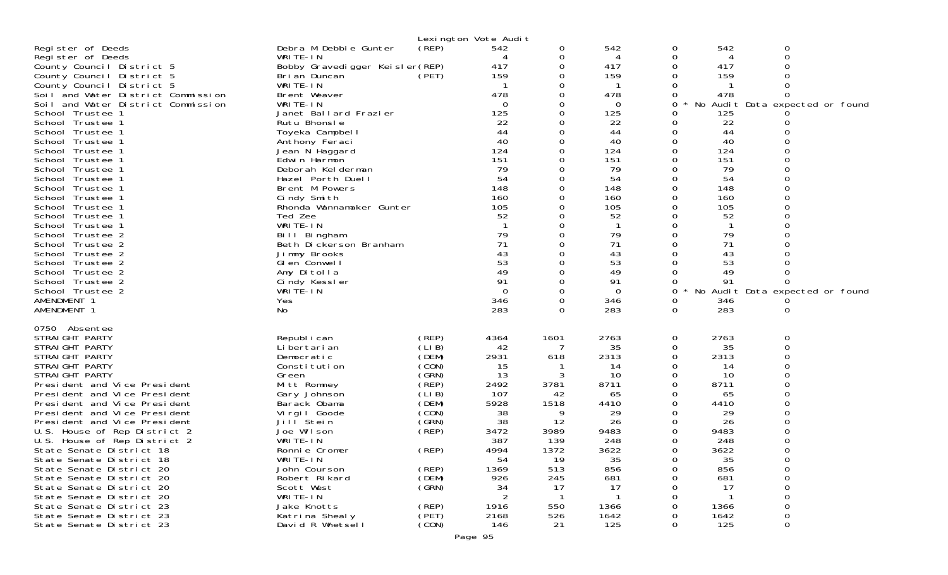|                                                              |                                                 |                | Lexington Vote Audit |               |             |        |             |                                      |
|--------------------------------------------------------------|-------------------------------------------------|----------------|----------------------|---------------|-------------|--------|-------------|--------------------------------------|
| Register of Deeds<br>Register of Deeds                       | Debra M Debbie Gunter<br>WRITE-IN               | (REP)          | 542<br>4             | 0<br>0        | 542<br>4    | 0<br>0 | 542<br>4    | 0<br>0                               |
| County Council District 5<br>County Council District 5       | Bobby Gravedigger Keisler(REP)<br>Bri an Duncan | (PET)          | 417<br>159           | 0<br>0        | 417<br>159  | 0<br>0 | 417<br>159  | 0                                    |
| County Council District 5                                    | WRITE-IN                                        |                |                      | 0             |             |        |             |                                      |
| Soil and Water District Commission                           | Brent Weaver                                    |                | 478                  | 0             | 478         | 0      | 478         | 0                                    |
| Soil and Water District Commission                           | WRITE-IN                                        |                | 0                    | 0             | 0           | 0      |             | No Audit Data expected or found      |
| School Trustee 1<br>School Trustee 1                         | Janet Ballard Frazier<br>Rutu Bhonsle           |                | 125<br>22            | 0<br>0        | 125<br>22   | 0<br>0 | 125<br>22   |                                      |
| School Trustee 1                                             | Toyeka Campbell                                 |                | 44                   | 0             | 44          | 0      | 44          |                                      |
| School Trustee 1                                             | Anthony Feraci                                  |                | 40                   | 0             | 40          | 0      | 40          |                                      |
| School Trustee 1<br>School Trustee 1                         | Jean N Haggard                                  |                | 124<br>151           | 0<br>0        | 124<br>151  | 0<br>0 | 124<br>151  |                                      |
| School Trustee 1                                             | Edwin Harmon<br>Deborah Kelderman               |                | 79                   |               | 79          |        | 79          |                                      |
| School Trustee 1                                             | Hazel Porth Duell                               |                | 54                   | 0             | 54          | 0      | 54          |                                      |
| School Trustee 1                                             | Brent M Powers                                  |                | 148                  | 0             | 148         | 0      | 148         |                                      |
| School Trustee 1                                             | Cindy Smith                                     |                | 160<br>105           | $\Omega$<br>0 | 160<br>105  | 0      | 160<br>105  |                                      |
| School Trustee 1<br>School Trustee 1                         | Rhonda Wannamaker Gunter<br>Ted Zee             |                | 52                   | 0             | 52          | 0<br>0 | 52          |                                      |
| School Trustee 1                                             | WRITE-IN                                        |                |                      | 0             |             | 0      |             |                                      |
| School Trustee 2                                             | Bill Bingham                                    |                | 79                   | 0             | 79          | 0      | 79          |                                      |
| School Trustee 2<br>School Trustee 2                         | Beth Dickerson Branham                          |                | 71<br>43             | 0<br>$\Omega$ | 71<br>43    | 0<br>0 | 71<br>43    |                                      |
| School Trustee 2                                             | Jimmy Brooks<br>GI en Conwell                   |                | 53                   | 0             | 53          | 0      | 53          |                                      |
| School Trustee 2                                             | Amy Ditolla                                     |                | 49                   | 0             | 49          |        | 49          |                                      |
| School Trustee 2                                             | Cindy Kessler                                   |                | 91                   | $\Omega$      | 91          |        | 91          |                                      |
| School Trustee 2<br>AMENDMENT 1                              | WRITE-IN<br>Yes                                 |                | $\Omega$<br>346      | 0<br>0        | 0<br>346    | 0<br>0 | 346         | No Audit Data expected or found<br>O |
| AMENDMENT 1                                                  | No                                              |                | 283                  | $\Omega$      | 283         | 0      | 283         | 0                                    |
| 0750 Absentee                                                |                                                 |                |                      |               |             |        |             |                                      |
| STRAIGHT PARTY                                               | Republ i can                                    | (REP)          | 4364                 | 1601          | 2763        | 0      | 2763        | 0                                    |
| STRAIGHT PARTY<br>STRAIGHT PARTY                             | Li bertari an<br>Democratic                     | (LIB)<br>(DEM) | 42<br>2931           | -7<br>618     | 35<br>2313  | 0<br>0 | 35<br>2313  | 0                                    |
| STRAIGHT PARTY                                               | Constitution                                    | (CON)          | 15                   |               | 14          | 0      | 14          | 0                                    |
| STRAIGHT PARTY                                               | Green                                           | (GRN)          | 13                   | 3             | 10          | 0      | 10          |                                      |
| President and Vice President                                 | Mitt Romney                                     | (REP)          | 2492                 | 3781          | 8711        | 0      | 8711        | ი                                    |
| President and Vice President<br>President and Vice President | Gary Johnson<br>Barack Obama                    | (LIB)<br>(DEM) | 107<br>5928          | 42<br>1518    | 65<br>4410  | 0<br>0 | 65<br>4410  |                                      |
| President and Vice President                                 | Virgil Goode                                    | (CON)          | 38                   | 9             | 29          | 0      | 29          |                                      |
| President and Vice President                                 | Jill Stein                                      | (GRN)          | 38                   | 12            | 26          | 0      | 26          |                                      |
| U.S. House of Rep District 2                                 | Joe Wilson<br>WRITE-IN                          | (REF)          | 3472                 | 3989          | 9483        | 0      | 9483        |                                      |
| U.S. House of Rep District 2<br>State Senate District 18     | Ronnie Cromer                                   | (REP)          | 387<br>4994          | 139<br>1372   | 248<br>3622 | 0<br>0 | 248<br>3622 | $\Omega$                             |
| State Senate District 18                                     | WRITE-IN                                        |                | 54                   | 19            | 35          | 0      | 35          | 0                                    |
| State Senate District 20                                     | John Courson                                    | (REP)          | 1369                 | 513           | 856         | O      | 856         | 0                                    |
| State Senate District 20                                     | Robert Rikard                                   | (DEM)          | 926                  | 245           | 681         | O      | 681         | 0                                    |
| State Senate District 20<br>State Senate District 20         | Scott West<br>WRITE-IN                          | (GRN)          | 34<br>2              | 17            | 17          |        | 17          | 0<br>0                               |
| State Senate District 23                                     | Jake Knotts                                     | (REP)          | 1916                 | 550           | 1366        | O      | 1366        | 0                                    |
| State Senate District 23                                     | Katrina Shealy                                  | (PET)          | 2168                 | 526           | 1642        | 0      | 1642        | 0                                    |
| State Senate District 23                                     | David R Whetsell                                | (CON)          | 146                  | 21            | 125         | 0      | 125         | 0                                    |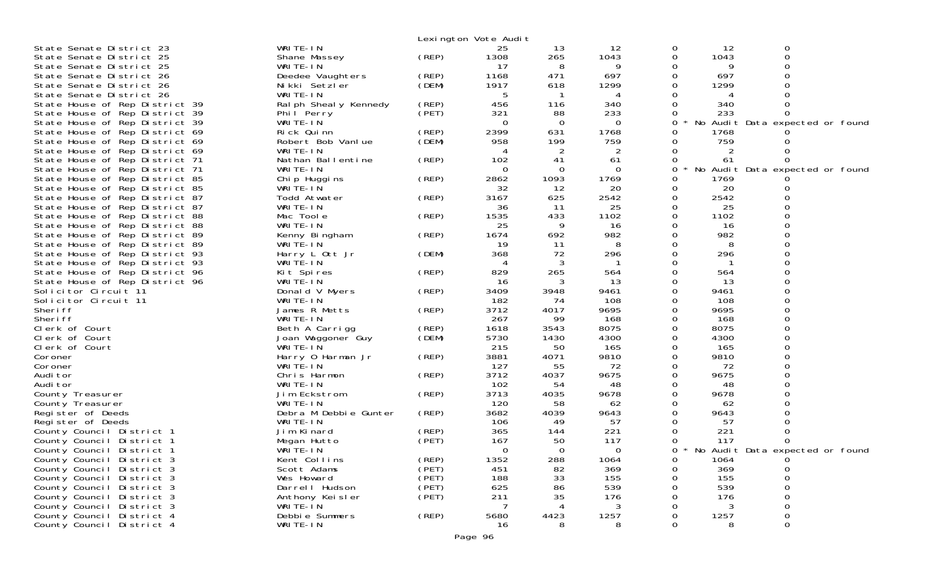|                                                                  |                                 |             | Lexington Vote Audit |              |            |        |             |                                     |
|------------------------------------------------------------------|---------------------------------|-------------|----------------------|--------------|------------|--------|-------------|-------------------------------------|
| State Senate District 23                                         | WRITE-IN                        |             | 25                   | 13           | 12         | 0      | 12          | 0                                   |
| State Senate District 25                                         | Shane Massey                    | (REP)       | 1308                 | 265          | 1043       | 0      | 1043        | 0                                   |
| State Senate District 25                                         | WRITE-IN                        |             | 17                   | 8            | 9          | 0      | 9           | 0                                   |
| State Senate District 26                                         | Deedee Vaughters                | (REP)       | 1168                 | 471          | 697        | 0      | 697         |                                     |
| State Senate District 26                                         | Nikki Setzler                   | (DEM)       | 1917                 | 618          | 1299       | 0      | 1299        |                                     |
| State Senate District 26                                         | WRITE-IN                        |             | 5                    |              | 4          |        |             |                                     |
| State House of Rep District 39                                   | Ral ph Sheal y Kennedy          | (REP)       | 456                  | 116          | 340        | 0      | 340         |                                     |
| State House of Rep District 39                                   | Phil Perry                      | (PET)       | 321                  | 88           | 233        | 0      | 233         |                                     |
| State House of Rep District 39                                   | WRITE-IN                        | (REP)       | $\Omega$<br>2399     | 0<br>631     | 0<br>1768  | 0<br>0 |             | No Audit Data expected or found     |
| State House of Rep District 69<br>State House of Rep District 69 | Rick Quinn<br>Robert Bob Vanlue | (DEM)       | 958                  | 199          | 759        | 0      | 1768<br>759 |                                     |
| State House of Rep District 69                                   | WRITE-IN                        |             |                      | 2            | 2          |        | 2           |                                     |
| State House of Rep District 71                                   | Nathan Ballentine               | (REP)       | 102                  | 41           | -61        | 0      | 61          |                                     |
| State House of Rep District 71                                   | WRITE-IN                        |             | $\Omega$             | $\Omega$     | 0          | 0      |             | No Audit Data expected or found     |
| State House of Rep District 85                                   | Chip Huggins                    | (REP)       | 2862                 | 1093         | 1769       | 0      | 1769        |                                     |
| State House of Rep District 85                                   | WRITE-IN                        |             | 32                   | 12           | 20         | 0      | 20          |                                     |
| State House of Rep District 87                                   | Todd Atwater                    | (REP)       | 3167                 | 625          | 2542       | 0      | 2542        |                                     |
| State House of Rep District 87                                   | WRITE-IN                        |             | 36                   | 11           | 25         | 0      | 25          |                                     |
| State House of Rep District 88                                   | Mac Toole                       | (REP)       | 1535                 | 433          | 1102       | 0      | 1102        |                                     |
| State House of Rep District 88                                   | WRITE-IN                        |             | 25                   | 9            | 16         | 0      | 16          |                                     |
| State House of Rep District 89                                   | Kenny Bingham                   | (REP)       | 1674                 | 692          | 982        | 0      | 982         |                                     |
| State House of Rep District 89                                   | WRITE-IN                        |             | -19                  | 11           | 8          | 0      | 8           |                                     |
| State House of Rep District 93                                   | Harry L Ott Jr                  | (DEM)       | 368                  | 72           | 296        | 0<br>0 | 296         |                                     |
| State House of Rep District 93<br>State House of Rep District 96 | WRITE-IN<br>Kit Spires          | (REP)       | 829                  | 265          | 564        | 0      | 564         |                                     |
| State House of Rep District 96                                   | WRITE-IN                        |             | -16                  | 3            | 13         | 0      | 13          |                                     |
| Solicitor Circuit 11                                             | Donald V Myers                  | (REP)       | 3409                 | 3948         | 9461       | 0      | 9461        |                                     |
| Solicitor Circuit 11                                             | WRITE-IN                        |             | 182                  | 74           | 108        | 0      | 108         |                                     |
| Sheri ff                                                         | James R Metts                   | (REP)       | 3712                 | 4017         | 9695       | 0      | 9695        |                                     |
| Sheri ff                                                         | WRITE-IN                        |             | 267                  | 99           | 168        | 0      | 168         |                                     |
| Clerk of Court                                                   | Beth A Carrigg                  | $($ REP $)$ | 1618                 | 3543         | 8075       | 0      | 8075        |                                     |
| Clerk of Court                                                   | Joan Waggoner Guy               | (DEM)       | 5730                 | 1430         | 4300       | 0      | 4300        |                                     |
| Clerk of Court                                                   | WRITE-IN                        |             | 215                  | 50           | 165        | 0      | 165         | $\Omega$                            |
| Coroner                                                          | Harry 0 Harman Jr               | (REP)       | 3881                 | 4071         | 9810       | 0      | 9810        |                                     |
| Coroner                                                          | WRITE-IN                        |             | 127                  | 55           | 72         | 0      | 72          |                                     |
| Audi tor                                                         | Chris Harmon                    | (REP)       | 3712                 | 4037         | 9675       | 0      | 9675        |                                     |
| Audi tor<br>County Treasurer                                     | WRITE-IN<br>Jim Eckstrom        | (REP)       | 102<br>3713          | 54<br>4035   | 48<br>9678 | 0<br>0 | 48<br>9678  |                                     |
| County Treasurer                                                 | WRITE-IN                        |             | 120                  | 58           | 62         | 0      | 62          |                                     |
| Register of Deeds                                                | Debra M Debbie Gunter           | (REP)       | 3682                 | 4039         | 9643       | 0      | 9643        |                                     |
| Register of Deeds                                                | WRITE-IN                        |             | 106                  | 49           | 57         |        | 57          |                                     |
| County Council District 1                                        | Jim Kinard                      | (REP)       | 365                  | 144          | 221        | 0      | 221         | 0                                   |
| County Council District 1                                        | Megan Hutto                     | (PET)       | 167                  | 50           | 117        | 0      | 117         | 0                                   |
| County Council District 1                                        | WRITE-IN                        |             | $\mathbf{O}$         | $\mathbf{O}$ | $\Omega$   |        |             | 0 * No Audit Data expected or found |
| County Council District 3                                        | Kent Collins                    | (REP)       | 1352                 | 288          | 1064       | 0      | 1064        |                                     |
| County Council District 3                                        | Scott Adams                     | (PET)       | 451                  | 82           | 369        |        | 369         |                                     |
| County Council District 3                                        | Wes Howard                      | (PET)       | 188                  | 33           | 155        |        | 155         |                                     |
| County Council District 3                                        | Darrell Hudson                  | (PET)       | 625                  | 86           | 539        |        | 539         |                                     |
| County Council District 3<br>County Council District 3           | Anthony Keisler<br>WRITE-ĬN     | (PET)       | 211                  | 35           | 176<br>3   |        | 176         |                                     |
| County Council District 4                                        | Debbie Summers                  | (REP)       | 5680                 | 4423         | 1257       |        | 1257        |                                     |
| County Council District 4                                        | WRITE-IN                        |             | 16                   |              | 8          |        | 8           |                                     |
|                                                                  |                                 |             |                      |              |            |        |             |                                     |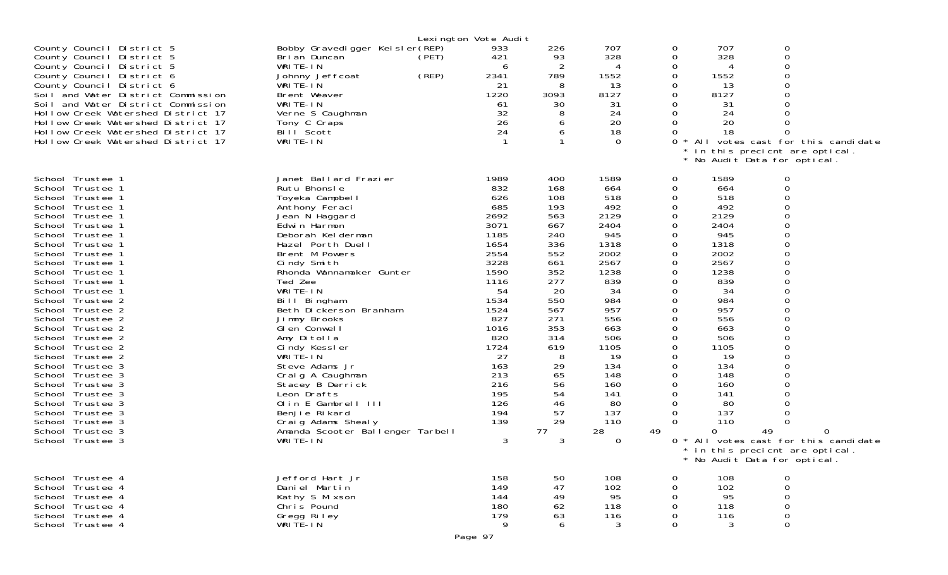|                                    |                                  | Lexington Vote Audit |      |             |    |      |                                                             |                                   |
|------------------------------------|----------------------------------|----------------------|------|-------------|----|------|-------------------------------------------------------------|-----------------------------------|
| County Council District 5          | Bobby Gravedigger Keisler(REP)   | 933                  | 226  | 707         | 0  | 707  | 0                                                           |                                   |
| County Council District 5          | Bri an Duncan                    | 421<br>(PET)         | 93   | 328         | 0  | 328  | $\mathbf 0$                                                 |                                   |
| County Council District 5          | WRITE-IN                         | 6                    | 2    |             | 0  |      | $\Omega$                                                    |                                   |
| County Council District 6          | Johnny Jeffcoat                  | (REP)<br>2341        | 789  | 1552        | 0  | 1552 | $\Omega$                                                    |                                   |
| County Council District 6          | WRITE-IN                         | 21                   | 8    | 13          | 0  | 13   | $\mathbf 0$                                                 |                                   |
| Soil and Water District Commission | Brent Weaver                     | 1220                 | 3093 | 8127        | 0  | 8127 | $\Omega$                                                    |                                   |
| Soil and Water District Commission |                                  |                      | 30   |             | 0  |      | $\Omega$                                                    |                                   |
|                                    | WRITE-IN                         | 61<br>32             |      | 31          | 0  | 31   | $\Omega$                                                    |                                   |
| Hollow Creek Watershed District 17 | Verne S Caughman                 |                      | 8    | 24          |    | 24   |                                                             |                                   |
| Hollow Creek Watershed District 17 | Tony C Craps                     | 26                   | 6    | 20          | 0  | 20   | $\Omega$                                                    |                                   |
| Hollow Creek Watershed District 17 | Bill Scott                       | 24                   | 6    | 18          | 0  | 18   | $\Omega$                                                    |                                   |
| Hollow Creek Watershed District 17 | WRITE-IN                         | $\mathbf{1}$         |      | $\Omega$    |    |      |                                                             | All votes cast for this candidate |
|                                    |                                  |                      |      |             |    |      | in this precient are optical.                               |                                   |
|                                    |                                  |                      |      |             |    |      | No Audit Data for optical.                                  |                                   |
|                                    |                                  |                      |      |             |    |      |                                                             |                                   |
| School Trustee 1                   | Janet Ballard Frazier            | 1989                 | 400  | 1589        | 0  | 1589 | 0                                                           |                                   |
| School Trustee 1                   | Rutu Bhonsle                     | 832                  | 168  | 664         | 0  | 664  | 0                                                           |                                   |
| School Trustee 1                   | Toyeka Campbell                  | 626                  | 108  | 518         | 0  | 518  | 0                                                           |                                   |
| School Trustee 1                   | Anthony Feraci                   | 685                  | 193  | 492         | 0  | 492  | $\Omega$                                                    |                                   |
| School Trustee 1                   | Jean N Haggard                   | 2692                 | 563  | 2129        | 0  | 2129 | $\Omega$                                                    |                                   |
| School Trustee 1                   | Edwin Harmon                     | 3071                 | 667  | 2404        | 0  | 2404 | $\Omega$                                                    |                                   |
| School Trustee 1                   | Deborah Kelderman                | 1185                 | 240  | 945         | 0  | 945  | $\Omega$                                                    |                                   |
| School Trustee 1                   | Hazel Porth Duell                | 1654                 | 336  | 1318        | 0  | 1318 | 0                                                           |                                   |
| School Trustee 1                   | Brent M Powers                   | 2554                 | 552  | 2002        | 0  | 2002 | $\overline{0}$                                              |                                   |
| School Trustee 1                   |                                  | 3228                 | 661  | 2567        | 0  | 2567 | $\Omega$                                                    |                                   |
|                                    | Cindy Smith                      |                      |      |             |    |      |                                                             |                                   |
| School Trustee 1                   | Rhonda Wannamaker Gunter         | 1590                 | 352  | 1238        | 0  | 1238 | 0                                                           |                                   |
| School Trustee 1                   | Ted Zee                          | 1116                 | 277  | 839         | 0  | 839  | $\Omega$                                                    |                                   |
| School Trustee 1                   | WRITE-IN                         | 54                   | 20   | 34          | 0  | 34   | $\Omega$                                                    |                                   |
| School Trustee 2                   | Bill Bingham                     | 1534                 | 550  | 984         | 0  | 984  | $\mathbf 0$                                                 |                                   |
| School Trustee 2                   | Beth Dickerson Branham           | 1524                 | 567  | 957         | 0  | 957  | $\Omega$                                                    |                                   |
| School Trustee 2                   | Jimmy Brooks                     | 827                  | 271  | 556         | 0  | 556  | $\Omega$                                                    |                                   |
| School Trustee 2                   | GI en Conwell                    | 1016                 | 353  | 663         | 0  | 663  | 0                                                           |                                   |
| School Trustee 2                   | Amy Ditolla                      | 820                  | 314  | 506         |    | 506  | $\Omega$                                                    |                                   |
| School Trustee 2                   | Cindy Kessler                    | 1724                 | 619  | 1105        | 0  | 1105 | $\Omega$                                                    |                                   |
| School Trustee 2                   | WRITE-IN                         | 27                   | 8    | 19          | 0  | 19   | 0                                                           |                                   |
| School Trustee 3                   | Steve Adams Jr                   | 163                  | 29   | 134         | 0  | 134  | $\Omega$                                                    |                                   |
| School Trustee 3                   | Craig A Caughman                 | 213                  | 65   | 148         | 0  | 148  | $\Omega$                                                    |                                   |
| School Trustee 3                   | Stacey B Derrick                 | 216                  | 56   | 160         | 0  | 160  | $\Omega$                                                    |                                   |
| School Trustee 3                   | Leon Drafts                      | 195                  | 54   | 141         | O  | 141  | $\Omega$                                                    |                                   |
| School Trustee 3                   | Olin E Gambrell III              | 126                  | 46   | 80          | O  | 80   | $\Omega$                                                    |                                   |
| School Trustee 3                   | Benjie Rikard                    | 194                  | 57   | 137         | 0  | 137  | 0                                                           |                                   |
| School Trustee 3                   | Craig Adams Shealy               | 139                  | 29   | 110         | 0  | 110  | $\Omega$                                                    |                                   |
| School Trustee 3                   | Amanda Scooter Ballenger Tarbell |                      | 77   | 28          | 49 | 0    | 49                                                          | 0                                 |
| School Trustee 3                   | WRITE-IN                         | 3                    | 3    | $\mathbf 0$ |    |      |                                                             | All votes cast for this candidate |
|                                    |                                  |                      |      |             |    |      |                                                             |                                   |
|                                    |                                  |                      |      |             |    |      | in this precient are optical.<br>No Audit Data for optical. |                                   |
|                                    |                                  |                      |      |             |    |      |                                                             |                                   |
| School Trustee 4                   | Jefford Hart Jr                  | 158                  | 50   | 108         | 0  | 108  | 0                                                           |                                   |
| School Trustee 4                   | Daniel Martin                    | 149                  | 47   | 102         | 0  | 102  | $\mathbf 0$                                                 |                                   |
| School Trustee 4                   | Kathy S Mixson                   | 144                  | 49   | 95          | 0  | 95   | $\mathbf 0$                                                 |                                   |
| School Trustee 4                   | Chris Pound                      | 180                  | 62   | 118         | 0  | 118  | 0                                                           |                                   |
|                                    |                                  |                      |      |             |    |      |                                                             |                                   |
| School Trustee 4                   | Gregg Riley                      | 179                  | 63   | 116         | 0  | 116  | $\mathbf 0$                                                 |                                   |
| School Trustee 4                   | WRITE-IN                         | 9                    | 6    | 3           | 0  | 3    | 0                                                           |                                   |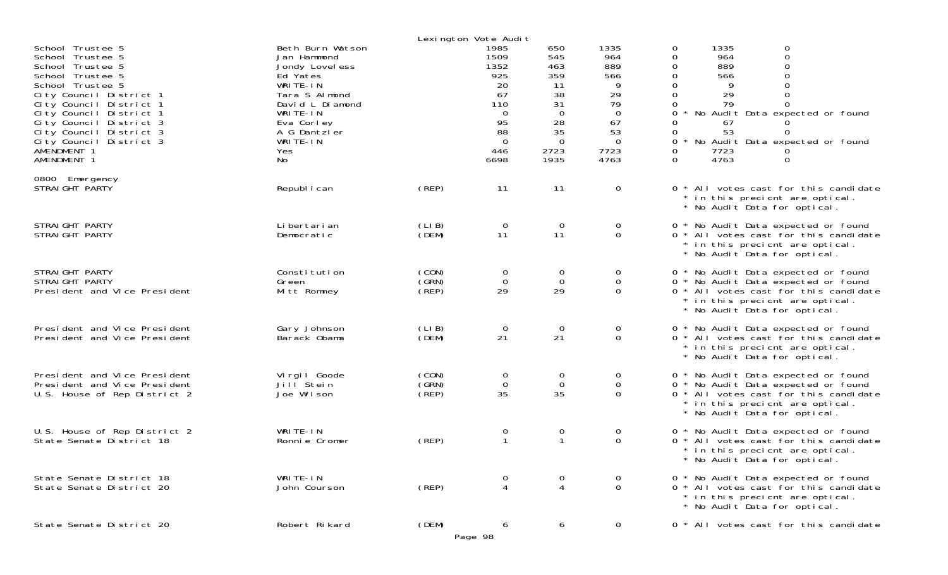|                                                                                                                                                                                                                                                                                                  |                                                                                                                                                                                   |                         | Lexington Vote Audit                                                                                          |                                                                                                            |                                                                                                         |                                                                                                                                                                                                                                                                                                            |
|--------------------------------------------------------------------------------------------------------------------------------------------------------------------------------------------------------------------------------------------------------------------------------------------------|-----------------------------------------------------------------------------------------------------------------------------------------------------------------------------------|-------------------------|---------------------------------------------------------------------------------------------------------------|------------------------------------------------------------------------------------------------------------|---------------------------------------------------------------------------------------------------------|------------------------------------------------------------------------------------------------------------------------------------------------------------------------------------------------------------------------------------------------------------------------------------------------------------|
| School Trustee 5<br>School Trustee 5<br>School Trustee 5<br>School Trustee 5<br>School Trustee 5<br>City Council District 1<br>City Council District 1<br>City Council District 1<br>City Council District 3<br>City Council District 3<br>City Council District 3<br>AMENDMENT 1<br>AMENDMENT 1 | Beth Burn Watson<br>Jan Hammond<br>Jondy Lovel ess<br>Ed Yates<br>WRITE-IN<br>Tara S Almond<br>David L Diamond<br>WRITE-IN<br>Eva Corley<br>A G Dantzler<br>WRITE-IN<br>Yes<br>No |                         | 1985<br>1509<br>1352<br>925<br>20<br>67<br>110<br>$\overline{0}$<br>95<br>88<br>$\overline{0}$<br>446<br>6698 | 650<br>545<br>463<br>359<br>11<br>38<br>31<br>$\overline{0}$<br>28<br>35<br>$\overline{0}$<br>2723<br>1935 | 1335<br>964<br>889<br>566<br>9<br>29<br>79<br>$\overline{0}$<br>67<br>53<br>$\mathbf 0$<br>7723<br>4763 | 1335<br>$\mathbf 0$<br>0<br>$\overline{O}$<br>964<br>0<br>889<br>0<br>0<br>566<br>$\Omega$<br>0<br>9<br>0<br>29<br>$\Omega$<br>79<br>$\Omega$<br>0<br>0<br>No Audit Data expected or found<br>0<br>67<br>53<br>$\Omega$<br>0<br>No Audit Data expected or found<br>0<br>7723<br>0<br>0<br>4763<br>$\Omega$ |
| 0800 Emergency<br>STRAIGHT PARTY                                                                                                                                                                                                                                                                 | Republ i can                                                                                                                                                                      | (REP)                   | 11                                                                                                            | 11                                                                                                         | 0                                                                                                       | 0 * All votes cast for this candidate<br>* in this precient are optical.<br>* No Audit Data for optical.                                                                                                                                                                                                   |
| STRAIGHT PARTY<br>STRAIGHT PARTY                                                                                                                                                                                                                                                                 | Li bertari an<br>Democratic                                                                                                                                                       | (LIB)<br>(DEM)          | $\overline{0}$<br>11                                                                                          | $\overline{0}$<br>11                                                                                       | $\mathbf 0$<br>0                                                                                        | 0 * No Audit Data expected or found<br>0 * All votes cast for this candidate<br>* in this precient are optical.<br>* No Audit Data for optical.                                                                                                                                                            |
| STRAIGHT PARTY<br>STRAIGHT PARTY<br>President and Vice President                                                                                                                                                                                                                                 | Constitution<br>Green<br>Mitt Romney                                                                                                                                              | (CON)<br>(GRN)<br>(REP) | 0<br>$\mathbf 0$<br>29                                                                                        | $\mathbf{O}$<br>$\overline{0}$<br>29                                                                       | 0<br>$\mathbf 0$<br>$\Omega$                                                                            | 0 * No Audit Data expected or found<br>0 * No Audit Data expected or found<br>0 * All votes cast for this candidate<br>* in this precient are optical.<br>* No Audit Data for optical.                                                                                                                     |
| President and Vice President<br>President and Vice President                                                                                                                                                                                                                                     | Gary Johnson<br>Barack Obama                                                                                                                                                      | (LIB)<br>(DEM)          | $\overline{0}$<br>21                                                                                          | 0<br>21                                                                                                    | $\mathbf 0$<br>0                                                                                        | 0 * No Audit Data expected or found<br>0 * All votes cast for this candidate<br>* in this precient are optical.<br>* No Audit Data for optical.                                                                                                                                                            |
| President and Vice President<br>President and Vice President<br>U.S. House of Rep District 2                                                                                                                                                                                                     | Virgil Goode<br>Jill <sup>Stein</sup><br>Joe Wilson                                                                                                                               | (CON)<br>(GRN)<br>(REP) | 0<br>$\mathbf 0$<br>35                                                                                        | 0<br>$\mathbf 0$<br>35                                                                                     | $\overline{0}$<br>0<br>$\Omega$                                                                         | 0 * No Audit Data expected or found<br>0 * No Audit Data expected or found<br>0 * All votes cast for this candidate<br>* in this precient are optical.<br>* No Audit Data for optical.                                                                                                                     |
| U.S. House of Rep District 2<br>State Senate District 18                                                                                                                                                                                                                                         | WRITE-IN<br>Ronnie Cromer                                                                                                                                                         | (REP)                   | $\mathbf 0$<br>$\mathbf{1}$                                                                                   | 0<br>$\mathbf 1$                                                                                           | 0<br>0                                                                                                  | 0 * No Audit Data expected or found<br>0 * All votes cast for this candidate<br>* in this precient are optical.<br>* No Audit Data for optical.                                                                                                                                                            |
| State Senate District 18<br>State Senate District 20                                                                                                                                                                                                                                             | WRITE-IN<br>John Courson                                                                                                                                                          | (REP)                   | $\boldsymbol{0}$<br>$\overline{4}$                                                                            | 0<br>4                                                                                                     | 0<br>0                                                                                                  | 0 * No Audit Data expected or found<br>0 * All votes cast for this candidate<br>* in this precient are optical.<br>* No Audit Data for optical.                                                                                                                                                            |
| State Senate District 20                                                                                                                                                                                                                                                                         | Robert Rikard                                                                                                                                                                     | (DEM)                   | 6<br>Page 98                                                                                                  | 6                                                                                                          | 0                                                                                                       | 0 * All votes cast for this candidate                                                                                                                                                                                                                                                                      |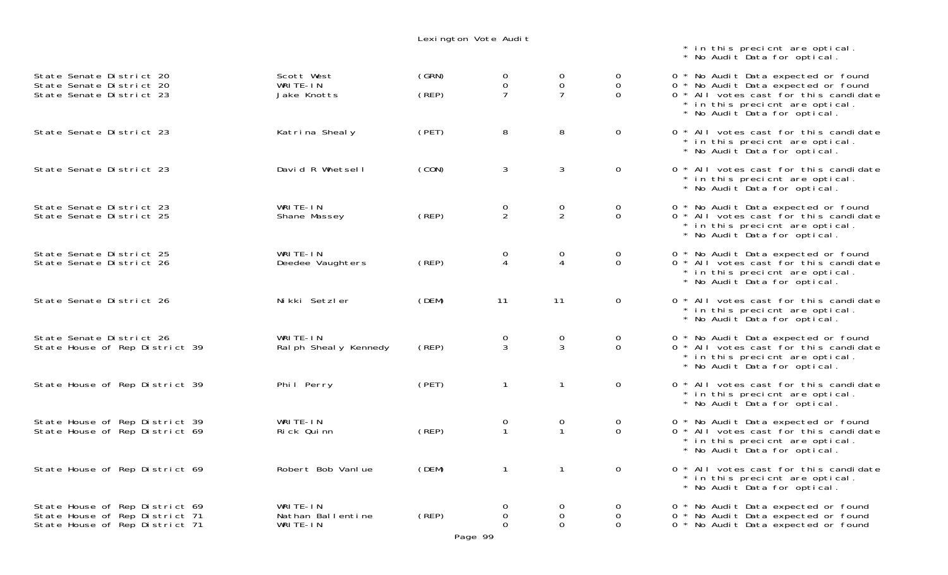## Lexington Vote Audit

| State Senate District 20<br>State Senate District 20<br>State Senate District 23                   | Scott West<br>WRITE-IN<br>Jake Knotts     | (GRN)<br>(REP)                             | $\mathbf 0$<br>0<br>$\overline{7}$            | 0<br>$\Omega$<br>$\overline{7}$ | 0<br>$\Omega$<br>$\Omega$   | 0 * No Audit Data expected or fo<br>0 * No Audit Data expected or fo<br>0 * All votes cast for this cand<br>* in this precicnt are optical<br>* No Audit Data for optical. |
|----------------------------------------------------------------------------------------------------|-------------------------------------------|--------------------------------------------|-----------------------------------------------|---------------------------------|-----------------------------|----------------------------------------------------------------------------------------------------------------------------------------------------------------------------|
| State Senate District 23                                                                           | Katrina Shealy                            | (PET)                                      | 8                                             | 8                               | $\mathbf 0$                 | 0 * All votes cast for this cand<br>* in this precient are optical<br>* No Audit Data for optical.                                                                         |
| State Senate District 23                                                                           | David R Whetsell                          | (CON)                                      | 3                                             | 3                               | $\mathbf 0$                 | 0 * All votes cast for this cand<br>* in this precient are optical<br>* No Audit Data for optical.                                                                         |
| State Senate District 23<br>State Senate District 25                                               | WRITE-IN<br>Shane Massey                  | (REP)                                      | 0<br>$\overline{2}$                           | 0<br>$\overline{2}$             | $\mathbf{O}$<br>$\mathbf 0$ | 0 * No Audit Data expected or fo<br>0 * All votes cast for this cand<br>* in this precicnt are optical<br>* No Audit Data for optical.                                     |
| State Senate District 25<br>State Senate District 26                                               | WRITE-IN<br>Deedee Vaughters              | (REP)                                      | 0                                             | 0<br>4                          | $\mathbf{O}$<br>$\Omega$    | 0 * No Audit Data expected or fo<br>0 * All votes cast for this cand<br>* in this precicnt are optical<br>* No Audit Data for optical.                                     |
| State Senate District 26                                                                           | Nikki Setzler                             | (DEM)                                      | 11                                            | 11                              | $\mathbf 0$                 | 0 * All votes cast for this cand<br>* in this precient are optical<br>* No Audit Data for optical.                                                                         |
| State Senate District 26<br>State House of Rep District 39                                         | WRITE-IN<br>Ral ph Sheal y Kennedy        | (REP)                                      | $\boldsymbol{0}$<br>$\mathfrak{Z}$            | 0<br>3                          | $\mathbf{O}$<br>$\mathbf 0$ | 0 * No Audit Data expected or fo<br>0 * All votes cast for this cand<br>* in this precicnt are optical<br>* No Audit Data for optical.                                     |
| State House of Rep District 39                                                                     | Phil Perry                                | (PET)                                      | $\mathbf{1}$                                  | $\mathbf{1}$                    | 0                           | 0 * All votes cast for this cand<br>* in this precicnt are optical<br>* No Audit Data for optical.                                                                         |
| State House of Rep District 39<br>State House of Rep District 69                                   | WRITE-IN<br>Rick Quinn                    | (REP)                                      | 0<br>$\mathbf{1}$                             | $\overline{0}$<br>$\mathbf{1}$  | 0<br>$\Omega$               | 0 * No Audit Data expected or fo<br>0 * All votes cast for this cand<br>* in this precicnt are optical<br>* No Audit Data for optical.                                     |
| State House of Rep District 69                                                                     | Robert Bob Vanlue                         | (DEM)                                      | $\mathbf{1}$                                  | $\mathbf{1}$                    | $\overline{0}$              | 0 * All votes cast for this cand<br>* in this precient are optical<br>* No Audit Data for optical.                                                                         |
| State House of Rep District 69<br>State House of Rep District 71<br>State House of Rep District 71 | WRITE-IN<br>Nathan Ballentine<br>WRITE-IN | $($ REP $)$<br>$\sim$ $\sim$ $\sim$ $\sim$ | $\mathbf 0$<br>0<br>$\Omega$<br>$\sim$ $\sim$ | 0<br>0<br>$\Omega$              | 0<br>0<br>$\Omega$          | 0 * No Audit Data expected or fo<br>0 * No Audit Data expected or fo<br>0 * No Audit Data expected or fo                                                                   |

 $0 * All votes cast for this candidate$  \* in this precicnt are optical. \* No Audit Data for optical.  $0 * All votes cast for this candidate$  \* in this precicnt are optical. \* No Audit Data for optical. 0 \* No Audit Data expected or found  $0 * All votes cast for this candidate$  \* in this precicnt are optical. \* No Audit Data for optical.  $0 *$  No Audit Data expected or found  $0 * All votes cast for this candidate$  \* in this precicnt are optical. \* No Audit Data for optical.  $0 * All votes cast for this candidate$  \* in this precicnt are optical. \* No Audit Data for optical. 0 \* No Audit Data expected or found  $0 * All votes cast for this candidate$ 

 \* in this precicnt are optical. \* No Audit Data for optical.

0 \* No Audit Data expected or found  $0 * No$  Audit Data expected or found  $\overline{0}$  \* All votes cast for this candidate \* in this precicnt are optical. \* No Audit Data for optical.

 $0 * All votes cast for this candidate$  \* in this precicnt are optical. \* No Audit Data for optical.  $0 *$  No Audit Data expected or found  $0 * All votes cast for this candidate$  \* in this precicnt are optical. \* No Audit Data for optical.  $0 * All votes cast for this candidate$ \* in this precicnt are optical. \* No Audit Data for optical.  $0 *$  No Audit Data expected or found

 $0 *$  No Audit Data expected or found  $0 *$  No Audit Data expected or found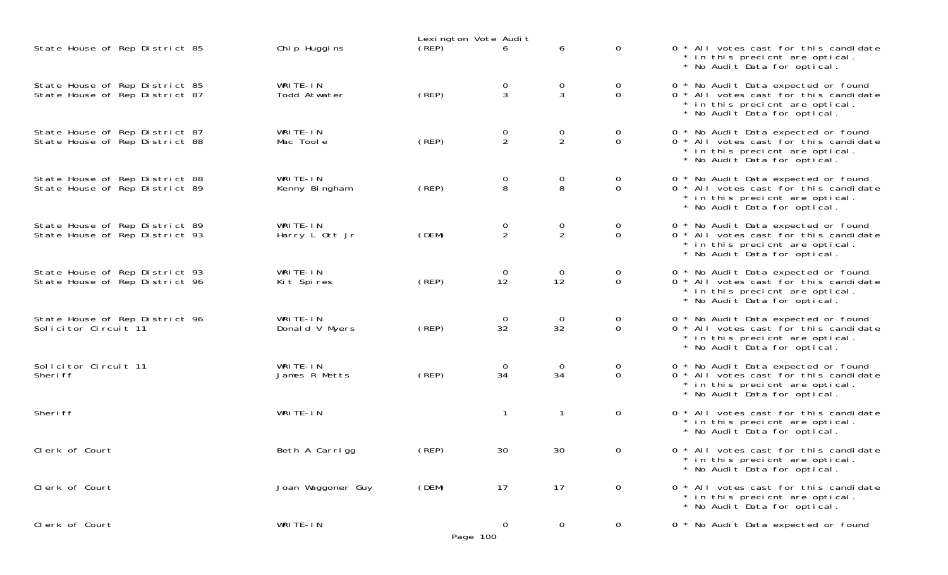|                                                                  |                            | Lexington Vote Audit |                     |                                  |                               |                                                                                                                                                 |
|------------------------------------------------------------------|----------------------------|----------------------|---------------------|----------------------------------|-------------------------------|-------------------------------------------------------------------------------------------------------------------------------------------------|
| State House of Rep District 85                                   | Chi p Huggi ns             | (REP)                | 6                   | 6                                | $\Omega$                      | 0 * All votes cast for this candidate<br>* in this precient are optical.<br>* No Audit Data for optical.                                        |
| State House of Rep District 85<br>State House of Rep District 87 | WRITE-IN<br>Todd Atwater   | (REP)                | 0<br>$\overline{3}$ | $\frac{0}{3}$                    | $\mathbf{O}$<br>$\Omega$      | 0 * No Audit Data expected or found<br>0 * All votes cast for this candidate<br>* in this precient are optical.<br>* No Audit Data for optical. |
| State House of Rep District 87<br>State House of Rep District 88 | WRITE-IN<br>Mac Toole      | (REP)                | $\frac{0}{2}$       | $\frac{0}{2}$                    | 0<br>$\overline{0}$           | 0 * No Audit Data expected or found<br>0 * All votes cast for this candidate<br>* in this precient are optical.<br>* No Audit Data for optical. |
| State House of Rep District 88<br>State House of Rep District 89 | WRITE-IN<br>Kenny Bingham  | (REP)                | 0<br>8              | $\overline{0}$<br>8              | 0<br>$\Omega$                 | 0 * No Audit Data expected or found<br>0 * All votes cast for this candidate<br>* in this precient are optical.<br>* No Audit Data for optical. |
| State House of Rep District 89<br>State House of Rep District 93 | WRITE-IN<br>Harry L Ott Jr | (DEM)                | 0<br>$\overline{2}$ | $\overline{0}$<br>$\overline{2}$ | 0<br>0                        | 0 * No Audit Data expected or found<br>0 * All votes cast for this candidate<br>* in this precient are optical.<br>* No Audit Data for optical. |
| State House of Rep District 93<br>State House of Rep District 96 | WRITE-IN<br>Kit Spires     | (REP)                | 0<br>12             | $\overline{0}$<br>12             | $\overline{0}$<br>$\mathbf 0$ | 0 * No Audit Data expected or found<br>0 * All votes cast for this candidate<br>* in this precient are optical.<br>* No Audit Data for optical. |
| State House of Rep District 96<br>Solicitor Circuit 11           | WRITE-IN<br>Donald V Myers | (REP)                | 0<br>32             | $\overline{O}$<br>32             | $\overline{O}$<br>$\Omega$    | 0 * No Audit Data expected or found<br>0 * All votes cast for this candidate<br>* in this precient are optical.<br>* No Audit Data for optical. |
| Solicitor Circuit 11<br>Sheri ff                                 | WRITE-IN<br>James R Metts  | (REP)                | 0<br>34             | $\overline{O}$<br>34             | 0<br>$\Omega$                 | 0 * No Audit Data expected or found<br>0 * All votes cast for this candidate<br>* in this precient are optical.<br>* No Audit Data for optical. |
| Sheri ff                                                         | WRITE-IN                   |                      | $\mathbf{1}$        | $\mathbf{1}$                     | $\mathbf 0$                   | 0 * All votes cast for this candidate<br>* in this precient are optical.<br>* No Audit Data for optical.                                        |
| Clerk of Court                                                   | Beth A Carrigg             | (REP)                | 30                  | 30                               | 0                             | 0 * All votes cast for this candidate<br>* in this precient are optical.<br>* No Audit Data for optical.                                        |
| Clerk of Court                                                   | Joan Waggoner Guy          | (DEM)                | 17                  | 17                               | $\overline{0}$                | 0 * All votes cast for this candidate<br>* in this precient are optical.<br>* No Audit Data for optical.                                        |
| Clerk of Court                                                   | WRITE-IN                   | Page 100             | 0                   | 0                                | 0                             | 0 * No Audit Data expected or found                                                                                                             |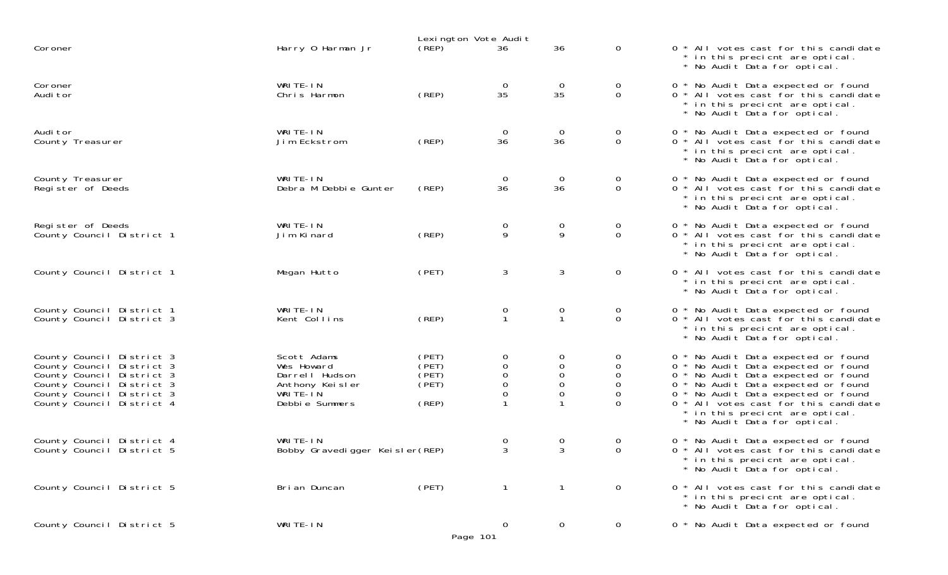|                                                                                                                                                                            |                                                                                              | Lexington Vote Audit                      |                                                             |                       |                                                                 |                                                                                                                                                                                                                                                                                                             |
|----------------------------------------------------------------------------------------------------------------------------------------------------------------------------|----------------------------------------------------------------------------------------------|-------------------------------------------|-------------------------------------------------------------|-----------------------|-----------------------------------------------------------------|-------------------------------------------------------------------------------------------------------------------------------------------------------------------------------------------------------------------------------------------------------------------------------------------------------------|
| Coroner                                                                                                                                                                    | Harry 0 Harman Jr                                                                            | (REP)                                     | 36                                                          | 36                    | $\mathbf 0$                                                     | 0 * All votes cast for this candidate<br>* in this precient are optical.<br>* No Audit Data for optical.                                                                                                                                                                                                    |
| Coroner<br>Audi tor                                                                                                                                                        | WRITE-IN<br>Chris Harmon                                                                     | (REP)                                     | $\mathbf 0$<br>35                                           | $\mathbf 0$<br>35     | $\overline{0}$<br>0                                             | 0 * No Audit Data expected or found<br>0 * All votes cast for this candidate<br>* in this precient are optical.<br>* No Audit Data for optical.                                                                                                                                                             |
| Audi tor<br>County Treasurer                                                                                                                                               | WRITE-IN<br>Jim Eckstrom                                                                     | (REP)                                     | $\mathbf 0$<br>36                                           | $\mathbf 0$<br>36     | 0<br>$\mathbf 0$                                                | 0 * No Audit Data expected or found<br>0 * All votes cast for this candidate<br>* in this precient are optical.<br>No Audit Data for optical.                                                                                                                                                               |
| County Treasurer<br>Register of Deeds                                                                                                                                      | WRITE-IN<br>Debra M Debbie Gunter                                                            | (REP)                                     | $\overline{0}$<br>36                                        | $\mathbf 0$<br>36     | 0<br>$\mathbf 0$                                                | 0 * No Audit Data expected or found<br>0 * All votes cast for this candidate<br>* in this precient are optical.<br>* No Audit Data for optical.                                                                                                                                                             |
| Register of Deeds<br>County Council District 1                                                                                                                             | WRITE-IN<br>Jim Kinard                                                                       | (REP)                                     | 0<br>9                                                      | 0<br>9                | $\overline{0}$<br>$\mathbf 0$                                   | 0 * No Audit Data expected or found<br>0 * All votes cast for this candidate<br>* in this precient are optical.<br>* No Audit Data for optical.                                                                                                                                                             |
| County Council District 1                                                                                                                                                  | Megan Hutto                                                                                  | (PET)                                     | $\mathbf{3}$                                                | 3                     | $\mathbf 0$                                                     | 0 * All votes cast for this candidate<br>* in this precient are optical.<br>* No Audit Data for optical.                                                                                                                                                                                                    |
| County Council District 1<br>County Council District 3                                                                                                                     | WRITE-IN<br>Kent Collins                                                                     | (REP)                                     | 0<br>$\mathbf{1}$                                           | 0<br>$\mathbf 1$      | 0<br>$\mathbf 0$                                                | 0 * No Audit Data expected or found<br>0 * All votes cast for this candidate<br>* in this precient are optical.<br>* No Audit Data for optical.                                                                                                                                                             |
| County Council District 3<br>County Council District 3<br>County Council District 3<br>County Council District 3<br>County Council District 3<br>County Council District 4 | Scott Adams<br>Wes Howard<br>Darrell Hudson<br>Anthony Keisler<br>WRITE-IN<br>Debbie Summers | (PET)<br>(PET)<br>(PET)<br>(PET)<br>(REP) | 0<br>$\mathsf{O}\xspace$<br>$\mathbf 0$<br>$\mathbf 0$<br>0 | 0<br>0<br>0<br>0<br>0 | 0<br>$\mathbf 0$<br>0<br>$\mathbf 0$<br>$\mathbf 0$<br>$\Omega$ | 0 * No Audit Data expected or found<br>0 * No Audit Data expected or found<br>0 * No Audit Data expected or found<br>0 * No Audit Data expected or found<br>0 * No Audit Data expected or found<br>0 * All votes cast for this candidate<br>* in this precient are optical.<br>* No Audit Data for optical. |
| County Council District 4<br>County Council District 5                                                                                                                     | WRITE-IN<br>Bobby Gravedigger Keisler (REP)                                                  |                                           | 0<br>3                                                      | 0<br>3                | 0<br>$\mathbf 0$                                                | 0 * No Audit Data expected or found<br>0 * All votes cast for this candidate<br>* in this precient are optical.<br>* No Audit Data for optical.                                                                                                                                                             |
| County Council District 5                                                                                                                                                  | Bri an Duncan                                                                                | (PET)                                     | $\mathbf{1}$                                                | $\mathbf{1}$          | $\mathbf 0$                                                     | 0 * All votes cast for this candidate<br>* in this precient are optical.<br>* No Audit Data for optical.                                                                                                                                                                                                    |
| County Council District 5                                                                                                                                                  | WRITE-IN                                                                                     | Page 101                                  | $\mathbf 0$                                                 | $\overline{0}$        | $\overline{0}$                                                  | 0 * No Audit Data expected or found                                                                                                                                                                                                                                                                         |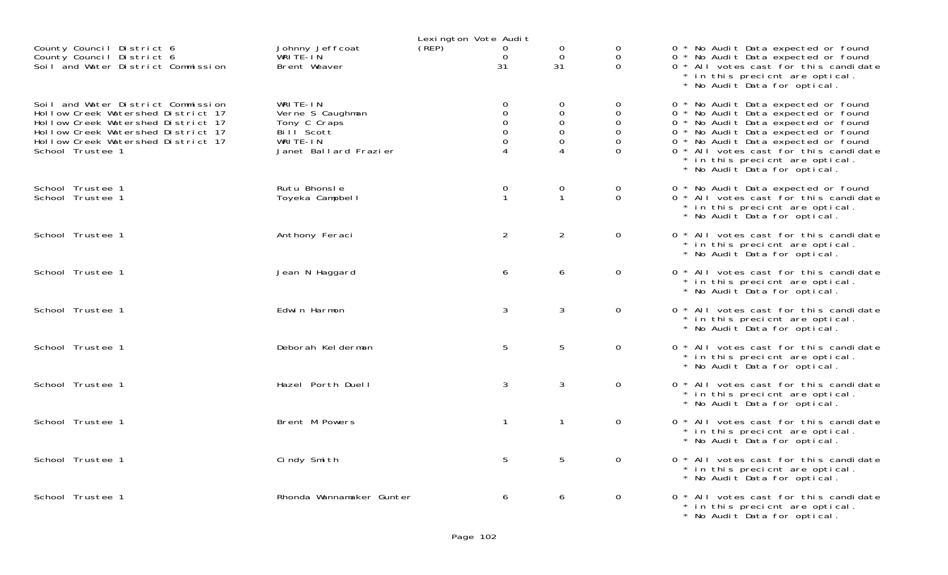| Lexington Vote Audit                                                                                                                                                                                           |                                                                                                 |       |                                                            |                                                                 |                                                                     |                                                                                                                                                                                                                                                                                                             |
|----------------------------------------------------------------------------------------------------------------------------------------------------------------------------------------------------------------|-------------------------------------------------------------------------------------------------|-------|------------------------------------------------------------|-----------------------------------------------------------------|---------------------------------------------------------------------|-------------------------------------------------------------------------------------------------------------------------------------------------------------------------------------------------------------------------------------------------------------------------------------------------------------|
| County Council District 6<br>County Council District 6<br>Soil and Water District Commission                                                                                                                   | Johnny Jeffcoat<br>WRITE-IN<br>Brent Weaver                                                     | (REP) | 0<br>$\mathbf 0$<br>31                                     | $\Omega$<br>$\mathbf 0$<br>31                                   | 0<br>0<br>$\Omega$                                                  | 0 * No Audit Data expected or found<br>0 * No Audit Data expected or found<br>0 * All votes cast for this candidate<br>* in this precient are optical.<br>* No Audit Data for optical.                                                                                                                      |
| Soil and Water District Commission<br>Hollow Creek Watershed District 17<br>Hollow Creek Watershed District 17<br>Hollow Creek Watershed District 17<br>Hollow Creek Watershed District 17<br>School Trustee 1 | WRITE-IN<br>Verne S Caughman<br>Tony C Craps<br>Bill Scott<br>WRITE-IN<br>Janet Ballard Frazier |       | $\mathbf 0$<br>$\mathbf 0$<br>$\mathbf 0$<br>$\Omega$<br>0 | 0<br>$\mathbf 0$<br>$\mathbf 0$<br>$\Omega$<br>$\mathbf 0$<br>4 | 0<br>$\mathbf 0$<br>$\mathbf 0$<br>$\Omega$<br>$\Omega$<br>$\Omega$ | 0 * No Audit Data expected or found<br>0 * No Audit Data expected or found<br>0 * No Audit Data expected or found<br>0 * No Audit Data expected or found<br>0 * No Audit Data expected or found<br>0 * All votes cast for this candidate<br>* in this precient are optical.<br>* No Audit Data for optical. |
| School Trustee 1<br>School Trustee 1                                                                                                                                                                           | Rutu Bhonsle<br>Toyeka Campbell                                                                 |       | $\mathbf 0$<br>$\mathbf 1$                                 | 0<br>$\mathbf{1}$                                               | $\mathbf 0$<br>$\overline{0}$                                       | 0 * No Audit Data expected or found<br>0 * All votes cast for this candidate<br>* in this precient are optical.<br>* No Audit Data for optical.                                                                                                                                                             |
| School Trustee 1                                                                                                                                                                                               | Anthony Feraci                                                                                  |       | $\overline{2}$                                             | $\overline{2}$                                                  | $\mathsf{O}$                                                        | 0 * All votes cast for this candidate<br>* in this precient are optical.<br>* No Audit Data for optical.                                                                                                                                                                                                    |
| School Trustee 1                                                                                                                                                                                               | Jean N Haggard                                                                                  |       | 6                                                          | 6                                                               | $\overline{0}$                                                      | 0 * All votes cast for this candidate<br>* in this precient are optical.<br>* No Audit Data for optical.                                                                                                                                                                                                    |
| School Trustee 1                                                                                                                                                                                               | Edwin Harmon                                                                                    |       | 3                                                          | 3                                                               | $\overline{0}$                                                      | 0 * All votes cast for this candidate<br>* in this precient are optical.<br>* No Audit Data for optical.                                                                                                                                                                                                    |
| School Trustee 1                                                                                                                                                                                               | Deborah Kel derman                                                                              |       | 5                                                          | 5                                                               | $\overline{0}$                                                      | 0 * All votes cast for this candidate<br>* in this precient are optical.<br>* No Audit Data for optical.                                                                                                                                                                                                    |
| School Trustee 1                                                                                                                                                                                               | Hazel Porth Duell                                                                               |       | 3                                                          | $\mathbf{3}$                                                    | $\overline{0}$                                                      | 0 * All votes cast for this candidate<br>* in this precient are optical.<br>* No Audit Data for optical.                                                                                                                                                                                                    |
| School Trustee 1                                                                                                                                                                                               | Brent M Powers                                                                                  |       | $\mathbf{1}$                                               | $\mathbf{1}$                                                    | $\mathsf{O}$                                                        | 0 * All votes cast for this candidate<br>* in this precient are optical.<br>* No Audit Data for optical.                                                                                                                                                                                                    |
| School Trustee 1                                                                                                                                                                                               | Cindy Smith                                                                                     |       | 5                                                          | 5                                                               | $\mathbf 0$                                                         | 0 * All votes cast for this candidate<br>* in this precient are optical.<br>* No Audit Data for optical.                                                                                                                                                                                                    |
| School Trustee 1                                                                                                                                                                                               | Rhonda Wannamaker Gunter                                                                        |       | 6                                                          | 6                                                               | $\mathbf 0$                                                         | 0 * All votes cast for this candidate<br>* in this precient are optical.<br>* No Audit Data for optical.                                                                                                                                                                                                    |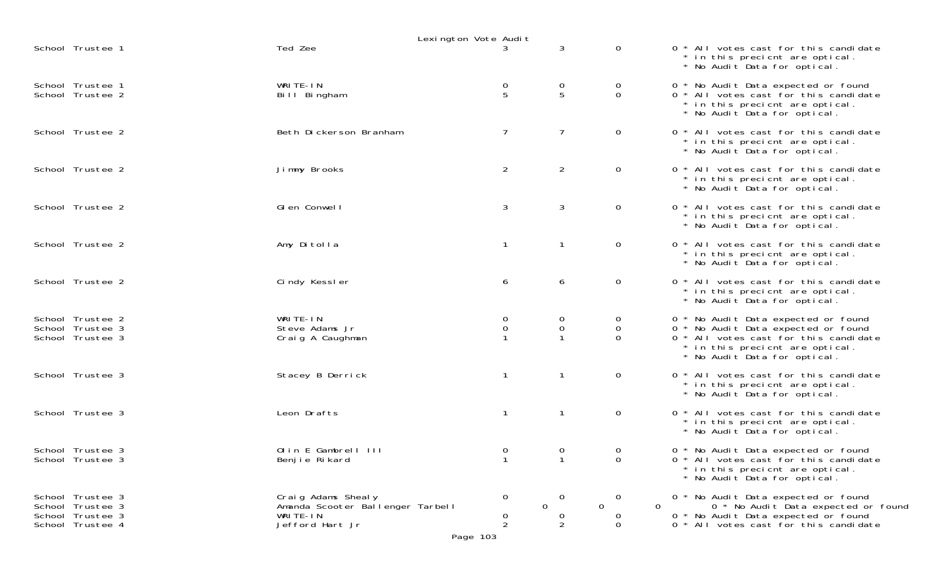|                                                                              |                                                                                       | Lexington Vote Audit                  |                                       |                                                 |                                                                                                                                                                                        |
|------------------------------------------------------------------------------|---------------------------------------------------------------------------------------|---------------------------------------|---------------------------------------|-------------------------------------------------|----------------------------------------------------------------------------------------------------------------------------------------------------------------------------------------|
| School Trustee 1                                                             | Ted Zee                                                                               |                                       | 3                                     | $\mathbf 0$                                     | 0 * All votes cast for this candidate<br>* in this precient are optical.<br>* No Audit Data for optical.                                                                               |
| School Trustee 1<br>School Trustee 2                                         | WRITE-IN<br>Bill Bingham                                                              | $\begin{array}{c} 0 \\ 5 \end{array}$ | $\begin{array}{c} 0 \\ 5 \end{array}$ | 0<br>$\mathbf 0$                                | 0 * No Audit Data expected or found<br>0 * All votes cast for this candidate<br>* in this precient are optical.<br>* No Audit Data for optical.                                        |
| School Trustee 2                                                             | Beth Dickerson Branham                                                                | 7                                     | $\overline{7}$                        | $\mathbf 0$                                     | 0 * All votes cast for this candidate<br>* in this precient are optical.<br>* No Audit Data for optical.                                                                               |
| School Trustee 2                                                             | Jimmy Brooks                                                                          | 2                                     | $\overline{2}$                        | $\mathbf 0$                                     | 0 * All votes cast for this candidate<br>* in this precient are optical.<br>* No Audit Data for optical.                                                                               |
| School Trustee 2                                                             | GI en Conwell                                                                         | 3                                     | 3                                     | $\mathbf 0$                                     | 0 * All votes cast for this candidate<br>* in this precient are optical.<br>* No Audit Data for optical.                                                                               |
| School Trustee 2                                                             | Amy Ditolla                                                                           | -1                                    | $\mathbf 1$                           | $\mathsf{O}$                                    | 0 * All votes cast for this candidate<br>* in this precient are optical.<br>* No Audit Data for optical.                                                                               |
| School Trustee 2                                                             | Cindy Kessler                                                                         | 6                                     | 6                                     | $\overline{0}$                                  | 0 * All votes cast for this candidate<br>* in this precient are optical.<br>* No Audit Data for optical.                                                                               |
| School Trustee 2<br>School Trustee 3<br>School Trustee 3                     | WRITE-IN<br>Steve Adams Jr<br>Craig A Caughman                                        | 0<br>$\mathbf 0$                      | 0<br>$\overline{0}$                   | 0<br>$\mathbf{0}$<br>$\Omega$                   | 0 * No Audit Data expected or found<br>0 * No Audit Data expected or found<br>0 * All votes cast for this candidate<br>* in this precient are optical.<br>* No Audit Data for optical. |
| School Trustee 3                                                             | Stacey B Derrick                                                                      | -1                                    | $\mathbf 1$                           | $\mathsf{O}$                                    | 0 * All votes cast for this candidate<br>* in this precient are optical.<br>* No Audit Data for optical.                                                                               |
| School Trustee 3                                                             | Leon Drafts                                                                           | -1                                    | -1                                    | $\overline{0}$                                  | 0 * All votes cast for this candidate<br>* in this precicnt are optical.<br>* No Audit Data for optical.                                                                               |
| School Trustee 3<br>School Trustee 3                                         | Olin E Gambrell III<br>Benjie Rikard                                                  | $\overline{0}$<br>$\mathbf{1}$        | $\mathbf 0$<br>1                      | $\mathbf 0$<br>$\overline{0}$                   | 0 * No Audit Data expected or found<br>0 * All votes cast for this candidate<br>* in this precient are optical.<br>* No Audit Data for optical.                                        |
| School Trustee 3<br>School Trustee 3<br>School Trustee 3<br>School Trustee 4 | Craig Adams Shealy<br>Amanda Scooter Ballenger Tarbell<br>WRITE-IN<br>Jefford Hart Jr | 0<br>0<br>0<br>2<br>Page 103          | $\overline{0}$<br>$\overline{0}$<br>2 | $\overline{0}$<br>$\mathbf{0}$<br>0<br>$\Omega$ | 0 * No Audit Data expected or found<br>0 * No Audit Data expected or found<br>$\Omega$<br>0 * No Audit Data expected or found<br>0 * All votes cast for this candidate                 |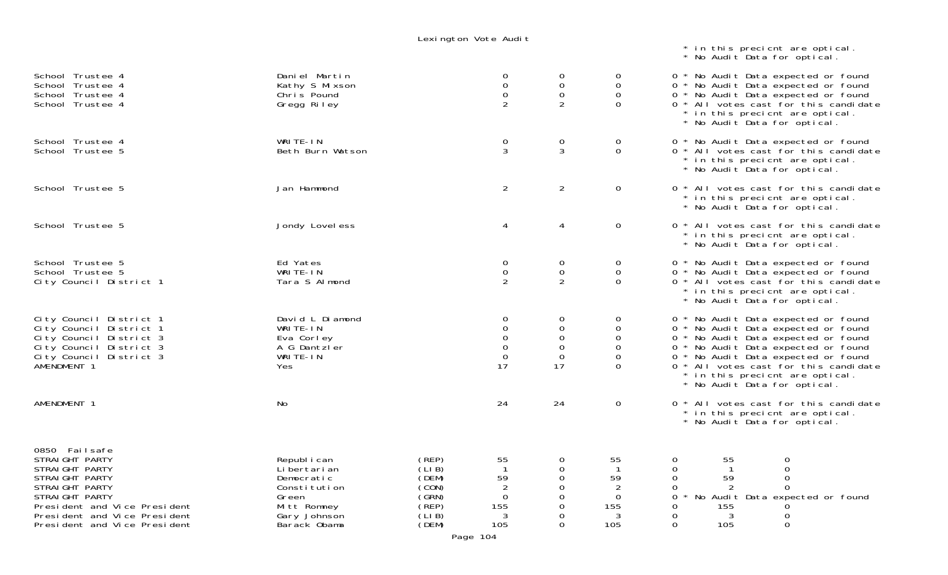Lexington Vote Audit

|                                                                                                                                                                                                         |                                                                                                                     |                                                                                                                      |                                                                             |                                                       | * in this precient are optical.<br>* No Audit Data for optical.                                                                                                                                                                                                                                             |
|---------------------------------------------------------------------------------------------------------------------------------------------------------------------------------------------------------|---------------------------------------------------------------------------------------------------------------------|----------------------------------------------------------------------------------------------------------------------|-----------------------------------------------------------------------------|-------------------------------------------------------|-------------------------------------------------------------------------------------------------------------------------------------------------------------------------------------------------------------------------------------------------------------------------------------------------------------|
| School Trustee 4<br>School Trustee 4<br>School Trustee 4<br>School Trustee 4                                                                                                                            | Daniel Martin<br>Kathy S Mixson<br>Chris Pound<br>Gregg Riley                                                       | 0<br>$\mathsf{O}\xspace$<br>$\mathbf 0$<br>2                                                                         | $\overline{0}$<br>0<br>$\mathbf 0$<br>$\overline{2}$                        | $\overline{O}$<br>$\mathbf 0$<br>$\Omega$<br>$\Omega$ | 0 * No Audit Data expected or found<br>0 * No Audit Data expected or found<br>0 * No Audit Data expected or found<br>0 * All votes cast for this candidate<br>* in this precient are optical.<br>* No Audit Data for optical.                                                                               |
| School Trustee 4<br>School Trustee 5                                                                                                                                                                    | WRITE-IN<br>Beth Burn Watson                                                                                        | $\mathbf 0$<br>3                                                                                                     | $\mathbf 0$<br>3                                                            | 0<br>$\Omega$                                         | 0 * No Audit Data expected or found<br>0 * All votes cast for this candidate<br>* in this precient are optical.<br>* No Audit Data for optical.                                                                                                                                                             |
| School Trustee 5                                                                                                                                                                                        | Jan Hammond                                                                                                         | $\overline{2}$                                                                                                       | $\overline{2}$                                                              | $\mathbf 0$                                           | 0 * All votes cast for this candidate<br>* in this precient are optical.<br>* No Audit Data for optical.                                                                                                                                                                                                    |
| School Trustee 5                                                                                                                                                                                        | Jondy Lovel ess                                                                                                     | 4                                                                                                                    | 4                                                                           | $\overline{0}$                                        | 0 * All votes cast for this candidate<br>* in this precient are optical.<br>* No Audit Data for optical.                                                                                                                                                                                                    |
| School Trustee 5<br>School Trustee 5<br>City Council District 1                                                                                                                                         | Ed Yates<br>WRITE-IN<br>Tara S Almond                                                                               | 0<br>$\mathbf 0$<br>2                                                                                                | 0<br>$\mathbf 0$<br>$\overline{2}$                                          | $\sigma$<br>$\mathbf 0$<br>$\Omega$                   | 0 * No Audit Data expected or found<br>0 * No Audit Data expected or found<br>0 * All votes cast for this candidate<br>* in this precient are optical.<br>* No Audit Data for optical.                                                                                                                      |
| City Council District 1<br>City Council District 1<br>City Council District 3<br>City Council District 3<br>City Council District 3<br>AMENDMENT 1                                                      | David L Diamond<br>WRITE-IN<br>Eva Corley<br>A G Dantzler<br>WRITE-IN<br>Yes                                        | 0<br>0<br>$\mathbf 0$<br>$\mathbf 0$<br>$\mathbf 0$<br>17                                                            | 0<br>$\mathsf{O}\xspace$<br>$\mathbf 0$<br>$\mathbf 0$<br>$\mathbf 0$<br>17 | $\overline{0}$<br>0<br>0<br>0<br>0<br>$\Omega$        | 0 * No Audit Data expected or found<br>0 * No Audit Data expected or found<br>0 * No Audit Data expected or found<br>0 * No Audit Data expected or found<br>0 * No Audit Data expected or found<br>0 * All votes cast for this candidate<br>* in this precient are optical.<br>* No Audit Data for optical. |
| AMENDMENT 1                                                                                                                                                                                             | No                                                                                                                  | 24                                                                                                                   | 24                                                                          | $\overline{0}$                                        | 0 * All votes cast for this candidate<br>* in this precient are optical.<br>* No Audit Data for optical.                                                                                                                                                                                                    |
| 0850 Failsafe<br>STRAIGHT PARTY<br>STRAIGHT PARTY<br>STRAIGHT PARTY<br>STRAIGHT PARTY<br>STRAIGHT PARTY<br>President and Vice President<br>President and Vice President<br>President and Vice President | Republ i can<br>Li bertari an<br>Democratic<br>Constitution<br>Green<br>Mitt Romney<br>Gary Johnson<br>Barack Obama | (REP)<br>55<br>(LIB)<br>(DEM)<br>59<br>(CON)<br>(GRN)<br>0<br>(REP)<br>155<br>(LIB)<br>3<br>(DEM)<br>105<br>Page 104 | $\overline{0}$<br>0<br>0<br>0<br>0<br>0<br>0<br>0                           | 55<br>59<br>0<br>155<br>3<br>105                      | $\mathbf 0$<br>0<br>55<br>59<br>0<br>∩<br>0<br>0<br>No Audit Data expected or found<br>0<br>155<br>0<br>3<br>0<br>0<br>105<br>$\Omega$                                                                                                                                                                      |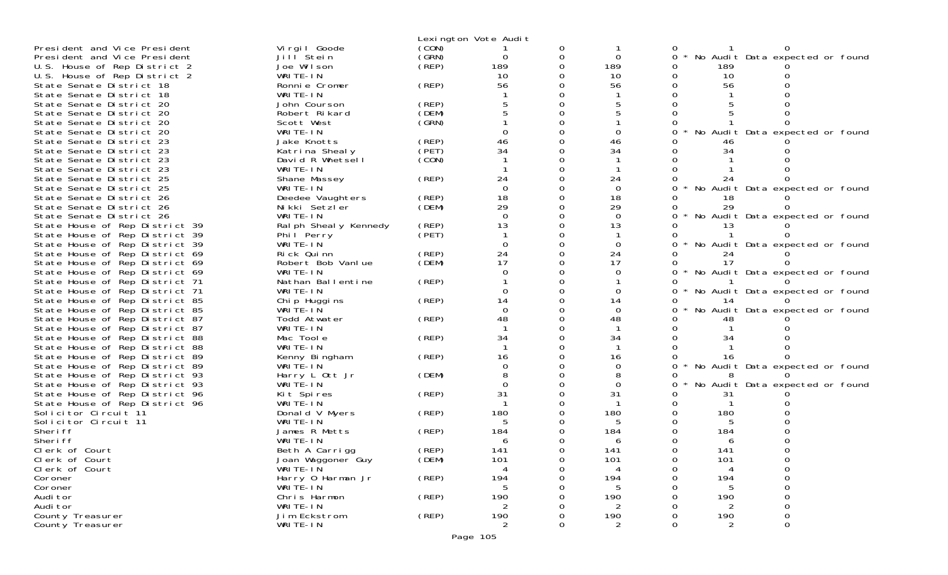|                                                                  |                          |                | Lexington Vote Audit |   |          |              |     |                                   |  |
|------------------------------------------------------------------|--------------------------|----------------|----------------------|---|----------|--------------|-----|-----------------------------------|--|
| President and Vice President                                     | Vi rgi I Goode           | (CON)          |                      |   |          |              |     |                                   |  |
| President and Vice President                                     | Jill <sup>Stein</sup>    | (GRN)          | 0                    |   | 0        | <sup>o</sup> |     | No Audit Data expected or found   |  |
| U.S. House of Rep District 2                                     | Joe Wilson               | (REF)          | 189                  |   | 189      |              | 189 |                                   |  |
| U.S. House of Rep District 2                                     | WRITE-IN                 |                | 10                   |   | 10       |              | 10  |                                   |  |
| State Senate District 18                                         | Ronnie Cromer            | (REP)          | 56                   |   | 56       |              | 56  |                                   |  |
| State Senate District 18                                         | WRITE-IN                 |                |                      |   |          |              |     |                                   |  |
| State Senate District 20                                         | John Courson             | (REP)          |                      |   |          |              |     |                                   |  |
| State Senate District 20                                         | Robert Rikard            | (DEM)          |                      |   |          |              |     |                                   |  |
| State Senate District 20                                         | Scott West               | (GRN)          |                      |   |          |              |     |                                   |  |
| State Senate District 20                                         | WRITE-IN                 |                |                      |   |          |              |     | No Audit Data expected or found   |  |
| State Senate District 23                                         | Jake Knotts              | (REP)          | 46                   |   | 46       |              | 46  |                                   |  |
| State Senate District 23                                         | Katrina Shealy           | (PET)          | 34                   |   | 34       |              | 34  |                                   |  |
| State Senate District 23                                         | David R Whetsell         | (CON)          |                      |   |          |              |     |                                   |  |
| State Senate District 23                                         | WRITE-IN                 |                |                      |   |          |              |     |                                   |  |
| State Senate District 25                                         | Shane Massey             | (REP)          | 24                   |   | 24       |              | 24  |                                   |  |
| State Senate District 25                                         | WRITE-IN                 |                | $\Omega$             |   | $\Omega$ |              |     | No Audit Data expected or found   |  |
| State Senate District 26                                         | Deedee Vaughters         | (REP)          | 18                   |   | 18       |              | 18  |                                   |  |
| State Senate District 26                                         | Nikki Setzler            | (DEM)          | 29                   |   | 29       |              |     |                                   |  |
| State Senate District 26                                         | WRITE-IN                 |                | $\Omega$             |   | $\Omega$ |              |     | * No Audit Data expected or found |  |
| State House of Rep District 39                                   | Ral ph Sheal y Kennedy   | (REP)          | 13                   |   | 13       |              |     |                                   |  |
| State House of Rep District 39                                   | Phil Perry               | (PET)          |                      |   |          |              |     |                                   |  |
| State House of Rep District 39                                   | WRITE-IN                 |                |                      |   | 0        |              |     | No Audit Data expected or found   |  |
| State House of Rep District 69                                   | Rick Quinn               | (REP)          | 24                   |   | 24       |              | 24  |                                   |  |
| State House of Rep District 69                                   | Robert Bob Vanlue        | (DEM)          | 17                   |   | 17       |              | 17  |                                   |  |
| State House of Rep District 69                                   | WRITE-IN                 |                |                      |   | 0        |              |     | * No Audit Data expected or found |  |
| State House of Rep District 71                                   | Nathan Ballentine        | (REP)          |                      |   | $\Omega$ |              |     |                                   |  |
| State House of Rep District 71                                   | WRITE-IN                 |                | 14                   |   | 14       |              |     | No Audit Data expected or found   |  |
| State House of Rep District 85                                   | Chip Huggins<br>WRITE-IN | (REP)          | ∩                    |   | $\Omega$ |              | 14  | No Audit Data expected or found   |  |
| State House of Rep District 85<br>State House of Rep District 87 | Todd Atwater             | (REP)          | 48                   |   | 48       |              | 48  |                                   |  |
| State House of Rep District 87                                   | WRITE-IN                 |                |                      |   |          |              |     |                                   |  |
| State House of Rep District 88                                   | Mac Toole                | (REP)          | 34                   |   | 34       |              | 34  |                                   |  |
| State House of Rep District 88                                   | WRITE-IN                 |                |                      |   |          |              |     |                                   |  |
| State House of Rep District 89                                   | Kenny Bingham            | (REP)          | 16                   |   | 16       |              | 16  |                                   |  |
| State House of Rep District 89                                   | WRITE-IN                 |                |                      |   | 0        |              |     | * No Audit Data expected or found |  |
| State House of Rep District 93                                   | Harry L Ott Jr           | (DEM)          |                      |   | 8        |              |     |                                   |  |
| State House of Rep District 93                                   | WRITE-IN                 |                |                      |   | $\Omega$ |              |     | No Audit Data expected or found   |  |
| State House of Rep District 96                                   | Kit Spires               | (REP)          | 31                   |   | 31       |              | 31  |                                   |  |
| State House of Rep District 96                                   | WRITE-IN                 |                |                      |   |          |              |     |                                   |  |
| Solicitor Circuit 11                                             | Donald V Myers           | (REP)          | 180                  |   | 180      |              | 180 |                                   |  |
| Solicitor Circuit 11                                             | WRITE-IN                 |                |                      |   |          |              |     |                                   |  |
| Sheri ff                                                         | James R Metts            | (REP)          | 184                  |   | 184      |              | 184 |                                   |  |
| Sheri ff                                                         | WRITE-IN                 |                | 6                    |   | 6        |              | 6   |                                   |  |
| Clerk of Court                                                   | Beth A Carrigg           | (REP)<br>(DEM) | 141                  |   | 141      |              | 141 |                                   |  |
| Clerk of Court                                                   | Joan Waggoner Guy        |                | 101                  | 0 | 101      | 0            | 101 |                                   |  |
| Clerk of Court                                                   | WRITE-IN                 |                |                      |   |          |              |     |                                   |  |
| Coroner                                                          | Harry 0 Harman Jr        | (REP)          | 194                  |   | 194      |              | 194 |                                   |  |
| Coroner                                                          | WRITE-IN                 |                | 5                    |   | 5        |              | 5   |                                   |  |
| Audi tor                                                         | Chris Harmon             | (REP)          | 190                  |   | 190      |              | 190 |                                   |  |
| Audi tor                                                         | WRITE-IN                 |                |                      |   | 2        |              |     |                                   |  |
| County Treasurer                                                 | Jim Eckstrom             | (REP)          | 190                  |   | 190      |              | 190 |                                   |  |
| County Treasurer                                                 | WRITE-IN                 |                | 2                    |   | 2        |              | 2   | 0                                 |  |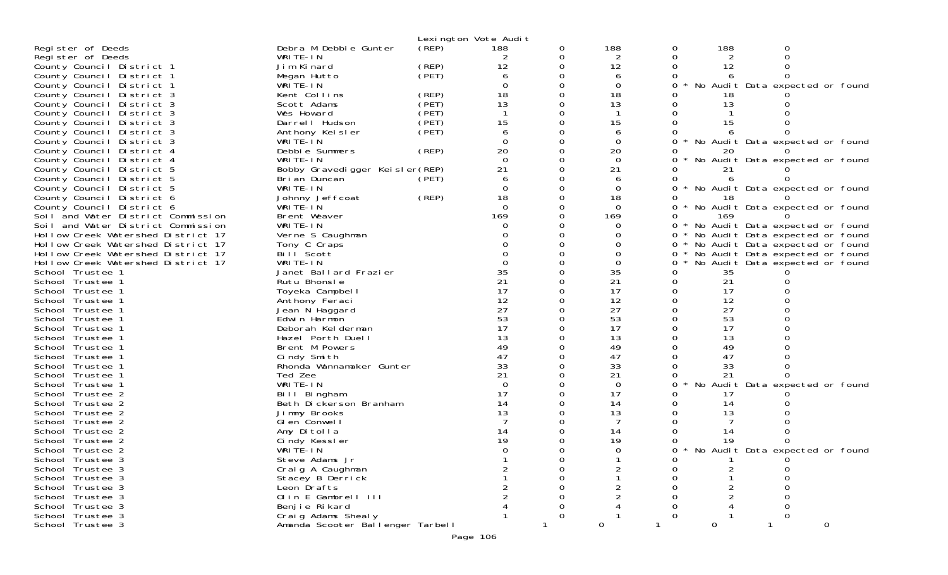|                                                        |                                  |       | Lexington Vote Audit |          |                |   |             |                                   |   |
|--------------------------------------------------------|----------------------------------|-------|----------------------|----------|----------------|---|-------------|-----------------------------------|---|
| Register of Deeds                                      | Debra M Debbie Gunter            | (REP) | 188                  | 0        | 188            | 0 | 188         | 0                                 |   |
| Register of Deeds                                      | WRITE-IN                         |       | 2                    | 0        | 2              |   | 2           |                                   |   |
| County Council District 1                              | Jim Kinard                       | (REP) | 12                   | $\Omega$ | 12             |   | 12          |                                   |   |
| County Council District 1                              | Megan Hutto                      | (PET) | 6                    |          | 6              |   | 6           |                                   |   |
| County Council District 1                              | WRITE-IN                         |       | 0                    |          | 0              |   |             | No Audit Data expected or found   |   |
| County Council District 3                              | Kent Collins                     | (REP) | 18                   | 0        | 18             |   |             |                                   |   |
| County Council District 3                              | Scott Adams                      | (PET) | 13                   |          | 13             |   | 13          |                                   |   |
| County Council District 3                              | Wes Howard                       | (PET) |                      |          |                |   |             |                                   |   |
| County Council District 3                              | Darrell Hudson                   | (PET) | 15                   |          | 15             |   | 15          |                                   |   |
| County Council District 3                              | Anthony Keisler                  | (PET) | 6                    |          | 6              |   |             |                                   |   |
| County Council District 3                              | WRITE-IN                         |       | $\Omega$             |          | $\Omega$       |   |             | * No Audit Data expected or found |   |
| County Council District 4                              | Debbie Summers                   | (REP) | 20                   |          | 20             |   |             |                                   |   |
| County Council District 4                              | WRITE-IN                         |       | $\Omega$             |          | $\overline{0}$ |   |             | No Audit Data expected or found   |   |
| County Council District 5                              | Bobby Gravedigger Keisler (REP)  |       | 21                   |          | 21             |   | 21          |                                   |   |
| County Council District 5                              | Bri an Duncan                    | (PET) | 6                    |          | 6              |   |             |                                   |   |
| County Council District 5                              | WRITE-IN                         |       | $\Omega$             |          | $\Omega$       |   |             | No Audit Data expected or found   |   |
| County Council District 6                              | Johnny Jeffcoat                  | (REP) | 18                   |          | 18             |   |             |                                   |   |
| County Council District 6                              | WRITE-IN                         |       | $\Omega$             |          | $\mathbf 0$    |   |             | No Audit Data expected or found   |   |
| Soil and Water District Commission                     | Brent Weaver                     |       | 169                  |          | 169            | 0 | 169         |                                   |   |
| Soil and Water District Commission                     | WRITE-IN                         |       |                      |          | O              |   |             | No Audit Data expected or found   |   |
| Hollow Creek Watershed District 17                     | Verne S Caughman                 |       |                      |          |                | 0 |             | * No Audit Data expected or found |   |
| Hollow Creek Watershed District 17                     | Tony C Craps<br>Bill Scott       |       |                      |          |                | 0 |             | * No Audit Data expected or found |   |
| Hollow Creek Watershed District 17                     | WRITE-IN                         |       |                      |          | 0              | 0 |             | * No Audit Data expected or found |   |
| Hollow Creek Watershed District 17<br>School Trustee 1 | Janet Ballard Frazier            |       | 35                   |          | 35             | 0 | 35          | No Audit Data expected or found   |   |
| School Trustee 1                                       | Rutu Bhonsle                     |       | 21                   |          | 21             |   | 21          |                                   |   |
| School Trustee 1                                       | Toyeka Campbell                  |       | 17                   |          | 17             | 0 | 17          |                                   |   |
| School Trustee 1                                       | Anthony Feraci                   |       | 12                   |          | 12             |   | 12          |                                   |   |
| School Trustee 1                                       | Jean N Haggard                   |       | 27                   |          | 27             |   | 27          |                                   |   |
| School Trustee 1                                       | Edwin Harmon                     |       | 53                   |          | 53             |   | 53          |                                   |   |
| School Trustee 1                                       | Deborah Kelderman                |       | 17                   |          | 17             |   | 17          |                                   |   |
| School Trustee 1                                       | Hazel Porth Duell                |       | 13                   |          | 13             |   | 13          |                                   |   |
| School Trustee 1                                       | Brent M Powers                   |       | 49                   |          | 49             |   | 49          |                                   |   |
| School Trustee 1                                       | Cindy Smith                      |       | 47                   |          | 47             |   | 47          |                                   |   |
| School Trustee 1                                       | Rhonda Wannamaker Gunter         |       | 33                   |          | 33             |   | 33          |                                   |   |
| School Trustee 1                                       | Ted Zee                          |       | 21                   |          | 21             |   | 21          |                                   |   |
| School Trustee 1                                       | WRITE-IN                         |       | $\Omega$             |          | $\overline{0}$ |   |             | No Audit Data expected or found   |   |
| School Trustee 2                                       | Bill Bingham                     |       | 17                   |          | 17             |   | 17          |                                   |   |
| School Trustee 2                                       | Beth Dickerson Branham           |       | 14                   |          | 14             |   | 14          |                                   |   |
| School Trustee 2                                       | Jimmy Brooks                     |       | 13                   |          | 13             |   | 13          |                                   |   |
| School Trustee 2                                       | Glen Conwell                     |       |                      |          |                |   |             |                                   |   |
| School Trustee 2                                       | Amy Ditolla                      |       | 14                   |          | 14             |   |             |                                   |   |
| School Trustee 2                                       | Cindy Kessler                    |       | 19                   |          | 19             |   | 19          |                                   |   |
| School Trustee 2                                       | WRITE-IN                         |       | $\Omega$             |          | $\Omega$       | ∩ |             | * No Audit Data expected or found |   |
| School Trustee 3                                       | Steve Adams Jr                   |       |                      |          |                |   |             |                                   |   |
| School Trustee 3                                       | Craig A Caughman                 |       |                      |          | $\overline{2}$ |   | 2           |                                   |   |
| School Trustee 3                                       | Stacey B Derrick                 |       |                      |          |                |   |             |                                   |   |
| School Trustee 3                                       | Leon Drafts                      |       |                      |          | 2              |   | 2           |                                   |   |
| School Trustee 3                                       | Olin E Gambrell III              |       |                      |          |                |   |             |                                   |   |
| School Trustee 3                                       | Benjie Rikard                    |       |                      |          |                |   |             |                                   |   |
| School Trustee 3                                       | Craig Adams Shealy               |       |                      | 0        |                |   |             |                                   |   |
| School Trustee 3                                       | Amanda Scooter Ballenger Tarbell |       |                      |          | $\mathbf 0$    |   | $\mathbf 0$ |                                   | 0 |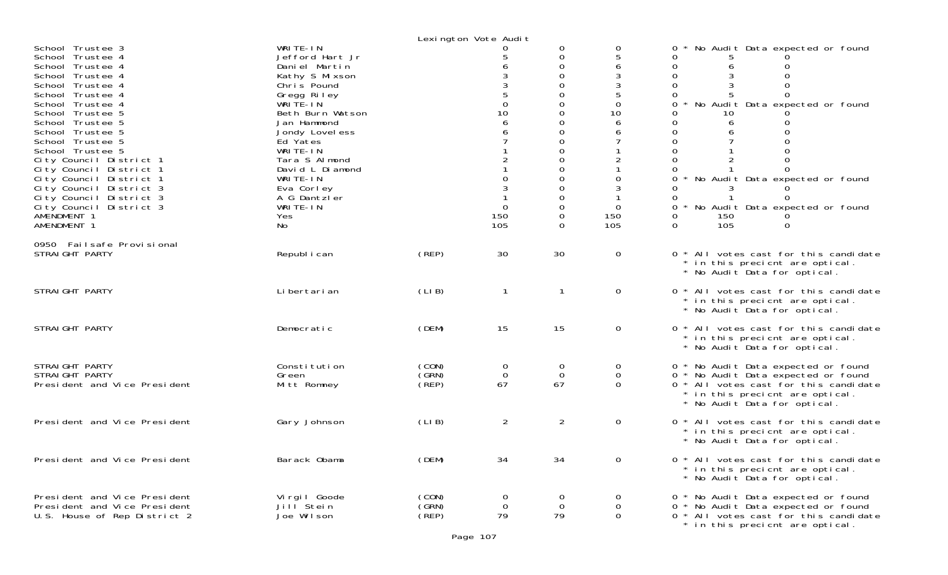|                                                                                                                                                                                                                                                                                                                                                                                                                                              |                                                                                                                                                                                                                                                                                               |                         | Lexington Vote Audit                                |                                                                                                 |                                                                      |                                                                                                                                                                                                                                                                                                                                                                                         |
|----------------------------------------------------------------------------------------------------------------------------------------------------------------------------------------------------------------------------------------------------------------------------------------------------------------------------------------------------------------------------------------------------------------------------------------------|-----------------------------------------------------------------------------------------------------------------------------------------------------------------------------------------------------------------------------------------------------------------------------------------------|-------------------------|-----------------------------------------------------|-------------------------------------------------------------------------------------------------|----------------------------------------------------------------------|-----------------------------------------------------------------------------------------------------------------------------------------------------------------------------------------------------------------------------------------------------------------------------------------------------------------------------------------------------------------------------------------|
| School Trustee 3<br>School Trustee 4<br>School Trustee 4<br>School Trustee 4<br>School Trustee 4<br>School Trustee 4<br>School Trustee 4<br>School Trustee 5<br>School Trustee 5<br>School Trustee 5<br>School Trustee 5<br>School Trustee 5<br>City Council District 1<br>City Council District 1<br>City Council District 1<br>City Council District 3<br>City Council District 3<br>City Council District 3<br>AMENDMENT 1<br>AMENDMENT 1 | WRITE-IN<br>Jefford Hart Jr<br>Daniel Martin<br>Kathy S Mixson<br>Chris Pound<br>Gregg Riley<br>WRITE-IN<br>Beth Burn Watson<br>Jan Hammond<br>Jondy Lovel ess<br>Ed Yates<br>WRITE-IN<br>Tara S Almond<br>David L Diamond<br>WRITE-IN<br>Eva Corley<br>A G Dantzler<br>WRITE-IN<br>Yes<br>No |                         | $\overline{0}$<br>10<br>6<br>$\Omega$<br>150<br>105 | 0<br>$\mathbf 0$<br>$\Omega$<br>0<br>0<br>0<br>0<br>0<br>$\Omega$<br>0<br>0<br>0<br>0<br>0<br>0 | 0<br>6<br>$\mathbf 0$<br>10<br>6<br>6<br>0<br>$\Omega$<br>150<br>105 | No Audit Data expected or found<br>0<br>0<br>$\Omega$<br>0<br>$\mathbf 0$<br>$\Omega$<br>$\Omega$<br>0<br>No Audit Data expected or found<br>0<br>10<br>$\Omega$<br>$\mathbf 0$<br>0<br>$\Omega$<br>0<br>$\Omega$<br>0<br>* No Audit Data expected or found<br>$\Omega$<br>0<br>3<br>0<br>0<br>* No Audit Data expected or found<br>$\Omega$<br>150<br>0<br>105<br>$\Omega$<br>$\Omega$ |
| 0950 Failsafe Provisional<br>STRAIGHT PARTY                                                                                                                                                                                                                                                                                                                                                                                                  | Republ i can                                                                                                                                                                                                                                                                                  | (REP)                   | 30                                                  | 30                                                                                              | $\mathbf 0$                                                          | 0 * All votes cast for this candidate<br>* in this precient are optical.<br>* No Audit Data for optical.                                                                                                                                                                                                                                                                                |
| STRAIGHT PARTY                                                                                                                                                                                                                                                                                                                                                                                                                               | Li bertari an                                                                                                                                                                                                                                                                                 | (LIB)                   | 1                                                   |                                                                                                 | 0                                                                    | 0 * All votes cast for this candidate<br>* in this precient are optical.<br>* No Audit Data for optical.                                                                                                                                                                                                                                                                                |
| STRAIGHT PARTY                                                                                                                                                                                                                                                                                                                                                                                                                               | Democratic                                                                                                                                                                                                                                                                                    | (DEM)                   | 15                                                  | 15                                                                                              | $\overline{O}$                                                       | 0 * All votes cast for this candidate<br>* in this precient are optical.<br>* No Audit Data for optical.                                                                                                                                                                                                                                                                                |
| STRAIGHT PARTY<br>STRAIGHT PARTY<br>President and Vice President                                                                                                                                                                                                                                                                                                                                                                             | Constitution<br>Green<br>Mitt Romney                                                                                                                                                                                                                                                          | (CON)<br>(GRN)<br>(REP) | 0<br>$\overline{0}$<br>67                           | $\overline{0}$<br>$\overline{0}$<br>67                                                          | 0<br>$\mathbf 0$<br>$\Omega$                                         | 0 * No Audit Data expected or found<br>0 * No Audit Data expected or found<br>0 * All votes cast for this candidate<br>* in this precient are optical.<br>* No Audit Data for optical.                                                                                                                                                                                                  |
| President and Vice President                                                                                                                                                                                                                                                                                                                                                                                                                 | Gary Johnson                                                                                                                                                                                                                                                                                  | (LIB)                   | $\overline{a}$                                      | $\overline{2}$                                                                                  | $\overline{O}$                                                       | 0 * All votes cast for this candidate<br>* in this precient are optical.<br>* No Audit Data for optical.                                                                                                                                                                                                                                                                                |
| President and Vice President                                                                                                                                                                                                                                                                                                                                                                                                                 | Barack Obama                                                                                                                                                                                                                                                                                  | (DEM)                   | 34                                                  | 34                                                                                              | 0                                                                    | 0 * All votes cast for this candidate<br>* in this precient are optical.<br>* No Audit Data for optical.                                                                                                                                                                                                                                                                                |
| President and Vice President<br>President and Vice President<br>U.S. House of Rep District 2                                                                                                                                                                                                                                                                                                                                                 | Vi rgi I Goode<br>Jill Stein<br>Joe Wilson                                                                                                                                                                                                                                                    | (CON)<br>(GRN)<br>(REF) | 0<br>$\overline{0}$<br>79                           | $\Omega$<br>$\mathbf 0$<br>79                                                                   | $\mathbf{0}$<br>$\overline{O}$<br>$\overline{0}$                     | 0 * No Audit Data expected or found<br>0 * No Audit Data expected or found<br>0 <sup>*</sup> All votes cast for this candidate<br>* in this precient are optical.                                                                                                                                                                                                                       |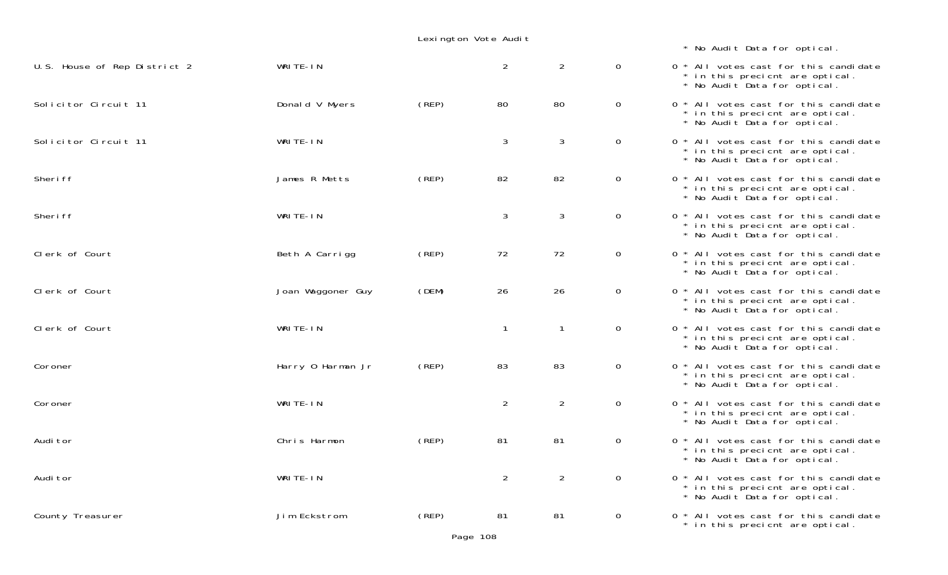| Lexington Vote Audit |  |  |  |
|----------------------|--|--|--|
|----------------------|--|--|--|

\* No Audit Data for optical.

| U.S. House of Rep District 2 | WRITE-IN          |       | $\overline{a}$ | $\overline{2}$ | $\mathbf 0$    | 0 * All votes cast for this candidate<br>* in this precient are optical.<br>* No Audit Data for optical. |
|------------------------------|-------------------|-------|----------------|----------------|----------------|----------------------------------------------------------------------------------------------------------|
| Solicitor Circuit 11         | Donald V Myers    | (REP) | 80             | 80             | $\mathsf{O}$   | 0 * All votes cast for this candidate<br>* in this precient are optical.<br>* No Audit Data for optical. |
| Solicitor Circuit 11         | WRITE-IN          |       | $\mathfrak{Z}$ | 3              | $\mathbf 0$    | 0 * All votes cast for this candidate<br>* in this precient are optical.<br>* No Audit Data for optical. |
| Sheri ff                     | James R Metts     | (REP) | 82             | 82             | $\overline{0}$ | 0 * All votes cast for this candidate<br>* in this precient are optical.<br>* No Audit Data for optical. |
| Sheri ff                     | WRITE-IN          |       | $\mathfrak{Z}$ | 3              | $\overline{0}$ | 0 * All votes cast for this candidate<br>* in this precient are optical.<br>* No Audit Data for optical. |
| Clerk of Court               | Beth A Carrigg    | (REP) | 72             | 72             | $\overline{0}$ | 0 * All votes cast for this candidate<br>* in this precient are optical.<br>* No Audit Data for optical. |
| Clerk of Court               | Joan Waggoner Guy | (DEM) | 26             | 26             | $\overline{0}$ | 0 * All votes cast for this candidate<br>* in this precient are optical.<br>* No Audit Data for optical. |
| Clerk of Court               | WRITE-IN          |       | $\mathbf{1}$   | $\mathbf{1}$   | $\overline{0}$ | 0 * All votes cast for this candidate<br>* in this precient are optical.<br>* No Audit Data for optical. |
| Coroner                      | Harry 0 Harman Jr | (REP) | 83             | 83             | $\overline{0}$ | 0 * All votes cast for this candidate<br>* in this precient are optical.<br>* No Audit Data for optical. |
| Coroner                      | WRITE-IN          |       | $\overline{2}$ | $\overline{2}$ | $\overline{0}$ | 0 * All votes cast for this candidate<br>* in this precient are optical.<br>* No Audit Data for optical. |
| Audi tor                     | Chris Harmon      | (REP) | 81             | 81             | $\overline{0}$ | 0 * All votes cast for this candidate<br>* in this precient are optical.<br>* No Audit Data for optical. |
| Audi tor                     | WRITE-IN          |       | 2              | $\overline{2}$ | $\overline{0}$ | 0 * All votes cast for this candidate<br>* in this precient are optical.<br>* No Audit Data for optical. |
| County Treasurer             | Jim Eckstrom      | (REP) | 81             | 81             | $\mathbf 0$    | 0 * All votes cast for this candidate<br>* in this precient are optical.                                 |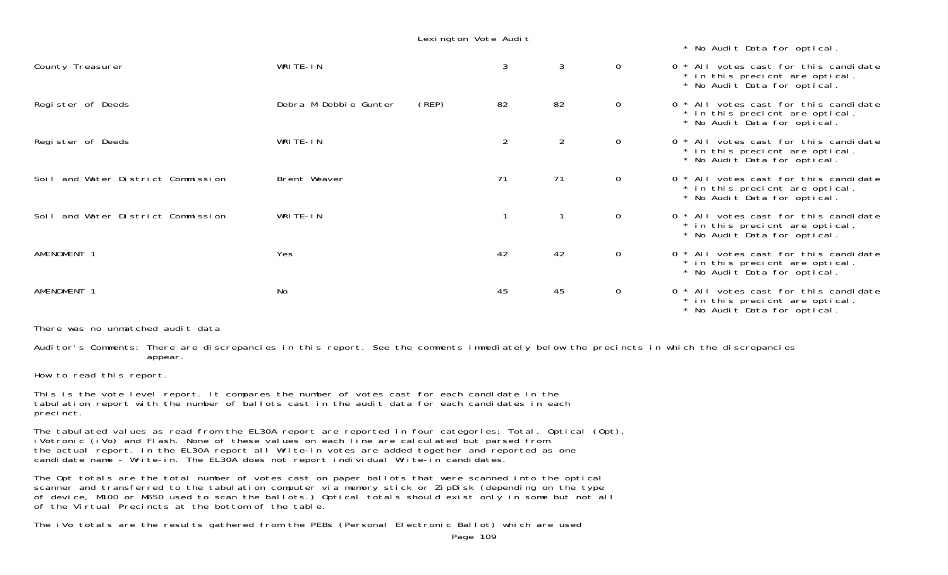Lexington Vote Audit

\* No Audit Data for optical.

| County Treasurer                   | WRITE-IN              |       | 3              | 3              | $\mathsf{O}$   | All votes cast for this candidate<br>* in this precient are optical.<br>* No Audit Data for optical.     |
|------------------------------------|-----------------------|-------|----------------|----------------|----------------|----------------------------------------------------------------------------------------------------------|
| Register of Deeds                  | Debra M Debbie Gunter | (REP) | 82             | 82             | $\mathsf{O}$   | 0 * All votes cast for this candidate<br>* in this precient are optical.<br>* No Audit Data for optical. |
| Register of Deeds                  | WRITE-IN              |       | $\overline{2}$ | $\overline{2}$ | $\overline{0}$ | All votes cast for this candidate<br>* in this precient are optical.<br>* No Audit Data for optical.     |
| Soil and Water District Commission | Brent Weaver          |       | 71             | 71             | $\mathbf{0}$   | All votes cast for this candidate<br>* in this precient are optical.<br>* No Audit Data for optical.     |
| Soil and Water District Commission | WRITE-IN              |       |                |                | $\mathsf{O}$   | 0 * All votes cast for this candidate<br>* in this precient are optical.<br>* No Audit Data for optical. |
| AMENDMENT 1                        | Yes                   |       | 42             | 42             | $\overline{O}$ | 0 * All votes cast for this candidate<br>* in this precient are optical.<br>* No Audit Data for optical. |
| AMENDMENT 1                        | No                    |       | 45             | 45             | $\overline{0}$ | All votes cast for this candidate<br>* in this precient are optical.<br>* No Audit Data for optical.     |

There was no unmatched audit data

Auditor's Comments: There are discrepancies in this report. See the comments immediately below the precincts in which the discrepancies appear.

How to read this report.

This is the vote level report. It compares the number of votes cast for each candidate in the tabulation report with the number of ballots cast in the audit data for each candidates in each precinct.

The tabulated values as read from the EL30A report are reported in four categories; Total, Optical (Opt), iVotronic (iVo) and Flash. None of these values on each line are calculated but parsed from the actual report. In the EL30A report all Write-in votes are added together and reported as one candidate name - Write-in. The EL30A does not report individual Write-in candidates.

The Opt totals are the total number of votes cast on paper ballots that were scanned into the optical scanner and transferred to the tabulation computer via memory stick or ZipDisk (depending on the type of device, M100 or M650 used to scan the ballots.) Optical totals should exist only in some but not all of the Virtual Precincts at the bottom of the table.

The iVo totals are the results gathered from the PEBs (Personal Electronic Ballot) which are used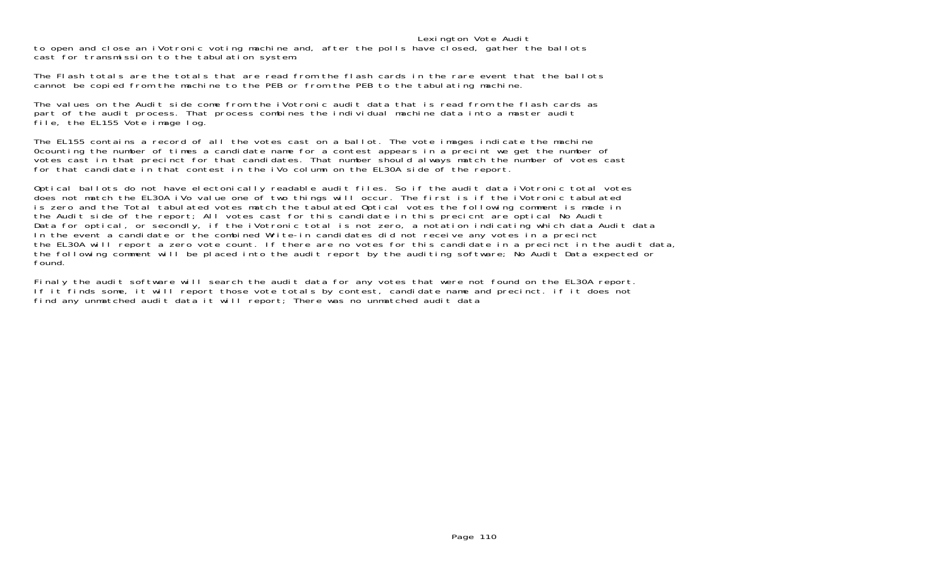Lexington Vote Audit to open and close an iVotronic voting machine and, after the polls have closed, gather the ballots cast for transmission to the tabulation system.

The Flash totals are the totals that are read from the flash cards in the rare event that the ballots cannot be copied from the machine to the PEB or from the PEB to the tabulating machine.

The values on the Audit side come from the iVotronic audit data that is read from the flash cards as part of the audit process. That process combines the individual machine data into a master audit file, the EL155 Vote image log.

The EL155 contains a record of all the votes cast on a ballot. The vote images indicate the machine 0counting the number of times a candidate name for a contest appears in a precint we get the number of votes cast in that precinct for that candidates. That number should always match the number of votes cast for that candidate in that contest in the iVo column on the EL30A side of the report.

Optical ballots do not have electonically readable audit files. So if the audit data iVotronic total votes does not match the EL30A iVo value one of two things will occur. The first is if the iVotronic tabulated is zero and the Total tabulated votes match the tabulated Optical votes the following comment is made in the Audit side of the report; All votes cast for this candidate in this precicnt are optical No Audit Data for optical, or secondly, if the iVotronic total is not zero, a notation indicating which data Audit data In the event a candidate or the combined Write-in candidates did not receive any votes in a precinct the EL30A will report a zero vote count. If there are no votes for this candidate in a precinct in the audit data, the following comment will be placed into the audit report by the auditing software; No Audit Data expected or found.

Finaly the audit software will search the audit data for any votes that were not found on the EL30A report. If it finds some, it will report those vote totals by contest, candidate name and precinct. if it does not find any unmatched audit data it will report; There was no unmatched audit data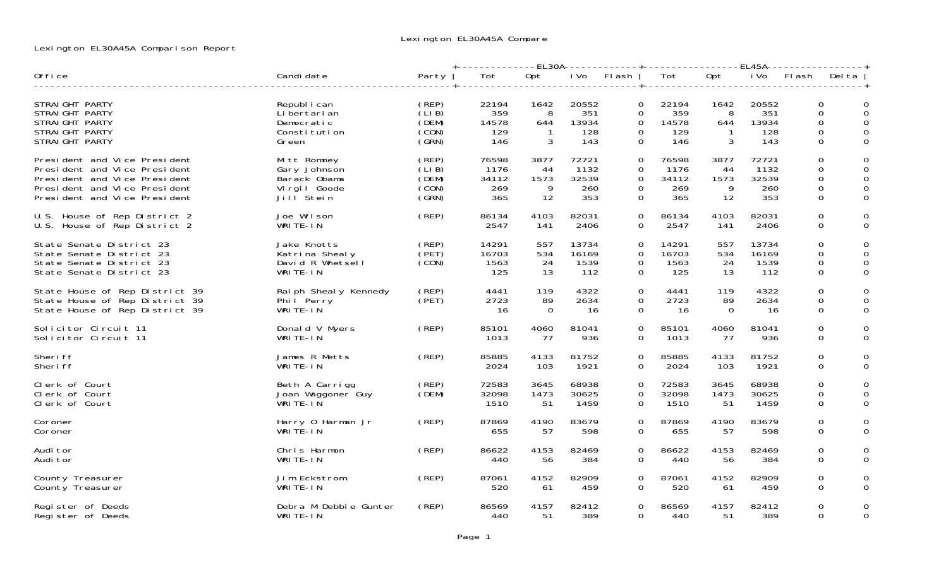## Lexington EL30A45A Comparison Report

|                                                                                                              |                                                                      |                                           | +-------------EL30A------------+-----------------EL45A----------------+ |                             |                                     |                                                             |                                     |                             |                                     |                                     |                                                   |
|--------------------------------------------------------------------------------------------------------------|----------------------------------------------------------------------|-------------------------------------------|-------------------------------------------------------------------------|-----------------------------|-------------------------------------|-------------------------------------------------------------|-------------------------------------|-----------------------------|-------------------------------------|-------------------------------------|---------------------------------------------------|
| Office                                                                                                       | Candi date                                                           | Party                                     | Tot                                                                     | Opt                         | i Vo                                | Fl ash                                                      | Tot                                 | Opt                         | i Vo                                | FI ash                              | Del ta                                            |
| STRAIGHT PARTY<br>STRAIGHT PARTY<br>STRAIGHT PARTY<br>STRAIGHT PARTY<br>STRAIGHT PARTY                       | Republ i can<br>Li bertari an<br>Democratic<br>Constitution<br>Green | (REP)<br>(LIB)<br>(DEM)<br>(CON)<br>(GRN) | 22194<br>359<br>14578<br>129<br>146                                     | 1642<br>8<br>644<br>3       | 20552<br>351<br>13934<br>128<br>143 | $\Omega$<br>$\mathbf 0$<br>$\Omega$<br>$\Omega$<br>$\Omega$ | 22194<br>359<br>14578<br>129<br>146 | 1642<br>8<br>644<br>3       | 20552<br>351<br>13934<br>128<br>143 | 0<br>0<br>$\Omega$<br>0<br>$\Omega$ | $\Omega$<br>0<br>$\Omega$<br>$\Omega$<br>$\Omega$ |
| President and Vice President                                                                                 | Mitt Romney                                                          | (REP)                                     | 76598                                                                   | 3877                        | 72721                               | $\mathbf 0$                                                 | 76598                               | 3877                        | 72721                               | 0                                   | 0                                                 |
| President and Vice President                                                                                 | Gary Johnson                                                         | (LIB)                                     | 1176                                                                    | -44                         | 1132                                | $\Omega$                                                    | 1176                                | -44                         | 1132                                | 0                                   | 0                                                 |
| President and Vice President                                                                                 | Barack Obama                                                         | (DEM)                                     | 34112                                                                   | 1573                        | 32539                               | 0                                                           | 34112                               | 1573                        | 32539                               | 0                                   | 0                                                 |
| President and Vice President                                                                                 | Virgil Goode                                                         | (CON)                                     | 269                                                                     | 9                           | 260                                 | 0                                                           | 269                                 | 9                           | 260                                 | 0                                   | 0                                                 |
| President and Vice President                                                                                 | Jill <sup>Stein</sup>                                                | (SRN)                                     | 365                                                                     | 12                          | 353                                 | 0                                                           | 365                                 | 12                          | 353                                 | 0                                   | $\mathbf 0$                                       |
| U.S. House of Rep District 2                                                                                 | Joe Wilson                                                           | (REP)                                     | 86134                                                                   | 4103                        | 82031                               | $\Omega$                                                    | 86134                               | 4103                        | 82031                               | 0                                   | 0                                                 |
| U.S. House of Rep District 2                                                                                 | WRITE-IN                                                             |                                           | 2547                                                                    | 141                         | 2406                                | 0                                                           | 2547                                | 141                         | 2406                                | 0                                   | 0                                                 |
| State Senate District 23<br>State Senate District 23<br>State Senate District 23<br>State Senate District 23 | Jake Knotts<br>Katrina Shealy<br>David R Whetsell<br>WRITE-IN        | (REP)<br>(PET)<br>(CON)                   | 14291<br>16703<br>1563<br>125                                           | 557<br>534<br>24<br>13      | 13734<br>16169<br>1539<br>112       | $\Omega$<br>$\Omega$<br>$\Omega$<br>$\mathbf 0$             | 14291<br>16703<br>1563<br>125       | 557<br>534<br>24<br>13      | 13734<br>16169<br>1539<br>112       | $\overline{O}$<br>0<br>0<br>0       | $\Omega$<br>$\Omega$<br>0<br>0                    |
| State House of Rep District 39<br>State House of Rep District 39<br>State House of Rep District 39           | Ral ph Sheal y Kennedy<br>Phil Perry<br>WRITE-IN                     | (REP)<br>(PET)                            | 4441<br>2723<br>- 16                                                    | 119<br>89<br>$\overline{0}$ | 4322<br>2634<br>-16                 | $\mathbf{O}$<br>$\Omega$<br>$\mathbf 0$                     | 4441<br>2723<br>- 16                | 119<br>89<br>$\overline{0}$ | 4322<br>2634<br>-16                 | 0<br>0<br>0                         | 0<br>0<br>0                                       |
| Solicitor Circuit 11                                                                                         | Donald V Myers                                                       | (REP)                                     | 85101                                                                   | 4060                        | 81041                               | $\Omega$                                                    | 85101                               | 4060                        | 81041                               | 0                                   | $\Omega$                                          |
| Solicitor Circuit 11                                                                                         | WRITE-IN                                                             |                                           | 1013                                                                    | 77                          | 936                                 | 0                                                           | 1013                                | -77                         | 936                                 | 0                                   | 0                                                 |
| Sheri ff                                                                                                     | James R Metts                                                        | (REP)                                     | 85885                                                                   | 4133                        | 81752                               | $\Omega$                                                    | 85885                               | 4133                        | 81752                               | $\overline{O}$                      | $\Omega$                                          |
| Sheri ff                                                                                                     | WRITE-IN                                                             |                                           | 2024                                                                    | 103                         | 1921                                | $\Omega$                                                    | 2024                                | 103                         | 1921                                | 0                                   | $\Omega$                                          |
| Clerk of Court<br>Clerk of Court<br>Clerk of Court                                                           | Beth A Carrigg<br>Joan Waggoner Guy<br>WRITE-IN                      | (REP)<br>(DEM)                            | 72583<br>32098<br>1510                                                  | 3645<br>1473<br>-51         | 68938<br>30625<br>1459              | $\Omega$<br>0<br>$\Omega$                                   | 72583<br>32098<br>1510              | 3645<br>1473<br>51          | 68938<br>30625<br>1459              | $\Omega$<br>0<br>$\Omega$           | $\Omega$<br>0<br>$\Omega$                         |
| Coroner                                                                                                      | Harry 0 Harman Jr                                                    | (REP)                                     | 87869                                                                   | 4190                        | 83679                               | 0                                                           | 87869                               | 4190                        | 83679                               | 0                                   | 0                                                 |
| Coroner                                                                                                      | WRITE-IN                                                             |                                           | 655                                                                     | 57                          | 598                                 | 0                                                           | 655                                 | 57                          | 598                                 | 0                                   | 0                                                 |
| Audi tor                                                                                                     | Chris Harmon                                                         | (REP)                                     | 86622                                                                   | 4153                        | 82469                               | 0                                                           | 86622                               | 4153                        | 82469                               | 0                                   | 0                                                 |
| Audi tor                                                                                                     | WRITE-IN                                                             |                                           | 440                                                                     | 56                          | 384                                 | $\Omega$                                                    | 440                                 | 56                          | 384                                 | $\Omega$                            | 0                                                 |
| County Treasurer                                                                                             | Jim Eckstrom                                                         | (REP)                                     | 87061                                                                   | 4152                        | 82909                               | $\Omega$                                                    | 87061                               | 4152                        | 82909                               | $\Omega$                            | 0                                                 |
| County Treasurer                                                                                             | WRITE-IN                                                             |                                           | 520                                                                     | 61                          | 459                                 | $\mathbf{0}$                                                | 520                                 | 61                          | 459                                 | 0                                   | 0                                                 |
| Register of Deeds                                                                                            | Debra M Debbie Gunter                                                | (REP)                                     | 86569                                                                   | 4157                        | 82412                               | 0                                                           | 86569                               | 4157                        | 82412                               | 0                                   | 0                                                 |
| Register of Deeds                                                                                            | WRITE-IN                                                             |                                           | 440                                                                     | 51                          | 389                                 | $\Omega$                                                    | 440                                 | 51                          | 389                                 | $\Omega$                            | 0                                                 |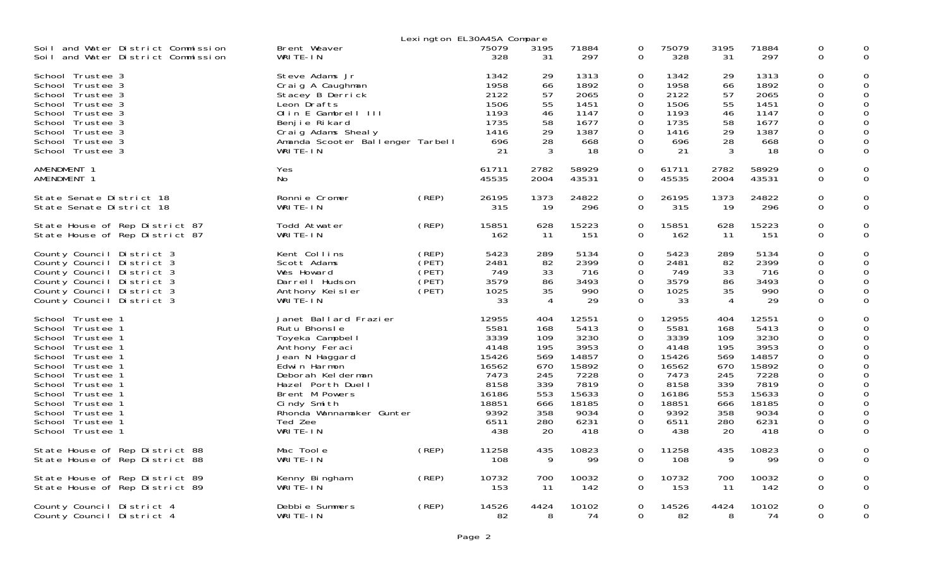|                                                                                                                                                                                                                                                                  |                                                                                                                                                                                                                                            |                                           | Lexington EL30A45A Compare                                                                               |                                                                                        |                                                                                                          |                                                                                                    |                                                                                                          |                                                                                        |                                                                                                          |                                                                                                                                                          |             |
|------------------------------------------------------------------------------------------------------------------------------------------------------------------------------------------------------------------------------------------------------------------|--------------------------------------------------------------------------------------------------------------------------------------------------------------------------------------------------------------------------------------------|-------------------------------------------|----------------------------------------------------------------------------------------------------------|----------------------------------------------------------------------------------------|----------------------------------------------------------------------------------------------------------|----------------------------------------------------------------------------------------------------|----------------------------------------------------------------------------------------------------------|----------------------------------------------------------------------------------------|----------------------------------------------------------------------------------------------------------|----------------------------------------------------------------------------------------------------------------------------------------------------------|-------------|
| Soil and Water District Commission<br>Soil and Water District Commission                                                                                                                                                                                         | Brent Weaver<br>WRITE-IN                                                                                                                                                                                                                   |                                           | 75079<br>328                                                                                             | 3195<br>31                                                                             | 71884<br>297                                                                                             | 0<br>0                                                                                             | 75079<br>328                                                                                             | 3195<br>31                                                                             | 71884<br>297                                                                                             | 0<br>$\mathbf 0$                                                                                                                                         | 0           |
| School Trustee 3<br>School Trustee 3<br>School Trustee 3<br>School Trustee 3<br>School Trustee 3<br>School Trustee 3<br>School Trustee 3<br>School Trustee 3<br>School Trustee 3                                                                                 | Steve Adams Jr<br>Craig A Caughman<br>Stacey B Derrick<br>Leon Drafts<br>Olin E Gambrell III<br>Benjie Rikard<br>Craig Adams Shealy<br>Amanda Scooter Ballenger Tarbell<br>WRITE-IN                                                        |                                           | 1342<br>1958<br>2122<br>1506<br>1193<br>1735<br>1416<br>696<br>21                                        | 29<br>66<br>57<br>55<br>46<br>58<br>29<br>28<br>3                                      | 1313<br>1892<br>2065<br>1451<br>1147<br>1677<br>1387<br>668<br>18                                        | 0<br>0<br>$\mathbf 0$<br>0<br>0<br>0<br>0<br>0<br>$\mathbf 0$                                      | 1342<br>1958<br>2122<br>1506<br>1193<br>1735<br>1416<br>696<br>21                                        | 29<br>66<br>57<br>55<br>46<br>58<br>29<br>28<br>3                                      | 1313<br>1892<br>2065<br>1451<br>1147<br>1677<br>1387<br>668<br>18                                        | $\mathbf 0$<br>$\mathbf{O}$<br>$\mathsf 0$<br>$\mathbf 0$<br>$\mathsf 0$<br>$\mathbf 0$<br>$\mathsf 0$<br>$\mathbf 0$<br>$\mathbf 0$                     | 0           |
| AMENDMENT 1<br>AMENDMENT 1                                                                                                                                                                                                                                       | Yes<br>No                                                                                                                                                                                                                                  |                                           | 61711<br>45535                                                                                           | 2782<br>2004                                                                           | 58929<br>43531                                                                                           | 0<br>0                                                                                             | 61711<br>45535                                                                                           | 2782<br>2004                                                                           | 58929<br>43531                                                                                           | $\mathbf 0$<br>$\mathbf{O}$                                                                                                                              | 0<br>0      |
| State Senate District 18<br>State Senate District 18                                                                                                                                                                                                             | Ronnie Cromer<br>WRITE-IN                                                                                                                                                                                                                  | (REP)                                     | 26195<br>315                                                                                             | 1373<br>19                                                                             | 24822<br>296                                                                                             | $\mathbf 0$<br>$\Omega$                                                                            | 26195<br>315                                                                                             | 1373<br>19                                                                             | 24822<br>296                                                                                             | $\mathsf 0$<br>$\Omega$                                                                                                                                  | $\mathbf 0$ |
| State House of Rep District 87<br>State House of Rep District 87                                                                                                                                                                                                 | Todd Atwater<br>WRITE-IN                                                                                                                                                                                                                   | (REP)                                     | 15851<br>162                                                                                             | 628<br>-11                                                                             | 15223<br>151                                                                                             | 0<br>$\Omega$                                                                                      | 15851<br>162                                                                                             | 628<br>11                                                                              | 15223<br>151                                                                                             | 0<br>$\Omega$                                                                                                                                            | 0           |
| County Council District 3<br>County Council District 3<br>County Council District 3<br>County Council District 3<br>County Council District 3<br>County Council District 3                                                                                       | Kent Collins<br>Scott Adams<br>Wes Howard<br>Darrell Hudson<br>Anthony Keisler<br>WRITE-IN                                                                                                                                                 | (REP)<br>(PET)<br>(PET)<br>(PET)<br>(PET) | 5423<br>2481<br>749<br>3579<br>1025<br>33                                                                | 289<br>82<br>33<br>86<br>35<br>4                                                       | 5134<br>2399<br>716<br>3493<br>990<br>29                                                                 | $\Omega$<br>0<br>0<br>$\mathbf 0$<br>0<br>$\mathbf 0$                                              | 5423<br>2481<br>749<br>3579<br>1025<br>33                                                                | 289<br>82<br>33<br>86<br>35<br>$\overline{4}$                                          | 5134<br>2399<br>716<br>3493<br>990<br>29                                                                 | $\Omega$<br>0<br>$\mathbf 0$<br>$\mathbf{O}$<br>$\mathbf 0$<br>$\mathbf 0$                                                                               | 0<br>0      |
| School Trustee 1<br>School Trustee 1<br>School Trustee 1<br>School Trustee 1<br>School Trustee 1<br>School Trustee 1<br>School Trustee 1<br>School Trustee 1<br>School Trustee 1<br>School Trustee 1<br>School Trustee 1<br>School Trustee 1<br>School Trustee 1 | Janet Ballard Frazier<br>Rutu Bhonsle<br>Toyeka Campbell<br>Anthony Feraci<br>Jean N Haggard<br>Edwin Harmon<br>Deborah Kelderman<br>Hazel Porth Duell<br>Brent M Powers<br>Cindy Smith<br>Rhonda Wannamaker Gunter<br>Ted Zee<br>WRITE-IN |                                           | 12955<br>5581<br>3339<br>4148<br>15426<br>16562<br>7473<br>8158<br>16186<br>18851<br>9392<br>6511<br>438 | 404<br>168<br>109<br>195<br>569<br>670<br>245<br>339<br>553<br>666<br>358<br>280<br>20 | 12551<br>5413<br>3230<br>3953<br>14857<br>15892<br>7228<br>7819<br>15633<br>18185<br>9034<br>6231<br>418 | 0<br>0<br>0<br>0<br>0<br>$\mathbf 0$<br>0<br>0<br>0<br>$\Omega$<br>$\mathbf 0$<br>0<br>$\mathbf 0$ | 12955<br>5581<br>3339<br>4148<br>15426<br>16562<br>7473<br>8158<br>16186<br>18851<br>9392<br>6511<br>438 | 404<br>168<br>109<br>195<br>569<br>670<br>245<br>339<br>553<br>666<br>358<br>280<br>20 | 12551<br>5413<br>3230<br>3953<br>14857<br>15892<br>7228<br>7819<br>15633<br>18185<br>9034<br>6231<br>418 | 0<br>0<br>$\mathbf 0$<br>$\mathbf 0$<br>$\mathbf 0$<br>$\mathbf 0$<br>0<br>$\mathbf 0$<br>$\mathsf 0$<br>$\mathbf 0$<br>$\mathsf 0$<br>0<br>$\mathbf{O}$ | $\Omega$    |
| State House of Rep District 88<br>State House of Rep District 88                                                                                                                                                                                                 | Mac Toole<br>WRITE-IN                                                                                                                                                                                                                      | (REP)                                     | 11258<br>108                                                                                             | 435<br>9                                                                               | 10823<br>99                                                                                              | $\mathbf 0$<br>$\mathbf 0$                                                                         | 11258<br>108                                                                                             | 435<br>9                                                                               | 10823<br>99                                                                                              | 0<br>$\overline{O}$                                                                                                                                      | 0<br>0      |
| State House of Rep District 89<br>State House of Rep District 89                                                                                                                                                                                                 | Kenny Bingham<br>WRITE-IN                                                                                                                                                                                                                  | (REP)                                     | 10732<br>153                                                                                             | 700<br>11                                                                              | 10032<br>142                                                                                             | 0<br>0                                                                                             | 10732<br>153                                                                                             | 700<br>11                                                                              | 10032<br>142                                                                                             | $\mathsf 0$<br>$\Omega$                                                                                                                                  | 0           |
| County Council District 4<br>County Council District 4                                                                                                                                                                                                           | Debbie Summers<br>WRITE-IN                                                                                                                                                                                                                 | (REP)                                     | 14526<br>82                                                                                              | 4424<br>8                                                                              | 10102<br>74                                                                                              | 0<br>$\mathsf{O}$                                                                                  | 14526<br>82                                                                                              | 4424<br>8                                                                              | 10102<br>74                                                                                              | $\mathbf 0$<br>$\mathbf 0$                                                                                                                               | $\mathbf 0$ |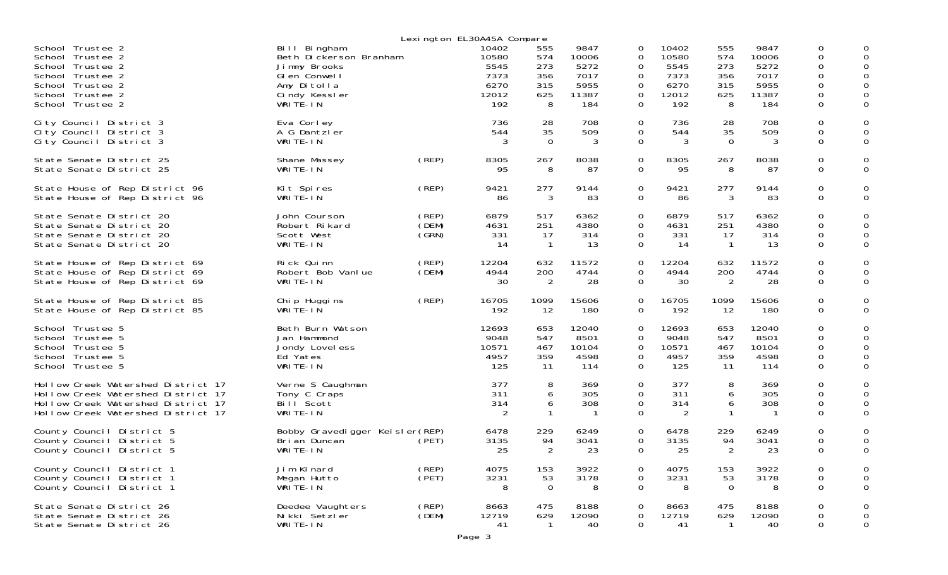|                                                                                                                                                      |                                                                                                                    |                         | Lexington EL30A45A Compare                             |                                             |                                                       |                                 |                                                        |                                             |                                                       |                                           |                          |
|------------------------------------------------------------------------------------------------------------------------------------------------------|--------------------------------------------------------------------------------------------------------------------|-------------------------|--------------------------------------------------------|---------------------------------------------|-------------------------------------------------------|---------------------------------|--------------------------------------------------------|---------------------------------------------|-------------------------------------------------------|-------------------------------------------|--------------------------|
| School Trustee 2<br>School Trustee 2<br>School Trustee 2<br>School Trustee 2<br>School Trustee 2<br>School Trustee 2<br>School Trustee 2             | Bill Bingham<br>Beth Dickerson Branham<br>Jimmy Brooks<br>Glen Conwell<br>Amy Ditolla<br>Cindy Kessler<br>WRITE-IN |                         | 10402<br>10580<br>5545<br>7373<br>6270<br>12012<br>192 | 555<br>574<br>273<br>356<br>315<br>625<br>8 | 9847<br>10006<br>5272<br>7017<br>5955<br>11387<br>184 | 0<br>0<br>0<br>0<br>0<br>0<br>0 | 10402<br>10580<br>5545<br>7373<br>6270<br>12012<br>192 | 555<br>574<br>273<br>356<br>315<br>625<br>8 | 9847<br>10006<br>5272<br>7017<br>5955<br>11387<br>184 | 0<br>0<br>0<br>0<br>0<br>0<br>$\mathbf 0$ | 0                        |
| City Council District 3<br>City Council District 3<br>City Council District 3                                                                        | Eva Corley<br>A G Dantzler<br>WRITE-IN                                                                             |                         | 736<br>544<br>3                                        | 28<br>35<br>$\overline{0}$                  | 708<br>509<br>3                                       | 0<br>0<br>$\mathbf 0$           | 736<br>544<br>3                                        | 28<br>35<br>$\overline{0}$                  | 708<br>509<br>3                                       | 0<br>0<br>0                               | 0<br>0<br>0              |
| State Senate District 25<br>State Senate District 25                                                                                                 | Shane Massey<br>WRITE-IN                                                                                           | (REP)                   | 8305<br>95                                             | 267<br>8                                    | 8038<br>87                                            | 0<br>$\mathbf 0$                | 8305<br>95                                             | 267<br>8                                    | 8038<br>87                                            | 0<br>0                                    | 0<br>0                   |
| State House of Rep District 96<br>State House of Rep District 96                                                                                     | Kit Spires<br>WRITE-IN                                                                                             | (REP)                   | 9421<br>86                                             | 277<br>3                                    | 9144<br>83                                            | 0<br>$\mathbf 0$                | 9421<br>86                                             | 277<br>3                                    | 9144<br>83                                            | 0<br>0                                    | 0<br>0                   |
| State Senate District 20<br>State Senate District 20<br>State Senate District 20<br>State Senate District 20                                         | John Courson<br>Robert Rikard<br>Scott West<br>WRITE-IN                                                            | (REP)<br>(DEM)<br>(GRN) | 6879<br>4631<br>331<br>-14                             | 517<br>251<br>-17<br>$\mathbf{1}$           | 6362<br>4380<br>314<br>13                             | 0<br>0<br>0<br>0                | 6879<br>4631<br>331<br>-14                             | 517<br>251<br>17<br>$\overline{1}$          | 6362<br>4380<br>314<br>13                             | $\mathbf 0$<br>0<br>0<br>$\mathbf 0$      | 0<br>0<br>0<br>0         |
| State House of Rep District 69<br>State House of Rep District 69<br>State House of Rep District 69                                                   | Rick Quinn<br>Robert Bob Vanlue<br>WRITE-IN                                                                        | (REP)<br>(DEM)          | 12204<br>4944<br>30                                    | 632<br>200<br>$\overline{2}$                | 11572<br>4744<br>28                                   | 0<br>0<br>$\mathbf 0$           | 12204<br>4944<br>30                                    | 632<br>200<br>$\overline{2}$                | 11572<br>4744<br>28                                   | 0<br>0<br>0                               | 0<br>0<br>0              |
| State House of Rep District 85<br>State House of Rep District 85                                                                                     | Chip Huggins<br>WRITE-IN                                                                                           | (REP)                   | 16705<br>192                                           | 1099<br>12                                  | 15606<br>180                                          | 0<br>$\Omega$                   | 16705<br>192                                           | 1099<br>12                                  | 15606<br>180                                          | 0<br>0                                    | 0<br>0                   |
| School Trustee 5<br>School Trustee 5<br>School Trustee 5<br>School Trustee 5<br>School Trustee 5                                                     | Beth Burn Watson<br>Jan Hammond<br>Jondy Lovel ess<br>Ed Yates<br>WRITE-IN                                         |                         | 12693<br>9048<br>10571<br>4957<br>125                  | 653<br>547<br>467<br>359<br>11              | 12040<br>8501<br>10104<br>4598<br>114                 | 0<br>0<br>0<br>0<br>0           | 12693<br>9048<br>10571<br>4957<br>125                  | 653<br>547<br>467<br>359<br>11              | 12040<br>8501<br>10104<br>4598<br>114                 | 0<br>0<br>0<br>0<br>0                     | 0<br>0<br>0<br>0         |
| Hollow Creek Watershed District 17<br>Hollow Creek Watershed District 17<br>Hollow Creek Watershed District 17<br>Hollow Creek Watershed District 17 | Verne S Caughman<br>Tony C Craps<br>Bill Scott<br>WRITE-IN                                                         |                         | 377<br>311<br>314<br>2                                 | 8<br>6<br>6                                 | 369<br>305<br>308<br>-1                               | 0<br>0<br>0<br>0                | 377<br>311<br>314<br>2                                 | 8<br>6<br>6<br>-1                           | 369<br>305<br>308<br>-1                               | 0<br>0<br>0<br>0                          | 0<br>0<br>0              |
| County Council District 5<br>County Council District 5<br>County Council District 5                                                                  | Bobby Gravedigger Keisler(REP)<br>Bri an Duncan<br>WRITE-IN                                                        | (PET)                   | 6478<br>3135<br>25                                     | 229<br>94<br>2                              | 6249<br>3041<br>23                                    | 0<br>0<br>0                     | 6478<br>3135<br>25                                     | 229<br>94<br>$\overline{c}$                 | 6249<br>3041<br>23                                    | 0<br>0<br>0                               | 0<br>0                   |
| County Council District 1<br>County Council District 1<br>County Council District 1                                                                  | Jim Kinard<br>Megan Hutto<br>WRITE-IN                                                                              | (REP)<br>(PET)          | 4075<br>3231<br>8                                      | 153<br>53<br>$\mathbf 0$                    | 3922<br>3178<br>8                                     | 0<br>$\mathbf 0$<br>$\mathbf 0$ | 4075<br>3231<br>8                                      | 153<br>53<br>$\mathbf 0$                    | 3922<br>3178<br>8                                     | 0<br>0<br>$\mathbf 0$                     | 0<br>0<br>0              |
| State Senate District 26<br>State Senate District 26<br>State Senate District 26                                                                     | Deedee Vaughters<br>Nikki Setzler<br>WRITE-IN                                                                      | (REP)<br>(DEM)          | 8663<br>12719<br>41                                    | 475<br>629<br>$\mathbf{1}$                  | 8188<br>12090<br>40                                   | 0<br>$\mathbf 0$<br>0           | 8663<br>12719<br>41                                    | 475<br>629<br>-1                            | 8188<br>12090<br>40                                   | 0<br>0<br>0                               | 0<br>0<br>$\overline{O}$ |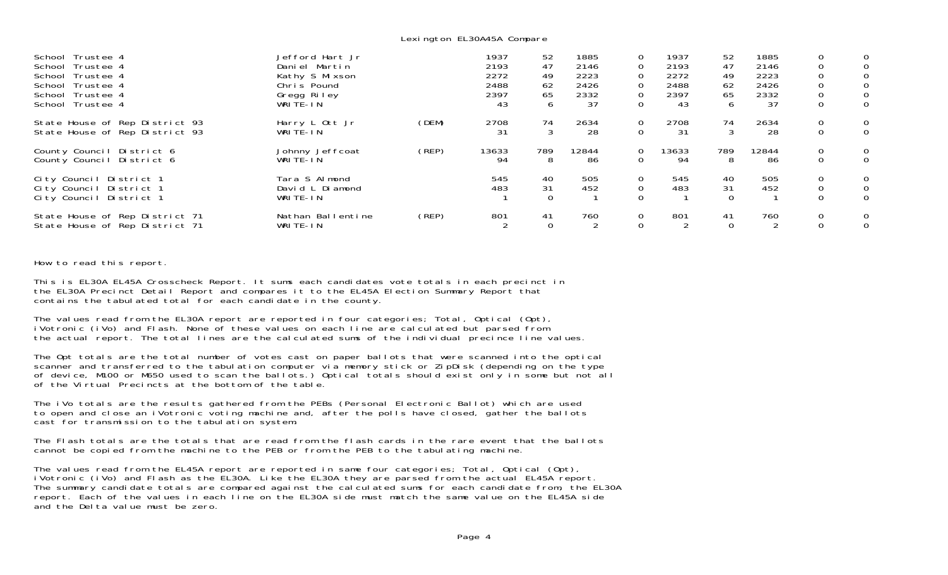Lexington EL30A45A Compare

| Trustee 4<br>School<br>Trustee 4<br>School<br>Trustee 4<br>School<br>Trustee 4<br>School<br>Trustee 4<br>School<br>Trustee 4<br>School | Jefford Hart Jr<br>Daniel Martin<br>Kathy S Mixson<br>Chris Pound<br>Gregg Riley<br>WRITE-IN |       | 1937<br>2193<br>2272<br>2488<br>2397<br>43 | 52<br>47<br>49<br>62<br>65<br>6 | 1885<br>2146<br>2223<br>2426<br>2332<br>37 | 0<br>$\mathbf 0$<br>$\mathbf 0$<br>$\mathbf 0$<br>0<br>$\Omega$ | 1937<br>2193<br>2272<br>2488<br>2397<br>43 | 52<br>47<br>49<br>62<br>65<br>6 | 1885<br>2146<br>2223<br>2426<br>2332<br>37 | 0<br>$\mathbf 0$<br>$\mathbf 0$<br>0<br>$\mathbf 0$<br>$\mathbf 0$ | $\overline{0}$<br>$\mathbf{O}$<br>$\mathbf{0}$<br>$\overline{O}$ |
|----------------------------------------------------------------------------------------------------------------------------------------|----------------------------------------------------------------------------------------------|-------|--------------------------------------------|---------------------------------|--------------------------------------------|-----------------------------------------------------------------|--------------------------------------------|---------------------------------|--------------------------------------------|--------------------------------------------------------------------|------------------------------------------------------------------|
| State House of Rep District 93<br>State House of Rep District 93                                                                       | Harry L Ott Jr<br>WRITE-IN                                                                   | (DEM) | 2708<br>31                                 | 74<br>3                         | 2634<br>28                                 | 0<br>0                                                          | 2708<br>-31                                | 74<br>3                         | 2634<br>28                                 | $\mathbf 0$<br>$\mathbf 0$                                         | $\overline{0}$<br>$\overline{O}$                                 |
| County Council District 6<br>District 6<br>County Council                                                                              | Johnny Jeffcoat<br>WRITE-IN                                                                  | (REP) | 13633<br>94                                | 789<br>8                        | 12844<br>-86                               | 0<br>$\Omega$                                                   | 13633<br>94                                | 789<br>8                        | 12844<br>-86                               | $\mathbf 0$<br>$\Omega$                                            | $\overline{0}$<br>$\overline{O}$                                 |
| City Council District 1<br>City Council<br>District 1<br>City Council District 1                                                       | Tara S Almond<br>David L Diamond<br>WRITE-IN                                                 |       | 545<br>483                                 | 40<br>31                        | 505<br>452                                 | 0                                                               | 545<br>483                                 | 40<br>31<br>$\Omega$            | 505<br>452                                 | $\mathbf 0$<br>$\mathbf 0$<br>$\Omega$                             | $\mathbf{0}$<br>$\overline{0}$<br>$\Omega$                       |
| State House of Rep District 71<br>State House of Rep District 71                                                                       | Nathan Ballentine<br>WRITE-IN                                                                | (REP) | 801                                        | 41<br>$\Omega$                  | 760                                        | 0                                                               | 801                                        | 41<br>$\Omega$                  | 760                                        | $\mathbf 0$                                                        | 0<br>$\overline{O}$                                              |

How to read this report.

This is EL30A EL45A Crosscheck Report. It sums each candidates vote totals in each precinct in the EL30A Precinct Detail Report and compares it to the EL45A Election Summary Report that contains the tabulated total for each candidate in the county.

The values read from the EL30A report are reported in four categories; Total, Optical (Opt), iVotronic (iVo) and Flash. None of these values on each line are calculated but parsed from the actual report. The total lines are the calculated sums of the individual precince line values.

The Opt totals are the total number of votes cast on paper ballots that were scanned into the optical scanner and transferred to the tabulation computer via memory stick or ZipDisk (depending on the type of device, M100 or M650 used to scan the ballots.) Optical totals should exist only in some but not all of the Virtual Precincts at the bottom of the table.

The iVo totals are the results gathered from the PEBs (Personal Electronic Ballot) which are used to open and close an iVotronic voting machine and, after the polls have closed, gather the ballots cast for transmission to the tabulation system.

The Flash totals are the totals that are read from the flash cards in the rare event that the ballots cannot be copied from the machine to the PEB or from the PEB to the tabulating machine.

The values read from the EL45A report are reported in same four categories; Total, Optical (Opt),<br>iVotronic (iVo) and Flash as the EL30A. Like the EL30A they are parsed from the actual EL45A report. The summary candidate totals are compared against the calculated sums for each candidate from, the EL30A report. Each of the values in each line on the EL30A side must match the same value on the EL45A side and the Delta value must be zero.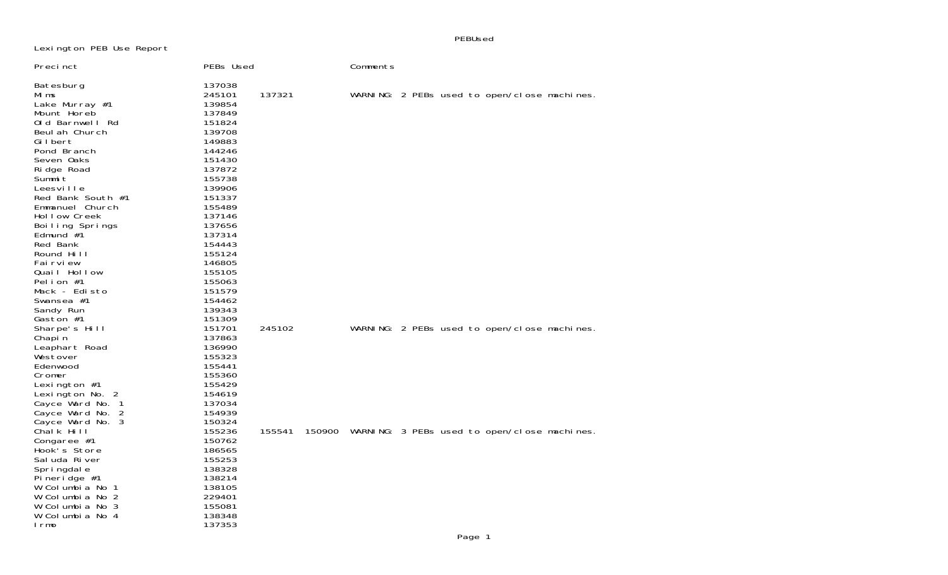Lexington PEB Use Report

PEBUsed

| Preci nct                                                                                                                                                                                                                                                                                                                                                                           | PEBs Used                                                                                                                                                                                                                                              |        | Comments |                                                     |
|-------------------------------------------------------------------------------------------------------------------------------------------------------------------------------------------------------------------------------------------------------------------------------------------------------------------------------------------------------------------------------------|--------------------------------------------------------------------------------------------------------------------------------------------------------------------------------------------------------------------------------------------------------|--------|----------|-----------------------------------------------------|
| Batesburg<br>Mi ms<br>Lake Murray #1<br>Mount Horeb<br>Old Barnwell Rd<br>Beul ah Church<br>Gilbert<br>Pond Branch<br>Seven Oaks<br>Ri dge Road<br>Summit<br>Leesville<br>Red Bank South #1<br>Emmanuel Church<br>Hollow Creek<br>Boiling Springs<br>Edmund $#1$<br>Red Bank<br>Round Hill<br>Fai rvi ew<br>Quail Hollow<br>Pelion $#1$<br>Mack - Edisto<br>Swansea #1<br>Sandy Run | 137038<br>245101<br>139854<br>137849<br>151824<br>139708<br>149883<br>144246<br>151430<br>137872<br>155738<br>139906<br>151337<br>155489<br>137146<br>137656<br>137314<br>154443<br>155124<br>146805<br>155105<br>155063<br>151579<br>154462<br>139343 | 137321 |          | WARNING: 2 PEBs used to open/close machines.        |
| Gaston #1<br>Sharpe's Hill<br>Chapin<br>Leaphart Road<br>Westover<br>Edenwood<br>Cromer<br>Lexington $#1$<br>Lexington No. 2<br>Cayce Ward No. 1<br>Cayce Ward No. 2<br>Cayce Ward No. 3                                                                                                                                                                                            | 151309<br>151701<br>137863<br>136990<br>155323<br>155441<br>155360<br>155429<br>154619<br>137034<br>154939<br>150324                                                                                                                                   | 245102 |          | WARNING: 2 PEBs used to open/close machines.        |
| Chalk Hill<br>Congaree #1<br>Hook's Store<br>Sal uda River<br>Spri ngdal e<br>Pineridge $#1$<br>W Columbia No 1<br>W Columbia No 2<br>W Columbia No 3<br>W Columbia No 4<br>I rmo                                                                                                                                                                                                   | 155236<br>150762<br>186565<br>155253<br>138328<br>138214<br>138105<br>229401<br>155081<br>138348<br>137353                                                                                                                                             | 155541 |          | 150900 WARNING: 3 PEBs used to open/close machines. |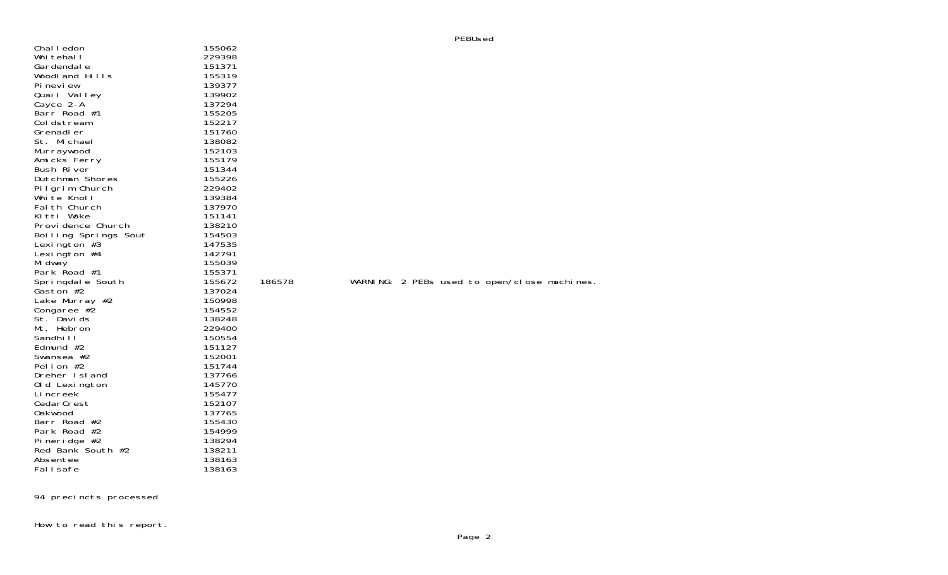| Chal I edon                         | 155062           |
|-------------------------------------|------------------|
| Whi tehal I                         | 229398           |
| Gardendal e                         | 151371           |
| Woodland Hills                      | 155319           |
| Pi nevi ew                          | 139377           |
|                                     | 139902           |
| Quail Valley<br>Cayce 2-A           | 137294           |
| Barr Road #1                        | 155205           |
| Coldstream                          | 152217           |
| Grenadi er                          | 151760           |
| St. Michael                         | 138082           |
| Murraywood                          | 152103           |
| Amicks Ferry                        | 155179           |
| Bush River                          | 151344           |
| Dutchman Shores                     | 155226           |
| Pilgrim Church                      | 229402           |
| White Knoll                         | 139384           |
| Fai th Church                       | 137970           |
| Kitti Wake                          | 151141           |
| Provi dence Church                  | 138210           |
| Boiling Springs Sout                | 154503           |
| Lexington $#3$                      | 147535           |
| Lexington $#4$                      | 142791           |
| Mi dway                             | 155039           |
| Park Road #1                        | 155371           |
| Springdale South                    | 155672           |
| Gaston #2                           | 137024           |
| Lake Murray #2                      | 150998           |
| Congaree #2                         | 154552           |
| St. Davids                          | 138248           |
| Mt. Hebron                          | 229400           |
| Sandhi I I                          | 150554           |
| Edmund #2                           | 151127           |
| Swansea #2                          | 152001           |
| Pelion #2                           | 151744           |
| Dreher Island                       | 137766           |
| Old Lexington                       | 145770           |
| Li ncreek                           | 155477           |
| CedarCrest                          | 152107           |
| Oakwood                             | 137765           |
| Barr Road #2<br>Park Road #2        | 155430           |
|                                     | 154999<br>138294 |
| Pi neri dge #2<br>Red Bank South #2 | 138211           |
| Absentee                            | 138163           |
| Failsafe                            | 138163           |
|                                     |                  |

How to read this report.

186578 WARNING: 2 PEBs used to open/close machines.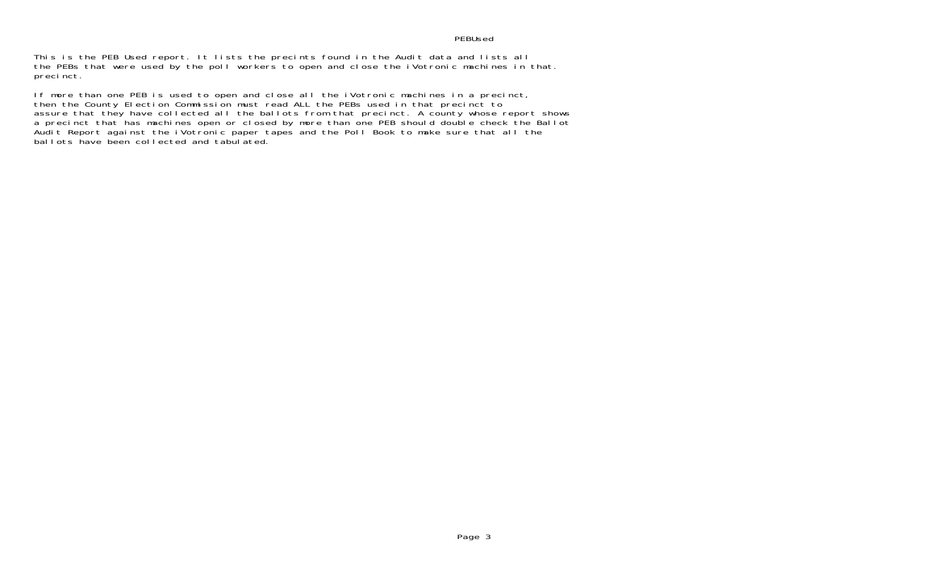## PEBUsed

This is the PEB Used report. It lists the precints found in the Audit data and lists all the PEBs that were used by the poll workers to open and close the iVotronic machines in that. precinct.

If more than one PEB is used to open and close all the iVotronic machines in a precinct, then the County Election Commission must read ALL the PEBs used in that precinct to assure that they have collected all the ballots from that precinct. A county whose report shows a precinct that has machines open or closed by more than one PEB should double check the Ballot Audit Report against the iVotronic paper tapes and the Poll Book to make sure that all the ballots have been collected and tabulated.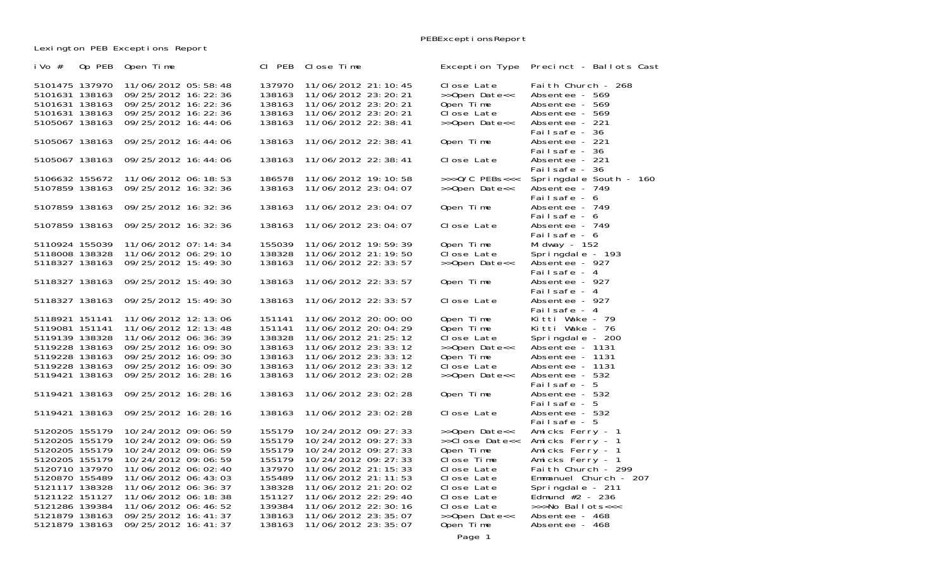PEBExceptionsReport

Lexington PEB Exceptions Report

| Op PEB<br>i Vo $#$                                                                     | Open Time                                                                                                             | CI PEB                                         | Close Time                                                                                                                | Exception Type                                                          | Precinct - Ballots Cast                                                                    |
|----------------------------------------------------------------------------------------|-----------------------------------------------------------------------------------------------------------------------|------------------------------------------------|---------------------------------------------------------------------------------------------------------------------------|-------------------------------------------------------------------------|--------------------------------------------------------------------------------------------|
| 5101475 137970<br>5101631 138163<br>5101631 138163<br>5101631 138163<br>5105067 138163 | 11/06/2012 05:58:48<br>09/25/2012 16: 22: 36<br>09/25/2012 16: 22: 36<br>09/25/2012 16: 22: 36<br>09/25/2012 16:44:06 | 137970<br>138163<br>138163<br>138163<br>138163 | 11/06/2012 21: 10: 45<br>11/06/2012 23: 20: 21<br>11/06/2012 23: 20: 21<br>11/06/2012 23: 20: 21<br>11/06/2012 22: 38: 41 | Close Late<br>>>Open Date<<<br>Open Time<br>Close Late<br>>>Open Date<< | Faith Church - 268<br>Absentee - 569<br>Absentee - 569<br>Absentee - 569<br>Absentee - 221 |
| 5105067 138163                                                                         | 09/25/2012 16:44:06                                                                                                   | 138163                                         | 11/06/2012 22: 38: 41                                                                                                     | Open Time                                                               | Failsafe - 36<br>Absentee - 221                                                            |
| 5105067 138163                                                                         | 09/25/2012 16:44:06                                                                                                   | 138163                                         | 11/06/2012 22: 38: 41                                                                                                     | Close Late                                                              | Failsafe - 36<br>Absentee - 221                                                            |
| 5106632 155672                                                                         | 11/06/2012 06: 18: 53                                                                                                 | 186578                                         | 11/06/2012 19:10:58                                                                                                       | $\rightarrow$ >>0/C PEBs<<<                                             | Failsafe - 36<br>Springdale South - 160                                                    |
| 5107859 138163                                                                         | 09/25/2012 16: 32: 36                                                                                                 | 138163                                         | 11/06/2012 23:04:07                                                                                                       | >>Open Date<<                                                           | Absentee - 749<br>Failsafe - 6                                                             |
| 5107859 138163                                                                         | 09/25/2012 16: 32: 36                                                                                                 | 138163                                         | 11/06/2012 23:04:07                                                                                                       | Open Time                                                               | Absentee - 749<br>Failsafe - 6                                                             |
| 5107859 138163                                                                         | 09/25/2012 16: 32: 36                                                                                                 | 138163                                         | 11/06/2012 23:04:07                                                                                                       | Close Late                                                              | Absentee - 749<br>Failsafe - 6                                                             |
| 5110924 155039                                                                         | 11/06/2012 07:14:34                                                                                                   | 155039                                         | 11/06/2012 19:59:39                                                                                                       | Open Time                                                               | Mi dway - 152                                                                              |
| 5118008 138328<br>5118327 138163                                                       | 11/06/2012 06: 29: 10<br>09/25/2012 15:49:30                                                                          | 138328<br>138163                               | 11/06/2012 21: 19: 50<br>11/06/2012 22: 33: 57                                                                            | Close Late<br>>>Open Date<<                                             | Springdale - 193<br>Absentee - 927<br>Failsafe - 4                                         |
| 5118327 138163                                                                         | 09/25/2012 15:49:30                                                                                                   | 138163                                         | 11/06/2012 22: 33: 57                                                                                                     | Open Time                                                               | Absentee - 927<br>Failsafe - 4                                                             |
| 5118327 138163                                                                         | 09/25/2012 15:49:30                                                                                                   | 138163                                         | 11/06/2012 22: 33: 57                                                                                                     | Close Late                                                              | Absentee - 927<br>Failsafe - 4                                                             |
| 5118921 151141<br>5119081 151141                                                       | 11/06/2012 12:13:06<br>11/06/2012 12: 13: 48                                                                          | 151141<br>151141                               | 11/06/2012 20:00:00<br>11/06/2012 20:04:29                                                                                | Open Time<br>Open Time                                                  | Kitti Wake - 79<br>Kitti Wake - 76                                                         |
| 5119139 138328<br>5119228 138163                                                       | 11/06/2012 06: 36: 39<br>09/25/2012 16:09:30                                                                          | 138328<br>138163                               | 11/06/2012 21: 25: 12<br>11/06/2012 23: 33: 12                                                                            | Close Late<br>>>Open Date<<                                             | Springdale - 200<br>Absentee - 1131                                                        |
| 5119228 138163                                                                         | 09/25/2012 16:09:30                                                                                                   | 138163                                         | 11/06/2012 23: 33: 12                                                                                                     | Open Time                                                               | Absentee - 1131                                                                            |
| 5119228 138163                                                                         | 09/25/2012 16:09:30                                                                                                   | 138163                                         | 11/06/2012 23: 33: 12                                                                                                     | Close Late                                                              | Absentee - 1131                                                                            |
| 5119421 138163                                                                         | 09/25/2012 16:28:16                                                                                                   | 138163                                         | 11/06/2012 23:02:28                                                                                                       | >>Open Date<<                                                           | Absentee - 532                                                                             |
| 5119421 138163                                                                         | 09/25/2012 16:28:16                                                                                                   | 138163                                         | 11/06/2012 23:02:28                                                                                                       | Open Time                                                               | Failsafe - 5<br>Absentee - 532<br>Failsafe - 5                                             |
| 5119421 138163                                                                         | 09/25/2012 16:28:16                                                                                                   | 138163                                         | 11/06/2012 23:02:28                                                                                                       | Close Late                                                              | Absentee - 532<br>Failsafe - 5                                                             |
| 5120205 155179<br>5120205 155179                                                       | 10/24/2012 09:06:59<br>10/24/2012 09:06:59                                                                            | 155179<br>155179                               | 10/24/2012 09: 27: 33<br>10/24/2012 09: 27: 33                                                                            | >>Open Date<<<br>>>Close Date<<                                         | Amicks Ferry - 1<br>Amicks Ferry - 1                                                       |
| 5120205 155179                                                                         | 10/24/2012 09:06:59                                                                                                   | 155179                                         | 10/24/2012 09: 27: 33                                                                                                     | Open Time                                                               | Amicks Ferry - 1                                                                           |
| 5120205 155179                                                                         | 10/24/2012 09:06:59                                                                                                   | 155179                                         | 10/24/2012 09: 27: 33                                                                                                     | Close Time                                                              | Amicks Ferry - 1                                                                           |
| 5120710 137970                                                                         | 11/06/2012 06:02:40                                                                                                   | 137970                                         | 11/06/2012 21: 15: 33                                                                                                     | Close Late                                                              | Faith Church - 299                                                                         |
| 5120870 155489                                                                         | 11/06/2012 06: 43: 03                                                                                                 | 155489                                         | 11/06/2012 21: 11: 53                                                                                                     | Close Late                                                              | Emmanuel Church - 207                                                                      |
| 5121117 138328                                                                         | 11/06/2012 06: 36: 37                                                                                                 | 138328                                         | 11/06/2012 21: 20: 02                                                                                                     | Close Late                                                              | Springdale - 211                                                                           |
| 5121122 151127                                                                         | 11/06/2012 06: 18: 38                                                                                                 | 151127                                         | 11/06/2012 22: 29: 40                                                                                                     | Close Late                                                              | Edmund $#2$ - 236                                                                          |
| 5121286 139384                                                                         | 11/06/2012 06:46:52                                                                                                   | 139384                                         | 11/06/2012 22: 30: 16                                                                                                     | Close Late                                                              | >>>No Ballots<<<                                                                           |
| 5121879 138163<br>5121879 138163                                                       | 09/25/2012 16: 41: 37<br>09/25/2012 16: 41: 37                                                                        | 138163<br>138163                               | 11/06/2012 23: 35: 07<br>11/06/2012 23: 35: 07                                                                            | >>Open Date<<<br>Open Time                                              | Absentee - 468<br>Absentee - 468                                                           |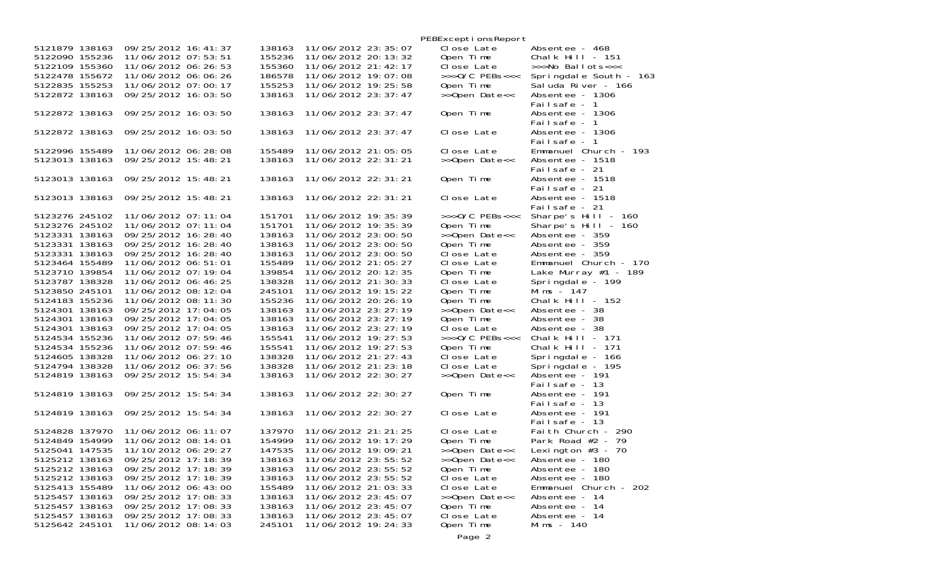|                |                       |        |                       | PEBExcepti onsReport |                        |
|----------------|-----------------------|--------|-----------------------|----------------------|------------------------|
| 5121879 138163 | 09/25/2012 16: 41: 37 | 138163 | 11/06/2012 23: 35: 07 | Close Late           | Absentee - 468         |
| 5122090 155236 | 11/06/2012 07:53:51   | 155236 | 11/06/2012 20: 13: 32 | Open Time            | Chalk Hill - $151$     |
| 5122109 155360 | 11/06/2012 06: 26: 53 | 155360 | 11/06/2012 21: 42: 17 | Close Late           | >>>No Ballots<<<       |
| 5122478 155672 | 11/06/2012 06:06:26   | 186578 | 11/06/2012 19:07:08   | $>>$ >O/C PEBs<<<    | Springdale South - 163 |
| 5122835 155253 | 11/06/2012 07:00:17   | 155253 | 11/06/2012 19: 25: 58 | Open Time            | Sal uda River - 166    |
| 5122872 138163 | 09/25/2012 16:03:50   | 138163 | 11/06/2012 23: 37: 47 | >>Open Date<<        | Absentee - 1306        |
|                |                       |        |                       |                      |                        |
|                |                       |        |                       |                      | Failsafe - 1           |
| 5122872 138163 | 09/25/2012 16:03:50   | 138163 | 11/06/2012 23: 37: 47 | Open Time            | Absentee - 1306        |
|                |                       |        |                       |                      | Failsafe - 1           |
| 5122872 138163 | 09/25/2012 16:03:50   | 138163 | 11/06/2012 23: 37: 47 | Close Late           | Absentee - 1306        |
|                |                       |        |                       |                      | Failsafe - 1           |
| 5122996 155489 | 11/06/2012 06: 28: 08 | 155489 | 11/06/2012 21:05:05   | Close Late           | Emmanuel Church - 193  |
| 5123013 138163 | 09/25/2012 15:48:21   | 138163 | 11/06/2012 22: 31: 21 | >>Open Date<<        | Absentee - 1518        |
|                |                       |        |                       |                      | Failsafe - 21          |
| 5123013 138163 | 09/25/2012 15:48:21   | 138163 | 11/06/2012 22: 31: 21 | Open Time            | Absentee - 1518        |
|                |                       |        |                       |                      | Failsafe - 21          |
| 5123013 138163 | 09/25/2012 15:48:21   | 138163 | 11/06/2012 22: 31: 21 | Close Late           | Absentee - 1518        |
|                |                       |        |                       |                      | Failsafe - 21          |
| 5123276 245102 | 11/06/2012 07: 11: 04 | 151701 | 11/06/2012 19: 35: 39 | $>>$ >O/C PEBs<<<    | Sharpe's Hill - 160    |
| 5123276 245102 | 11/06/2012 07: 11: 04 | 151701 | 11/06/2012 19: 35: 39 | Open Time            | Sharpe's Hill - 160    |
| 5123331 138163 | 09/25/2012 16:28:40   | 138163 | 11/06/2012 23:00:50   | >>Open Date<<        | Absentee - 359         |
| 5123331 138163 | 09/25/2012 16: 28: 40 | 138163 | 11/06/2012 23:00:50   | Open Time            | Absentee - 359         |
| 5123331 138163 | 09/25/2012 16:28:40   | 138163 | 11/06/2012 23:00:50   | Close Late           | Absentee - 359         |
| 5123464 155489 | 11/06/2012 06:51:01   |        | 11/06/2012 21:05:27   |                      |                        |
|                |                       | 155489 |                       | Close Late           | Emmanuel Church - 170  |
| 5123710 139854 | 11/06/2012 07: 19: 04 | 139854 | 11/06/2012 20: 12: 35 | Open Time            | Lake Murray $#1$ - 189 |
| 5123787 138328 | 11/06/2012 06:46:25   | 138328 | 11/06/2012 21: 30: 33 | Close Late           | Springdale - 199       |
| 5123850 245101 | 11/06/2012 08:12:04   | 245101 | 11/06/2012 19: 15: 22 | Open Time            | Mims $-147$            |
| 5124183 155236 | 11/06/2012 08: 11: 30 | 155236 | 11/06/2012 20: 26: 19 | Open Time            | Chalk Hill - $152$     |
| 5124301 138163 | 09/25/2012 17:04:05   | 138163 | 11/06/2012 23: 27: 19 | >>Open Date<<        | Absentee - 38          |
| 5124301 138163 | 09/25/2012 17:04:05   | 138163 | 11/06/2012 23: 27: 19 | Open Time            | Absentee - 38          |
| 5124301 138163 | 09/25/2012 17:04:05   | 138163 | 11/06/2012 23: 27: 19 | Close Late           | Absentee - 38          |
| 5124534 155236 | 11/06/2012 07:59:46   | 155541 | 11/06/2012 19: 27: 53 | $>>$ $0/C$ PEBs<<<   | Chalk Hill - $171$     |
| 5124534 155236 | 11/06/2012 07:59:46   | 155541 | 11/06/2012 19: 27: 53 | Open Time            | Chalk Hill - $171$     |
| 5124605 138328 | 11/06/2012 06: 27: 10 | 138328 | 11/06/2012 21: 27: 43 | Close Late           | Springdale - 166       |
| 5124794 138328 | 11/06/2012 06: 37: 56 | 138328 | 11/06/2012 21: 23: 18 | Close Late           | Springdale - 195       |
| 5124819 138163 | 09/25/2012 15:54:34   | 138163 | 11/06/2012 22: 30: 27 | >>Open Date<<        | Absentee - 191         |
|                |                       |        |                       |                      | Failsafe - 13          |
| 5124819 138163 | 09/25/2012 15:54:34   | 138163 | 11/06/2012 22: 30: 27 | Open Time            | Absentee - 191         |
|                |                       |        |                       |                      | Failsafe - 13          |
| 5124819 138163 | 09/25/2012 15:54:34   | 138163 | 11/06/2012 22: 30: 27 | Close Late           | Absentee - 191         |
|                |                       |        |                       |                      | Failsafe - 13          |
| 5124828 137970 | 11/06/2012 06: 11: 07 | 137970 | 11/06/2012 21: 21: 25 | Close Late           | Faith Church - 290     |
| 5124849 154999 | 11/06/2012 08:14:01   | 154999 | 11/06/2012 19: 17: 29 | Open Time            | Park Road $#2$ - 79    |
| 5125041 147535 |                       | 147535 |                       |                      |                        |
| 5125212 138163 | 11/10/2012 06: 29: 27 |        | 11/06/2012 19:09:21   | >>Open Date<<        | Lexington $#3 - 70$    |
|                | 09/25/2012 17:18:39   | 138163 | 11/06/2012 23: 55: 52 | >>Open Date<<        | Absentee - 180         |
| 5125212 138163 | 09/25/2012 17:18:39   | 138163 | 11/06/2012 23:55:52   | Open Time            | Absentee - 180         |
| 5125212 138163 | 09/25/2012 17:18:39   | 138163 | 11/06/2012 23: 55: 52 | Close Late           | Absentee - 180         |
| 5125413 155489 | 11/06/2012 06:43:00   | 155489 | 11/06/2012 21:03:33   | Close Late           | Emmanuel Church - 202  |
| 5125457 138163 | 09/25/2012 17:08:33   | 138163 | 11/06/2012 23: 45: 07 | >>Open Date<<        | Absentee - 14          |
| 5125457 138163 | 09/25/2012 17:08:33   | 138163 | 11/06/2012 23: 45: 07 | Open Time            | Absentee - 14          |
| 5125457 138163 | 09/25/2012 17:08:33   | 138163 | 11/06/2012 23: 45: 07 | Close Late           | Absentee - 14          |
| 5125642 245101 | 11/06/2012 08:14:03   | 245101 | 11/06/2012 19: 24: 33 | Open Time            | Mims - 140             |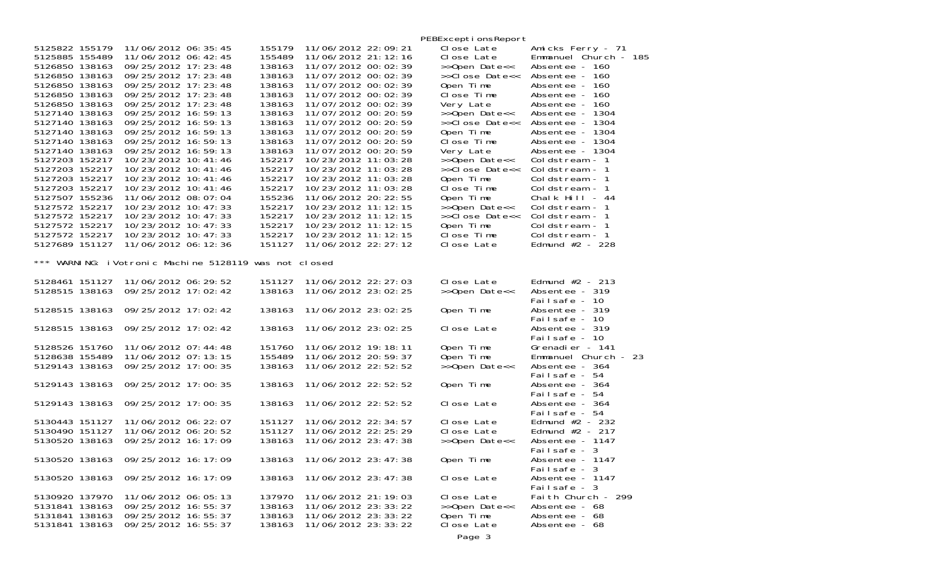|                                                                                                                                                                                                                                                                                                                                                                                                          |                                                                                                                                                                                                                                                                                                                                                                                                                                                                                                                                              |                                                                                                                                                                                                                          |                                                                                                                                                                                                                                                                                                                                                                                                                                                                                                                                                            | PEBExcepti onsReport                                                                                                                                                                                                                                                                                                                  |                                                                                                                                                                                                                                                                                                                                                                                                                              |
|----------------------------------------------------------------------------------------------------------------------------------------------------------------------------------------------------------------------------------------------------------------------------------------------------------------------------------------------------------------------------------------------------------|----------------------------------------------------------------------------------------------------------------------------------------------------------------------------------------------------------------------------------------------------------------------------------------------------------------------------------------------------------------------------------------------------------------------------------------------------------------------------------------------------------------------------------------------|--------------------------------------------------------------------------------------------------------------------------------------------------------------------------------------------------------------------------|------------------------------------------------------------------------------------------------------------------------------------------------------------------------------------------------------------------------------------------------------------------------------------------------------------------------------------------------------------------------------------------------------------------------------------------------------------------------------------------------------------------------------------------------------------|---------------------------------------------------------------------------------------------------------------------------------------------------------------------------------------------------------------------------------------------------------------------------------------------------------------------------------------|------------------------------------------------------------------------------------------------------------------------------------------------------------------------------------------------------------------------------------------------------------------------------------------------------------------------------------------------------------------------------------------------------------------------------|
| 5125822 155179<br>5125885 155489<br>5126850 138163<br>5126850 138163<br>5126850 138163<br>5126850 138163<br>5126850 138163<br>5127140 138163<br>5127140 138163<br>5127140 138163<br>5127140 138163<br>5127140 138163<br>5127203 152217<br>5127203 152217<br>5127203 152217<br>5127203 152217<br>5127507 155236<br>5127572 152217<br>5127572 152217<br>5127572 152217<br>5127572 152217<br>5127689 151127 | 11/06/2012 06: 35: 45<br>11/06/2012 06: 42: 45<br>09/25/2012 17: 23: 48<br>09/25/2012 17: 23: 48<br>09/25/2012 17:23:48<br>09/25/2012 17:23:48<br>09/25/2012 17:23:48<br>09/25/2012 16:59:13<br>09/25/2012 16:59:13<br>09/25/2012 16:59:13<br>09/25/2012 16:59:13<br>09/25/2012 16:59:13<br>10/23/2012 10:41:46<br>10/23/2012 10:41:46<br>10/23/2012 10: 41: 46<br>10/23/2012 10: 41: 46<br>11/06/2012 08:07:04<br>10/23/2012 10: 47: 33<br>10/23/2012 10: 47: 33<br>10/23/2012 10: 47: 33<br>10/23/2012 10: 47: 33<br>11/06/2012 06: 12: 36 | 155179<br>155489<br>138163<br>138163<br>138163<br>138163<br>138163<br>138163<br>138163<br>138163<br>138163<br>138163<br>152217<br>152217<br>152217<br>152217<br>155236<br>152217<br>152217<br>152217<br>152217<br>151127 | 11/06/2012 22:09:21<br>11/06/2012 21: 12: 16<br>11/07/2012 00: 02: 39<br>11/07/2012 00: 02: 39<br>11/07/2012 00: 02: 39<br>11/07/2012 00: 02: 39<br>11/07/2012 00: 02: 39<br>11/07/2012 00: 20: 59<br>11/07/2012 00: 20: 59<br>11/07/2012 00: 20: 59<br>11/07/2012 00: 20: 59<br>11/07/2012 00: 20: 59<br>10/23/2012 11:03:28<br>10/23/2012 11:03:28<br>10/23/2012 11:03:28<br>10/23/2012 11: 03: 28<br>11/06/2012 20: 22: 55<br>10/23/2012 11: 12: 15<br>10/23/2012 11: 12: 15<br>10/23/2012 11: 12: 15<br>10/23/2012 11: 12: 15<br>11/06/2012 22: 27: 12 | Close Late<br>Close Late<br>>>Open Date<<<br>>>Close Date<<<br>Open Time<br>Close Time<br>Very Late<br>>>Open Date<<<br>>>Close Date<<<br>Open Time<br>Close Time<br>Very Late<br>>>Open Date<<<br>>>Close Date<<<br>Open Time<br>Close Time<br>Open Time<br>>>Open Date<<<br>>>Close Date<<<br>Open Time<br>Close Time<br>Close Late | Amicks Ferry - 71<br>Emmanuel Church - 185<br>Absentee - 160<br>Absentee - 160<br>Absentee - 160<br>Absentee - 160<br>Absentee - 160<br>Absentee - 1304<br>Absentee - 1304<br>Absentee - 1304<br>Absentee - 1304<br>Absentee - 1304<br>Coldstream - 1<br>Coldstream - 1<br>Coldstream - 1<br>Coldstream - 1<br>Chalk Hill $-44$<br>Coldstream - 1<br>Coldstream - 1<br>Coldstream - 1<br>Coldstream - 1<br>Edmund $#2 - 228$ |
| $***$                                                                                                                                                                                                                                                                                                                                                                                                    | WARNING: iVotronic Machine 5128119 was not closed                                                                                                                                                                                                                                                                                                                                                                                                                                                                                            |                                                                                                                                                                                                                          |                                                                                                                                                                                                                                                                                                                                                                                                                                                                                                                                                            |                                                                                                                                                                                                                                                                                                                                       |                                                                                                                                                                                                                                                                                                                                                                                                                              |
| 5128461 151127<br>5128515 138163                                                                                                                                                                                                                                                                                                                                                                         | 11/06/2012 06: 29: 52<br>09/25/2012 17:02:42                                                                                                                                                                                                                                                                                                                                                                                                                                                                                                 | 151127<br>138163                                                                                                                                                                                                         | 11/06/2012 22: 27: 03<br>11/06/2012 23:02:25                                                                                                                                                                                                                                                                                                                                                                                                                                                                                                               | Close Late<br>>>Open Date<<                                                                                                                                                                                                                                                                                                           | Edmund $#2 - 213$<br>Absentee - 319<br>Failsafe - 10                                                                                                                                                                                                                                                                                                                                                                         |
| 5128515 138163                                                                                                                                                                                                                                                                                                                                                                                           | 09/25/2012 17:02:42                                                                                                                                                                                                                                                                                                                                                                                                                                                                                                                          | 138163                                                                                                                                                                                                                   | 11/06/2012 23: 02: 25                                                                                                                                                                                                                                                                                                                                                                                                                                                                                                                                      | Open Time                                                                                                                                                                                                                                                                                                                             | Absentee - 319<br>Failsafe - 10                                                                                                                                                                                                                                                                                                                                                                                              |
| 5128515 138163                                                                                                                                                                                                                                                                                                                                                                                           | 09/25/2012 17:02:42                                                                                                                                                                                                                                                                                                                                                                                                                                                                                                                          | 138163                                                                                                                                                                                                                   | 11/06/2012 23:02:25                                                                                                                                                                                                                                                                                                                                                                                                                                                                                                                                        | Close Late                                                                                                                                                                                                                                                                                                                            | Absentee - 319<br>Failsafe - 10                                                                                                                                                                                                                                                                                                                                                                                              |
| 5128526 151760<br>5128638 155489<br>5129143 138163                                                                                                                                                                                                                                                                                                                                                       | 11/06/2012 07:44:48<br>11/06/2012 07: 13: 15<br>09/25/2012 17:00:35                                                                                                                                                                                                                                                                                                                                                                                                                                                                          | 151760<br>155489<br>138163                                                                                                                                                                                               | 11/06/2012 19: 18: 11<br>11/06/2012 20:59:37<br>11/06/2012 22: 52: 52                                                                                                                                                                                                                                                                                                                                                                                                                                                                                      | Open Time<br>Open Time<br>>>Open Date<<                                                                                                                                                                                                                                                                                               | Grenadier - 141<br>Emmanuel Church - 23<br>Absentee - 364<br>Failsafe - 54                                                                                                                                                                                                                                                                                                                                                   |
| 5129143 138163                                                                                                                                                                                                                                                                                                                                                                                           | 09/25/2012 17:00:35                                                                                                                                                                                                                                                                                                                                                                                                                                                                                                                          | 138163                                                                                                                                                                                                                   | 11/06/2012 22:52:52                                                                                                                                                                                                                                                                                                                                                                                                                                                                                                                                        | Open Time                                                                                                                                                                                                                                                                                                                             | Absentee - 364<br>Failsafe - 54                                                                                                                                                                                                                                                                                                                                                                                              |
| 5129143 138163                                                                                                                                                                                                                                                                                                                                                                                           | 09/25/2012 17:00:35                                                                                                                                                                                                                                                                                                                                                                                                                                                                                                                          | 138163                                                                                                                                                                                                                   | 11/06/2012 22:52:52                                                                                                                                                                                                                                                                                                                                                                                                                                                                                                                                        | Close Late                                                                                                                                                                                                                                                                                                                            | Absentee - 364<br>Failsafe - 54                                                                                                                                                                                                                                                                                                                                                                                              |
| 5130443 151127<br>5130490 151127<br>5130520 138163                                                                                                                                                                                                                                                                                                                                                       | 11/06/2012 06: 22: 07<br>11/06/2012 06: 20: 52<br>09/25/2012 16:17:09                                                                                                                                                                                                                                                                                                                                                                                                                                                                        | 151127<br>151127<br>138163                                                                                                                                                                                               | 11/06/2012 22: 34: 57<br>11/06/2012 22: 25: 29<br>11/06/2012 23: 47: 38                                                                                                                                                                                                                                                                                                                                                                                                                                                                                    | Close Late<br>Close Late<br>>>Open Date<<                                                                                                                                                                                                                                                                                             | Edmund $#2 - 232$<br>Edmund $#2 - 217$<br>Absentee - 1147<br>Failsafe - 3                                                                                                                                                                                                                                                                                                                                                    |
| 5130520 138163                                                                                                                                                                                                                                                                                                                                                                                           | 09/25/2012 16:17:09                                                                                                                                                                                                                                                                                                                                                                                                                                                                                                                          | 138163                                                                                                                                                                                                                   | 11/06/2012 23: 47: 38                                                                                                                                                                                                                                                                                                                                                                                                                                                                                                                                      | Open Time                                                                                                                                                                                                                                                                                                                             | Absentee - 1147<br>Failsafe - 3                                                                                                                                                                                                                                                                                                                                                                                              |
| 5130520 138163                                                                                                                                                                                                                                                                                                                                                                                           | 09/25/2012 16:17:09                                                                                                                                                                                                                                                                                                                                                                                                                                                                                                                          | 138163                                                                                                                                                                                                                   | 11/06/2012 23: 47: 38                                                                                                                                                                                                                                                                                                                                                                                                                                                                                                                                      | Close Late                                                                                                                                                                                                                                                                                                                            | Absentee - 1147<br>Failsafe - 3                                                                                                                                                                                                                                                                                                                                                                                              |
| 5130920 137970<br>5131841 138163<br>5131841 138163<br>5131841 138163                                                                                                                                                                                                                                                                                                                                     | 11/06/2012 06:05:13<br>09/25/2012 16:55:37<br>09/25/2012 16:55:37<br>09/25/2012 16:55:37                                                                                                                                                                                                                                                                                                                                                                                                                                                     | 137970<br>138163<br>138163<br>138163                                                                                                                                                                                     | 11/06/2012 21: 19: 03<br>11/06/2012 23: 33: 22<br>11/06/2012 23: 33: 22<br>11/06/2012 23: 33: 22                                                                                                                                                                                                                                                                                                                                                                                                                                                           | Close Late<br>>>Open Date<<<br>Open Time<br>Close Late                                                                                                                                                                                                                                                                                | Faith Church - 299<br>Absentee - 68<br>Absentee - 68<br>Absentee - 68                                                                                                                                                                                                                                                                                                                                                        |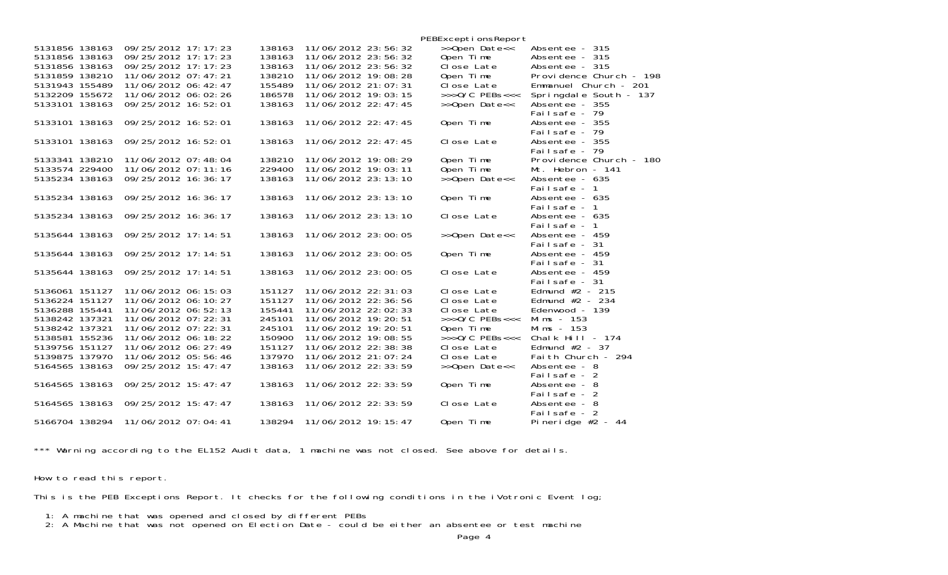|                |                       |        |                       | PEBExceptionsReport         |                                    |
|----------------|-----------------------|--------|-----------------------|-----------------------------|------------------------------------|
| 5131856 138163 | 09/25/2012 17:17:23   | 138163 | 11/06/2012 23:56:32   | >>Open Date<<               | Absentee - 315                     |
| 5131856 138163 | 09/25/2012 17:17:23   | 138163 | 11/06/2012 23:56:32   | Open Time                   | Absentee - 315                     |
| 5131856 138163 | 09/25/2012 17:17:23   | 138163 | 11/06/2012 23:56:32   | Close Late                  | Absentee - 315                     |
| 5131859 138210 | 11/06/2012 07:47:21   | 138210 | 11/06/2012 19:08:28   | Open Time                   | Providence Church - 198            |
| 5131943 155489 | 11/06/2012 06: 42: 47 | 155489 | 11/06/2012 21:07:31   | Close Late                  | Emmanuel Church - 201              |
| 5132209 155672 | 11/06/2012 06:02:26   | 186578 | 11/06/2012 19:03:15   | $\rightarrow$ >>0/C PEBs<<< | Springdale South - 137             |
| 5133101 138163 | 09/25/2012 16:52:01   | 138163 | 11/06/2012 22: 47: 45 | >>Open Date<<               | Absentee - 355                     |
|                |                       |        |                       |                             | Failsafe - 79                      |
| 5133101 138163 | 09/25/2012 16:52:01   | 138163 | 11/06/2012 22: 47: 45 | Open Time                   | Absentee - 355                     |
|                |                       |        |                       |                             | Failsafe - 79                      |
| 5133101 138163 | 09/25/2012 16:52:01   | 138163 | 11/06/2012 22: 47: 45 | Close Late                  | Absentee - 355                     |
|                |                       |        |                       |                             | Failsafe - 79                      |
| 5133341 138210 | 11/06/2012 07:48:04   | 138210 | 11/06/2012 19:08:29   | Open Time                   | Providence Church - 180            |
| 5133574 229400 | 11/06/2012 07: 11: 16 | 229400 | 11/06/2012 19:03:11   | Open Time                   | Mt. Hebron - 141                   |
| 5135234 138163 | 09/25/2012 16:36:17   | 138163 | 11/06/2012 23: 13: 10 | >>Open Date<<               | Absentee - 635                     |
|                |                       |        |                       |                             | Failsafe - 1                       |
| 5135234 138163 | 09/25/2012 16:36:17   | 138163 | 11/06/2012 23: 13: 10 | Open Time                   | Absentee - 635                     |
|                |                       |        |                       |                             | Failsafe - 1                       |
| 5135234 138163 | 09/25/2012 16:36:17   | 138163 | 11/06/2012 23: 13: 10 | Close Late                  | Absentee - 635                     |
|                |                       |        |                       |                             | Failsafe - 1                       |
| 5135644 138163 | 09/25/2012 17:14:51   | 138163 | 11/06/2012 23:00:05   | >>Open Date<<               | Absentee - 459                     |
|                |                       |        |                       |                             | Failsafe - 31                      |
| 5135644 138163 | 09/25/2012 17:14:51   | 138163 | 11/06/2012 23:00:05   | Open Time                   | Absentee - 459                     |
|                |                       |        |                       |                             | Failsafe - 31                      |
| 5135644 138163 | 09/25/2012 17:14:51   | 138163 | 11/06/2012 23:00:05   | Close Late                  | Absentee - 459                     |
| 5136061 151127 | 11/06/2012 06: 15: 03 | 151127 | 11/06/2012 22: 31: 03 | Close Late                  | Failsafe - 31<br>Edmund $#2 - 215$ |
| 5136224 151127 | 11/06/2012 06: 10: 27 | 151127 | 11/06/2012 22:36:56   | Close Late                  | Edmund $#2 - 234$                  |
| 5136288 155441 | 11/06/2012 06:52:13   | 155441 | 11/06/2012 22:02:33   | Close Late                  | Edenwood - 139                     |
| 5138242 137321 | 11/06/2012 07: 22: 31 | 245101 | 11/06/2012 19: 20: 51 | $>>$ >O/C PEBs<<<           | Mims - 153                         |
| 5138242 137321 | 11/06/2012 07: 22: 31 | 245101 | 11/06/2012 19: 20: 51 | Open Time                   | Mims - 153                         |
| 5138581 155236 | 11/06/2012 06: 18: 22 | 150900 | 11/06/2012 19:08:55   | $>>$ $0/C$ PEBs<<<          | Chalk Hill - $174$                 |
| 5139756 151127 | 11/06/2012 06: 27: 49 | 151127 | 11/06/2012 22: 38: 38 | Close Late                  | Edmund $#2 - 37$                   |
| 5139875 137970 | 11/06/2012 05:56:46   | 137970 | 11/06/2012 21:07:24   | Close Late                  | Faith Church - 294                 |
| 5164565 138163 | 09/25/2012 15:47:47   | 138163 | 11/06/2012 22: 33: 59 | >>Open Date<<               | Absentee - 8                       |
|                |                       |        |                       |                             | Failsafe - 2                       |
| 5164565 138163 | 09/25/2012 15:47:47   | 138163 | 11/06/2012 22: 33: 59 | Open Time                   | Absentee - 8                       |
|                |                       |        |                       |                             | Failsafe - 2                       |
| 5164565 138163 | 09/25/2012 15:47:47   | 138163 | 11/06/2012 22: 33: 59 | Close Late                  | Absentee - 8                       |
|                |                       |        |                       |                             | Failsafe - 2                       |
| 5166704 138294 | 11/06/2012 07:04:41   | 138294 | 11/06/2012 19: 15: 47 | Open Time                   | Pineridge $#2 - 44$                |
|                |                       |        |                       |                             |                                    |

\*\*\* Warning according to the EL152 Audit data, 1 machine was not closed. See above for details.

How to read this report.

This is the PEB Exceptions Report. It checks for the following conditions in the iVotronic Event log;

- 1: A machine that was opened and closed by different PEBs
- 2: A Machine that was not opened on Election Date could be either an absentee or test machine